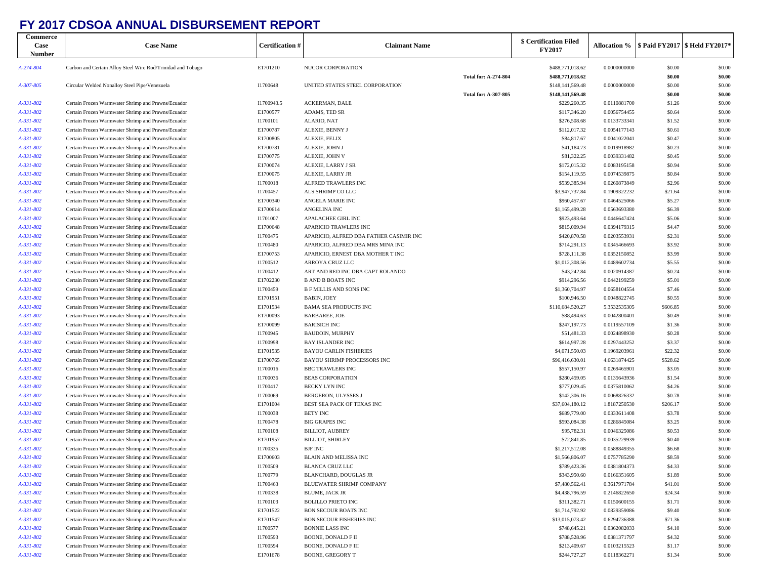## **FY 2017 CDSOA ANNUAL DISBURSEMENT REPORT**

| Commerce<br>Case<br><b>Number</b> | <b>Case Name</b>                                                                                         | <b>Certification</b> # | <b>Claimant Name</b>                                             |                             | \$ Certification Filed<br><b>FY2017</b> |                              |                   | Allocation %   \$ Paid FY2017   \$ Held FY2017* |
|-----------------------------------|----------------------------------------------------------------------------------------------------------|------------------------|------------------------------------------------------------------|-----------------------------|-----------------------------------------|------------------------------|-------------------|-------------------------------------------------|
| A-274-804                         | Carbon and Certain Alloy Steel Wire Rod/Trinidad and Tobago                                              | E1701210               | NUCOR CORPORATION                                                |                             | \$488,771,018.62                        | 0.0000000000                 | \$0.00            | \$0.00                                          |
|                                   |                                                                                                          |                        |                                                                  | <b>Total for: A-274-804</b> | \$488,771,018.62                        |                              | \$0.00            | \$0.00                                          |
| A-307-805                         | Circular Welded Nonalloy Steel Pipe/Venezuela                                                            | I1700648               | UNITED STATES STEEL CORPORATION                                  |                             | \$148,141,569.48                        | 0.0000000000                 | \$0.00            | \$0.00                                          |
|                                   |                                                                                                          |                        |                                                                  | <b>Total for: A-307-805</b> | \$148,141,569.48                        |                              | \$0.00            | \$0.00                                          |
| A-331-802<br>A-331-802            | Certain Frozen Warmwater Shrimp and Prawns/Ecuador<br>Certain Frozen Warmwater Shrimp and Prawns/Ecuador | I1700943.5<br>E1700577 | ACKERMAN, DALE<br>ADAMS, TED SR                                  |                             | \$229,260.35<br>\$117,346.20            | 0.0110881700<br>0.0056754455 | \$1.26<br>\$0.64  | \$0.00<br>\$0.00                                |
| A-331-802                         | Certain Frozen Warmwater Shrimp and Prawns/Ecuador                                                       | I1700101               | ALARIO, NAT                                                      |                             | \$276,508.68                            | 0.0133733341                 | \$1.52            | \$0.00                                          |
| A-331-802                         | Certain Frozen Warmwater Shrimp and Prawns/Ecuador                                                       | E1700787               | ALEXIE, BENNY J                                                  |                             | \$112,017.32                            | 0.0054177143                 | \$0.61            | \$0.00                                          |
| A-331-802                         | Certain Frozen Warmwater Shrimp and Prawns/Ecuador                                                       | E1700805               | ALEXIE, FELIX                                                    |                             | \$84,817.67                             | 0.0041022041                 | \$0.47            | \$0.00                                          |
| A-331-802                         | Certain Frozen Warmwater Shrimp and Prawns/Ecuador                                                       | E1700781               | ALEXIE, JOHN J                                                   |                             | \$41,184.73                             | 0.0019918982                 | \$0.23            | \$0.00                                          |
| A-331-802                         | Certain Frozen Warmwater Shrimp and Prawns/Ecuador                                                       | E1700775               | ALEXIE, JOHN V                                                   |                             | \$81,322.25                             | 0.0039331482                 | \$0.45            | \$0.00                                          |
| A-331-802                         | Certain Frozen Warmwater Shrimp and Prawns/Ecuador                                                       | E1700074               | ALEXIE, LARRY J SR                                               |                             | \$172,015.32                            | 0.0083195158                 | \$0.94            | \$0.00                                          |
| A-331-802                         | Certain Frozen Warmwater Shrimp and Prawns/Ecuador                                                       | E1700075               | ALEXIE, LARRY JR                                                 |                             | \$154,119.55                            | 0.0074539875                 | \$0.84            | \$0.00                                          |
| A-331-802                         | Certain Frozen Warmwater Shrimp and Prawns/Ecuador                                                       | I1700018               | ALFRED TRAWLERS INC                                              |                             | \$539,385.94                            | 0.0260873849                 | \$2.96            | \$0.00                                          |
| A-331-802                         | Certain Frozen Warmwater Shrimp and Prawns/Ecuador                                                       | I1700457               | ALS SHRIMP CO LLC                                                |                             | \$3,947,737.84                          | 0.1909322232                 | \$21.64           | \$0.00                                          |
| A-331-802                         | Certain Frozen Warmwater Shrimp and Prawns/Ecuador                                                       | E1700340               | ANGELA MARIE INC                                                 |                             | \$960,457.67                            | 0.0464525066                 | \$5.27            | \$0.00                                          |
| A-331-802                         | Certain Frozen Warmwater Shrimp and Prawns/Ecuador                                                       | E1700614               | ANGELINA INC                                                     |                             | \$1,165,499.28                          | 0.0563693380                 | \$6.39            | \$0.00                                          |
| A-331-802                         | Certain Frozen Warmwater Shrimp and Prawns/Ecuador                                                       | I1701007               | APALACHEE GIRL INC                                               |                             | \$923,493.64                            | 0.0446647424                 | \$5.06            | \$0.00                                          |
| A-331-802<br>A-331-802            | Certain Frozen Warmwater Shrimp and Prawns/Ecuador<br>Certain Frozen Warmwater Shrimp and Prawns/Ecuador | E1700648<br>I1700475   | APARICIO TRAWLERS INC<br>APARICIO, ALFRED DBA FATHER CASIMIR INC |                             | \$815,009.94<br>\$420,870.58            | 0.0394179315<br>0.0203553931 | \$4.47<br>\$2.31  | \$0.00<br>\$0.00                                |
| A-331-802                         | Certain Frozen Warmwater Shrimp and Prawns/Ecuador                                                       | I1700480               | APARICIO, ALFRED DBA MRS MINA INC                                |                             | \$714,291.13                            | 0.0345466693                 | \$3.92            | \$0.00                                          |
| A-331-802                         | Certain Frozen Warmwater Shrimp and Prawns/Ecuador                                                       | E1700753               | APARICIO, ERNEST DBA MOTHER T INC                                |                             | \$728,111.38                            | 0.0352150852                 | \$3.99            | \$0.00                                          |
| A-331-802                         | Certain Frozen Warmwater Shrimp and Prawns/Ecuador                                                       | I1700512               | ARROYA CRUZ LLC                                                  |                             | \$1,012,308.56                          | 0.0489602734                 | \$5.55            | \$0.00                                          |
| A-331-802                         | Certain Frozen Warmwater Shrimp and Prawns/Ecuador                                                       | I1700412               | ART AND RED INC DBA CAPT ROLANDO                                 |                             | \$43,242.84                             | 0.0020914387                 | \$0.24            | \$0.00                                          |
| A-331-802                         | Certain Frozen Warmwater Shrimp and Prawns/Ecuador                                                       | E1702230               | <b>B AND B BOATS INC</b>                                         |                             | \$914,296.56                            | 0.0442199259                 | \$5.01            | \$0.00                                          |
| A-331-802                         | Certain Frozen Warmwater Shrimp and Prawns/Ecuador                                                       | I1700459               | <b>B F MILLIS AND SONS INC</b>                                   |                             | \$1,360,704.97                          | 0.0658104554                 | \$7.46            | \$0.00                                          |
| A-331-802                         | Certain Frozen Warmwater Shrimp and Prawns/Ecuador                                                       | E1701951               | <b>BABIN, JOEY</b>                                               |                             | \$100,946.50                            | 0.0048822745                 | \$0.55            | \$0.00                                          |
| A-331-802                         | Certain Frozen Warmwater Shrimp and Prawns/Ecuador                                                       | E1701534               | <b>BAMA SEA PRODUCTS INC</b>                                     |                             | \$110,684,520.27                        | 5.3532535305                 | \$606.85          | \$0.00                                          |
| A-331-802                         | Certain Frozen Warmwater Shrimp and Prawns/Ecuador                                                       | E1700093               | <b>BARBAREE, JOE</b>                                             |                             | \$88,494.63                             | 0.0042800401                 | \$0.49            | \$0.00                                          |
| A-331-802                         | Certain Frozen Warmwater Shrimp and Prawns/Ecuador                                                       | E1700099               | <b>BARISICH INC</b>                                              |                             | \$247,197.73                            | 0.0119557109                 | \$1.36            | \$0.00                                          |
| A-331-802                         | Certain Frozen Warmwater Shrimp and Prawns/Ecuador                                                       | I1700945               | <b>BAUDOIN, MURPHY</b>                                           |                             | \$51,481.33                             | 0.0024898930                 | \$0.28            | \$0.00                                          |
| A-331-802                         | Certain Frozen Warmwater Shrimp and Prawns/Ecuador                                                       | I1700998               | <b>BAY ISLANDER INC</b>                                          |                             | \$614,997.28                            | 0.0297443252                 | \$3.37            | \$0.00                                          |
| A-331-802                         | Certain Frozen Warmwater Shrimp and Prawns/Ecuador                                                       | E1701535               | <b>BAYOU CARLIN FISHERIES</b>                                    |                             | \$4,071,550.03                          | 0.1969203961                 | \$22.32           | \$0.00                                          |
| A-331-802                         | Certain Frozen Warmwater Shrimp and Prawns/Ecuador                                                       | E1700765               | BAYOU SHRIMP PROCESSORS INC<br><b>BBC TRAWLERS INC</b>           |                             | \$96,416,630.01                         | 4.6631874425                 | \$528.62          | \$0.00                                          |
| A-331-802<br>A-331-802            | Certain Frozen Warmwater Shrimp and Prawns/Ecuador<br>Certain Frozen Warmwater Shrimp and Prawns/Ecuador | I1700016<br>I1700036   | <b>BEAS CORPORATION</b>                                          |                             | \$557,150.97<br>\$280,459.05            | 0.0269465901<br>0.0135643936 | \$3.05<br>\$1.54  | \$0.00<br>\$0.00                                |
| A-331-802                         | Certain Frozen Warmwater Shrimp and Prawns/Ecuador                                                       | I1700417               | BECKY LYN INC                                                    |                             | \$777,029.45                            | 0.0375810062                 | \$4.26            | \$0.00                                          |
| A-331-802                         | Certain Frozen Warmwater Shrimp and Prawns/Ecuador                                                       | I1700069               | BERGERON, ULYSSES J                                              |                             | \$142,306.16                            | 0.0068826332                 | \$0.78            | \$0.00                                          |
| A-331-802                         | Certain Frozen Warmwater Shrimp and Prawns/Ecuador                                                       | E1701004               | BEST SEA PACK OF TEXAS INC                                       |                             | \$37,604,180.12                         | 1.8187250530                 | \$206.17          | \$0.00                                          |
| A-331-802                         | Certain Frozen Warmwater Shrimp and Prawns/Ecuador                                                       | I1700038               | <b>BETY INC</b>                                                  |                             | \$689,779.00                            | 0.0333611408                 | \$3.78            | \$0.00                                          |
| A-331-802                         | Certain Frozen Warmwater Shrimp and Prawns/Ecuador                                                       | I1700478               | <b>BIG GRAPES INC</b>                                            |                             | \$593,084.38                            | 0.0286845084                 | \$3.25            | \$0.00                                          |
| A-331-802                         | Certain Frozen Warmwater Shrimp and Prawns/Ecuador                                                       | I1700108               | <b>BILLIOT, AUBREY</b>                                           |                             | \$95,782.31                             | 0.0046325086                 | \$0.53            | \$0.00                                          |
| A-331-802                         | Certain Frozen Warmwater Shrimp and Prawns/Ecuador                                                       | E1701957               | <b>BILLIOT, SHIRLEY</b>                                          |                             | \$72,841.85                             | 0.0035229939                 | \$0.40            | \$0.00                                          |
| A-331-802                         | Certain Frozen Warmwater Shrimp and Prawns/Ecuador                                                       | I1700335               | <b>BJF INC</b>                                                   |                             | \$1,217,512.08                          | 0.0588849355                 | \$6.68            | \$0.00                                          |
| A-331-802                         | Certain Frozen Warmwater Shrimp and Prawns/Ecuador                                                       | E1700603               | BLAIN AND MELISSA INC                                            |                             | \$1,566,806.07                          | 0.0757785290                 | \$8.59            | \$0.00                                          |
| A-331-802                         | Certain Frozen Warmwater Shrimp and Prawns/Ecuador                                                       | I1700509               | BLANCA CRUZ LLC                                                  |                             | \$789,423.36                            | 0.0381804373                 | \$4.33            | \$0.00                                          |
| A-331-802                         | Certain Frozen Warmwater Shrimp and Prawns/Ecuador                                                       | I1700779               | BLANCHARD, DOUGLAS JR                                            |                             | \$343,950.60                            | 0.0166351605                 | \$1.89            | \$0.00                                          |
| A-331-802                         | Certain Frozen Warmwater Shrimp and Prawns/Ecuador                                                       | I1700463               | BLUEWATER SHRIMP COMPANY                                         |                             | \$7,480,562.41                          | 0.3617971784                 | \$41.01           | \$0.00                                          |
| A-331-802                         | Certain Frozen Warmwater Shrimp and Prawns/Ecuador                                                       | I1700338               | BLUME, JACK JR                                                   |                             | \$4,438,796.59                          | 0.2146822650                 | \$24.34           | \$0.00                                          |
| A-331-802                         | Certain Frozen Warmwater Shrimp and Prawns/Ecuador                                                       | I1700103               | <b>BOLILLO PRIETO INC</b>                                        |                             | \$311,382.71                            | 0.0150600155                 | \$1.71            | \$0.00                                          |
| A-331-802<br>A-331-802            | Certain Frozen Warmwater Shrimp and Prawns/Ecuador<br>Certain Frozen Warmwater Shrimp and Prawns/Ecuador | E1701522<br>E1701547   | BON SECOUR BOATS INC<br>BON SECOUR FISHERIES INC                 |                             | \$1,714,792.92<br>\$13,015,073.42       | 0.0829359086<br>0.6294736388 | \$9.40<br>\$71.36 | \$0.00<br>\$0.00                                |
| A-331-802                         | Certain Frozen Warmwater Shrimp and Prawns/Ecuador                                                       | I1700577               | <b>BONNIE LASS INC</b>                                           |                             | \$748,645.21                            | 0.0362082033                 | \$4.10            | \$0.00                                          |
| A-331-802                         | Certain Frozen Warmwater Shrimp and Prawns/Ecuador                                                       | I1700593               | <b>BOONE, DONALD F II</b>                                        |                             | \$788,528.96                            | 0.0381371797                 | \$4.32            | \$0.00                                          |
| A-331-802                         | Certain Frozen Warmwater Shrimp and Prawns/Ecuador                                                       | I1700594               | BOONE, DONALD F III                                              |                             | \$213,409.67                            | 0.0103215523                 | \$1.17            | \$0.00                                          |
| A-331-802                         | Certain Frozen Warmwater Shrimp and Prawns/Ecuador                                                       | E1701678               | <b>BOONE, GREGORY T</b>                                          |                             | \$244,727.27                            | 0.0118362271                 | \$1.34            | \$0.00                                          |
|                                   |                                                                                                          |                        |                                                                  |                             |                                         |                              |                   |                                                 |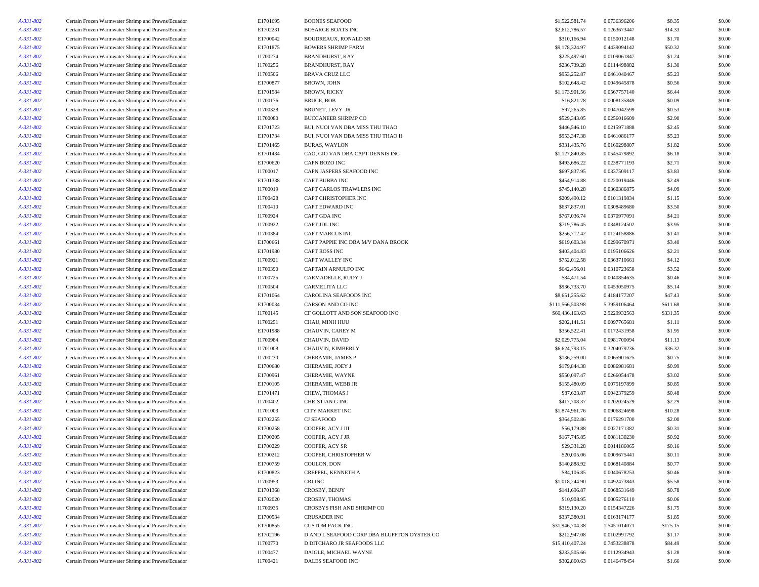| A-331-802 | Certain Frozen Warmwater Shrimp and Prawns/Ecuador | E1701695 | <b>BOONES SEAFOOD</b>                                         | \$1,522,581.74   | 0.0736396206 | \$8.35   | \$0.00 |
|-----------|----------------------------------------------------|----------|---------------------------------------------------------------|------------------|--------------|----------|--------|
| A-331-802 | Certain Frozen Warmwater Shrimp and Prawns/Ecuador | E1702231 | <b>BOSARGE BOATS INC</b>                                      | \$2,612,786.57   | 0.1263673447 | \$14.33  | \$0.00 |
| A-331-802 | Certain Frozen Warmwater Shrimp and Prawns/Ecuador | E1700042 | <b>BOUDREAUX, RONALD SR</b>                                   | \$310,166.94     | 0.0150012148 | \$1.70   | \$0.00 |
| A-331-802 | Certain Frozen Warmwater Shrimp and Prawns/Ecuador | E1701875 | <b>BOWERS SHRIMP FARM</b>                                     | \$9,178,324.97   | 0.4439094142 | \$50.32  | \$0.00 |
| A-331-802 | Certain Frozen Warmwater Shrimp and Prawns/Ecuador | I1700274 | <b>BRANDHURST, KAY</b>                                        | \$225,497.60     | 0.0109061847 | \$1.24   | \$0.00 |
| A-331-802 | Certain Frozen Warmwater Shrimp and Prawns/Ecuador | I1700256 | <b>BRANDHURST, RAY</b>                                        | \$236,739.28     | 0.0114498882 | \$1.30   | \$0.00 |
| A-331-802 | Certain Frozen Warmwater Shrimp and Prawns/Ecuador | I1700506 | <b>BRAVA CRUZ LLC</b>                                         | \$953,252.87     | 0.0461040467 | \$5.23   | \$0.00 |
| A-331-802 | Certain Frozen Warmwater Shrimp and Prawns/Ecuador | E1700877 | <b>BROWN, JOHN</b>                                            | \$102,648.42     | 0.0049645878 | \$0.56   | \$0.00 |
| A-331-802 | Certain Frozen Warmwater Shrimp and Prawns/Ecuador | E1701584 | <b>BROWN, RICKY</b>                                           | \$1,173,901.56   | 0.0567757140 | \$6.44   | \$0.00 |
| A-331-802 | Certain Frozen Warmwater Shrimp and Prawns/Ecuador | I1700176 | <b>BRUCE, BOB</b>                                             | \$16,821.78      | 0.0008135849 | \$0.09   | \$0.00 |
|           | Certain Frozen Warmwater Shrimp and Prawns/Ecuador | I1700328 | BRUNET, LEVY JR                                               | \$97,265.85      | 0.0047042599 | \$0.53   | \$0.00 |
| A-331-802 | Certain Frozen Warmwater Shrimp and Prawns/Ecuador |          |                                                               |                  |              |          |        |
| A-331-802 |                                                    | I1700080 | <b>BUCCANEER SHRIMP CO</b><br>BUI, NUOI VAN DBA MISS THU THAO | \$529,343.05     | 0.0256016609 | \$2.90   | \$0.00 |
| A-331-802 | Certain Frozen Warmwater Shrimp and Prawns/Ecuador | E1701723 |                                                               | \$446,546.10     | 0.0215971888 | \$2.45   | \$0.00 |
| A-331-802 | Certain Frozen Warmwater Shrimp and Prawns/Ecuador | E1701734 | BUI, NUOI VAN DBA MISS THU THAO II                            | \$953,347.38     | 0.0461086177 | \$5.23   | \$0.00 |
| A-331-802 | Certain Frozen Warmwater Shrimp and Prawns/Ecuador | E1701465 | <b>BURAS, WAYLON</b>                                          | \$331,435.76     | 0.0160298807 | \$1.82   | \$0.00 |
| A-331-802 | Certain Frozen Warmwater Shrimp and Prawns/Ecuador | E1701434 | CAO, GIO VAN DBA CAPT DENNIS INC                              | \$1,127,840.85   | 0.0545479892 | \$6.18   | \$0.00 |
| A-331-802 | Certain Frozen Warmwater Shrimp and Prawns/Ecuador | E1700620 | CAPN BOZO INC                                                 | \$493,686.22     | 0.0238771193 | \$2.71   | \$0.00 |
| A-331-802 | Certain Frozen Warmwater Shrimp and Prawns/Ecuador | I1700017 | CAPN JASPERS SEAFOOD INC                                      | \$697,837.95     | 0.0337509117 | \$3.83   | \$0.00 |
| A-331-802 | Certain Frozen Warmwater Shrimp and Prawns/Ecuador | E1701338 | <b>CAPT BUBBA INC</b>                                         | \$454,914.88     | 0.0220019446 | \$2.49   | \$0.00 |
| A-331-802 | Certain Frozen Warmwater Shrimp and Prawns/Ecuador | I1700019 | CAPT CARLOS TRAWLERS INC                                      | \$745,140.28     | 0.0360386875 | \$4.09   | \$0.00 |
| A-331-802 | Certain Frozen Warmwater Shrimp and Prawns/Ecuador | I1700428 | CAPT CHRISTOPHER INC                                          | \$209,490.12     | 0.0101319834 | \$1.15   | \$0.00 |
| A-331-802 | Certain Frozen Warmwater Shrimp and Prawns/Ecuador | I1700410 | <b>CAPT EDWARD INC</b>                                        | \$637,837.01     | 0.0308489680 | \$3.50   | \$0.00 |
| A-331-802 | Certain Frozen Warmwater Shrimp and Prawns/Ecuador | I1700924 | CAPT GDA INC                                                  | \$767,036.74     | 0.0370977091 | \$4.21   | \$0.00 |
| A-331-802 | Certain Frozen Warmwater Shrimp and Prawns/Ecuador | I1700922 | CAPT JDL INC                                                  | \$719,786.45     | 0.0348124502 | \$3.95   | \$0.00 |
| A-331-802 | Certain Frozen Warmwater Shrimp and Prawns/Ecuador | I1700384 | <b>CAPT MARCUS INC</b>                                        | \$256,712.42     | 0.0124158886 | \$1.41   | \$0.00 |
| A-331-802 | Certain Frozen Warmwater Shrimp and Prawns/Ecuador | E1700661 | CAPT PAPPIE INC DBA M/V DANA BROOK                            | \$619,603.34     | 0.0299670971 | \$3.40   | \$0.00 |
| A-331-802 | Certain Frozen Warmwater Shrimp and Prawns/Ecuador | E1701980 | <b>CAPT ROSS INC</b>                                          | \$403,404.83     | 0.0195106626 | \$2.21   | \$0.00 |
| A-331-802 | Certain Frozen Warmwater Shrimp and Prawns/Ecuador | I1700921 | CAPT WALLEY INC                                               | \$752,012.58     | 0.0363710661 | \$4.12   | \$0.00 |
| A-331-802 | Certain Frozen Warmwater Shrimp and Prawns/Ecuador | I1700390 | CAPTAIN ARNULFO INC                                           | \$642,456.01     | 0.0310723658 | \$3.52   | \$0.00 |
| A-331-802 | Certain Frozen Warmwater Shrimp and Prawns/Ecuador | I1700725 | <b>CARMADELLE, RUDY J</b>                                     | \$84,471.54      | 0.0040854635 | \$0.46   | \$0.00 |
| A-331-802 | Certain Frozen Warmwater Shrimp and Prawns/Ecuador | I1700504 | CARMELITA LLC                                                 | \$936,733.70     | 0.0453050975 | \$5.14   | \$0.00 |
| A-331-802 | Certain Frozen Warmwater Shrimp and Prawns/Ecuador | E1701064 | CAROLINA SEAFOODS INC                                         | \$8,651,255.62   | 0.4184177207 | \$47.43  | \$0.00 |
| A-331-802 | Certain Frozen Warmwater Shrimp and Prawns/Ecuador | E1700034 | CARSON AND CO INC                                             | \$111,566,503.98 | 5.3959106464 | \$611.68 | \$0.00 |
| A-331-802 | Certain Frozen Warmwater Shrimp and Prawns/Ecuador | I1700145 | CF GOLLOTT AND SON SEAFOOD INC                                | \$60,436,163.63  | 2.9229932563 | \$331.35 | \$0.00 |
| A-331-802 | Certain Frozen Warmwater Shrimp and Prawns/Ecuador | I1700251 | CHAU, MINH HUU                                                | \$202,141.51     | 0.0097765681 | \$1.11   | \$0.00 |
| A-331-802 | Certain Frozen Warmwater Shrimp and Prawns/Ecuador | E1701988 | <b>CHAUVIN, CAREY M</b>                                       | \$356,522.41     | 0.0172431958 | \$1.95   | \$0.00 |
|           |                                                    | I1700984 | CHAUVIN, DAVID                                                | \$2,029,775.04   | 0.0981700094 |          | \$0.00 |
| A-331-802 | Certain Frozen Warmwater Shrimp and Prawns/Ecuador |          |                                                               |                  |              | \$11.13  |        |
| A-331-802 | Certain Frozen Warmwater Shrimp and Prawns/Ecuador | I1701008 | CHAUVIN, KIMBERLY                                             | \$6,624,793.15   | 0.3204079236 | \$36.32  | \$0.00 |
| A-331-802 | Certain Frozen Warmwater Shrimp and Prawns/Ecuador | I1700230 | CHERAMIE, JAMES P                                             | \$136,259.00     | 0.0065901625 | \$0.75   | \$0.00 |
| A-331-802 | Certain Frozen Warmwater Shrimp and Prawns/Ecuador | E1700680 | CHERAMIE, JOEY J                                              | \$179,844.38     | 0.0086981681 | \$0.99   | \$0.00 |
| A-331-802 | Certain Frozen Warmwater Shrimp and Prawns/Ecuador | E1700961 | CHERAMIE, WAYNE                                               | \$550,097.47     | 0.0266054478 | \$3.02   | \$0.00 |
| A-331-802 | Certain Frozen Warmwater Shrimp and Prawns/Ecuador | E1700105 | CHERAMIE, WEBB JR                                             | \$155,480.09     | 0.0075197899 | \$0.85   | \$0.00 |
| A-331-802 | Certain Frozen Warmwater Shrimp and Prawns/Ecuador | E1701471 | CHEW, THOMAS J                                                | \$87,623.87      | 0.0042379259 | \$0.48   | \$0.00 |
| A-331-802 | Certain Frozen Warmwater Shrimp and Prawns/Ecuador | I1700402 | <b>CHRISTIAN G INC</b>                                        | \$417,708.37     | 0.0202024529 | \$2.29   | \$0.00 |
| A-331-802 | Certain Frozen Warmwater Shrimp and Prawns/Ecuador | I1701003 | CITY MARKET INC                                               | \$1,874,961.76   | 0.0906824698 | \$10.28  | \$0.00 |
| A-331-802 | Certain Frozen Warmwater Shrimp and Prawns/Ecuador | E1702255 | <b>CJ SEAFOOD</b>                                             | \$364,502.86     | 0.0176291700 | \$2.00   | \$0.00 |
| A-331-802 | Certain Frozen Warmwater Shrimp and Prawns/Ecuador | E1700258 | COOPER, ACY J III                                             | \$56,179.88      | 0.0027171382 | \$0.31   | \$0.00 |
| A-331-802 | Certain Frozen Warmwater Shrimp and Prawns/Ecuador | E1700205 | COOPER, ACY J JR                                              | \$167,745.85     | 0.0081130230 | \$0.92   | \$0.00 |
| A-331-802 | Certain Frozen Warmwater Shrimp and Prawns/Ecuador | E1700229 | COOPER, ACY SR                                                | \$29,331.28      | 0.0014186065 | \$0.16   | \$0.00 |
| A-331-802 | Certain Frozen Warmwater Shrimp and Prawns/Ecuador | E1700212 | COOPER, CHRISTOPHER W                                         | \$20,005.06      | 0.0009675441 | \$0.11   | \$0.00 |
| A-331-802 | Certain Frozen Warmwater Shrimp and Prawns/Ecuador | E1700759 | COULON, DON                                                   | \$140,888.92     | 0.0068140884 | \$0.77   | \$0.00 |
| A-331-802 | Certain Frozen Warmwater Shrimp and Prawns/Ecuador | E1700823 | CREPPEL, KENNETH A                                            | \$84,106.85      | 0.0040678253 | \$0.46   | \$0.00 |
| A-331-802 | Certain Frozen Warmwater Shrimp and Prawns/Ecuador | I1700953 | CRJ INC                                                       | \$1,018,244.90   | 0.0492473843 | \$5.58   | \$0.00 |
| A-331-802 | Certain Frozen Warmwater Shrimp and Prawns/Ecuador | E1701368 | CROSBY, BENJY                                                 | \$141,696.87     | 0.0068531649 | \$0.78   | \$0.00 |
| A-331-802 | Certain Frozen Warmwater Shrimp and Prawns/Ecuador | E1702020 | CROSBY, THOMAS                                                | \$10,908.95      | 0.0005276110 | \$0.06   | \$0.00 |
| A-331-802 | Certain Frozen Warmwater Shrimp and Prawns/Ecuador | I1700935 | CROSBYS FISH AND SHRIMP CO                                    | \$319,130.20     | 0.0154347226 | \$1.75   | \$0.00 |
| A-331-802 | Certain Frozen Warmwater Shrimp and Prawns/Ecuador | E1700534 | CRUSADER INC                                                  | \$337,380.91     | 0.0163174177 | \$1.85   | \$0.00 |
| A-331-802 | Certain Frozen Warmwater Shrimp and Prawns/Ecuador | E1700855 | <b>CUSTOM PACK INC</b>                                        | \$31,946,704.38  | 1.5451014071 | \$175.15 | \$0.00 |
| A-331-802 | Certain Frozen Warmwater Shrimp and Prawns/Ecuador | E1702196 | D AND L SEAFOOD CORP DBA BLUFFTON OYSTER CO                   | \$212,947.08     | 0.0102991792 | \$1.17   | \$0.00 |
| A-331-802 | Certain Frozen Warmwater Shrimp and Prawns/Ecuador | I1700770 | D DITCHARO JR SEAFOODS LLC                                    | \$15,410,407.24  | 0.7453238878 | \$84.49  | \$0.00 |
| A-331-802 | Certain Frozen Warmwater Shrimp and Prawns/Ecuador | I1700477 | DAIGLE, MICHAEL WAYNE                                         | \$233,505.66     | 0.0112934943 | \$1.28   | \$0.00 |
| A-331-802 | Certain Frozen Warmwater Shrimp and Prawns/Ecuador | I1700421 | DALES SEAFOOD INC                                             | \$302,860.63     | 0.0146478454 | \$1.66   | \$0.00 |
|           |                                                    |          |                                                               |                  |              |          |        |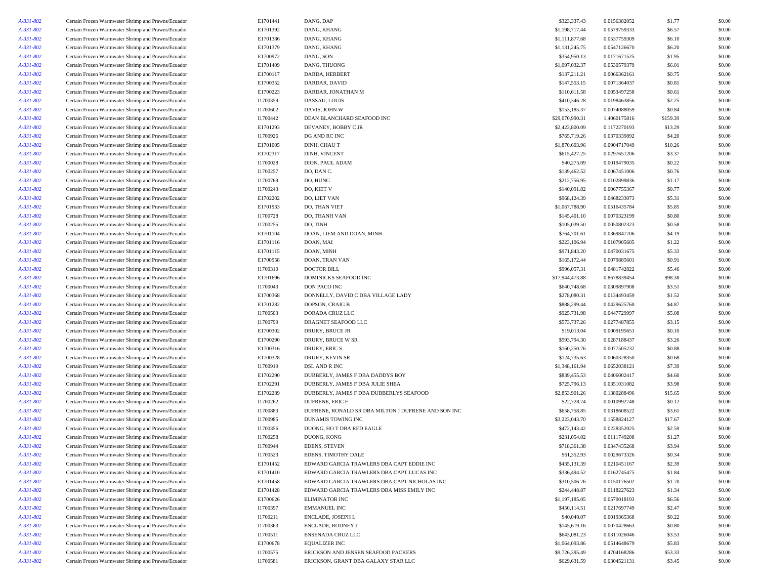| A-331-802 | Certain Frozen Warmwater Shrimp and Prawns/Ecuador | E1701441 | DANG, DAP                                           | \$323,337.43    | 0.0156382052 | \$1.77   | \$0.00 |
|-----------|----------------------------------------------------|----------|-----------------------------------------------------|-----------------|--------------|----------|--------|
| A-331-802 | Certain Frozen Warmwater Shrimp and Prawns/Ecuador | E1701392 | DANG, KHANG                                         | \$1,198,717.44  | 0.0579759333 | \$6.57   | \$0.00 |
| A-331-802 | Certain Frozen Warmwater Shrimp and Prawns/Ecuador | E1701386 | DANG, KHANG                                         | \$1,111,877.68  | 0.0537759309 | \$6.10   | \$0.00 |
| A-331-802 | Certain Frozen Warmwater Shrimp and Prawns/Ecuador | E1701379 | DANG, KHANG                                         | \$1,131,245.75  | 0.0547126670 | \$6.20   | \$0.00 |
| A-331-802 | Certain Frozen Warmwater Shrimp and Prawns/Ecuador | E1700972 | DANG, SON                                           | \$354,950.13    | 0.0171671525 | \$1.95   | \$0.00 |
| A-331-802 | Certain Frozen Warmwater Shrimp and Prawns/Ecuador | E1701409 | DANG, THUONG                                        | \$1,097,032.37  | 0.0530579379 | \$6.01   | \$0.00 |
| A-331-802 | Certain Frozen Warmwater Shrimp and Prawns/Ecuador | E1700117 | DARDA, HERBERT                                      | \$137,211.21    | 0.0066362161 | \$0.75   | \$0.00 |
| A-331-802 | Certain Frozen Warmwater Shrimp and Prawns/Ecuador | E1700352 | DARDAR, DAVID                                       | \$147,553.15    | 0.0071364037 | \$0.81   | \$0.00 |
| A-331-802 | Certain Frozen Warmwater Shrimp and Prawns/Ecuador | E1700223 | DARDAR, JONATHAN M                                  | \$110,611.58    | 0.0053497258 | \$0.61   | \$0.00 |
| A-331-802 | Certain Frozen Warmwater Shrimp and Prawns/Ecuador | I1700359 | DASSAU, LOUIS                                       | \$410,346.28    | 0.0198463856 | \$2.25   | \$0.00 |
| A-331-802 | Certain Frozen Warmwater Shrimp and Prawns/Ecuador | I1700602 | DAVIS, JOHN W                                       | \$153,185.37    | 0.0074088059 | \$0.84   | \$0.00 |
| A-331-802 | Certain Frozen Warmwater Shrimp and Prawns/Ecuador | I1700442 | DEAN BLANCHARD SEAFOOD INC                          | \$29,070,990.31 | 1.4060175816 | \$159.39 | \$0.00 |
| A-331-802 | Certain Frozen Warmwater Shrimp and Prawns/Ecuador | E1701293 | DEVANEY, BOBBY C JR                                 | \$2,423,800.09  | 0.1172270193 | \$13.29  | \$0.00 |
| A-331-802 |                                                    |          |                                                     |                 |              |          | \$0.00 |
|           | Certain Frozen Warmwater Shrimp and Prawns/Ecuador | I1700926 | DG AND RC INC                                       | \$765,719.26    | 0.0370339892 | \$4.20   |        |
| A-331-802 | Certain Frozen Warmwater Shrimp and Prawns/Ecuador | E1701005 | DINH, CHAU T                                        | \$1,870,603.96  | 0.0904717049 | \$10.26  | \$0.00 |
| A-331-802 | Certain Frozen Warmwater Shrimp and Prawns/Ecuador | E1702317 | DINH, VINCENT                                       | \$615,427.25    | 0.0297651206 | \$3.37   | \$0.00 |
| A-331-802 | Certain Frozen Warmwater Shrimp and Prawns/Ecuador | I1700028 | DION, PAUL ADAM                                     | \$40,275.09     | 0.0019479035 | \$0.22   | \$0.00 |
| A-331-802 | Certain Frozen Warmwater Shrimp and Prawns/Ecuador | I1700257 | DO, DAN C.                                          | \$139,462.52    | 0.0067451006 | \$0.76   | \$0.00 |
| A-331-802 | Certain Frozen Warmwater Shrimp and Prawns/Ecuador | I1700769 | DO, HUNG                                            | \$212,756.95    | 0.0102899836 | \$1.17   | \$0.00 |
| A-331-802 | Certain Frozen Warmwater Shrimp and Prawns/Ecuador | I1700243 | DO, KIET V                                          | \$140,091.82    | 0.0067755367 | \$0.77   | \$0.00 |
| A-331-802 | Certain Frozen Warmwater Shrimp and Prawns/Ecuador | E1702202 | DO, LIET VAN                                        | \$968,124.39    | 0.0468233073 | \$5.31   | \$0.00 |
| A-331-802 | Certain Frozen Warmwater Shrimp and Prawns/Ecuador | E1701933 | DO, THAN VIET                                       | \$1,067,788.90  | 0.0516435784 | \$5.85   | \$0.00 |
| A-331-802 | Certain Frozen Warmwater Shrimp and Prawns/Ecuador | I1700728 | DO, THANH VAN                                       | \$145,401.10    | 0.0070323199 | \$0.80   | \$0.00 |
| A-331-802 | Certain Frozen Warmwater Shrimp and Prawns/Ecuador | I1700255 | DO, TINH                                            | \$105,039.50    | 0.0050802323 | \$0.58   | \$0.00 |
| A-331-802 | Certain Frozen Warmwater Shrimp and Prawns/Ecuador | E1701104 | DOAN, LIEM AND DOAN, MINH                           | \$764,701.61    | 0.0369847706 | \$4.19   | \$0.00 |
| A-331-802 | Certain Frozen Warmwater Shrimp and Prawns/Ecuador | E1701116 | DOAN, MAI                                           | \$223,106.94    | 0.0107905605 | \$1.22   | \$0.00 |
| A-331-802 | Certain Frozen Warmwater Shrimp and Prawns/Ecuador | E1701115 | DOAN, MINH                                          | \$971,843.20    | 0.0470031675 | \$5.33   | \$0.00 |
| A-331-802 | Certain Frozen Warmwater Shrimp and Prawns/Ecuador | E1700958 | DOAN, TRAN VAN                                      | \$165,172.44    | 0.0079885601 | \$0.91   | \$0.00 |
| A-331-802 | Certain Frozen Warmwater Shrimp and Prawns/Ecuador | 11700310 | <b>DOCTOR BILL</b>                                  | \$996,057.31    | 0.0481742822 | \$5.46   | \$0.00 |
| A-331-802 | Certain Frozen Warmwater Shrimp and Prawns/Ecuador | E1701696 | DOMINICKS SEAFOOD INC                               | \$17,944,473.88 | 0.8678839454 | \$98.38  | \$0.00 |
| A-331-802 | Certain Frozen Warmwater Shrimp and Prawns/Ecuador | I1700043 | DON PACO INC                                        | \$640,748.68    | 0.0309897908 | \$3.51   | \$0.00 |
| A-331-802 | Certain Frozen Warmwater Shrimp and Prawns/Ecuador | E1700368 | DONNELLY, DAVID C DBA VILLAGE LADY                  | \$278,080.31    | 0.0134493459 | \$1.52   | \$0.00 |
| A-331-802 | Certain Frozen Warmwater Shrimp and Prawns/Ecuador | E1701282 | <b>DOPSON, CRAIG B</b>                              | \$888,299.44    | 0.0429625760 | \$4.87   | \$0.00 |
| A-331-802 | Certain Frozen Warmwater Shrimp and Prawns/Ecuador | I1700503 | DORADA CRUZ LLC                                     | \$925,731.98    | 0.0447729997 | \$5.08   | \$0.00 |
| A-331-802 | Certain Frozen Warmwater Shrimp and Prawns/Ecuador | I1700799 | DRAGNET SEAFOOD LLC                                 | \$573,737.26    | 0.0277487855 | \$3.15   | \$0.00 |
| A-331-802 | Certain Frozen Warmwater Shrimp and Prawns/Ecuador | E1700302 | DRURY, BRUCE JR                                     | \$19,013.04     | 0.0009195651 | \$0.10   | \$0.00 |
| A-331-802 | Certain Frozen Warmwater Shrimp and Prawns/Ecuador | E1700290 | DRURY, BRUCE W SR                                   | \$593,794.30    | 0.0287188437 | \$3.26   | \$0.00 |
| A-331-802 | Certain Frozen Warmwater Shrimp and Prawns/Ecuador | E1700316 | DRURY, ERIC S                                       | \$160,250.76    | 0.0077505232 | \$0.88   | \$0.00 |
| A-331-802 | Certain Frozen Warmwater Shrimp and Prawns/Ecuador | E1700328 | DRURY, KEVIN SR                                     | \$124,735.63    | 0.0060328350 | \$0.68   | \$0.00 |
| A-331-802 | Certain Frozen Warmwater Shrimp and Prawns/Ecuador | I1700919 | DSL AND R INC                                       | \$1,348,161.94  | 0.0652038121 | \$7.39   | \$0.00 |
| A-331-802 | Certain Frozen Warmwater Shrimp and Prawns/Ecuador | E1702290 | DUBBERLY, JAMES F DBA DADDYS BOY                    | \$839,455.53    | 0.0406002417 | \$4.60   | \$0.00 |
| A-331-802 | Certain Frozen Warmwater Shrimp and Prawns/Ecuador | E1702291 | DUBBERLY, JAMES F DBA JULIE SHEA                    | \$725,796.13    | 0.0351031082 | \$3.98   | \$0.00 |
| A-331-802 | Certain Frozen Warmwater Shrimp and Prawns/Ecuador | E1702289 | DUBBERLY, JAMES F DBA DUBBERLYS SEAFOOD             | \$2,853,901.26  | 0.1380288496 | \$15.65  | \$0.00 |
| A-331-802 | Certain Frozen Warmwater Shrimp and Prawns/Ecuador | I1700262 | DUFRENE, ERIC F                                     | \$22,728.74     | 0.0010992748 | \$0.12   | \$0.00 |
| A-331-802 | Certain Frozen Warmwater Shrimp and Prawns/Ecuador | I1700880 | DUFRENE, RONALD SR DBA MILTON J DUFRENE AND SON INC | \$658,758.85    | 0.0318608522 | \$3.61   | \$0.00 |
| A-331-802 | Certain Frozen Warmwater Shrimp and Prawns/Ecuador | I1700985 | DUNAMIS TOWING INC                                  | \$3,223,043.70  | 0.1558824127 | \$17.67  | \$0.00 |
| A-331-802 | Certain Frozen Warmwater Shrimp and Prawns/Ecuador | I1700356 | DUONG, HO T DBA RED EAGLE                           | \$472,143.42    | 0.0228352025 | \$2.59   | \$0.00 |
| A-331-802 | Certain Frozen Warmwater Shrimp and Prawns/Ecuador | I1700258 | DUONG, KONG                                         | \$231,054.02    | 0.0111749208 | \$1.27   | \$0.00 |
| A-331-802 | Certain Frozen Warmwater Shrimp and Prawns/Ecuador | I1700944 | EDENS, STEVEN                                       | \$718,361.38    | 0.0347435268 | \$3.94   | \$0.00 |
| A-331-802 | Certain Frozen Warmwater Shrimp and Prawns/Ecuador | I1700523 | EDENS, TIMOTHY DALE                                 | \$61,352.93     | 0.0029673326 | \$0.34   | \$0.00 |
| A-331-802 | Certain Frozen Warmwater Shrimp and Prawns/Ecuador | E1701452 | EDWARD GARCIA TRAWLERS DBA CAPT EDDIE INC           | \$435,131.39    | 0.0210451167 | \$2.39   | \$0.00 |
| A-331-802 | Certain Frozen Warmwater Shrimp and Prawns/Ecuador | E1701410 | EDWARD GARCIA TRAWLERS DBA CAPT LUCAS INC           | \$336,494.52    | 0.0162745475 | \$1.84   | \$0.00 |
| A-331-802 | Certain Frozen Warmwater Shrimp and Prawns/Ecuador | E1701458 | EDWARD GARCIA TRAWLERS DBA CAPT NICHOLAS INC        | \$310,506.76    | 0.0150176502 | \$1.70   | \$0.00 |
| A-331-802 | Certain Frozen Warmwater Shrimp and Prawns/Ecuador | E1701428 | EDWARD GARCIA TRAWLERS DBA MISS EMILY INC           | \$244,448.87    | 0.0118227623 | \$1.34   | \$0.00 |
| A-331-802 | Certain Frozen Warmwater Shrimp and Prawns/Ecuador | E1700626 | <b>ELIMINATOR INC</b>                               | \$1,197,185.05  | 0.0579018193 | \$6.56   | \$0.00 |
|           |                                                    |          |                                                     |                 |              |          |        |
| A-331-802 | Certain Frozen Warmwater Shrimp and Prawns/Ecuador | I1700397 | <b>EMMANUEL INC</b>                                 | \$450,114.51    | 0.0217697749 | \$2.47   | \$0.00 |
| A-331-802 | Certain Frozen Warmwater Shrimp and Prawns/Ecuador | I1700211 | ENCLADE, JOSEPH L                                   | \$40,040.07     | 0.0019365368 | \$0.22   | \$0.00 |
| A-331-802 | Certain Frozen Warmwater Shrimp and Prawns/Ecuador | I1700363 | ENCLADE, RODNEY J                                   | \$145,619.16    | 0.0070428663 | \$0.80   | \$0.00 |
| A-331-802 | Certain Frozen Warmwater Shrimp and Prawns/Ecuador | I1700511 | ENSENADA CRUZ LLC                                   | \$643,081.23    | 0.0311026046 | \$3.53   | \$0.00 |
| A-331-802 | Certain Frozen Warmwater Shrimp and Prawns/Ecuador | E1700678 | <b>EQUALIZER INC</b>                                | \$1,064,093.86  | 0.0514648679 | \$5.83   | \$0.00 |
| A-331-802 | Certain Frozen Warmwater Shrimp and Prawns/Ecuador | I1700575 | ERICKSON AND JENSEN SEAFOOD PACKERS                 | \$9,726,395.49  | 0.4704168286 | \$53.33  | \$0.00 |
| A-331-802 | Certain Frozen Warmwater Shrimp and Prawns/Ecuador | 11700581 | ERICKSON, GRANT DBA GALAXY STAR LLC                 | \$629,631.59    | 0.0304521131 | \$3.45   | \$0.00 |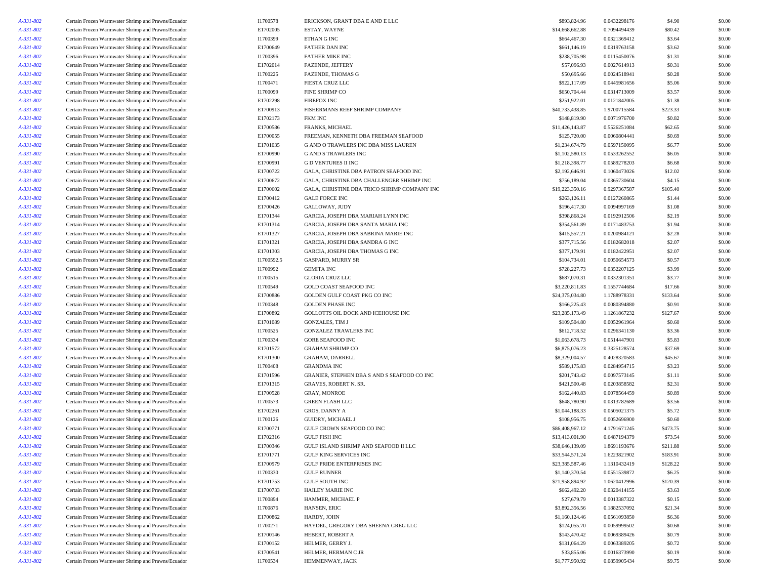| A-331-802 | Certain Frozen Warmwater Shrimp and Prawns/Ecuador | I1700578   | ERICKSON, GRANT DBA E AND E LLC              | \$893,824.96    | 0.0432298176 | \$4.90   | \$0.00 |
|-----------|----------------------------------------------------|------------|----------------------------------------------|-----------------|--------------|----------|--------|
| A-331-802 | Certain Frozen Warmwater Shrimp and Prawns/Ecuador | E1702005   | ESTAY, WAYNE                                 | \$14,668,662.88 | 0.7094494439 | \$80.42  | \$0.00 |
| A-331-802 | Certain Frozen Warmwater Shrimp and Prawns/Ecuador | I1700399   | ETHAN G INC                                  | \$664,467.30    | 0.0321369412 | \$3.64   | \$0.00 |
| A-331-802 | Certain Frozen Warmwater Shrimp and Prawns/Ecuador | E1700649   | FATHER DAN INC                               | \$661,146.19    | 0.0319763158 | \$3.62   | \$0.00 |
| A-331-802 | Certain Frozen Warmwater Shrimp and Prawns/Ecuador | I1700396   | <b>FATHER MIKE INC</b>                       | \$238,705.98    | 0.0115450076 | \$1.31   | \$0.00 |
| A-331-802 | Certain Frozen Warmwater Shrimp and Prawns/Ecuador | E1702014   | FAZENDE, JEFFERY                             | \$57,096.93     | 0.0027614913 | \$0.31   | \$0.00 |
| A-331-802 | Certain Frozen Warmwater Shrimp and Prawns/Ecuador | I1700225   | <b>FAZENDE, THOMAS G</b>                     | \$50,695.66     | 0.0024518941 | \$0.28   | \$0.00 |
| A-331-802 | Certain Frozen Warmwater Shrimp and Prawns/Ecuador | I1700471   | FIESTA CRUZ LLC                              | \$922,117.09    | 0.0445981656 | \$5.06   | \$0.00 |
| A-331-802 | Certain Frozen Warmwater Shrimp and Prawns/Ecuador | I1700099   | <b>FINE SHRIMP CO</b>                        | \$650,704.44    | 0.0314713009 | \$3.57   | \$0.00 |
| A-331-802 | Certain Frozen Warmwater Shrimp and Prawns/Ecuador | E1702298   | <b>FIREFOX INC</b>                           | \$251,922.01    | 0.0121842005 | \$1.38   | \$0.00 |
| A-331-802 | Certain Frozen Warmwater Shrimp and Prawns/Ecuador | E1700913   | FISHERMANS REEF SHRIMP COMPANY               | \$40,733,438.85 | 1.9700715584 | \$223.33 | \$0.00 |
| A-331-802 | Certain Frozen Warmwater Shrimp and Prawns/Ecuador | E1702173   | FKM INC                                      | \$148,819.90    | 0.0071976700 | \$0.82   | \$0.00 |
| A-331-802 | Certain Frozen Warmwater Shrimp and Prawns/Ecuador | E1700586   | FRANKS, MICHAEL                              | \$11,426,143.87 | 0.5526251084 | \$62.65  | \$0.00 |
| A-331-802 | Certain Frozen Warmwater Shrimp and Prawns/Ecuador | E1700055   | FREEMAN, KENNETH DBA FREEMAN SEAFOOD         | \$125,720.00    | 0.0060804441 | \$0.69   | \$0.00 |
| A-331-802 | Certain Frozen Warmwater Shrimp and Prawns/Ecuador | E1701035   | G AND O TRAWLERS INC DBA MISS LAUREN         | \$1,234,674.79  | 0.0597150095 | \$6.77   | \$0.00 |
| A-331-802 | Certain Frozen Warmwater Shrimp and Prawns/Ecuador | E1700990   | <b>G AND S TRAWLERS INC</b>                  | \$1,102,580.13  | 0.0533262552 | \$6.05   | \$0.00 |
| A-331-802 | Certain Frozen Warmwater Shrimp and Prawns/Ecuador | E1700991   | <b>GD VENTURES II INC</b>                    | \$1,218,398.77  | 0.0589278203 | \$6.68   | \$0.00 |
| A-331-802 | Certain Frozen Warmwater Shrimp and Prawns/Ecuador | E1700722   | GALA, CHRISTINE DBA PATRON SEAFOOD INC       | \$2,192,646.91  | 0.1060473026 | \$12.02  | \$0.00 |
| A-331-802 | Certain Frozen Warmwater Shrimp and Prawns/Ecuador | E1700672   | GALA, CHRISTINE DBA CHALLENGER SHRIMP INC    | \$756,189.04    | 0.0365730604 | \$4.15   | \$0.00 |
| A-331-802 | Certain Frozen Warmwater Shrimp and Prawns/Ecuador | E1700602   | GALA, CHRISTINE DBA TRICO SHRIMP COMPANY INC | \$19,223,350.16 | 0.9297367587 | \$105.40 | \$0.00 |
| A-331-802 | Certain Frozen Warmwater Shrimp and Prawns/Ecuador | E1700412   | <b>GALE FORCE INC</b>                        | \$263,126.11    | 0.0127260865 | \$1.44   | \$0.00 |
| A-331-802 | Certain Frozen Warmwater Shrimp and Prawns/Ecuador | E1700426   | GALLOWAY, JUDY                               | \$196,417.30    | 0.0094997169 | \$1.08   | \$0.00 |
| A-331-802 | Certain Frozen Warmwater Shrimp and Prawns/Ecuador | E1701344   | GARCIA, JOSEPH DBA MARIAH LYNN INC           | \$398,868.24    | 0.0192912506 | \$2.19   | \$0.00 |
| A-331-802 | Certain Frozen Warmwater Shrimp and Prawns/Ecuador | E1701314   | GARCIA, JOSEPH DBA SANTA MARIA INC           | \$354,561.89    | 0.0171483753 | \$1.94   | \$0.00 |
| A-331-802 | Certain Frozen Warmwater Shrimp and Prawns/Ecuador | E1701327   | GARCIA, JOSEPH DBA SABRINA MARIE INC         | \$415,557.21    | 0.0200984121 | \$2.28   | \$0.00 |
| A-331-802 | Certain Frozen Warmwater Shrimp and Prawns/Ecuador | E1701321   | GARCIA, JOSEPH DBA SANDRA G INC              | \$377,715.56    | 0.0182682018 | \$2.07   | \$0.00 |
| A-331-802 | Certain Frozen Warmwater Shrimp and Prawns/Ecuador | E1701303   | GARCIA, JOSEPH DBA THOMAS G INC              | \$377,179.91    | 0.0182422951 | \$2.07   | \$0.00 |
| A-331-802 | Certain Frozen Warmwater Shrimp and Prawns/Ecuador | I1700592.5 | <b>GASPARD, MURRY SR</b>                     | \$104,734.01    | 0.0050654573 | \$0.57   | \$0.00 |
|           | Certain Frozen Warmwater Shrimp and Prawns/Ecuador | I1700992   |                                              |                 |              |          |        |
| A-331-802 |                                                    |            | <b>GEMITA INC</b>                            | \$728,227.73    | 0.0352207125 | \$3.99   | \$0.00 |
| A-331-802 | Certain Frozen Warmwater Shrimp and Prawns/Ecuador | I1700515   | GLORIA CRUZ LLC                              | \$687,070.31    | 0.0332301351 | \$3.77   | \$0.00 |
| A-331-802 | Certain Frozen Warmwater Shrimp and Prawns/Ecuador | I1700549   | GOLD COAST SEAFOOD INC                       | \$3,220,811.83  | 0.1557744684 | \$17.66  | \$0.00 |
| A-331-802 | Certain Frozen Warmwater Shrimp and Prawns/Ecuador | E1700886   | GOLDEN GULF COAST PKG CO INC                 | \$24,375,034.80 | 1.1788978331 | \$133.64 | \$0.00 |
| A-331-802 | Certain Frozen Warmwater Shrimp and Prawns/Ecuador | I1700348   | <b>GOLDEN PHASE INC</b>                      | \$166,225.43    | 0.0080394880 | \$0.91   | \$0.00 |
| A-331-802 | Certain Frozen Warmwater Shrimp and Prawns/Ecuador | E1700892   | GOLLOTTS OIL DOCK AND ICEHOUSE INC           | \$23,285,173.49 | 1.1261867232 | \$127.67 | \$0.00 |
| A-331-802 | Certain Frozen Warmwater Shrimp and Prawns/Ecuador | E1701089   | <b>GONZALES, TIM J</b>                       | \$109,504.80    | 0.0052961964 | \$0.60   | \$0.00 |
| A-331-802 | Certain Frozen Warmwater Shrimp and Prawns/Ecuador | I1700525   | <b>GONZALEZ TRAWLERS INC</b>                 | \$612,718.52    | 0.0296341130 | \$3.36   | \$0.00 |
| A-331-802 | Certain Frozen Warmwater Shrimp and Prawns/Ecuador | I1700334   | <b>GORE SEAFOOD INC</b>                      | \$1,063,678.73  | 0.0514447901 | \$5.83   | \$0.00 |
| A-331-802 | Certain Frozen Warmwater Shrimp and Prawns/Ecuador | E1701572   | <b>GRAHAM SHRIMP CO</b>                      | \$6,875,076.23  | 0.3325128574 | \$37.69  | \$0.00 |
| A-331-802 | Certain Frozen Warmwater Shrimp and Prawns/Ecuador | E1701300   | GRAHAM, DARRELL                              | \$8,329,004.57  | 0.4028320583 | \$45.67  | \$0.00 |
| A-331-802 | Certain Frozen Warmwater Shrimp and Prawns/Ecuador | I1700408   | <b>GRANDMA INC</b>                           | \$589,175.83    | 0.0284954715 | \$3.23   | \$0.00 |
| A-331-802 | Certain Frozen Warmwater Shrimp and Prawns/Ecuador | E1701596   | GRANIER, STEPHEN DBA S AND S SEAFOOD CO INC  | \$201,743.42    | 0.0097573145 | \$1.11   | \$0.00 |
| A-331-802 | Certain Frozen Warmwater Shrimp and Prawns/Ecuador | E1701315   | <b>GRAVES, ROBERT N. SR.</b>                 | \$421,500.48    | 0.0203858582 | \$2.31   | \$0.00 |
| A-331-802 | Certain Frozen Warmwater Shrimp and Prawns/Ecuador | E1700528   | <b>GRAY, MONROE</b>                          | \$162,440.83    | 0.0078564459 | \$0.89   | \$0.00 |
| A-331-802 | Certain Frozen Warmwater Shrimp and Prawns/Ecuador | I1700573   | <b>GREEN FLASH LLC</b>                       | \$648,780.90    | 0.0313782689 | \$3.56   | \$0.00 |
| A-331-802 | Certain Frozen Warmwater Shrimp and Prawns/Ecuador | E1702261   | GROS, DANNY A                                | \$1,044,188.33  | 0.0505021375 | \$5.72   | \$0.00 |
| A-331-802 | Certain Frozen Warmwater Shrimp and Prawns/Ecuador | I1700126   | <b>GUIDRY, MICHAEL J</b>                     | \$108,956.75    | 0.0052696900 | \$0.60   | \$0.00 |
| A-331-802 | Certain Frozen Warmwater Shrimp and Prawns/Ecuador | E1700771   | <b>GULF CROWN SEAFOOD CO INC</b>             | \$86,408,967.12 | 4.1791671245 | \$473.75 | \$0.00 |
| A-331-802 | Certain Frozen Warmwater Shrimp and Prawns/Ecuador | E1702316   | <b>GULF FISH INC</b>                         | \$13,413,001.90 | 0.6487194379 | \$73.54  | \$0.00 |
| A-331-802 | Certain Frozen Warmwater Shrimp and Prawns/Ecuador | E1700346   | GULF ISLAND SHRIMP AND SEAFOOD II LLC        | \$38,646,139.09 | 1.8691193676 | \$211.88 | \$0.00 |
| A-331-802 | Certain Frozen Warmwater Shrimp and Prawns/Ecuador | E1701771   | <b>GULF KING SERVICES INC</b>                | \$33,544,571.24 | 1.6223821902 | \$183.91 | \$0.00 |
| A-331-802 | Certain Frozen Warmwater Shrimp and Prawns/Ecuador | E1700979   | GULF PRIDE ENTERPRISES INC                   | \$23,385,587.46 | 1.1310432419 | \$128.22 | \$0.00 |
| A-331-802 | Certain Frozen Warmwater Shrimp and Prawns/Ecuador | 11700330   | <b>GULF RUNNER</b>                           | \$1,140,370.54  | 0.0551539872 | \$6.25   | \$0.00 |
| A-331-802 | Certain Frozen Warmwater Shrimp and Prawns/Ecuador | E1701753   | <b>GULF SOUTH INC</b>                        | \$21,958,894.92 | 1.0620412996 | \$120.39 | \$0.00 |
| A-331-802 | Certain Frozen Warmwater Shrimp and Prawns/Ecuador | E1700733   | <b>HAILEY MARIE INC</b>                      | \$662,492.20    | 0.0320414155 | \$3.63   | \$0.00 |
| A-331-802 | Certain Frozen Warmwater Shrimp and Prawns/Ecuador | I1700894   | HAMMER, MICHAEL P                            | \$27,679.79     | 0.0013387322 | \$0.15   | \$0.00 |
| A-331-802 | Certain Frozen Warmwater Shrimp and Prawns/Ecuador | I1700876   | HANSEN, ERIC                                 | \$3,892,356.56  | 0.1882537092 | \$21.34  | \$0.00 |
| A-331-802 | Certain Frozen Warmwater Shrimp and Prawns/Ecuador | E1700862   | HARDY, JOHN                                  | \$1,160,124.46  | 0.0561093850 | \$6.36   | \$0.00 |
| A-331-802 | Certain Frozen Warmwater Shrimp and Prawns/Ecuador | I1700271   | HAYDEL, GREGORY DBA SHEENA GREG LLC          | \$124,055.70    | 0.0059999502 | \$0.68   | \$0.00 |
| A-331-802 | Certain Frozen Warmwater Shrimp and Prawns/Ecuador | E1700146   | HEBERT, ROBERT A                             | \$143,470.42    | 0.0069389426 | \$0.79   | \$0.00 |
| A-331-802 | Certain Frozen Warmwater Shrimp and Prawns/Ecuador | E1700152   | HELMER, GERRY J.                             | \$131,064.29    | 0.0063389205 | \$0.72   | \$0.00 |
| A-331-802 | Certain Frozen Warmwater Shrimp and Prawns/Ecuador | E1700541   | HELMER, HERMAN C JR                          | \$33,855.06     | 0.0016373990 | \$0.19   | \$0.00 |
| A-331-802 | Certain Frozen Warmwater Shrimp and Prawns/Ecuador | I1700534   | HEMMENWAY, JACK                              | \$1,777,950.92  | 0.0859905434 | \$9.75   | \$0.00 |
|           |                                                    |            |                                              |                 |              |          |        |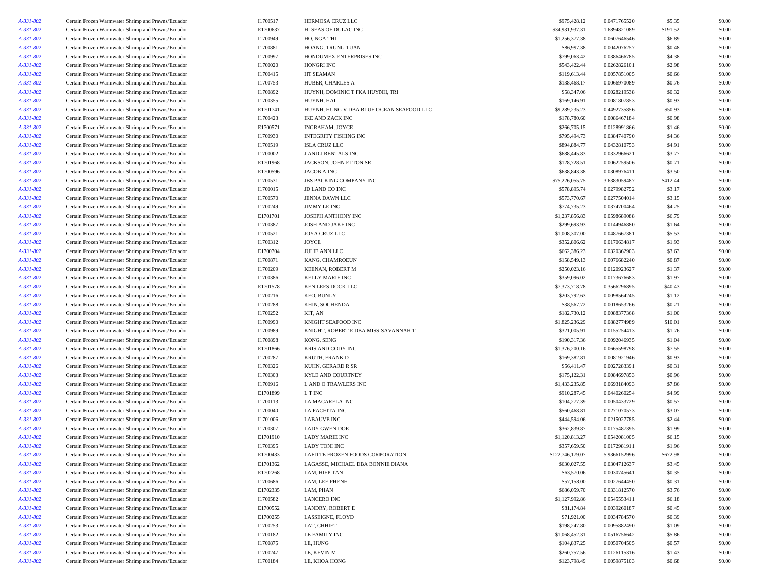| A-331-802              | Certain Frozen Warmwater Shrimp and Prawns/Ecuador | I1700517 | HERMOSA CRUZ LLC                         | \$975,428.12     | 0.0471765520 | \$5.35   | \$0.00 |
|------------------------|----------------------------------------------------|----------|------------------------------------------|------------------|--------------|----------|--------|
| A-331-802              | Certain Frozen Warmwater Shrimp and Prawns/Ecuador | E1700637 | HI SEAS OF DULAC INC                     | \$34,931,937.31  | 1.6894821089 | \$191.52 | \$0.00 |
| A-331-802              | Certain Frozen Warmwater Shrimp and Prawns/Ecuador | I1700949 | HO, NGA THI                              | \$1,256,377.38   | 0.0607646546 | \$6.89   | \$0.00 |
| A-331-802              | Certain Frozen Warmwater Shrimp and Prawns/Ecuador | I1700881 | HOANG, TRUNG TUAN                        | \$86,997.38      | 0.0042076257 | \$0.48   | \$0.00 |
| A-331-802              | Certain Frozen Warmwater Shrimp and Prawns/Ecuador | I1700997 | HONDUMEX ENTERPRISES INC                 | \$799,063.42     | 0.0386466785 | \$4.38   | \$0.00 |
| A-331-802              | Certain Frozen Warmwater Shrimp and Prawns/Ecuador | I1700020 | HONGRI INC                               | \$543,422.44     | 0.0262826101 | \$2.98   | \$0.00 |
| A-331-802              | Certain Frozen Warmwater Shrimp and Prawns/Ecuador | I1700415 | HT SEAMAN                                | \$119,613.44     | 0.0057851005 | \$0.66   | \$0.00 |
| A-331-802              | Certain Frozen Warmwater Shrimp and Prawns/Ecuador | I1700753 | HUBER, CHARLES A                         | \$138,468.17     | 0.0066970089 | \$0.76   | \$0.00 |
|                        |                                                    | I1700892 | HUYNH, DOMINIC T FKA HUYNH, TRI          | \$58,347.06      | 0.0028219538 | \$0.32   | \$0.00 |
| A-331-802              | Certain Frozen Warmwater Shrimp and Prawns/Ecuador |          |                                          |                  |              |          |        |
| A-331-802              | Certain Frozen Warmwater Shrimp and Prawns/Ecuador | I1700355 | HUYNH, HAI                               | \$169,146.91     | 0.0081807853 | \$0.93   | \$0.00 |
| A-331-802              | Certain Frozen Warmwater Shrimp and Prawns/Ecuador | E1701741 | HUYNH, HUNG V DBA BLUE OCEAN SEAFOOD LLC | \$9,289,235.23   | 0.4492735856 | \$50.93  | \$0.00 |
| A-331-802              | Certain Frozen Warmwater Shrimp and Prawns/Ecuador | I1700423 | IKE AND ZACK INC                         | \$178,780.60     | 0.0086467184 | \$0.98   | \$0.00 |
| A-331-802              | Certain Frozen Warmwater Shrimp and Prawns/Ecuador | E1700571 | INGRAHAM, JOYCE                          | \$266,705.15     | 0.0128991866 | \$1.46   | \$0.00 |
| A-331-802              | Certain Frozen Warmwater Shrimp and Prawns/Ecuador | I1700930 | INTEGRITY FISHING INC                    | \$795,494.73     | 0.0384740790 | \$4.36   | \$0.00 |
| A-331-802              | Certain Frozen Warmwater Shrimp and Prawns/Ecuador | I1700519 | ISLA CRUZ LLC                            | \$894,884.77     | 0.0432810753 | \$4.91   | \$0.00 |
| A-331-802              | Certain Frozen Warmwater Shrimp and Prawns/Ecuador | I1700002 | J AND J RENTALS INC                      | \$688,445.83     | 0.0332966621 | \$3.77   | \$0.00 |
| A-331-802              | Certain Frozen Warmwater Shrimp and Prawns/Ecuador | E1701968 | JACKSON, JOHN ELTON SR                   | \$128,728.51     | 0.0062259506 | \$0.71   | \$0.00 |
| A-331-802              | Certain Frozen Warmwater Shrimp and Prawns/Ecuador | E1700596 | <b>JACOB A INC</b>                       | \$638,843.38     | 0.0308976411 | \$3.50   | \$0.00 |
| A-331-802              | Certain Frozen Warmwater Shrimp and Prawns/Ecuador | I1700531 | JBS PACKING COMPANY INC                  | \$75,226,055.75  | 3.6383059487 | \$412.44 | \$0.00 |
| A-331-802              | Certain Frozen Warmwater Shrimp and Prawns/Ecuador | I1700015 | JD LAND CO INC                           | \$578,895.74     | 0.0279982752 | \$3.17   | \$0.00 |
| A-331-802              | Certain Frozen Warmwater Shrimp and Prawns/Ecuador | I1700570 | JENNA DAWN LLC                           | \$573,770.67     | 0.0277504014 | \$3.15   | \$0.00 |
| A-331-802              | Certain Frozen Warmwater Shrimp and Prawns/Ecuador | I1700249 | JIMMY LE INC                             | \$774,735.23     | 0.0374700464 | \$4.25   | \$0.00 |
| A-331-802              | Certain Frozen Warmwater Shrimp and Prawns/Ecuador | E1701701 | JOSEPH ANTHONY INC                       | \$1,237,856.83   | 0.0598689088 | \$6.79   | \$0.00 |
| A-331-802              | Certain Frozen Warmwater Shrimp and Prawns/Ecuador | I1700387 | JOSH AND JAKE INC                        | \$299,693.93     | 0.0144946880 | \$1.64   | \$0.00 |
| A-331-802              | Certain Frozen Warmwater Shrimp and Prawns/Ecuador | I1700521 | JOYA CRUZ LLC                            | \$1,008,307.00   | 0.0487667381 | \$5.53   | \$0.00 |
| A-331-802              | Certain Frozen Warmwater Shrimp and Prawns/Ecuador | I1700312 | JOYCE                                    | \$352,806.62     | 0.0170634817 | \$1.93   | \$0.00 |
| A-331-802              | Certain Frozen Warmwater Shrimp and Prawns/Ecuador | E1700704 | <b>JULIE ANN LLC</b>                     | \$662,386.23     | 0.0320362903 | \$3.63   | \$0.00 |
| A-331-802              | Certain Frozen Warmwater Shrimp and Prawns/Ecuador | I1700871 | KANG, CHAMROEUN                          | \$158,549.13     | 0.0076682240 | \$0.87   | \$0.00 |
| A-331-802              | Certain Frozen Warmwater Shrimp and Prawns/Ecuador | I1700209 | <b>KEENAN, ROBERT M</b>                  | \$250,023.16     | 0.0120923627 | \$1.37   | \$0.00 |
| A-331-802              | Certain Frozen Warmwater Shrimp and Prawns/Ecuador | I1700386 | <b>KELLY MARIE INC</b>                   | \$359,096.02     | 0.0173676683 | \$1.97   | \$0.00 |
| A-331-802              | Certain Frozen Warmwater Shrimp and Prawns/Ecuador | E1701578 | KEN LEES DOCK LLC                        | \$7,373,718.78   | 0.3566296895 | \$40.43  | \$0.00 |
| A-331-802              | Certain Frozen Warmwater Shrimp and Prawns/Ecuador | I1700216 | KEO, BUNLY                               | \$203,792.63     | 0.0098564245 | \$1.12   | \$0.00 |
| A-331-802              | Certain Frozen Warmwater Shrimp and Prawns/Ecuador | I1700288 | KHIN, SOCHENDA                           | \$38,567.72      | 0.0018653266 | \$0.21   | \$0.00 |
| A-331-802              | Certain Frozen Warmwater Shrimp and Prawns/Ecuador | I1700252 | KIT, AN                                  | \$182,730.12     | 0.0088377368 | \$1.00   | \$0.00 |
| A-331-802              | Certain Frozen Warmwater Shrimp and Prawns/Ecuador | I1700990 | KNIGHT SEAFOOD INC                       | \$1,825,236.29   | 0.0882774989 | \$10.01  | \$0.00 |
| A-331-802              | Certain Frozen Warmwater Shrimp and Prawns/Ecuador | I1700989 | KNIGHT, ROBERT E DBA MISS SAVANNAH 11    | \$321,005.91     | 0.0155254413 | \$1.76   | \$0.00 |
| A-331-802              | Certain Frozen Warmwater Shrimp and Prawns/Ecuador | I1700898 | KONG, SENG                               | \$190,317.36     | 0.0092046935 | \$1.04   | \$0.00 |
| A-331-802              | Certain Frozen Warmwater Shrimp and Prawns/Ecuador | E1701866 | KRIS AND CODY INC                        | \$1,376,200.16   | 0.0665598798 | \$7.55   | \$0.00 |
| A-331-802              | Certain Frozen Warmwater Shrimp and Prawns/Ecuador | I1700287 | KRUTH, FRANK D                           | \$169,382.81     | 0.0081921946 | \$0.93   | \$0.00 |
| A-331-802              | Certain Frozen Warmwater Shrimp and Prawns/Ecuador | I1700326 | KUHN, GERARD R SR                        | \$56,411.47      | 0.0027283391 | \$0.31   | \$0.00 |
| A-331-802              | Certain Frozen Warmwater Shrimp and Prawns/Ecuador | I1700303 | KYLE AND COURTNEY                        | \$175,122.31     | 0.0084697853 | \$0.96   | \$0.00 |
| A-331-802              | Certain Frozen Warmwater Shrimp and Prawns/Ecuador | I1700916 | L AND O TRAWLERS INC                     | \$1,433,235.85   | 0.0693184093 | \$7.86   | \$0.00 |
| A-331-802              | Certain Frozen Warmwater Shrimp and Prawns/Ecuador | E1701899 | L T INC                                  | \$910,287.45     | 0.0440260254 | \$4.99   | \$0.00 |
| A-331-802              | Certain Frozen Warmwater Shrimp and Prawns/Ecuador | I1700113 | <b>LA MACARELA INC</b>                   | \$104,277.39     | 0.0050433729 | \$0.57   | \$0.00 |
| A-331-802              | Certain Frozen Warmwater Shrimp and Prawns/Ecuador | I1700040 | LA PACHITA INC                           | \$560,468.81     | 0.0271070573 | \$3.07   | \$0.00 |
| A-331-802              | Certain Frozen Warmwater Shrimp and Prawns/Ecuador | I1701006 | <b>LABAUVE INC</b>                       | \$444,594.06     | 0.0215027785 | \$2.44   | \$0.00 |
|                        | Certain Frozen Warmwater Shrimp and Prawns/Ecuador | I1700307 | <b>LADY GWEN DOE</b>                     | \$362,839.87     | 0.0175487395 | \$1.99   | \$0.00 |
| A-331-802              |                                                    |          |                                          |                  |              |          |        |
| A-331-802<br>A-331-802 | Certain Frozen Warmwater Shrimp and Prawns/Ecuador | E1701910 | <b>LADY MARIE INC</b>                    | \$1,120,813.27   | 0.0542081005 | \$6.15   | \$0.00 |
|                        | Certain Frozen Warmwater Shrimp and Prawns/Ecuador | I1700395 | LADY TONI INC                            | \$357,659.50     | 0.0172981911 | \$1.96   | \$0.00 |
| A-331-802              | Certain Frozen Warmwater Shrimp and Prawns/Ecuador | E1700433 | LAFITTE FROZEN FOODS CORPORATION         | \$122,746,179.07 | 5.9366152996 | \$672.98 | \$0.00 |
| A-331-802              | Certain Frozen Warmwater Shrimp and Prawns/Ecuador | E1701362 | LAGASSE, MICHAEL DBA BONNIE DIANA        | \$630,027.55     | 0.0304712637 | \$3.45   | \$0.00 |
| A-331-802              | Certain Frozen Warmwater Shrimp and Prawns/Ecuador | E1702268 | LAM, HIEP TAN                            | \$63,570.06      | 0.0030745641 | \$0.35   | \$0.00 |
| A-331-802              | Certain Frozen Warmwater Shrimp and Prawns/Ecuador | I1700686 | LAM, LEE PHENH                           | \$57,158.00      | 0.0027644450 | \$0.31   | \$0.00 |
| A-331-802              | Certain Frozen Warmwater Shrimp and Prawns/Ecuador | E1702335 | LAM, PHAN                                | \$686,059.70     | 0.0331812570 | \$3.76   | \$0.00 |
| A-331-802              | Certain Frozen Warmwater Shrimp and Prawns/Ecuador | I1700582 | <b>LANCERO INC</b>                       | \$1,127,992.86   | 0.0545553411 | \$6.18   | \$0.00 |
| A-331-802              | Certain Frozen Warmwater Shrimp and Prawns/Ecuador | E1700552 | LANDRY, ROBERT E                         | \$81,174.84      | 0.0039260187 | \$0.45   | \$0.00 |
| A-331-802              | Certain Frozen Warmwater Shrimp and Prawns/Ecuador | E1700255 | LASSEIGNE, FLOYD                         | \$71,921.00      | 0.0034784570 | \$0.39   | \$0.00 |
| A-331-802              | Certain Frozen Warmwater Shrimp and Prawns/Ecuador | I1700253 | LAT, CHHIET                              | \$198,247.80     | 0.0095882490 | \$1.09   | \$0.00 |
| A-331-802              | Certain Frozen Warmwater Shrimp and Prawns/Ecuador | I1700182 | LE FAMILY INC                            | \$1,068,452.31   | 0.0516756642 | \$5.86   | \$0.00 |
| A-331-802              | Certain Frozen Warmwater Shrimp and Prawns/Ecuador | I1700875 | LE, HUNG                                 | \$104,837.25     | 0.0050704505 | \$0.57   | \$0.00 |
| A-331-802              | Certain Frozen Warmwater Shrimp and Prawns/Ecuador | I1700247 | LE, KEVIN M                              | \$260,757.56     | 0.0126115316 | \$1.43   | \$0.00 |
| A-331-802              | Certain Frozen Warmwater Shrimp and Prawns/Ecuador | I1700184 | LE, KHOA HONG                            | \$123,798.49     | 0.0059875103 | \$0.68   | \$0.00 |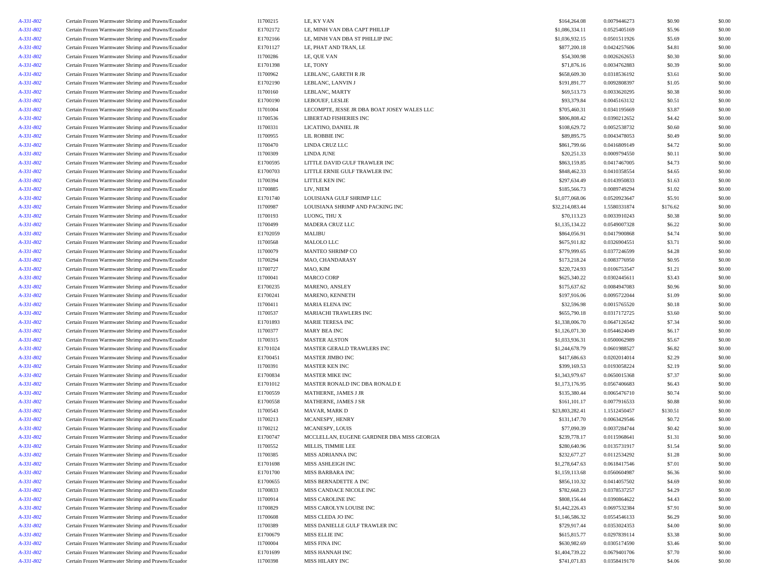| A-331-802 | Certain Frozen Warmwater Shrimp and Prawns/Ecuador | I1700215 | LE, KY VAN                                  | \$164,264.08    | 0.0079446273 | \$0.90   | \$0.00 |
|-----------|----------------------------------------------------|----------|---------------------------------------------|-----------------|--------------|----------|--------|
| A-331-802 | Certain Frozen Warmwater Shrimp and Prawns/Ecuador | E1702172 | LE, MINH VAN DBA CAPT PHILLIP               | \$1,086,334.11  | 0.0525405169 | \$5.96   | \$0.00 |
| A-331-802 | Certain Frozen Warmwater Shrimp and Prawns/Ecuador | E1702166 | LE, MINH VAN DBA ST PHILLIP INC             | \$1,036,932.15  | 0.0501511926 | \$5.69   | \$0.00 |
| A-331-802 | Certain Frozen Warmwater Shrimp and Prawns/Ecuador | E1701127 | LE, PHAT AND TRAN, LE                       | \$877,200.18    | 0.0424257606 | \$4.81   | \$0.00 |
| A-331-802 | Certain Frozen Warmwater Shrimp and Prawns/Ecuador | I1700286 | LE, QUE VAN                                 | \$54,300.98     | 0.0026262653 | \$0.30   | \$0.00 |
| A-331-802 | Certain Frozen Warmwater Shrimp and Prawns/Ecuador | E1701398 | LE, TONY                                    | \$71,876.16     | 0.0034762883 | \$0.39   | \$0.00 |
| A-331-802 | Certain Frozen Warmwater Shrimp and Prawns/Ecuador | I1700962 | LEBLANC, GARETH R JR                        | \$658,609.30    | 0.0318536192 | \$3.61   | \$0.00 |
| A-331-802 | Certain Frozen Warmwater Shrimp and Prawns/Ecuador | E1702190 | LEBLANC, LANVIN J                           | \$191,891.77    | 0.0092808397 | \$1.05   | \$0.00 |
| A-331-802 | Certain Frozen Warmwater Shrimp and Prawns/Ecuador | I1700160 | LEBLANC, MARTY                              | \$69,513.73     | 0.0033620295 | \$0.38   | \$0.00 |
| A-331-802 | Certain Frozen Warmwater Shrimp and Prawns/Ecuador | E1700190 | LEBOUEF, LESLIE                             | \$93,379.84     | 0.0045163132 | \$0.51   | \$0.00 |
| A-331-802 | Certain Frozen Warmwater Shrimp and Prawns/Ecuador | I1701004 | LECOMPTE, JESSE JR DBA BOAT JOSEY WALES LLC | \$705,460.31    | 0.0341195669 | \$3.87   | \$0.00 |
| A-331-802 | Certain Frozen Warmwater Shrimp and Prawns/Ecuador | I1700536 | <b>LIBERTAD FISHERIES INC</b>               | \$806,808.42    | 0.0390212652 | \$4.42   | \$0.00 |
| A-331-802 | Certain Frozen Warmwater Shrimp and Prawns/Ecuador | I1700331 | LICATINO, DANIEL JR                         | \$108,629.72    | 0.0052538732 | \$0.60   | \$0.00 |
| A-331-802 | Certain Frozen Warmwater Shrimp and Prawns/Ecuador | I1700955 | LIL ROBBIE INC                              | \$89,895.75     | 0.0043478053 | \$0.49   | \$0.00 |
| A-331-802 | Certain Frozen Warmwater Shrimp and Prawns/Ecuador | I1700470 | LINDA CRUZ LLC                              | \$861,799.66    | 0.0416809149 | \$4.72   | \$0.00 |
| A-331-802 | Certain Frozen Warmwater Shrimp and Prawns/Ecuador | I1700309 | LINDA JUNE                                  | \$20,251.33     | 0.0009794550 | \$0.11   | \$0.00 |
| A-331-802 | Certain Frozen Warmwater Shrimp and Prawns/Ecuador | E1700595 | LITTLE DAVID GULF TRAWLER INC               | \$863,159.85    | 0.0417467005 | \$4.73   | \$0.00 |
| A-331-802 | Certain Frozen Warmwater Shrimp and Prawns/Ecuador | E1700703 | LITTLE ERNIE GULF TRAWLER INC               | \$848,462.33    | 0.0410358554 | \$4.65   | \$0.00 |
| A-331-802 | Certain Frozen Warmwater Shrimp and Prawns/Ecuador | I1700394 | LITTLE KEN INC                              | \$297,634.49    | 0.0143950833 | \$1.63   | \$0.00 |
| A-331-802 | Certain Frozen Warmwater Shrimp and Prawns/Ecuador | 11700885 | LIV, NIEM                                   | \$185,566.73    | 0.0089749294 | \$1.02   | \$0.00 |
| A-331-802 | Certain Frozen Warmwater Shrimp and Prawns/Ecuador | E1701740 | LOUISIANA GULF SHRIMP LLC                   | \$1,077,068.06  | 0.0520923647 | \$5.91   | \$0.00 |
|           | Certain Frozen Warmwater Shrimp and Prawns/Ecuador |          | LOUISIANA SHRIMP AND PACKING INC            | \$32,214,083.44 | 1.5580331874 | \$176.62 | \$0.00 |
| A-331-802 |                                                    | I1700987 |                                             |                 | 0.0033910243 |          |        |
| A-331-802 | Certain Frozen Warmwater Shrimp and Prawns/Ecuador | I1700193 | LUONG, THU X                                | \$70,113.23     |              | \$0.38   | \$0.00 |
| A-331-802 | Certain Frozen Warmwater Shrimp and Prawns/Ecuador | I1700499 | MADERA CRUZ LLC                             | \$1,135,134.22  | 0.0549007328 | \$6.22   | \$0.00 |
| A-331-802 | Certain Frozen Warmwater Shrimp and Prawns/Ecuador | E1702059 | MALIBU                                      | \$864,056.91    | 0.0417900868 | \$4.74   | \$0.00 |
| A-331-802 | Certain Frozen Warmwater Shrimp and Prawns/Ecuador | I1700568 | MALOLO LLC                                  | \$675,911.82    | 0.0326904551 | \$3.71   | \$0.00 |
| A-331-802 | Certain Frozen Warmwater Shrimp and Prawns/Ecuador | I1700079 | MANTEO SHRIMP CO                            | \$779,999.65    | 0.0377246599 | \$4.28   | \$0.00 |
| A-331-802 | Certain Frozen Warmwater Shrimp and Prawns/Ecuador | I1700294 | MAO, CHANDARASY                             | \$173,218.24    | 0.0083776950 | \$0.95   | \$0.00 |
| A-331-802 | Certain Frozen Warmwater Shrimp and Prawns/Ecuador | I1700727 | MAO, KIM                                    | \$220,724.93    | 0.0106753547 | \$1.21   | \$0.00 |
| A-331-802 | Certain Frozen Warmwater Shrimp and Prawns/Ecuador | I1700041 | <b>MARCO CORP</b>                           | \$625,340.22    | 0.0302445611 | \$3.43   | \$0.00 |
| A-331-802 | Certain Frozen Warmwater Shrimp and Prawns/Ecuador | E1700235 | MARENO, ANSLEY                              | \$175,637.62    | 0.0084947083 | \$0.96   | \$0.00 |
| A-331-802 | Certain Frozen Warmwater Shrimp and Prawns/Ecuador | E1700241 | MARENO, KENNETH                             | \$197,916.06    | 0.0095722044 | \$1.09   | \$0.00 |
| A-331-802 | Certain Frozen Warmwater Shrimp and Prawns/Ecuador | I1700411 | <b>MARIA ELENA INC</b>                      | \$32,596.98     | 0.0015765520 | \$0.18   | \$0.00 |
| A-331-802 | Certain Frozen Warmwater Shrimp and Prawns/Ecuador | I1700537 | MARIACHI TRAWLERS INC                       | \$655,790.18    | 0.0317172725 | \$3.60   | \$0.00 |
| A-331-802 | Certain Frozen Warmwater Shrimp and Prawns/Ecuador | E1701893 | <b>MARIE TERESA INC</b>                     | \$1,338,006.70  | 0.0647126542 | \$7.34   | \$0.00 |
| A-331-802 | Certain Frozen Warmwater Shrimp and Prawns/Ecuador | I1700377 | MARY BEA INC                                | \$1,126,071.30  | 0.0544624049 | \$6.17   | \$0.00 |
| A-331-802 | Certain Frozen Warmwater Shrimp and Prawns/Ecuador | I1700315 | <b>MASTER ALSTON</b>                        | \$1,033,936.31  | 0.0500062989 | \$5.67   | \$0.00 |
| A-331-802 | Certain Frozen Warmwater Shrimp and Prawns/Ecuador | E1701024 | MASTER GERALD TRAWLERS INC                  | \$1,244,678.79  | 0.0601988527 | \$6.82   | \$0.00 |
| A-331-802 | Certain Frozen Warmwater Shrimp and Prawns/Ecuador | E1700451 | MASTER JIMBO INC                            | \$417,686.63    | 0.0202014014 | \$2.29   | \$0.00 |
| A-331-802 | Certain Frozen Warmwater Shrimp and Prawns/Ecuador | I1700391 | <b>MASTER KEN INC</b>                       | \$399,169.53    | 0.0193058224 | \$2.19   | \$0.00 |
| A-331-802 | Certain Frozen Warmwater Shrimp and Prawns/Ecuador | E1700834 | <b>MASTER MIKE INC</b>                      | \$1,343,979.67  | 0.0650015368 | \$7.37   | \$0.00 |
| A-331-802 | Certain Frozen Warmwater Shrimp and Prawns/Ecuador | E1701012 | MASTER RONALD INC DBA RONALD E              | \$1,173,176.95  | 0.0567406683 | \$6.43   | \$0.00 |
| A-331-802 | Certain Frozen Warmwater Shrimp and Prawns/Ecuador | E1700559 | MATHERNE, JAMES J JR                        | \$135,380.44    | 0.0065476710 | \$0.74   | \$0.00 |
| A-331-802 | Certain Frozen Warmwater Shrimp and Prawns/Ecuador | E1700558 | MATHERNE, JAMES J SR                        | \$161,101.17    | 0.0077916533 | \$0.88   | \$0.00 |
| A-331-802 | Certain Frozen Warmwater Shrimp and Prawns/Ecuador | I1700543 | MAVAR, MARK D                               | \$23,803,282.41 | 1.1512450457 | \$130.51 | \$0.00 |
| A-331-802 | Certain Frozen Warmwater Shrimp and Prawns/Ecuador | I1700213 | MCANESPY, HENRY                             | \$131,147.70    | 0.0063429546 | \$0.72   | \$0.00 |
| A-331-802 | Certain Frozen Warmwater Shrimp and Prawns/Ecuador | I1700212 | MCANESPY, LOUIS                             | \$77,090.39     | 0.0037284744 | \$0.42   | \$0.00 |
| A-331-802 | Certain Frozen Warmwater Shrimp and Prawns/Ecuador | E1700747 | MCCLELLAN, EUGENE GARDNER DBA MISS GEORGIA  | \$239,778.17    | 0.0115968641 | \$1.31   | \$0.00 |
| A-331-802 | Certain Frozen Warmwater Shrimp and Prawns/Ecuador | 11700552 | MILLIS, TIMMIE LEE                          | \$280,640.96    | 0.0135731917 | \$1.54   | \$0.00 |
| A-331-802 | Certain Frozen Warmwater Shrimp and Prawns/Ecuador | I1700385 | MISS ADRIANNA INC                           | \$232,677.27    | 0.0112534292 | \$1.28   | \$0.00 |
| A-331-802 | Certain Frozen Warmwater Shrimp and Prawns/Ecuador | E1701698 | MISS ASHLEIGH INC                           | \$1,278,647.63  | 0.0618417546 | \$7.01   | \$0.00 |
| A-331-802 | Certain Frozen Warmwater Shrimp and Prawns/Ecuador | E1701700 | MISS BARBARA INC                            | \$1,159,113.68  | 0.0560604987 | \$6.36   | \$0.00 |
| A-331-802 | Certain Frozen Warmwater Shrimp and Prawns/Ecuador | E1700655 | MISS BERNADETTE A INC                       | \$856,110.32    | 0.0414057502 | \$4.69   | \$0.00 |
| A-331-802 | Certain Frozen Warmwater Shrimp and Prawns/Ecuador | I1700833 | MISS CANDACE NICOLE INC                     | \$782,668.23    | 0.0378537257 | \$4.29   | \$0.00 |
| A-331-802 | Certain Frozen Warmwater Shrimp and Prawns/Ecuador | I1700914 | MISS CAROLINE INC                           | \$808,156.44    | 0.0390864622 | \$4.43   | \$0.00 |
|           |                                                    |          |                                             | \$1,442,226.43  |              |          |        |
| A-331-802 | Certain Frozen Warmwater Shrimp and Prawns/Ecuador | I1700829 | MISS CAROLYN LOUISE INC                     |                 | 0.0697532384 | \$7.91   | \$0.00 |
| A-331-802 | Certain Frozen Warmwater Shrimp and Prawns/Ecuador | I1700608 | MISS CLEDA JO INC                           | \$1,146,586.32  | 0.0554546133 | \$6.29   | \$0.00 |
| A-331-802 | Certain Frozen Warmwater Shrimp and Prawns/Ecuador | I1700389 | MISS DANIELLE GULF TRAWLER INC              | \$729,917.44    | 0.0353024353 | \$4.00   | \$0.00 |
| A-331-802 | Certain Frozen Warmwater Shrimp and Prawns/Ecuador | E1700679 | MISS ELLIE INC                              | \$615,815.77    | 0.0297839114 | \$3.38   | \$0.00 |
| A-331-802 | Certain Frozen Warmwater Shrimp and Prawns/Ecuador | I1700004 | MISS FINA INC                               | \$630,982.69    | 0.0305174590 | \$3.46   | \$0.00 |
| A-331-802 | Certain Frozen Warmwater Shrimp and Prawns/Ecuador | E1701699 | MISS HANNAH INC                             | \$1,404,739.22  | 0.0679401706 | \$7.70   | \$0.00 |
| A-331-802 | Certain Frozen Warmwater Shrimp and Prawns/Ecuador | I1700398 | MISS HILARY INC                             | \$741,071.83    | 0.0358419170 | \$4.06   | \$0.00 |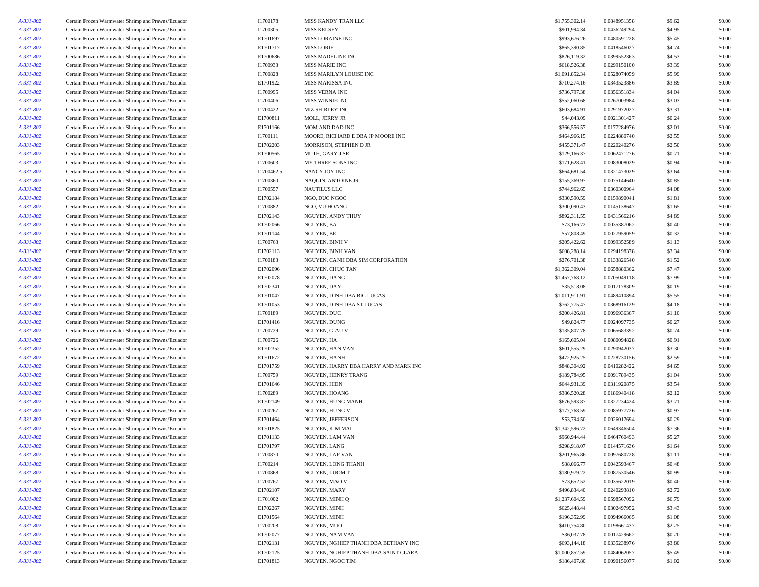| A-331-802 | Certain Frozen Warmwater Shrimp and Prawns/Ecuador | I1700178             | MISS KANDY TRAN LLC                  | \$1,755,302.14 | 0.0848951358 | \$9.62 | \$0.00           |
|-----------|----------------------------------------------------|----------------------|--------------------------------------|----------------|--------------|--------|------------------|
| A-331-802 | Certain Frozen Warmwater Shrimp and Prawns/Ecuador | I1700305             | <b>MISS KELSEY</b>                   | \$901,994.34   | 0.0436249294 | \$4.95 | \$0.00           |
| A-331-802 | Certain Frozen Warmwater Shrimp and Prawns/Ecuador | E1701697             | MISS LORAINE INC                     | \$993,676.26   | 0.0480591228 | \$5.45 | \$0.00           |
| A-331-802 | Certain Frozen Warmwater Shrimp and Prawns/Ecuador | E1701717             | <b>MISS LORIE</b>                    | \$865,390.85   | 0.0418546027 | \$4.74 | \$0.00           |
| A-331-802 | Certain Frozen Warmwater Shrimp and Prawns/Ecuador | E1700686             | MISS MADELINE INC                    | \$826,119.32   | 0.0399552363 | \$4.53 | \$0.00           |
| A-331-802 | Certain Frozen Warmwater Shrimp and Prawns/Ecuador | I1700933             | <b>MISS MARIE INC</b>                | \$618,526.38   | 0.0299150100 | \$3.39 | \$0.00           |
| A-331-802 | Certain Frozen Warmwater Shrimp and Prawns/Ecuador | I1700828             | MISS MARILYN LOUISE INC              | \$1,091,852.34 | 0.0528074059 | \$5.99 | \$0.00           |
| A-331-802 | Certain Frozen Warmwater Shrimp and Prawns/Ecuador | E1701922             | <b>MISS MARISSA INC</b>              | \$710,274.16   | 0.0343523886 | \$3.89 | \$0.00           |
|           | Certain Frozen Warmwater Shrimp and Prawns/Ecuador | I1700995             | MISS VERNA INC                       | \$736,797.38   | 0.0356351834 | \$4.04 | \$0.00           |
| A-331-802 |                                                    | I1700406             | MISS WINNIE INC                      | \$552,060.68   | 0.0267003984 | \$3.03 | \$0.00           |
| A-331-802 | Certain Frozen Warmwater Shrimp and Prawns/Ecuador |                      |                                      |                |              |        |                  |
| A-331-802 | Certain Frozen Warmwater Shrimp and Prawns/Ecuador | I1700422             | MIZ SHIRLEY INC                      | \$603,684.91   | 0.0291972027 | \$3.31 | \$0.00           |
| A-331-802 | Certain Frozen Warmwater Shrimp and Prawns/Ecuador | E1700811             | MOLL, JERRY JR                       | \$44,043.09    | 0.0021301427 | \$0.24 | \$0.00           |
| A-331-802 | Certain Frozen Warmwater Shrimp and Prawns/Ecuador | E1701166             | MOM AND DAD INC                      | \$366,556.57   | 0.0177284976 | \$2.01 | \$0.00           |
| A-331-802 | Certain Frozen Warmwater Shrimp and Prawns/Ecuador | I1700111             | MOORE, RICHARD E DBA JP MOORE INC    | \$464,966.15   | 0.0224880740 | \$2.55 | \$0.00           |
| A-331-802 | Certain Frozen Warmwater Shrimp and Prawns/Ecuador | E1702203             | MORRISON, STEPHEN D JR               | \$455,371.47   | 0.0220240276 | \$2.50 | \$0.00           |
| A-331-802 | Certain Frozen Warmwater Shrimp and Prawns/Ecuador | E1700565             | MUTH, GARY J SR                      | \$129,166.37   | 0.0062471276 | \$0.71 | \$0.00           |
| A-331-802 | Certain Frozen Warmwater Shrimp and Prawns/Ecuador | I1700603             | MY THREE SONS INC                    | \$171,628.41   | 0.0083008029 | \$0.94 | \$0.00           |
| A-331-802 | Certain Frozen Warmwater Shrimp and Prawns/Ecuador | I1700462.5           | NANCY JOY INC                        | \$664,681.54   | 0.0321473029 | \$3.64 | \$0.00           |
| A-331-802 | Certain Frozen Warmwater Shrimp and Prawns/Ecuador | I1700360             | NAQUIN, ANTOINE JR                   | \$155,369.97   | 0.0075144640 | \$0.85 | \$0.00           |
| A-331-802 | Certain Frozen Warmwater Shrimp and Prawns/Ecuador | I1700557             | <b>NAUTILUS LLC</b>                  | \$744,962.65   | 0.0360300964 | \$4.08 | \$0.00           |
| A-331-802 | Certain Frozen Warmwater Shrimp and Prawns/Ecuador | E1702184             | NGO, DUC NGOC                        | \$330,590.59   | 0.0159890041 | \$1.81 | \$0.00           |
| A-331-802 | Certain Frozen Warmwater Shrimp and Prawns/Ecuador | I1700882             | NGO, VU HOANG                        | \$300,090.43   | 0.0145138647 | \$1.65 | \$0.00           |
| A-331-802 | Certain Frozen Warmwater Shrimp and Prawns/Ecuador | E1702143             | NGUYEN, ANDY THUY                    | \$892,311.55   | 0.0431566216 | \$4.89 | \$0.00           |
| A-331-802 | Certain Frozen Warmwater Shrimp and Prawns/Ecuador | E1702066             | NGUYEN, BA                           | \$73,166.72    | 0.0035387062 | \$0.40 | \$0.00           |
| A-331-802 | Certain Frozen Warmwater Shrimp and Prawns/Ecuador | E1701144             | NGUYEN, BE                           | \$57,808.49    | 0.0027959059 | \$0.32 | \$0.00           |
| A-331-802 | Certain Frozen Warmwater Shrimp and Prawns/Ecuador | I1700763             | NGUYEN, BINH V                       | \$205,422.62   | 0.0099352589 | \$1.13 | \$0.00           |
| A-331-802 | Certain Frozen Warmwater Shrimp and Prawns/Ecuador | E1702113             | <b>NGUYEN, BINH VAN</b>              | \$608,288.14   | 0.0294198378 | \$3.34 | \$0.00           |
| A-331-802 | Certain Frozen Warmwater Shrimp and Prawns/Ecuador | I1700183             | NGUYEN, CANH DBA SIM CORPORATION     | \$276,701.38   | 0.0133826540 | \$1.52 | \$0.00           |
| A-331-802 | Certain Frozen Warmwater Shrimp and Prawns/Ecuador | E1702096             | NGUYEN, CHUC TAN                     | \$1,362,309.04 | 0.0658880362 | \$7.47 | \$0.00           |
| A-331-802 | Certain Frozen Warmwater Shrimp and Prawns/Ecuador | E1702078             | NGUYEN, DANG                         | \$1,457,768.12 | 0.0705049118 | \$7.99 | \$0.00           |
| A-331-802 | Certain Frozen Warmwater Shrimp and Prawns/Ecuador | E1702341             | NGUYEN, DAY                          | \$35,518.08    | 0.0017178309 | \$0.19 | \$0.00           |
| A-331-802 | Certain Frozen Warmwater Shrimp and Prawns/Ecuador | E1701047             | NGUYEN, DINH DBA BIG LUCAS           | \$1,011,911.91 | 0.0489410894 | \$5.55 | \$0.00           |
| A-331-802 | Certain Frozen Warmwater Shrimp and Prawns/Ecuador | E1701053             | NGUYEN, DINH DBA ST LUCAS            | \$762,775.47   | 0.0368916129 | \$4.18 | \$0.00           |
| A-331-802 | Certain Frozen Warmwater Shrimp and Prawns/Ecuador | I1700189             | NGUYEN, DUC                          | \$200,426.81   | 0.0096936367 | \$1.10 | \$0.00           |
| A-331-802 | Certain Frozen Warmwater Shrimp and Prawns/Ecuador | E1701416             | NGUYEN, DUNG                         | \$49,824.77    | 0.0024097735 | \$0.27 | \$0.00           |
| A-331-802 | Certain Frozen Warmwater Shrimp and Prawns/Ecuador | I1700729             | NGUYEN, GIAU V                       | \$135,807.78   | 0.0065683392 | \$0.74 | \$0.00           |
| A-331-802 | Certain Frozen Warmwater Shrimp and Prawns/Ecuador | I1700726             | NGUYEN, HA                           | \$165,605.04   | 0.0080094828 | \$0.91 | \$0.00           |
| A-331-802 | Certain Frozen Warmwater Shrimp and Prawns/Ecuador | E1702352             | NGUYEN, HAN VAN                      | \$601,555.29   | 0.0290942037 | \$3.30 | \$0.00           |
| A-331-802 | Certain Frozen Warmwater Shrimp and Prawns/Ecuador | E1701672             | NGUYEN, HANH                         | \$472,925.25   | 0.0228730156 | \$2.59 | \$0.00           |
|           |                                                    |                      |                                      |                | 0.0410282422 |        |                  |
| A-331-802 | Certain Frozen Warmwater Shrimp and Prawns/Ecuador | E1701759<br>I1700759 | NGUYEN, HARRY DBA HARRY AND MARK INC | \$848,304.92   | 0.0091789435 | \$4.65 | \$0.00<br>\$0.00 |
| A-331-802 | Certain Frozen Warmwater Shrimp and Prawns/Ecuador |                      | NGUYEN, HENRY TRANG                  | \$189,784.95   |              | \$1.04 |                  |
| A-331-802 | Certain Frozen Warmwater Shrimp and Prawns/Ecuador | E1701646             | NGUYEN, HIEN                         | \$644,931.39   | 0.0311920875 | \$3.54 | \$0.00           |
| A-331-802 | Certain Frozen Warmwater Shrimp and Prawns/Ecuador | I1700289             | NGUYEN, HOANG                        | \$386,520.28   | 0.0186940418 | \$2.12 | \$0.00           |
| A-331-802 | Certain Frozen Warmwater Shrimp and Prawns/Ecuador | E1702149             | NGUYEN, HUNG MANH                    | \$676,593.87   | 0.0327234424 | \$3.71 | \$0.00           |
| A-331-802 | Certain Frozen Warmwater Shrimp and Prawns/Ecuador | I1700267             | NGUYEN, HUNG V                       | \$177,768.59   | 0.0085977726 | \$0.97 | \$0.00           |
| A-331-802 | Certain Frozen Warmwater Shrimp and Prawns/Ecuador | E1701464             | NGUYEN, JEFFERSON                    | \$53,794.50    | 0.0026017694 | \$0.29 | \$0.00           |
| A-331-802 | Certain Frozen Warmwater Shrimp and Prawns/Ecuador | E1701825             | NGUYEN, KIM MAI                      | \$1,342,596.72 | 0.0649346504 | \$7.36 | \$0.00           |
| A-331-802 | Certain Frozen Warmwater Shrimp and Prawns/Ecuador | E1701133             | NGUYEN, LAM VAN                      | \$960,944.44   | 0.0464760493 | \$5.27 | \$0.00           |
| A-331-802 | Certain Frozen Warmwater Shrimp and Prawns/Ecuador | E1701797             | NGUYEN, LANG                         | \$298,918.07   | 0.0144571636 | \$1.64 | \$0.00           |
| A-331-802 | Certain Frozen Warmwater Shrimp and Prawns/Ecuador | I1700870             | NGUYEN, LAP VAN                      | \$201,965.86   | 0.0097680728 | \$1.11 | \$0.00           |
| A-331-802 | Certain Frozen Warmwater Shrimp and Prawns/Ecuador | I1700214             | NGUYEN, LONG THANH                   | \$88,066.77    | 0.0042593467 | \$0.48 | \$0.00           |
| A-331-802 | Certain Frozen Warmwater Shrimp and Prawns/Ecuador | I1700868             | NGUYEN, LUOM T                       | \$180,979.22   | 0.0087530546 | \$0.99 | \$0.00           |
| A-331-802 | Certain Frozen Warmwater Shrimp and Prawns/Ecuador | I1700767             | NGUYEN, MAO V                        | \$73,652.52    | 0.0035622019 | \$0.40 | \$0.00           |
| A-331-802 | Certain Frozen Warmwater Shrimp and Prawns/Ecuador | E1702107             | NGUYEN, MARY                         | \$496,834.40   | 0.0240293810 | \$2.72 | \$0.00           |
| A-331-802 | Certain Frozen Warmwater Shrimp and Prawns/Ecuador | I1701002             | NGUYEN, MINH Q                       | \$1,237,604.59 | 0.0598567092 | \$6.79 | \$0.00           |
| A-331-802 | Certain Frozen Warmwater Shrimp and Prawns/Ecuador | E1702267             | NGUYEN, MINH                         | \$625,448.44   | 0.0302497952 | \$3.43 | \$0.00           |
| A-331-802 | Certain Frozen Warmwater Shrimp and Prawns/Ecuador | E1701564             | NGUYEN, MINH                         | \$196,352.99   | 0.0094966065 | \$1.08 | \$0.00           |
| A-331-802 | Certain Frozen Warmwater Shrimp and Prawns/Ecuador | I1700208             | NGUYEN, MUOI                         | \$410,754.80   | 0.0198661437 | \$2.25 | \$0.00           |
| A-331-802 | Certain Frozen Warmwater Shrimp and Prawns/Ecuador | E1702077             | NGUYEN, NAM VAN                      | \$36,037.78    | 0.0017429662 | \$0.20 | \$0.00           |
| A-331-802 | Certain Frozen Warmwater Shrimp and Prawns/Ecuador | E1702131             | NGUYEN, NGHIEP THANH DBA BETHANY INC | \$693,144.18   | 0.0335238976 | \$3.80 | \$0.00           |
| A-331-802 | Certain Frozen Warmwater Shrimp and Prawns/Ecuador | E1702125             | NGUYEN, NGHIEP THANH DBA SAINT CLARA | \$1,000,852.59 | 0.0484062057 | \$5.49 | \$0.00           |
| A-331-802 | Certain Frozen Warmwater Shrimp and Prawns/Ecuador | E1701813             | NGUYEN, NGOC TIM                     | \$186,407.80   | 0.0090156077 | \$1.02 | \$0.00           |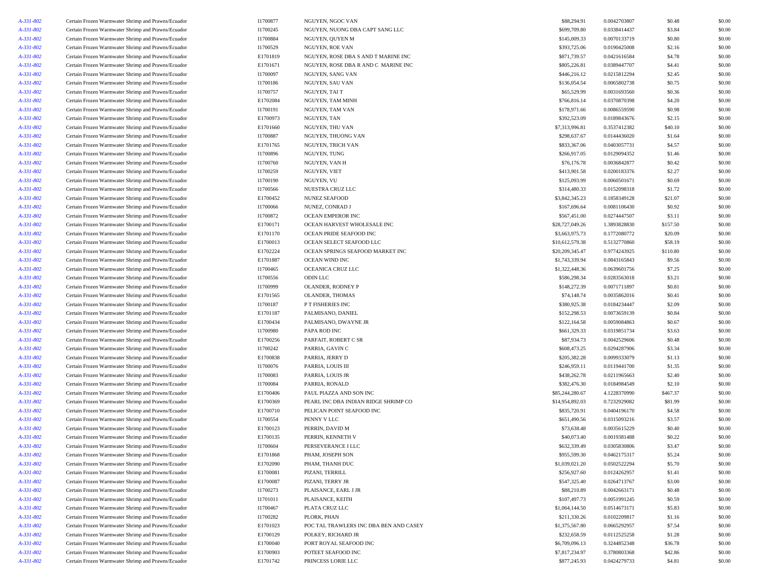| A-331-802 | Certain Frozen Warmwater Shrimp and Prawns/Ecuador | I1700877 | NGUYEN, NGOC VAN                       | \$88,294.91     | 0.0042703807 | \$0.48   | \$0.00 |
|-----------|----------------------------------------------------|----------|----------------------------------------|-----------------|--------------|----------|--------|
| A-331-802 | Certain Frozen Warmwater Shrimp and Prawns/Ecuador | I1700245 | NGUYEN, NUONG DBA CAPT SANG LLC        | \$699,709.80    | 0.0338414437 | \$3.84   | \$0.00 |
| A-331-802 | Certain Frozen Warmwater Shrimp and Prawns/Ecuador | I1700884 | NGUYEN, QUYEN M                        | \$145,009.33    | 0.0070133719 | \$0.80   | \$0.00 |
| A-331-802 | Certain Frozen Warmwater Shrimp and Prawns/Ecuador | I1700529 | NGUYEN, ROE VAN                        | \$393,725.06    | 0.0190425008 | \$2.16   | \$0.00 |
| A-331-802 | Certain Frozen Warmwater Shrimp and Prawns/Ecuador | E1701819 | NGUYEN, ROSE DBA S AND T MARINE INC    | \$871,739.57    | 0.0421616584 | \$4.78   | \$0.00 |
| A-331-802 | Certain Frozen Warmwater Shrimp and Prawns/Ecuador | E1701671 | NGUYEN, ROSE DBA R AND C MARINE INC    | \$805,226.81    | 0.0389447707 | \$4.41   | \$0.00 |
| A-331-802 | Certain Frozen Warmwater Shrimp and Prawns/Ecuador | I1700097 | NGUYEN, SANG VAN                       | \$446,216.12    | 0.0215812294 | \$2.45   | \$0.00 |
| A-331-802 | Certain Frozen Warmwater Shrimp and Prawns/Ecuador | I1700186 | NGUYEN, SAU VAN                        | \$136,054.54    | 0.0065802738 | \$0.75   | \$0.00 |
| A-331-802 | Certain Frozen Warmwater Shrimp and Prawns/Ecuador | I1700757 | NGUYEN, TAI T                          | \$65,529.99     | 0.0031693560 | \$0.36   | \$0.00 |
| A-331-802 | Certain Frozen Warmwater Shrimp and Prawns/Ecuador | E1702084 | NGUYEN, TAM MINH                       | \$766,816.14    | 0.0370870398 | \$4.20   | \$0.00 |
| A-331-802 | Certain Frozen Warmwater Shrimp and Prawns/Ecuador | I1700191 | NGUYEN, TAM VAN                        | \$178,971.66    | 0.0086559590 | \$0.98   | \$0.00 |
| A-331-802 | Certain Frozen Warmwater Shrimp and Prawns/Ecuador | E1700973 | NGUYEN, TAN                            | \$392,523.09    | 0.0189843676 | \$2.15   | \$0.00 |
| A-331-802 | Certain Frozen Warmwater Shrimp and Prawns/Ecuador | E1701660 | NGUYEN, THU VAN                        | \$7,313,996.81  | 0.3537412382 | \$40.10  | \$0.00 |
| A-331-802 | Certain Frozen Warmwater Shrimp and Prawns/Ecuador | I1700887 | NGUYEN, THUONG VAN                     | \$298,637.67    | 0.0144436020 | \$1.64   | \$0.00 |
| A-331-802 | Certain Frozen Warmwater Shrimp and Prawns/Ecuador | E1701765 | NGUYEN, TRICH VAN                      | \$833,367.06    | 0.0403057731 | \$4.57   | \$0.00 |
| A-331-802 | Certain Frozen Warmwater Shrimp and Prawns/Ecuador | I1700896 | NGUYEN, TUNG                           | \$266,917.05    | 0.0129094352 | \$1.46   | \$0.00 |
| A-331-802 | Certain Frozen Warmwater Shrimp and Prawns/Ecuador | I1700760 | NGUYEN, VAN H                          | \$76,176.78     | 0.0036842877 | \$0.42   | \$0.00 |
| A-331-802 | Certain Frozen Warmwater Shrimp and Prawns/Ecuador | I1700259 | NGUYEN, VIET                           | \$413,901.58    | 0.0200183376 | \$2.27   | \$0.00 |
| A-331-802 | Certain Frozen Warmwater Shrimp and Prawns/Ecuador | I1700190 | NGUYEN, VU                             | \$125,093.99    | 0.0060501671 | \$0.69   | \$0.00 |
| A-331-802 | Certain Frozen Warmwater Shrimp and Prawns/Ecuador | I1700566 | NUESTRA CRUZ LLC                       | \$314,480.33    | 0.0152098318 | \$1.72   | \$0.00 |
| A-331-802 | Certain Frozen Warmwater Shrimp and Prawns/Ecuador | E1700452 | <b>NUNEZ SEAFOOD</b>                   | \$3,842,345.23  | 0.1858349128 | \$21.07  | \$0.00 |
| A-331-802 | Certain Frozen Warmwater Shrimp and Prawns/Ecuador | I1700066 | NUNEZ, CONRAD J                        | \$167,696.64    | 0.0081106430 | \$0.92   | \$0.00 |
| A-331-802 | Certain Frozen Warmwater Shrimp and Prawns/Ecuador | I1700872 | OCEAN EMPEROR INC                      | \$567,451.00    | 0.0274447507 | \$3.11   | \$0.00 |
| A-331-802 | Certain Frozen Warmwater Shrimp and Prawns/Ecuador | E1700171 | OCEAN HARVEST WHOLESALE INC            | \$28,727,049.26 | 1.3893828830 | \$157.50 | \$0.00 |
| A-331-802 | Certain Frozen Warmwater Shrimp and Prawns/Ecuador | E1701170 | OCEAN PRIDE SEAFOOD INC                | \$3,663,975.73  | 0.1772080772 | \$20.09  | \$0.00 |
| A-331-802 | Certain Frozen Warmwater Shrimp and Prawns/Ecuador | E1700013 | OCEAN SELECT SEAFOOD LLC               | \$10,612,579.38 | 0.5132770860 | \$58.19  | \$0.00 |
| A-331-802 | Certain Frozen Warmwater Shrimp and Prawns/Ecuador | E1702224 | OCEAN SPRINGS SEAFOOD MARKET INC       | \$20,209,345.47 | 0.9774243925 | \$110.80 | \$0.00 |
| A-331-802 | Certain Frozen Warmwater Shrimp and Prawns/Ecuador | E1701887 | <b>OCEAN WIND INC</b>                  | \$1,743,339.94  | 0.0843165843 | \$9.56   | \$0.00 |
| A-331-802 | Certain Frozen Warmwater Shrimp and Prawns/Ecuador | I1700465 | OCEANICA CRUZ LLC                      | \$1,322,448.36  | 0.0639601756 | \$7.25   | \$0.00 |
| A-331-802 | Certain Frozen Warmwater Shrimp and Prawns/Ecuador | I1700556 | <b>ODIN LLC</b>                        | \$586,298.34    | 0.0283563018 | \$3.21   | \$0.00 |
| A-331-802 | Certain Frozen Warmwater Shrimp and Prawns/Ecuador | I1700999 | OLANDER, RODNEY P                      | \$148,272.39    | 0.0071711897 | \$0.81   | \$0.00 |
| A-331-802 | Certain Frozen Warmwater Shrimp and Prawns/Ecuador | E1701565 | OLANDER, THOMAS                        | \$74,148.74     | 0.0035862016 | \$0.41   | \$0.00 |
| A-331-802 | Certain Frozen Warmwater Shrimp and Prawns/Ecuador | I1700187 | P T FISHERIES INC                      | \$380,925.38    | 0.0184234447 | \$2.09   | \$0.00 |
| A-331-802 | Certain Frozen Warmwater Shrimp and Prawns/Ecuador | E1701187 | PALMISANO, DANIEL                      | \$152,298.53    | 0.0073659139 | \$0.84   | \$0.00 |
| A-331-802 | Certain Frozen Warmwater Shrimp and Prawns/Ecuador | E1700434 | PALMISANO, DWAYNE JR                   | \$122,164.58    | 0.0059084863 | \$0.67   | \$0.00 |
| A-331-802 | Certain Frozen Warmwater Shrimp and Prawns/Ecuador | I1700980 | PAPA ROD INC                           | \$661,329.33    | 0.0319851734 | \$3.63   | \$0.00 |
| A-331-802 | Certain Frozen Warmwater Shrimp and Prawns/Ecuador | E1700256 | PARFAIT, ROBERT C SR                   | \$87,934.73     | 0.0042529606 | \$0.48   | \$0.00 |
| A-331-802 | Certain Frozen Warmwater Shrimp and Prawns/Ecuador | I1700242 | PARRIA, GAVINC                         | \$608,473.25    | 0.0294287906 | \$3.34   | \$0.00 |
| A-331-802 | Certain Frozen Warmwater Shrimp and Prawns/Ecuador | E1700838 | PARRIA, JERRY D                        | \$205,382.28    | 0.0099333079 | \$1.13   | \$0.00 |
| A-331-802 | Certain Frozen Warmwater Shrimp and Prawns/Ecuador | I1700076 | PARRIA, LOUIS III                      | \$246,959.11    | 0.0119441700 | \$1.35   | \$0.00 |
| A-331-802 | Certain Frozen Warmwater Shrimp and Prawns/Ecuador | I1700083 | PARRIA, LOUIS JR                       | \$438,262.78    | 0.0211965663 | \$2.40   | \$0.00 |
| A-331-802 | Certain Frozen Warmwater Shrimp and Prawns/Ecuador | I1700084 | PARRIA, RONALD                         | \$382,476.30    | 0.0184984549 | \$2.10   | \$0.00 |
| A-331-802 | Certain Frozen Warmwater Shrimp and Prawns/Ecuador | E1700406 | PAUL PIAZZA AND SON INC                | \$85,244,280.67 | 4.1228370990 | \$467.37 | \$0.00 |
| A-331-802 | Certain Frozen Warmwater Shrimp and Prawns/Ecuador | E1700369 | PEARL INC DBA INDIAN RIDGE SHRIMP CO   | \$14,954,892.03 | 0.7232929082 | \$81.99  | \$0.00 |
| A-331-802 | Certain Frozen Warmwater Shrimp and Prawns/Ecuador | E1700710 | PELICAN POINT SEAFOOD INC              | \$835,720.91    | 0.0404196170 | \$4.58   | \$0.00 |
| A-331-802 | Certain Frozen Warmwater Shrimp and Prawns/Ecuador | I1700554 | PENNY V LLC                            | \$651,490.56    | 0.0315093216 | \$3.57   | \$0.00 |
| A-331-802 | Certain Frozen Warmwater Shrimp and Prawns/Ecuador | E1700123 | PERRIN, DAVID M                        | \$73,638.48     | 0.0035615229 | \$0.40   | \$0.00 |
| A-331-802 | Certain Frozen Warmwater Shrimp and Prawns/Ecuador | E1700135 | PERRIN, KENNETH V                      | \$40,073.40     | 0.0019381488 | \$0.22   | \$0.00 |
| A-331-802 | Certain Frozen Warmwater Shrimp and Prawns/Ecuador | I1700604 | PERSEVERANCE I LLC                     | \$632,339.49    | 0.0305830806 | \$3.47   | \$0.00 |
| A-331-802 | Certain Frozen Warmwater Shrimp and Prawns/Ecuador | E1701868 | PHAM, JOSEPH SON                       | \$955,599.30    | 0.0462175317 | \$5.24   | \$0.00 |
| A-331-802 | Certain Frozen Warmwater Shrimp and Prawns/Ecuador | E1702090 | PHAM, THANH DUC                        | \$1,039,021.20  | 0.0502522294 | \$5.70   | \$0.00 |
| A-331-802 | Certain Frozen Warmwater Shrimp and Prawns/Ecuador | E1700081 | PIZANI, TERRILL                        | \$256,927.60    | 0.0124262957 | \$1.41   | \$0.00 |
| A-331-802 | Certain Frozen Warmwater Shrimp and Prawns/Ecuador | E1700087 | PIZANI, TERRY JR                       | \$547,325.40    | 0.0264713767 | \$3.00   | \$0.00 |
| A-331-802 | Certain Frozen Warmwater Shrimp and Prawns/Ecuador | I1700273 | PLAISANCE, EARL J JR                   | \$88,210.89     | 0.0042663171 | \$0.48   | \$0.00 |
| A-331-802 | Certain Frozen Warmwater Shrimp and Prawns/Ecuador | I1701011 | PLAISANCE, KEITH                       | \$107,497.73    | 0.0051991245 | \$0.59   | \$0.00 |
| A-331-802 | Certain Frozen Warmwater Shrimp and Prawns/Ecuador | I1700467 | PLATA CRUZ LLC                         | \$1,064,144.50  | 0.0514673171 | \$5.83   | \$0.00 |
| A-331-802 | Certain Frozen Warmwater Shrimp and Prawns/Ecuador | I1700282 | PLORK, PHAN                            | \$211,330.26    | 0.0102209817 | \$1.16   | \$0.00 |
| A-331-802 | Certain Frozen Warmwater Shrimp and Prawns/Ecuador | E1701023 | POC TAL TRAWLERS INC DBA BEN AND CASEY | \$1,375,567.80  | 0.0665292957 | \$7.54   | \$0.00 |
| A-331-802 | Certain Frozen Warmwater Shrimp and Prawns/Ecuador | E1700129 | POLKEY, RICHARD JR                     | \$232,658.59    | 0.0112525258 | \$1.28   | \$0.00 |
| A-331-802 | Certain Frozen Warmwater Shrimp and Prawns/Ecuador | E1700040 | PORT ROYAL SEAFOOD INC                 | \$6,709,096.13  | 0.3244852348 | \$36.78  | \$0.00 |
| A-331-802 | Certain Frozen Warmwater Shrimp and Prawns/Ecuador | E1700903 | POTEET SEAFOOD INC                     | \$7,817,234.97  | 0.3780803368 | \$42.86  | \$0.00 |
| A-331-802 | Certain Frozen Warmwater Shrimp and Prawns/Ecuador | E1701742 | PRINCESS LORIE LLC                     | \$877,245.93    | 0.0424279733 | \$4.81   | \$0.00 |
|           |                                                    |          |                                        |                 |              |          |        |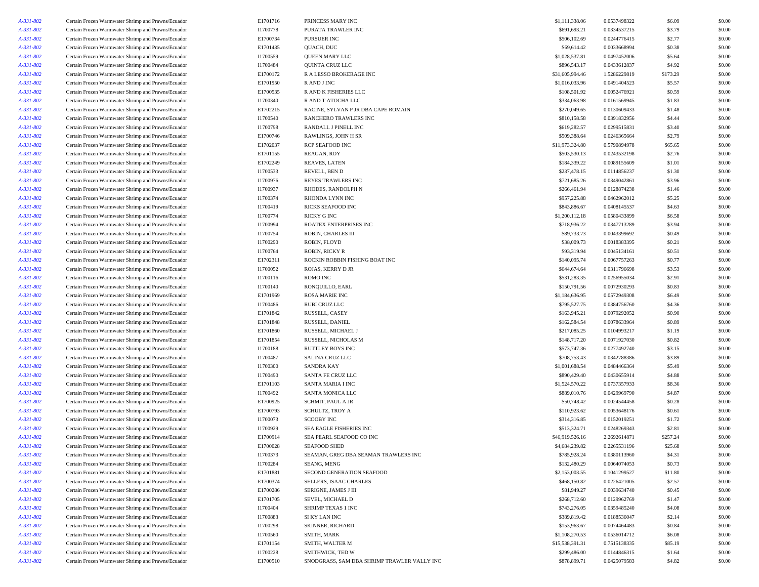| A-331-802              | Certain Frozen Warmwater Shrimp and Prawns/Ecuador                                                       | E1701716 | PRINCESS MARY INC                           | \$1,111,338.06               | 0.0537498322 | \$6.09   | \$0.00 |
|------------------------|----------------------------------------------------------------------------------------------------------|----------|---------------------------------------------|------------------------------|--------------|----------|--------|
| A-331-802              | Certain Frozen Warmwater Shrimp and Prawns/Ecuador                                                       | I1700778 | PURATA TRAWLER INC                          | \$691,693.21                 | 0.0334537215 | \$3.79   | \$0.00 |
| A-331-802              | Certain Frozen Warmwater Shrimp and Prawns/Ecuador                                                       | E1700734 | PURSUER INC                                 | \$506,102.69                 | 0.0244776415 | \$2.77   | \$0.00 |
| A-331-802              | Certain Frozen Warmwater Shrimp and Prawns/Ecuador                                                       | E1701435 | QUACH, DUC                                  | \$69,614.42                  | 0.0033668994 | \$0.38   | \$0.00 |
| A-331-802              | Certain Frozen Warmwater Shrimp and Prawns/Ecuador                                                       | I1700559 | QUEEN MARY LLC                              | \$1,028,537.81               | 0.0497452006 | \$5.64   | \$0.00 |
| A-331-802              | Certain Frozen Warmwater Shrimp and Prawns/Ecuador                                                       | I1700484 | QUINTA CRUZ LLC                             | \$896,543.17                 | 0.0433612837 | \$4.92   | \$0.00 |
| A-331-802              | Certain Frozen Warmwater Shrimp and Prawns/Ecuador                                                       | E1700172 | R A LESSO BROKERAGE INC                     | \$31,605,994.46              | 1.5286229819 | \$173.29 | \$0.00 |
| A-331-802              | Certain Frozen Warmwater Shrimp and Prawns/Ecuador                                                       | E1701950 | R AND J INC                                 | \$1,016,033.96               | 0.0491404523 | \$5.57   | \$0.00 |
| A-331-802              | Certain Frozen Warmwater Shrimp and Prawns/Ecuador                                                       | E1700535 | R AND K FISHERIES LLC                       | \$108,501.92                 | 0.0052476921 | \$0.59   | \$0.00 |
| A-331-802              | Certain Frozen Warmwater Shrimp and Prawns/Ecuador                                                       | I1700340 | R AND T ATOCHA LLC                          | \$334,063.98                 | 0.0161569945 | \$1.83   | \$0.00 |
| A-331-802              | Certain Frozen Warmwater Shrimp and Prawns/Ecuador                                                       | E1702215 | RACINE, SYLVAN P JR DBA CAPE ROMAIN         | \$270,049.65                 | 0.0130609433 | \$1.48   | \$0.00 |
| A-331-802              | Certain Frozen Warmwater Shrimp and Prawns/Ecuador                                                       | I1700540 | RANCHERO TRAWLERS INC                       | \$810,158.58                 | 0.0391832956 | \$4.44   | \$0.00 |
| A-331-802              | Certain Frozen Warmwater Shrimp and Prawns/Ecuador                                                       | I1700798 | RANDALL J PINELL INC                        | \$619,282.57                 | 0.0299515831 | \$3.40   | \$0.00 |
| A-331-802              | Certain Frozen Warmwater Shrimp and Prawns/Ecuador                                                       | E1700746 | RAWLINGS, JOHN H SR                         | \$509,388.64                 | 0.0246365664 | \$2.79   | \$0.00 |
| A-331-802              | Certain Frozen Warmwater Shrimp and Prawns/Ecuador                                                       | E1702037 | RCP SEAFOOD INC                             | \$11,973,324.80              | 0.5790894978 | \$65.65  | \$0.00 |
| A-331-802              | Certain Frozen Warmwater Shrimp and Prawns/Ecuador                                                       | E1701155 | REAGAN, ROY                                 | \$503,530.13                 | 0.0243532198 | \$2.76   | \$0.00 |
| A-331-802              | Certain Frozen Warmwater Shrimp and Prawns/Ecuador                                                       | E1702249 | REAVES, LATEN                               | \$184,339.22                 | 0.0089155609 | \$1.01   | \$0.00 |
| A-331-802              | Certain Frozen Warmwater Shrimp and Prawns/Ecuador                                                       | I1700533 | REVELL, BEN D                               | \$237,478.15                 | 0.0114856237 | \$1.30   | \$0.00 |
| A-331-802              | Certain Frozen Warmwater Shrimp and Prawns/Ecuador                                                       | I1700976 | REYES TRAWLERS INC                          | \$721,685.26                 | 0.0349042861 | \$3.96   | \$0.00 |
| A-331-802              | Certain Frozen Warmwater Shrimp and Prawns/Ecuador                                                       | I1700937 | RHODES, RANDOLPH N                          | \$266,461.94                 | 0.0128874238 | \$1.46   | \$0.00 |
| A-331-802              | Certain Frozen Warmwater Shrimp and Prawns/Ecuador                                                       | I1700374 | RHONDA LYNN INC                             | \$957,225.88                 | 0.0462962012 | \$5.25   | \$0.00 |
| A-331-802              | Certain Frozen Warmwater Shrimp and Prawns/Ecuador                                                       | I1700419 | RICKS SEAFOOD INC                           | \$843,886.67                 | 0.0408145537 | \$4.63   | \$0.00 |
| A-331-802              | Certain Frozen Warmwater Shrimp and Prawns/Ecuador                                                       | I1700774 | RICKY G INC                                 | \$1,200,112.18               | 0.0580433899 | \$6.58   | \$0.00 |
| A-331-802              | Certain Frozen Warmwater Shrimp and Prawns/Ecuador                                                       | I1700994 | ROATEX ENTERPRISES INC                      | \$718,936.22                 | 0.0347713289 | \$3.94   | \$0.00 |
| A-331-802              | Certain Frozen Warmwater Shrimp and Prawns/Ecuador                                                       | I1700754 | ROBIN, CHARLES III                          | \$89,733.73                  | 0.0043399692 | \$0.49   | \$0.00 |
|                        | Certain Frozen Warmwater Shrimp and Prawns/Ecuador                                                       | I1700290 | ROBIN, FLOYD                                | \$38,009.73                  | 0.0018383395 | \$0.21   | \$0.00 |
| A-331-802<br>A-331-802 | Certain Frozen Warmwater Shrimp and Prawns/Ecuador                                                       | I1700764 | ROBIN, RICKY R                              | \$93,319.94                  | 0.0045134161 | \$0.51   | \$0.00 |
|                        |                                                                                                          | E1702311 | ROCKIN ROBBIN FISHING BOAT INC              | \$140,095.74                 | 0.0067757263 | \$0.77   | \$0.00 |
| A-331-802              | Certain Frozen Warmwater Shrimp and Prawns/Ecuador<br>Certain Frozen Warmwater Shrimp and Prawns/Ecuador | I1700052 |                                             |                              | 0.0311796698 | \$3.53   | \$0.00 |
| A-331-802              | Certain Frozen Warmwater Shrimp and Prawns/Ecuador                                                       | I1700116 | ROJAS, KERRY D JR<br>ROMO INC               | \$644,674.64<br>\$531,283.35 | 0.0256955034 | \$2.91   | \$0.00 |
| A-331-802              |                                                                                                          |          |                                             |                              |              |          |        |
| A-331-802              | Certain Frozen Warmwater Shrimp and Prawns/Ecuador                                                       | I1700140 | RONQUILLO, EARL                             | \$150,791.56                 | 0.0072930293 | \$0.83   | \$0.00 |
| A-331-802              | Certain Frozen Warmwater Shrimp and Prawns/Ecuador                                                       | E1701969 | <b>ROSA MARIE INC</b>                       | \$1,184,636.95               | 0.0572949308 | \$6.49   | \$0.00 |
| A-331-802              | Certain Frozen Warmwater Shrimp and Prawns/Ecuador                                                       | I1700486 | RUBI CRUZ LLC                               | \$795,527.75                 | 0.0384756760 | \$4.36   | \$0.00 |
| A-331-802              | Certain Frozen Warmwater Shrimp and Prawns/Ecuador                                                       | E1701842 | RUSSELL, CASEY                              | \$163,945.21                 | 0.0079292052 | \$0.90   | \$0.00 |
| A-331-802              | Certain Frozen Warmwater Shrimp and Prawns/Ecuador                                                       | E1701848 | RUSSELL, DANIEL                             | \$162,584.54                 | 0.0078633964 | \$0.89   | \$0.00 |
| A-331-802              | Certain Frozen Warmwater Shrimp and Prawns/Ecuador                                                       | E1701860 | RUSSELL, MICHAEL J                          | \$217,085.25                 | 0.0104993217 | \$1.19   | \$0.00 |
| A-331-802              | Certain Frozen Warmwater Shrimp and Prawns/Ecuador                                                       | E1701854 | RUSSELL, NICHOLAS M                         | \$148,717.20                 | 0.0071927030 | \$0.82   | \$0.00 |
| A-331-802              | Certain Frozen Warmwater Shrimp and Prawns/Ecuador                                                       | I1700188 | RUTTLEY BOYS INC                            | \$573,747.36                 | 0.0277492740 | \$3.15   | \$0.00 |
| A-331-802              | Certain Frozen Warmwater Shrimp and Prawns/Ecuador                                                       | I1700487 | <b>SALINA CRUZ LLC</b>                      | \$708,753.43                 | 0.0342788386 | \$3.89   | \$0.00 |
| A-331-802              | Certain Frozen Warmwater Shrimp and Prawns/Ecuador                                                       | I1700300 | <b>SANDRA KAY</b>                           | \$1,001,688.54               | 0.0484466364 | \$5.49   | \$0.00 |
| A-331-802              | Certain Frozen Warmwater Shrimp and Prawns/Ecuador                                                       | I1700490 | SANTA FE CRUZ LLC                           | \$890,429.40                 | 0.0430655914 | \$4.88   | \$0.00 |
| A-331-802              | Certain Frozen Warmwater Shrimp and Prawns/Ecuador                                                       | E1701103 | SANTA MARIA I INC                           | \$1,524,570.22               | 0.0737357933 | \$8.36   | \$0.00 |
| A-331-802              | Certain Frozen Warmwater Shrimp and Prawns/Ecuador                                                       | I1700492 | SANTA MONICA LLC                            | \$889,010.76                 | 0.0429969790 | \$4.87   | \$0.00 |
| A-331-802              | Certain Frozen Warmwater Shrimp and Prawns/Ecuador                                                       | E1700925 | SCHMIT, PAUL A JR                           | \$50,748.42                  | 0.0024544458 | \$0.28   | \$0.00 |
| A-331-802              | Certain Frozen Warmwater Shrimp and Prawns/Ecuador                                                       | E1700793 | SCHULTZ, TROY A                             | \$110,923.62                 | 0.0053648176 | \$0.61   | \$0.00 |
| A-331-802              | Certain Frozen Warmwater Shrimp and Prawns/Ecuador                                                       | I1700073 | <b>SCOOBY INC</b>                           | \$314,316.85                 | 0.0152019251 | \$1.72   | \$0.00 |
| A-331-802              | Certain Frozen Warmwater Shrimp and Prawns/Ecuador                                                       | I1700929 | SEA EAGLE FISHERIES INC                     | \$513,324.71                 | 0.0248269343 | \$2.81   | \$0.00 |
| A-331-802              | Certain Frozen Warmwater Shrimp and Prawns/Ecuador                                                       | E1700914 | SEA PEARL SEAFOOD CO INC                    | \$46,919,526.16              | 2.2692614871 | \$257.24 | \$0.00 |
| A-331-802              | Certain Frozen Warmwater Shrimp and Prawns/Ecuador                                                       | E1700028 | <b>SEAFOOD SHED</b>                         | \$4,684,239.82               | 0.2265531196 | \$25.68  | \$0.00 |
| A-331-802              | Certain Frozen Warmwater Shrimp and Prawns/Ecuador                                                       | I1700373 | SEAMAN, GREG DBA SEAMAN TRAWLERS INC        | \$785,928.24                 | 0.0380113960 | \$4.31   | \$0.00 |
| A-331-802              | Certain Frozen Warmwater Shrimp and Prawns/Ecuador                                                       | I1700284 | SEANG, MENG                                 | \$132,480.29                 | 0.0064074053 | \$0.73   | \$0.00 |
| A-331-802              | Certain Frozen Warmwater Shrimp and Prawns/Ecuador                                                       | E1701881 | SECOND GENERATION SEAFOOD                   | \$2,153,003.55               | 0.1041299527 | \$11.80  | \$0.00 |
| A-331-802              | Certain Frozen Warmwater Shrimp and Prawns/Ecuador                                                       | E1700374 | SELLERS, ISAAC CHARLES                      | \$468,150.82                 | 0.0226421005 | \$2.57   | \$0.00 |
| A-331-802              | Certain Frozen Warmwater Shrimp and Prawns/Ecuador                                                       | E1700286 | SERIGNE, JAMES J III                        | \$81,949.27                  | 0.0039634740 | \$0.45   | \$0.00 |
| A-331-802              | Certain Frozen Warmwater Shrimp and Prawns/Ecuador                                                       | E1701705 | SEVEL, MICHAEL D                            | \$268,712.60                 | 0.0129962769 | \$1.47   | \$0.00 |
| A-331-802              | Certain Frozen Warmwater Shrimp and Prawns/Ecuador                                                       | I1700404 | <b>SHRIMP TEXAS 1 INC</b>                   | \$743,276.05                 | 0.0359485240 | \$4.08   | \$0.00 |
| A-331-802              | Certain Frozen Warmwater Shrimp and Prawns/Ecuador                                                       | I1700883 | SI KY LAN INC                               | \$389,819.42                 | 0.0188536047 | \$2.14   | \$0.00 |
| A-331-802              | Certain Frozen Warmwater Shrimp and Prawns/Ecuador                                                       | I1700298 | SKINNER, RICHARD                            | \$153,963.67                 | 0.0074464483 | \$0.84   | \$0.00 |
| A-331-802              | Certain Frozen Warmwater Shrimp and Prawns/Ecuador                                                       | I1700560 | SMITH, MARK                                 | \$1,108,270.53               | 0.0536014712 | \$6.08   | \$0.00 |
| A-331-802              | Certain Frozen Warmwater Shrimp and Prawns/Ecuador                                                       | E1701154 | SMITH, WALTER M                             | \$15,538,391.31              | 0.7515138335 | \$85.19  | \$0.00 |
| A-331-802              | Certain Frozen Warmwater Shrimp and Prawns/Ecuador                                                       | I1700228 | SMITHWICK, TED W                            | \$299,486.00                 | 0.0144846315 | \$1.64   | \$0.00 |
| A-331-802              | Certain Frozen Warmwater Shrimp and Prawns/Ecuador                                                       | E1700510 | SNODGRASS, SAM DBA SHRIMP TRAWLER VALLY INC | \$878,899.71                 | 0.0425079583 | \$4.82   | \$0.00 |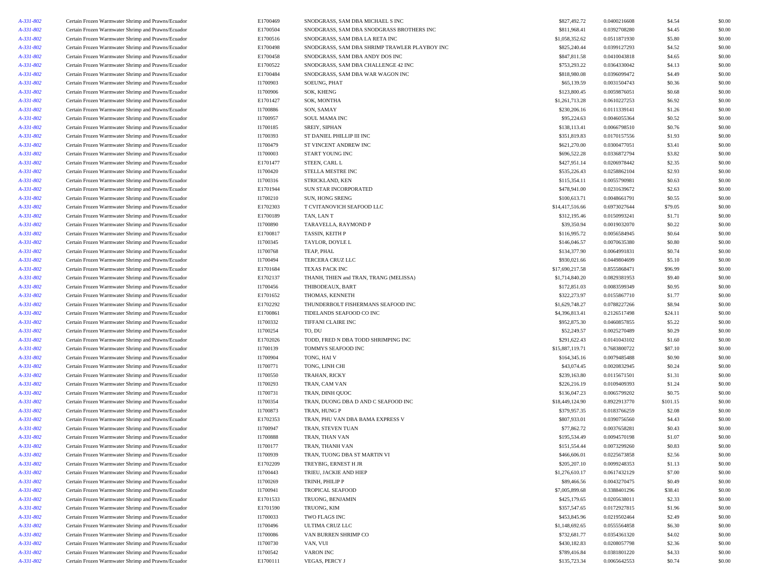| A-331-802 | Certain Frozen Warmwater Shrimp and Prawns/Ecuador | E1700469 | SNODGRASS, SAM DBA MICHAEL S INC              | \$827,492.72    | 0.0400216608                 | \$4.54   | \$0.00           |
|-----------|----------------------------------------------------|----------|-----------------------------------------------|-----------------|------------------------------|----------|------------------|
| A-331-802 | Certain Frozen Warmwater Shrimp and Prawns/Ecuador | E1700504 | SNODGRASS, SAM DBA SNODGRASS BROTHERS INC     | \$811,968.41    | 0.0392708280                 | \$4.45   | \$0.00           |
| A-331-802 | Certain Frozen Warmwater Shrimp and Prawns/Ecuador | E1700516 | SNODGRASS, SAM DBA LA RETA INC                | \$1,058,352.62  | 0.0511871930                 | \$5.80   | \$0.00           |
| A-331-802 | Certain Frozen Warmwater Shrimp and Prawns/Ecuador | E1700498 | SNODGRASS, SAM DBA SHRIMP TRAWLER PLAYBOY INC | \$825,240.44    | 0.0399127293                 | \$4.52   | \$0.00           |
| A-331-802 | Certain Frozen Warmwater Shrimp and Prawns/Ecuador | E1700458 | SNODGRASS, SAM DBA ANDY DOS INC               | \$847,811.58    | 0.0410043818                 | \$4.65   | \$0.00           |
| A-331-802 | Certain Frozen Warmwater Shrimp and Prawns/Ecuador | E1700522 | SNODGRASS, SAM DBA CHALLENGE 42 INC           | \$753,293.22    | 0.0364330042                 | \$4.13   | \$0.00           |
| A-331-802 | Certain Frozen Warmwater Shrimp and Prawns/Ecuador | E1700484 | SNODGRASS, SAM DBA WAR WAGON INC              | \$818,980.08    | 0.0396099472                 | \$4.49   | \$0.00           |
| A-331-802 | Certain Frozen Warmwater Shrimp and Prawns/Ecuador | I1700903 | SOEUNG, PHAT                                  | \$65,139.59     | 0.0031504743                 | \$0.36   | \$0.00           |
| A-331-802 | Certain Frozen Warmwater Shrimp and Prawns/Ecuador | I1700906 | SOK, KHENG                                    | \$123,800.45    | 0.0059876051                 | \$0.68   | \$0.00           |
| A-331-802 | Certain Frozen Warmwater Shrimp and Prawns/Ecuador | E1701427 | SOK, MONTHA                                   | \$1,261,713.28  | 0.0610227253                 | \$6.92   | \$0.00           |
| A-331-802 | Certain Frozen Warmwater Shrimp and Prawns/Ecuador | I1700886 | SON, SAMAY                                    | \$230,206.16    | 0.0111339141                 | \$1.26   | \$0.00           |
| A-331-802 | Certain Frozen Warmwater Shrimp and Prawns/Ecuador | I1700957 | SOUL MAMA INC                                 | \$95,224.63     | 0.0046055364                 | \$0.52   | \$0.00           |
| A-331-802 | Certain Frozen Warmwater Shrimp and Prawns/Ecuador | I1700185 | SREIY, SIPHAN                                 | \$138,113.41    | 0.0066798510                 | \$0.76   | \$0.00           |
| A-331-802 | Certain Frozen Warmwater Shrimp and Prawns/Ecuador | I1700393 | ST DANIEL PHILLIP III INC                     | \$351,819.83    | 0.0170157556                 | \$1.93   | \$0.00           |
| A-331-802 | Certain Frozen Warmwater Shrimp and Prawns/Ecuador | I1700479 | ST VINCENT ANDREW INC                         | \$621,270.00    | 0.0300477051                 | \$3.41   | \$0.00           |
| A-331-802 | Certain Frozen Warmwater Shrimp and Prawns/Ecuador | I1700003 | START YOUNG INC                               | \$696,522.28    | 0.0336872794                 | \$3.82   | \$0.00           |
| A-331-802 | Certain Frozen Warmwater Shrimp and Prawns/Ecuador | E1701477 | STEEN, CARL L                                 | \$427,951.14    | 0.0206978442                 | \$2.35   | \$0.00           |
| A-331-802 |                                                    | I1700420 |                                               | \$535,226.43    | 0.0258862104                 | \$2.93   |                  |
|           | Certain Frozen Warmwater Shrimp and Prawns/Ecuador |          | STELLA MESTRE INC                             | \$115,354.11    |                              | \$0.63   | \$0.00<br>\$0.00 |
| A-331-802 | Certain Frozen Warmwater Shrimp and Prawns/Ecuador | I1700316 | STRICKLAND, KEN                               |                 | 0.0055790981                 |          |                  |
| A-331-802 | Certain Frozen Warmwater Shrimp and Prawns/Ecuador | E1701944 | SUN STAR INCORPORATED                         | \$478,941.00    | 0.0231639672                 | \$2.63   | \$0.00           |
| A-331-802 | Certain Frozen Warmwater Shrimp and Prawns/Ecuador | I1700210 | SUN, HONG SRENG                               | \$100,613.71    | 0.0048661791                 | \$0.55   | \$0.00           |
| A-331-802 | Certain Frozen Warmwater Shrimp and Prawns/Ecuador | E1702303 | T CVITANOVICH SEAFOOD LLC                     | \$14,417,516.66 | 0.6973027644                 | \$79.05  | \$0.00           |
| A-331-802 | Certain Frozen Warmwater Shrimp and Prawns/Ecuador | E1700189 | TAN, LANT                                     | \$312,195.46    | 0.0150993241                 | \$1.71   | \$0.00           |
| A-331-802 | Certain Frozen Warmwater Shrimp and Prawns/Ecuador | I1700890 | TARAVELLA, RAYMOND P                          | \$39,350.94     | 0.0019032070                 | \$0.22   | \$0.00           |
| A-331-802 | Certain Frozen Warmwater Shrimp and Prawns/Ecuador | E1700817 | TASSIN, KEITH P                               | \$116,995.72    | 0.0056584945                 | \$0.64   | \$0.00           |
| A-331-802 | Certain Frozen Warmwater Shrimp and Prawns/Ecuador | I1700345 | TAYLOR, DOYLE L                               | \$146,046.57    | 0.0070635380                 | \$0.80   | \$0.00           |
| A-331-802 | Certain Frozen Warmwater Shrimp and Prawns/Ecuador | I1700768 | TEAP, PHAL                                    | \$134,377.90    | 0.0064991831                 | \$0.74   | \$0.00           |
| A-331-802 | Certain Frozen Warmwater Shrimp and Prawns/Ecuador | I1700494 | <b>TERCERA CRUZ LLC</b>                       | \$930,021.66    | 0.0449804699                 | \$5.10   | \$0.00           |
| A-331-802 | Certain Frozen Warmwater Shrimp and Prawns/Ecuador | E1701684 | TEXAS PACK INC                                | \$17,690,217.58 | 0.8555868471                 | \$96.99  | \$0.00           |
| A-331-802 | Certain Frozen Warmwater Shrimp and Prawns/Ecuador | E1702137 | THANH, THIEN and TRAN, TRANG (MELISSA)        | \$1,714,840.20  | 0.0829381953                 | \$9.40   | \$0.00           |
| A-331-802 | Certain Frozen Warmwater Shrimp and Prawns/Ecuador | I1700456 | THIBODEAUX, BART                              | \$172,851.03    | 0.0083599349                 | \$0.95   | \$0.00           |
| A-331-802 | Certain Frozen Warmwater Shrimp and Prawns/Ecuador | E1701652 | THOMAS, KENNETH                               | \$322,273.97    | 0.0155867710                 | \$1.77   | \$0.00           |
| A-331-802 | Certain Frozen Warmwater Shrimp and Prawns/Ecuador | E1702292 | THUNDERBOLT FISHERMANS SEAFOOD INC            | \$1,629,748.27  | 0.0788227266                 | \$8.94   | \$0.00           |
| A-331-802 | Certain Frozen Warmwater Shrimp and Prawns/Ecuador | E1700861 | TIDELANDS SEAFOOD CO INC                      | \$4,396,813.41  | 0.2126517498                 | \$24.11  | \$0.00           |
| A-331-802 | Certain Frozen Warmwater Shrimp and Prawns/Ecuador | I1700332 | TIFFANI CLAIRE INC                            | \$952,875.30    | 0.0460857855                 | \$5.22   | \$0.00           |
| A-331-802 | Certain Frozen Warmwater Shrimp and Prawns/Ecuador | I1700254 | TO, DU                                        | \$52,249.57     | 0.0025270489                 | \$0.29   | \$0.00           |
| A-331-802 | Certain Frozen Warmwater Shrimp and Prawns/Ecuador | E1702026 | TODD, FRED N DBA TODD SHRIMPING INC           | \$291,622.43    | 0.0141043102                 | \$1.60   | \$0.00           |
| A-331-802 | Certain Frozen Warmwater Shrimp and Prawns/Ecuador | I1700139 | TOMMYS SEAFOOD INC                            | \$15,887,119.71 | 0.7683800722                 | \$87.10  | \$0.00           |
| A-331-802 | Certain Frozen Warmwater Shrimp and Prawns/Ecuador | I1700904 | TONG, HAI V                                   | \$164,345.16    | 0.0079485488                 | \$0.90   | \$0.00           |
| A-331-802 | Certain Frozen Warmwater Shrimp and Prawns/Ecuador | I1700771 | TONG, LINH CHI                                | \$43,074.45     | 0.0020832945                 | \$0.24   | \$0.00           |
| A-331-802 | Certain Frozen Warmwater Shrimp and Prawns/Ecuador | I1700550 | TRAHAN, RICKY                                 | \$239,163.80    | 0.0115671501                 | \$1.31   | \$0.00           |
| A-331-802 | Certain Frozen Warmwater Shrimp and Prawns/Ecuador | I1700293 | TRAN, CAM VAN                                 | \$226,216.19    | 0.0109409393                 | \$1.24   | \$0.00           |
| A-331-802 | Certain Frozen Warmwater Shrimp and Prawns/Ecuador | 11700731 | TRAN, DINH QUOC                               | \$136,047.23    | 0.0065799202                 | \$0.75   | \$0.00           |
| A-331-802 | Certain Frozen Warmwater Shrimp and Prawns/Ecuador | I1700354 | TRAN, DUONG DBA D AND C SEAFOOD INC           | \$18,449,124.90 | 0.8922913770                 | \$101.15 | \$0.00           |
| A-331-802 | Certain Frozen Warmwater Shrimp and Prawns/Ecuador | I1700873 | TRAN, HUNG P                                  | \$379,957.35    | 0.0183766259                 | \$2.08   | \$0.00           |
| A-331-802 | Certain Frozen Warmwater Shrimp and Prawns/Ecuador | E1702353 | TRAN, PHU VAN DBA BAMA EXPRESS V              | \$807,933.01    | 0.0390756560                 | \$4.43   | \$0.00           |
| A-331-802 | Certain Frozen Warmwater Shrimp and Prawns/Ecuador | I1700947 | TRAN, STEVEN TUAN                             | \$77,862.72     | 0.0037658281                 | \$0.43   | \$0.00           |
| A-331-802 | Certain Frozen Warmwater Shrimp and Prawns/Ecuador | I1700888 | TRAN, THAN VAN                                | \$195,534.49    | 0.0094570198                 | \$1.07   | \$0.00           |
| A-331-802 | Certain Frozen Warmwater Shrimp and Prawns/Ecuador | I1700177 | TRAN, THANH VAN                               | \$151,554.44    | 0.0073299260                 | \$0.83   | \$0.00           |
| A-331-802 | Certain Frozen Warmwater Shrimp and Prawns/Ecuador | I1700939 | TRAN, TUONG DBA ST MARTIN VI                  | \$466,606.01    | 0.0225673858                 | \$2.56   | \$0.00           |
| A-331-802 | Certain Frozen Warmwater Shrimp and Prawns/Ecuador | E1702209 | TREYBIG, ERNEST H JR                          | \$205,207.10    | 0.0099248353                 | \$1.13   | \$0.00           |
| A-331-802 | Certain Frozen Warmwater Shrimp and Prawns/Ecuador | I1700443 | TRIEU, JACKIE AND HIEP                        | \$1,276,610.17  | 0.0617432129                 | \$7.00   | \$0.00           |
| A-331-802 | Certain Frozen Warmwater Shrimp and Prawns/Ecuador | I1700269 | TRINH, PHILIP P                               | \$89,466.56     | 0.0043270475                 | \$0.49   | \$0.00           |
|           |                                                    |          |                                               |                 |                              |          |                  |
| A-331-802 | Certain Frozen Warmwater Shrimp and Prawns/Ecuador | I1700941 | TROPICAL SEAFOOD                              | \$7,005,899.68  | 0.3388401296<br>0.0205638011 | \$38.41  | \$0.00           |
| A-331-802 | Certain Frozen Warmwater Shrimp and Prawns/Ecuador | E1701533 | TRUONG, BENJAMIN                              | \$425,179.65    |                              | \$2.33   | \$0.00           |
| A-331-802 | Certain Frozen Warmwater Shrimp and Prawns/Ecuador | E1701590 | TRUONG, KIM                                   | \$357,547.65    | 0.0172927815                 | \$1.96   | \$0.00           |
| A-331-802 | Certain Frozen Warmwater Shrimp and Prawns/Ecuador | I1700033 | TWO FLAGS INC                                 | \$453,845.96    | 0.0219502464                 | \$2.49   | \$0.00           |
| A-331-802 | Certain Frozen Warmwater Shrimp and Prawns/Ecuador | I1700496 | ULTIMA CRUZ LLC                               | \$1,148,692.65  | 0.0555564858                 | \$6.30   | \$0.00           |
| A-331-802 | Certain Frozen Warmwater Shrimp and Prawns/Ecuador | I1700086 | VAN BURREN SHRIMP CO                          | \$732,681.77    | 0.0354361320                 | \$4.02   | \$0.00           |
| A-331-802 | Certain Frozen Warmwater Shrimp and Prawns/Ecuador | I1700730 | VAN, VUI                                      | \$430,182.83    | 0.0208057798                 | \$2.36   | \$0.00           |
| A-331-802 | Certain Frozen Warmwater Shrimp and Prawns/Ecuador | I1700542 | VARON INC                                     | \$789,416.84    | 0.0381801220                 | \$4.33   | \$0.00           |
| A-331-802 | Certain Frozen Warmwater Shrimp and Prawns/Ecuador | E1700111 | VEGAS, PERCY J                                | \$135,723.34    | 0.0065642553                 | \$0.74   | \$0.00           |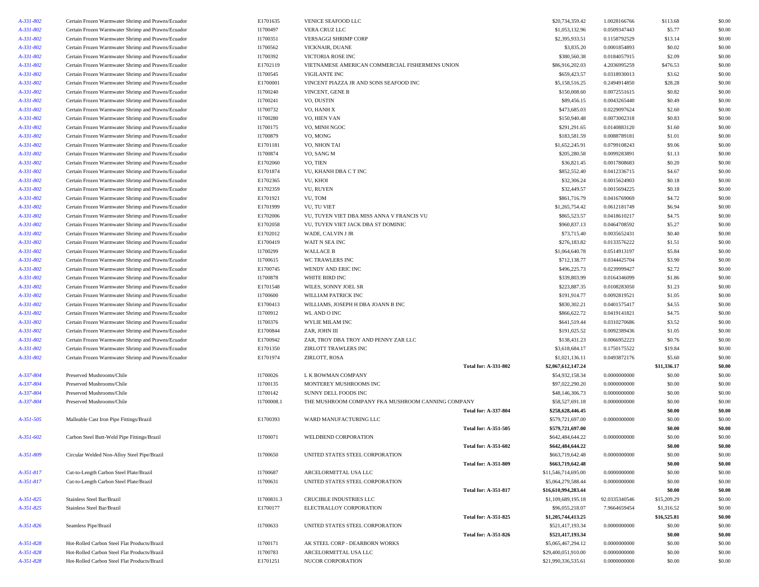| A-331-802 | Certain Frozen Warmwater Shrimp and Prawns/Ecuador | E1701635   | VENICE SEAFOOD LLC                                |                             | \$20,734,359.42     | 1.0028166766  | \$113.68    | \$0.00 |
|-----------|----------------------------------------------------|------------|---------------------------------------------------|-----------------------------|---------------------|---------------|-------------|--------|
| A-331-802 | Certain Frozen Warmwater Shrimp and Prawns/Ecuador | I1700497   | VERA CRUZ LLC                                     |                             | \$1,053,132.96      | 0.0509347443  | \$5.77      | \$0.00 |
| A-331-802 | Certain Frozen Warmwater Shrimp and Prawns/Ecuador | I1700351   | VERSAGGI SHRIMP CORP                              |                             | \$2,395,933.51      | 0.1158792529  | \$13.14     | \$0.00 |
| A-331-802 | Certain Frozen Warmwater Shrimp and Prawns/Ecuador | I1700562   | VICKNAIR, DUANE                                   |                             | \$3,835.20          | 0.0001854893  | \$0.02      | \$0.00 |
| A-331-802 | Certain Frozen Warmwater Shrimp and Prawns/Ecuador | I1700392   | VICTORIA ROSE INC                                 |                             | \$380,560.38        | 0.0184057915  | \$2.09      | \$0.00 |
| A-331-802 | Certain Frozen Warmwater Shrimp and Prawns/Ecuador | E1702119   | VIETNAMESE AMERICAN COMMERCIAL FISHERMENS UNION   |                             | \$86,916,202.03     | 4.2036995259  | \$476.53    | \$0.00 |
| A-331-802 | Certain Frozen Warmwater Shrimp and Prawns/Ecuador | I1700545   | <b>VIGILANTE INC</b>                              |                             | \$659,423.57        | 0.0318930013  | \$3.62      | \$0.00 |
| A-331-802 | Certain Frozen Warmwater Shrimp and Prawns/Ecuador | E1700001   | VINCENT PIAZZA JR AND SONS SEAFOOD INC            |                             | \$5,158,516.25      | 0.2494914850  | \$28.28     | \$0.00 |
| A-331-802 | Certain Frozen Warmwater Shrimp and Prawns/Ecuador | I1700240   | VINCENT, GENE B                                   |                             | \$150,008.60        | 0.0072551615  | \$0.82      | \$0.00 |
| A-331-802 | Certain Frozen Warmwater Shrimp and Prawns/Ecuador | I1700241   | VO, DUSTIN                                        |                             | \$89,456.15         | 0.0043265440  | \$0.49      | \$0.00 |
| A-331-802 | Certain Frozen Warmwater Shrimp and Prawns/Ecuador | I1700732   | VO, HANH X                                        |                             | \$473,685.03        | 0.0229097624  | \$2.60      | \$0.00 |
| A-331-802 | Certain Frozen Warmwater Shrimp and Prawns/Ecuador | I1700280   | VO, HIEN VAN                                      |                             | \$150,940.48        | 0.0073002318  | \$0.83      | \$0.00 |
| A-331-802 | Certain Frozen Warmwater Shrimp and Prawns/Ecuador | I1700175   | VO. MINH NGOC                                     |                             | \$291,291.65        | 0.0140883120  | \$1.60      | \$0.00 |
| A-331-802 | Certain Frozen Warmwater Shrimp and Prawns/Ecuador | I1700879   | VO, MONG                                          |                             | \$183,581.59        | 0.0088789181  | \$1.01      | \$0.00 |
| A-331-802 | Certain Frozen Warmwater Shrimp and Prawns/Ecuador | E1701181   | VO, NHON TAI                                      |                             | \$1,652,245.91      | 0.0799108243  | \$9.06      | \$0.00 |
| A-331-802 | Certain Frozen Warmwater Shrimp and Prawns/Ecuador | I1700874   | VO, SANG M                                        |                             | \$205,280.58        | 0.0099283891  | \$1.13      | \$0.00 |
| A-331-802 | Certain Frozen Warmwater Shrimp and Prawns/Ecuador | E1702060   | VO, TIEN                                          |                             | \$36,821.45         | 0.0017808683  | \$0.20      | \$0.00 |
| A-331-802 | Certain Frozen Warmwater Shrimp and Prawns/Ecuador | E1701874   | VU, KHANH DBA C T INC                             |                             | \$852,552.40        | 0.0412336715  | \$4.67      | \$0.00 |
| A-331-802 | Certain Frozen Warmwater Shrimp and Prawns/Ecuador | E1702365   | VU, KHOI                                          |                             | \$32,306.24         | 0.0015624903  | \$0.18      | \$0.00 |
| A-331-802 | Certain Frozen Warmwater Shrimp and Prawns/Ecuador | E1702359   | VU, RUYEN                                         |                             | \$32,449.57         | 0.0015694225  | \$0.18      | \$0.00 |
| A-331-802 | Certain Frozen Warmwater Shrimp and Prawns/Ecuador | E1701921   | VU, TOM                                           |                             | \$861,716.79        | 0.0416769069  | \$4.72      | \$0.00 |
| A-331-802 | Certain Frozen Warmwater Shrimp and Prawns/Ecuador | E1701999   | VU, TU VIET                                       |                             | \$1,265,754.42      | 0.0612181749  | \$6.94      | \$0.00 |
| A-331-802 | Certain Frozen Warmwater Shrimp and Prawns/Ecuador | E1702006   | VU. TUYEN VIET DBA MISS ANNA V FRANCIS VU         |                             | \$865,523.57        | 0.0418610217  | \$4.75      | \$0.00 |
| A-331-802 | Certain Frozen Warmwater Shrimp and Prawns/Ecuador | E1702058   | VU, TUYEN VIET JACK DBA ST DOMINIC                |                             | \$960,837.13        | 0.0464708592  | \$5.27      | \$0.00 |
| A-331-802 | Certain Frozen Warmwater Shrimp and Prawns/Ecuador | E1702012   | WADE, CALVIN J JR                                 |                             | \$73,715.40         | 0.0035652431  | \$0.40      | \$0.00 |
| A-331-802 | Certain Frozen Warmwater Shrimp and Prawns/Ecuador | E1700419   | WAIT N SEA INC                                    |                             | \$276,183.82        | 0.0133576222  | \$1.51      | \$0.00 |
| A-331-802 | Certain Frozen Warmwater Shrimp and Prawns/Ecuador | I1700299   | <b>WALLACE B</b>                                  |                             | \$1,064,640.78      | 0.0514913197  | \$5.84      | \$0.00 |
| A-331-802 | Certain Frozen Warmwater Shrimp and Prawns/Ecuador | I1700615   | WC TRAWLERS INC                                   |                             | \$712,138.77        | 0.0344425704  | \$3.90      | \$0.00 |
| A-331-802 | Certain Frozen Warmwater Shrimp and Prawns/Ecuador | E1700745   | WENDY AND ERIC INC                                |                             | \$496,225.73        | 0.0239999427  | \$2.72      | \$0.00 |
| A-331-802 | Certain Frozen Warmwater Shrimp and Prawns/Ecuador | I1700878   | WHITE BIRD INC                                    |                             | \$339,803.99        | 0.0164346099  | \$1.86      | \$0.00 |
| A-331-802 | Certain Frozen Warmwater Shrimp and Prawns/Ecuador | E1701548   | WILES, SONNY JOEL SR                              |                             | \$223,887.35        | 0.0108283050  | \$1.23      | \$0.00 |
| A-331-802 | Certain Frozen Warmwater Shrimp and Prawns/Ecuador | I1700600   | WILLIAM PATRICK INC                               |                             | \$191,914.77        | 0.0092819521  | \$1.05      | \$0.00 |
| A-331-802 | Certain Frozen Warmwater Shrimp and Prawns/Ecuador | E1700413   | WILLIAMS, JOSEPH H DBA JOANN B INC                |                             | \$830,302.21        | 0.0401575417  | \$4.55      | \$0.00 |
| A-331-802 | Certain Frozen Warmwater Shrimp and Prawns/Ecuador | I1700912   | WL AND O INC                                      |                             | \$866,622.72        | 0.0419141821  | \$4.75      | \$0.00 |
| A-331-802 | Certain Frozen Warmwater Shrimp and Prawns/Ecuador | I1700376   | WYLIE MILAM INC                                   |                             | \$641,519.44        | 0.0310270686  | \$3.52      | \$0.00 |
| A-331-802 | Certain Frozen Warmwater Shrimp and Prawns/Ecuador | E1700844   | ZAR, JOHN III                                     |                             | \$191,025.52        | 0.0092389436  | \$1.05      | \$0.00 |
| A-331-802 | Certain Frozen Warmwater Shrimp and Prawns/Ecuador | E1700942   | ZAR, TROY DBA TROY AND PENNY ZAR LLC              |                             | \$138,431.23        | 0.0066952223  | \$0.76      | \$0.00 |
| A-331-802 | Certain Frozen Warmwater Shrimp and Prawns/Ecuador | E1701350   | ZIRLOTT TRAWLERS INC                              |                             | \$3,618,684.17      | 0.1750175522  | \$19.84     | \$0.00 |
| A-331-802 | Certain Frozen Warmwater Shrimp and Prawns/Ecuador | E1701974   | ZIRLOTT, ROSA                                     |                             | \$1,021,136.11      | 0.0493872176  | \$5.60      | \$0.00 |
|           |                                                    |            |                                                   | <b>Total for: A-331-802</b> | \$2,067,612,147.24  |               | \$11,336.17 | \$0.00 |
| A-337-804 | Preserved Mushrooms/Chile                          | I1700026   | L K BOWMAN COMPANY                                |                             | \$54,932,158.34     | 0.0000000000  | \$0.00      | \$0.00 |
| A-337-804 | Preserved Mushrooms/Chile                          | I1700135   | MONTEREY MUSHROOMS INC                            |                             | \$97,022,290.20     | 0.0000000000  | \$0.00      | \$0.00 |
| A-337-804 | Preserved Mushrooms/Chile                          | I1700142   | SUNNY DELL FOODS INC                              |                             | \$48,146,306.73     | 0.0000000000  | \$0.00      | \$0.00 |
| A-337-804 | Preserved Mushrooms/Chile                          | I1700008.1 | THE MUSHROOM COMPANY FKA MUSHROOM CANNING COMPANY |                             | \$58,527,691.18     | 0.0000000000  | \$0.00      | \$0.00 |
|           |                                                    |            |                                                   | <b>Total for: A-337-804</b> | \$258,628,446.45    |               | \$0.00      | \$0.00 |
| A-351-505 | Malleable Cast Iron Pipe Fittings/Brazil           | E1700393   | WARD MANUFACTURING LLC                            |                             | \$579,721,697.00    | 0.0000000000  | \$0.00      | \$0.00 |
|           |                                                    |            |                                                   | Total for: A-351-505        | \$579,721,697.00    |               | \$0.00      | \$0.00 |
| A-351-602 | Carbon Steel Butt-Weld Pipe Fittings/Brazil        | I1700071   | WELDBEND CORPORATION                              |                             | \$642,484,644.22    | 0.0000000000  | \$0.00      | \$0.00 |
|           |                                                    |            |                                                   | Total for: A-351-602        | \$642,484,644.22    |               | \$0.00      | \$0.00 |
| A-351-809 | Circular Welded Non-Alloy Steel Pipe/Brazil        | I1700650   | UNITED STATES STEEL CORPORATION                   |                             | \$663,719,642.48    | 0.0000000000  | \$0.00      | \$0.00 |
|           |                                                    |            |                                                   | <b>Total for: A-351-809</b> | \$663,719,642.48    |               | \$0.00      | \$0.00 |
| A-351-817 | Cut-to-Length Carbon Steel Plate/Brazil            | I1700687   | ARCELORMITTAL USA LLC                             |                             | \$11,546,714,695.00 | 0.0000000000  | \$0.00      | \$0.00 |
| A-351-817 | Cut-to-Length Carbon Steel Plate/Brazil            | I1700631   | UNITED STATES STEEL CORPORATION                   |                             | \$5,064,279,588.44  | 0.0000000000  | \$0.00      | \$0.00 |
|           |                                                    |            |                                                   | <b>Total for: A-351-817</b> | \$16,610,994,283.44 |               | \$0.00      | \$0.00 |
| A-351-825 | Stainless Steel Bar/Brazil                         | I1700831.3 | CRUCIBLE INDUSTRIES LLC                           |                             | \$1,109,689,195.18  | 92.0335340546 | \$15,209.29 | \$0.00 |
| A-351-825 | Stainless Steel Bar/Brazil                         | E1700177   | ELECTRALLOY CORPORATION                           |                             | \$96,055,218.07     | 7.9664659454  | \$1,316.52  | \$0.00 |
|           |                                                    |            |                                                   | Total for: A-351-825        | \$1,205,744,413.25  |               | \$16,525.81 | \$0.00 |
| A-351-826 | Seamless Pipe/Brazil                               | I1700633   | UNITED STATES STEEL CORPORATION                   |                             | \$521,417,193.34    | 0.0000000000  | \$0.00      | \$0.00 |
|           |                                                    |            |                                                   | <b>Total for: A-351-826</b> | \$521,417,193.34    |               | \$0.00      | \$0.00 |
| A-351-828 | Hot-Rolled Carbon Steel Flat Products/Brazil       | I1700171   | AK STEEL CORP - DEARBORN WORKS                    |                             | \$5,065,467,294.12  | 0.0000000000  | \$0.00      | \$0.00 |
| A-351-828 | Hot-Rolled Carbon Steel Flat Products/Brazil       | I1700783   | ARCELORMITTAL USA LLC                             |                             | \$29,400,051,910.00 | 0.0000000000  | \$0.00      | \$0.00 |
| A-351-828 | Hot-Rolled Carbon Steel Flat Products/Brazil       | E1701251   | NUCOR CORPORATION                                 |                             | \$21,990,336,535.61 | 0.0000000000  | \$0.00      | \$0.00 |
|           |                                                    |            |                                                   |                             |                     |               |             |        |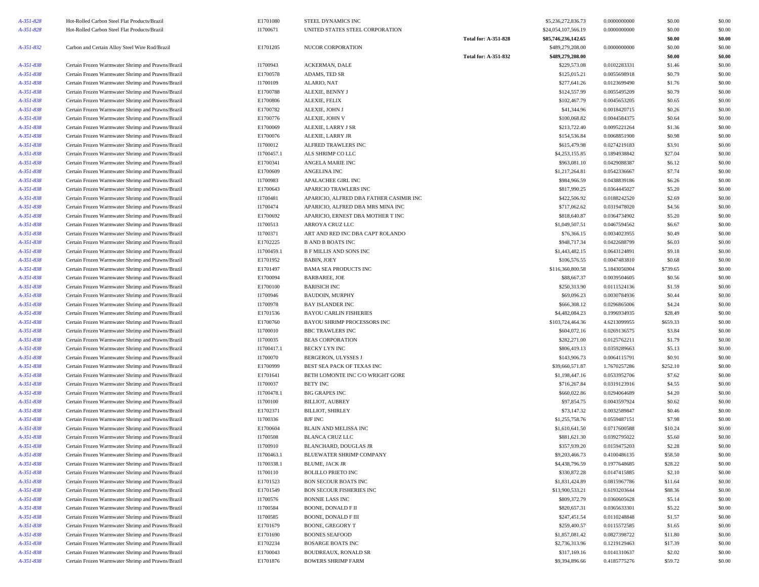| A-351-828 | Hot-Rolled Carbon Steel Flat Products/Brazil      | E1701080   | STEEL DYNAMICS INC                      |                             | \$5,236,272,836.73  | 0.0000000000 | \$0.00   | \$0.00 |
|-----------|---------------------------------------------------|------------|-----------------------------------------|-----------------------------|---------------------|--------------|----------|--------|
| A-351-828 | Hot-Rolled Carbon Steel Flat Products/Brazil      | I1700671   | UNITED STATES STEEL CORPORATION         |                             | \$24,054,107,566.19 | 0.0000000000 | \$0.00   | \$0.00 |
|           |                                                   |            |                                         | <b>Total for: A-351-828</b> | \$85,746,236,142.65 |              | \$0.00   | \$0.00 |
| A-351-832 | Carbon and Certain Alloy Steel Wire Rod/Brazil    | E1701205   | NUCOR CORPORATION                       |                             | \$489,279,208.00    | 0.0000000000 | \$0.00   | \$0.00 |
|           |                                                   |            |                                         | <b>Total for: A-351-832</b> | \$489,279,208.00    |              | \$0.00   | \$0.00 |
| A-351-838 | Certain Frozen Warmwater Shrimp and Prawns/Brazil | I1700943   | ACKERMAN, DALE                          |                             | \$229,573.08        | 0.0102283331 | \$1.46   | \$0.00 |
| A-351-838 | Certain Frozen Warmwater Shrimp and Prawns/Brazil | E1700578   | ADAMS, TED SR                           |                             | \$125,015.21        | 0.0055698918 | \$0.79   | \$0.00 |
| A-351-838 | Certain Frozen Warmwater Shrimp and Prawns/Brazil | I1700109   | ALARIO, NAT                             |                             | \$277,641.26        | 0.0123699490 | \$1.76   | \$0.00 |
| A-351-838 | Certain Frozen Warmwater Shrimp and Prawns/Brazil | E1700788   | ALEXIE, BENNY J                         |                             | \$124,557.99        | 0.0055495209 | \$0.79   | \$0.00 |
| A-351-838 | Certain Frozen Warmwater Shrimp and Prawns/Brazil | E1700806   | ALEXIE, FELIX                           |                             | \$102,467.79        | 0.0045653205 | \$0.65   | \$0.00 |
| A-351-838 | Certain Frozen Warmwater Shrimp and Prawns/Brazil | E1700782   | ALEXIE, JOHN J                          |                             | \$41,344.96         | 0.0018420715 | \$0.26   | \$0.00 |
| A-351-838 | Certain Frozen Warmwater Shrimp and Prawns/Brazil | E1700776   | ALEXIE, JOHN V                          |                             | \$100,068.82        | 0.0044584375 | \$0.64   | \$0.00 |
| A-351-838 | Certain Frozen Warmwater Shrimp and Prawns/Brazil | E1700069   | ALEXIE, LARRY J SR                      |                             | \$213,722.40        | 0.0095221264 | \$1.36   | \$0.00 |
| A-351-838 | Certain Frozen Warmwater Shrimp and Prawns/Brazil | E1700076   | ALEXIE, LARRY JR                        |                             | \$154,536.84        | 0.0068851900 | \$0.98   | \$0.00 |
| A-351-838 | Certain Frozen Warmwater Shrimp and Prawns/Brazil | I1700012   | ALFRED TRAWLERS INC                     |                             | \$615,479.98        | 0.0274219183 | \$3.91   | \$0.00 |
| A-351-838 | Certain Frozen Warmwater Shrimp and Prawns/Brazil | I1700457.1 | ALS SHRIMP CO LLC                       |                             | \$4,253,155.85      | 0.1894938842 | \$27.04  | \$0.00 |
| A-351-838 | Certain Frozen Warmwater Shrimp and Prawns/Brazil | E1700341   | ANGELA MARIE INC                        |                             | \$963,081.10        | 0.0429088387 | \$6.12   | \$0.00 |
| A-351-838 | Certain Frozen Warmwater Shrimp and Prawns/Brazil | E1700609   | ANGELINA INC                            |                             | \$1,217,264.81      | 0.0542336667 | \$7.74   | \$0.00 |
| A-351-838 | Certain Frozen Warmwater Shrimp and Prawns/Brazil | I1700983   | APALACHEE GIRL INC                      |                             | \$984,966.59        | 0.0438839186 | \$6.26   | \$0.00 |
| A-351-838 | Certain Frozen Warmwater Shrimp and Prawns/Brazil | E1700643   | APARICIO TRAWLERS INC                   |                             | \$817,990.25        | 0.0364445027 | \$5.20   | \$0.00 |
| A-351-838 | Certain Frozen Warmwater Shrimp and Prawns/Brazil | I1700481   | APARICIO, ALFRED DBA FATHER CASIMIR INC |                             | \$422,506.92        | 0.0188242520 | \$2.69   | \$0.00 |
| A-351-838 | Certain Frozen Warmwater Shrimp and Prawns/Brazil | I1700474   | APARICIO, ALFRED DBA MRS MINA INC       |                             | \$717,062.62        | 0.0319478020 | \$4.56   | \$0.00 |
| A-351-838 | Certain Frozen Warmwater Shrimp and Prawns/Brazil | E1700692   | APARICIO, ERNEST DBA MOTHER T INC       |                             | \$818,640.87        | 0.0364734902 | \$5.20   | \$0.00 |
| A-351-838 | Certain Frozen Warmwater Shrimp and Prawns/Brazil | I1700513   | ARROYA CRUZ LLC                         |                             | \$1,049,507.51      | 0.0467594562 | \$6.67   | \$0.00 |
| A-351-838 | Certain Frozen Warmwater Shrimp and Prawns/Brazil | I1700371   | ART AND RED INC DBA CAPT ROLANDO        |                             | \$76,366.15         | 0.0034023955 | \$0.49   | \$0.00 |
| A-351-838 | Certain Frozen Warmwater Shrimp and Prawns/Brazil | E1702225   | <b>B AND B BOATS INC</b>                |                             | \$948,717.34        | 0.0422688799 | \$6.03   | \$0.00 |
| A-351-838 | Certain Frozen Warmwater Shrimp and Prawns/Brazil | I1700459.1 | <b>B F MILLIS AND SONS INC</b>          |                             | \$1,443,482.15      | 0.0643124891 | \$9.18   | \$0.00 |
| A-351-838 | Certain Frozen Warmwater Shrimp and Prawns/Brazil | E1701952   | <b>BABIN, JOEY</b>                      |                             | \$106,576.55        | 0.0047483810 | \$0.68   | \$0.00 |
| A-351-838 | Certain Frozen Warmwater Shrimp and Prawns/Brazil | E1701497   | <b>BAMA SEA PRODUCTS INC</b>            |                             | \$116,360,800.58    | 5.1843056904 | \$739.65 | \$0.00 |
| A-351-838 | Certain Frozen Warmwater Shrimp and Prawns/Brazil | E1700094   | <b>BARBAREE, JOE</b>                    |                             | \$88,667.37         | 0.0039504605 | \$0.56   | \$0.00 |
| A-351-838 | Certain Frozen Warmwater Shrimp and Prawns/Brazil | E1700100   | <b>BARISICH INC</b>                     |                             | \$250,313.90        | 0.0111524136 | \$1.59   | \$0.00 |
| A-351-838 | Certain Frozen Warmwater Shrimp and Prawns/Brazil | I1700946   | <b>BAUDOIN, MURPHY</b>                  |                             | \$69,096.23         | 0.0030784936 | \$0.44   | \$0.00 |
| A-351-838 | Certain Frozen Warmwater Shrimp and Prawns/Brazil | I1700978   | <b>BAY ISLANDER INC</b>                 |                             | \$666,308.12        | 0.0296865006 | \$4.24   | \$0.00 |
| A-351-838 | Certain Frozen Warmwater Shrimp and Prawns/Brazil | E1701536   | <b>BAYOU CARLIN FISHERIES</b>           |                             | \$4,482,084.23      | 0.1996934935 | \$28.49  | \$0.00 |
| A-351-838 | Certain Frozen Warmwater Shrimp and Prawns/Brazil | E1700760   | BAYOU SHRIMP PROCESSORS INC             |                             | \$103,724,464.36    | 4.6213099955 | \$659.33 | \$0.00 |
| A-351-838 | Certain Frozen Warmwater Shrimp and Prawns/Brazil | I1700010   | <b>BBC TRAWLERS INC</b>                 |                             | \$604,072.16        | 0.0269136575 | \$3.84   | \$0.00 |
| A-351-838 | Certain Frozen Warmwater Shrimp and Prawns/Brazil | I1700035   | <b>BEAS CORPORATION</b>                 |                             | \$282,271.00        | 0.0125762211 | \$1.79   | \$0.00 |
| A-351-838 | Certain Frozen Warmwater Shrimp and Prawns/Brazil | I1700417.1 | BECKY LYN INC                           |                             | \$806,419.13        | 0.0359289663 | \$5.13   | \$0.00 |
| A-351-838 | Certain Frozen Warmwater Shrimp and Prawns/Brazil | I1700070   | BERGERON, ULYSSES J                     |                             | \$143,906.73        | 0.0064115791 | \$0.91   | \$0.00 |
| A-351-838 | Certain Frozen Warmwater Shrimp and Prawns/Brazil | E1700999   | BEST SEA PACK OF TEXAS INC              |                             | \$39,660,571.87     | 1.7670257286 | \$252.10 | \$0.00 |
| A-351-838 | Certain Frozen Warmwater Shrimp and Prawns/Brazil | E1701641   | BETH LOMONTE INC C/O WRIGHT GORE        |                             | \$1,198,447.16      | 0.0533952706 | \$7.62   | \$0.00 |
| A-351-838 | Certain Frozen Warmwater Shrimp and Prawns/Brazil | I1700037   | <b>BETY INC</b>                         |                             | \$716,267.84        | 0.0319123916 | \$4.55   | \$0.00 |
| A-351-838 | Certain Frozen Warmwater Shrimp and Prawns/Brazil | I1700478.1 | <b>BIG GRAPES INC</b>                   |                             | \$660,022.86        | 0.0294064689 | \$4.20   | \$0.00 |
| A-351-838 | Certain Frozen Warmwater Shrimp and Prawns/Brazil | I1700100   | <b>BILLIOT, AUBREY</b>                  |                             | \$97,854.75         | 0.0043597924 | \$0.62   | \$0.00 |
| A-351-838 | Certain Frozen Warmwater Shrimp and Prawns/Brazil | E1702371   | <b>BILLIOT, SHIRLEY</b>                 |                             | \$73,147.32         | 0.0032589847 | \$0.46   | \$0.00 |
| A-351-838 | Certain Frozen Warmwater Shrimp and Prawns/Brazil | I1700336   | <b>BJF INC</b>                          |                             | \$1,255,758.76      | 0.0559487151 | \$7.98   | \$0.00 |
| A-351-838 | Certain Frozen Warmwater Shrimp and Prawns/Brazil | E1700604   | BLAIN AND MELISSA INC                   |                             | \$1,610,641.50      | 0.0717600588 | \$10.24  | \$0.00 |
| A-351-838 | Certain Frozen Warmwater Shrimp and Prawns/Brazil | I1700508   | <b>BLANCA CRUZ LLC</b>                  |                             | \$881,621.30        | 0.0392795022 | \$5.60   | \$0.00 |
| A-351-838 | Certain Frozen Warmwater Shrimp and Prawns/Brazil | I1700910   | BLANCHARD, DOUGLAS JR                   |                             | \$357,939.20        | 0.0159475203 | \$2.28   | \$0.00 |
| A-351-838 | Certain Frozen Warmwater Shrimp and Prawns/Brazil | I1700463.1 | BLUEWATER SHRIMP COMPANY                |                             | \$9,203,466.73      | 0.4100486135 | \$58.50  | \$0.00 |
| A-351-838 | Certain Frozen Warmwater Shrimp and Prawns/Brazil | I1700338.1 | BLUME, JACK JR                          |                             | \$4,438,796.59      | 0.1977648685 | \$28.22  | \$0.00 |
| A-351-838 | Certain Frozen Warmwater Shrimp and Prawns/Brazil | I1700110   | <b>BOLILLO PRIETO INC</b>               |                             | \$330,872.28        | 0.0147415885 | \$2.10   | \$0.00 |
| A-351-838 | Certain Frozen Warmwater Shrimp and Prawns/Brazil | E1701523   | <b>BON SECOUR BOATS INC</b>             |                             | \$1,831,424.89      | 0.0815967786 | \$11.64  | \$0.00 |
| A-351-838 | Certain Frozen Warmwater Shrimp and Prawns/Brazil | E1701549   | BON SECOUR FISHERIES INC                |                             | \$13,900,533.21     | 0.6193203644 | \$88.36  | \$0.00 |
| A-351-838 | Certain Frozen Warmwater Shrimp and Prawns/Brazil | I1700576   | <b>BONNIE LASS INC</b>                  |                             | \$809,372.79        | 0.0360605628 | \$5.14   | \$0.00 |
| A-351-838 | Certain Frozen Warmwater Shrimp and Prawns/Brazil | I1700584   | BOONE, DONALD F II                      |                             | \$820,657.31        | 0.0365633301 | \$5.22   | \$0.00 |
| A-351-838 | Certain Frozen Warmwater Shrimp and Prawns/Brazil | I1700585   | <b>BOONE, DONALD F III</b>              |                             | \$247,451.54        | 0.0110248848 | \$1.57   | \$0.00 |
| A-351-838 | Certain Frozen Warmwater Shrimp and Prawns/Brazil | E1701679   | <b>BOONE, GREGORY T</b>                 |                             | \$259,400.57        | 0.0115572585 | \$1.65   | \$0.00 |
| A-351-838 | Certain Frozen Warmwater Shrimp and Prawns/Brazil | E1701690   | <b>BOONES SEAFOOD</b>                   |                             | \$1,857,081.42      | 0.0827398722 | \$11.80  | \$0.00 |
| A-351-838 | Certain Frozen Warmwater Shrimp and Prawns/Brazil | E1702234   | <b>BOSARGE BOATS INC</b>                |                             | \$2,736,313.96      | 0.1219129463 | \$17.39  | \$0.00 |
| A-351-838 | Certain Frozen Warmwater Shrimp and Prawns/Brazil | E1700043   | <b>BOUDREAUX, RONALD SR</b>             |                             | \$317,169.16        | 0.0141310637 | \$2.02   | \$0.00 |
| A-351-838 | Certain Frozen Warmwater Shrimp and Prawns/Brazil | E1701876   | <b>BOWERS SHRIMP FARM</b>               |                             | \$9,394,896.66      | 0.4185775276 | \$59.72  | \$0.00 |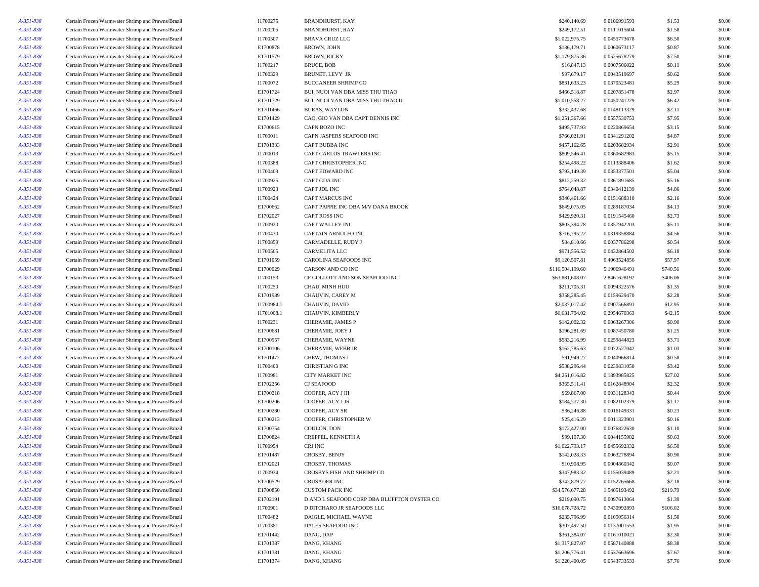| A-351-838 | Certain Frozen Warmwater Shrimp and Prawns/Brazil | I1700275   | <b>BRANDHURST, KAY</b>                                                | \$240,140.69     | 0.0106991593                 | \$1.53             | \$0.00           |
|-----------|---------------------------------------------------|------------|-----------------------------------------------------------------------|------------------|------------------------------|--------------------|------------------|
| A-351-838 | Certain Frozen Warmwater Shrimp and Prawns/Brazil | I1700205   | <b>BRANDHURST, RAY</b>                                                | \$249,172.51     | 0.0111015604                 | \$1.58             | \$0.00           |
| A-351-838 | Certain Frozen Warmwater Shrimp and Prawns/Brazil | I1700507   | <b>BRAVA CRUZ LLC</b>                                                 | \$1,022,975.75   | 0.0455773678                 | \$6.50             | \$0.00           |
| A-351-838 | Certain Frozen Warmwater Shrimp and Prawns/Brazil | E1700878   | BROWN, JOHN                                                           | \$136,179.71     | 0.0060673117                 | \$0.87             | \$0.00           |
| A-351-838 | Certain Frozen Warmwater Shrimp and Prawns/Brazil | E1701579   | <b>BROWN, RICKY</b>                                                   | \$1,179,875.36   | 0.0525678279                 | \$7.50             | \$0.00           |
| A-351-838 | Certain Frozen Warmwater Shrimp and Prawns/Brazil | I1700217   | BRUCE, BOB                                                            | \$16,847.13      | 0.0007506022                 | \$0.11             | \$0.00           |
| A-351-838 | Certain Frozen Warmwater Shrimp and Prawns/Brazil | I1700329   | <b>BRUNET, LEVY JR</b>                                                | \$97,679.17      | 0.0043519697                 | \$0.62             | \$0.00           |
| A-351-838 | Certain Frozen Warmwater Shrimp and Prawns/Brazil | I1700072   | <b>BUCCANEER SHRIMP CO</b>                                            | \$831,633.23     | 0.0370523481                 | \$5.29             | \$0.00           |
| A-351-838 | Certain Frozen Warmwater Shrimp and Prawns/Brazil | E1701724   | BUI, NUOI VAN DBA MISS THU THAO                                       | \$466,518.87     | 0.0207851478                 | \$2.97             | \$0.00           |
| A-351-838 | Certain Frozen Warmwater Shrimp and Prawns/Brazil | E1701729   | BUI, NUOI VAN DBA MISS THU THAO II                                    | \$1,010,558.27   | 0.0450241229                 | \$6.42             | \$0.00           |
| A-351-838 | Certain Frozen Warmwater Shrimp and Prawns/Brazil | E1701466   | <b>BURAS, WAYLON</b>                                                  | \$332,437.68     | 0.0148113329                 | \$2.11             | \$0.00           |
|           |                                                   |            |                                                                       |                  |                              |                    |                  |
| A-351-838 | Certain Frozen Warmwater Shrimp and Prawns/Brazil | E1701429   | CAO, GIO VAN DBA CAPT DENNIS INC                                      | \$1,251,367.66   | 0.0557530753                 | \$7.95             | \$0.00           |
| A-351-838 | Certain Frozen Warmwater Shrimp and Prawns/Brazil | E1700615   | CAPN BOZO INC                                                         | \$495,737.93     | 0.0220869654                 | \$3.15             | \$0.00           |
| A-351-838 | Certain Frozen Warmwater Shrimp and Prawns/Brazil | I1700011   | CAPN JASPERS SEAFOOD INC                                              | \$766,021.91     | 0.0341291202                 | \$4.87             | \$0.00           |
| A-351-838 | Certain Frozen Warmwater Shrimp and Prawns/Brazil | E1701333   | <b>CAPT BUBBA INC</b>                                                 | \$457,162.65     | 0.0203682934                 | \$2.91             | \$0.00           |
| A-351-838 | Certain Frozen Warmwater Shrimp and Prawns/Brazil | I1700013   | CAPT CARLOS TRAWLERS INC                                              | \$809,546.41     | 0.0360682983                 | \$5.15             | \$0.00           |
| A-351-838 | Certain Frozen Warmwater Shrimp and Prawns/Brazil | I1700388   | CAPT CHRISTOPHER INC                                                  | \$254,498.22     | 0.0113388406                 | \$1.62             | \$0.00           |
| A-351-838 | Certain Frozen Warmwater Shrimp and Prawns/Brazil | I1700409   | CAPT EDWARD INC                                                       | \$793,149.39     | 0.0353377501                 | \$5.04             | \$0.00           |
| A-351-838 | Certain Frozen Warmwater Shrimp and Prawns/Brazil | I1700925   | CAPT GDA INC                                                          | \$812,259.32     | 0.0361891685                 | \$5.16             | \$0.00           |
| A-351-838 | Certain Frozen Warmwater Shrimp and Prawns/Brazil | I1700923   | CAPT JDL INC                                                          | \$764,048.87     | 0.0340412139                 | \$4.86             | \$0.00           |
| A-351-838 | Certain Frozen Warmwater Shrimp and Prawns/Brazil | I1700424   | <b>CAPT MARCUS INC</b>                                                | \$340,461.66     | 0.0151688310                 | \$2.16             | \$0.00           |
| A-351-838 | Certain Frozen Warmwater Shrimp and Prawns/Brazil | E1700662   | CAPT PAPPIE INC DBA M/V DANA BROOK                                    | \$649,075.05     | 0.0289187034                 | \$4.13             | \$0.00           |
| A-351-838 | Certain Frozen Warmwater Shrimp and Prawns/Brazil | E1702027   | <b>CAPT ROSS INC</b>                                                  | \$429,920.31     | 0.0191545460                 | \$2.73             | \$0.00           |
| A-351-838 | Certain Frozen Warmwater Shrimp and Prawns/Brazil | I1700920   | CAPT WALLEY INC                                                       | \$803,394.78     | 0.0357942203                 | \$5.11             | \$0.00           |
| A-351-838 | Certain Frozen Warmwater Shrimp and Prawns/Brazil | I1700430   | CAPTAIN ARNULFO INC                                                   | \$716,795.22     | 0.0319358884                 | \$4.56             | \$0.00           |
| A-351-838 | Certain Frozen Warmwater Shrimp and Prawns/Brazil | I1700859   | CARMADELLE, RUDY J                                                    | \$84,810.66      | 0.0037786298                 | \$0.54             | \$0.00           |
| A-351-838 | Certain Frozen Warmwater Shrimp and Prawns/Brazil | I1700505   | CARMELITA LLC                                                         | \$971,556.52     | 0.0432864502                 | \$6.18             | \$0.00           |
| A-351-838 | Certain Frozen Warmwater Shrimp and Prawns/Brazil | E1701059   | CAROLINA SEAFOODS INC                                                 | \$9,120,507.81   | 0.4063524856                 | \$57.97            | \$0.00           |
| A-351-838 | Certain Frozen Warmwater Shrimp and Prawns/Brazil | E1700029   | CARSON AND CO INC                                                     | \$116,504,199.60 | 5.1906946491                 | \$740.56           | \$0.00           |
| A-351-838 | Certain Frozen Warmwater Shrimp and Prawns/Brazil | I1700153   | CF GOLLOTT AND SON SEAFOOD INC                                        | \$63,881,608.07  | 2.8461628192                 | \$406.06           | \$0.00           |
|           |                                                   |            | CHAU, MINH HUU                                                        |                  | 0.0094322576                 |                    |                  |
| A-351-838 | Certain Frozen Warmwater Shrimp and Prawns/Brazil | I1700250   |                                                                       | \$211,705.31     |                              | \$1.35             | \$0.00           |
| A-351-838 | Certain Frozen Warmwater Shrimp and Prawns/Brazil | E1701989   | CHAUVIN, CAREY M                                                      | \$358,285.45     | 0.0159629470                 | \$2.28             | \$0.00           |
| A-351-838 | Certain Frozen Warmwater Shrimp and Prawns/Brazil | I1700984.1 | CHAUVIN, DAVID                                                        | \$2,037,017.42   | 0.0907566891                 | \$12.95            | \$0.00           |
| A-351-838 | Certain Frozen Warmwater Shrimp and Prawns/Brazil | I1701008.1 | CHAUVIN, KIMBERLY                                                     | \$6,631,704.02   | 0.2954670363                 | \$42.15            | \$0.00           |
| A-351-838 | Certain Frozen Warmwater Shrimp and Prawns/Brazil | I1700231   | CHERAMIE, JAMES P                                                     | \$142,002.32     | 0.0063267306                 | \$0.90             | \$0.00           |
| A-351-838 | Certain Frozen Warmwater Shrimp and Prawns/Brazil | E1700681   | CHERAMIE, JOEY J                                                      | \$196,281.69     | 0.0087450780                 | \$1.25             | \$0.00           |
| A-351-838 | Certain Frozen Warmwater Shrimp and Prawns/Brazil | E1700957   | CHERAMIE, WAYNE                                                       | \$583,216.99     | 0.0259844823                 | \$3.71             | \$0.00           |
| A-351-838 | Certain Frozen Warmwater Shrimp and Prawns/Brazil | E1700106   | CHERAMIE, WEBB JR                                                     | \$162,785.63     | 0.0072527042                 | \$1.03             | \$0.00           |
| A-351-838 | Certain Frozen Warmwater Shrimp and Prawns/Brazil | E1701472   | CHEW, THOMAS J                                                        | \$91,949.27      | 0.0040966814                 | \$0.58             | \$0.00           |
| A-351-838 | Certain Frozen Warmwater Shrimp and Prawns/Brazil | I1700400   | <b>CHRISTIAN G INC</b>                                                | \$538,296.44     | 0.0239831050                 | \$3.42             | \$0.00           |
| A-351-838 | Certain Frozen Warmwater Shrimp and Prawns/Brazil | I1700981   | <b>CITY MARKET INC</b>                                                | \$4,251,016.82   | 0.1893985825                 | \$27.02            | \$0.00           |
| A-351-838 | Certain Frozen Warmwater Shrimp and Prawns/Brazil | E1702256   | <b>CJ SEAFOOD</b>                                                     | \$365,511.41     | 0.0162848904                 | \$2.32             | \$0.00           |
| A-351-838 | Certain Frozen Warmwater Shrimp and Prawns/Brazil | E1700218   | COOPER, ACY J III                                                     | \$69,867.00      | 0.0031128343                 | \$0.44             | \$0.00           |
| A-351-838 | Certain Frozen Warmwater Shrimp and Prawns/Brazil | E1700206   | COOPER, ACY J JR                                                      | \$184,277.30     | 0.0082102379                 | \$1.17             | \$0.00           |
| A-351-838 | Certain Frozen Warmwater Shrimp and Prawns/Brazil | E1700230   | COOPER, ACY SR                                                        | \$36,246.88      | 0.0016149331                 | \$0.23             | \$0.00           |
| A-351-838 | Certain Frozen Warmwater Shrimp and Prawns/Brazil | E1700213   | COOPER, CHRISTOPHER W                                                 | \$25,416.29      | 0.0011323901                 | \$0.16             | \$0.00           |
| A-351-838 | Certain Frozen Warmwater Shrimp and Prawns/Brazil | E1700754   | COULON, DON                                                           | \$172,427.00     | 0.0076822630                 | \$1.10             | \$0.00           |
| A-351-838 | Certain Frozen Warmwater Shrimp and Prawns/Brazil | E1700824   | CREPPEL, KENNETH A                                                    | \$99,107.30      | 0.0044155982                 | \$0.63             | \$0.00           |
| A-351-838 | Certain Frozen Warmwater Shrimp and Prawns/Brazil | I1700954   | CRJ INC                                                               | \$1,022,793.17   | 0.0455692332                 | \$6.50             | \$0.00           |
| A-351-838 | Certain Frozen Warmwater Shrimp and Prawns/Brazil | E1701487   | CROSBY, BENJY                                                         | \$142,028.33     | 0.0063278894                 | \$0.90             | \$0.00           |
| A-351-838 | Certain Frozen Warmwater Shrimp and Prawns/Brazil | E1702021   | CROSBY, THOMAS                                                        | \$10,908.95      | 0.0004860342                 | \$0.07             | \$0.00           |
| A-351-838 | Certain Frozen Warmwater Shrimp and Prawns/Brazil | I1700934   | CROSBYS FISH AND SHRIMP CO                                            | \$347,983.32     | 0.0155039489                 | \$2.21             | \$0.00           |
| A-351-838 | Certain Frozen Warmwater Shrimp and Prawns/Brazil | E1700529   | <b>CRUSADER INC</b>                                                   | \$342,879.77     | 0.0152765668                 | \$2.18             | \$0.00           |
|           |                                                   | E1700850   |                                                                       | \$34,576,677.28  |                              |                    |                  |
| A-351-838 | Certain Frozen Warmwater Shrimp and Prawns/Brazil | E1702191   | <b>CUSTOM PACK INC</b><br>D AND L SEAFOOD CORP DBA BLUFFTON OYSTER CO | \$219,090.75     | 1.5405193492<br>0.0097613064 | \$219.79<br>\$1.39 | \$0.00<br>\$0.00 |
| A-351-838 | Certain Frozen Warmwater Shrimp and Prawns/Brazil |            |                                                                       |                  |                              |                    |                  |
| A-351-838 | Certain Frozen Warmwater Shrimp and Prawns/Brazil | I1700901   | D DITCHARO JR SEAFOODS LLC                                            | \$16,678,728.72  | 0.7430992893                 | \$106.02           | \$0.00           |
| A-351-838 | Certain Frozen Warmwater Shrimp and Prawns/Brazil | I1700482   | DAIGLE, MICHAEL WAYNE                                                 | \$235,796.99     | 0.0105056314                 | \$1.50             | \$0.00           |
| A-351-838 | Certain Frozen Warmwater Shrimp and Prawns/Brazil | I1700381   | <b>DALES SEAFOOD INC</b>                                              | \$307,497.50     | 0.0137001553                 | \$1.95             | \$0.00           |
| A-351-838 | Certain Frozen Warmwater Shrimp and Prawns/Brazil | E1701442   | DANG, DAP                                                             | \$361,384.07     | 0.0161010021                 | \$2.30             | \$0.00           |
| A-351-838 | Certain Frozen Warmwater Shrimp and Prawns/Brazil | E1701387   | DANG, KHANG                                                           | \$1,317,827.07   | 0.0587140888                 | \$8.38             | \$0.00           |
| A-351-838 | Certain Frozen Warmwater Shrimp and Prawns/Brazil | E1701381   | DANG, KHANG                                                           | \$1,206,776.41   | 0.0537663696                 | \$7.67             | \$0.00           |
| A-351-838 | Certain Frozen Warmwater Shrimp and Prawns/Brazil | E1701374   | DANG, KHANG                                                           | \$1,220,400.05   | 0.0543733533                 | \$7.76             | \$0.00           |
|           |                                                   |            |                                                                       |                  |                              |                    |                  |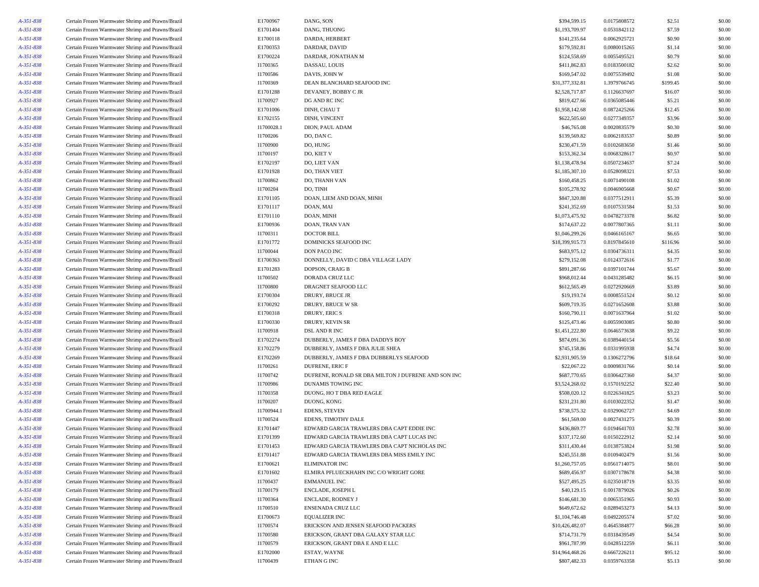| A-351-838              | Certain Frozen Warmwater Shrimp and Prawns/Brazil | E1700967               | DANG, SON                                           | \$394,599.15    | 0.0175808572                 | \$2.51           | \$0.00 |
|------------------------|---------------------------------------------------|------------------------|-----------------------------------------------------|-----------------|------------------------------|------------------|--------|
| A-351-838              | Certain Frozen Warmwater Shrimp and Prawns/Brazil | E1701404               | DANG, THUONG                                        | \$1,193,709.97  | 0.0531842112                 | \$7.59           | \$0.00 |
| A-351-838              | Certain Frozen Warmwater Shrimp and Prawns/Brazil | E1700118               | DARDA, HERBERT                                      | \$141,235.64    | 0.0062925721                 | \$0.90           | \$0.00 |
| A-351-838              | Certain Frozen Warmwater Shrimp and Prawns/Brazil | E1700353               | DARDAR, DAVID                                       | \$179,592.81    | 0.0080015265                 | \$1.14           | \$0.00 |
| A-351-838              | Certain Frozen Warmwater Shrimp and Prawns/Brazil | E1700224               | DARDAR, JONATHAN M                                  | \$124,558.69    | 0.0055495521                 | \$0.79           | \$0.00 |
| A-351-838              | Certain Frozen Warmwater Shrimp and Prawns/Brazil | I1700365               | DASSAU, LOUIS                                       | \$411,862.83    | 0.0183500182                 | \$2.62           | \$0.00 |
| A-351-838              | Certain Frozen Warmwater Shrimp and Prawns/Brazil | I1700586               | DAVIS, JOHN W                                       | \$169,547.02    | 0.0075539492                 | \$1.08           | \$0.00 |
| A-351-838              | Certain Frozen Warmwater Shrimp and Prawns/Brazil | I1700369               | DEAN BLANCHARD SEAFOOD INC                          | \$31,377,332.81 | 1.3979766745                 | \$199.45         | \$0.00 |
| A-351-838              | Certain Frozen Warmwater Shrimp and Prawns/Brazil | E1701288               | DEVANEY, BOBBY C JR                                 | \$2,528,717.87  | 0.1126637697                 | \$16.07          | \$0.00 |
| A-351-838              | Certain Frozen Warmwater Shrimp and Prawns/Brazil | I1700927               | DG AND RC INC                                       | \$819,427.66    | 0.0365085446                 | \$5.21           | \$0.00 |
|                        |                                                   |                        |                                                     |                 |                              |                  |        |
| A-351-838              | Certain Frozen Warmwater Shrimp and Prawns/Brazil | E1701006               | DINH, CHAU T                                        | \$1,958,142.68  | 0.0872425266                 | \$12.45          | \$0.00 |
| A-351-838              | Certain Frozen Warmwater Shrimp and Prawns/Brazil | E1702155               | DINH, VINCENT                                       | \$622,505.60    | 0.0277349357                 | \$3.96           | \$0.00 |
| A-351-838              | Certain Frozen Warmwater Shrimp and Prawns/Brazil | I1700028.1             | DION, PAUL ADAM                                     | \$46,765.08     | 0.0020835579                 | \$0.30           | \$0.00 |
| A-351-838              | Certain Frozen Warmwater Shrimp and Prawns/Brazil | I1700206               | DO, DAN C.                                          | \$139,569.82    | 0.0062183537                 | \$0.89           | \$0.00 |
| A-351-838              | Certain Frozen Warmwater Shrimp and Prawns/Brazil | I1700900               | DO, HUNG                                            | \$230,471.59    | 0.0102683650                 | \$1.46           | \$0.00 |
| A-351-838              | Certain Frozen Warmwater Shrimp and Prawns/Brazil | I1700197               | DO, KIET V                                          | \$153,362.34    | 0.0068328617                 | \$0.97           | \$0.00 |
| A-351-838              | Certain Frozen Warmwater Shrimp and Prawns/Brazil | E1702197               | DO, LIET VAN                                        | \$1,138,478.94  | 0.0507234637                 | \$7.24           | \$0.00 |
| A-351-838              | Certain Frozen Warmwater Shrimp and Prawns/Brazil | E1701928               | DO, THAN VIET                                       | \$1,185,307.10  | 0.0528098321                 | \$7.53           | \$0.00 |
| A-351-838              | Certain Frozen Warmwater Shrimp and Prawns/Brazil | I1700862               | DO, THANH VAN                                       | \$160,458.25    | 0.0071490108                 | \$1.02           | \$0.00 |
| A-351-838              | Certain Frozen Warmwater Shrimp and Prawns/Brazil | I1700204               | DO, TINH                                            | \$105,278.92    | 0.0046905668                 | \$0.67           | \$0.00 |
| A-351-838              | Certain Frozen Warmwater Shrimp and Prawns/Brazil | E1701105               | DOAN, LIEM AND DOAN, MINH                           | \$847,320.88    | 0.0377512911                 | \$5.39           | \$0.00 |
| A-351-838              | Certain Frozen Warmwater Shrimp and Prawns/Brazil | E1701117               | DOAN, MAI                                           | \$241,352.69    | 0.0107531584                 | \$1.53           | \$0.00 |
| A-351-838              | Certain Frozen Warmwater Shrimp and Prawns/Brazil | E1701110               | DOAN, MINH                                          | \$1,073,475.92  | 0.0478273378                 | \$6.82           | \$0.00 |
| A-351-838              | Certain Frozen Warmwater Shrimp and Prawns/Brazil | E1700936               | DOAN, TRAN VAN                                      | \$174,637.22    | 0.0077807365                 | \$1.11           | \$0.00 |
| A-351-838              | Certain Frozen Warmwater Shrimp and Prawns/Brazil | I1700311               | <b>DOCTOR BILL</b>                                  | \$1,046,299.26  | 0.0466165167                 | \$6.65           | \$0.00 |
| A-351-838              | Certain Frozen Warmwater Shrimp and Prawns/Brazil | E1701772               | <b>DOMINICKS SEAFOOD INC</b>                        | \$18,399,915.73 | 0.8197845610                 | \$116.96         | \$0.00 |
| A-351-838              | Certain Frozen Warmwater Shrimp and Prawns/Brazil | I1700044               | <b>DON PACO INC</b>                                 | \$683,975.12    | 0.0304736311                 | \$4.35           | \$0.00 |
| A-351-838              | Certain Frozen Warmwater Shrimp and Prawns/Brazil | E1700363               | DONNELLY, DAVID C DBA VILLAGE LADY                  | \$279,152.08    | 0.0124372616                 | \$1.77           | \$0.00 |
| A-351-838              | Certain Frozen Warmwater Shrimp and Prawns/Brazil | E1701283               | DOPSON, CRAIG B                                     | \$891,287.66    | 0.0397101744                 | \$5.67           | \$0.00 |
| A-351-838              | Certain Frozen Warmwater Shrimp and Prawns/Brazil | I1700502               | DORADA CRUZ LLC                                     | \$968,012.44    | 0.0431285482                 | \$6.15           | \$0.00 |
| A-351-838              | Certain Frozen Warmwater Shrimp and Prawns/Brazil | I1700800               | DRAGNET SEAFOOD LLC                                 | \$612,565.49    | 0.0272920669                 | \$3.89           | \$0.00 |
| A-351-838              | Certain Frozen Warmwater Shrimp and Prawns/Brazil | E1700304               | DRURY, BRUCE JR                                     | \$19,193.74     | 0.0008551524                 | \$0.12           | \$0.00 |
| A-351-838              | Certain Frozen Warmwater Shrimp and Prawns/Brazil | E1700292               | DRURY, BRUCE W SR                                   | \$609,719.35    | 0.0271652608                 | \$3.88           | \$0.00 |
| A-351-838              | Certain Frozen Warmwater Shrimp and Prawns/Brazil | E1700318               | DRURY, ERIC S                                       | \$160,790.11    | 0.0071637964                 | \$1.02           | \$0.00 |
| A-351-838              | Certain Frozen Warmwater Shrimp and Prawns/Brazil | E1700330               | DRURY, KEVIN SR                                     | \$125,473.46    | 0.0055903085                 | \$0.80           | \$0.00 |
| A-351-838              | Certain Frozen Warmwater Shrimp and Prawns/Brazil | I1700918               | DSL AND R INC                                       | \$1,451,222.80  | 0.0646573638                 | \$9.22           | \$0.00 |
| A-351-838              | Certain Frozen Warmwater Shrimp and Prawns/Brazil | E1702274               | DUBBERLY, JAMES F DBA DADDYS BOY                    | \$874,091.36    | 0.0389440154                 | \$5.56           | \$0.00 |
| A-351-838              | Certain Frozen Warmwater Shrimp and Prawns/Brazil | E1702279               | DUBBERLY, JAMES F DBA JULIE SHEA                    | \$745,158.86    | 0.0331995938                 | \$4.74           | \$0.00 |
| A-351-838              | Certain Frozen Warmwater Shrimp and Prawns/Brazil | E1702269               | DUBBERLY, JAMES F DBA DUBBERLYS SEAFOOD             | \$2,931,905.59  | 0.1306272796                 | \$18.64          | \$0.00 |
| A-351-838              | Certain Frozen Warmwater Shrimp and Prawns/Brazil | I1700261               | <b>DUFRENE, ERIC F</b>                              | \$22,067.22     | 0.0009831766                 | \$0.14           | \$0.00 |
| A-351-838              | Certain Frozen Warmwater Shrimp and Prawns/Brazil | I1700742               | DUFRENE, RONALD SR DBA MILTON J DUFRENE AND SON INC | \$687,770.65    | 0.0306427360                 | \$4.37           | \$0.00 |
| A-351-838              | Certain Frozen Warmwater Shrimp and Prawns/Brazil | I1700986               | DUNAMIS TOWING INC                                  | \$3,524,268.02  | 0.1570192252                 | \$22.40          | \$0.00 |
| A-351-838              | Certain Frozen Warmwater Shrimp and Prawns/Brazil | I1700358               | DUONG, HO T DBA RED EAGLE                           | \$508,020.12    | 0.0226341825                 | \$3.23           | \$0.00 |
| A-351-838              | Certain Frozen Warmwater Shrimp and Prawns/Brazil | I1700207               | DUONG, KONG                                         | \$231,231.80    | 0.0103022352                 | \$1.47           | \$0.00 |
|                        |                                                   |                        |                                                     | \$738,575.32    |                              |                  | \$0.00 |
| A-351-838<br>A-351-838 | Certain Frozen Warmwater Shrimp and Prawns/Brazil | I1700944.1<br>I1700524 | <b>EDENS, STEVEN</b><br>EDENS, TIMOTHY DALE         | \$61,569.00     | 0.0329062727<br>0.0027431275 | \$4.69<br>\$0.39 | \$0.00 |
|                        | Certain Frozen Warmwater Shrimp and Prawns/Brazil |                        |                                                     |                 |                              |                  |        |
| A-351-838              | Certain Frozen Warmwater Shrimp and Prawns/Brazil | E1701447               | EDWARD GARCIA TRAWLERS DBA CAPT EDDIE INC           | \$436,869.77    | 0.0194641703                 | \$2.78           | \$0.00 |
| A-351-838              | Certain Frozen Warmwater Shrimp and Prawns/Brazil | E1701399               | EDWARD GARCIA TRAWLERS DBA CAPT LUCAS INC           | \$337,172.60    | 0.0150222912                 | \$2.14           | \$0.00 |
| A-351-838              | Certain Frozen Warmwater Shrimp and Prawns/Brazil | E1701453               | EDWARD GARCIA TRAWLERS DBA CAPT NICHOLAS INC        | \$311,430.44    | 0.0138753824                 | \$1.98           | \$0.00 |
| A-351-838              | Certain Frozen Warmwater Shrimp and Prawns/Brazil | E1701417               | EDWARD GARCIA TRAWLERS DBA MISS EMILY INC           | \$245,551.88    | 0.0109402479                 | \$1.56           | \$0.00 |
| A-351-838              | Certain Frozen Warmwater Shrimp and Prawns/Brazil | E1700621               | <b>ELIMINATOR INC</b>                               | \$1,260,757.05  | 0.0561714075                 | \$8.01           | \$0.00 |
| A-351-838              | Certain Frozen Warmwater Shrimp and Prawns/Brazil | E1701602               | ELMIRA PFLUECKHAHN INC C/O WRIGHT GORE              | \$689,456.97    | 0.0307178678                 | \$4.38           | \$0.00 |
| A-351-838              | Certain Frozen Warmwater Shrimp and Prawns/Brazil | I1700437               | <b>EMMANUEL INC</b>                                 | \$527,495.25    | 0.0235018719                 | \$3.35           | \$0.00 |
| A-351-838              | Certain Frozen Warmwater Shrimp and Prawns/Brazil | I1700179               | ENCLADE, JOSEPH L                                   | \$40,129.15     | 0.0017879026                 | \$0.26           | \$0.00 |
| A-351-838              | Certain Frozen Warmwater Shrimp and Prawns/Brazil | I1700364               | ENCLADE, RODNEY J                                   | \$146,681.30    | 0.0065351965                 | \$0.93           | \$0.00 |
| A-351-838              | Certain Frozen Warmwater Shrimp and Prawns/Brazil | I1700510               | <b>ENSENADA CRUZ LLC</b>                            | \$649,672.62    | 0.0289453273                 | \$4.13           | \$0.00 |
| A-351-838              | Certain Frozen Warmwater Shrimp and Prawns/Brazil | E1700673               | <b>EQUALIZER INC</b>                                | \$1,104,746.48  | 0.0492205574                 | \$7.02           | \$0.00 |
| A-351-838              | Certain Frozen Warmwater Shrimp and Prawns/Brazil | I1700574               | ERICKSON AND JENSEN SEAFOOD PACKERS                 | \$10,426,482.07 | 0.4645384877                 | \$66.28          | \$0.00 |
| A-351-838              | Certain Frozen Warmwater Shrimp and Prawns/Brazil | I1700580               | ERICKSON, GRANT DBA GALAXY STAR LLC                 | \$714,731.79    | 0.0318439549                 | \$4.54           | \$0.00 |
| A-351-838              | Certain Frozen Warmwater Shrimp and Prawns/Brazil | I1700579               | ERICKSON, GRANT DBA E AND E LLC                     | \$961,787.99    | 0.0428512259                 | \$6.11           | \$0.00 |
| A-351-838              | Certain Frozen Warmwater Shrimp and Prawns/Brazil | E1702000               | ESTAY, WAYNE                                        | \$14,964,468.26 | 0.6667226211                 | \$95.12          | \$0.00 |
| A-351-838              | Certain Frozen Warmwater Shrimp and Prawns/Brazil | I1700439               | ETHAN G INC                                         | \$807,482.33    | 0.0359763358                 | \$5.13           | \$0.00 |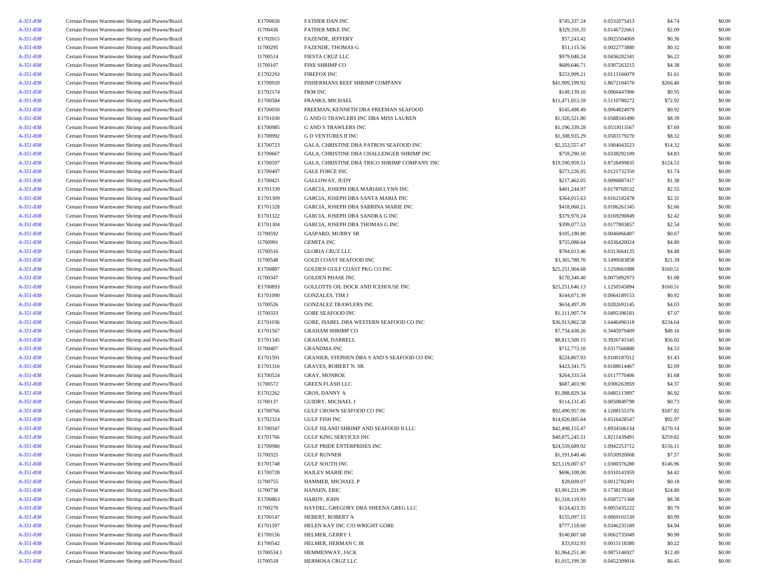| A-351-838 | Certain Frozen Warmwater Shrimp and Prawns/Brazil | E1700650   | <b>FATHER DAN INC</b>                        | \$745,337.24    | 0.0332075413 | \$4.74   | \$0.00 |
|-----------|---------------------------------------------------|------------|----------------------------------------------|-----------------|--------------|----------|--------|
| A-351-838 | Certain Frozen Warmwater Shrimp and Prawns/Brazil | I1700436   | <b>FATHER MIKE INC</b>                       | \$329,316.35    | 0.0146722661 | \$2.09   | \$0.00 |
| A-351-838 | Certain Frozen Warmwater Shrimp and Prawns/Brazil | E1702015   | FAZENDE, JEFFERY                             | \$57,243.42     | 0.0025504069 | \$0.36   | \$0.00 |
| A-351-838 | Certain Frozen Warmwater Shrimp and Prawns/Brazil | I1700295   | <b>FAZENDE, THOMAS G</b>                     | \$51,115.56     | 0.0022773880 | \$0.32   | \$0.00 |
| A-351-838 | Certain Frozen Warmwater Shrimp and Prawns/Brazil | I1700514   | FIESTA CRUZ LLC                              | \$979,048.24    | 0.0436202341 | \$6.22   | \$0.00 |
| A-351-838 | Certain Frozen Warmwater Shrimp and Prawns/Brazil | I1700107   | <b>FINE SHRIMP CO</b>                        | \$689,646.71    | 0.0307263215 | \$4.38   | \$0.00 |
| A-351-838 | Certain Frozen Warmwater Shrimp and Prawns/Brazil | E1702293   | <b>FIREFOX INC</b>                           | \$253,999.21    | 0.0113166079 | \$1.61   | \$0.00 |
| A-351-838 | Certain Frozen Warmwater Shrimp and Prawns/Brazil | E1700920   | FISHERMANS REEF SHRIMP COMPANY               | \$41,909,199.92 | 1.8672104570 | \$266.40 | \$0.00 |
| A-351-838 | Certain Frozen Warmwater Shrimp and Prawns/Brazil | E1702174   | <b>FKM INC</b>                               | \$149,139.10    | 0.0066447006 | \$0.95   | \$0.00 |
| A-351-838 | Certain Frozen Warmwater Shrimp and Prawns/Brazil | E1700584   | FRANKS, MICHAEL                              | \$11,471,053.59 | 0.5110780272 | \$72.92  | \$0.00 |
|           | Certain Frozen Warmwater Shrimp and Prawns/Brazil | E1700050   | FREEMAN, KENNETH DBA FREEMAN SEAFOOD         | \$145,498.49    | 0.0064824979 | \$0.92   | \$0.00 |
| A-351-838 |                                                   |            |                                              |                 |              |          |        |
| A-351-838 | Certain Frozen Warmwater Shrimp and Prawns/Brazil | E1701030   | G AND O TRAWLERS INC DBA MISS LAUREN         | \$1,320,521.80  | 0.0588341490 | \$8.39   | \$0.00 |
| A-351-838 | Certain Frozen Warmwater Shrimp and Prawns/Brazil | E1700985   | <b>G AND S TRAWLERS INC</b>                  | \$1,196,339.28  | 0.0533013567 | \$7.60   | \$0.00 |
| A-351-838 | Certain Frozen Warmwater Shrimp and Prawns/Brazil | E1700992   | <b>G D VENTURES II INC</b>                   | \$1,308,935.29  | 0.0583179270 | \$8.32   | \$0.00 |
| A-351-838 | Certain Frozen Warmwater Shrimp and Prawns/Brazil | E1700723   | GALA, CHRISTINE DBA PATRON SEAFOOD INC       | \$2,253,557.47  | 0.1004043523 | \$14.32  | \$0.00 |
| A-351-838 | Certain Frozen Warmwater Shrimp and Prawns/Brazil | E1700667   | GALA, CHRISTINE DBA CHALLENGER SHRIMP INC    | \$759,290.50    | 0.0338292109 | \$4.83   | \$0.00 |
| A-351-838 | Certain Frozen Warmwater Shrimp and Prawns/Brazil | E1700597   | GALA, CHRISTINE DBA TRICO SHRIMP COMPANY INC | \$19,590,959.51 | 0.8728499835 | \$124.53 | \$0.00 |
| A-351-838 | Certain Frozen Warmwater Shrimp and Prawns/Brazil | E1700407   | <b>GALE FORCE INC</b>                        | \$273,226.05    | 0.0121732350 | \$1.74   | \$0.00 |
| A-351-838 | Certain Frozen Warmwater Shrimp and Prawns/Brazil | E1700421   | GALLOWAY, JUDY                               | \$217,462.05    | 0.0096887417 | \$1.38   | \$0.00 |
| A-351-838 | Certain Frozen Warmwater Shrimp and Prawns/Brazil | E1701339   | GARCIA, JOSEPH DBA MARIAH LYNN INC           | \$401,244.97    | 0.0178769532 | \$2.55   | \$0.00 |
| A-351-838 | Certain Frozen Warmwater Shrimp and Prawns/Brazil | E1701309   | GARCIA, JOSEPH DBA SANTA MARIA INC           | \$364,015.63    | 0.0162182478 | \$2.31   | \$0.00 |
| A-351-838 | Certain Frozen Warmwater Shrimp and Prawns/Brazil | E1701328   | GARCIA, JOSEPH DBA SABRINA MARIE INC         | \$418,060.21    | 0.0186261345 | \$2.66   | \$0.00 |
| A-351-838 | Certain Frozen Warmwater Shrimp and Prawns/Brazil | E1701322   | GARCIA, JOSEPH DBA SANDRA G INC              | \$379,970.24    | 0.0169290849 | \$2.42   | \$0.00 |
| A-351-838 | Certain Frozen Warmwater Shrimp and Prawns/Brazil | E1701304   | GARCIA, JOSEPH DBA THOMAS G INC              | \$399,077.53    | 0.0177803857 | \$2.54   | \$0.00 |
| A-351-838 | Certain Frozen Warmwater Shrimp and Prawns/Brazil | I1700592   | <b>GASPARD, MURRY SR</b>                     | \$105,190.80    | 0.0046866407 | \$0.67   | \$0.00 |
| A-351-838 | Certain Frozen Warmwater Shrimp and Prawns/Brazil | I1700991   | <b>GEMITA INC</b>                            | \$755,088.64    | 0.0336420024 | \$4.80   | \$0.00 |
| A-351-838 | Certain Frozen Warmwater Shrimp and Prawns/Brazil | I1700516   | <b>GLORIA CRUZ LLC</b>                       | \$704,013.46    | 0.0313664135 | \$4.48   | \$0.00 |
| A-351-838 | Certain Frozen Warmwater Shrimp and Prawns/Brazil | I1700548   | <b>GOLD COAST SEAFOOD INC</b>                | \$3,365,788.76  | 0.1499583858 | \$21.39  | \$0.00 |
| A-351-838 | Certain Frozen Warmwater Shrimp and Prawns/Brazil | E1700887   | GOLDEN GULF COAST PKG CO INC                 | \$25,251,904.68 | 1.1250661088 | \$160.51 | \$0.00 |
| A-351-838 | Certain Frozen Warmwater Shrimp and Prawns/Brazil | I1700347   | <b>GOLDEN PHASE INC</b>                      | \$170,340.40    | 0.0075892973 | \$1.08   | \$0.00 |
|           |                                                   |            |                                              |                 |              |          |        |
| A-351-838 | Certain Frozen Warmwater Shrimp and Prawns/Brazil | E1700893   | GOLLOTTS OIL DOCK AND ICEHOUSE INC           | \$25,251,646.13 | 1.1250545894 | \$160.51 | \$0.00 |
| A-351-838 | Certain Frozen Warmwater Shrimp and Prawns/Brazil | E1701090   | <b>GONZALES, TIM J</b>                       | \$144,071.39    | 0.0064189153 | \$0.92   | \$0.00 |
| A-351-838 | Certain Frozen Warmwater Shrimp and Prawns/Brazil | I1700526   | GONZALEZ TRAWLERS INC                        | \$634,497.39    | 0.0282692145 | \$4.03   | \$0.00 |
| A-351-838 | Certain Frozen Warmwater Shrimp and Prawns/Brazil | I1700333   | <b>GORE SEAFOOD INC</b>                      | \$1,111,907.74  | 0.0495396181 | \$7.07   | \$0.00 |
| A-351-838 | Certain Frozen Warmwater Shrimp and Prawns/Brazil | E1701036   | GORE, ISABEL DBA WESTERN SEAFOOD CO INC      | \$36,913,862.58 | 1.6446496318 | \$234.64 | \$0.00 |
| A-351-838 | Certain Frozen Warmwater Shrimp and Prawns/Brazil | E1701567   | <b>GRAHAM SHRIMP CO</b>                      | \$7,734,438.26  | 0.3445979409 | \$49.16  | \$0.00 |
| A-351-838 | Certain Frozen Warmwater Shrimp and Prawns/Brazil | E1701345   | <b>GRAHAM, DARRELL</b>                       | \$8,813,500.15  | 0.3926741545 | \$56.02  | \$0.00 |
| A-351-838 | Certain Frozen Warmwater Shrimp and Prawns/Brazil | I1700407   | <b>GRANDMA INC</b>                           | \$712,773.10    | 0.0317566880 | \$4.53   | \$0.00 |
| A-351-838 | Certain Frozen Warmwater Shrimp and Prawns/Brazil | E1701591   | GRANIER, STEPHEN DBA S AND S SEAFOOD CO INC  | \$224,867.93    | 0.0100187012 | \$1.43   | \$0.00 |
| A-351-838 | Certain Frozen Warmwater Shrimp and Prawns/Brazil | E1701316   | <b>GRAVES, ROBERT N. SR.</b>                 | \$423,341.75    | 0.0188614467 | \$2.69   | \$0.00 |
| A-351-838 | Certain Frozen Warmwater Shrimp and Prawns/Brazil | E1700524   | <b>GRAY, MONROE</b>                          | \$264,333.54    | 0.0117770406 | \$1.68   | \$0.00 |
| A-351-838 | Certain Frozen Warmwater Shrimp and Prawns/Brazil | I1700572   | <b>GREEN FLASH LLC</b>                       | \$687,403.90    | 0.0306263959 | \$4.37   | \$0.00 |
| A-351-838 | Certain Frozen Warmwater Shrimp and Prawns/Brazil | E1702262   | GROS, DANNY A                                | \$1,088,829.34  | 0.0485113897 | \$6.92   | \$0.00 |
| A-351-838 | Certain Frozen Warmwater Shrimp and Prawns/Brazil | I1700137   | <b>GUIDRY, MICHAEL J</b>                     | \$114,131.45    | 0.0050849798 | \$0.73   | \$0.00 |
| A-351-838 | Certain Frozen Warmwater Shrimp and Prawns/Brazil | E1700766   | GULF CROWN SEAFOOD CO INC                    | \$92,490,957.06 | 4.1208155376 | \$587.92 | \$0.00 |
| A-351-838 | Certain Frozen Warmwater Shrimp and Prawns/Brazil | E1702324   | <b>GULF FISH INC</b>                         | \$14,626,005.64 | 0.6516428547 | \$92.97  | \$0.00 |
| A-351-838 | Certain Frozen Warmwater Shrimp and Prawns/Brazil | E1700347   | GULF ISLAND SHRIMP AND SEAFOOD II LLC        | \$42,498,155.47 | 1.8934506134 | \$270.14 | \$0.00 |
| A-351-838 | Certain Frozen Warmwater Shrimp and Prawns/Brazil | E1701766   | <b>GULF KING SERVICES INC</b>                | \$40,875,245.51 | 1.8211439491 | \$259.82 | \$0.00 |
| A-351-838 | Certain Frozen Warmwater Shrimp and Prawns/Brazil | E1700980   | <b>GULF PRIDE ENTERPRISES INC</b>            | \$24,559,689.92 | 1.0942253712 | \$156.11 | \$0.00 |
| A-351-838 | Certain Frozen Warmwater Shrimp and Prawns/Brazil | I1700325   | <b>GULF RUNNER</b>                           | \$1,191,640.46  | 0.0530920068 | \$7.57   | \$0.00 |
|           | Certain Frozen Warmwater Shrimp and Prawns/Brazil | E1701748   | <b>GULF SOUTH INC</b>                        | \$23,119,007.67 | 1.0300376280 | \$146.96 | \$0.00 |
| A-351-838 |                                                   |            |                                              |                 |              |          |        |
| A-351-838 | Certain Frozen Warmwater Shrimp and Prawns/Brazil | E1700728   | <b>HAILEY MARIE INC</b>                      | \$696,108.00    | 0.0310141959 | \$4.42   | \$0.00 |
| A-351-838 | Certain Frozen Warmwater Shrimp and Prawns/Brazil | I1700755   | HAMMER, MICHAEL P                            | \$28,690.07     | 0.0012782491 | \$0.18   | \$0.00 |
| A-351-838 | Certain Frozen Warmwater Shrimp and Prawns/Brazil | I1700738   | HANSEN, ERIC                                 | \$3,901,221.99  | 0.1738139241 | \$24.80  | \$0.00 |
| A-351-838 | Certain Frozen Warmwater Shrimp and Prawns/Brazil | E1700863   | HARDY, JOHN                                  | \$1,318,119.93  | 0.0587271368 | \$8.38   | \$0.00 |
| A-351-838 | Certain Frozen Warmwater Shrimp and Prawns/Brazil | I1700270   | HAYDEL, GREGORY DBA SHEENA GREG LLC          | \$124,423.35    | 0.0055435222 | \$0.79   | \$0.00 |
| A-351-838 | Certain Frozen Warmwater Shrimp and Prawns/Brazil | E1700147   | HEBERT, ROBERT A                             | \$155,097.15    | 0.0069101539 | \$0.99   | \$0.00 |
| A-351-838 | Certain Frozen Warmwater Shrimp and Prawns/Brazil | E1701597   | HELEN KAY INC C/O WRIGHT GORE                | \$777,118.60    | 0.0346235189 | \$4.94   | \$0.00 |
| A-351-838 | Certain Frozen Warmwater Shrimp and Prawns/Brazil | E1700156   | HELMER, GERRY J                              | \$140,807.68    | 0.0062735049 | \$0.90   | \$0.00 |
| A-351-838 | Certain Frozen Warmwater Shrimp and Prawns/Brazil | E1700542   | HELMER, HERMAN C JR                          | \$33,932.93     | 0.0015118380 | \$0.22   | \$0.00 |
| A-351-838 | Certain Frozen Warmwater Shrimp and Prawns/Brazil | I1700534.1 | HEMMENWAY, JACK                              | \$1,964,251.40  | 0.0875146927 | \$12.49  | \$0.00 |
| A-351-838 | Certain Frozen Warmwater Shrimp and Prawns/Brazil | I1700518   | HERMOSA CRUZ LLC                             | \$1,015,199.38  | 0.0452309016 | \$6.45   | \$0.00 |
|           |                                                   |            |                                              |                 |              |          |        |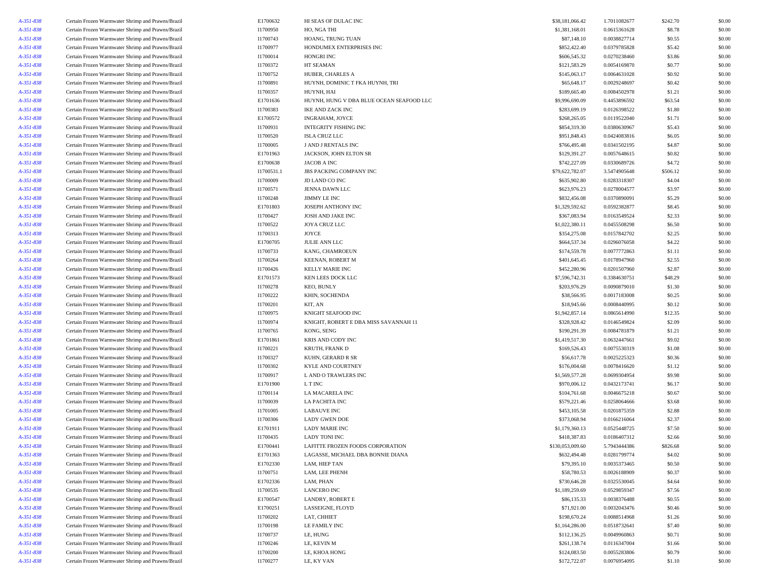| A-351-838 | Certain Frozen Warmwater Shrimp and Prawns/Brazil | E1700632   | HI SEAS OF DULAC INC                     | \$38,181,066.42  | 1.7011082677 | \$242.70 | \$0.00 |
|-----------|---------------------------------------------------|------------|------------------------------------------|------------------|--------------|----------|--------|
| A-351-838 | Certain Frozen Warmwater Shrimp and Prawns/Brazil | I1700950   | HO, NGA THI                              | \$1,381,168.01   | 0.0615361628 | \$8.78   | \$0.00 |
| A-351-838 | Certain Frozen Warmwater Shrimp and Prawns/Brazil | I1700743   | HOANG, TRUNG TUAN                        | \$87,148.10      | 0.0038827714 | \$0.55   | \$0.00 |
| A-351-838 | Certain Frozen Warmwater Shrimp and Prawns/Brazil | I1700977   | HONDUMEX ENTERPRISES INC                 | \$852,422.40     | 0.0379785828 | \$5.42   | \$0.00 |
| A-351-838 | Certain Frozen Warmwater Shrimp and Prawns/Brazil | I1700014   | HONGRI INC                               | \$606,545.32     | 0.0270238460 | \$3.86   | \$0.00 |
| A-351-838 | Certain Frozen Warmwater Shrimp and Prawns/Brazil | I1700372   | HT SEAMAN                                | \$121,583.29     | 0.0054169870 | \$0.77   | \$0.00 |
| A-351-838 | Certain Frozen Warmwater Shrimp and Prawns/Brazil | I1700752   | HUBER, CHARLES A                         | \$145,063.17     | 0.0064631028 | \$0.92   | \$0.00 |
| A-351-838 | Certain Frozen Warmwater Shrimp and Prawns/Brazil | I1700891   | HUYNH, DOMINIC T FKA HUYNH, TRI          | \$65,648.17      | 0.0029248697 | \$0.42   | \$0.00 |
|           |                                                   | I1700357   | HUYNH, HAI                               | \$189,665.40     | 0.0084502978 | \$1.21   | \$0.00 |
| A-351-838 | Certain Frozen Warmwater Shrimp and Prawns/Brazil |            |                                          |                  |              |          |        |
| A-351-838 | Certain Frozen Warmwater Shrimp and Prawns/Brazil | E1701636   | HUYNH, HUNG V DBA BLUE OCEAN SEAFOOD LLC | \$9,996,690.09   | 0.4453896592 | \$63.54  | \$0.00 |
| A-351-838 | Certain Frozen Warmwater Shrimp and Prawns/Brazil | I1700383   | IKE AND ZACK INC                         | \$283,699.19     | 0.0126398522 | \$1.80   | \$0.00 |
| A-351-838 | Certain Frozen Warmwater Shrimp and Prawns/Brazil | E1700572   | INGRAHAM, JOYCE                          | \$268,265.05     | 0.0119522040 | \$1.71   | \$0.00 |
| A-351-838 | Certain Frozen Warmwater Shrimp and Prawns/Brazil | I1700931   | <b>INTEGRITY FISHING INC</b>             | \$854,319.30     | 0.0380630967 | \$5.43   | \$0.00 |
| A-351-838 | Certain Frozen Warmwater Shrimp and Prawns/Brazil | I1700520   | <b>ISLA CRUZ LLC</b>                     | \$951,848.43     | 0.0424083816 | \$6.05   | \$0.00 |
| A-351-838 | Certain Frozen Warmwater Shrimp and Prawns/Brazil | I1700005   | J AND J RENTALS INC                      | \$766,495.48     | 0.0341502195 | \$4.87   | \$0.00 |
| A-351-838 | Certain Frozen Warmwater Shrimp and Prawns/Brazil | E1701963   | JACKSON, JOHN ELTON SR                   | \$129,391.27     | 0.0057648615 | \$0.82   | \$0.00 |
| A-351-838 | Certain Frozen Warmwater Shrimp and Prawns/Brazil | E1700638   | JACOB A INC                              | \$742,227.09     | 0.0330689726 | \$4.72   | \$0.00 |
| A-351-838 | Certain Frozen Warmwater Shrimp and Prawns/Brazil | I1700531.1 | JBS PACKING COMPANY INC                  | \$79,622,782.07  | 3.5474905648 | \$506.12 | \$0.00 |
| A-351-838 | Certain Frozen Warmwater Shrimp and Prawns/Brazil | I1700009   | JD LAND CO INC                           | \$635,902.80     | 0.0283318307 | \$4.04   | \$0.00 |
| A-351-838 | Certain Frozen Warmwater Shrimp and Prawns/Brazil | I1700571   | JENNA DAWN LLC                           | \$623,976.23     | 0.0278004577 | \$3.97   | \$0.00 |
| A-351-838 | Certain Frozen Warmwater Shrimp and Prawns/Brazil | I1700248   | JIMMY LE INC                             | \$832,456.08     | 0.0370890091 | \$5.29   | \$0.00 |
| A-351-838 | Certain Frozen Warmwater Shrimp and Prawns/Brazil | E1701803   | JOSEPH ANTHONY INC                       | \$1,329,592.62   | 0.0592382877 | \$8.45   | \$0.00 |
| A-351-838 | Certain Frozen Warmwater Shrimp and Prawns/Brazil | I1700427   | JOSH AND JAKE INC                        | \$367,083.94     | 0.0163549524 | \$2.33   | \$0.00 |
| A-351-838 | Certain Frozen Warmwater Shrimp and Prawns/Brazil | I1700522   | JOYA CRUZ LLC                            | \$1,022,380.11   | 0.0455508298 | \$6.50   | \$0.00 |
| A-351-838 | Certain Frozen Warmwater Shrimp and Prawns/Brazil | I1700313   | JOYCE                                    | \$354,275.08     | 0.0157842702 | \$2.25   | \$0.00 |
| A-351-838 | Certain Frozen Warmwater Shrimp and Prawns/Brazil | E1700705   | <b>JULIE ANN LLC</b>                     | \$664,537.34     | 0.0296076058 | \$4.22   | \$0.00 |
| A-351-838 | Certain Frozen Warmwater Shrimp and Prawns/Brazil | I1700733   | KANG, CHAMROEUN                          | \$174,559.78     | 0.0077772863 | \$1.11   | \$0.00 |
| A-351-838 | Certain Frozen Warmwater Shrimp and Prawns/Brazil | I1700264   | KEENAN, ROBERT M                         | \$401,645.45     | 0.0178947960 | \$2.55   | \$0.00 |
| A-351-838 | Certain Frozen Warmwater Shrimp and Prawns/Brazil | I1700426   | <b>KELLY MARIE INC</b>                   | \$452,280.96     | 0.0201507960 | \$2.87   | \$0.00 |
| A-351-838 | Certain Frozen Warmwater Shrimp and Prawns/Brazil | E1701573   | KEN LEES DOCK LLC                        | \$7,596,742.31   | 0.3384630751 | \$48.29  | \$0.00 |
| A-351-838 | Certain Frozen Warmwater Shrimp and Prawns/Brazil | I1700278   | KEO, BUNLY                               | \$203,976.29     | 0.0090879010 | \$1.30   | \$0.00 |
| A-351-838 | Certain Frozen Warmwater Shrimp and Prawns/Brazil | I1700222   | KHIN, SOCHENDA                           | \$38,566.95      | 0.0017183008 | \$0.25   | \$0.00 |
| A-351-838 | Certain Frozen Warmwater Shrimp and Prawns/Brazil | I1700201   | KIT, AN                                  | \$18,945.66      | 0.0008440995 | \$0.12   | \$0.00 |
| A-351-838 | Certain Frozen Warmwater Shrimp and Prawns/Brazil | I1700975   | KNIGHT SEAFOOD INC                       | \$1,942,857.14   | 0.0865614990 | \$12.35  | \$0.00 |
| A-351-838 | Certain Frozen Warmwater Shrimp and Prawns/Brazil | I1700974   | KNIGHT, ROBERT E DBA MISS SAVANNAH 11    | \$328,928.42     | 0.0146549824 | \$2.09   | \$0.00 |
|           |                                                   | I1700765   | KONG, SENG                               | \$190,291.39     | 0.0084781879 | \$1.21   | \$0.00 |
| A-351-838 | Certain Frozen Warmwater Shrimp and Prawns/Brazil |            |                                          |                  |              |          |        |
| A-351-838 | Certain Frozen Warmwater Shrimp and Prawns/Brazil | E1701861   | KRIS AND CODY INC                        | \$1,419,517.30   | 0.0632447661 | \$9.02   | \$0.00 |
| A-351-838 | Certain Frozen Warmwater Shrimp and Prawns/Brazil | I1700221   | KRUTH, FRANK D                           | \$169,526.43     | 0.0075530319 | \$1.08   | \$0.00 |
| A-351-838 | Certain Frozen Warmwater Shrimp and Prawns/Brazil | 11700327   | KUHN, GERARD R SR                        | \$56,617.78      | 0.0025225323 | \$0.36   | \$0.00 |
| A-351-838 | Certain Frozen Warmwater Shrimp and Prawns/Brazil | I1700302   | KYLE AND COURTNEY                        | \$176,004.68     | 0.0078416620 | \$1.12   | \$0.00 |
| A-351-838 | Certain Frozen Warmwater Shrimp and Prawns/Brazil | I1700917   | L AND O TRAWLERS INC                     | \$1,569,577.28   | 0.0699304954 | \$9.98   | \$0.00 |
| A-351-838 | Certain Frozen Warmwater Shrimp and Prawns/Brazil | E1701900   | L T INC                                  | \$970,006.12     | 0.0432173741 | \$6.17   | \$0.00 |
| A-351-838 | Certain Frozen Warmwater Shrimp and Prawns/Brazil | I1700114   | LA MACARELA INC                          | \$104,761.68     | 0.0046675218 | \$0.67   | \$0.00 |
| A-351-838 | Certain Frozen Warmwater Shrimp and Prawns/Brazil | I1700039   | LA PACHITA INC                           | \$579,221.46     | 0.0258064666 | \$3.68   | \$0.00 |
| A-351-838 | Certain Frozen Warmwater Shrimp and Prawns/Brazil | I1701005   | <b>LABAUVE INC</b>                       | \$453,105.58     | 0.0201875359 | \$2.88   | \$0.00 |
| A-351-838 | Certain Frozen Warmwater Shrimp and Prawns/Brazil | I1700306   | <b>LADY GWEN DOE</b>                     | \$373,068.94     | 0.0166216064 | \$2.37   | \$0.00 |
| A-351-838 | Certain Frozen Warmwater Shrimp and Prawns/Brazil | E1701911   | <b>LADY MARIE INC</b>                    | \$1,179,360.13   | 0.0525448725 | \$7.50   | \$0.00 |
| A-351-838 | Certain Frozen Warmwater Shrimp and Prawns/Brazil | I1700435   | <b>LADY TONI INC</b>                     | \$418,387.83     | 0.0186407312 | \$2.66   | \$0.00 |
| A-351-838 | Certain Frozen Warmwater Shrimp and Prawns/Brazil | E1700441   | LAFITTE FROZEN FOODS CORPORATION         | \$130,053,009.60 | 5.7943444386 | \$826.68 | \$0.00 |
| A-351-838 | Certain Frozen Warmwater Shrimp and Prawns/Brazil | E1701363   | LAGASSE, MICHAEL DBA BONNIE DIANA        | \$632,494.48     | 0.0281799774 | \$4.02   | \$0.00 |
| A-351-838 | Certain Frozen Warmwater Shrimp and Prawns/Brazil | E1702330   | LAM, HIEP TAN                            | \$79,395.10      | 0.0035373465 | \$0.50   | \$0.00 |
| A-351-838 | Certain Frozen Warmwater Shrimp and Prawns/Brazil | I1700751   | LAM, LEE PHENH                           | \$58,780.53      | 0.0026188909 | \$0.37   | \$0.00 |
| A-351-838 | Certain Frozen Warmwater Shrimp and Prawns/Brazil | E1702336   | LAM, PHAN                                | \$730,646.28     | 0.0325530045 | \$4.64   | \$0.00 |
| A-351-838 | Certain Frozen Warmwater Shrimp and Prawns/Brazil | I1700535   | <b>LANCERO INC</b>                       | \$1,189,259.69   | 0.0529859347 | \$7.56   | \$0.00 |
| A-351-838 | Certain Frozen Warmwater Shrimp and Prawns/Brazil | E1700547   | LANDRY, ROBERT E                         | \$86,135.33      | 0.0038376488 | \$0.55   | \$0.00 |
| A-351-838 | Certain Frozen Warmwater Shrimp and Prawns/Brazil | E1700251   | LASSEIGNE, FLOYD                         | \$71,921.00      | 0.0032043476 | \$0.46   | \$0.00 |
| A-351-838 | Certain Frozen Warmwater Shrimp and Prawns/Brazil | I1700202   | LAT, CHHIET                              | \$198,670.24     | 0.0088514968 | \$1.26   | \$0.00 |
| A-351-838 | Certain Frozen Warmwater Shrimp and Prawns/Brazil | I1700198   | LE FAMILY INC                            | \$1,164,286.00   | 0.0518732641 | \$7.40   | \$0.00 |
| A-351-838 | Certain Frozen Warmwater Shrimp and Prawns/Brazil | I1700737   | LE, HUNG                                 | \$112,136.25     | 0.0049960863 | \$0.71   | \$0.00 |
| A-351-838 | Certain Frozen Warmwater Shrimp and Prawns/Brazil | I1700246   | LE, KEVIN M                              | \$261,138.74     | 0.0116347004 | \$1.66   | \$0.00 |
| A-351-838 | Certain Frozen Warmwater Shrimp and Prawns/Brazil | I1700200   | LE, KHOA HONG                            | \$124,083.50     | 0.0055283806 | \$0.79   | \$0.00 |
| A-351-838 | Certain Frozen Warmwater Shrimp and Prawns/Brazil | I1700277   | LE, KY VAN                               | \$172,722.07     | 0.0076954095 |          |        |
|           |                                                   |            |                                          |                  |              | \$1.10   | \$0.00 |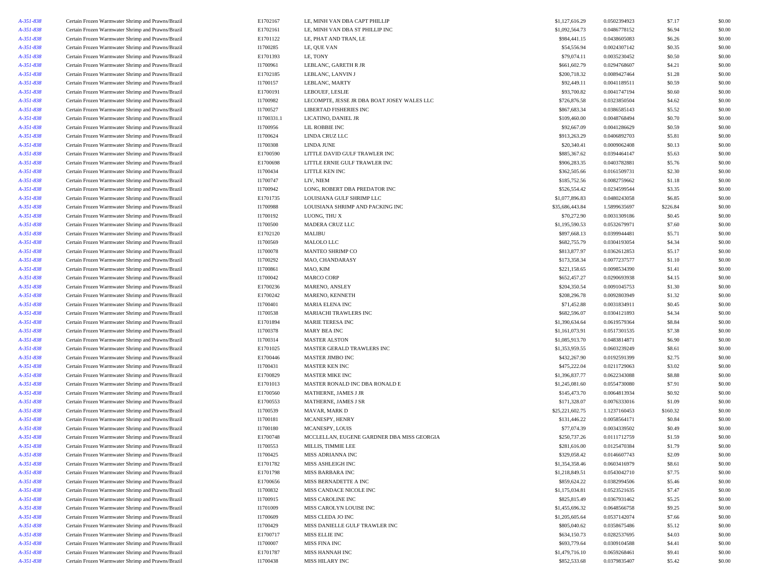| A-351-838 | Certain Frozen Warmwater Shrimp and Prawns/Brazil | E1702167   | LE, MINH VAN DBA CAPT PHILLIP               | \$1,127,616.29  | 0.0502394923 | \$7.17   | \$0.00 |
|-----------|---------------------------------------------------|------------|---------------------------------------------|-----------------|--------------|----------|--------|
| A-351-838 | Certain Frozen Warmwater Shrimp and Prawns/Brazil | E1702161   | LE, MINH VAN DBA ST PHILLIP INC             | \$1,092,564.73  | 0.0486778152 | \$6.94   | \$0.00 |
| A-351-838 | Certain Frozen Warmwater Shrimp and Prawns/Brazil | E1701122   | LE, PHAT AND TRAN, LE                       | \$984,441.15    | 0.0438605083 | \$6.26   | \$0.00 |
| A-351-838 | Certain Frozen Warmwater Shrimp and Prawns/Brazil | I1700285   | LE, QUE VAN                                 | \$54,556.94     | 0.0024307142 | \$0.35   | \$0.00 |
| A-351-838 | Certain Frozen Warmwater Shrimp and Prawns/Brazil | E1701393   | LE, TONY                                    | \$79,074.11     | 0.0035230452 | \$0.50   | \$0.00 |
| A-351-838 | Certain Frozen Warmwater Shrimp and Prawns/Brazil | I1700961   | LEBLANC, GARETH R JR                        | \$661,602.79    | 0.0294768607 | \$4.21   | \$0.00 |
| A-351-838 | Certain Frozen Warmwater Shrimp and Prawns/Brazil | E1702185   | LEBLANC, LANVIN J                           | \$200,718.32    | 0.0089427464 | \$1.28   | \$0.00 |
| A-351-838 | Certain Frozen Warmwater Shrimp and Prawns/Brazil | I1700157   | LEBLANC, MARTY                              | \$92,449.11     | 0.0041189511 | \$0.59   | \$0.00 |
| A-351-838 | Certain Frozen Warmwater Shrimp and Prawns/Brazil | E1700191   | LEBOUEF, LESLIE                             | \$93,700.82     | 0.0041747194 | \$0.60   | \$0.00 |
| A-351-838 | Certain Frozen Warmwater Shrimp and Prawns/Brazil | I1700982   | LECOMPTE, JESSE JR DBA BOAT JOSEY WALES LLC | \$726,876.58    | 0.0323850504 | \$4.62   | \$0.00 |
| A-351-838 | Certain Frozen Warmwater Shrimp and Prawns/Brazil | I1700527   | LIBERTAD FISHERIES INC                      | \$867,683.34    | 0.0386585143 | \$5.52   | \$0.00 |
| A-351-838 | Certain Frozen Warmwater Shrimp and Prawns/Brazil | I1700331.1 | LICATINO, DANIEL JR                         | \$109,460.00    | 0.0048768494 | \$0.70   | \$0.00 |
| A-351-838 | Certain Frozen Warmwater Shrimp and Prawns/Brazil | I1700956   | LIL ROBBIE INC                              | \$92,667.09     | 0.0041286629 | \$0.59   | \$0.00 |
| A-351-838 | Certain Frozen Warmwater Shrimp and Prawns/Brazil | I1700624   | LINDA CRUZ LLC                              | \$913,263.29    | 0.0406892703 | \$5.81   | \$0.00 |
| A-351-838 | Certain Frozen Warmwater Shrimp and Prawns/Brazil | I1700308   | <b>LINDA JUNE</b>                           | \$20,340.41     | 0.0009062408 | \$0.13   | \$0.00 |
| A-351-838 | Certain Frozen Warmwater Shrimp and Prawns/Brazil | E1700590   | LITTLE DAVID GULF TRAWLER INC               | \$885,367.62    | 0.0394464147 | \$5.63   | \$0.00 |
| A-351-838 | Certain Frozen Warmwater Shrimp and Prawns/Brazil | E1700698   | LITTLE ERNIE GULF TRAWLER INC               | \$906,283.35    | 0.0403782881 | \$5.76   | \$0.00 |
| A-351-838 | Certain Frozen Warmwater Shrimp and Prawns/Brazil | I1700434   | LITTLE KEN INC                              | \$362,505.66    | 0.0161509731 | \$2.30   | \$0.00 |
| A-351-838 | Certain Frozen Warmwater Shrimp and Prawns/Brazil | I1700747   | LIV, NIEM                                   | \$185,752.56    | 0.0082759662 | \$1.18   | \$0.00 |
| A-351-838 | Certain Frozen Warmwater Shrimp and Prawns/Brazil | I1700942   | LONG, ROBERT DBA PREDATOR INC               | \$526,554.42    | 0.0234599544 | \$3.35   | \$0.00 |
| A-351-838 | Certain Frozen Warmwater Shrimp and Prawns/Brazil | E1701735   | LOUISIANA GULF SHRIMP LLC                   | \$1,077,896.83  | 0.0480243058 | \$6.85   | \$0.00 |
| A-351-838 | Certain Frozen Warmwater Shrimp and Prawns/Brazil | I1700988   | LOUISIANA SHRIMP AND PACKING INC            | \$35,686,443.84 | 1.5899635697 | \$226.84 | \$0.00 |
| A-351-838 | Certain Frozen Warmwater Shrimp and Prawns/Brazil | I1700192   | LUONG, THU X                                | \$70,272.90     | 0.0031309186 | \$0.45   | \$0.00 |
| A-351-838 | Certain Frozen Warmwater Shrimp and Prawns/Brazil | I1700500   | MADERA CRUZ LLC                             | \$1,195,590.53  | 0.0532679971 | \$7.60   | \$0.00 |
| A-351-838 | Certain Frozen Warmwater Shrimp and Prawns/Brazil | E1702120   | MALIBU                                      | \$897,668.13    | 0.0399944481 | \$5.71   | \$0.00 |
|           |                                                   |            |                                             |                 | 0.0304193054 |          | \$0.00 |
| A-351-838 | Certain Frozen Warmwater Shrimp and Prawns/Brazil | I1700569   | MALOLO LLC                                  | \$682,755.79    | 0.0362612853 | \$4.34   | \$0.00 |
| A-351-838 | Certain Frozen Warmwater Shrimp and Prawns/Brazil | I1700078   | MANTEO SHRIMP CO                            | \$813,877.97    | 0.0077237577 | \$5.17   |        |
| A-351-838 | Certain Frozen Warmwater Shrimp and Prawns/Brazil | I1700292   | MAO, CHANDARASY                             | \$173,358.34    |              | \$1.10   | \$0.00 |
| A-351-838 | Certain Frozen Warmwater Shrimp and Prawns/Brazil | I1700861   | MAO, KIM                                    | \$221,158.65    | 0.0098534390 | \$1.41   | \$0.00 |
| A-351-838 | Certain Frozen Warmwater Shrimp and Prawns/Brazil | I1700042   | <b>MARCO CORP</b>                           | \$652,457.27    | 0.0290693938 | \$4.15   | \$0.00 |
| A-351-838 | Certain Frozen Warmwater Shrimp and Prawns/Brazil | E1700236   | MARENO, ANSLEY                              | \$204,350.54    | 0.0091045753 | \$1.30   | \$0.00 |
| A-351-838 | Certain Frozen Warmwater Shrimp and Prawns/Brazil | E1700242   | MARENO, KENNETH                             | \$208,296.78    | 0.0092803949 | \$1.32   | \$0.00 |
| A-351-838 | Certain Frozen Warmwater Shrimp and Prawns/Brazil | I1700401   | MARIA ELENA INC                             | \$71,452.88     | 0.0031834911 | \$0.45   | \$0.00 |
| A-351-838 | Certain Frozen Warmwater Shrimp and Prawns/Brazil | 11700538   | MARIACHI TRAWLERS INC                       | \$682,596.07    | 0.0304121893 | \$4.34   | \$0.00 |
| A-351-838 | Certain Frozen Warmwater Shrimp and Prawns/Brazil | E1701894   | MARIE TERESA INC                            | \$1,390,634.64  | 0.0619579364 | \$8.84   | \$0.00 |
| A-351-838 | Certain Frozen Warmwater Shrimp and Prawns/Brazil | I1700378   | MARY BEA INC                                | \$1,161,073.91  | 0.0517301535 | \$7.38   | \$0.00 |
| A-351-838 | Certain Frozen Warmwater Shrimp and Prawns/Brazil | I1700314   | <b>MASTER ALSTON</b>                        | \$1,085,913.70  | 0.0483814871 | \$6.90   | \$0.00 |
| A-351-838 | Certain Frozen Warmwater Shrimp and Prawns/Brazil | E1701025   | MASTER GERALD TRAWLERS INC                  | \$1,353,959.55  | 0.0603239249 | \$8.61   | \$0.00 |
| A-351-838 | Certain Frozen Warmwater Shrimp and Prawns/Brazil | E1700446   | <b>MASTER JIMBO INC</b>                     | \$432,267.90    | 0.0192591399 | \$2.75   | \$0.00 |
| A-351-838 | Certain Frozen Warmwater Shrimp and Prawns/Brazil | I1700431   | <b>MASTER KEN INC</b>                       | \$475,222.04    | 0.0211729063 | \$3.02   | \$0.00 |
| A-351-838 | Certain Frozen Warmwater Shrimp and Prawns/Brazil | E1700829   | MASTER MIKE INC                             | \$1,396,837.77  | 0.0622343088 | \$8.88   | \$0.00 |
| A-351-838 | Certain Frozen Warmwater Shrimp and Prawns/Brazil | E1701013   | MASTER RONALD INC DBA RONALD E              | \$1,245,081.60  | 0.0554730080 | \$7.91   | \$0.00 |
| A-351-838 | Certain Frozen Warmwater Shrimp and Prawns/Brazil | E1700560   | MATHERNE, JAMES J JR                        | \$145,473.70    | 0.0064813934 | \$0.92   | \$0.00 |
| A-351-838 | Certain Frozen Warmwater Shrimp and Prawns/Brazil | E1700553   | MATHERNE, JAMES J SR                        | \$171,328.07    | 0.0076333016 | \$1.09   | \$0.00 |
| A-351-838 | Certain Frozen Warmwater Shrimp and Prawns/Brazil | I1700539   | MAVAR, MARK D                               | \$25,221,602.75 | 1.1237160453 | \$160.32 | \$0.00 |
| A-351-838 | Certain Frozen Warmwater Shrimp and Prawns/Brazil | I1700181   | MCANESPY, HENRY                             | \$131,446.22    | 0.0058564171 | \$0.84   | \$0.00 |
| A-351-838 | Certain Frozen Warmwater Shrimp and Prawns/Brazil | I1700180   | MCANESPY, LOUIS                             | \$77,074.39     | 0.0034339502 | \$0.49   | \$0.00 |
| A-351-838 | Certain Frozen Warmwater Shrimp and Prawns/Brazil | E1700748   | MCCLELLAN, EUGENE GARDNER DBA MISS GEORGIA  | \$250,737.26    | 0.0111712759 | \$1.59   | \$0.00 |
| A-351-838 | Certain Frozen Warmwater Shrimp and Prawns/Brazil | I1700553   | MILLIS, TIMMIE LEE                          | \$281,616.00    | 0.0125470384 | \$1.79   | \$0.00 |
| A-351-838 | Certain Frozen Warmwater Shrimp and Prawns/Brazil | I1700425   | MISS ADRIANNA INC                           | \$329,058.42    | 0.0146607743 | \$2.09   | \$0.00 |
| A-351-838 | Certain Frozen Warmwater Shrimp and Prawns/Brazil | E1701782   | MISS ASHLEIGH INC                           | \$1,354,358.46  | 0.0603416979 | \$8.61   | \$0.00 |
| A-351-838 | Certain Frozen Warmwater Shrimp and Prawns/Brazil | E1701798   | MISS BARBARA INC                            | \$1,218,849.51  | 0.0543042710 | \$7.75   | \$0.00 |
| A-351-838 | Certain Frozen Warmwater Shrimp and Prawns/Brazil | E1700656   | MISS BERNADETTE A INC                       | \$859,624.22    | 0.0382994506 | \$5.46   | \$0.00 |
| A-351-838 | Certain Frozen Warmwater Shrimp and Prawns/Brazil | I1700832   | MISS CANDACE NICOLE INC                     | \$1,175,034.81  | 0.0523521635 | \$7.47   | \$0.00 |
| A-351-838 | Certain Frozen Warmwater Shrimp and Prawns/Brazil | I1700915   | MISS CAROLINE INC                           | \$825,815.49    | 0.0367931462 | \$5.25   | \$0.00 |
| A-351-838 | Certain Frozen Warmwater Shrimp and Prawns/Brazil | I1701009   | MISS CAROLYN LOUISE INC                     | \$1,455,696.32  | 0.0648566758 | \$9.25   | \$0.00 |
| A-351-838 | Certain Frozen Warmwater Shrimp and Prawns/Brazil | I1700609   | MISS CLEDA JO INC                           | \$1,205,605.64  | 0.0537142074 | \$7.66   | \$0.00 |
| A-351-838 | Certain Frozen Warmwater Shrimp and Prawns/Brazil | I1700429   | MISS DANIELLE GULF TRAWLER INC              | \$805,040.62    | 0.0358675486 | \$5.12   | \$0.00 |
| A-351-838 | Certain Frozen Warmwater Shrimp and Prawns/Brazil | E1700717   | <b>MISS ELLIE INC</b>                       | \$634,150.73    | 0.0282537695 | \$4.03   | \$0.00 |
| A-351-838 | Certain Frozen Warmwater Shrimp and Prawns/Brazil | I1700007   | MISS FINA INC                               | \$693,779.64    | 0.0309104588 | \$4.41   | \$0.00 |
| A-351-838 | Certain Frozen Warmwater Shrimp and Prawns/Brazil | E1701787   | MISS HANNAH INC                             | \$1,479,716.10  | 0.0659268461 | \$9.41   | \$0.00 |
| A-351-838 | Certain Frozen Warmwater Shrimp and Prawns/Brazil | I1700438   | MISS HILARY INC                             | \$852,533.68    | 0.0379835407 | \$5.42   | \$0.00 |
|           |                                                   |            |                                             |                 |              |          |        |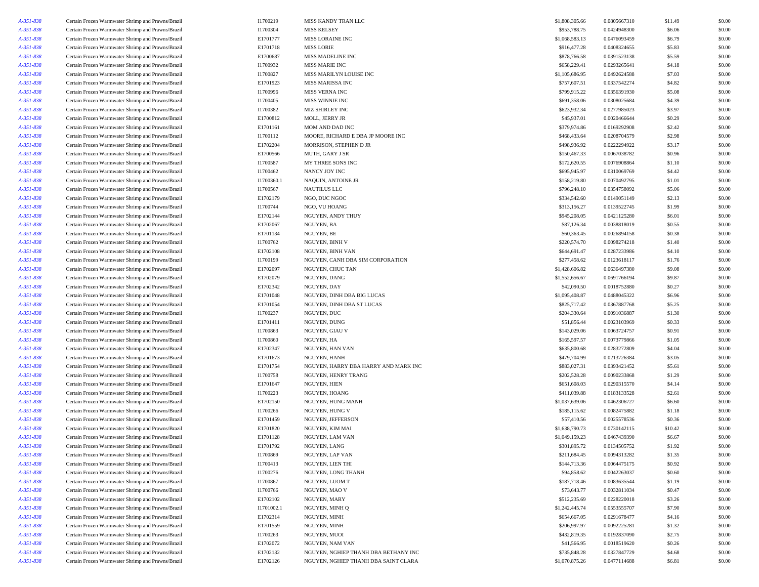| A-351-838              | Certain Frozen Warmwater Shrimp and Prawns/Brazil                                                      | I1700219             | MISS KANDY TRAN LLC                  | \$1,808,305.66              | 0.0805667310                 | \$11.49          | \$0.00           |
|------------------------|--------------------------------------------------------------------------------------------------------|----------------------|--------------------------------------|-----------------------------|------------------------------|------------------|------------------|
| A-351-838              | Certain Frozen Warmwater Shrimp and Prawns/Brazil                                                      | I1700304             | <b>MISS KELSEY</b>                   | \$953,788.75                | 0.0424948300                 | \$6.06           | \$0.00           |
| A-351-838              | Certain Frozen Warmwater Shrimp and Prawns/Brazil                                                      | E1701777             | MISS LORAINE INC                     | \$1,068,583.13              | 0.0476093459                 | \$6.79           | \$0.00           |
| A-351-838              | Certain Frozen Warmwater Shrimp and Prawns/Brazil                                                      | E1701718             | <b>MISS LORIE</b>                    | \$916,477.28                | 0.0408324655                 | \$5.83           | \$0.00           |
| A-351-838              | Certain Frozen Warmwater Shrimp and Prawns/Brazil                                                      | E1700687             | MISS MADELINE INC                    | \$878,766.58                | 0.0391523138                 | \$5.59           | \$0.00           |
| A-351-838              | Certain Frozen Warmwater Shrimp and Prawns/Brazil                                                      | I1700932             | <b>MISS MARIE INC</b>                | \$658,229.41                | 0.0293265641                 | \$4.18           | \$0.00           |
| A-351-838              | Certain Frozen Warmwater Shrimp and Prawns/Brazil                                                      | I1700827             | MISS MARILYN LOUISE INC              | \$1,105,686.95              | 0.0492624588                 | \$7.03           | \$0.00           |
| A-351-838              | Certain Frozen Warmwater Shrimp and Prawns/Brazil                                                      | E1701923             | MISS MARISSA INC                     | \$757,607.51                | 0.0337542274                 | \$4.82           | \$0.00           |
| A-351-838              | Certain Frozen Warmwater Shrimp and Prawns/Brazil                                                      | I1700996             | MISS VERNA INC                       | \$799,915.22                | 0.0356391930                 | \$5.08           | \$0.00           |
| A-351-838              | Certain Frozen Warmwater Shrimp and Prawns/Brazil                                                      | I1700405             | MISS WINNIE INC                      | \$691,358.06                | 0.0308025684                 | \$4.39           | \$0.00           |
| A-351-838              | Certain Frozen Warmwater Shrimp and Prawns/Brazil                                                      | I1700382             | MIZ SHIRLEY INC                      | \$623,932.34                | 0.0277985023                 | \$3.97           | \$0.00           |
| A-351-838              | Certain Frozen Warmwater Shrimp and Prawns/Brazil                                                      | E1700812             | MOLL, JERRY JR                       | \$45,937.01                 | 0.0020466644                 | \$0.29           | \$0.00           |
| A-351-838              | Certain Frozen Warmwater Shrimp and Prawns/Brazil                                                      | E1701161             | MOM AND DAD INC                      | \$379,974.86                | 0.0169292908                 | \$2.42           | \$0.00           |
| A-351-838              | Certain Frozen Warmwater Shrimp and Prawns/Brazil                                                      | I1700112             | MOORE, RICHARD E DBA JP MOORE INC    | \$468,433.64                | 0.0208704579                 | \$2.98           | \$0.00           |
| A-351-838              | Certain Frozen Warmwater Shrimp and Prawns/Brazil                                                      | E1702204             | MORRISON, STEPHEN D JR               | \$498,936.92                | 0.0222294922                 | \$3.17           | \$0.00           |
| A-351-838              | Certain Frozen Warmwater Shrimp and Prawns/Brazil                                                      | E1700566             | MUTH, GARY J SR                      | \$150,467.33                | 0.0067038782                 | \$0.96           | \$0.00           |
| A-351-838              | Certain Frozen Warmwater Shrimp and Prawns/Brazil                                                      | I1700587             | MY THREE SONS INC                    | \$172,620.55                | 0.0076908864                 | \$1.10           | \$0.00           |
| A-351-838              | Certain Frozen Warmwater Shrimp and Prawns/Brazil                                                      | I1700462             | NANCY JOY INC                        | \$695,945.97                | 0.0310069769                 | \$4.42           | \$0.00           |
| A-351-838              | Certain Frozen Warmwater Shrimp and Prawns/Brazil                                                      | I1700360.1           | NAQUIN, ANTOINE JR                   | \$158,219.80                | 0.0070492795                 | \$1.01           | \$0.00           |
| A-351-838              | Certain Frozen Warmwater Shrimp and Prawns/Brazil                                                      | I1700567             | <b>NAUTILUS LLC</b>                  | \$796,248.10                | 0.0354758092                 | \$5.06           | \$0.00           |
| A-351-838              | Certain Frozen Warmwater Shrimp and Prawns/Brazil                                                      | E1702179             | NGO, DUC NGOC                        | \$334,542.60                | 0.0149051149                 | \$2.13           | \$0.00           |
| A-351-838              | Certain Frozen Warmwater Shrimp and Prawns/Brazil                                                      | I1700744             | NGO, VU HOANG                        | \$313,156.27                | 0.0139522745                 | \$1.99           | \$0.00           |
| A-351-838              | Certain Frozen Warmwater Shrimp and Prawns/Brazil                                                      | E1702144             | NGUYEN, ANDY THUY                    | \$945,208.05                | 0.0421125280                 | \$6.01           | \$0.00           |
| A-351-838              | Certain Frozen Warmwater Shrimp and Prawns/Brazil                                                      | E1702067             | NGUYEN, BA                           | \$87,126.34                 | 0.0038818019                 | \$0.55           | \$0.00           |
| A-351-838              | Certain Frozen Warmwater Shrimp and Prawns/Brazil                                                      | E1701134             | NGUYEN, BE                           | \$60,363.45                 | 0.0026894158                 | \$0.38           | \$0.00           |
| A-351-838              | Certain Frozen Warmwater Shrimp and Prawns/Brazil                                                      | I1700762             | NGUYEN, BINH V                       | \$220,574.70                | 0.0098274218                 | \$1.40           | \$0.00           |
| A-351-838              | Certain Frozen Warmwater Shrimp and Prawns/Brazil                                                      | E1702108             | NGUYEN, BINH VAN                     | \$644,691.47                | 0.0287233986                 | \$4.10           | \$0.00           |
| A-351-838              | Certain Frozen Warmwater Shrimp and Prawns/Brazil                                                      | I1700199             | NGUYEN, CANH DBA SIM CORPORATION     | \$277,458.62                | 0.0123618117                 | \$1.76           | \$0.00           |
| A-351-838              | Certain Frozen Warmwater Shrimp and Prawns/Brazil                                                      | E1702097             | NGUYEN, CHUC TAN                     | \$1,428,606.82              | 0.0636497380                 | \$9.08           | \$0.00           |
| A-351-838              | Certain Frozen Warmwater Shrimp and Prawns/Brazil                                                      | E1702079             | NGUYEN, DANG                         | \$1,552,656.67              | 0.0691766194                 | \$9.87           | \$0.00           |
| A-351-838              | Certain Frozen Warmwater Shrimp and Prawns/Brazil                                                      | E1702342             | NGUYEN, DAY                          | \$42,090.50                 | 0.0018752880                 | \$0.27           | \$0.00           |
| A-351-838              | Certain Frozen Warmwater Shrimp and Prawns/Brazil                                                      | E1701048             | NGUYEN, DINH DBA BIG LUCAS           | \$1,095,408.87              | 0.0488045322                 | \$6.96           | \$0.00           |
| A-351-838              | Certain Frozen Warmwater Shrimp and Prawns/Brazil                                                      | E1701054             | NGUYEN, DINH DBA ST LUCAS            | \$825,717.42                | 0.0367887768                 | \$5.25           | \$0.00           |
| A-351-838              | Certain Frozen Warmwater Shrimp and Prawns/Brazil                                                      | I1700237             | NGUYEN, DUC                          | \$204,330.64                | 0.0091036887                 | \$1.30           | \$0.00           |
| A-351-838              | Certain Frozen Warmwater Shrimp and Prawns/Brazil                                                      | E1701411             | NGUYEN, DUNG                         | \$51,856.44                 | 0.0023103969                 | \$0.33           | \$0.00           |
| A-351-838              | Certain Frozen Warmwater Shrimp and Prawns/Brazil                                                      | I1700863             | NGUYEN, GIAU V                       | \$143,029.06                | 0.0063724757                 | \$0.91           | \$0.00           |
| A-351-838              | Certain Frozen Warmwater Shrimp and Prawns/Brazil                                                      | I1700860             | NGUYEN, HA                           | \$165,597.57                | 0.0073779866                 | \$1.05           | \$0.00           |
| A-351-838              | Certain Frozen Warmwater Shrimp and Prawns/Brazil                                                      | E1702347             | NGUYEN, HAN VAN                      | \$635,800.68                | 0.0283272809                 | \$4.04           | \$0.00           |
| A-351-838              | Certain Frozen Warmwater Shrimp and Prawns/Brazil                                                      | E1701673             | NGUYEN, HANH                         | \$479,704.99                | 0.0213726384                 | \$3.05           | \$0.00           |
| A-351-838              | Certain Frozen Warmwater Shrimp and Prawns/Brazil                                                      | E1701754             | NGUYEN, HARRY DBA HARRY AND MARK INC | \$883,027.31                | 0.0393421452                 | \$5.61           | \$0.00           |
| A-351-838              | Certain Frozen Warmwater Shrimp and Prawns/Brazil                                                      | I1700758             | NGUYEN, HENRY TRANG                  | \$202,528.28                | 0.0090233868                 | \$1.29           | \$0.00           |
| A-351-838              | Certain Frozen Warmwater Shrimp and Prawns/Brazil                                                      | E1701647             | NGUYEN, HIEN                         | \$651,608.03                | 0.0290315570                 | \$4.14           | \$0.00           |
| A-351-838              | Certain Frozen Warmwater Shrimp and Prawns/Brazil                                                      | I1700223             | NGUYEN, HOANG                        | \$411,039.88                | 0.0183133528                 | \$2.61           | \$0.00           |
| A-351-838              | Certain Frozen Warmwater Shrimp and Prawns/Brazil                                                      | E1702150             | NGUYEN, HUNG MANH                    | \$1,037,639.06              | 0.0462306727                 | \$6.60           | \$0.00           |
| A-351-838              | Certain Frozen Warmwater Shrimp and Prawns/Brazil                                                      | I1700266             | NGUYEN, HUNG V                       | \$185,115.62                | 0.0082475882                 | \$1.18           | \$0.00           |
| A-351-838              | Certain Frozen Warmwater Shrimp and Prawns/Brazil                                                      | E1701459             | NGUYEN, JEFFERSON                    | \$57,410.56                 | 0.0025578536                 | \$0.36           | \$0.00           |
| A-351-838              | Certain Frozen Warmwater Shrimp and Prawns/Brazil                                                      | E1701820             | NGUYEN, KIM MAI                      | \$1,638,790.73              | 0.0730142115                 | \$10.42          | \$0.00           |
| A-351-838              | Certain Frozen Warmwater Shrimp and Prawns/Brazil                                                      | E1701128             | NGUYEN, LAM VAN                      | \$1,049,159.23              | 0.0467439390                 | \$6.67           | \$0.00           |
| A-351-838              | Certain Frozen Warmwater Shrimp and Prawns/Brazil                                                      | E1701792             | NGUYEN, LANG                         | \$301,895.72                | 0.0134505752                 | \$1.92           | \$0.00           |
| A-351-838              | Certain Frozen Warmwater Shrimp and Prawns/Brazil                                                      | I1700869             | NGUYEN, LAP VAN                      | \$211,684.45                | 0.0094313282                 | \$1.35           | \$0.00           |
| A-351-838              | Certain Frozen Warmwater Shrimp and Prawns/Brazil                                                      | I1700413             | NGUYEN, LIEN THI                     | \$144,713.36                | 0.0064475175                 | \$0.92           | \$0.00           |
| A-351-838              | Certain Frozen Warmwater Shrimp and Prawns/Brazil                                                      | I1700276             | NGUYEN, LONG THANH                   | \$94,858.62                 | 0.0042263037                 | \$0.60           | \$0.00           |
| A-351-838              | Certain Frozen Warmwater Shrimp and Prawns/Brazil                                                      | I1700867             | NGUYEN, LUOM T                       | \$187,718.46                | 0.0083635544                 | \$1.19           | \$0.00           |
| A-351-838              | Certain Frozen Warmwater Shrimp and Prawns/Brazil                                                      | I1700766             | NGUYEN, MAO V                        | \$73,643.77                 | 0.0032811034                 | \$0.47           | \$0.00           |
| A-351-838              | Certain Frozen Warmwater Shrimp and Prawns/Brazil                                                      | E1702102             | NGUYEN, MARY                         | \$512,235.69                | 0.0228220018                 | \$3.26           | \$0.00           |
|                        | Certain Frozen Warmwater Shrimp and Prawns/Brazil                                                      | I1701002.1           | NGUYEN, MINH Q                       | \$1,242,445.74              | 0.0553555707                 | \$7.90           | \$0.00           |
| A-351-838<br>A-351-838 | Certain Frozen Warmwater Shrimp and Prawns/Brazil                                                      | E1702314             | NGUYEN, MINH                         | \$654,667.05                | 0.0291678477                 | \$4.16           | \$0.00           |
|                        | Certain Frozen Warmwater Shrimp and Prawns/Brazil                                                      | E1701559             | NGUYEN, MINH                         | \$206,997.97                | 0.0092225281                 |                  | \$0.00           |
| A-351-838              |                                                                                                        |                      |                                      |                             |                              | \$1.32<br>\$2.75 |                  |
| A-351-838<br>A-351-838 | Certain Frozen Warmwater Shrimp and Prawns/Brazil<br>Certain Frozen Warmwater Shrimp and Prawns/Brazil | I1700263<br>E1702072 | NGUYEN, MUOI<br>NGUYEN, NAM VAN      | \$432,819.35<br>\$41,566.95 | 0.0192837090<br>0.0018519620 | \$0.26           | \$0.00<br>\$0.00 |
| A-351-838              | Certain Frozen Warmwater Shrimp and Prawns/Brazil                                                      | E1702132             | NGUYEN, NGHIEP THANH DBA BETHANY INC | \$735,848.28                | 0.0327847729                 | \$4.68           | \$0.00           |
| A-351-838              | Certain Frozen Warmwater Shrimp and Prawns/Brazil                                                      | E1702126             | NGUYEN, NGHIEP THANH DBA SAINT CLARA | \$1,070,875.26              | 0.0477114688                 | \$6.81           | \$0.00           |
|                        |                                                                                                        |                      |                                      |                             |                              |                  |                  |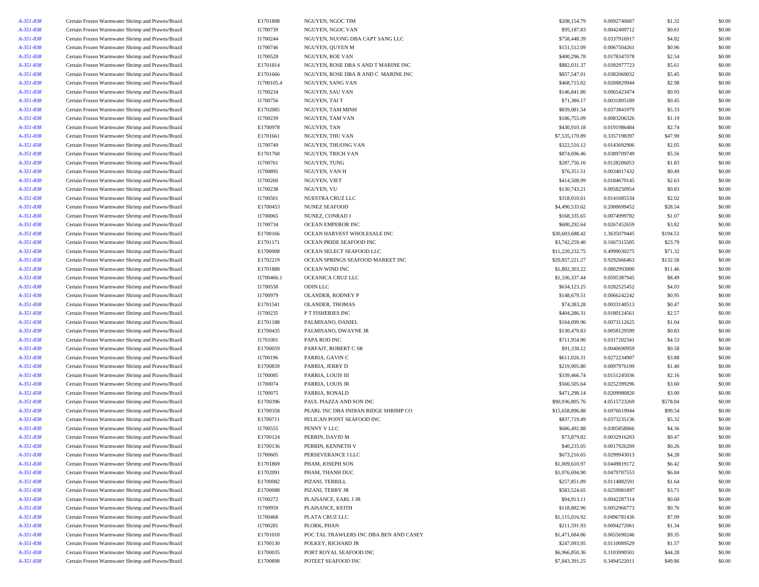| A-351-838 | Certain Frozen Warmwater Shrimp and Prawns/Brazil | E1701808   | NGUYEN, NGOC TIM                       | \$208,154.79    | 0.0092740687 | \$1.32   | \$0.00 |
|-----------|---------------------------------------------------|------------|----------------------------------------|-----------------|--------------|----------|--------|
| A-351-838 | Certain Frozen Warmwater Shrimp and Prawns/Brazil | I1700739   | NGUYEN, NGOC VAN                       | \$95,187.83     | 0.0042409712 | \$0.61   | \$0.00 |
| A-351-838 | Certain Frozen Warmwater Shrimp and Prawns/Brazil | I1700244   | NGUYEN, NUONG DBA CAPT SANG LLC        | \$758,448.39    | 0.0337916917 | \$4.82   | \$0.00 |
| A-351-838 | Certain Frozen Warmwater Shrimp and Prawns/Brazil | I1700746   | NGUYEN, QUYEN M                        | \$151,512.09    | 0.0067504261 | \$0.96   | \$0.00 |
| A-351-838 | Certain Frozen Warmwater Shrimp and Prawns/Brazil | I1700528   | NGUYEN, ROE VAN                        | \$400,296.78    | 0.0178347078 | \$2.54   | \$0.00 |
| A-351-838 | Certain Frozen Warmwater Shrimp and Prawns/Brazil | E1701814   | NGUYEN, ROSE DBA S AND T MARINE INC    | \$882,031.37    | 0.0392977723 | \$5.61   | \$0.00 |
| A-351-838 | Certain Frozen Warmwater Shrimp and Prawns/Brazil | E1701666   | NGUYEN, ROSE DBA R AND C MARINE INC    | \$857,547.01    | 0.0382069032 | \$5.45   | \$0.00 |
| A-351-838 | Certain Frozen Warmwater Shrimp and Prawns/Brazil | I1700105.4 | NGUYEN, SANG VAN                       | \$468,715.02    | 0.0208829944 | \$2.98   | \$0.00 |
| A-351-838 | Certain Frozen Warmwater Shrimp and Prawns/Brazil | I1700234   | NGUYEN, SAU VAN                        | \$146,841.80    | 0.0065423474 | \$0.93   | \$0.00 |
| A-351-838 | Certain Frozen Warmwater Shrimp and Prawns/Brazil | I1700756   | NGUYEN, TAI T                          | \$71,386.17     | 0.0031805189 | \$0.45   | \$0.00 |
|           | Certain Frozen Warmwater Shrimp and Prawns/Brazil | E1702085   | NGUYEN, TAM MINH                       | \$839,081.54    | 0.0373841979 | \$5.33   | \$0.00 |
| A-351-838 |                                                   |            |                                        |                 |              |          |        |
| A-351-838 | Certain Frozen Warmwater Shrimp and Prawns/Brazil | I1700239   | NGUYEN, TAM VAN                        | \$186,755.09    | 0.0083206326 | \$1.19   | \$0.00 |
| A-351-838 | Certain Frozen Warmwater Shrimp and Prawns/Brazil | E1700978   | <b>NGUYEN, TAN</b>                     | \$430,910.18    | 0.0191986484 | \$2.74   | \$0.00 |
| A-351-838 | Certain Frozen Warmwater Shrimp and Prawns/Brazil | E1701661   | NGUYEN, THU VAN                        | \$7,535,170.89  | 0.3357198397 | \$47.90  | \$0.00 |
| A-351-838 | Certain Frozen Warmwater Shrimp and Prawns/Brazil | I1700749   | NGUYEN, THUONG VAN                     | \$322,516.12    | 0.0143692906 | \$2.05   | \$0.00 |
| A-351-838 | Certain Frozen Warmwater Shrimp and Prawns/Brazil | E1701760   | NGUYEN, TRICH VAN                      | \$874,696.46    | 0.0389709749 | \$5.56   | \$0.00 |
| A-351-838 | Certain Frozen Warmwater Shrimp and Prawns/Brazil | I1700761   | NGUYEN, TUNG                           | \$287,756.16    | 0.0128206053 | \$1.83   | \$0.00 |
| A-351-838 | Certain Frozen Warmwater Shrimp and Prawns/Brazil | I1700895   | NGUYEN, VAN H                          | \$76,351.51     | 0.0034017432 | \$0.49   | \$0.00 |
| A-351-838 | Certain Frozen Warmwater Shrimp and Prawns/Brazil | I1700260   | NGUYEN, VIET                           | \$414,508.99    | 0.0184679145 | \$2.63   | \$0.00 |
| A-351-838 | Certain Frozen Warmwater Shrimp and Prawns/Brazil | I1700238   | NGUYEN, VU                             | \$130,743.21    | 0.0058250954 | \$0.83   | \$0.00 |
| A-351-838 | Certain Frozen Warmwater Shrimp and Prawns/Brazil | 11700501   | NUESTRA CRUZ LLC                       | \$318,010.61    | 0.0141685534 | \$2.02   | \$0.00 |
| A-351-838 | Certain Frozen Warmwater Shrimp and Prawns/Brazil | E1700453   | <b>NUNEZ SEAFOOD</b>                   | \$4,490,533.62  | 0.2000699452 | \$28.54  | \$0.00 |
| A-351-838 | Certain Frozen Warmwater Shrimp and Prawns/Brazil | I1700065   | NUNEZ, CONRAD J                        | \$168,335.65    | 0.0074999782 | \$1.07   | \$0.00 |
| A-351-838 | Certain Frozen Warmwater Shrimp and Prawns/Brazil | I1700734   | OCEAN EMPEROR INC                      | \$600,292.64    | 0.0267452659 | \$3.82   | \$0.00 |
| A-351-838 | Certain Frozen Warmwater Shrimp and Prawns/Brazil | E1700166   | OCEAN HARVEST WHOLESALE INC            | \$30,603,688.42 | 1.3635079445 | \$194.53 | \$0.00 |
| A-351-838 | Certain Frozen Warmwater Shrimp and Prawns/Brazil | E1701171   | OCEAN PRIDE SEAFOOD INC                | \$3,742,259.40  | 0.1667315505 | \$23.79  | \$0.00 |
| A-351-838 | Certain Frozen Warmwater Shrimp and Prawns/Brazil | E1700008   | OCEAN SELECT SEAFOOD LLC               | \$11,220,232.75 | 0.4999030275 | \$71.32  | \$0.00 |
| A-351-838 | Certain Frozen Warmwater Shrimp and Prawns/Brazil | E1702219   | OCEAN SPRINGS SEAFOOD MARKET INC       | \$20,857,221.27 | 0.9292666463 | \$132.58 | \$0.00 |
| A-351-838 | Certain Frozen Warmwater Shrimp and Prawns/Brazil | E1701888   | OCEAN WIND INC                         | \$1,802,303.22  | 0.0802993000 | \$11.46  | \$0.00 |
| A-351-838 | Certain Frozen Warmwater Shrimp and Prawns/Brazil | I1700466.1 | OCEANICA CRUZ LLC                      | \$1,336,337.44  | 0.0595387945 | \$8.49   | \$0.00 |
|           |                                                   |            |                                        |                 |              |          |        |
| A-351-838 | Certain Frozen Warmwater Shrimp and Prawns/Brazil | I1700558   | <b>ODIN LLC</b>                        | \$634,123.25    | 0.0282525452 | \$4.03   | \$0.00 |
| A-351-838 | Certain Frozen Warmwater Shrimp and Prawns/Brazil | I1700979   | OLANDER, RODNEY P                      | \$148,679.51    | 0.0066242242 | \$0.95   | \$0.00 |
| A-351-838 | Certain Frozen Warmwater Shrimp and Prawns/Brazil | E1701541   | OLANDER, THOMAS                        | \$74,383.28     | 0.0033140513 | \$0.47   | \$0.00 |
| A-351-838 | Certain Frozen Warmwater Shrimp and Prawns/Brazil | I1700235   | P T FISHERIES INC                      | \$404,286.31    | 0.0180124561 | \$2.57   | \$0.00 |
| A-351-838 | Certain Frozen Warmwater Shrimp and Prawns/Brazil | E1701188   | PALMISANO, DANIEL                      | \$164,099.96    | 0.0073112625 | \$1.04   | \$0.00 |
| A-351-838 | Certain Frozen Warmwater Shrimp and Prawns/Brazil | E1700435   | PALMISANO, DWAYNE JR                   | \$130,470.83    | 0.0058129599 | \$0.83   | \$0.00 |
| A-351-838 | Certain Frozen Warmwater Shrimp and Prawns/Brazil | I1701001   | PAPA ROD INC                           | \$711,954.90    | 0.0317202341 | \$4.53   | \$0.00 |
| A-351-838 | Certain Frozen Warmwater Shrimp and Prawns/Brazil | E1700059   | PARFAIT, ROBERT C SR                   | \$91,330.12     | 0.0040690959 | \$0.58   | \$0.00 |
| A-351-838 | Certain Frozen Warmwater Shrimp and Prawns/Brazil | I1700196   | PARRIA, GAVINC                         | \$611,026.31    | 0.0272234907 | \$3.88   | \$0.00 |
| A-351-838 | Certain Frozen Warmwater Shrimp and Prawns/Brazil | E1700839   | PARRIA, JERRY D                        | \$219,905.80    | 0.0097976199 | \$1.40   | \$0.00 |
| A-351-838 | Certain Frozen Warmwater Shrimp and Prawns/Brazil | I1700085   | PARRIA, LOUIS III                      | \$339,466.74    | 0.0151245036 | \$2.16   | \$0.00 |
| A-351-838 | Certain Frozen Warmwater Shrimp and Prawns/Brazil | I1700074   | PARRIA, LOUIS JR                       | \$566,505.64    | 0.0252399296 | \$3.60   | \$0.00 |
| A-351-838 | Certain Frozen Warmwater Shrimp and Prawns/Brazil | I1700075   | PARRIA, RONALD                         | \$471,298.14    | 0.0209980820 | \$3.00   | \$0.00 |
| A-351-838 | Certain Frozen Warmwater Shrimp and Prawns/Brazil | E1700396   | PAUL PIAZZA AND SON INC                | \$90,936,805.76 | 4.0515723269 | \$578.04 | \$0.00 |
| A-351-838 | Certain Frozen Warmwater Shrimp and Prawns/Brazil | E1700358   | PEARL INC DBA INDIAN RIDGE SHRIMP CO   | \$15,658,896.88 | 0.6976619944 | \$99.54  | \$0.00 |
| A-351-838 | Certain Frozen Warmwater Shrimp and Prawns/Brazil | E1700711   | PELICAN POINT SEAFOOD INC              | \$837,719.49    | 0.0373235136 | \$5.32   | \$0.00 |
| A-351-838 | Certain Frozen Warmwater Shrimp and Prawns/Brazil | I1700555   | PENNY V LLC                            | \$686,492.88    | 0.0305858066 | \$4.36   | \$0.00 |
| A-351-838 | Certain Frozen Warmwater Shrimp and Prawns/Brazil | E1700124   | PERRIN, DAVID M                        | \$73,879.82     | 0.0032916203 | \$0.47   | \$0.00 |
| A-351-838 | Certain Frozen Warmwater Shrimp and Prawns/Brazil | E1700136   | PERRIN, KENNETH V                      | \$40,235.05     | 0.0017926209 | \$0.26   | \$0.00 |
| A-351-838 | Certain Frozen Warmwater Shrimp and Prawns/Brazil | I1700605   | PERSEVERANCE I LLC                     | \$673,216.65    | 0.0299943013 | \$4.28   | \$0.00 |
| A-351-838 | Certain Frozen Warmwater Shrimp and Prawns/Brazil | E1701869   | PHAM, JOSEPH SON                       | \$1,009,610.97  | 0.0449819172 | \$6.42   | \$0.00 |
| A-351-838 | Certain Frozen Warmwater Shrimp and Prawns/Brazil | E1702091   | PHAM, THANH DUC                        | \$1,076,694.90  | 0.0479707553 | \$6.84   | \$0.00 |
|           |                                                   |            |                                        |                 |              |          |        |
| A-351-838 | Certain Frozen Warmwater Shrimp and Prawns/Brazil | E1700082   | PIZANI, TERRILL                        | \$257,851.89    | 0.0114882591 | \$1.64   | \$0.00 |
| A-351-838 | Certain Frozen Warmwater Shrimp and Prawns/Brazil | E1700088   | PIZANI, TERRY JR                       | \$583,524.65    | 0.0259981897 | \$3.71   | \$0.00 |
| A-351-838 | Certain Frozen Warmwater Shrimp and Prawns/Brazil | I1700272   | PLAISANCE, EARL J JR                   | \$94,913.11     | 0.0042287314 | \$0.60   | \$0.00 |
| A-351-838 | Certain Frozen Warmwater Shrimp and Prawns/Brazil | I1700959   | PLAISANCE, KEITH                       | \$118,882.96    | 0.0052966773 | \$0.76   | \$0.00 |
| A-351-838 | Certain Frozen Warmwater Shrimp and Prawns/Brazil | I1700468   | PLATA CRUZ LLC                         | \$1,115,016.92  | 0.0496781436 | \$7.09   | \$0.00 |
| A-351-838 | Certain Frozen Warmwater Shrimp and Prawns/Brazil | I1700281   | PLORK, PHAN                            | \$211,591.93    | 0.0094272061 | \$1.34   | \$0.00 |
| A-351-838 | Certain Frozen Warmwater Shrimp and Prawns/Brazil | E1701018   | POC TAL TRAWLERS INC DBA BEN AND CASEY | \$1,471,684.86  | 0.0655690246 | \$9.35   | \$0.00 |
| A-351-838 | Certain Frozen Warmwater Shrimp and Prawns/Brazil | E1700130   | POLKEY, RICHARD JR                     | \$247,093.95    | 0.0110089529 | \$1.57   | \$0.00 |
| A-351-838 | Certain Frozen Warmwater Shrimp and Prawns/Brazil | E1700035   | PORT ROYAL SEAFOOD INC                 | \$6,966,850.36  | 0.3103990501 | \$44.28  | \$0.00 |
| A-351-838 | Certain Frozen Warmwater Shrimp and Prawns/Brazil | E1700898   | POTEET SEAFOOD INC                     | \$7,843,391.25  | 0.3494522011 | \$49.86  | \$0.00 |
|           |                                                   |            |                                        |                 |              |          |        |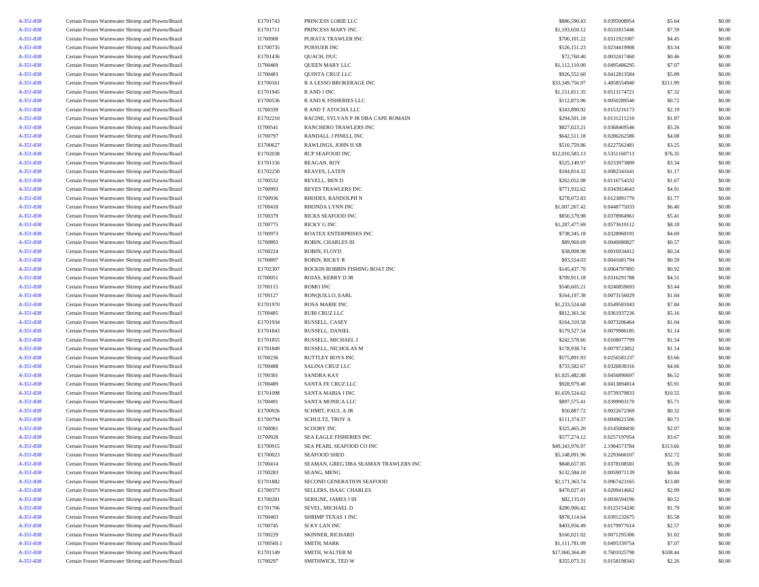| A-351-838 | Certain Frozen Warmwater Shrimp and Prawns/Brazil | E1701743   | PRINCESS LORIE LLC                   | \$886,590.43    | 0.0395008954 | \$5.64   | \$0.00 |
|-----------|---------------------------------------------------|------------|--------------------------------------|-----------------|--------------|----------|--------|
| A-351-838 | Certain Frozen Warmwater Shrimp and Prawns/Brazil | E1701711   | PRINCESS MARY INC                    | \$1,193,650.12  | 0.0531815446 | \$7.59   | \$0.00 |
| A-351-838 | Certain Frozen Warmwater Shrimp and Prawns/Brazil | I1700908   | PURATA TRAWLER INC                   | \$700,101.22    | 0.0311921087 | \$4.45   | \$0.00 |
| A-351-838 | Certain Frozen Warmwater Shrimp and Prawns/Brazil | E1700735   | PURSUER INC                          | \$526,151.23    | 0.0234419908 | \$3.34   | \$0.00 |
| A-351-838 | Certain Frozen Warmwater Shrimp and Prawns/Brazil | E1701436   | QUACH, DUC                           | \$72,760.40     | 0.0032417460 | \$0.46   | \$0.00 |
| A-351-838 | Certain Frozen Warmwater Shrimp and Prawns/Brazil | I1700469   | QUEEN MARY LLC                       | \$1,112,110.00  | 0.0495486295 | \$7.07   | \$0.00 |
| A-351-838 | Certain Frozen Warmwater Shrimp and Prawns/Brazil | I1700483   | QUINTA CRUZ LLC                      | \$926,552.60    | 0.0412813584 | \$5.89   | \$0.00 |
| A-351-838 | Certain Frozen Warmwater Shrimp and Prawns/Brazil | E1700161   | R A LESSO BROKERAGE INC              | \$33,349,756.97 | 1.4858554940 | \$211.99 | \$0.00 |
| A-351-838 | Certain Frozen Warmwater Shrimp and Prawns/Brazil | E1701945   | R AND J INC                          | \$1,151,811.35  | 0.0513174721 | \$7.32   | \$0.00 |
| A-351-838 | Certain Frozen Warmwater Shrimp and Prawns/Brazil | E1700536   | R AND K FISHERIES LLC                | \$112,873.96    | 0.0050289540 | \$0.72   | \$0.00 |
| A-351-838 | Certain Frozen Warmwater Shrimp and Prawns/Brazil | I1700339   | R AND T ATOCHA LLC                   | \$343,890.92    | 0.0153216173 | \$2.19   | \$0.00 |
| A-351-838 | Certain Frozen Warmwater Shrimp and Prawns/Brazil | E1702210   | RACINE, SYLVAN P JR DBA CAPE ROMAIN  | \$294,501.18    | 0.0131211210 | \$1.87   | \$0.00 |
| A-351-838 | Certain Frozen Warmwater Shrimp and Prawns/Brazil | I1700541   | <b>RANCHERO TRAWLERS INC</b>         | \$827,023.21    | 0.0368469546 | \$5.26   | \$0.00 |
| A-351-838 | Certain Frozen Warmwater Shrimp and Prawns/Brazil | I1700797   | RANDALL J PINELL INC                 | \$642,511.18    | 0.0286262586 | \$4.08   | \$0.00 |
| A-351-838 | Certain Frozen Warmwater Shrimp and Prawns/Brazil | E1700627   | RAWLINGS, JOHN H SR                  | \$510,759.86    | 0.0227562481 | \$3.25   | \$0.00 |
| A-351-838 | Certain Frozen Warmwater Shrimp and Prawns/Brazil | E1702038   | RCP SEAFOOD INC                      | \$12,010,583.13 | 0.5351160713 | \$76.35  | \$0.00 |
| A-351-838 | Certain Frozen Warmwater Shrimp and Prawns/Brazil | E1701156   | REAGAN, ROY                          | \$525,149.97    | 0.0233973809 | \$3.34   | \$0.00 |
| A-351-838 | Certain Frozen Warmwater Shrimp and Prawns/Brazil | E1702250   | REAVES, LATEN                        | \$184,814.32    | 0.0082341641 | \$1.17   | \$0.00 |
| A-351-838 | Certain Frozen Warmwater Shrimp and Prawns/Brazil | I1700532   | REVELL, BEN D                        | \$262,052.98    | 0.0116754332 | \$1.67   | \$0.00 |
| A-351-838 | Certain Frozen Warmwater Shrimp and Prawns/Brazil | I1700993   | REYES TRAWLERS INC                   | \$771,932.62    | 0.0343924643 | \$4.91   | \$0.00 |
| A-351-838 | Certain Frozen Warmwater Shrimp and Prawns/Brazil | I1700936   | RHODES, RANDOLPH N                   | \$278,072.83    | 0.0123891770 | \$1.77   | \$0.00 |
| A-351-838 | Certain Frozen Warmwater Shrimp and Prawns/Brazil | I1700418   | RHONDA LYNN INC                      | \$1,007,267.42  | 0.0448775033 | \$6.40   | \$0.00 |
| A-351-838 | Certain Frozen Warmwater Shrimp and Prawns/Brazil | I1700379   | RICKS SEAFOOD INC                    | \$850,579.98    | 0.0378964961 | \$5.41   | \$0.00 |
| A-351-838 | Certain Frozen Warmwater Shrimp and Prawns/Brazil | I1700775   | RICKY G INC                          | \$1,287,477.69  | 0.0573619112 | \$8.18   | \$0.00 |
| A-351-838 | Certain Frozen Warmwater Shrimp and Prawns/Brazil | I1700973   | ROATEX ENTERPRISES INC               | \$738,345.18    | 0.0328960191 | \$4.69   | \$0.00 |
| A-351-838 | Certain Frozen Warmwater Shrimp and Prawns/Brazil | I1700893   | ROBIN, CHARLES III                   | \$89,960.69     | 0.0040080827 | \$0.57   | \$0.00 |
| A-351-838 | Certain Frozen Warmwater Shrimp and Prawns/Brazil | I1700224   | ROBIN, FLOYD                         | \$38,008.98     | 0.0016934412 | \$0.24   | \$0.00 |
| A-351-838 | Certain Frozen Warmwater Shrimp and Prawns/Brazil | I1700897   | ROBIN, RICKY R                       | \$93,554.03     | 0.0041681794 | \$0.59   | \$0.00 |
| A-351-838 | Certain Frozen Warmwater Shrimp and Prawns/Brazil | E1702307   | ROCKIN ROBBIN FISHING BOAT INC       | \$145,437.70    | 0.0064797895 | \$0.92   | \$0.00 |
| A-351-838 | Certain Frozen Warmwater Shrimp and Prawns/Brazil | I1700051   | ROJAS, KERRY D JR                    | \$709,911.18    | 0.0316291788 | \$4.51   | \$0.00 |
| A-351-838 | Certain Frozen Warmwater Shrimp and Prawns/Brazil | I1700115   | <b>ROMO INC</b>                      | \$540,605.21    | 0.0240859693 | \$3.44   | \$0.00 |
| A-351-838 | Certain Frozen Warmwater Shrimp and Prawns/Brazil | I1700127   | RONQUILLO, EARL                      | \$164,197.38    | 0.0073156029 | \$1.04   | \$0.00 |
| A-351-838 | Certain Frozen Warmwater Shrimp and Prawns/Brazil | E1701970   | <b>ROSA MARIE INC</b>                | \$1,233,524.68  | 0.0549581043 | \$7.84   | \$0.00 |
| A-351-838 | Certain Frozen Warmwater Shrimp and Prawns/Brazil | I1700485   | RUBI CRUZ LLC                        | \$812,361.56    | 0.0361937236 | \$5.16   | \$0.00 |
| A-351-838 | Certain Frozen Warmwater Shrimp and Prawns/Brazil | E1701934   | RUSSELL, CASEY                       | \$164,310.58    | 0.0073206464 | \$1.04   | \$0.00 |
| A-351-838 | Certain Frozen Warmwater Shrimp and Prawns/Brazil | E1701843   | RUSSELL, DANIEL                      | \$179,527.54    | 0.0079986185 | \$1.14   | \$0.00 |
| A-351-838 | Certain Frozen Warmwater Shrimp and Prawns/Brazil | E1701855   | RUSSELL, MICHAEL J                   | \$242,578.66    | 0.0108077799 | \$1.54   | \$0.00 |
| A-351-838 | Certain Frozen Warmwater Shrimp and Prawns/Brazil | E1701849   | RUSSELL, NICHOLAS M                  | \$178,938.74    | 0.0079723852 | \$1.14   | \$0.00 |
| A-351-838 | Certain Frozen Warmwater Shrimp and Prawns/Brazil | I1700236   | <b>RUTTLEY BOYS INC</b>              | \$575,891.93    | 0.0256581237 | \$3.66   | \$0.00 |
| A-351-838 | Certain Frozen Warmwater Shrimp and Prawns/Brazil | I1700488   | SALINA CRUZ LLC                      | \$733,582.67    | 0.0326838316 | \$4.66   | \$0.00 |
| A-351-838 | Certain Frozen Warmwater Shrimp and Prawns/Brazil | I1700301   | <b>SANDRA KAY</b>                    | \$1,025,482.88  | 0.0456890697 | \$6.52   | \$0.00 |
| A-351-838 | Certain Frozen Warmwater Shrimp and Prawns/Brazil | I1700489   | SANTA FE CRUZ LLC                    | \$928,979.40    | 0.0413894814 | \$5.91   | \$0.00 |
| A-351-838 | Certain Frozen Warmwater Shrimp and Prawns/Brazil | E1701098   | <b>SANTA MARIA I INC</b>             | \$1,659,524.62  | 0.0739379833 | \$10.55  | \$0.00 |
| A-351-838 | Certain Frozen Warmwater Shrimp and Prawns/Brazil | I1700491   | <b>SANTA MONICA LLC</b>              | \$897,575.41    | 0.0399903170 | \$5.71   | \$0.00 |
| A-351-838 | Certain Frozen Warmwater Shrimp and Prawns/Brazil | E1700926   | SCHMIT, PAUL A JR                    | \$50,887.72     | 0.0022672369 | \$0.32   | \$0.00 |
| A-351-838 | Certain Frozen Warmwater Shrimp and Prawns/Brazil | E1700794   | SCHULTZ, TROY A                      | \$111,374.57    | 0.0049621506 | \$0.71   | \$0.00 |
| A-351-838 | Certain Frozen Warmwater Shrimp and Prawns/Brazil | I1700081   | <b>SCOOBY INC</b>                    | \$325,465.20    | 0.0145006830 | \$2.07   | \$0.00 |
| A-351-838 | Certain Frozen Warmwater Shrimp and Prawns/Brazil | I1700928   | SEA EAGLE FISHERIES INC              | \$577,274.12    | 0.0257197054 | \$3.67   | \$0.00 |
| A-351-838 | Certain Frozen Warmwater Shrimp and Prawns/Brazil | E1700915   | SEA PEARL SEAFOOD CO INC             | \$49,343,976.97 | 2.1984573784 | \$313.66 | \$0.00 |
| A-351-838 | Certain Frozen Warmwater Shrimp and Prawns/Brazil | E1700023   | <b>SEAFOOD SHED</b>                  | \$5,148,091.96  | 0.2293666107 | \$32.72  | \$0.00 |
| A-351-838 | Certain Frozen Warmwater Shrimp and Prawns/Brazil | I1700414   | SEAMAN, GREG DBA SEAMAN TRAWLERS INC | \$848,657.85    | 0.0378108581 | \$5.39   | \$0.00 |
| A-351-838 | Certain Frozen Warmwater Shrimp and Prawns/Brazil | I1700283   | SEANG, MENG                          | \$132,584.10    | 0.0059071139 | \$0.84   | \$0.00 |
| A-351-838 | Certain Frozen Warmwater Shrimp and Prawns/Brazil | E1701882   | SECOND GENERATION SEAFOOD            | \$2,171,363.74  | 0.0967423165 | \$13.80  | \$0.00 |
| A-351-838 | Certain Frozen Warmwater Shrimp and Prawns/Brazil | E1700373   | SELLERS, ISAAC CHARLES               | \$470,027.41    | 0.0209414662 | \$2.99   | \$0.00 |
| A-351-838 | Certain Frozen Warmwater Shrimp and Prawns/Brazil | E1700281   | SERIGNE, JAMES J III                 | \$82,135.01     | 0.0036594196 | \$0.52   | \$0.00 |
| A-351-838 | Certain Frozen Warmwater Shrimp and Prawns/Brazil | E1701706   | SEVEL, MICHAEL D                     | \$280,906.42    | 0.0125154240 | \$1.79   | \$0.00 |
| A-351-838 | Certain Frozen Warmwater Shrimp and Prawns/Brazil | I1700403   | SHRIMP TEXAS 1 INC                   | \$878,114.64    | 0.0391232675 | \$5.58   | \$0.00 |
| A-351-838 | Certain Frozen Warmwater Shrimp and Prawns/Brazil | I1700745   | SI KY LAN INC                        | \$403,956.49    | 0.0179977614 | \$2.57   | \$0.00 |
| A-351-838 | Certain Frozen Warmwater Shrimp and Prawns/Brazil | I1700229   | SKINNER, RICHARD                     | \$160,021.02    | 0.0071295306 | \$1.02   | \$0.00 |
| A-351-838 | Certain Frozen Warmwater Shrimp and Prawns/Brazil | I1700560.1 | SMITH, MARK                          | \$1,111,781.09  | 0.0495339754 | \$7.07   | \$0.00 |
| A-351-838 | Certain Frozen Warmwater Shrimp and Prawns/Brazil | E1701149   | SMITH, WALTER M                      | \$17,060,364.49 | 0.7601025798 | \$108.44 | \$0.00 |
| A-351-838 | Certain Frozen Warmwater Shrimp and Prawns/Brazil | I1700297   | SMITHWICK, TED W                     | \$355,073.31    | 0.0158198343 | \$2.26   | \$0.00 |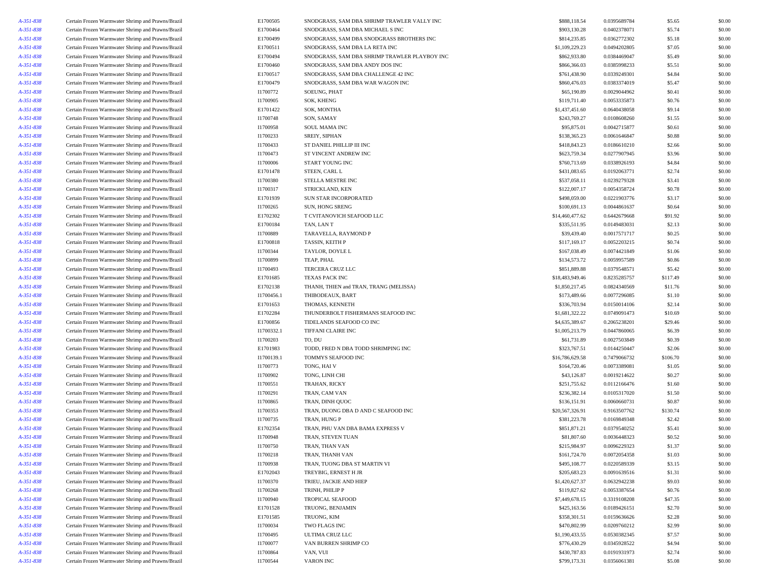| A-351-838 | Certain Frozen Warmwater Shrimp and Prawns/Brazil | E1700505   | SNODGRASS, SAM DBA SHRIMP TRAWLER VALLY INC   | \$888,118.54    | 0.0395689784 | \$5.65   | \$0.00 |
|-----------|---------------------------------------------------|------------|-----------------------------------------------|-----------------|--------------|----------|--------|
| A-351-838 | Certain Frozen Warmwater Shrimp and Prawns/Brazil | E1700464   | SNODGRASS, SAM DBA MICHAEL S INC              | \$903,130.28    | 0.0402378071 | \$5.74   | \$0.00 |
| A-351-838 | Certain Frozen Warmwater Shrimp and Prawns/Brazil | E1700499   | SNODGRASS, SAM DBA SNODGRASS BROTHERS INC     | \$814,235.85    | 0.0362772302 | \$5.18   | \$0.00 |
| A-351-838 | Certain Frozen Warmwater Shrimp and Prawns/Brazil | E1700511   | SNODGRASS, SAM DBA LA RETA INC                | \$1,109,229.23  | 0.0494202805 | \$7.05   | \$0.00 |
| A-351-838 | Certain Frozen Warmwater Shrimp and Prawns/Brazil | E1700494   | SNODGRASS, SAM DBA SHRIMP TRAWLER PLAYBOY INC | \$862,933.80    | 0.0384469047 | \$5.49   | \$0.00 |
| A-351-838 | Certain Frozen Warmwater Shrimp and Prawns/Brazil | E1700460   | SNODGRASS, SAM DBA ANDY DOS INC               | \$866,366.03    | 0.0385998233 | \$5.51   | \$0.00 |
| A-351-838 | Certain Frozen Warmwater Shrimp and Prawns/Brazil | E1700517   | SNODGRASS, SAM DBA CHALLENGE 42 INC           | \$761,438.90    | 0.0339249301 | \$4.84   | \$0.00 |
| A-351-838 | Certain Frozen Warmwater Shrimp and Prawns/Brazil | E1700479   | SNODGRASS, SAM DBA WAR WAGON INC              | \$860,476.03    | 0.0383374019 | \$5.47   | \$0.00 |
| A-351-838 | Certain Frozen Warmwater Shrimp and Prawns/Brazil | I1700772   | SOEUNG, PHAT                                  | \$65,190.89     | 0.0029044962 | \$0.41   | \$0.00 |
| A-351-838 | Certain Frozen Warmwater Shrimp and Prawns/Brazil | I1700905   | SOK, KHENG                                    | \$119,711.40    | 0.0053335873 | \$0.76   | \$0.00 |
| A-351-838 | Certain Frozen Warmwater Shrimp and Prawns/Brazil | E1701422   | SOK, MONTHA                                   | \$1,437,451.60  | 0.0640438058 | \$9.14   | \$0.00 |
| A-351-838 | Certain Frozen Warmwater Shrimp and Prawns/Brazil | I1700748   | SON, SAMAY                                    | \$243,769.27    | 0.0108608260 | \$1.55   | \$0.00 |
| A-351-838 | Certain Frozen Warmwater Shrimp and Prawns/Brazil | I1700958   | <b>SOUL MAMA INC</b>                          | \$95,875.01     | 0.0042715877 | \$0.61   | \$0.00 |
| A-351-838 | Certain Frozen Warmwater Shrimp and Prawns/Brazil | I1700233   | SREIY, SIPHAN                                 | \$138,365.23    | 0.0061646847 | \$0.88   | \$0.00 |
| A-351-838 | Certain Frozen Warmwater Shrimp and Prawns/Brazil | I1700433   | ST DANIEL PHILLIP III INC                     | \$418,843.23    | 0.0186610210 | \$2.66   | \$0.00 |
| A-351-838 | Certain Frozen Warmwater Shrimp and Prawns/Brazil | I1700473   | ST VINCENT ANDREW INC                         | \$623,759.34    | 0.0277907945 | \$3.96   | \$0.00 |
| A-351-838 | Certain Frozen Warmwater Shrimp and Prawns/Brazil | I1700006   | START YOUNG INC                               | \$760,713.69    | 0.0338926193 | \$4.84   | \$0.00 |
| A-351-838 |                                                   |            |                                               | \$431,083.65    |              | \$2.74   | \$0.00 |
|           | Certain Frozen Warmwater Shrimp and Prawns/Brazil | E1701478   | STEEN, CARL L                                 | \$537,058.11    | 0.0192063771 | \$3.41   | \$0.00 |
| A-351-838 | Certain Frozen Warmwater Shrimp and Prawns/Brazil | I1700380   | STELLA MESTRE INC                             |                 | 0.0239279328 |          |        |
| A-351-838 | Certain Frozen Warmwater Shrimp and Prawns/Brazil | I1700317   | STRICKLAND, KEN                               | \$122,007.17    | 0.0054358724 | \$0.78   | \$0.00 |
| A-351-838 | Certain Frozen Warmwater Shrimp and Prawns/Brazil | E1701939   | SUN STAR INCORPORATED                         | \$498,059.00    | 0.0221903776 | \$3.17   | \$0.00 |
| A-351-838 | Certain Frozen Warmwater Shrimp and Prawns/Brazil | I1700265   | SUN, HONG SRENG                               | \$100,691.13    | 0.0044861637 | \$0.64   | \$0.00 |
| A-351-838 | Certain Frozen Warmwater Shrimp and Prawns/Brazil | E1702302   | T CVITANOVICH SEAFOOD LLC                     | \$14,460,477.62 | 0.6442679668 | \$91.92  | \$0.00 |
| A-351-838 | Certain Frozen Warmwater Shrimp and Prawns/Brazil | E1700184   | TAN, LAN T                                    | \$335,511.95    | 0.0149483031 | \$2.13   | \$0.00 |
| A-351-838 | Certain Frozen Warmwater Shrimp and Prawns/Brazil | I1700889   | TARAVELLA, RAYMOND P                          | \$39,439.40     | 0.0017571717 | \$0.25   | \$0.00 |
| A-351-838 | Certain Frozen Warmwater Shrimp and Prawns/Brazil | E1700818   | TASSIN, KEITH P                               | \$117,169.17    | 0.0052203215 | \$0.74   | \$0.00 |
| A-351-838 | Certain Frozen Warmwater Shrimp and Prawns/Brazil | I1700344   | TAYLOR, DOYLE L                               | \$167,038.49    | 0.0074421849 | \$1.06   | \$0.00 |
| A-351-838 | Certain Frozen Warmwater Shrimp and Prawns/Brazil | I1700899   | TEAP, PHAL                                    | \$134,573.72    | 0.0059957589 | \$0.86   | \$0.00 |
| A-351-838 | Certain Frozen Warmwater Shrimp and Prawns/Brazil | I1700493   | <b>TERCERA CRUZ LLC</b>                       | \$851,889.88    | 0.0379548571 | \$5.42   | \$0.00 |
| A-351-838 | Certain Frozen Warmwater Shrimp and Prawns/Brazil | E1701685   | TEXAS PACK INC                                | \$18,483,949.46 | 0.8235285757 | \$117.49 | \$0.00 |
| A-351-838 | Certain Frozen Warmwater Shrimp and Prawns/Brazil | E1702138   | THANH, THIEN and TRAN, TRANG (MELISSA)        | \$1,850,217.45  | 0.0824340569 | \$11.76  | \$0.00 |
| A-351-838 | Certain Frozen Warmwater Shrimp and Prawns/Brazil | I1700456.1 | THIBODEAUX, BART                              | \$173,489.66    | 0.0077296085 | \$1.10   | \$0.00 |
| A-351-838 | Certain Frozen Warmwater Shrimp and Prawns/Brazil | E1701653   | THOMAS, KENNETH                               | \$336,703.94    | 0.0150014106 | \$2.14   | \$0.00 |
| A-351-838 | Certain Frozen Warmwater Shrimp and Prawns/Brazil | E1702284   | THUNDERBOLT FISHERMANS SEAFOOD INC            | \$1,681,322.22  | 0.0749091473 | \$10.69  | \$0.00 |
| A-351-838 | Certain Frozen Warmwater Shrimp and Prawns/Brazil | E1700856   | TIDELANDS SEAFOOD CO INC                      | \$4,635,389.67  | 0.2065238201 | \$29.46  | \$0.00 |
| A-351-838 | Certain Frozen Warmwater Shrimp and Prawns/Brazil | I1700332.1 | TIFFANI CLAIRE INC                            | \$1,005,213.79  | 0.0447860065 | \$6.39   | \$0.00 |
| A-351-838 | Certain Frozen Warmwater Shrimp and Prawns/Brazil | I1700203   | TO, DU                                        | \$61,731.89     | 0.0027503849 | \$0.39   | \$0.00 |
| A-351-838 | Certain Frozen Warmwater Shrimp and Prawns/Brazil | E1701983   | TODD, FRED N DBA TODD SHRIMPING INC           | \$323,767.51    | 0.0144250447 | \$2.06   | \$0.00 |
| A-351-838 | Certain Frozen Warmwater Shrimp and Prawns/Brazil | I1700139.1 | TOMMYS SEAFOOD INC                            | \$16,786,629.58 | 0.7479066732 | \$106.70 | \$0.00 |
| A-351-838 | Certain Frozen Warmwater Shrimp and Prawns/Brazil | I1700773   | TONG, HAI V                                   | \$164,720.46    | 0.0073389081 | \$1.05   | \$0.00 |
| A-351-838 | Certain Frozen Warmwater Shrimp and Prawns/Brazil | I1700902   | TONG, LINH CHI                                | \$43,126.87     | 0.0019214622 | \$0.27   | \$0.00 |
| A-351-838 | Certain Frozen Warmwater Shrimp and Prawns/Brazil | I1700551   | TRAHAN, RICKY                                 | \$251,755.62    | 0.0112166476 | \$1.60   | \$0.00 |
| A-351-838 | Certain Frozen Warmwater Shrimp and Prawns/Brazil | I1700291   | TRAN, CAM VAN                                 | \$236,382.14    | 0.0105317020 | \$1.50   | \$0.00 |
| A-351-838 | Certain Frozen Warmwater Shrimp and Prawns/Brazil | I1700865   | TRAN, DINH QUOC                               | \$136,151.91    | 0.0060660731 | \$0.87   | \$0.00 |
| A-351-838 | Certain Frozen Warmwater Shrimp and Prawns/Brazil | I1700353   | TRAN, DUONG DBA D AND C SEAFOOD INC           | \$20,567,326.91 | 0.9163507762 | \$130.74 | \$0.00 |
| A-351-838 | Certain Frozen Warmwater Shrimp and Prawns/Brazil | I1700735   | TRAN, HUNG P                                  | \$381,223.78    | 0.0169849348 | \$2.42   | \$0.00 |
| A-351-838 | Certain Frozen Warmwater Shrimp and Prawns/Brazil | E1702354   | TRAN, PHU VAN DBA BAMA EXPRESS V              | \$851,871.21    | 0.0379540252 | \$5.41   | \$0.00 |
| A-351-838 | Certain Frozen Warmwater Shrimp and Prawns/Brazil | I1700948   | TRAN, STEVEN TUAN                             | \$81,807.60     | 0.0036448323 | \$0.52   | \$0.00 |
| A-351-838 | Certain Frozen Warmwater Shrimp and Prawns/Brazil | I1700750   | TRAN, THAN VAN                                | \$215,984.97    | 0.0096229323 | \$1.37   | \$0.00 |
| A-351-838 | Certain Frozen Warmwater Shrimp and Prawns/Brazil | I1700218   | TRAN, THANH VAN                               | \$161,724.70    | 0.0072054358 | \$1.03   | \$0.00 |
| A-351-838 | Certain Frozen Warmwater Shrimp and Prawns/Brazil | I1700938   | TRAN, TUONG DBA ST MARTIN VI                  | \$495,108.77    | 0.0220589339 | \$3.15   | \$0.00 |
| A-351-838 | Certain Frozen Warmwater Shrimp and Prawns/Brazil | E1702043   | TREYBIG, ERNEST H JR                          | \$205,683.23    | 0.0091639516 | \$1.31   | \$0.00 |
| A-351-838 | Certain Frozen Warmwater Shrimp and Prawns/Brazil | I1700370   | TRIEU, JACKIE AND HIEP                        | \$1,420,627.37  | 0.0632942238 | \$9.03   | \$0.00 |
|           |                                                   |            |                                               |                 |              |          |        |
| A-351-838 | Certain Frozen Warmwater Shrimp and Prawns/Brazil | I1700268   | TRINH, PHILIP P                               | \$119,827.62    | 0.0053387654 | \$0.76   | \$0.00 |
| A-351-838 | Certain Frozen Warmwater Shrimp and Prawns/Brazil | I1700940   | TROPICAL SEAFOOD                              | \$7,449,678.15  | 0.3319108208 | \$47.35  | \$0.00 |
| A-351-838 | Certain Frozen Warmwater Shrimp and Prawns/Brazil | E1701528   | TRUONG, BENJAMIN                              | \$425,163.56    | 0.0189426151 | \$2.70   | \$0.00 |
| A-351-838 | Certain Frozen Warmwater Shrimp and Prawns/Brazil | E1701585   | TRUONG, KIM                                   | \$358,301.51    | 0.0159636626 | \$2.28   | \$0.00 |
| A-351-838 | Certain Frozen Warmwater Shrimp and Prawns/Brazil | I1700034   | TWO FLAGS INC                                 | \$470,802.99    | 0.0209760212 | \$2.99   | \$0.00 |
| A-351-838 | Certain Frozen Warmwater Shrimp and Prawns/Brazil | I1700495   | ULTIMA CRUZ LLC                               | \$1,190,433.55  | 0.0530382345 | \$7.57   | \$0.00 |
| A-351-838 | Certain Frozen Warmwater Shrimp and Prawns/Brazil | I1700077   | VAN BURREN SHRIMP CO                          | \$776,430.29    | 0.0345928522 | \$4.94   | \$0.00 |
| A-351-838 | Certain Frozen Warmwater Shrimp and Prawns/Brazil | I1700864   | VAN, VUI                                      | \$430,787.83    | 0.0191931973 | \$2.74   | \$0.00 |
| A-351-838 | Certain Frozen Warmwater Shrimp and Prawns/Brazil | I1700544   | VARON INC                                     | \$799,173.31    | 0.0356061381 | \$5.08   | \$0.00 |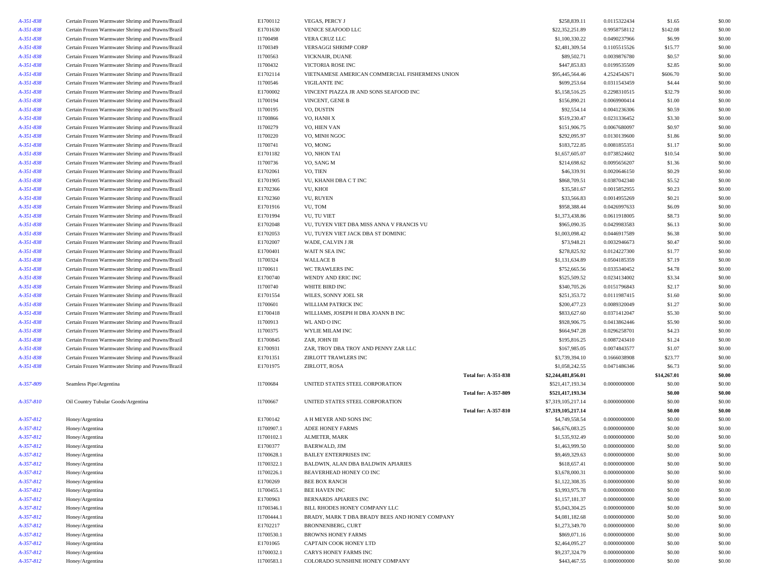| A-351-838 | Certain Frozen Warmwater Shrimp and Prawns/Brazil | E1700112   | VEGAS, PERCY J                                  |                             | \$258,839.11       | 0.0115322434 | \$1.65      | \$0.00 |
|-----------|---------------------------------------------------|------------|-------------------------------------------------|-----------------------------|--------------------|--------------|-------------|--------|
| A-351-838 | Certain Frozen Warmwater Shrimp and Prawns/Brazil | E1701630   | VENICE SEAFOOD LLC                              |                             | \$22,352,251.89    | 0.9958758112 | \$142.08    | \$0.00 |
| A-351-838 | Certain Frozen Warmwater Shrimp and Prawns/Brazil | I1700498   | VERA CRUZ LLC                                   |                             | \$1,100,330.22     | 0.0490237966 | \$6.99      | \$0.00 |
| A-351-838 | Certain Frozen Warmwater Shrimp and Prawns/Brazil | I1700349   | VERSAGGI SHRIMP CORP                            |                             | \$2,481,309.54     | 0.1105515526 | \$15.77     | \$0.00 |
| A-351-838 | Certain Frozen Warmwater Shrimp and Prawns/Brazil | I1700563   | VICKNAIR, DUANE                                 |                             | \$89,502.71        | 0.0039876780 | \$0.57      | \$0.00 |
| A-351-838 | Certain Frozen Warmwater Shrimp and Prawns/Brazil | I1700432   | VICTORIA ROSE INC                               |                             | \$447,853.83       | 0.0199535509 | \$2.85      | \$0.00 |
| A-351-838 | Certain Frozen Warmwater Shrimp and Prawns/Brazil | E1702114   | VIETNAMESE AMERICAN COMMERCIAL FISHERMENS UNION |                             | \$95,445,564.46    | 4.2524542671 | \$606.70    | \$0.00 |
| A-351-838 | Certain Frozen Warmwater Shrimp and Prawns/Brazil | I1700546   | <b>VIGILANTE INC</b>                            |                             | \$699,253.64       | 0.0311543459 | \$4.44      | \$0.00 |
| A-351-838 | Certain Frozen Warmwater Shrimp and Prawns/Brazil | E1700002   | VINCENT PIAZZA JR AND SONS SEAFOOD INC          |                             | \$5,158,516.25     | 0.2298310515 | \$32.79     | \$0.00 |
| A-351-838 | Certain Frozen Warmwater Shrimp and Prawns/Brazil | I1700194   | VINCENT, GENE B                                 |                             | \$156,890.21       | 0.0069900414 | \$1.00      | \$0.00 |
| A-351-838 | Certain Frozen Warmwater Shrimp and Prawns/Brazil | I1700195   | VO, DUSTIN                                      |                             | \$92,554.14        | 0.0041236306 | \$0.59      | \$0.00 |
| A-351-838 | Certain Frozen Warmwater Shrimp and Prawns/Brazil | I1700866   | VO, HANH X                                      |                             | \$519,230.47       | 0.0231336452 | \$3.30      | \$0.00 |
| A-351-838 | Certain Frozen Warmwater Shrimp and Prawns/Brazil | I1700279   | VO. HIEN VAN                                    |                             | \$151,906.75       | 0.0067680097 | \$0.97      | \$0.00 |
| A-351-838 | Certain Frozen Warmwater Shrimp and Prawns/Brazil | I1700220   | VO, MINH NGOC                                   |                             | \$292,095.97       | 0.0130139600 | \$1.86      | \$0.00 |
| A-351-838 | Certain Frozen Warmwater Shrimp and Prawns/Brazil | I1700741   | VO, MONG                                        |                             | \$183,722.85       | 0.0081855351 | \$1.17      | \$0.00 |
| A-351-838 | Certain Frozen Warmwater Shrimp and Prawns/Brazil | E1701182   | VO, NHON TAI                                    |                             | \$1,657,605.07     | 0.0738524602 | \$10.54     | \$0.00 |
| A-351-838 | Certain Frozen Warmwater Shrimp and Prawns/Brazil | I1700736   | VO, SANG M                                      |                             | \$214,698.62       | 0.0095656207 | \$1.36      | \$0.00 |
| A-351-838 | Certain Frozen Warmwater Shrimp and Prawns/Brazil | E1702061   | VO, TIEN                                        |                             | \$46,339.91        | 0.0020646150 | \$0.29      | \$0.00 |
| A-351-838 | Certain Frozen Warmwater Shrimp and Prawns/Brazil | E1701905   | VU, KHANH DBA C T INC                           |                             | \$868,709.51       | 0.0387042340 | \$5.52      | \$0.00 |
| A-351-838 | Certain Frozen Warmwater Shrimp and Prawns/Brazil | E1702366   | VU, KHOI                                        |                             | \$35,581.67        | 0.0015852955 | \$0.23      | \$0.00 |
| A-351-838 | Certain Frozen Warmwater Shrimp and Prawns/Brazil | E1702360   | VU, RUYEN                                       |                             | \$33,566.83        | 0.0014955269 | \$0.21      | \$0.00 |
| A-351-838 | Certain Frozen Warmwater Shrimp and Prawns/Brazil | E1701916   | VU, TOM                                         |                             | \$958,388.44       | 0.0426997633 | \$6.09      | \$0.00 |
| A-351-838 | Certain Frozen Warmwater Shrimp and Prawns/Brazil | E1701994   | VU, TU VIET                                     |                             | \$1,373,438.86     | 0.0611918005 | \$8.73      | \$0.00 |
| A-351-838 | Certain Frozen Warmwater Shrimp and Prawns/Brazil | E1702048   | VU, TUYEN VIET DBA MISS ANNA V FRANCIS VU       |                             | \$965,090.35       | 0.0429983583 | \$6.13      | \$0.00 |
| A-351-838 | Certain Frozen Warmwater Shrimp and Prawns/Brazil | E1702053   | VU. TUYEN VIET JACK DBA ST DOMINIC              |                             | \$1,003,098.42     | 0.0446917589 | \$6.38      | \$0.00 |
| A-351-838 | Certain Frozen Warmwater Shrimp and Prawns/Brazil | E1702007   | WADE, CALVIN J JR                               |                             | \$73,948.21        | 0.0032946673 | \$0.47      | \$0.00 |
| A-351-838 | Certain Frozen Warmwater Shrimp and Prawns/Brazil | E1700401   | WAIT N SEA INC                                  |                             | \$278,825.92       | 0.0124227300 | \$1.77      | \$0.00 |
| A-351-838 | Certain Frozen Warmwater Shrimp and Prawns/Brazil | I1700324   | <b>WALLACE B</b>                                |                             | \$1,131,634.89     | 0.0504185359 | \$7.19      | \$0.00 |
| A-351-838 | Certain Frozen Warmwater Shrimp and Prawns/Brazil | I1700611   | WC TRAWLERS INC                                 |                             | \$752,665.56       | 0.0335340452 | \$4.78      | \$0.00 |
| A-351-838 | Certain Frozen Warmwater Shrimp and Prawns/Brazil | E1700740   | WENDY AND ERIC INC                              |                             | \$525,509.52       | 0.0234134002 | \$3.34      | \$0.00 |
| A-351-838 | Certain Frozen Warmwater Shrimp and Prawns/Brazil | I1700740   | WHITE BIRD INC                                  |                             | \$340,705.26       | 0.0151796843 | \$2.17      | \$0.00 |
| A-351-838 | Certain Frozen Warmwater Shrimp and Prawns/Brazil | E1701554   | WILES, SONNY JOEL SR                            |                             | \$251,353.72       | 0.0111987415 | \$1.60      | \$0.00 |
| A-351-838 | Certain Frozen Warmwater Shrimp and Prawns/Brazil | I1700601   | WILLIAM PATRICK INC                             |                             | \$200,477.23       | 0.0089320049 | \$1.27      | \$0.00 |
| A-351-838 | Certain Frozen Warmwater Shrimp and Prawns/Brazil | E1700418   | WILLIAMS, JOSEPH H DBA JOANN B INC              |                             | \$833,627.60       | 0.0371412047 | \$5.30      | \$0.00 |
| A-351-838 | Certain Frozen Warmwater Shrimp and Prawns/Brazil | I1700913   | WL AND O INC                                    |                             | \$928,906.75       | 0.0413862446 | \$5.90      | \$0.00 |
| A-351-838 | Certain Frozen Warmwater Shrimp and Prawns/Brazil | I1700375   | WYLIE MILAM INC                                 |                             | \$664,947.28       | 0.0296258701 | \$4.23      | \$0.00 |
| A-351-838 | Certain Frozen Warmwater Shrimp and Prawns/Brazil | E1700845   | ZAR, JOHN III                                   |                             | \$195,816.25       | 0.0087243410 | \$1.24      | \$0.00 |
| A-351-838 | Certain Frozen Warmwater Shrimp and Prawns/Brazil | E1700931   | ZAR, TROY DBA TROY AND PENNY ZAR LLC            |                             | \$167,985.05       | 0.0074843577 | \$1.07      | \$0.00 |
| A-351-838 | Certain Frozen Warmwater Shrimp and Prawns/Brazil | E1701351   | ZIRLOTT TRAWLERS INC                            |                             | \$3,739,394.10     | 0.1666038908 | \$23.77     | \$0.00 |
| A-351-838 | Certain Frozen Warmwater Shrimp and Prawns/Brazil | E1701975   | ZIRLOTT, ROSA                                   |                             | \$1,058,242.55     | 0.0471486346 | \$6.73      | \$0.00 |
|           |                                                   |            |                                                 | <b>Total for: A-351-838</b> | \$2,244,481,856.01 |              | \$14,267.01 | \$0.00 |
| A-357-809 | Seamless Pipe/Argentina                           | I1700684   | UNITED STATES STEEL CORPORATION                 |                             | \$521,417,193.34   | 0.0000000000 | \$0.00      | \$0.00 |
|           |                                                   |            |                                                 | <b>Total for: A-357-809</b> | \$521,417,193.34   |              | \$0.00      | \$0.00 |
| A-357-810 | Oil Country Tubular Goods/Argentina               | I1700667   | UNITED STATES STEEL CORPORATION                 |                             | \$7,319,105,217.14 | 0.0000000000 | \$0.00      | \$0.00 |
|           |                                                   |            |                                                 | <b>Total for: A-357-810</b> | \$7,319,105,217.14 |              | \$0.00      | \$0.00 |
| A-357-812 | Honey/Argentina                                   | E1700142   | A H MEYER AND SONS INC                          |                             | \$4,749,558.54     | 0.0000000000 | \$0.00      | \$0.00 |
| A-357-812 | Honey/Argentina                                   | I1700907.1 | ADEE HONEY FARMS                                |                             | \$46,676,083.25    | 0.0000000000 | \$0.00      | \$0.00 |
| A-357-812 | Honey/Argentina                                   | I1700102.1 | <b>ALMETER, MARK</b>                            |                             | \$1,535,932.49     | 0.0000000000 | \$0.00      | \$0.00 |
| A-357-812 | Honey/Argentina                                   | E1700377   | BAERWALD, JIM                                   |                             | \$1,463,999.50     | 0.0000000000 | \$0.00      | \$0.00 |
| A-357-812 | Honey/Argentina                                   | I1700628.1 | <b>BAILEY ENTERPRISES INC</b>                   |                             | \$9,469,329.63     | 0.0000000000 | \$0.00      | \$0.00 |
| A-357-812 | Honey/Argentina                                   | I1700322.1 | BALDWIN, ALAN DBA BALDWIN APIARIES              |                             | \$618,657.41       | 0.0000000000 | \$0.00      | \$0.00 |
| A-357-812 | Honey/Argentina                                   | I1700226.1 | BEAVERHEAD HONEY CO INC                         |                             | \$3,678,000.31     | 0.0000000000 | \$0.00      | \$0.00 |
| A-357-812 | Honey/Argentina                                   | E1700269   | <b>BEE BOX RANCH</b>                            |                             | \$1,122,308.35     | 0.0000000000 | \$0.00      | \$0.00 |
| A-357-812 | Honey/Argentina                                   | I1700455.1 | <b>BEE HAVEN INC</b>                            |                             | \$3,993,975.78     | 0.0000000000 | \$0.00      | \$0.00 |
| A-357-812 | Honey/Argentina                                   | E1700963   | BERNARDS APIARIES INC                           |                             | \$1,157,181.37     | 0.0000000000 | \$0.00      | \$0.00 |
| A-357-812 | Honey/Argentina                                   | I1700346.1 | BILL RHODES HONEY COMPANY LLC                   |                             | \$5,043,304.25     | 0.0000000000 | \$0.00      | \$0.00 |
| A-357-812 | Honey/Argentina                                   | I1700444.1 | BRADY, MARK T DBA BRADY BEES AND HONEY COMPANY  |                             | \$4,081,182.68     | 0.0000000000 | \$0.00      | \$0.00 |
| A-357-812 | Honey/Argentina                                   | E1702217   | <b>BRONNENBERG, CURT</b>                        |                             | \$1,273,349.70     | 0.0000000000 | \$0.00      | \$0.00 |
| A-357-812 | Honey/Argentina                                   | I1700530.1 | <b>BROWNS HONEY FARMS</b>                       |                             | \$869,071.16       | 0.0000000000 | \$0.00      | \$0.00 |
| A-357-812 | Honey/Argentina                                   | E1701065   | CAPTAIN COOK HONEY LTD                          |                             | \$2,464,095.27     | 0.0000000000 | \$0.00      | \$0.00 |
| A-357-812 | Honey/Argentina                                   | I1700032.1 | <b>CARYS HONEY FARMS INC</b>                    |                             | \$9,237,324.79     | 0.0000000000 | \$0.00      | \$0.00 |
| A-357-812 | Honey/Argentina                                   | I1700583.1 | COLORADO SUNSHINE HONEY COMPANY                 |                             | \$443,467.55       | 0.0000000000 | \$0.00      | \$0.00 |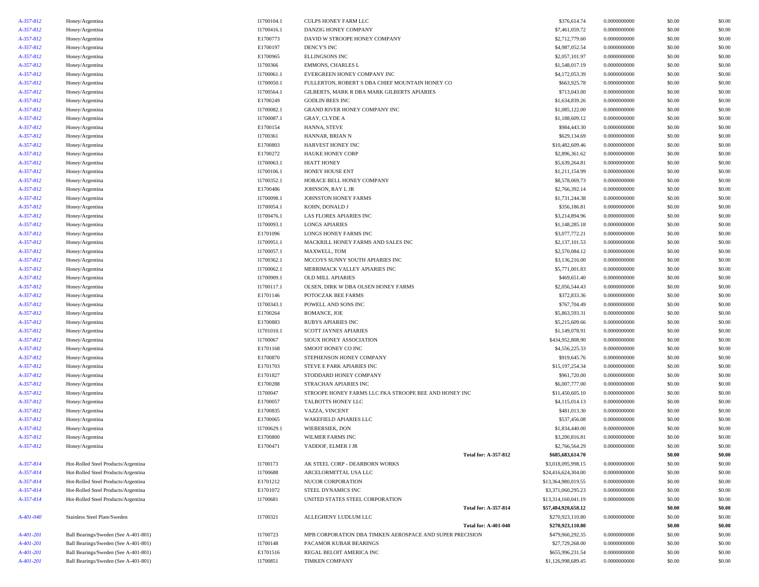| A-357-812              | Honey/Argentina                      | I1700104.1               | CULPS HONEY FARM LLC                                     | \$376,614.74                     | 0.0000000000                 | \$0.00 | \$0.00           |
|------------------------|--------------------------------------|--------------------------|----------------------------------------------------------|----------------------------------|------------------------------|--------|------------------|
| A-357-812              | Honey/Argentina                      | I1700416.1               | DANZIG HONEY COMPANY                                     | \$7,461,059.72                   | 0.0000000000                 | \$0.00 | \$0.00           |
| A-357-812              | Honey/Argentina                      | E1700773                 | DAVID W STROOPE HONEY COMPANY                            | \$2,712,779.60                   | 0.0000000000                 | \$0.00 | \$0.00           |
| A-357-812              | Honey/Argentina                      | E1700197                 | DENCY'S INC                                              | \$4,987,052.54                   | 0.0000000000                 | \$0.00 | \$0.00           |
| A-357-812              | Honey/Argentina                      | E1700965                 | <b>ELLINGSONS INC</b>                                    | \$2,057,101.97                   | 0.0000000000                 | \$0.00 | \$0.00           |
| A-357-812              | Honey/Argentina                      | I1700366                 | <b>EMMONS, CHARLES L</b>                                 | \$1,548,017.19                   | 0.0000000000                 | \$0.00 | \$0.00           |
| A-357-812              | Honey/Argentina                      | I1700061.1               | EVERGREEN HONEY COMPANY INC                              | \$4,172,053.39                   | 0.0000000000                 | \$0.00 | \$0.00           |
| A-357-812              | Honey/Argentina                      | I1700050.1               | FULLERTON, ROBERT S DBA CHIEF MOUNTAIN HONEY CO          | \$663,925.78                     | 0.0000000000                 | \$0.00 | \$0.00           |
| A-357-812              | Honey/Argentina                      | I1700564.1               | GILBERTS, MARK R DBA MARK GILBERTS APIARIES              | \$713,043.00                     | 0.0000000000                 | \$0.00 | \$0.00           |
| A-357-812              | Honey/Argentina                      | E1700249                 | <b>GODLIN BEES INC</b>                                   | \$1,634,839.26                   | 0.0000000000                 | \$0.00 | \$0.00           |
| A-357-812              | Honey/Argentina                      | I1700082.1               | GRAND RIVER HONEY COMPANY INC                            | \$1,085,122.00                   | 0.0000000000                 | \$0.00 | \$0.00           |
| A-357-812              | Honey/Argentina                      | I1700087.1               | <b>GRAY, CLYDE A</b>                                     | \$1,188,609.12                   | 0.0000000000                 | \$0.00 | \$0.00           |
| A-357-812              | Honey/Argentina                      | E1700154                 | HANNA, STEVE                                             | \$984,443.30                     | 0.0000000000                 | \$0.00 | \$0.00           |
| A-357-812              | Honey/Argentina                      | I1700361                 | HANNAR, BRIAN N                                          | \$629,134.69                     | 0.0000000000                 | \$0.00 | \$0.00           |
| A-357-812              | Honey/Argentina                      | E1700803                 | HARVEST HONEY INC                                        | \$10,482,609.46                  | 0.0000000000                 | \$0.00 | \$0.00           |
| A-357-812              | Honey/Argentina                      | E1700272                 | <b>HAUKE HONEY CORP</b>                                  | \$2,896,361.62                   | 0.0000000000                 | \$0.00 | \$0.00           |
| A-357-812              | Honey/Argentina                      | I1700063.1               | <b>HIATT HONEY</b>                                       | \$5,639,264.81                   | 0.0000000000                 | \$0.00 | \$0.00           |
| A-357-812              | Honey/Argentina                      | I1700106.1               | HONEY HOUSE ENT                                          | \$1,211,154.99                   | 0.0000000000                 | \$0.00 | \$0.00           |
| A-357-812              | Honey/Argentina                      | I1700352.1               | HORACE BELL HONEY COMPANY                                | \$8,578,069.73                   | 0.0000000000                 | \$0.00 | \$0.00           |
| A-357-812              | Honey/Argentina                      | E1700486                 | JOHNSON, RAY L JR                                        | \$2,766,392.14                   | 0.0000000000                 | \$0.00 | \$0.00           |
| A-357-812              | Honey/Argentina                      | I1700098.1               | JOHNSTON HONEY FARMS                                     | \$1,731,244.38                   | 0.0000000000                 | \$0.00 | \$0.00           |
| A-357-812              |                                      | I1700054.1               | KOHN, DONALD J                                           | \$356,186.81                     | 0.0000000000                 | \$0.00 | \$0.00           |
| A-357-812              | Honey/Argentina                      |                          |                                                          |                                  | 0.0000000000                 | \$0.00 | \$0.00           |
| A-357-812              | Honey/Argentina                      | I1700476.1<br>I1700093.1 | LAS FLORES APIARIES INC<br><b>LONGS APIARIES</b>         | \$3,214,894.96<br>\$1,148,285.18 | 0.0000000000                 | \$0.00 | \$0.00           |
| A-357-812              | Honey/Argentina                      |                          | <b>LONGS HONEY FARMS INC</b>                             | \$3,077,772.21                   | 0.0000000000                 | \$0.00 | \$0.00           |
|                        | Honey/Argentina                      | E1701096                 |                                                          |                                  | 0.0000000000                 |        | \$0.00           |
| A-357-812<br>A-357-812 | Honey/Argentina                      | I1700951.1<br>I1700057.1 | MACKRILL HONEY FARMS AND SALES INC                       | \$2,137,101.53<br>\$2,570,084.12 | 0.0000000000                 | \$0.00 | \$0.00           |
|                        | Honey/Argentina                      |                          | MAXWELL, TOM                                             |                                  | 0.0000000000                 | \$0.00 |                  |
| A-357-812              | Honey/Argentina                      | I1700362.1               | MCCOYS SUNNY SOUTH APIARIES INC                          | \$3,136,216.00                   |                              | \$0.00 | \$0.00           |
| A-357-812              | Honey/Argentina                      | I1700062.1               | MERRIMACK VALLEY APIARIES INC                            | \$5,771,001.83                   | 0.0000000000<br>0.0000000000 | \$0.00 | \$0.00<br>\$0.00 |
| A-357-812              | Honey/Argentina                      | I1700909.1               | <b>OLD MILL APIARIES</b>                                 | \$469,651.40<br>\$2,056,544.43   | 0.0000000000                 | \$0.00 |                  |
| A-357-812              | Honey/Argentina                      | I1700117.1               | OLSEN, DIRK W DBA OLSEN HONEY FARMS                      |                                  |                              | \$0.00 | \$0.00           |
| A-357-812              | Honey/Argentina                      | E1701146                 | POTOCZAK BEE FARMS                                       | \$372,833.36                     | 0.0000000000                 | \$0.00 | \$0.00           |
| A-357-812              | Honey/Argentina                      | I1700343.1               | POWELL AND SONS INC                                      | \$767,704.49                     | 0.0000000000                 | \$0.00 | \$0.00           |
| A-357-812              | Honey/Argentina                      | E1700264                 | ROMANCE, JOE                                             | \$5,863,593.31                   | 0.0000000000                 | \$0.00 | \$0.00           |
| A-357-812              | Honey/Argentina                      | E1700883                 | <b>RUBYS APIARIES INC</b>                                | \$5,215,609.66                   | 0.0000000000                 | \$0.00 | \$0.00           |
| A-357-812              | Honey/Argentina                      | I1701010.1               | <b>SCOTT JAYNES APIARIES</b>                             | \$1,149,078.91                   | 0.0000000000                 | \$0.00 | \$0.00           |
| A-357-812              | Honey/Argentina                      | I1700067                 | SIOUX HONEY ASSOCIATION                                  | \$434,952,808.90                 | 0.0000000000                 | \$0.00 | \$0.00           |
| A-357-812              | Honey/Argentina                      | E1701168                 | SMOOT HONEY CO INC                                       | \$4,556,225.33                   | 0.0000000000                 | \$0.00 | \$0.00           |
| A-357-812              | Honey/Argentina                      | E1700870                 | STEPHENSON HONEY COMPANY                                 | \$919,645.76                     | 0.0000000000                 | \$0.00 | \$0.00           |
| A-357-812              | Honey/Argentina                      | E1701703                 | STEVE E PARK APIARIES INC                                | \$15,197,254.34                  | 0.0000000000                 | \$0.00 | \$0.00           |
| A-357-812              | Honey/Argentina                      | E1701827                 | STODDARD HONEY COMPANY                                   | \$961,720.00                     | 0.0000000000                 | \$0.00 | \$0.00           |
| A-357-812              | Honey/Argentina                      | E1700288                 | STRACHAN APIARIES INC                                    | \$6,007,777.00                   | 0.0000000000                 | \$0.00 | \$0.00           |
| A-357-812              | Honey/Argentina                      | I1700047                 | STROOPE HONEY FARMS LLC FKA STROOPE BEE AND HONEY INC    | \$11,450,605.10                  | 0.0000000000                 | \$0.00 | \$0.00           |
| A-357-812              | Honey/Argentina                      | E1700057                 | TALBOTTS HONEY LLC                                       | \$4,115,014.13                   | 0.0000000000                 | \$0.00 | \$0.00           |
| A-357-812              | Honey/Argentina                      | E1700835                 | VAZZA, VINCENT                                           | \$481,013.30                     | 0.0000000000                 | \$0.00 | \$0.00           |
| A-357-812              | Honey/Argentina                      | E1700065                 | <b>WAKEFIELD APIARIES LLC</b>                            | \$537,456.08                     | 0.0000000000                 | \$0.00 | \$0.00           |
| A-357-812              | Honey/Argentina                      | I1700629.1               | WIEBERSIEK, DON                                          | \$1,834,440.00                   | 0.0000000000                 | \$0.00 | \$0.00           |
| A-357-812              | Honey/Argentina                      | E1700800                 | WILMER FARMS INC                                         | \$3,200,816.81                   | 0.0000000000                 | \$0.00 | \$0.00           |
| A-357-812              | Honey/Argentina                      | E1700471                 | YADDOF, ELMER J JR                                       | \$2,766,564.29                   | 0.0000000000                 | \$0.00 | \$0.00           |
|                        |                                      |                          | Total for: A-357-812                                     | \$685,683,614.70                 |                              | \$0.00 | \$0.00           |
| A-357-814              | Hot-Rolled Steel Products/Argentina  | I1700173                 | AK STEEL CORP - DEARBORN WORKS                           | \$3,018,095,998.15               | 0.0000000000                 | \$0.00 | \$0.00           |
| A-357-814              | Hot-Rolled Steel Products/Argentina  | I1700688                 | ARCELORMITTAL USA LLC                                    | \$24,416,624,304.00              | 0.0000000000                 | \$0.00 | \$0.00           |
| A-357-814              | Hot-Rolled Steel Products/Argentina  | E1701212                 | NUCOR CORPORATION                                        | \$13,364,980,019.55              | 0.0000000000                 | \$0.00 | \$0.00           |
| A-357-814              | Hot-Rolled Steel Products/Argentina  | E1701072                 | STEEL DYNAMICS INC                                       | \$3,371,060,295.23               | 0.0000000000                 | \$0.00 | \$0.00           |
| A-357-814              | Hot-Rolled Steel Products/Argentina  | I1700681                 | UNITED STATES STEEL CORPORATION                          | \$13,314,160,041.19              | 0.0000000000                 | \$0.00 | \$0.00           |
|                        |                                      |                          | Total for: A-357-814                                     | \$57,484,920,658.12              |                              | \$0.00 | \$0.00           |
| A-401-040              | Stainless Steel Plate/Sweden         | I1700321                 | ALLEGHENY LUDLUM LLC                                     | \$270,923,110.80                 | 0.0000000000                 | \$0.00 | \$0.00           |
|                        |                                      |                          | <b>Total for: A-401-040</b>                              | \$270,923,110.80                 |                              | \$0.00 | \$0.00           |
| A-401-201              | Ball Bearings/Sweden (See A-401-801) | I1700723                 | MPB CORPORATION DBA TIMKEN AEROSPACE AND SUPER PRECISION | \$479,960,292.35                 | 0.0000000000                 | \$0.00 | \$0.00           |
| A-401-201              | Ball Bearings/Sweden (See A-401-801) | I1700148                 | PACAMOR KUBAR BEARINGS                                   | \$27,729,268.00                  | 0.0000000000                 | \$0.00 | \$0.00           |
| A-401-201              | Ball Bearings/Sweden (See A-401-801) | E1701516                 | REGAL BELOIT AMERICA INC                                 | \$655,996,231.54                 | 0.0000000000                 | \$0.00 | \$0.00           |
| A-401-201              | Ball Bearings/Sweden (See A-401-801) | I1700851                 | TIMKEN COMPANY                                           | \$1,126,998,689.45               | 0.0000000000                 | \$0.00 | \$0.00           |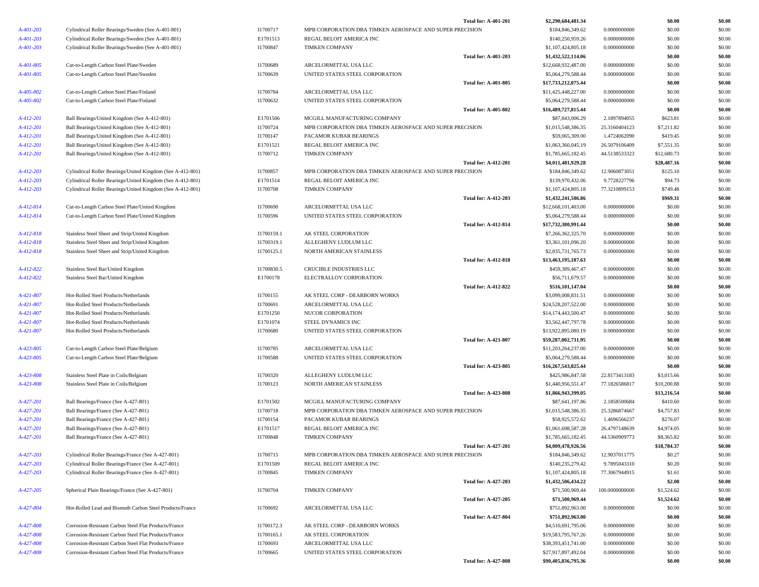|                 |                                                            |            |                                                          | Total for: A-401-201        | \$2,290,684,481.34  |                | \$0.00      | \$0.00 |
|-----------------|------------------------------------------------------------|------------|----------------------------------------------------------|-----------------------------|---------------------|----------------|-------------|--------|
| A-401-203       | Cylindrical Roller Bearings/Sweden (See A-401-801)         | I1700717   | MPB CORPORATION DBA TIMKEN AEROSPACE AND SUPER PRECISION |                             | \$184,846,349.62    | 0.0000000000   | \$0.00      | \$0.00 |
| $A - 401 - 203$ | Cylindrical Roller Bearings/Sweden (See A-401-801)         | E1701513   | REGAL BELOIT AMERICA INC                                 |                             | \$140,250,959.26    | 0.0000000000   | \$0.00      | \$0.00 |
| A-401-203       | Cylindrical Roller Bearings/Sweden (See A-401-801)         | I1700847   | <b>TIMKEN COMPANY</b>                                    |                             | \$1,107,424,805.18  | 0.0000000000   | \$0.00      | \$0.00 |
|                 |                                                            |            |                                                          | <b>Total for: A-401-203</b> | \$1,432,522,114.06  |                | \$0.00      | \$0.00 |
| A-401-805       | Cut-to-Length Carbon Steel Plate/Sweden                    | I1700689   | ARCELORMITTAL USA LLC                                    |                             | \$12,668,932,487.00 | 0.0000000000   | \$0.00      | \$0.00 |
| A-401-805       | Cut-to-Length Carbon Steel Plate/Sweden                    | I1700639   | UNITED STATES STEEL CORPORATION                          |                             | \$5,064,279,588.44  | 0.0000000000   | \$0.00      | \$0.00 |
|                 |                                                            |            |                                                          | <b>Total for: A-401-805</b> | \$17,733,212,075.44 |                | \$0.00      | \$0.00 |
| A-405-802       | Cut-to-Length Carbon Steel Plate/Finland                   | I1700784   | ARCELORMITTAL USA LLC                                    |                             | \$11,425,448,227.00 | 0.0000000000   | \$0.00      | \$0.00 |
| A-405-802       | Cut-to-Length Carbon Steel Plate/Finland                   | I1700632   | UNITED STATES STEEL CORPORATION                          |                             | \$5,064,279,588.44  | 0.0000000000   | \$0.00      | \$0.00 |
|                 |                                                            |            |                                                          | <b>Total for: A-405-802</b> | \$16,489,727,815.44 |                | \$0.00      | \$0.00 |
| A-412-201       | Ball Bearings/United Kingdom (See A-412-801)               | E1701506   | MCGILL MANUFACTURING COMPANY                             |                             | \$87,843,006.29     | 2.1897894055   | \$623.81    | \$0.00 |
| A-412-201       | Ball Bearings/United Kingdom (See A-412-801)               | I1700724   | MPB CORPORATION DBA TIMKEN AEROSPACE AND SUPER PRECISION |                             | \$1,015,548,386.35  | 25.3160404123  | \$7,211.82  | \$0.00 |
| A-412-201       | Ball Bearings/United Kingdom (See A-412-801)               | I1700147   | PACAMOR KUBAR BEARINGS                                   |                             | \$59,065,309.00     | 1.4724062090   | \$419.45    | \$0.00 |
| A-412-201       | Ball Bearings/United Kingdom (See A-412-801)               | E1701521   | REGAL BELOIT AMERICA INC                                 |                             | \$1,063,360,045.19  | 26.5079106409  | \$7,551.35  | \$0.00 |
| A-412-201       | Ball Bearings/United Kingdom (See A-412-801)               | I1700712   | <b>TIMKEN COMPANY</b>                                    |                             | \$1,785,665,182.45  | 44.5138533323  | \$12,680.73 | \$0.00 |
|                 |                                                            |            |                                                          | <b>Total for: A-412-201</b> | \$4,011,481,929.28  |                | \$28,487.16 | \$0.00 |
| A-412-203       | Cylindrical Roller Bearings/United Kingdom (See A-412-801) | I1700857   | MPB CORPORATION DBA TIMKEN AEROSPACE AND SUPER PRECISION |                             | \$184,846,349.62    | 12.9060873051  | \$125.10    | \$0.00 |
| A-412-203       | Cylindrical Roller Bearings/United Kingdom (See A-412-801) | E1701514   | REGAL BELOIT AMERICA INC                                 |                             | \$139,970,432.06    | 9.7728227796   | \$94.73     | \$0.00 |
| A-412-203       | Cylindrical Roller Bearings/United Kingdom (See A-412-801) | I1700708   | <b>TIMKEN COMPANY</b>                                    |                             | \$1,107,424,805.18  | 77.3210899153  | \$749.48    | \$0.00 |
|                 |                                                            |            |                                                          | <b>Total for: A-412-203</b> | \$1,432,241,586.86  |                | \$969.31    | \$0.00 |
| A-412-814       | Cut-to-Length Carbon Steel Plate/United Kingdom            | I1700690   | ARCELORMITTAL USA LLC                                    |                             | \$12,668,101,403.00 | 0.0000000000   | \$0.00      | \$0.00 |
| A-412-814       | Cut-to-Length Carbon Steel Plate/United Kingdom            | I1700596   | UNITED STATES STEEL CORPORATION                          |                             | \$5,064,279,588.44  | 0.0000000000   | \$0.00      | \$0.00 |
|                 |                                                            |            |                                                          | <b>Total for: A-412-814</b> | \$17,732,380,991.44 |                | \$0.00      | \$0.00 |
| A-412-818       | Stainless Steel Sheet and Strip/United Kingdom             | I1700159.1 | AK STEEL CORPORATION                                     |                             | \$7,266,362,325.70  | 0.0000000000   | \$0.00      | \$0.00 |
| A-412-818       | Stainless Steel Sheet and Strip/United Kingdom             | I1700319.1 | ALLEGHENY LUDLUM LLC                                     |                             | \$3,361,101,096.20  | 0.0000000000   | \$0.00      | \$0.00 |
| A-412-818       | Stainless Steel Sheet and Strip/United Kingdom             | I1700125.1 | NORTH AMERICAN STAINLESS                                 |                             | \$2,835,731,765.73  | 0.0000000000   | \$0.00      | \$0.00 |
|                 |                                                            |            |                                                          | <b>Total for: A-412-818</b> | \$13,463,195,187.63 |                | \$0.00      | \$0.00 |
| A-412-822       | Stainless Steel Bar/United Kingdom                         | I1700830.5 | CRUCIBLE INDUSTRIES LLC                                  |                             | \$459,389,467.47    | 0.0000000000   | \$0.00      | \$0.00 |
| A-412-822       | Stainless Steel Bar/United Kingdom                         | E1700178   | ELECTRALLOY CORPORATION                                  |                             | \$56,711,679.57     | 0.0000000000   | \$0.00      | \$0.00 |
|                 |                                                            |            |                                                          | <b>Total for: A-412-822</b> | \$516,101,147.04    |                | \$0.00      | \$0.00 |
| A-421-807       | Hot-Rolled Steel Products/Netherlands                      | I1700155   | AK STEEL CORP - DEARBORN WORKS                           |                             | \$3,099,008,831.51  | 0.0000000000   | \$0.00      | \$0.00 |
| A-421-807       | Hot-Rolled Steel Products/Netherlands                      | I1700691   | ARCELORMITTAL USA LLC                                    |                             | \$24,528,207,522.00 | 0.0000000000   | \$0.00      | \$0.00 |
| A-421-807       | Hot-Rolled Steel Products/Netherlands                      | E1701250   | NUCOR CORPORATION                                        |                             | \$14,174,443,500.47 | 0.0000000000   | \$0.00      | \$0.00 |
| A-421-807       | Hot-Rolled Steel Products/Netherlands                      | E1701074   | STEEL DYNAMICS INC                                       |                             | \$3,562,447,797.78  | 0.0000000000   | \$0.00      | \$0.00 |
| A-421-807       | Hot-Rolled Steel Products/Netherlands                      | I1700680   | UNITED STATES STEEL CORPORATION                          |                             | \$13,922,895,080.19 | 0.0000000000   | \$0.00      | \$0.00 |
|                 |                                                            |            |                                                          | <b>Total for: A-421-807</b> | \$59,287,002,731.95 |                | \$0.00      | \$0.00 |
| A-423-805       | Cut-to-Length Carbon Steel Plate/Belgium                   | I1700785   | ARCELORMITTAL USA LLC                                    |                             | \$11,203,264,237.00 | 0.0000000000   | \$0.00      | \$0.00 |
| A-423-805       | Cut-to-Length Carbon Steel Plate/Belgium                   | I1700588   | UNITED STATES STEEL CORPORATION                          |                             | \$5,064,279,588.44  | 0.0000000000   | \$0.00      | \$0.00 |
|                 |                                                            |            |                                                          | <b>Total for: A-423-805</b> | \$16,267,543,825.44 |                | \$0.00      | \$0.00 |
| A-423-808       | Stainless Steel Plate in Coils/Belgium                     | 11700320   | ALLEGHENY LUDLUM LLC                                     |                             | \$425,986,847.58    | 22.8173413183  | \$3,015.66  | \$0.00 |
| A-423-808       | Stainless Steel Plate in Coils/Belgium                     | I1700123   | NORTH AMERICAN STAINLESS                                 |                             | \$1,440,956,551.47  | 77.1826586817  | \$10,200.88 | \$0.00 |
|                 |                                                            |            |                                                          | <b>Total for: A-423-808</b> | \$1,866,943,399.05  |                | \$13,216.54 | \$0.00 |
| A-427-201       | Ball Bearings/France (See A-427-801)                       | E1701502   | MCGILL MANUFACTURING COMPANY                             |                             | \$87,641,197.86     | 2.1858500684   | \$410.60    | \$0.00 |
| A-427-201       | Ball Bearings/France (See A-427-801)                       | I1700718   | MPB CORPORATION DBA TIMKEN AEROSPACE AND SUPER PRECISION |                             | \$1,015,548,386.35  | 25.3286874667  | \$4,757.83  | \$0.00 |
| A-427-201       | Ball Bearings/France (See A-427-801)                       | I1700154   | PACAMOR KUBAR BEARINGS                                   |                             | \$58,925,572.62     | 1.4696566237   | \$276.07    | \$0.00 |
| A-427-201       | Ball Bearings/France (See A-427-801)                       | E1701517   | REGAL BELOIT AMERICA INC                                 |                             | \$1,061,698,587.28  | 26.4797148639  | \$4,974.05  | \$0.00 |
| A-427-201       | Ball Bearings/France (See A-427-801)                       | I1700848   | <b>TIMKEN COMPANY</b>                                    |                             | \$1,785,665,182.45  | 44.5360909773  | \$8,365.82  | \$0.00 |
|                 |                                                            |            |                                                          | <b>Total for: A-427-201</b> | \$4,009,478,926.56  |                | \$18,784.37 | \$0.00 |
| A-427-203       | Cylindrical Roller Bearings/France (See A-427-801)         | I1700715   | MPB CORPORATION DBA TIMKEN AEROSPACE AND SUPER PRECISION |                             | \$184,846,349.62    | 12.9037011775  | \$0.27      | \$0.00 |
| A-427-203       | Cylindrical Roller Bearings/France (See A-427-801)         | E1701509   | REGAL BELOIT AMERICA INC                                 |                             | \$140,235,279.42    | 9.7895043310   | \$0.20      | \$0.00 |
| A-427-203       | Cylindrical Roller Bearings/France (See A-427-801)         | I1700845   | <b>TIMKEN COMPANY</b>                                    |                             | \$1,107,424,805.18  | 77.3067944915  | \$1.61      | \$0.00 |
|                 |                                                            |            |                                                          | <b>Total for: A-427-203</b> | \$1,432,506,434.22  |                | \$2.08      | \$0.00 |
| A-427-205       | Spherical Plain Bearings/France (See A-427-801)            | I1700704   | <b>TIMKEN COMPANY</b>                                    |                             | \$71,500,969.44     | 100.0000000000 | \$1,524.62  | \$0.00 |
|                 |                                                            |            |                                                          | <b>Total for: A-427-205</b> | \$71,500,969.44     |                | \$1,524.62  | \$0.00 |
| A-427-804       | Hot-Rolled Lead and Bismuth Carbon Steel Products/France   | I1700692   | ARCELORMITTAL USA LLC                                    |                             | \$751,892,963.00    | 0.0000000000   | \$0.00      | \$0.00 |
|                 |                                                            |            |                                                          | <b>Total for: A-427-804</b> | \$751,892,963.00    |                | \$0.00      | \$0.00 |
| A-427-808       | Corrosion-Resistant Carbon Steel Flat Products/France      | I1700172.3 | AK STEEL CORP - DEARBORN WORKS                           |                             | \$4,510,691,795.06  | 0.0000000000   | \$0.00      | \$0.00 |
| A-427-808       | Corrosion-Resistant Carbon Steel Flat Products/France      | I1700165.1 | AK STEEL CORPORATION                                     |                             | \$19,583,795,767.26 | 0.0000000000   | \$0.00      | \$0.00 |
| A-427-808       | Corrosion-Resistant Carbon Steel Flat Products/France      | I1700693   | ARCELORMITTAL USA LLC                                    |                             | \$38,393,451,741.00 | 0.0000000000   | \$0.00      | \$0.00 |
| A-427-808       | Corrosion-Resistant Carbon Steel Flat Products/France      | I1700665   | UNITED STATES STEEL CORPORATION                          |                             | \$27,917,897,492.04 | 0.0000000000   | \$0.00      | \$0.00 |
|                 |                                                            |            |                                                          | <b>Total for: A-427-808</b> | \$90,405,836,795.36 |                | \$0.00      | \$0.00 |
|                 |                                                            |            |                                                          |                             |                     |                |             |        |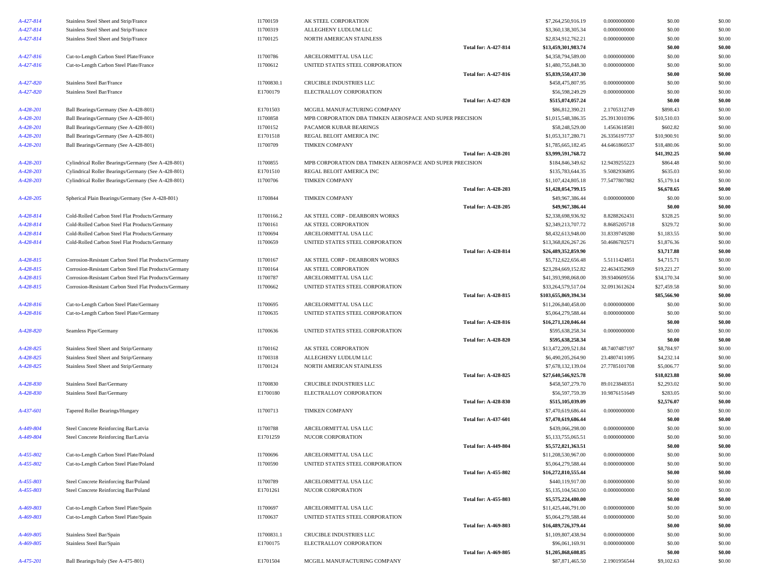| A-427-814 | Stainless Steel Sheet and Strip/France                 | I1700159   | AK STEEL CORPORATION                                     |                             | \$7,264,250,916.19                    | 0.0000000000  | \$0.00               | \$0.00           |
|-----------|--------------------------------------------------------|------------|----------------------------------------------------------|-----------------------------|---------------------------------------|---------------|----------------------|------------------|
| A-427-814 | Stainless Steel Sheet and Strip/France                 | I1700319   | ALLEGHENY LUDLUM LLC                                     |                             | \$3,360,138,305.34                    | 0.0000000000  | \$0.00               | \$0.00           |
| A-427-814 | Stainless Steel Sheet and Strip/France                 | I1700125   | NORTH AMERICAN STAINLESS                                 |                             | \$2,834,912,762.21                    | 0.0000000000  | \$0.00               | \$0.00           |
|           |                                                        |            |                                                          | <b>Total for: A-427-814</b> | \$13,459,301,983.74                   |               | \$0.00               | \$0.00           |
| A-427-816 | Cut-to-Length Carbon Steel Plate/France                | I1700786   | ARCELORMITTAL USA LLC                                    |                             | \$4,358,794,589.00                    | 0.0000000000  | \$0.00               | \$0.00           |
| A-427-816 | Cut-to-Length Carbon Steel Plate/France                | I1700612   | UNITED STATES STEEL CORPORATION                          |                             | \$1,480,755,848.30                    | 0.0000000000  | \$0.00               | \$0.00           |
|           |                                                        |            |                                                          | <b>Total for: A-427-816</b> | \$5,839,550,437.30                    |               | \$0.00               | \$0.00           |
| A-427-820 | Stainless Steel Bar/France                             | I1700830.1 | CRUCIBLE INDUSTRIES LLC                                  |                             | \$458,475,807.95                      | 0.0000000000  | \$0.00               | \$0.00           |
| A-427-820 | Stainless Steel Bar/France                             | E1700179   | ELECTRALLOY CORPORATION                                  |                             | \$56,598,249.29                       | 0.0000000000  | \$0.00               | \$0.00           |
|           |                                                        |            |                                                          | <b>Total for: A-427-820</b> | \$515,074,057.24                      |               | \$0.00               | \$0.00           |
| A-428-201 | Ball Bearings/Germany (See A-428-801)                  | E1701503   | MCGILL MANUFACTURING COMPANY                             |                             | \$86,812,390.21                       | 2.1705312749  | \$898.43             | \$0.00           |
| A-428-201 | Ball Bearings/Germany (See A-428-801)                  | I1700858   | MPB CORPORATION DBA TIMKEN AEROSPACE AND SUPER PRECISION |                             | \$1,015,548,386.35                    | 25.3913010396 | \$10,510.03          | \$0.00           |
| A-428-201 | Ball Bearings/Germany (See A-428-801)                  | I1700152   | PACAMOR KUBAR BEARINGS                                   |                             | \$58,248,529.00                       | 1.4563618581  | \$602.82             | \$0.00           |
| A-428-201 | Ball Bearings/Germany (See A-428-801)                  | E1701518   | REGAL BELOIT AMERICA INC                                 |                             | \$1,053,317,280.71                    | 26.3356197737 | \$10,900.91          | \$0.00           |
| A-428-201 | Ball Bearings/Germany (See A-428-801)                  | I1700709   | <b>TIMKEN COMPANY</b>                                    |                             | \$1,785,665,182.45                    | 44.6461860537 | \$18,480.06          | \$0.00           |
|           |                                                        |            |                                                          | <b>Total for: A-428-201</b> | \$3,999,591,768.72                    |               | \$41,392.25          | \$0.00           |
| A-428-203 | Cylindrical Roller Bearings/Germany (See A-428-801)    | I1700855   | MPB CORPORATION DBA TIMKEN AEROSPACE AND SUPER PRECISION |                             | \$184,846,349.62                      | 12.9439255223 | \$864.48             | \$0.00           |
|           |                                                        | E1701510   | REGAL BELOIT AMERICA INC                                 |                             | \$135,783,644.35                      |               | \$635.03             | \$0.00           |
| A-428-203 | Cylindrical Roller Bearings/Germany (See A-428-801)    |            |                                                          |                             |                                       | 9.5082936895  |                      |                  |
| A-428-203 | Cylindrical Roller Bearings/Germany (See A-428-801)    | I1700706   | TIMKEN COMPANY                                           |                             | \$1,107,424,805.18                    | 77.5477807882 | \$5,179.14           | \$0.00           |
|           |                                                        |            |                                                          | <b>Total for: A-428-203</b> | \$1,428,054,799.15                    |               | \$6,678.65           | \$0.00           |
| A-428-205 | Spherical Plain Bearings/Germany (See A-428-801)       | I1700844   | TIMKEN COMPANY                                           |                             | \$49,967,386.44                       | 0.0000000000  | \$0.00               | \$0.00           |
|           |                                                        |            |                                                          | <b>Total for: A-428-205</b> | \$49,967,386.44                       |               | \$0.00               | \$0.00           |
| A-428-814 | Cold-Rolled Carbon Steel Flat Products/Germany         | I1700166.2 | AK STEEL CORP - DEARBORN WORKS                           |                             | \$2,338,698,936.92                    | 8.8288262431  | \$328.25             | \$0.00           |
| A-428-814 | Cold-Rolled Carbon Steel Flat Products/Germany         | I1700161   | AK STEEL CORPORATION                                     |                             | \$2,349,213,707.72                    | 8.8685205718  | \$329.72             | \$0.00           |
| A-428-814 | Cold-Rolled Carbon Steel Flat Products/Germany         | I1700694   | ARCELORMITTAL USA LLC                                    |                             | \$8,432,613,948.00                    | 31.8339749280 | \$1,183.55           | \$0.00           |
| A-428-814 | Cold-Rolled Carbon Steel Flat Products/Germany         | I1700659   | UNITED STATES STEEL CORPORATION                          |                             | \$13,368,826,267.26                   | 50.4686782571 | \$1,876.36           | \$0.00           |
|           |                                                        |            |                                                          | <b>Total for: A-428-814</b> | \$26,489,352,859.90                   |               | \$3,717.88           | \$0.00           |
| A-428-815 | Corrosion-Resistant Carbon Steel Flat Products/Germany | I1700167   | AK STEEL CORP - DEARBORN WORKS                           |                             | \$5,712,622,656.48                    | 5.5111424851  | \$4,715.71           | \$0.00           |
| A-428-815 | Corrosion-Resistant Carbon Steel Flat Products/Germany | I1700164   | AK STEEL CORPORATION                                     |                             | \$23,284,669,152.82                   | 22.4634352969 | \$19,221.27          | \$0.00           |
| A-428-815 | Corrosion-Resistant Carbon Steel Flat Products/Germany | I1700787   | ARCELORMITTAL USA LLC                                    |                             | \$41,393,998,068.00                   | 39.9340609556 | \$34,170.34          | \$0.00           |
| A-428-815 | Corrosion-Resistant Carbon Steel Flat Products/Germany | I1700662   | UNITED STATES STEEL CORPORATION                          |                             | \$33,264,579,517.04                   | 32.0913612624 | \$27,459.58          | \$0.00           |
|           |                                                        |            |                                                          | <b>Total for: A-428-815</b> | \$103,655,869,394.34                  |               | \$85,566.90          | \$0.00           |
|           | Cut-to-Length Carbon Steel Plate/Germany               | I1700695   | ARCELORMITTAL USA LLC                                    |                             | \$11,206,840,458.00                   | 0.0000000000  | \$0.00               | \$0.00           |
| A-428-816 |                                                        |            |                                                          |                             |                                       |               |                      |                  |
|           |                                                        |            |                                                          |                             |                                       | 0.0000000000  |                      |                  |
| A-428-816 | Cut-to-Length Carbon Steel Plate/Germany               | I1700635   | UNITED STATES STEEL CORPORATION                          |                             | \$5,064,279,588.44                    |               | \$0.00               | \$0.00           |
|           |                                                        |            |                                                          | <b>Total for: A-428-816</b> | \$16,271,120,046.44                   |               | \$0.00               | \$0.00           |
| A-428-820 | Seamless Pipe/Germany                                  | I1700636   | UNITED STATES STEEL CORPORATION                          |                             | \$595,638,258.34                      | 0.0000000000  | \$0.00               | \$0.00           |
|           |                                                        |            |                                                          | <b>Total for: A-428-820</b> | \$595,638,258.34                      |               | \$0.00               | \$0.00           |
| A-428-825 | Stainless Steel Sheet and Strip/Germany                | I1700162   | AK STEEL CORPORATION                                     |                             | \$13,472,209,521.84                   | 48.7407487197 | \$8,784.97           | \$0.00           |
| A-428-825 | Stainless Steel Sheet and Strip/Germany                | I1700318   | ALLEGHENY LUDLUM LLC                                     |                             | \$6,490,205,264.90                    | 23.4807411095 | \$4,232.14           | \$0.00           |
| A-428-825 | Stainless Steel Sheet and Strip/Germany                | I1700124   | NORTH AMERICAN STAINLESS                                 |                             | \$7,678,132,139.04                    | 27.7785101708 | \$5,006.77           | \$0.00           |
|           |                                                        |            |                                                          | <b>Total for: A-428-825</b> | \$27,640,546,925.78                   |               | \$18,023.88          | \$0.00           |
| A-428-830 | Stainless Steel Bar/Germany                            | I1700830   | CRUCIBLE INDUSTRIES LLC                                  |                             | \$458,507,279.70                      | 89.0123848351 | \$2,293.02           | \$0.00           |
| A-428-830 | Stainless Steel Bar/Germany                            | E1700180   | ELECTRALLOY CORPORATION                                  |                             | \$56,597,759.39                       | 10.9876151649 | \$283.05             | \$0.00           |
|           |                                                        |            |                                                          | <b>Total for: A-428-830</b> | \$515,105,039.09                      |               | \$2,576.07           | \$0.00           |
| A-437-601 | Tapered Roller Bearings/Hungary                        | I1700713   | TIMKEN COMPANY                                           |                             | \$7,470,619,686.44                    | 0.0000000000  | \$0.00               | \$0.00           |
|           |                                                        |            |                                                          | <b>Total for: A-437-601</b> | \$7,470,619,686.44                    |               | \$0.00               | \$0.00           |
| A-449-804 | Steel Concrete Reinforcing Bar/Latvia                  | I1700788   | ARCELORMITTAL USA LLC                                    |                             | \$439,066,298.00                      | 0.0000000000  | \$0.00               | \$0.00           |
| A-449-804 | Steel Concrete Reinforcing Bar/Latvia                  | E1701259   | <b>NUCOR CORPORATION</b>                                 |                             | \$5,133,755,065.51                    | 0.0000000000  | \$0.00               | \$0.00           |
|           |                                                        |            |                                                          | <b>Total for: A-449-804</b> | \$5,572,821.363.51                    |               | \$0.00               | \$0.00           |
| A-455-802 | Cut-to-Length Carbon Steel Plate/Poland                | I1700696   | ARCELORMITTAL USA LLC                                    |                             | \$11,208,530,967.00                   | 0.0000000000  | \$0.00               | \$0.00           |
| A-455-802 | Cut-to-Length Carbon Steel Plate/Poland                | I1700590   | UNITED STATES STEEL CORPORATION                          |                             | \$5,064,279,588.44                    | 0.0000000000  | \$0.00               | \$0.00           |
|           |                                                        |            |                                                          | <b>Total for: A-455-802</b> | \$16,272,810,555.44                   |               | \$0.00               | \$0.00           |
| A-455-803 | Steel Concrete Reinforcing Bar/Poland                  | I1700789   | ARCELORMITTAL USA LLC                                    |                             | \$440,119,917.00                      | 0.0000000000  | \$0.00               | \$0.00           |
| A-455-803 | Steel Concrete Reinforcing Bar/Poland                  | E1701261   | NUCOR CORPORATION                                        |                             | \$5,135,104,563.00                    | 0.0000000000  | \$0.00               | \$0.00           |
|           |                                                        |            |                                                          | <b>Total for: A-455-803</b> | \$5,575,224,480.00                    |               | \$0.00               | \$0.00           |
| A-469-803 | Cut-to-Length Carbon Steel Plate/Spain                 | I1700697   | ARCELORMITTAL USA LLC                                    |                             | \$11,425,446,791.00                   | 0.0000000000  | \$0.00               | \$0.00           |
| A-469-803 | Cut-to-Length Carbon Steel Plate/Spain                 | I1700637   | UNITED STATES STEEL CORPORATION                          |                             | \$5,064,279,588.44                    | 0.0000000000  | \$0.00               | \$0.00           |
|           |                                                        |            |                                                          | <b>Total for: A-469-803</b> | \$16,489,726,379.44                   |               | \$0.00               | \$0.00           |
|           |                                                        |            | CRUCIBLE INDUSTRIES LLC                                  |                             |                                       |               |                      |                  |
| A-469-805 | Stainless Steel Bar/Spain                              | I1700831.1 |                                                          |                             | \$1,109,807,438.94                    | 0.0000000000  | \$0.00               | \$0.00           |
| A-469-805 | Stainless Steel Bar/Spain                              | E1700175   | ELECTRALLOY CORPORATION                                  | <b>Total for: A-469-805</b> | \$96,061,169.91                       | 0.0000000000  | \$0.00               | \$0.00           |
| A-475-201 | Ball Bearings/Italy (See A-475-801)                    | E1701504   | MCGILL MANUFACTURING COMPANY                             |                             | \$1,205,868,608.85<br>\$87,871,465.50 | 2.1901956544  | \$0.00<br>\$9,102.63 | \$0.00<br>\$0.00 |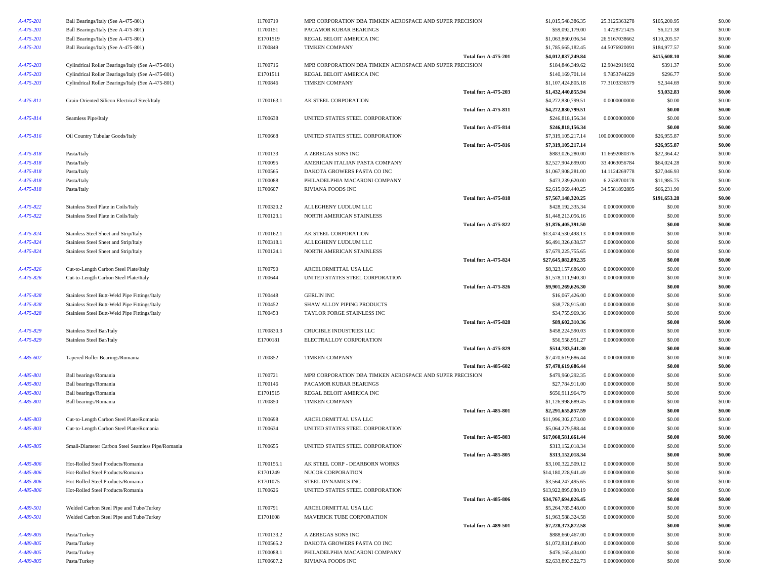| A-475-201       | Ball Bearings/Italy (See A-475-801)               | I1700719   | MPB CORPORATION DBA TIMKEN AEROSPACE AND SUPER PRECISION |                             | \$1,015,548,386.35  | 25.3125363278  | \$105,200.95 | \$0.00 |
|-----------------|---------------------------------------------------|------------|----------------------------------------------------------|-----------------------------|---------------------|----------------|--------------|--------|
| A-475-201       | Ball Bearings/Italy (See A-475-801)               | I1700151   | PACAMOR KUBAR BEARINGS                                   |                             | \$59,092,179.00     | 1.4728721425   | \$6,121.38   | \$0.00 |
| A-475-201       | Ball Bearings/Italy (See A-475-801)               | E1701519   | REGAL BELOIT AMERICA INC                                 |                             | \$1,063,860,036.54  | 26.5167038662  | \$110,205.57 | \$0.00 |
| A-475-201       | Ball Bearings/Italy (See A-475-801)               | I1700849   | <b>TIMKEN COMPANY</b>                                    |                             | \$1,785,665,182.45  | 44.5076920091  | \$184,977.57 | \$0.00 |
|                 |                                                   |            |                                                          | <b>Total for: A-475-201</b> | \$4,012,037,249.84  |                | \$415,608.10 | \$0.00 |
| A-475-203       | Cylindrical Roller Bearings/Italy (See A-475-801) | I1700716   | MPB CORPORATION DBA TIMKEN AEROSPACE AND SUPER PRECISION |                             | \$184,846,349.62    | 12.9042919192  | \$391.37     | \$0.00 |
| A-475-203       | Cylindrical Roller Bearings/Italy (See A-475-801) | E1701511   | REGAL BELOIT AMERICA INC                                 |                             | \$140,169,701.14    | 9.7853744229   | \$296.77     | \$0.00 |
| $A - 475 - 203$ | Cylindrical Roller Bearings/Italy (See A-475-801) | I1700846   | <b>TIMKEN COMPANY</b>                                    |                             | \$1,107,424,805.18  | 77.3103336579  | \$2,344.69   | \$0.00 |
|                 |                                                   |            |                                                          | <b>Total for: A-475-203</b> | \$1,432,440,855.94  |                | \$3,032.83   | \$0.00 |
| A-475-811       | Grain-Oriented Silicon Electrical Steel/Italy     | I1700163.1 | AK STEEL CORPORATION                                     |                             | \$4,272,830,799.51  | 0.0000000000   | \$0.00       | \$0.00 |
|                 |                                                   |            |                                                          | <b>Total for: A-475-811</b> | \$4,272,830,799.51  |                | \$0.00       | \$0.00 |
| A-475-814       | Seamless Pipe/Italy                               | I1700638   | UNITED STATES STEEL CORPORATION                          |                             | \$246,818,156.34    | 0.0000000000   | \$0.00       | \$0.00 |
|                 |                                                   |            |                                                          | <b>Total for: A-475-814</b> | \$246,818,156.34    |                | \$0.00       | \$0.00 |
| A-475-816       | Oil Country Tubular Goods/Italy                   | I1700668   | UNITED STATES STEEL CORPORATION                          |                             | \$7,319,105,217.14  | 100.0000000000 | \$26,955.87  | \$0.00 |
|                 |                                                   |            |                                                          | <b>Total for: A-475-816</b> | \$7,319,105,217.14  |                | \$26,955.87  | \$0.00 |
| A-475-818       | Pasta/Italy                                       | I1700133   | A ZEREGAS SONS INC                                       |                             | \$883,026,280.00    | 11.6692080376  | \$22,364.42  | \$0.00 |
| A-475-818       | Pasta/Italy                                       | I1700095   | AMERICAN ITALIAN PASTA COMPANY                           |                             | \$2,527,904,699.00  | 33.4063056784  | \$64,024.28  | \$0.00 |
| A-475-818       | Pasta/Italy                                       | I1700565   | DAKOTA GROWERS PASTA CO INC                              |                             | \$1,067,908,281.00  | 14.1124269778  | \$27,046.93  | \$0.00 |
| A-475-818       | Pasta/Italy                                       | I1700088   | PHILADELPHIA MACARONI COMPANY                            |                             | \$473,239,620.00    | 6.2538700178   | \$11,985.75  | \$0.00 |
| A-475-818       | Pasta/Italy                                       | I1700607   | RIVIANA FOODS INC                                        |                             | \$2,615,069,440.25  | 34.5581892885  | \$66,231.90  | \$0.00 |
|                 |                                                   |            |                                                          | <b>Total for: A-475-818</b> | \$7,567,148,320.25  |                | \$191,653.28 | \$0.00 |
| A-475-822       | Stainless Steel Plate in Coils/Italy              | I1700320.2 | ALLEGHENY LUDLUM LLC                                     |                             | \$428,192,335.34    | 0.0000000000   | \$0.00       | \$0.00 |
| A-475-822       | Stainless Steel Plate in Coils/Italy              | I1700123.1 | NORTH AMERICAN STAINLESS                                 |                             | \$1,448,213,056.16  | 0.0000000000   | \$0.00       | \$0.00 |
|                 |                                                   |            |                                                          | Total for: A-475-822        | \$1,876,405,391.50  |                | \$0.00       | \$0.00 |
| A-475-824       | Stainless Steel Sheet and Strip/Italy             | I1700162.1 | AK STEEL CORPORATION                                     |                             | \$13,474,530,498.13 | 0.0000000000   | \$0.00       | \$0.00 |
| A-475-824       | Stainless Steel Sheet and Strip/Italy             | I1700318.1 | ALLEGHENY LUDLUM LLC                                     |                             | \$6,491,326,638.57  | 0.0000000000   | \$0.00       | \$0.00 |
| A-475-824       | Stainless Steel Sheet and Strip/Italy             | I1700124.1 | NORTH AMERICAN STAINLESS                                 |                             | \$7,679,225,755.65  | 0.0000000000   | \$0.00       | \$0.00 |
|                 |                                                   |            |                                                          | <b>Total for: A-475-824</b> | \$27,645,082,892.35 |                | \$0.00       | \$0.00 |
| A-475-826       | Cut-to-Length Carbon Steel Plate/Italy            | I1700790   | ARCELORMITTAL USA LLC                                    |                             | \$8,323,157,686.00  | 0.0000000000   | \$0.00       | \$0.00 |
| A-475-826       | Cut-to-Length Carbon Steel Plate/Italy            | I1700644   | UNITED STATES STEEL CORPORATION                          |                             | \$1,578,111,940.30  | 0.0000000000   | \$0.00       | \$0.00 |
|                 |                                                   |            |                                                          | <b>Total for: A-475-826</b> | \$9,901,269,626.30  |                | \$0.00       | \$0.00 |
| A-475-828       | Stainless Steel Butt-Weld Pipe Fittings/Italy     | I1700448   | <b>GERLIN INC</b>                                        |                             | \$16,067,426.00     | 0.0000000000   | \$0.00       | \$0.00 |
| A-475-828       | Stainless Steel Butt-Weld Pipe Fittings/Italy     | I1700452   | SHAW ALLOY PIPING PRODUCTS                               |                             | \$38,778,915.00     | 0.0000000000   | \$0.00       | \$0.00 |
| A-475-828       | Stainless Steel Butt-Weld Pipe Fittings/Italy     | I1700453   | TAYLOR FORGE STAINLESS INC                               |                             | \$34,755,969.36     | 0.0000000000   | \$0.00       | \$0.00 |
|                 |                                                   |            |                                                          | <b>Total for: A-475-828</b> | \$89,602,310.36     |                | \$0.00       | \$0.00 |
| A-475-829       | Stainless Steel Bar/Italy                         | I1700830.3 | CRUCIBLE INDUSTRIES LLC                                  |                             | \$458,224,590.03    | 0.0000000000   | \$0.00       | \$0.00 |
| A-475-829       | Stainless Steel Bar/Italy                         | E1700181   | ELECTRALLOY CORPORATION                                  |                             | \$56,558,951.27     | 0.0000000000   | \$0.00       | \$0.00 |
|                 |                                                   |            |                                                          | <b>Total for: A-475-829</b> | \$514,783,541.30    |                | \$0.00       | \$0.00 |
| A-485-602       | Tapered Roller Bearings/Romania                   | I1700852   | <b>TIMKEN COMPANY</b>                                    |                             | \$7,470,619,686.44  | 0.0000000000   | \$0.00       | \$0.00 |
|                 |                                                   |            |                                                          | <b>Total for: A-485-602</b> | \$7,470,619,686.44  |                | \$0.00       | \$0.00 |
| A-485-801       | Ball bearings/Romania                             | 11700721   | MPB CORPORATION DBA TIMKEN AEROSPACE AND SUPER PRECISION |                             | \$479,960,292.35    | 0.0000000000   | \$0.00       | \$0.00 |
| A-485-801       | Ball bearings/Romania                             | I1700146   | PACAMOR KUBAR BEARINGS                                   |                             | \$27,784,911.00     | 0.0000000000   | \$0.00       | \$0.00 |
| A-485-801       | Ball bearings/Romania                             | E1701515   | REGAL BELOIT AMERICA INC                                 |                             | \$656,911,964.79    | 0.0000000000   | \$0.00       | \$0.00 |
| A-485-801       | Ball bearings/Romania                             | 11700850   | <b>TIMKEN COMPANY</b>                                    |                             | \$1,126,998,689.45  | 0.0000000000   | \$0.00       | \$0.00 |
|                 |                                                   |            |                                                          | <b>Total for: A-485-801</b> | \$2,291,655,857.59  |                | \$0.00       | \$0.00 |
| A-485-803       | Cut-to-Length Carbon Steel Plate/Romania          | I1700698   | ARCELORMITTAL USA LLC                                    |                             | \$11,996,302,073.00 | 0.0000000000   | \$0.00       | \$0.00 |
| A-485-803       | Cut-to-Length Carbon Steel Plate/Romania          | I1700634   | UNITED STATES STEEL CORPORATION                          |                             | \$5,064,279,588.44  | 0.0000000000   | \$0.00       | \$0.00 |
|                 |                                                   |            |                                                          | <b>Total for: A-485-803</b> | \$17,060,581,661.44 |                | \$0.00       | \$0.00 |
| A-485-805       | Small-Diameter Carbon Steel Seamless Pipe/Romania | I1700655   | UNITED STATES STEEL CORPORATION                          |                             | \$313,152,018.34    | 0.0000000000   | \$0.00       | \$0.00 |
|                 |                                                   |            |                                                          | <b>Total for: A-485-805</b> | \$313,152,018.34    |                | \$0.00       | \$0.00 |
| A-485-806       | Hot-Rolled Steel Products/Romania                 | I1700155.1 | AK STEEL CORP - DEARBORN WORKS                           |                             | \$3,100,322,509.12  | 0.0000000000   | \$0.00       | \$0.00 |
| A-485-806       | Hot-Rolled Steel Products/Romania                 | E1701249   | NUCOR CORPORATION                                        |                             | \$14,180,228,941.49 | 0.0000000000   | \$0.00       | \$0.00 |
| A-485-806       | Hot-Rolled Steel Products/Romania                 | E1701075   | STEEL DYNAMICS INC                                       |                             | \$3,564,247,495.65  | 0.0000000000   | \$0.00       | \$0.00 |
| A-485-806       | Hot-Rolled Steel Products/Romania                 | I1700626   | UNITED STATES STEEL CORPORATION                          |                             | \$13,922,895,080.19 | 0.0000000000   | \$0.00       | \$0.00 |
|                 |                                                   |            |                                                          | <b>Total for: A-485-806</b> | \$34,767,694,026.45 |                | \$0.00       | \$0.00 |
| A-489-501       | Welded Carbon Steel Pipe and Tube/Turkey          | I1700791   | ARCELORMITTAL USA LLC                                    |                             | \$5,264,785,548.00  | 0.0000000000   | \$0.00       | \$0.00 |
| A-489-501       | Welded Carbon Steel Pipe and Tube/Turkey          | E1701608   | MAVERICK TUBE CORPORATION                                |                             | \$1,963,588,324.58  | 0.0000000000   | \$0.00       | \$0.00 |
|                 |                                                   |            |                                                          | <b>Total for: A-489-501</b> | \$7,228,373,872.58  |                | \$0.00       | \$0.00 |
| A-489-805       | Pasta/Turkey                                      | I1700133.2 | A ZEREGAS SONS INC                                       |                             | \$888,660,467.00    | 0.0000000000   | \$0.00       | \$0.00 |
| A-489-805       | Pasta/Turkey                                      | I1700565.2 | DAKOTA GROWERS PASTA CO INC                              |                             | \$1,072,831,049.00  | 0.0000000000   | \$0.00       | \$0.00 |
| A-489-805       | Pasta/Turkey                                      | I1700088.1 | PHILADELPHIA MACARONI COMPANY                            |                             | \$476,165,434.00    | 0.0000000000   | \$0.00       | \$0.00 |
| A-489-805       | Pasta/Turkey                                      | I1700607.2 | RIVIANA FOODS INC                                        |                             | \$2,633,893,522.73  | 0.0000000000   | \$0.00       | \$0.00 |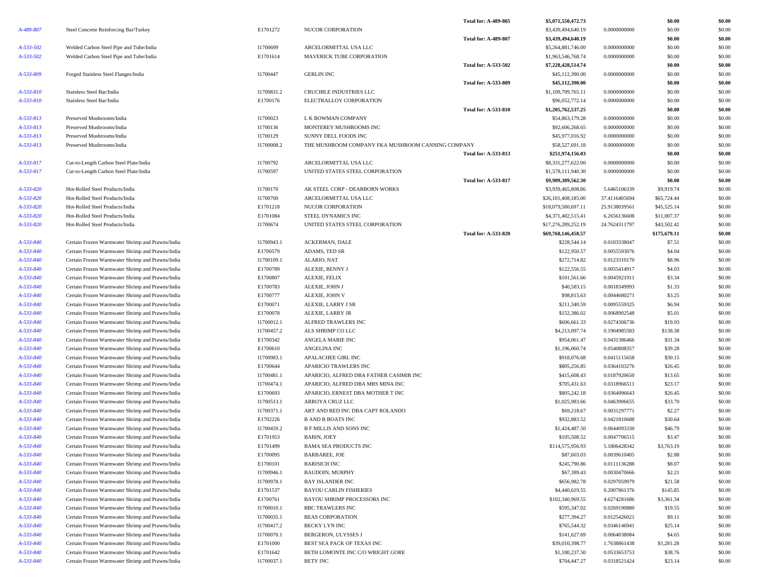|           |                                                  |            |                                                   | <b>Total for: A-489-805</b> | \$5,071,550,472.73  |               | \$0.00       | \$0.00 |
|-----------|--------------------------------------------------|------------|---------------------------------------------------|-----------------------------|---------------------|---------------|--------------|--------|
| A-489-807 | Steel Concrete Reinforcing Bar/Turkey            | E1701272   | NUCOR CORPORATION                                 |                             | \$3,439,494,640.19  | 0.0000000000  | \$0.00       | \$0.00 |
|           |                                                  |            |                                                   | <b>Total for: A-489-807</b> | \$3,439,494,640.19  |               | \$0.00       | \$0.00 |
| A-533-502 | Welded Carbon Steel Pipe and Tube/India          | I1700699   | ARCELORMITTAL USA LLC                             |                             | \$5,264,881,746.00  | 0.0000000000  | \$0.00       | \$0.00 |
| A-533-502 | Welded Carbon Steel Pipe and Tube/India          | E1701614   | MAVERICK TUBE CORPORATION                         |                             | \$1,963,546,768.74  | 0.0000000000  | \$0.00       | \$0.00 |
|           |                                                  |            |                                                   | Total for: A-533-502        | \$7,228,428,514.74  |               | \$0.00       | \$0.00 |
| A-533-809 | Forged Stainless Steel Flanges/India             | I1700447   | <b>GERLIN INC</b>                                 |                             | \$45,112,390.00     | 0.0000000000  | \$0.00       | \$0.00 |
|           |                                                  |            |                                                   | Total for: A-533-809        | \$45,112,390.00     |               | \$0.00       | \$0.00 |
| A-533-810 | Stainless Steel Bar/India                        | I1700831.2 | CRUCIBLE INDUSTRIES LLC                           |                             | \$1,109,709,765.11  | 0.0000000000  | \$0.00       | \$0.00 |
| A-533-810 | Stainless Steel Bar/India                        | E1700176   | ELECTRALLOY CORPORATION                           |                             | \$96,052,772.14     | 0.0000000000  | \$0.00       | \$0.00 |
|           |                                                  |            |                                                   | <b>Total for: A-533-810</b> | \$1,205,762,537.25  |               | \$0.00       | \$0.00 |
| A-533-813 | Preserved Mushrooms/India                        | I1700023   | L K BOWMAN COMPANY                                |                             | \$54,863,179.28     | 0.0000000000  | \$0.00       | \$0.00 |
| A-533-813 | Preserved Mushrooms/India                        | I1700136   | MONTEREY MUSHROOMS INC                            |                             | \$92,606,268.65     | 0.0000000000  | \$0.00       | \$0.00 |
| A-533-813 | Preserved Mushrooms/India                        | I1700129   | SUNNY DELL FOODS INC                              |                             | \$45,977,016.92     | 0.0000000000  | \$0.00       | \$0.00 |
| A-533-813 | Preserved Mushrooms/India                        | I1700008.2 | THE MUSHROOM COMPANY FKA MUSHROOM CANNING COMPANY |                             | \$58,527,691.18     | 0.0000000000  | \$0.00       | \$0.00 |
|           |                                                  |            |                                                   | <b>Total for: A-533-813</b> | \$251,974,156.03    |               | \$0.00       | \$0.00 |
| A-533-817 | Cut-to-Length Carbon Steel Plate/India           | I1700792   | ARCELORMITTAL USA LLC                             |                             | \$8,331,277,622.00  | 0.0000000000  | \$0.00       | \$0.00 |
| A-533-817 | Cut-to-Length Carbon Steel Plate/India           | I1700597   | UNITED STATES STEEL CORPORATION                   |                             | \$1,578,111,940.30  | 0.0000000000  | \$0.00       | \$0.00 |
|           |                                                  |            |                                                   | <b>Total for: A-533-817</b> | \$9,909,389,562.30  |               | \$0.00       | \$0.00 |
| A-533-820 | Hot-Rolled Steel Products/India                  | I1700170   | AK STEEL CORP - DEARBORN WORKS                    |                             | \$3,939,465,808.86  | 5.6465106339  | \$9,919.74   | \$0.00 |
| A-533-820 | Hot-Rolled Steel Products/India                  | I1700700   | ARCELORMITTAL USA LLC                             |                             | \$26,101,408,185.00 | 37.4116405694 | \$65,724.44  | \$0.00 |
| A-533-820 | Hot-Rolled Steel Products/India                  | E1701218   | NUCOR CORPORATION                                 |                             | \$18,079,580,697.11 | 25.9138039561 | \$45,525.14  | \$0.00 |
| A-533-820 | Hot-Rolled Steel Products/India                  | E1701084   | STEEL DYNAMICS INC                                |                             | \$4,371,402,515.41  | 6.2656136608  | \$11,007.37  | \$0.00 |
| A-533-820 | Hot-Rolled Steel Products/India                  | I1700674   | UNITED STATES STEEL CORPORATION                   |                             | \$17,276,289,252.19 | 24.7624311797 | \$43,502.42  | \$0.00 |
|           |                                                  |            |                                                   | <b>Total for: A-533-820</b> | \$69,768,146,458.57 |               | \$175,679.11 | \$0.00 |
| A-533-840 | Certain Frozen Warmwater Shrimp and Prawns/India | I1700943.1 | <b>ACKERMAN, DALE</b>                             |                             | \$228,544.14        | 0.0103338047  | \$7.51       | \$0.00 |
| A-533-840 | Certain Frozen Warmwater Shrimp and Prawns/India | E1700579   | ADAMS, TED SR                                     |                             | \$122,950.57        | 0.0055593076  | \$4.04       | \$0.00 |
| A-533-840 | Certain Frozen Warmwater Shrimp and Prawns/India | I1700109.1 | ALARIO, NAT                                       |                             | \$272,714.82        | 0.0123310170  | \$8.96       | \$0.00 |
| A-533-840 | Certain Frozen Warmwater Shrimp and Prawns/India | E1700789   | ALEXIE, BENNY J                                   |                             | \$122,556.55        | 0.0055414917  | \$4.03       | \$0.00 |
| A-533-840 | Certain Frozen Warmwater Shrimp and Prawns/India | E1700807   | ALEXIE, FELIX                                     |                             | \$101,561.66        | 0.0045921911  | \$3.34       | \$0.00 |
| A-533-840 | Certain Frozen Warmwater Shrimp and Prawns/India | E1700783   | ALEXIE, JOHN J                                    |                             | \$40,583.15         | 0.0018349993  | \$1.33       | \$0.00 |
| A-533-840 | Certain Frozen Warmwater Shrimp and Prawns/India | E1700777   | ALEXIE, JOHN V                                    |                             | \$98,815.63         | 0.0044680271  | \$3.25       | \$0.00 |
| A-533-840 | Certain Frozen Warmwater Shrimp and Prawns/India | E1700071   | ALEXIE, LARRY J SR                                |                             | \$211,340.59        | 0.0095559325  | \$6.94       | \$0.00 |
| A-533-840 | Certain Frozen Warmwater Shrimp and Prawns/India | E1700078   | ALEXIE, LARRY JR                                  |                             | \$152,386.02        | 0.0068902548  | \$5.01       | \$0.00 |
| A-533-840 | Certain Frozen Warmwater Shrimp and Prawns/India | I1700012.1 | ALFRED TRAWLERS INC                               |                             | \$606,661.33        | 0.0274306736  | \$19.93      | \$0.00 |
| A-533-840 | Certain Frozen Warmwater Shrimp and Prawns/India | I1700457.2 | ALS SHRIMP CO LLC                                 |                             | \$4,213,097.74      | 0.1904985583  | \$138.38     | \$0.00 |
| A-533-840 | Certain Frozen Warmwater Shrimp and Prawns/India | E1700342   | ANGELA MARIE INC                                  |                             | \$954,061.47        | 0.0431386466  | \$31.34      | \$0.00 |
| A-533-840 | Certain Frozen Warmwater Shrimp and Prawns/India | E1700610   | ANGELINA INC                                      |                             | \$1,196,060.74      | 0.0540808357  | \$39.28      | \$0.00 |
| A-533-840 | Certain Frozen Warmwater Shrimp and Prawns/India | I1700983.1 | APALACHEE GIRL INC                                |                             | \$918,076.68        | 0.0415115658  | \$30.15      | \$0.00 |
| A-533-840 | Certain Frozen Warmwater Shrimp and Prawns/India | E1700644   | APARICIO TRAWLERS INC                             |                             | \$805,256.85        | 0.0364103276  | \$26.45      | \$0.00 |
| A-533-840 | Certain Frozen Warmwater Shrimp and Prawns/India | I1700481.1 | APARICIO, ALFRED DBA FATHER CASIMIR INC           |                             | \$415,608.43        | 0.0187920650  | \$13.65      | \$0.00 |
| A-533-840 | Certain Frozen Warmwater Shrimp and Prawns/India | I1700474.1 | APARICIO, ALFRED DBA MRS MINA INC                 |                             | \$705,431.63        | 0.0318966511  | \$23.17      | \$0.00 |
| A-533-840 | Certain Frozen Warmwater Shrimp and Prawns/India | E1700693   | APARICIO, ERNEST DBA MOTHER T INC                 |                             | \$805,242.18        | 0.0364096643  | \$26.45      | \$0.00 |
| A-533-840 | Certain Frozen Warmwater Shrimp and Prawns/India | I1700513.1 | ARROYA CRUZ LLC                                   |                             | \$1,025,983.66      | 0.0463906655  | \$33.70      | \$0.00 |
| A-533-840 | Certain Frozen Warmwater Shrimp and Prawns/India | I1700371.1 | ART AND RED INC DBA CAPT ROLANDO                  |                             | \$69,218.67         | 0.0031297771  | \$2.27       | \$0.00 |
| A-533-840 | Certain Frozen Warmwater Shrimp and Prawns/India | E1702226   | <b>B AND B BOATS INC</b>                          |                             | \$932,883.52        | 0.0421810688  | \$30.64      | \$0.00 |
| A-533-840 | Certain Frozen Warmwater Shrimp and Prawns/India | I1700459.2 | <b>B F MILLIS AND SONS INC</b>                    |                             | \$1,424,487.50      | 0.0644093330  | \$46.79      | \$0.00 |
| A-533-840 | Certain Frozen Warmwater Shrimp and Prawns/India | E1701953   | <b>BABIN, JOEY</b>                                |                             | \$105,508.52        | 0.0047706515  | \$3.47       | \$0.00 |
| A-533-840 | Certain Frozen Warmwater Shrimp and Prawns/India | E1701499   | <b>BAMA SEA PRODUCTS INC</b>                      |                             | \$114,575,956.93    | 5.1806428342  | \$3,763.19   | \$0.00 |
| A-533-840 | Certain Frozen Warmwater Shrimp and Prawns/India | E1700095   | <b>BARBAREE, JOE</b>                              |                             | \$87,603.03         | 0.0039610405  | \$2.88       | \$0.00 |
| A-533-840 | Certain Frozen Warmwater Shrimp and Prawns/India | E1700101   | <b>BARISICH INC</b>                               |                             | \$245,790.86        | 0.0111136288  | \$8.07       | \$0.00 |
| A-533-840 | Certain Frozen Warmwater Shrimp and Prawns/India | I1700946.1 | <b>BAUDOIN, MURPHY</b>                            |                             | \$67,389.43         | 0.0030470666  | \$2.21       | \$0.00 |
| A-533-840 | Certain Frozen Warmwater Shrimp and Prawns/India | I1700978.1 | <b>BAY ISLANDER INC</b>                           |                             | \$656,982.78        | 0.0297059979  | \$21.58      | \$0.00 |
| A-533-840 | Certain Frozen Warmwater Shrimp and Prawns/India | E1701537   | <b>BAYOU CARLIN FISHERIES</b>                     |                             | \$4,440,619.55      | 0.2007861376  | \$145.85     | \$0.00 |
| A-533-840 | Certain Frozen Warmwater Shrimp and Prawns/India | E1700761   | BAYOU SHRIMP PROCESSORS INC                       |                             | \$102,340,969.55    | 4.6274281686  | \$3,361.34   | \$0.00 |
| A-533-840 | Certain Frozen Warmwater Shrimp and Prawns/India | I1700010.1 | <b>BBC TRAWLERS INC</b>                           |                             | \$595,347.02        | 0.0269190880  | \$19.55      | \$0.00 |
| A-533-840 | Certain Frozen Warmwater Shrimp and Prawns/India | I1700035.1 | <b>BEAS CORPORATION</b>                           |                             | \$277,394.27        | 0.0125426021  | \$9.11       | \$0.00 |
| A-533-840 | Certain Frozen Warmwater Shrimp and Prawns/India | I1700417.2 | BECKY LYN INC                                     |                             | \$765,544.32        | 0.0346146941  | \$25.14      | \$0.00 |
| A-533-840 | Certain Frozen Warmwater Shrimp and Prawns/India | I1700070.1 | <b>BERGERON, ULYSSES J</b>                        |                             | \$141,627.69        | 0.0064038084  | \$4.65       | \$0.00 |
| A-533-840 | Certain Frozen Warmwater Shrimp and Prawns/India | E1701000   | BEST SEA PACK OF TEXAS INC                        |                             | \$39,010,398.77     | 1.7638861438  | \$1,281.28   | \$0.00 |
| A-533-840 | Certain Frozen Warmwater Shrimp and Prawns/India | E1701642   | BETH LOMONTE INC C/O WRIGHT GORE                  |                             | \$1,180,237.50      | 0.0533653753  | \$38.76      | \$0.00 |
| A-533-840 | Certain Frozen Warmwater Shrimp and Prawns/India | I1700037.1 | BETY INC                                          |                             | \$704,447.27        | 0.0318521424  | \$23.14      | \$0.00 |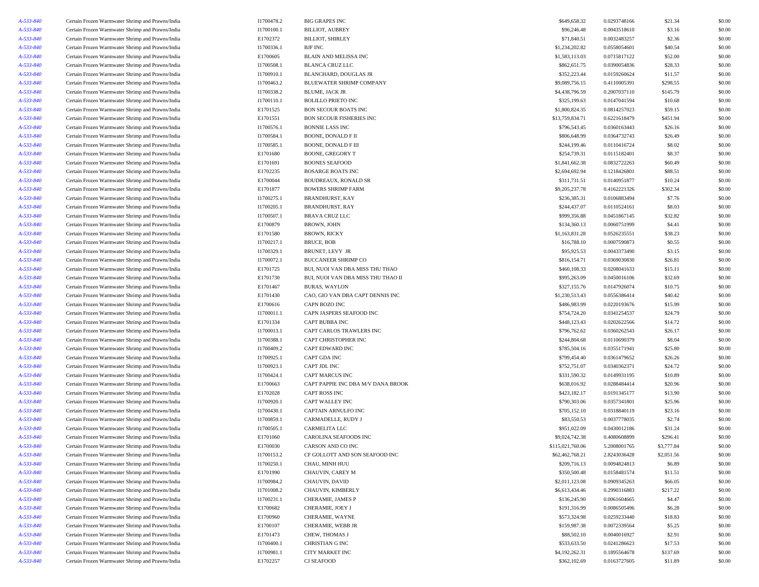| A-533-840 | Certain Frozen Warmwater Shrimp and Prawns/India | I1700478.2 | <b>BIG GRAPES INC</b>              | \$649,658.32     | 0.0293748166 | \$21.34    | \$0.00 |
|-----------|--------------------------------------------------|------------|------------------------------------|------------------|--------------|------------|--------|
| A-533-840 | Certain Frozen Warmwater Shrimp and Prawns/India | I1700100.1 | <b>BILLIOT, AUBREY</b>             | \$96,246.48      | 0.0043518610 | \$3.16     | \$0.00 |
| A-533-840 | Certain Frozen Warmwater Shrimp and Prawns/India | E1702372   | <b>BILLIOT, SHIRLEY</b>            | \$71,840.51      | 0.0032483257 | \$2.36     | \$0.00 |
| A-533-840 | Certain Frozen Warmwater Shrimp and Prawns/India | I1700336.1 | <b>BJF INC</b>                     | \$1,234,202.82   | 0.0558054601 | \$40.54    | \$0.00 |
| A-533-840 | Certain Frozen Warmwater Shrimp and Prawns/India | E1700605   | BLAIN AND MELISSA INC              | \$1,583,113.03   | 0.0715817122 | \$52.00    | \$0.00 |
| A-533-840 | Certain Frozen Warmwater Shrimp and Prawns/India | I1700508.1 | <b>BLANCA CRUZ LLC</b>             | \$862,651.75     | 0.0390054836 | \$28.33    | \$0.00 |
| A-533-840 | Certain Frozen Warmwater Shrimp and Prawns/India | I1700910.1 | <b>BLANCHARD, DOUGLAS JR</b>       | \$352,223.44     | 0.0159260624 | \$11.57    | \$0.00 |
| A-533-840 | Certain Frozen Warmwater Shrimp and Prawns/India | I1700463.2 | BLUEWATER SHRIMP COMPANY           | \$9,089,756.15   | 0.4110005391 | \$298.55   | \$0.00 |
| A-533-840 | Certain Frozen Warmwater Shrimp and Prawns/India | I1700338.2 | <b>BLUME, JACK JR</b>              | \$4,438,796.59   | 0.2007037110 | \$145.79   | \$0.00 |
| A-533-840 | Certain Frozen Warmwater Shrimp and Prawns/India | I1700110.1 | <b>BOLILLO PRIETO INC</b>          | \$325,199.63     | 0.0147041594 | \$10.68    | \$0.00 |
| A-533-840 | Certain Frozen Warmwater Shrimp and Prawns/India | E1701525   | <b>BON SECOUR BOATS INC</b>        | \$1,800,824.35   | 0.0814257023 | \$59.15    | \$0.00 |
| A-533-840 | Certain Frozen Warmwater Shrimp and Prawns/India | E1701551   | <b>BON SECOUR FISHERIES INC</b>    | \$13,759,834.71  | 0.6221618479 | \$451.94   | \$0.00 |
| A-533-840 | Certain Frozen Warmwater Shrimp and Prawns/India | I1700576.1 | <b>BONNIE LASS INC</b>             | \$796,543.45     | 0.0360163443 | \$26.16    | \$0.00 |
| A-533-840 | Certain Frozen Warmwater Shrimp and Prawns/India | I1700584.1 | <b>BOONE, DONALD F II</b>          | \$806,648.99     | 0.0364732743 | \$26.49    | \$0.00 |
| A-533-840 | Certain Frozen Warmwater Shrimp and Prawns/India | I1700585.1 | BOONE, DONALD F III                | \$244,199.46     | 0.0110416724 | \$8.02     | \$0.00 |
| A-533-840 | Certain Frozen Warmwater Shrimp and Prawns/India | E1701680   | <b>BOONE, GREGORY T</b>            | \$254,739.31     | 0.0115182401 | \$8.37     | \$0.00 |
| A-533-840 | Certain Frozen Warmwater Shrimp and Prawns/India | E1701691   | <b>BOONES SEAFOOD</b>              | \$1,841,662.38   | 0.0832722263 | \$60.49    | \$0.00 |
| A-533-840 | Certain Frozen Warmwater Shrimp and Prawns/India | E1702235   | <b>BOSARGE BOATS INC</b>           | \$2,694,692.94   | 0.1218426801 | \$88.51    | \$0.00 |
| A-533-840 | Certain Frozen Warmwater Shrimp and Prawns/India | E1700044   | <b>BOUDREAUX, RONALD SR</b>        | \$311,731.51     | 0.0140951877 | \$10.24    | \$0.00 |
| A-533-840 | Certain Frozen Warmwater Shrimp and Prawns/India | E1701877   | <b>BOWERS SHRIMP FARM</b>          | \$9,205,237.78   | 0.4162221326 | \$302.34   | \$0.00 |
| A-533-840 | Certain Frozen Warmwater Shrimp and Prawns/India | I1700275.1 | BRANDHURST, KAY                    | \$236,385.31     | 0.0106883494 | \$7.76     | \$0.00 |
|           |                                                  |            |                                    |                  |              | \$8.03     |        |
| A-533-840 | Certain Frozen Warmwater Shrimp and Prawns/India | I1700205.1 | <b>BRANDHURST, RAY</b>             | \$244,437.07     | 0.0110524161 |            | \$0.00 |
| A-533-840 | Certain Frozen Warmwater Shrimp and Prawns/India | I1700507.1 | <b>BRAVA CRUZ LLC</b>              | \$999,356.88     | 0.0451867145 | \$32.82    | \$0.00 |
| A-533-840 | Certain Frozen Warmwater Shrimp and Prawns/India | E1700879   | BROWN, JOHN                        | \$134,360.13     | 0.0060751999 | \$4.41     | \$0.00 |
| A-533-840 | Certain Frozen Warmwater Shrimp and Prawns/India | E1701580   | <b>BROWN, RICKY</b>                | \$1,163,831.28   | 0.0526235551 | \$38.23    | \$0.00 |
| A-533-840 | Certain Frozen Warmwater Shrimp and Prawns/India | I1700217.1 | <b>BRUCE, BOB</b>                  | \$16,788.10      | 0.0007590873 | \$0.55     | \$0.00 |
| A-533-840 | Certain Frozen Warmwater Shrimp and Prawns/India | I1700329.1 | BRUNET, LEVY JR                    | \$95,925.53      | 0.0043373490 | \$3.15     | \$0.00 |
| A-533-840 | Certain Frozen Warmwater Shrimp and Prawns/India | I1700072.1 | <b>BUCCANEER SHRIMP CO</b>         | \$816,154.71     | 0.0369030830 | \$26.81    | \$0.00 |
| A-533-840 | Certain Frozen Warmwater Shrimp and Prawns/India | E1701725   | BUI, NUOI VAN DBA MISS THU THAO    | \$460,108.33     | 0.0208041633 | \$15.11    | \$0.00 |
| A-533-840 | Certain Frozen Warmwater Shrimp and Prawns/India | E1701730   | BUI, NUOI VAN DBA MISS THU THAO II | \$995,263.09     | 0.0450016106 | \$32.69    | \$0.00 |
| A-533-840 | Certain Frozen Warmwater Shrimp and Prawns/India | E1701467   | <b>BURAS, WAYLON</b>               | \$327,155.76     | 0.0147926074 | \$10.75    | \$0.00 |
| A-533-840 | Certain Frozen Warmwater Shrimp and Prawns/India | E1701430   | CAO, GIO VAN DBA CAPT DENNIS INC   | \$1,230,513.43   | 0.0556386414 | \$40.42    | \$0.00 |
| A-533-840 | Certain Frozen Warmwater Shrimp and Prawns/India | E1700616   | CAPN BOZO INC                      | \$486,983.99     | 0.0220193676 | \$15.99    | \$0.00 |
| A-533-840 | Certain Frozen Warmwater Shrimp and Prawns/India | I1700011.1 | CAPN JASPERS SEAFOOD INC           | \$754,724.20     | 0.0341254537 | \$24.79    | \$0.00 |
| A-533-840 | Certain Frozen Warmwater Shrimp and Prawns/India | E1701334   | CAPT BUBBA INC                     | \$448,123.43     | 0.0202622566 | \$14.72    | \$0.00 |
| A-533-840 | Certain Frozen Warmwater Shrimp and Prawns/India | I1700013.1 | CAPT CARLOS TRAWLERS INC           | \$796,762.62     | 0.0360262543 | \$26.17    | \$0.00 |
| A-533-840 | Certain Frozen Warmwater Shrimp and Prawns/India | I1700388.1 | CAPT CHRISTOPHER INC               | \$244,804.68     | 0.0110690379 | \$8.04     | \$0.00 |
| A-533-840 | Certain Frozen Warmwater Shrimp and Prawns/India | I1700409.2 | CAPT EDWARD INC                    | \$785,504.16     | 0.0355171941 | \$25.80    | \$0.00 |
| A-533-840 | Certain Frozen Warmwater Shrimp and Prawns/India | I1700925.1 | CAPT GDA INC                       | \$799,454.40     | 0.0361479652 | \$26.26    | \$0.00 |
| A-533-840 | Certain Frozen Warmwater Shrimp and Prawns/India | I1700923.1 | CAPT JDL INC                       | \$752,751.07     | 0.0340362371 | \$24.72    | \$0.00 |
| A-533-840 | Certain Frozen Warmwater Shrimp and Prawns/India | I1700424.1 | CAPT MARCUS INC                    | \$331,590.32     | 0.0149931195 | \$10.89    | \$0.00 |
| A-533-840 | Certain Frozen Warmwater Shrimp and Prawns/India | E1700663   | CAPT PAPPIE INC DBA M/V DANA BROOK | \$638,016.92     | 0.0288484414 | \$20.96    | \$0.00 |
| A-533-840 | Certain Frozen Warmwater Shrimp and Prawns/India | E1702028   | <b>CAPT ROSS INC</b>               | \$423,182.17     | 0.0191345177 | \$13.90    | \$0.00 |
| A-533-840 | Certain Frozen Warmwater Shrimp and Prawns/India | I1700920.1 | CAPT WALLEY INC                    | \$790,303.06     | 0.0357341801 | \$25.96    | \$0.00 |
| A-533-840 | Certain Frozen Warmwater Shrimp and Prawns/India | I1700430.1 | CAPTAIN ARNULFO INC                | \$705,152.10     | 0.0318840119 | \$23.16    | \$0.00 |
| A-533-840 | Certain Frozen Warmwater Shrimp and Prawns/India | I1700859.1 | CARMADELLE, RUDY J                 | \$83,550.53      | 0.0037778035 | \$2.74     | \$0.00 |
| A-533-840 | Certain Frozen Warmwater Shrimp and Prawns/India | I1700505.1 | CARMELITA LLC                      | \$951,022.09     | 0.0430012186 | \$31.24    | \$0.00 |
| A-533-840 | Certain Frozen Warmwater Shrimp and Prawns/India | E1701060   | CAROLINA SEAFOODS INC              | \$9,024,742.38   | 0.4080608899 | \$296.41   | \$0.00 |
| A-533-840 | Certain Frozen Warmwater Shrimp and Prawns/India | E1700030   | CARSON AND CO INC                  | \$115.021.760.06 | 5.2008001765 | \$3,777.84 | \$0.00 |
| A-533-840 | Certain Frozen Warmwater Shrimp and Prawns/India | I1700153.2 | CF GOLLOTT AND SON SEAFOOD INC     | \$62,462,768.21  | 2.8243036428 | \$2,051.56 | \$0.00 |
| A-533-840 | Certain Frozen Warmwater Shrimp and Prawns/India | I1700250.1 | CHAU, MINH HUU                     | \$209,716.13     | 0.0094824813 | \$6.89     | \$0.00 |
| A-533-840 | Certain Frozen Warmwater Shrimp and Prawns/India | E1701990   | CHAUVIN, CAREY M                   | \$350,500.48     | 0.0158481574 | \$11.51    | \$0.00 |
| A-533-840 | Certain Frozen Warmwater Shrimp and Prawns/India | I1700984.2 | CHAUVIN, DAVID                     | \$2,011,123.08   | 0.0909345263 | \$66.05    | \$0.00 |
| A-533-840 | Certain Frozen Warmwater Shrimp and Prawns/India | I1701008.2 | CHAUVIN, KIMBERLY                  | \$6,613,434.46   | 0.2990316883 | \$217.22   | \$0.00 |
| A-533-840 | Certain Frozen Warmwater Shrimp and Prawns/India | I1700231.1 | CHERAMIE, JAMES P                  | \$136,245.90     | 0.0061604665 | \$4.47     | \$0.00 |
| A-533-840 | Certain Frozen Warmwater Shrimp and Prawns/India | E1700682   | CHERAMIE, JOEY J                   | \$191,316.99     | 0.0086505496 | \$6.28     | \$0.00 |
| A-533-840 | Certain Frozen Warmwater Shrimp and Prawns/India | E1700960   | CHERAMIE, WAYNE                    | \$573,324.98     | 0.0259233440 | \$18.83    | \$0.00 |
| A-533-840 | Certain Frozen Warmwater Shrimp and Prawns/India | E1700107   | CHERAMIE, WEBB JR                  | \$159,987.38     | 0.0072339564 | \$5.25     | \$0.00 |
| A-533-840 | Certain Frozen Warmwater Shrimp and Prawns/India | E1701473   | CHEW, THOMAS J                     | \$88,502.10      | 0.0040016927 | \$2.91     | \$0.00 |
| A-533-840 | Certain Frozen Warmwater Shrimp and Prawns/India | I1700400.1 | CHRISTIAN G INC                    | \$533,633.50     | 0.0241286623 | \$17.53    | \$0.00 |
| A-533-840 | Certain Frozen Warmwater Shrimp and Prawns/India | I1700981.1 | <b>CITY MARKET INC</b>             | \$4,192,262.31   | 0.1895564678 | \$137.69   | \$0.00 |
| A-533-840 | Certain Frozen Warmwater Shrimp and Prawns/India | E1702257   | <b>CJ SEAFOOD</b>                  | \$362,102.69     | 0.0163727605 | \$11.89    | \$0.00 |
|           |                                                  |            |                                    |                  |              |            |        |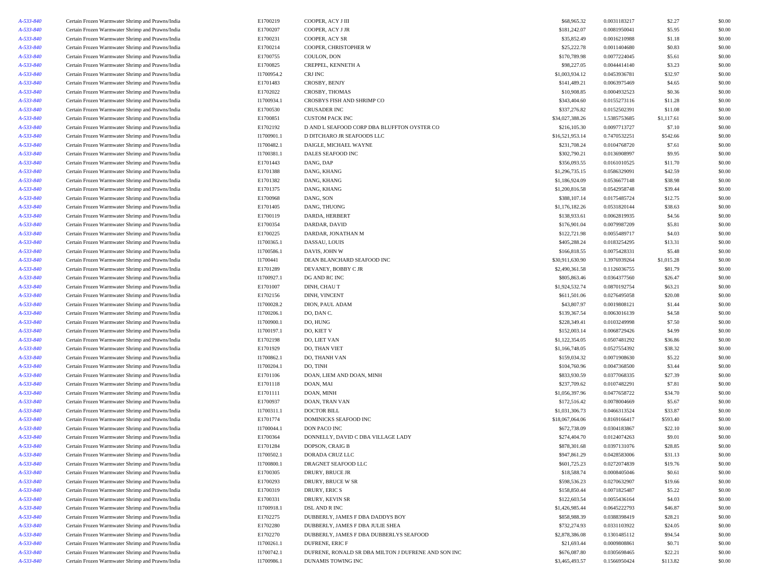| A-533-840 | Certain Frozen Warmwater Shrimp and Prawns/India                                                     | E1700219   | COOPER, ACY J III                                   | \$68,965.32     | 0.0031183217 | \$2.27     | \$0.00 |
|-----------|------------------------------------------------------------------------------------------------------|------------|-----------------------------------------------------|-----------------|--------------|------------|--------|
| A-533-840 | Certain Frozen Warmwater Shrimp and Prawns/India                                                     | E1700207   | COOPER, ACY J JR                                    | \$181,242.07    | 0.0081950041 | \$5.95     | \$0.00 |
| A-533-840 | Certain Frozen Warmwater Shrimp and Prawns/India                                                     | E1700231   | COOPER, ACY SR                                      | \$35,852.49     | 0.0016210988 | \$1.18     | \$0.00 |
| A-533-840 |                                                                                                      | E1700214   | COOPER, CHRISTOPHER W                               | \$25,222.78     | 0.0011404680 | \$0.83     | \$0.00 |
| A-533-840 | Certain Frozen Warmwater Shrimp and Prawns/India                                                     | E1700755   | COULON, DON                                         | \$170,789.98    | 0.0077224045 | \$5.61     | \$0.00 |
|           | Certain Frozen Warmwater Shrimp and Prawns/India<br>Certain Frozen Warmwater Shrimp and Prawns/India |            |                                                     |                 |              |            | \$0.00 |
| A-533-840 |                                                                                                      | E1700825   | CREPPEL, KENNETH A                                  | \$98,227.05     | 0.0044414140 | \$3.23     |        |
| A-533-840 | Certain Frozen Warmwater Shrimp and Prawns/India                                                     | I1700954.2 | CRJ INC                                             | \$1,003,934.12  | 0.0453936781 | \$32.97    | \$0.00 |
| A-533-840 | Certain Frozen Warmwater Shrimp and Prawns/India                                                     | E1701483   | CROSBY, BENJY                                       | \$141,489.21    | 0.0063975469 | \$4.65     | \$0.00 |
| A-533-840 | Certain Frozen Warmwater Shrimp and Prawns/India                                                     | E1702022   | CROSBY, THOMAS                                      | \$10,908.85     | 0.0004932523 | \$0.36     | \$0.00 |
| A-533-840 | Certain Frozen Warmwater Shrimp and Prawns/India                                                     | I1700934.1 | CROSBYS FISH AND SHRIMP CO                          | \$343,404.60    | 0.0155273116 | \$11.28    | \$0.00 |
| A-533-840 | Certain Frozen Warmwater Shrimp and Prawns/India                                                     | E1700530   | <b>CRUSADER INC</b>                                 | \$337,276.82    | 0.0152502391 | \$11.08    | \$0.00 |
| A-533-840 | Certain Frozen Warmwater Shrimp and Prawns/India                                                     | E1700851   | <b>CUSTOM PACK INC</b>                              | \$34,027,388.26 | 1.5385753685 | \$1,117.61 | \$0.00 |
| A-533-840 | Certain Frozen Warmwater Shrimp and Prawns/India                                                     | E1702192   | D AND L SEAFOOD CORP DBA BLUFFTON OYSTER CO         | \$216,105.30    | 0.0097713727 | \$7.10     | \$0.00 |
| A-533-840 | Certain Frozen Warmwater Shrimp and Prawns/India                                                     | I1700901.1 | D DITCHARO JR SEAFOODS LLC                          | \$16,521,953.14 | 0.7470532251 | \$542.66   | \$0.00 |
| A-533-840 | Certain Frozen Warmwater Shrimp and Prawns/India                                                     | I1700482.1 | DAIGLE, MICHAEL WAYNE                               | \$231,708.24    | 0.0104768720 | \$7.61     | \$0.00 |
| A-533-840 | Certain Frozen Warmwater Shrimp and Prawns/India                                                     | 11700381.1 | DALES SEAFOOD INC                                   | \$302,790.21    | 0.0136908997 | \$9.95     | \$0.00 |
| A-533-840 | Certain Frozen Warmwater Shrimp and Prawns/India                                                     | E1701443   | DANG, DAP                                           | \$356,093.55    | 0.0161010525 | \$11.70    | \$0.00 |
| A-533-840 | Certain Frozen Warmwater Shrimp and Prawns/India                                                     | E1701388   | DANG, KHANG                                         | \$1,296,735.15  | 0.0586329091 | \$42.59    | \$0.00 |
| A-533-840 | Certain Frozen Warmwater Shrimp and Prawns/India                                                     | E1701382   | DANG, KHANG                                         | \$1,186,924.09  | 0.0536677148 | \$38.98    | \$0.00 |
| A-533-840 | Certain Frozen Warmwater Shrimp and Prawns/India                                                     | E1701375   | DANG, KHANG                                         | \$1,200,816.58  | 0.0542958748 | \$39.44    | \$0.00 |
| A-533-840 | Certain Frozen Warmwater Shrimp and Prawns/India                                                     | E1700968   | DANG, SON                                           | \$388,107.14    | 0.0175485724 | \$12.75    | \$0.00 |
| A-533-840 | Certain Frozen Warmwater Shrimp and Prawns/India                                                     | E1701405   | DANG, THUONG                                        | \$1,176,182.26  | 0.0531820144 | \$38.63    | \$0.00 |
| A-533-840 | Certain Frozen Warmwater Shrimp and Prawns/India                                                     | E1700119   | DARDA, HERBERT                                      | \$138,933.61    | 0.0062819935 | \$4.56     | \$0.00 |
| A-533-840 | Certain Frozen Warmwater Shrimp and Prawns/India                                                     | E1700354   | DARDAR, DAVID                                       | \$176,901.04    | 0.0079987209 | \$5.81     | \$0.00 |
| A-533-840 | Certain Frozen Warmwater Shrimp and Prawns/India                                                     | E1700225   | DARDAR, JONATHAN M                                  | \$122,721.98    | 0.0055489717 | \$4.03     | \$0.00 |
| A-533-840 | Certain Frozen Warmwater Shrimp and Prawns/India                                                     | I1700365.1 | DASSAU, LOUIS                                       | \$405,288.24    | 0.0183254295 | \$13.31    | \$0.00 |
| A-533-840 | Certain Frozen Warmwater Shrimp and Prawns/India                                                     | I1700586.1 | DAVIS, JOHN W                                       | \$166,818.55    | 0.0075428331 | \$5.48     | \$0.00 |
| A-533-840 | Certain Frozen Warmwater Shrimp and Prawns/India                                                     | I1700441   | DEAN BLANCHARD SEAFOOD INC                          | \$30,911,630.90 | 1.3976939264 | \$1,015.28 | \$0.00 |
| A-533-840 | Certain Frozen Warmwater Shrimp and Prawns/India                                                     | E1701289   | DEVANEY, BOBBY C JR                                 | \$2,490,361.58  | 0.1126036755 | \$81.79    | \$0.00 |
| A-533-840 | Certain Frozen Warmwater Shrimp and Prawns/India                                                     | I1700927.1 | DG AND RC INC                                       | \$805,863.46    | 0.0364377560 | \$26.47    | \$0.00 |
| A-533-840 | Certain Frozen Warmwater Shrimp and Prawns/India                                                     | E1701007   | DINH, CHAU T                                        | \$1,924,532.74  | 0.0870192754 | \$63.21    | \$0.00 |
| A-533-840 | Certain Frozen Warmwater Shrimp and Prawns/India                                                     | E1702156   | DINH, VINCENT                                       | \$611,501.06    | 0.0276495058 | \$20.08    | \$0.00 |
| A-533-840 | Certain Frozen Warmwater Shrimp and Prawns/India                                                     | I1700028.2 | DION, PAUL ADAM                                     | \$43,807.97     | 0.0019808121 | \$1.44     | \$0.00 |
| A-533-840 | Certain Frozen Warmwater Shrimp and Prawns/India                                                     | I1700206.1 | DO, DAN C.                                          | \$139,367.54    | 0.0063016139 | \$4.58     | \$0.00 |
| A-533-840 | Certain Frozen Warmwater Shrimp and Prawns/India                                                     | I1700900.1 | DO, HUNG                                            | \$228,349.41    | 0.0103249998 | \$7.50     | \$0.00 |
| A-533-840 | Certain Frozen Warmwater Shrimp and Prawns/India                                                     | I1700197.1 | DO, KIET V                                          | \$152,003.14    | 0.0068729426 | \$4.99     | \$0.00 |
| A-533-840 | Certain Frozen Warmwater Shrimp and Prawns/India                                                     | E1702198   | DO, LIET VAN                                        | \$1,122,354.05  | 0.0507481292 | \$36.86    | \$0.00 |
| A-533-840 | Certain Frozen Warmwater Shrimp and Prawns/India                                                     | E1701929   | DO, THAN VIET                                       | \$1,166,748.05  | 0.0527554392 | \$38.32    | \$0.00 |
| A-533-840 | Certain Frozen Warmwater Shrimp and Prawns/India                                                     | I1700862.1 | DO, THANH VAN                                       | \$159,034.32    | 0.0071908630 | \$5.22     | \$0.00 |
| A-533-840 | Certain Frozen Warmwater Shrimp and Prawns/India                                                     | I1700204.1 | DO, TINH                                            | \$104,760.96    | 0.0047368500 | \$3.44     | \$0.00 |
| A-533-840 | Certain Frozen Warmwater Shrimp and Prawns/India                                                     | E1701106   | DOAN, LIEM AND DOAN, MINH                           | \$833,930.59    | 0.0377068335 | \$27.39    | \$0.00 |
| A-533-840 | Certain Frozen Warmwater Shrimp and Prawns/India                                                     | E1701118   | DOAN, MAI                                           | \$237,709.62    | 0.0107482291 | \$7.81     | \$0.00 |
| A-533-840 | Certain Frozen Warmwater Shrimp and Prawns/India                                                     | E1701111   |                                                     | \$1,056,397.96  | 0.0477658722 | \$34.70    | \$0.00 |
| A-533-840 |                                                                                                      | E1700937   | DOAN, MINH<br>DOAN, TRAN VAN                        | \$172,516.42    | 0.0078004669 | \$5.67     | \$0.00 |
|           | Certain Frozen Warmwater Shrimp and Prawns/India                                                     |            |                                                     |                 |              |            |        |
| A-533-840 | Certain Frozen Warmwater Shrimp and Prawns/India                                                     | I1700311.1 | <b>DOCTOR BILL</b><br>DOMINICKS SEAFOOD INC         | \$1,031,306.73  | 0.0466313524 | \$33.87    | \$0.00 |
| A-533-840 | Certain Frozen Warmwater Shrimp and Prawns/India                                                     | E1701774   |                                                     | \$18,067,064.06 | 0.8169166417 | \$593.40   | \$0.00 |
| A-533-840 | Certain Frozen Warmwater Shrimp and Prawns/India                                                     | I1700044.1 | DON PACO INC                                        | \$672,738.09    | 0.0304183867 | \$22.10    | \$0.00 |
| A-533-840 | Certain Frozen Warmwater Shrimp and Prawns/India                                                     | E1700364   | DONNELLY, DAVID C DBA VILLAGE LADY                  | \$274,404.70    | 0.0124074263 | \$9.01     | \$0.00 |
| A-533-840 | Certain Frozen Warmwater Shrimp and Prawns/India                                                     | E1701284   | DOPSON, CRAIG B                                     | \$878,301.68    | 0.0397131076 | \$28.85    | \$0.00 |
| A-533-840 | Certain Frozen Warmwater Shrimp and Prawns/India                                                     | I1700502.1 | DORADA CRUZ LLC                                     | \$947,861.29    | 0.0428583006 | \$31.13    | \$0.00 |
| A-533-840 | Certain Frozen Warmwater Shrimp and Prawns/India                                                     | I1700800.1 | DRAGNET SEAFOOD LLC                                 | \$601,725.23    | 0.0272074839 | \$19.76    | \$0.00 |
| A-533-840 | Certain Frozen Warmwater Shrimp and Prawns/India                                                     | E1700305   | DRURY, BRUCE JR                                     | \$18,588.74     | 0.0008405046 | \$0.61     | \$0.00 |
| A-533-840 | Certain Frozen Warmwater Shrimp and Prawns/India                                                     | E1700293   | DRURY, BRUCE W SR                                   | \$598,536.23    | 0.0270632907 | \$19.66    | \$0.00 |
| A-533-840 | Certain Frozen Warmwater Shrimp and Prawns/India                                                     | E1700319   | DRURY, ERIC S                                       | \$158,850.44    | 0.0071825487 | \$5.22     | \$0.00 |
| A-533-840 | Certain Frozen Warmwater Shrimp and Prawns/India                                                     | E1700331   | DRURY, KEVIN SR                                     | \$122,603.54    | 0.0055436164 | \$4.03     | \$0.00 |
| A-533-840 | Certain Frozen Warmwater Shrimp and Prawns/India                                                     | I1700918.1 | DSL AND R INC                                       | \$1,426,985.44  | 0.0645222793 | \$46.87    | \$0.00 |
| A-533-840 | Certain Frozen Warmwater Shrimp and Prawns/India                                                     | E1702275   | DUBBERLY, JAMES F DBA DADDYS BOY                    | \$858,988.39    | 0.0388398419 | \$28.21    | \$0.00 |
| A-533-840 | Certain Frozen Warmwater Shrimp and Prawns/India                                                     | E1702280   | DUBBERLY, JAMES F DBA JULIE SHEA                    | \$732,274.93    | 0.0331103922 | \$24.05    | \$0.00 |
| A-533-840 | Certain Frozen Warmwater Shrimp and Prawns/India                                                     | E1702270   | DUBBERLY, JAMES F DBA DUBBERLYS SEAFOOD             | \$2,878,386.08  | 0.1301485112 | \$94.54    | \$0.00 |
| A-533-840 | Certain Frozen Warmwater Shrimp and Prawns/India                                                     | I1700261.1 | DUFRENE, ERIC F                                     | \$21,693.44     | 0.0009808861 | \$0.71     | \$0.00 |
| A-533-840 | Certain Frozen Warmwater Shrimp and Prawns/India                                                     | I1700742.1 | DUFRENE, RONALD SR DBA MILTON J DUFRENE AND SON INC | \$676,087.80    | 0.0305698465 | \$22.21    | \$0.00 |
| A-533-840 | Certain Frozen Warmwater Shrimp and Prawns/India                                                     | I1700986.1 | DUNAMIS TOWING INC                                  | \$3,465,493.57  | 0.1566950424 | \$113.82   | \$0.00 |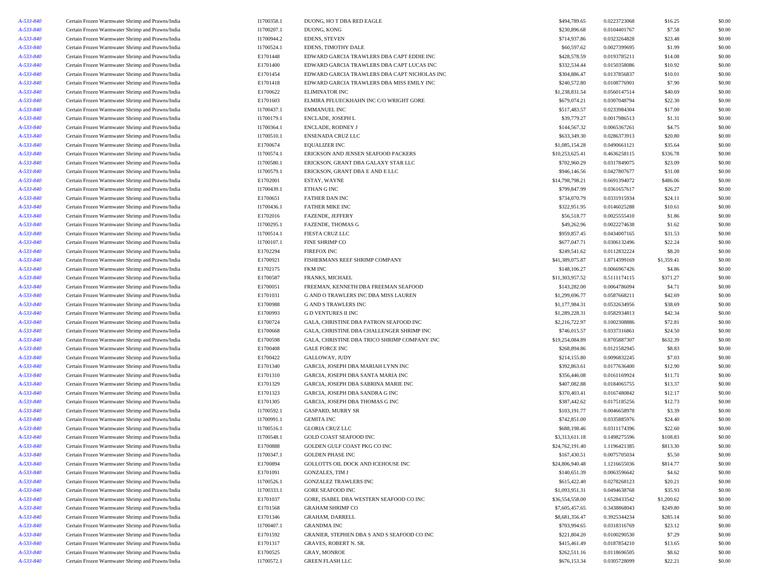| \$230,896.68<br>A-533-840<br>Certain Frozen Warmwater Shrimp and Prawns/India<br>I1700207.1<br>DUONG, KONG<br>0.0104401767<br>A-533-840<br>Certain Frozen Warmwater Shrimp and Prawns/India<br>I1700944.2<br><b>EDENS, STEVEN</b><br>\$714,937.86<br>0.0323264828<br>A-533-840<br>Certain Frozen Warmwater Shrimp and Prawns/India<br>I1700524.1<br>EDENS, TIMOTHY DALE<br>\$60,597.62<br>0.0027399695<br>\$428,578.59<br>A-533-840<br>Certain Frozen Warmwater Shrimp and Prawns/India<br>E1701448<br>EDWARD GARCIA TRAWLERS DBA CAPT EDDIE INC<br>0.0193785211<br>\$332,534.44<br>A-533-840<br>Certain Frozen Warmwater Shrimp and Prawns/India<br>E1701400<br>EDWARD GARCIA TRAWLERS DBA CAPT LUCAS INC<br>0.0150358086<br>E1701454<br>EDWARD GARCIA TRAWLERS DBA CAPT NICHOLAS INC<br>\$304,886.47<br>0.0137856837<br>A-533-840<br>Certain Frozen Warmwater Shrimp and Prawns/India<br>\$240,572.80<br>A-533-840<br>Certain Frozen Warmwater Shrimp and Prawns/India<br>E1701418<br>EDWARD GARCIA TRAWLERS DBA MISS EMILY INC<br>0.0108776901<br>A-533-840<br>Certain Frozen Warmwater Shrimp and Prawns/India<br>E1700622<br><b>ELIMINATOR INC</b><br>\$1,238,831.54<br>0.0560147514<br>A-533-840<br>Certain Frozen Warmwater Shrimp and Prawns/India<br>E1701603<br>\$679,074.21<br>0.0307048794<br>ELMIRA PFLUECKHAHN INC C/O WRIGHT GORE<br>A-533-840<br>Certain Frozen Warmwater Shrimp and Prawns/India<br>I1700437.1<br><b>EMMANUEL INC</b><br>\$517,483.57<br>0.0233984304<br>\$39,779.27<br>A-533-840<br>Certain Frozen Warmwater Shrimp and Prawns/India<br>I1700179.1<br>ENCLADE, JOSEPH L<br>0.0017986513<br>\$144,567.32<br>A-533-840<br>Certain Frozen Warmwater Shrimp and Prawns/India<br>I1700364.1<br>ENCLADE, RODNEY J<br>0.0065367261<br>A-533-840<br>\$633,349.30<br>Certain Frozen Warmwater Shrimp and Prawns/India<br>I1700510.1<br>ENSENADA CRUZ LLC<br>0.0286373913<br>A-533-840<br>Certain Frozen Warmwater Shrimp and Prawns/India<br>E1700674<br><b>EQUALIZER INC</b><br>\$1,085,154.28<br>0.0490661121<br>A-533-840<br>Certain Frozen Warmwater Shrimp and Prawns/India<br>I1700574.1<br>ERICKSON AND JENSEN SEAFOOD PACKERS<br>\$10,253,625.41<br>0.4636258115<br>A-533-840<br>Certain Frozen Warmwater Shrimp and Prawns/India<br>I1700580.1<br>ERICKSON, GRANT DBA GALAXY STAR LLC<br>\$702,960.29<br>0.0317849075<br>A-533-840<br>ERICKSON, GRANT DBA E AND E LLC<br>\$946,146.56<br>Certain Frozen Warmwater Shrimp and Prawns/India<br>I1700579.1<br>0.0427807677<br>A-533-840<br>Certain Frozen Warmwater Shrimp and Prawns/India<br>E1702001<br>ESTAY, WAYNE<br>\$14,798,798.21<br>0.6691394072<br>\$799,847.99<br>A-533-840<br>Certain Frozen Warmwater Shrimp and Prawns/India<br>I1700439.1<br>ETHAN G INC<br>0.0361657617<br>E1700651<br>\$734,070.79<br>0.0331915934<br>A-533-840<br>Certain Frozen Warmwater Shrimp and Prawns/India<br>FATHER DAN INC<br>A-533-840<br>Certain Frozen Warmwater Shrimp and Prawns/India<br>I1700436.1<br><b>FATHER MIKE INC</b><br>\$322,951.95<br>0.0146025288<br>A-533-840<br>Certain Frozen Warmwater Shrimp and Prawns/India<br>E1702016<br><b>FAZENDE, JEFFERY</b><br>\$56,518.77<br>0.0025555410<br>A-533-840<br>Certain Frozen Warmwater Shrimp and Prawns/India<br>I1700295.1<br><b>FAZENDE, THOMAS G</b><br>\$49,262.96<br>0.0022274638<br>A-533-840<br>Certain Frozen Warmwater Shrimp and Prawns/India<br>I1700514.1<br><b>FIESTA CRUZ LLC</b><br>\$959,857.45<br>0.0434007165<br>A-533-840<br>Certain Frozen Warmwater Shrimp and Prawns/India<br>I1700107.1<br>FINE SHRIMP CO<br>\$677,047.71<br>0.0306132496<br>E1702294<br>\$249,541.62<br>A-533-840<br>Certain Frozen Warmwater Shrimp and Prawns/India<br><b>FIREFOX INC</b><br>0.0112832224<br>A-533-840<br>Certain Frozen Warmwater Shrimp and Prawns/India<br>E1700921<br>FISHERMANS REEF SHRIMP COMPANY<br>\$41,389,075.87<br>1.8714399169<br>A-533-840<br>Certain Frozen Warmwater Shrimp and Prawns/India<br>E1702175<br><b>FKM INC</b><br>\$148,106.27<br>0.0066967426<br>A-533-840<br>Certain Frozen Warmwater Shrimp and Prawns/India<br>E1700587<br>FRANKS, MICHAEL<br>\$11,303,957.52<br>0.5111174115<br>E1700051<br>\$143,282.00<br>A-533-840<br>Certain Frozen Warmwater Shrimp and Prawns/India<br>FREEMAN, KENNETH DBA FREEMAN SEAFOOD<br>0.0064786094<br>A-533-840<br>Certain Frozen Warmwater Shrimp and Prawns/India<br>E1701031<br>G AND O TRAWLERS INC DBA MISS LAUREN<br>\$1,299,696.77<br>0.0587668211<br>E1700988<br>\$1,177,984.31<br>0.0532634956<br>A-533-840<br>Certain Frozen Warmwater Shrimp and Prawns/India<br><b>G AND S TRAWLERS INC</b><br>A-533-840<br>Certain Frozen Warmwater Shrimp and Prawns/India<br>E1700993<br><b>GD VENTURES II INC</b><br>\$1,289,228.31<br>0.0582934813<br>A-533-840<br>Certain Frozen Warmwater Shrimp and Prawns/India<br>E1700724<br>\$2,216,722.97<br>0.1002308886<br>GALA, CHRISTINE DBA PATRON SEAFOOD INC<br>A-533-840<br>Certain Frozen Warmwater Shrimp and Prawns/India<br>E1700668<br>GALA, CHRISTINE DBA CHALLENGER SHRIMP INC<br>\$746,015.57<br>0.0337316861<br>A-533-840<br>Certain Frozen Warmwater Shrimp and Prawns/India<br>E1700598<br>GALA, CHRISTINE DBA TRICO SHRIMP COMPANY INC<br>\$19,254,084.89<br>0.8705887307<br>E1700408<br>A-533-840<br>Certain Frozen Warmwater Shrimp and Prawns/India<br><b>GALE FORCE INC</b><br>\$268,894.86<br>0.0121582945<br>A-533-840<br>Certain Frozen Warmwater Shrimp and Prawns/India<br>E1700422<br>GALLOWAY, JUDY<br>\$214,155.80<br>0.0096832245<br>A-533-840<br>Certain Frozen Warmwater Shrimp and Prawns/India<br>E1701340<br>GARCIA, JOSEPH DBA MARIAH LYNN INC<br>\$392,863.61<br>0.0177636400<br>A-533-840<br>Certain Frozen Warmwater Shrimp and Prawns/India<br>E1701310<br>GARCIA, JOSEPH DBA SANTA MARIA INC<br>\$356,446.08<br>0.0161169924<br>A-533-840<br>Certain Frozen Warmwater Shrimp and Prawns/India<br>E1701329<br>GARCIA, JOSEPH DBA SABRINA MARIE INC<br>\$407,082.88<br>0.0184065755<br>\$370,403.41<br>A-533-840<br>Certain Frozen Warmwater Shrimp and Prawns/India<br>E1701323<br>GARCIA, JOSEPH DBA SANDRA G INC<br>0.0167480842<br>E1701305<br>\$387,442.62<br>A-533-840<br>Certain Frozen Warmwater Shrimp and Prawns/India<br>GARCIA, JOSEPH DBA THOMAS G INC<br>0.0175185256<br>I1700592.1<br>A-533-840<br>Certain Frozen Warmwater Shrimp and Prawns/India<br><b>GASPARD, MURRY SR</b><br>\$103,191.77<br>0.0046658978<br><b>GEMITA INC</b><br>\$742,851.00<br>A-533-840<br>Certain Frozen Warmwater Shrimp and Prawns/India<br>I1700991.1<br>0.0335885976<br>\$688,198.46<br>A-533-840<br>Certain Frozen Warmwater Shrimp and Prawns/India<br>I1700516.1<br><b>GLORIA CRUZ LLC</b><br>0.0311174396<br>A-533-840<br>Certain Frozen Warmwater Shrimp and Prawns/India<br>I1700548.1<br><b>GOLD COAST SEAFOOD INC</b><br>\$3,313,611.18<br>0.1498275596<br>E1700888<br>$A - 533 - 840$<br>Certain Frozen Warmwater Shrimp and Prawns/India<br>GOLDEN GULF COAST PKG CO INC<br>\$24.762.191.40<br>1.1196421385<br>A-533-840<br>Certain Frozen Warmwater Shrimp and Prawns/India<br>I1700347.1<br><b>GOLDEN PHASE INC</b><br>\$167,430.51<br>0.0075705034<br>A-533-840<br>E1700894<br>Certain Frozen Warmwater Shrimp and Prawns/India<br>GOLLOTTS OIL DOCK AND ICEHOUSE INC<br>\$24,806,940.48<br>1.1216655036<br>A-533-840<br>Certain Frozen Warmwater Shrimp and Prawns/India<br>E1701091<br>\$140,651.39<br>0.0063596642<br><b>GONZALES, TIM J</b><br>A-533-840<br>\$615,422.40<br>Certain Frozen Warmwater Shrimp and Prawns/India<br>I1700526.1<br><b>GONZALEZ TRAWLERS INC</b><br>0.0278268123<br>A-533-840<br>Certain Frozen Warmwater Shrimp and Prawns/India<br>I1700333.1<br><b>GORE SEAFOOD INC</b><br>\$1,093,951.31<br>0.0494638768<br>A-533-840<br>Certain Frozen Warmwater Shrimp and Prawns/India<br>E1701037<br>GORE, ISABEL DBA WESTERN SEAFOOD CO INC<br>\$36,554,558.00<br>1.6528433542<br>A-533-840<br>Certain Frozen Warmwater Shrimp and Prawns/India<br>E1701568<br><b>GRAHAM SHRIMP CO</b><br>\$7,605,457.65<br>0.3438868043<br>A-533-840<br>E1701346<br>\$8,681,356.47<br>0.3925344234<br>Certain Frozen Warmwater Shrimp and Prawns/India<br><b>GRAHAM, DARRELL</b><br>A-533-840<br>Certain Frozen Warmwater Shrimp and Prawns/India<br>I1700407.1<br><b>GRANDMA INC</b><br>\$703,994.65<br>0.0318316769<br>A-533-840<br>Certain Frozen Warmwater Shrimp and Prawns/India<br>E1701592<br>GRANIER, STEPHEN DBA S AND S SEAFOOD CO INC<br>\$221,804.20<br>0.0100290530<br>A-533-840<br>Certain Frozen Warmwater Shrimp and Prawns/India<br>E1701317<br>\$415,461.49<br>0.0187854210<br><b>GRAVES, ROBERT N. SR.</b><br>A-533-840<br>Certain Frozen Warmwater Shrimp and Prawns/India<br>E1700525<br>GRAY, MONROE<br>\$262,511.16<br>0.0118696505<br>\$676,153.34 |           |                                                  |            |                           |              |              |            |                  |
|-------------------------------------------------------------------------------------------------------------------------------------------------------------------------------------------------------------------------------------------------------------------------------------------------------------------------------------------------------------------------------------------------------------------------------------------------------------------------------------------------------------------------------------------------------------------------------------------------------------------------------------------------------------------------------------------------------------------------------------------------------------------------------------------------------------------------------------------------------------------------------------------------------------------------------------------------------------------------------------------------------------------------------------------------------------------------------------------------------------------------------------------------------------------------------------------------------------------------------------------------------------------------------------------------------------------------------------------------------------------------------------------------------------------------------------------------------------------------------------------------------------------------------------------------------------------------------------------------------------------------------------------------------------------------------------------------------------------------------------------------------------------------------------------------------------------------------------------------------------------------------------------------------------------------------------------------------------------------------------------------------------------------------------------------------------------------------------------------------------------------------------------------------------------------------------------------------------------------------------------------------------------------------------------------------------------------------------------------------------------------------------------------------------------------------------------------------------------------------------------------------------------------------------------------------------------------------------------------------------------------------------------------------------------------------------------------------------------------------------------------------------------------------------------------------------------------------------------------------------------------------------------------------------------------------------------------------------------------------------------------------------------------------------------------------------------------------------------------------------------------------------------------------------------------------------------------------------------------------------------------------------------------------------------------------------------------------------------------------------------------------------------------------------------------------------------------------------------------------------------------------------------------------------------------------------------------------------------------------------------------------------------------------------------------------------------------------------------------------------------------------------------------------------------------------------------------------------------------------------------------------------------------------------------------------------------------------------------------------------------------------------------------------------------------------------------------------------------------------------------------------------------------------------------------------------------------------------------------------------------------------------------------------------------------------------------------------------------------------------------------------------------------------------------------------------------------------------------------------------------------------------------------------------------------------------------------------------------------------------------------------------------------------------------------------------------------------------------------------------------------------------------------------------------------------------------------------------------------------------------------------------------------------------------------------------------------------------------------------------------------------------------------------------------------------------------------------------------------------------------------------------------------------------------------------------------------------------------------------------------------------------------------------------------------------------------------------------------------------------------------------------------------------------------------------------------------------------------------------------------------------------------------------------------------------------------------------------------------------------------------------------------------------------------------------------------------------------------------------------------------------------------------------------------------------------------------------------------------------------------------------------------------------------------------------------------------------------------------------------------------------------------------------------------------------------------------------------------------------------------------------------------------------------------------------------------------------------------------------------------------------------------------------------------------------------------------------------------------------------------------------------------------------------------------------------------------------------------------------------------------------------------------------------------------------------------------------------------------------------------------------------------------------------------------------------------------------------------------------------------------------------------------------------------------------------------------------------------------------------------------------------------------------------------------------------------------------------------------------------------------------------------------------------------------------------------------------------------------------------------------------------------------------------------------------------------------------------------------------------------------------------------------------------------------------------------------------------------------------------------------------------------------------------------------------------------------------------------------------------------------------------------------------------------------------------------------------------------------------------------------------------------------------------------------------------------------------------------------------------------------------------------------------------------------------------------------------------------------------------------------------------------------------------------------------------------------------------------------------------------------------------------------------------------------------------------------------------------------------------------------------------------------------------------------------------------------------------------------------------------------------------------------------------------------------------------------------------------------------------------------------------------------------------------------------------------------------------------------------------------------------------------------------------------------------------------------------------------------------------------------------------------------------------------------------------------------------------------------------------------------------------------------------------------------------|-----------|--------------------------------------------------|------------|---------------------------|--------------|--------------|------------|------------------|
|                                                                                                                                                                                                                                                                                                                                                                                                                                                                                                                                                                                                                                                                                                                                                                                                                                                                                                                                                                                                                                                                                                                                                                                                                                                                                                                                                                                                                                                                                                                                                                                                                                                                                                                                                                                                                                                                                                                                                                                                                                                                                                                                                                                                                                                                                                                                                                                                                                                                                                                                                                                                                                                                                                                                                                                                                                                                                                                                                                                                                                                                                                                                                                                                                                                                                                                                                                                                                                                                                                                                                                                                                                                                                                                                                                                                                                                                                                                                                                                                                                                                                                                                                                                                                                                                                                                                                                                                                                                                                                                                                                                                                                                                                                                                                                                                                                                                                                                                                                                                                                                                                                                                                                                                                                                                                                                                                                                                                                                                                                                                                                                                                                                                                                                                                                                                                                                                                                                                                                                                                                                                                                                                                                                                                                                                                                                                                                                                                                                                                                                                                                                                                                                                                                                                                                                                                                                                                                                                                                                                                                                                                                                                                                                                                                                                                                                                                                                                                                                                                                                                                                                                                                                                                                                                                                                                                                                                                                                                                                                                                                                                                                                                                                                                                                                                                                                                                                                                                                                                                                                                                                                                                                                                                                                                                                                                       | A-533-840 | Certain Frozen Warmwater Shrimp and Prawns/India | I1700358.1 | DUONG, HO T DBA RED EAGLE | \$494,789.65 | 0.0223723068 | \$16.25    | \$0.00           |
|                                                                                                                                                                                                                                                                                                                                                                                                                                                                                                                                                                                                                                                                                                                                                                                                                                                                                                                                                                                                                                                                                                                                                                                                                                                                                                                                                                                                                                                                                                                                                                                                                                                                                                                                                                                                                                                                                                                                                                                                                                                                                                                                                                                                                                                                                                                                                                                                                                                                                                                                                                                                                                                                                                                                                                                                                                                                                                                                                                                                                                                                                                                                                                                                                                                                                                                                                                                                                                                                                                                                                                                                                                                                                                                                                                                                                                                                                                                                                                                                                                                                                                                                                                                                                                                                                                                                                                                                                                                                                                                                                                                                                                                                                                                                                                                                                                                                                                                                                                                                                                                                                                                                                                                                                                                                                                                                                                                                                                                                                                                                                                                                                                                                                                                                                                                                                                                                                                                                                                                                                                                                                                                                                                                                                                                                                                                                                                                                                                                                                                                                                                                                                                                                                                                                                                                                                                                                                                                                                                                                                                                                                                                                                                                                                                                                                                                                                                                                                                                                                                                                                                                                                                                                                                                                                                                                                                                                                                                                                                                                                                                                                                                                                                                                                                                                                                                                                                                                                                                                                                                                                                                                                                                                                                                                                                                                       |           |                                                  |            |                           |              |              | \$7.58     | \$0.00           |
|                                                                                                                                                                                                                                                                                                                                                                                                                                                                                                                                                                                                                                                                                                                                                                                                                                                                                                                                                                                                                                                                                                                                                                                                                                                                                                                                                                                                                                                                                                                                                                                                                                                                                                                                                                                                                                                                                                                                                                                                                                                                                                                                                                                                                                                                                                                                                                                                                                                                                                                                                                                                                                                                                                                                                                                                                                                                                                                                                                                                                                                                                                                                                                                                                                                                                                                                                                                                                                                                                                                                                                                                                                                                                                                                                                                                                                                                                                                                                                                                                                                                                                                                                                                                                                                                                                                                                                                                                                                                                                                                                                                                                                                                                                                                                                                                                                                                                                                                                                                                                                                                                                                                                                                                                                                                                                                                                                                                                                                                                                                                                                                                                                                                                                                                                                                                                                                                                                                                                                                                                                                                                                                                                                                                                                                                                                                                                                                                                                                                                                                                                                                                                                                                                                                                                                                                                                                                                                                                                                                                                                                                                                                                                                                                                                                                                                                                                                                                                                                                                                                                                                                                                                                                                                                                                                                                                                                                                                                                                                                                                                                                                                                                                                                                                                                                                                                                                                                                                                                                                                                                                                                                                                                                                                                                                                                                       |           |                                                  |            |                           |              |              | \$23.48    | \$0.00           |
|                                                                                                                                                                                                                                                                                                                                                                                                                                                                                                                                                                                                                                                                                                                                                                                                                                                                                                                                                                                                                                                                                                                                                                                                                                                                                                                                                                                                                                                                                                                                                                                                                                                                                                                                                                                                                                                                                                                                                                                                                                                                                                                                                                                                                                                                                                                                                                                                                                                                                                                                                                                                                                                                                                                                                                                                                                                                                                                                                                                                                                                                                                                                                                                                                                                                                                                                                                                                                                                                                                                                                                                                                                                                                                                                                                                                                                                                                                                                                                                                                                                                                                                                                                                                                                                                                                                                                                                                                                                                                                                                                                                                                                                                                                                                                                                                                                                                                                                                                                                                                                                                                                                                                                                                                                                                                                                                                                                                                                                                                                                                                                                                                                                                                                                                                                                                                                                                                                                                                                                                                                                                                                                                                                                                                                                                                                                                                                                                                                                                                                                                                                                                                                                                                                                                                                                                                                                                                                                                                                                                                                                                                                                                                                                                                                                                                                                                                                                                                                                                                                                                                                                                                                                                                                                                                                                                                                                                                                                                                                                                                                                                                                                                                                                                                                                                                                                                                                                                                                                                                                                                                                                                                                                                                                                                                                                                       |           |                                                  |            |                           |              |              | \$1.99     | \$0.00           |
|                                                                                                                                                                                                                                                                                                                                                                                                                                                                                                                                                                                                                                                                                                                                                                                                                                                                                                                                                                                                                                                                                                                                                                                                                                                                                                                                                                                                                                                                                                                                                                                                                                                                                                                                                                                                                                                                                                                                                                                                                                                                                                                                                                                                                                                                                                                                                                                                                                                                                                                                                                                                                                                                                                                                                                                                                                                                                                                                                                                                                                                                                                                                                                                                                                                                                                                                                                                                                                                                                                                                                                                                                                                                                                                                                                                                                                                                                                                                                                                                                                                                                                                                                                                                                                                                                                                                                                                                                                                                                                                                                                                                                                                                                                                                                                                                                                                                                                                                                                                                                                                                                                                                                                                                                                                                                                                                                                                                                                                                                                                                                                                                                                                                                                                                                                                                                                                                                                                                                                                                                                                                                                                                                                                                                                                                                                                                                                                                                                                                                                                                                                                                                                                                                                                                                                                                                                                                                                                                                                                                                                                                                                                                                                                                                                                                                                                                                                                                                                                                                                                                                                                                                                                                                                                                                                                                                                                                                                                                                                                                                                                                                                                                                                                                                                                                                                                                                                                                                                                                                                                                                                                                                                                                                                                                                                                                       |           |                                                  |            |                           |              |              | \$14.08    | \$0.00           |
|                                                                                                                                                                                                                                                                                                                                                                                                                                                                                                                                                                                                                                                                                                                                                                                                                                                                                                                                                                                                                                                                                                                                                                                                                                                                                                                                                                                                                                                                                                                                                                                                                                                                                                                                                                                                                                                                                                                                                                                                                                                                                                                                                                                                                                                                                                                                                                                                                                                                                                                                                                                                                                                                                                                                                                                                                                                                                                                                                                                                                                                                                                                                                                                                                                                                                                                                                                                                                                                                                                                                                                                                                                                                                                                                                                                                                                                                                                                                                                                                                                                                                                                                                                                                                                                                                                                                                                                                                                                                                                                                                                                                                                                                                                                                                                                                                                                                                                                                                                                                                                                                                                                                                                                                                                                                                                                                                                                                                                                                                                                                                                                                                                                                                                                                                                                                                                                                                                                                                                                                                                                                                                                                                                                                                                                                                                                                                                                                                                                                                                                                                                                                                                                                                                                                                                                                                                                                                                                                                                                                                                                                                                                                                                                                                                                                                                                                                                                                                                                                                                                                                                                                                                                                                                                                                                                                                                                                                                                                                                                                                                                                                                                                                                                                                                                                                                                                                                                                                                                                                                                                                                                                                                                                                                                                                                                                       |           |                                                  |            |                           |              |              | \$10.92    | \$0.00           |
|                                                                                                                                                                                                                                                                                                                                                                                                                                                                                                                                                                                                                                                                                                                                                                                                                                                                                                                                                                                                                                                                                                                                                                                                                                                                                                                                                                                                                                                                                                                                                                                                                                                                                                                                                                                                                                                                                                                                                                                                                                                                                                                                                                                                                                                                                                                                                                                                                                                                                                                                                                                                                                                                                                                                                                                                                                                                                                                                                                                                                                                                                                                                                                                                                                                                                                                                                                                                                                                                                                                                                                                                                                                                                                                                                                                                                                                                                                                                                                                                                                                                                                                                                                                                                                                                                                                                                                                                                                                                                                                                                                                                                                                                                                                                                                                                                                                                                                                                                                                                                                                                                                                                                                                                                                                                                                                                                                                                                                                                                                                                                                                                                                                                                                                                                                                                                                                                                                                                                                                                                                                                                                                                                                                                                                                                                                                                                                                                                                                                                                                                                                                                                                                                                                                                                                                                                                                                                                                                                                                                                                                                                                                                                                                                                                                                                                                                                                                                                                                                                                                                                                                                                                                                                                                                                                                                                                                                                                                                                                                                                                                                                                                                                                                                                                                                                                                                                                                                                                                                                                                                                                                                                                                                                                                                                                                                       |           |                                                  |            |                           |              |              | \$10.01    | \$0.00           |
|                                                                                                                                                                                                                                                                                                                                                                                                                                                                                                                                                                                                                                                                                                                                                                                                                                                                                                                                                                                                                                                                                                                                                                                                                                                                                                                                                                                                                                                                                                                                                                                                                                                                                                                                                                                                                                                                                                                                                                                                                                                                                                                                                                                                                                                                                                                                                                                                                                                                                                                                                                                                                                                                                                                                                                                                                                                                                                                                                                                                                                                                                                                                                                                                                                                                                                                                                                                                                                                                                                                                                                                                                                                                                                                                                                                                                                                                                                                                                                                                                                                                                                                                                                                                                                                                                                                                                                                                                                                                                                                                                                                                                                                                                                                                                                                                                                                                                                                                                                                                                                                                                                                                                                                                                                                                                                                                                                                                                                                                                                                                                                                                                                                                                                                                                                                                                                                                                                                                                                                                                                                                                                                                                                                                                                                                                                                                                                                                                                                                                                                                                                                                                                                                                                                                                                                                                                                                                                                                                                                                                                                                                                                                                                                                                                                                                                                                                                                                                                                                                                                                                                                                                                                                                                                                                                                                                                                                                                                                                                                                                                                                                                                                                                                                                                                                                                                                                                                                                                                                                                                                                                                                                                                                                                                                                                                                       |           |                                                  |            |                           |              |              | \$7.90     | \$0.00           |
|                                                                                                                                                                                                                                                                                                                                                                                                                                                                                                                                                                                                                                                                                                                                                                                                                                                                                                                                                                                                                                                                                                                                                                                                                                                                                                                                                                                                                                                                                                                                                                                                                                                                                                                                                                                                                                                                                                                                                                                                                                                                                                                                                                                                                                                                                                                                                                                                                                                                                                                                                                                                                                                                                                                                                                                                                                                                                                                                                                                                                                                                                                                                                                                                                                                                                                                                                                                                                                                                                                                                                                                                                                                                                                                                                                                                                                                                                                                                                                                                                                                                                                                                                                                                                                                                                                                                                                                                                                                                                                                                                                                                                                                                                                                                                                                                                                                                                                                                                                                                                                                                                                                                                                                                                                                                                                                                                                                                                                                                                                                                                                                                                                                                                                                                                                                                                                                                                                                                                                                                                                                                                                                                                                                                                                                                                                                                                                                                                                                                                                                                                                                                                                                                                                                                                                                                                                                                                                                                                                                                                                                                                                                                                                                                                                                                                                                                                                                                                                                                                                                                                                                                                                                                                                                                                                                                                                                                                                                                                                                                                                                                                                                                                                                                                                                                                                                                                                                                                                                                                                                                                                                                                                                                                                                                                                                                       |           |                                                  |            |                           |              |              | \$40.69    | \$0.00           |
|                                                                                                                                                                                                                                                                                                                                                                                                                                                                                                                                                                                                                                                                                                                                                                                                                                                                                                                                                                                                                                                                                                                                                                                                                                                                                                                                                                                                                                                                                                                                                                                                                                                                                                                                                                                                                                                                                                                                                                                                                                                                                                                                                                                                                                                                                                                                                                                                                                                                                                                                                                                                                                                                                                                                                                                                                                                                                                                                                                                                                                                                                                                                                                                                                                                                                                                                                                                                                                                                                                                                                                                                                                                                                                                                                                                                                                                                                                                                                                                                                                                                                                                                                                                                                                                                                                                                                                                                                                                                                                                                                                                                                                                                                                                                                                                                                                                                                                                                                                                                                                                                                                                                                                                                                                                                                                                                                                                                                                                                                                                                                                                                                                                                                                                                                                                                                                                                                                                                                                                                                                                                                                                                                                                                                                                                                                                                                                                                                                                                                                                                                                                                                                                                                                                                                                                                                                                                                                                                                                                                                                                                                                                                                                                                                                                                                                                                                                                                                                                                                                                                                                                                                                                                                                                                                                                                                                                                                                                                                                                                                                                                                                                                                                                                                                                                                                                                                                                                                                                                                                                                                                                                                                                                                                                                                                                                       |           |                                                  |            |                           |              |              | \$22.30    | \$0.00           |
|                                                                                                                                                                                                                                                                                                                                                                                                                                                                                                                                                                                                                                                                                                                                                                                                                                                                                                                                                                                                                                                                                                                                                                                                                                                                                                                                                                                                                                                                                                                                                                                                                                                                                                                                                                                                                                                                                                                                                                                                                                                                                                                                                                                                                                                                                                                                                                                                                                                                                                                                                                                                                                                                                                                                                                                                                                                                                                                                                                                                                                                                                                                                                                                                                                                                                                                                                                                                                                                                                                                                                                                                                                                                                                                                                                                                                                                                                                                                                                                                                                                                                                                                                                                                                                                                                                                                                                                                                                                                                                                                                                                                                                                                                                                                                                                                                                                                                                                                                                                                                                                                                                                                                                                                                                                                                                                                                                                                                                                                                                                                                                                                                                                                                                                                                                                                                                                                                                                                                                                                                                                                                                                                                                                                                                                                                                                                                                                                                                                                                                                                                                                                                                                                                                                                                                                                                                                                                                                                                                                                                                                                                                                                                                                                                                                                                                                                                                                                                                                                                                                                                                                                                                                                                                                                                                                                                                                                                                                                                                                                                                                                                                                                                                                                                                                                                                                                                                                                                                                                                                                                                                                                                                                                                                                                                                                                       |           |                                                  |            |                           |              |              | \$17.00    | \$0.00           |
|                                                                                                                                                                                                                                                                                                                                                                                                                                                                                                                                                                                                                                                                                                                                                                                                                                                                                                                                                                                                                                                                                                                                                                                                                                                                                                                                                                                                                                                                                                                                                                                                                                                                                                                                                                                                                                                                                                                                                                                                                                                                                                                                                                                                                                                                                                                                                                                                                                                                                                                                                                                                                                                                                                                                                                                                                                                                                                                                                                                                                                                                                                                                                                                                                                                                                                                                                                                                                                                                                                                                                                                                                                                                                                                                                                                                                                                                                                                                                                                                                                                                                                                                                                                                                                                                                                                                                                                                                                                                                                                                                                                                                                                                                                                                                                                                                                                                                                                                                                                                                                                                                                                                                                                                                                                                                                                                                                                                                                                                                                                                                                                                                                                                                                                                                                                                                                                                                                                                                                                                                                                                                                                                                                                                                                                                                                                                                                                                                                                                                                                                                                                                                                                                                                                                                                                                                                                                                                                                                                                                                                                                                                                                                                                                                                                                                                                                                                                                                                                                                                                                                                                                                                                                                                                                                                                                                                                                                                                                                                                                                                                                                                                                                                                                                                                                                                                                                                                                                                                                                                                                                                                                                                                                                                                                                                                                       |           |                                                  |            |                           |              |              | \$1.31     | \$0.00           |
|                                                                                                                                                                                                                                                                                                                                                                                                                                                                                                                                                                                                                                                                                                                                                                                                                                                                                                                                                                                                                                                                                                                                                                                                                                                                                                                                                                                                                                                                                                                                                                                                                                                                                                                                                                                                                                                                                                                                                                                                                                                                                                                                                                                                                                                                                                                                                                                                                                                                                                                                                                                                                                                                                                                                                                                                                                                                                                                                                                                                                                                                                                                                                                                                                                                                                                                                                                                                                                                                                                                                                                                                                                                                                                                                                                                                                                                                                                                                                                                                                                                                                                                                                                                                                                                                                                                                                                                                                                                                                                                                                                                                                                                                                                                                                                                                                                                                                                                                                                                                                                                                                                                                                                                                                                                                                                                                                                                                                                                                                                                                                                                                                                                                                                                                                                                                                                                                                                                                                                                                                                                                                                                                                                                                                                                                                                                                                                                                                                                                                                                                                                                                                                                                                                                                                                                                                                                                                                                                                                                                                                                                                                                                                                                                                                                                                                                                                                                                                                                                                                                                                                                                                                                                                                                                                                                                                                                                                                                                                                                                                                                                                                                                                                                                                                                                                                                                                                                                                                                                                                                                                                                                                                                                                                                                                                                                       |           |                                                  |            |                           |              |              | \$4.75     | \$0.00           |
|                                                                                                                                                                                                                                                                                                                                                                                                                                                                                                                                                                                                                                                                                                                                                                                                                                                                                                                                                                                                                                                                                                                                                                                                                                                                                                                                                                                                                                                                                                                                                                                                                                                                                                                                                                                                                                                                                                                                                                                                                                                                                                                                                                                                                                                                                                                                                                                                                                                                                                                                                                                                                                                                                                                                                                                                                                                                                                                                                                                                                                                                                                                                                                                                                                                                                                                                                                                                                                                                                                                                                                                                                                                                                                                                                                                                                                                                                                                                                                                                                                                                                                                                                                                                                                                                                                                                                                                                                                                                                                                                                                                                                                                                                                                                                                                                                                                                                                                                                                                                                                                                                                                                                                                                                                                                                                                                                                                                                                                                                                                                                                                                                                                                                                                                                                                                                                                                                                                                                                                                                                                                                                                                                                                                                                                                                                                                                                                                                                                                                                                                                                                                                                                                                                                                                                                                                                                                                                                                                                                                                                                                                                                                                                                                                                                                                                                                                                                                                                                                                                                                                                                                                                                                                                                                                                                                                                                                                                                                                                                                                                                                                                                                                                                                                                                                                                                                                                                                                                                                                                                                                                                                                                                                                                                                                                                                       |           |                                                  |            |                           |              |              | \$20.80    | \$0.00           |
|                                                                                                                                                                                                                                                                                                                                                                                                                                                                                                                                                                                                                                                                                                                                                                                                                                                                                                                                                                                                                                                                                                                                                                                                                                                                                                                                                                                                                                                                                                                                                                                                                                                                                                                                                                                                                                                                                                                                                                                                                                                                                                                                                                                                                                                                                                                                                                                                                                                                                                                                                                                                                                                                                                                                                                                                                                                                                                                                                                                                                                                                                                                                                                                                                                                                                                                                                                                                                                                                                                                                                                                                                                                                                                                                                                                                                                                                                                                                                                                                                                                                                                                                                                                                                                                                                                                                                                                                                                                                                                                                                                                                                                                                                                                                                                                                                                                                                                                                                                                                                                                                                                                                                                                                                                                                                                                                                                                                                                                                                                                                                                                                                                                                                                                                                                                                                                                                                                                                                                                                                                                                                                                                                                                                                                                                                                                                                                                                                                                                                                                                                                                                                                                                                                                                                                                                                                                                                                                                                                                                                                                                                                                                                                                                                                                                                                                                                                                                                                                                                                                                                                                                                                                                                                                                                                                                                                                                                                                                                                                                                                                                                                                                                                                                                                                                                                                                                                                                                                                                                                                                                                                                                                                                                                                                                                                                       |           |                                                  |            |                           |              |              | \$35.64    | \$0.00           |
|                                                                                                                                                                                                                                                                                                                                                                                                                                                                                                                                                                                                                                                                                                                                                                                                                                                                                                                                                                                                                                                                                                                                                                                                                                                                                                                                                                                                                                                                                                                                                                                                                                                                                                                                                                                                                                                                                                                                                                                                                                                                                                                                                                                                                                                                                                                                                                                                                                                                                                                                                                                                                                                                                                                                                                                                                                                                                                                                                                                                                                                                                                                                                                                                                                                                                                                                                                                                                                                                                                                                                                                                                                                                                                                                                                                                                                                                                                                                                                                                                                                                                                                                                                                                                                                                                                                                                                                                                                                                                                                                                                                                                                                                                                                                                                                                                                                                                                                                                                                                                                                                                                                                                                                                                                                                                                                                                                                                                                                                                                                                                                                                                                                                                                                                                                                                                                                                                                                                                                                                                                                                                                                                                                                                                                                                                                                                                                                                                                                                                                                                                                                                                                                                                                                                                                                                                                                                                                                                                                                                                                                                                                                                                                                                                                                                                                                                                                                                                                                                                                                                                                                                                                                                                                                                                                                                                                                                                                                                                                                                                                                                                                                                                                                                                                                                                                                                                                                                                                                                                                                                                                                                                                                                                                                                                                                                       |           |                                                  |            |                           |              |              | \$336.78   | \$0.00           |
|                                                                                                                                                                                                                                                                                                                                                                                                                                                                                                                                                                                                                                                                                                                                                                                                                                                                                                                                                                                                                                                                                                                                                                                                                                                                                                                                                                                                                                                                                                                                                                                                                                                                                                                                                                                                                                                                                                                                                                                                                                                                                                                                                                                                                                                                                                                                                                                                                                                                                                                                                                                                                                                                                                                                                                                                                                                                                                                                                                                                                                                                                                                                                                                                                                                                                                                                                                                                                                                                                                                                                                                                                                                                                                                                                                                                                                                                                                                                                                                                                                                                                                                                                                                                                                                                                                                                                                                                                                                                                                                                                                                                                                                                                                                                                                                                                                                                                                                                                                                                                                                                                                                                                                                                                                                                                                                                                                                                                                                                                                                                                                                                                                                                                                                                                                                                                                                                                                                                                                                                                                                                                                                                                                                                                                                                                                                                                                                                                                                                                                                                                                                                                                                                                                                                                                                                                                                                                                                                                                                                                                                                                                                                                                                                                                                                                                                                                                                                                                                                                                                                                                                                                                                                                                                                                                                                                                                                                                                                                                                                                                                                                                                                                                                                                                                                                                                                                                                                                                                                                                                                                                                                                                                                                                                                                                                                       |           |                                                  |            |                           |              |              |            |                  |
|                                                                                                                                                                                                                                                                                                                                                                                                                                                                                                                                                                                                                                                                                                                                                                                                                                                                                                                                                                                                                                                                                                                                                                                                                                                                                                                                                                                                                                                                                                                                                                                                                                                                                                                                                                                                                                                                                                                                                                                                                                                                                                                                                                                                                                                                                                                                                                                                                                                                                                                                                                                                                                                                                                                                                                                                                                                                                                                                                                                                                                                                                                                                                                                                                                                                                                                                                                                                                                                                                                                                                                                                                                                                                                                                                                                                                                                                                                                                                                                                                                                                                                                                                                                                                                                                                                                                                                                                                                                                                                                                                                                                                                                                                                                                                                                                                                                                                                                                                                                                                                                                                                                                                                                                                                                                                                                                                                                                                                                                                                                                                                                                                                                                                                                                                                                                                                                                                                                                                                                                                                                                                                                                                                                                                                                                                                                                                                                                                                                                                                                                                                                                                                                                                                                                                                                                                                                                                                                                                                                                                                                                                                                                                                                                                                                                                                                                                                                                                                                                                                                                                                                                                                                                                                                                                                                                                                                                                                                                                                                                                                                                                                                                                                                                                                                                                                                                                                                                                                                                                                                                                                                                                                                                                                                                                                                                       |           |                                                  |            |                           |              |              | \$23.09    | \$0.00           |
|                                                                                                                                                                                                                                                                                                                                                                                                                                                                                                                                                                                                                                                                                                                                                                                                                                                                                                                                                                                                                                                                                                                                                                                                                                                                                                                                                                                                                                                                                                                                                                                                                                                                                                                                                                                                                                                                                                                                                                                                                                                                                                                                                                                                                                                                                                                                                                                                                                                                                                                                                                                                                                                                                                                                                                                                                                                                                                                                                                                                                                                                                                                                                                                                                                                                                                                                                                                                                                                                                                                                                                                                                                                                                                                                                                                                                                                                                                                                                                                                                                                                                                                                                                                                                                                                                                                                                                                                                                                                                                                                                                                                                                                                                                                                                                                                                                                                                                                                                                                                                                                                                                                                                                                                                                                                                                                                                                                                                                                                                                                                                                                                                                                                                                                                                                                                                                                                                                                                                                                                                                                                                                                                                                                                                                                                                                                                                                                                                                                                                                                                                                                                                                                                                                                                                                                                                                                                                                                                                                                                                                                                                                                                                                                                                                                                                                                                                                                                                                                                                                                                                                                                                                                                                                                                                                                                                                                                                                                                                                                                                                                                                                                                                                                                                                                                                                                                                                                                                                                                                                                                                                                                                                                                                                                                                                                                       |           |                                                  |            |                           |              |              | \$31.08    | \$0.00           |
|                                                                                                                                                                                                                                                                                                                                                                                                                                                                                                                                                                                                                                                                                                                                                                                                                                                                                                                                                                                                                                                                                                                                                                                                                                                                                                                                                                                                                                                                                                                                                                                                                                                                                                                                                                                                                                                                                                                                                                                                                                                                                                                                                                                                                                                                                                                                                                                                                                                                                                                                                                                                                                                                                                                                                                                                                                                                                                                                                                                                                                                                                                                                                                                                                                                                                                                                                                                                                                                                                                                                                                                                                                                                                                                                                                                                                                                                                                                                                                                                                                                                                                                                                                                                                                                                                                                                                                                                                                                                                                                                                                                                                                                                                                                                                                                                                                                                                                                                                                                                                                                                                                                                                                                                                                                                                                                                                                                                                                                                                                                                                                                                                                                                                                                                                                                                                                                                                                                                                                                                                                                                                                                                                                                                                                                                                                                                                                                                                                                                                                                                                                                                                                                                                                                                                                                                                                                                                                                                                                                                                                                                                                                                                                                                                                                                                                                                                                                                                                                                                                                                                                                                                                                                                                                                                                                                                                                                                                                                                                                                                                                                                                                                                                                                                                                                                                                                                                                                                                                                                                                                                                                                                                                                                                                                                                                                       |           |                                                  |            |                           |              |              | \$486.06   | \$0.00           |
|                                                                                                                                                                                                                                                                                                                                                                                                                                                                                                                                                                                                                                                                                                                                                                                                                                                                                                                                                                                                                                                                                                                                                                                                                                                                                                                                                                                                                                                                                                                                                                                                                                                                                                                                                                                                                                                                                                                                                                                                                                                                                                                                                                                                                                                                                                                                                                                                                                                                                                                                                                                                                                                                                                                                                                                                                                                                                                                                                                                                                                                                                                                                                                                                                                                                                                                                                                                                                                                                                                                                                                                                                                                                                                                                                                                                                                                                                                                                                                                                                                                                                                                                                                                                                                                                                                                                                                                                                                                                                                                                                                                                                                                                                                                                                                                                                                                                                                                                                                                                                                                                                                                                                                                                                                                                                                                                                                                                                                                                                                                                                                                                                                                                                                                                                                                                                                                                                                                                                                                                                                                                                                                                                                                                                                                                                                                                                                                                                                                                                                                                                                                                                                                                                                                                                                                                                                                                                                                                                                                                                                                                                                                                                                                                                                                                                                                                                                                                                                                                                                                                                                                                                                                                                                                                                                                                                                                                                                                                                                                                                                                                                                                                                                                                                                                                                                                                                                                                                                                                                                                                                                                                                                                                                                                                                                                                       |           |                                                  |            |                           |              |              | \$26.27    | \$0.00           |
|                                                                                                                                                                                                                                                                                                                                                                                                                                                                                                                                                                                                                                                                                                                                                                                                                                                                                                                                                                                                                                                                                                                                                                                                                                                                                                                                                                                                                                                                                                                                                                                                                                                                                                                                                                                                                                                                                                                                                                                                                                                                                                                                                                                                                                                                                                                                                                                                                                                                                                                                                                                                                                                                                                                                                                                                                                                                                                                                                                                                                                                                                                                                                                                                                                                                                                                                                                                                                                                                                                                                                                                                                                                                                                                                                                                                                                                                                                                                                                                                                                                                                                                                                                                                                                                                                                                                                                                                                                                                                                                                                                                                                                                                                                                                                                                                                                                                                                                                                                                                                                                                                                                                                                                                                                                                                                                                                                                                                                                                                                                                                                                                                                                                                                                                                                                                                                                                                                                                                                                                                                                                                                                                                                                                                                                                                                                                                                                                                                                                                                                                                                                                                                                                                                                                                                                                                                                                                                                                                                                                                                                                                                                                                                                                                                                                                                                                                                                                                                                                                                                                                                                                                                                                                                                                                                                                                                                                                                                                                                                                                                                                                                                                                                                                                                                                                                                                                                                                                                                                                                                                                                                                                                                                                                                                                                                                       |           |                                                  |            |                           |              |              | \$24.11    | \$0.00           |
|                                                                                                                                                                                                                                                                                                                                                                                                                                                                                                                                                                                                                                                                                                                                                                                                                                                                                                                                                                                                                                                                                                                                                                                                                                                                                                                                                                                                                                                                                                                                                                                                                                                                                                                                                                                                                                                                                                                                                                                                                                                                                                                                                                                                                                                                                                                                                                                                                                                                                                                                                                                                                                                                                                                                                                                                                                                                                                                                                                                                                                                                                                                                                                                                                                                                                                                                                                                                                                                                                                                                                                                                                                                                                                                                                                                                                                                                                                                                                                                                                                                                                                                                                                                                                                                                                                                                                                                                                                                                                                                                                                                                                                                                                                                                                                                                                                                                                                                                                                                                                                                                                                                                                                                                                                                                                                                                                                                                                                                                                                                                                                                                                                                                                                                                                                                                                                                                                                                                                                                                                                                                                                                                                                                                                                                                                                                                                                                                                                                                                                                                                                                                                                                                                                                                                                                                                                                                                                                                                                                                                                                                                                                                                                                                                                                                                                                                                                                                                                                                                                                                                                                                                                                                                                                                                                                                                                                                                                                                                                                                                                                                                                                                                                                                                                                                                                                                                                                                                                                                                                                                                                                                                                                                                                                                                                                                       |           |                                                  |            |                           |              |              | \$10.61    | \$0.00           |
|                                                                                                                                                                                                                                                                                                                                                                                                                                                                                                                                                                                                                                                                                                                                                                                                                                                                                                                                                                                                                                                                                                                                                                                                                                                                                                                                                                                                                                                                                                                                                                                                                                                                                                                                                                                                                                                                                                                                                                                                                                                                                                                                                                                                                                                                                                                                                                                                                                                                                                                                                                                                                                                                                                                                                                                                                                                                                                                                                                                                                                                                                                                                                                                                                                                                                                                                                                                                                                                                                                                                                                                                                                                                                                                                                                                                                                                                                                                                                                                                                                                                                                                                                                                                                                                                                                                                                                                                                                                                                                                                                                                                                                                                                                                                                                                                                                                                                                                                                                                                                                                                                                                                                                                                                                                                                                                                                                                                                                                                                                                                                                                                                                                                                                                                                                                                                                                                                                                                                                                                                                                                                                                                                                                                                                                                                                                                                                                                                                                                                                                                                                                                                                                                                                                                                                                                                                                                                                                                                                                                                                                                                                                                                                                                                                                                                                                                                                                                                                                                                                                                                                                                                                                                                                                                                                                                                                                                                                                                                                                                                                                                                                                                                                                                                                                                                                                                                                                                                                                                                                                                                                                                                                                                                                                                                                                                       |           |                                                  |            |                           |              |              | \$1.86     | \$0.00           |
|                                                                                                                                                                                                                                                                                                                                                                                                                                                                                                                                                                                                                                                                                                                                                                                                                                                                                                                                                                                                                                                                                                                                                                                                                                                                                                                                                                                                                                                                                                                                                                                                                                                                                                                                                                                                                                                                                                                                                                                                                                                                                                                                                                                                                                                                                                                                                                                                                                                                                                                                                                                                                                                                                                                                                                                                                                                                                                                                                                                                                                                                                                                                                                                                                                                                                                                                                                                                                                                                                                                                                                                                                                                                                                                                                                                                                                                                                                                                                                                                                                                                                                                                                                                                                                                                                                                                                                                                                                                                                                                                                                                                                                                                                                                                                                                                                                                                                                                                                                                                                                                                                                                                                                                                                                                                                                                                                                                                                                                                                                                                                                                                                                                                                                                                                                                                                                                                                                                                                                                                                                                                                                                                                                                                                                                                                                                                                                                                                                                                                                                                                                                                                                                                                                                                                                                                                                                                                                                                                                                                                                                                                                                                                                                                                                                                                                                                                                                                                                                                                                                                                                                                                                                                                                                                                                                                                                                                                                                                                                                                                                                                                                                                                                                                                                                                                                                                                                                                                                                                                                                                                                                                                                                                                                                                                                                                       |           |                                                  |            |                           |              |              | \$1.62     | \$0.00           |
|                                                                                                                                                                                                                                                                                                                                                                                                                                                                                                                                                                                                                                                                                                                                                                                                                                                                                                                                                                                                                                                                                                                                                                                                                                                                                                                                                                                                                                                                                                                                                                                                                                                                                                                                                                                                                                                                                                                                                                                                                                                                                                                                                                                                                                                                                                                                                                                                                                                                                                                                                                                                                                                                                                                                                                                                                                                                                                                                                                                                                                                                                                                                                                                                                                                                                                                                                                                                                                                                                                                                                                                                                                                                                                                                                                                                                                                                                                                                                                                                                                                                                                                                                                                                                                                                                                                                                                                                                                                                                                                                                                                                                                                                                                                                                                                                                                                                                                                                                                                                                                                                                                                                                                                                                                                                                                                                                                                                                                                                                                                                                                                                                                                                                                                                                                                                                                                                                                                                                                                                                                                                                                                                                                                                                                                                                                                                                                                                                                                                                                                                                                                                                                                                                                                                                                                                                                                                                                                                                                                                                                                                                                                                                                                                                                                                                                                                                                                                                                                                                                                                                                                                                                                                                                                                                                                                                                                                                                                                                                                                                                                                                                                                                                                                                                                                                                                                                                                                                                                                                                                                                                                                                                                                                                                                                                                                       |           |                                                  |            |                           |              |              | \$31.53    | \$0.00           |
|                                                                                                                                                                                                                                                                                                                                                                                                                                                                                                                                                                                                                                                                                                                                                                                                                                                                                                                                                                                                                                                                                                                                                                                                                                                                                                                                                                                                                                                                                                                                                                                                                                                                                                                                                                                                                                                                                                                                                                                                                                                                                                                                                                                                                                                                                                                                                                                                                                                                                                                                                                                                                                                                                                                                                                                                                                                                                                                                                                                                                                                                                                                                                                                                                                                                                                                                                                                                                                                                                                                                                                                                                                                                                                                                                                                                                                                                                                                                                                                                                                                                                                                                                                                                                                                                                                                                                                                                                                                                                                                                                                                                                                                                                                                                                                                                                                                                                                                                                                                                                                                                                                                                                                                                                                                                                                                                                                                                                                                                                                                                                                                                                                                                                                                                                                                                                                                                                                                                                                                                                                                                                                                                                                                                                                                                                                                                                                                                                                                                                                                                                                                                                                                                                                                                                                                                                                                                                                                                                                                                                                                                                                                                                                                                                                                                                                                                                                                                                                                                                                                                                                                                                                                                                                                                                                                                                                                                                                                                                                                                                                                                                                                                                                                                                                                                                                                                                                                                                                                                                                                                                                                                                                                                                                                                                                                                       |           |                                                  |            |                           |              |              | \$22.24    | \$0.00           |
|                                                                                                                                                                                                                                                                                                                                                                                                                                                                                                                                                                                                                                                                                                                                                                                                                                                                                                                                                                                                                                                                                                                                                                                                                                                                                                                                                                                                                                                                                                                                                                                                                                                                                                                                                                                                                                                                                                                                                                                                                                                                                                                                                                                                                                                                                                                                                                                                                                                                                                                                                                                                                                                                                                                                                                                                                                                                                                                                                                                                                                                                                                                                                                                                                                                                                                                                                                                                                                                                                                                                                                                                                                                                                                                                                                                                                                                                                                                                                                                                                                                                                                                                                                                                                                                                                                                                                                                                                                                                                                                                                                                                                                                                                                                                                                                                                                                                                                                                                                                                                                                                                                                                                                                                                                                                                                                                                                                                                                                                                                                                                                                                                                                                                                                                                                                                                                                                                                                                                                                                                                                                                                                                                                                                                                                                                                                                                                                                                                                                                                                                                                                                                                                                                                                                                                                                                                                                                                                                                                                                                                                                                                                                                                                                                                                                                                                                                                                                                                                                                                                                                                                                                                                                                                                                                                                                                                                                                                                                                                                                                                                                                                                                                                                                                                                                                                                                                                                                                                                                                                                                                                                                                                                                                                                                                                                                       |           |                                                  |            |                           |              |              | \$8.20     | \$0.00           |
|                                                                                                                                                                                                                                                                                                                                                                                                                                                                                                                                                                                                                                                                                                                                                                                                                                                                                                                                                                                                                                                                                                                                                                                                                                                                                                                                                                                                                                                                                                                                                                                                                                                                                                                                                                                                                                                                                                                                                                                                                                                                                                                                                                                                                                                                                                                                                                                                                                                                                                                                                                                                                                                                                                                                                                                                                                                                                                                                                                                                                                                                                                                                                                                                                                                                                                                                                                                                                                                                                                                                                                                                                                                                                                                                                                                                                                                                                                                                                                                                                                                                                                                                                                                                                                                                                                                                                                                                                                                                                                                                                                                                                                                                                                                                                                                                                                                                                                                                                                                                                                                                                                                                                                                                                                                                                                                                                                                                                                                                                                                                                                                                                                                                                                                                                                                                                                                                                                                                                                                                                                                                                                                                                                                                                                                                                                                                                                                                                                                                                                                                                                                                                                                                                                                                                                                                                                                                                                                                                                                                                                                                                                                                                                                                                                                                                                                                                                                                                                                                                                                                                                                                                                                                                                                                                                                                                                                                                                                                                                                                                                                                                                                                                                                                                                                                                                                                                                                                                                                                                                                                                                                                                                                                                                                                                                                                       |           |                                                  |            |                           |              |              | \$1,359.41 | \$0.00           |
|                                                                                                                                                                                                                                                                                                                                                                                                                                                                                                                                                                                                                                                                                                                                                                                                                                                                                                                                                                                                                                                                                                                                                                                                                                                                                                                                                                                                                                                                                                                                                                                                                                                                                                                                                                                                                                                                                                                                                                                                                                                                                                                                                                                                                                                                                                                                                                                                                                                                                                                                                                                                                                                                                                                                                                                                                                                                                                                                                                                                                                                                                                                                                                                                                                                                                                                                                                                                                                                                                                                                                                                                                                                                                                                                                                                                                                                                                                                                                                                                                                                                                                                                                                                                                                                                                                                                                                                                                                                                                                                                                                                                                                                                                                                                                                                                                                                                                                                                                                                                                                                                                                                                                                                                                                                                                                                                                                                                                                                                                                                                                                                                                                                                                                                                                                                                                                                                                                                                                                                                                                                                                                                                                                                                                                                                                                                                                                                                                                                                                                                                                                                                                                                                                                                                                                                                                                                                                                                                                                                                                                                                                                                                                                                                                                                                                                                                                                                                                                                                                                                                                                                                                                                                                                                                                                                                                                                                                                                                                                                                                                                                                                                                                                                                                                                                                                                                                                                                                                                                                                                                                                                                                                                                                                                                                                                                       |           |                                                  |            |                           |              |              | \$4.86     | \$0.00           |
|                                                                                                                                                                                                                                                                                                                                                                                                                                                                                                                                                                                                                                                                                                                                                                                                                                                                                                                                                                                                                                                                                                                                                                                                                                                                                                                                                                                                                                                                                                                                                                                                                                                                                                                                                                                                                                                                                                                                                                                                                                                                                                                                                                                                                                                                                                                                                                                                                                                                                                                                                                                                                                                                                                                                                                                                                                                                                                                                                                                                                                                                                                                                                                                                                                                                                                                                                                                                                                                                                                                                                                                                                                                                                                                                                                                                                                                                                                                                                                                                                                                                                                                                                                                                                                                                                                                                                                                                                                                                                                                                                                                                                                                                                                                                                                                                                                                                                                                                                                                                                                                                                                                                                                                                                                                                                                                                                                                                                                                                                                                                                                                                                                                                                                                                                                                                                                                                                                                                                                                                                                                                                                                                                                                                                                                                                                                                                                                                                                                                                                                                                                                                                                                                                                                                                                                                                                                                                                                                                                                                                                                                                                                                                                                                                                                                                                                                                                                                                                                                                                                                                                                                                                                                                                                                                                                                                                                                                                                                                                                                                                                                                                                                                                                                                                                                                                                                                                                                                                                                                                                                                                                                                                                                                                                                                                                                       |           |                                                  |            |                           |              |              | \$371.27   | \$0.00           |
|                                                                                                                                                                                                                                                                                                                                                                                                                                                                                                                                                                                                                                                                                                                                                                                                                                                                                                                                                                                                                                                                                                                                                                                                                                                                                                                                                                                                                                                                                                                                                                                                                                                                                                                                                                                                                                                                                                                                                                                                                                                                                                                                                                                                                                                                                                                                                                                                                                                                                                                                                                                                                                                                                                                                                                                                                                                                                                                                                                                                                                                                                                                                                                                                                                                                                                                                                                                                                                                                                                                                                                                                                                                                                                                                                                                                                                                                                                                                                                                                                                                                                                                                                                                                                                                                                                                                                                                                                                                                                                                                                                                                                                                                                                                                                                                                                                                                                                                                                                                                                                                                                                                                                                                                                                                                                                                                                                                                                                                                                                                                                                                                                                                                                                                                                                                                                                                                                                                                                                                                                                                                                                                                                                                                                                                                                                                                                                                                                                                                                                                                                                                                                                                                                                                                                                                                                                                                                                                                                                                                                                                                                                                                                                                                                                                                                                                                                                                                                                                                                                                                                                                                                                                                                                                                                                                                                                                                                                                                                                                                                                                                                                                                                                                                                                                                                                                                                                                                                                                                                                                                                                                                                                                                                                                                                                                                       |           |                                                  |            |                           |              |              | \$4.71     | \$0.00           |
|                                                                                                                                                                                                                                                                                                                                                                                                                                                                                                                                                                                                                                                                                                                                                                                                                                                                                                                                                                                                                                                                                                                                                                                                                                                                                                                                                                                                                                                                                                                                                                                                                                                                                                                                                                                                                                                                                                                                                                                                                                                                                                                                                                                                                                                                                                                                                                                                                                                                                                                                                                                                                                                                                                                                                                                                                                                                                                                                                                                                                                                                                                                                                                                                                                                                                                                                                                                                                                                                                                                                                                                                                                                                                                                                                                                                                                                                                                                                                                                                                                                                                                                                                                                                                                                                                                                                                                                                                                                                                                                                                                                                                                                                                                                                                                                                                                                                                                                                                                                                                                                                                                                                                                                                                                                                                                                                                                                                                                                                                                                                                                                                                                                                                                                                                                                                                                                                                                                                                                                                                                                                                                                                                                                                                                                                                                                                                                                                                                                                                                                                                                                                                                                                                                                                                                                                                                                                                                                                                                                                                                                                                                                                                                                                                                                                                                                                                                                                                                                                                                                                                                                                                                                                                                                                                                                                                                                                                                                                                                                                                                                                                                                                                                                                                                                                                                                                                                                                                                                                                                                                                                                                                                                                                                                                                                                                       |           |                                                  |            |                           |              |              | \$42.69    | \$0.00           |
|                                                                                                                                                                                                                                                                                                                                                                                                                                                                                                                                                                                                                                                                                                                                                                                                                                                                                                                                                                                                                                                                                                                                                                                                                                                                                                                                                                                                                                                                                                                                                                                                                                                                                                                                                                                                                                                                                                                                                                                                                                                                                                                                                                                                                                                                                                                                                                                                                                                                                                                                                                                                                                                                                                                                                                                                                                                                                                                                                                                                                                                                                                                                                                                                                                                                                                                                                                                                                                                                                                                                                                                                                                                                                                                                                                                                                                                                                                                                                                                                                                                                                                                                                                                                                                                                                                                                                                                                                                                                                                                                                                                                                                                                                                                                                                                                                                                                                                                                                                                                                                                                                                                                                                                                                                                                                                                                                                                                                                                                                                                                                                                                                                                                                                                                                                                                                                                                                                                                                                                                                                                                                                                                                                                                                                                                                                                                                                                                                                                                                                                                                                                                                                                                                                                                                                                                                                                                                                                                                                                                                                                                                                                                                                                                                                                                                                                                                                                                                                                                                                                                                                                                                                                                                                                                                                                                                                                                                                                                                                                                                                                                                                                                                                                                                                                                                                                                                                                                                                                                                                                                                                                                                                                                                                                                                                                                       |           |                                                  |            |                           |              |              | \$38.69    | \$0.00           |
|                                                                                                                                                                                                                                                                                                                                                                                                                                                                                                                                                                                                                                                                                                                                                                                                                                                                                                                                                                                                                                                                                                                                                                                                                                                                                                                                                                                                                                                                                                                                                                                                                                                                                                                                                                                                                                                                                                                                                                                                                                                                                                                                                                                                                                                                                                                                                                                                                                                                                                                                                                                                                                                                                                                                                                                                                                                                                                                                                                                                                                                                                                                                                                                                                                                                                                                                                                                                                                                                                                                                                                                                                                                                                                                                                                                                                                                                                                                                                                                                                                                                                                                                                                                                                                                                                                                                                                                                                                                                                                                                                                                                                                                                                                                                                                                                                                                                                                                                                                                                                                                                                                                                                                                                                                                                                                                                                                                                                                                                                                                                                                                                                                                                                                                                                                                                                                                                                                                                                                                                                                                                                                                                                                                                                                                                                                                                                                                                                                                                                                                                                                                                                                                                                                                                                                                                                                                                                                                                                                                                                                                                                                                                                                                                                                                                                                                                                                                                                                                                                                                                                                                                                                                                                                                                                                                                                                                                                                                                                                                                                                                                                                                                                                                                                                                                                                                                                                                                                                                                                                                                                                                                                                                                                                                                                                                                       |           |                                                  |            |                           |              |              | \$42.34    | \$0.00           |
|                                                                                                                                                                                                                                                                                                                                                                                                                                                                                                                                                                                                                                                                                                                                                                                                                                                                                                                                                                                                                                                                                                                                                                                                                                                                                                                                                                                                                                                                                                                                                                                                                                                                                                                                                                                                                                                                                                                                                                                                                                                                                                                                                                                                                                                                                                                                                                                                                                                                                                                                                                                                                                                                                                                                                                                                                                                                                                                                                                                                                                                                                                                                                                                                                                                                                                                                                                                                                                                                                                                                                                                                                                                                                                                                                                                                                                                                                                                                                                                                                                                                                                                                                                                                                                                                                                                                                                                                                                                                                                                                                                                                                                                                                                                                                                                                                                                                                                                                                                                                                                                                                                                                                                                                                                                                                                                                                                                                                                                                                                                                                                                                                                                                                                                                                                                                                                                                                                                                                                                                                                                                                                                                                                                                                                                                                                                                                                                                                                                                                                                                                                                                                                                                                                                                                                                                                                                                                                                                                                                                                                                                                                                                                                                                                                                                                                                                                                                                                                                                                                                                                                                                                                                                                                                                                                                                                                                                                                                                                                                                                                                                                                                                                                                                                                                                                                                                                                                                                                                                                                                                                                                                                                                                                                                                                                                                       |           |                                                  |            |                           |              |              | \$72.81    | \$0.00           |
|                                                                                                                                                                                                                                                                                                                                                                                                                                                                                                                                                                                                                                                                                                                                                                                                                                                                                                                                                                                                                                                                                                                                                                                                                                                                                                                                                                                                                                                                                                                                                                                                                                                                                                                                                                                                                                                                                                                                                                                                                                                                                                                                                                                                                                                                                                                                                                                                                                                                                                                                                                                                                                                                                                                                                                                                                                                                                                                                                                                                                                                                                                                                                                                                                                                                                                                                                                                                                                                                                                                                                                                                                                                                                                                                                                                                                                                                                                                                                                                                                                                                                                                                                                                                                                                                                                                                                                                                                                                                                                                                                                                                                                                                                                                                                                                                                                                                                                                                                                                                                                                                                                                                                                                                                                                                                                                                                                                                                                                                                                                                                                                                                                                                                                                                                                                                                                                                                                                                                                                                                                                                                                                                                                                                                                                                                                                                                                                                                                                                                                                                                                                                                                                                                                                                                                                                                                                                                                                                                                                                                                                                                                                                                                                                                                                                                                                                                                                                                                                                                                                                                                                                                                                                                                                                                                                                                                                                                                                                                                                                                                                                                                                                                                                                                                                                                                                                                                                                                                                                                                                                                                                                                                                                                                                                                                                                       |           |                                                  |            |                           |              |              | \$24.50    | \$0.00           |
|                                                                                                                                                                                                                                                                                                                                                                                                                                                                                                                                                                                                                                                                                                                                                                                                                                                                                                                                                                                                                                                                                                                                                                                                                                                                                                                                                                                                                                                                                                                                                                                                                                                                                                                                                                                                                                                                                                                                                                                                                                                                                                                                                                                                                                                                                                                                                                                                                                                                                                                                                                                                                                                                                                                                                                                                                                                                                                                                                                                                                                                                                                                                                                                                                                                                                                                                                                                                                                                                                                                                                                                                                                                                                                                                                                                                                                                                                                                                                                                                                                                                                                                                                                                                                                                                                                                                                                                                                                                                                                                                                                                                                                                                                                                                                                                                                                                                                                                                                                                                                                                                                                                                                                                                                                                                                                                                                                                                                                                                                                                                                                                                                                                                                                                                                                                                                                                                                                                                                                                                                                                                                                                                                                                                                                                                                                                                                                                                                                                                                                                                                                                                                                                                                                                                                                                                                                                                                                                                                                                                                                                                                                                                                                                                                                                                                                                                                                                                                                                                                                                                                                                                                                                                                                                                                                                                                                                                                                                                                                                                                                                                                                                                                                                                                                                                                                                                                                                                                                                                                                                                                                                                                                                                                                                                                                                                       |           |                                                  |            |                           |              |              | \$632.39   | \$0.00           |
|                                                                                                                                                                                                                                                                                                                                                                                                                                                                                                                                                                                                                                                                                                                                                                                                                                                                                                                                                                                                                                                                                                                                                                                                                                                                                                                                                                                                                                                                                                                                                                                                                                                                                                                                                                                                                                                                                                                                                                                                                                                                                                                                                                                                                                                                                                                                                                                                                                                                                                                                                                                                                                                                                                                                                                                                                                                                                                                                                                                                                                                                                                                                                                                                                                                                                                                                                                                                                                                                                                                                                                                                                                                                                                                                                                                                                                                                                                                                                                                                                                                                                                                                                                                                                                                                                                                                                                                                                                                                                                                                                                                                                                                                                                                                                                                                                                                                                                                                                                                                                                                                                                                                                                                                                                                                                                                                                                                                                                                                                                                                                                                                                                                                                                                                                                                                                                                                                                                                                                                                                                                                                                                                                                                                                                                                                                                                                                                                                                                                                                                                                                                                                                                                                                                                                                                                                                                                                                                                                                                                                                                                                                                                                                                                                                                                                                                                                                                                                                                                                                                                                                                                                                                                                                                                                                                                                                                                                                                                                                                                                                                                                                                                                                                                                                                                                                                                                                                                                                                                                                                                                                                                                                                                                                                                                                                                       |           |                                                  |            |                           |              |              | \$8.83     | \$0.00           |
|                                                                                                                                                                                                                                                                                                                                                                                                                                                                                                                                                                                                                                                                                                                                                                                                                                                                                                                                                                                                                                                                                                                                                                                                                                                                                                                                                                                                                                                                                                                                                                                                                                                                                                                                                                                                                                                                                                                                                                                                                                                                                                                                                                                                                                                                                                                                                                                                                                                                                                                                                                                                                                                                                                                                                                                                                                                                                                                                                                                                                                                                                                                                                                                                                                                                                                                                                                                                                                                                                                                                                                                                                                                                                                                                                                                                                                                                                                                                                                                                                                                                                                                                                                                                                                                                                                                                                                                                                                                                                                                                                                                                                                                                                                                                                                                                                                                                                                                                                                                                                                                                                                                                                                                                                                                                                                                                                                                                                                                                                                                                                                                                                                                                                                                                                                                                                                                                                                                                                                                                                                                                                                                                                                                                                                                                                                                                                                                                                                                                                                                                                                                                                                                                                                                                                                                                                                                                                                                                                                                                                                                                                                                                                                                                                                                                                                                                                                                                                                                                                                                                                                                                                                                                                                                                                                                                                                                                                                                                                                                                                                                                                                                                                                                                                                                                                                                                                                                                                                                                                                                                                                                                                                                                                                                                                                                                       |           |                                                  |            |                           |              |              | \$7.03     | \$0.00           |
|                                                                                                                                                                                                                                                                                                                                                                                                                                                                                                                                                                                                                                                                                                                                                                                                                                                                                                                                                                                                                                                                                                                                                                                                                                                                                                                                                                                                                                                                                                                                                                                                                                                                                                                                                                                                                                                                                                                                                                                                                                                                                                                                                                                                                                                                                                                                                                                                                                                                                                                                                                                                                                                                                                                                                                                                                                                                                                                                                                                                                                                                                                                                                                                                                                                                                                                                                                                                                                                                                                                                                                                                                                                                                                                                                                                                                                                                                                                                                                                                                                                                                                                                                                                                                                                                                                                                                                                                                                                                                                                                                                                                                                                                                                                                                                                                                                                                                                                                                                                                                                                                                                                                                                                                                                                                                                                                                                                                                                                                                                                                                                                                                                                                                                                                                                                                                                                                                                                                                                                                                                                                                                                                                                                                                                                                                                                                                                                                                                                                                                                                                                                                                                                                                                                                                                                                                                                                                                                                                                                                                                                                                                                                                                                                                                                                                                                                                                                                                                                                                                                                                                                                                                                                                                                                                                                                                                                                                                                                                                                                                                                                                                                                                                                                                                                                                                                                                                                                                                                                                                                                                                                                                                                                                                                                                                                                       |           |                                                  |            |                           |              |              | \$12.90    |                  |
|                                                                                                                                                                                                                                                                                                                                                                                                                                                                                                                                                                                                                                                                                                                                                                                                                                                                                                                                                                                                                                                                                                                                                                                                                                                                                                                                                                                                                                                                                                                                                                                                                                                                                                                                                                                                                                                                                                                                                                                                                                                                                                                                                                                                                                                                                                                                                                                                                                                                                                                                                                                                                                                                                                                                                                                                                                                                                                                                                                                                                                                                                                                                                                                                                                                                                                                                                                                                                                                                                                                                                                                                                                                                                                                                                                                                                                                                                                                                                                                                                                                                                                                                                                                                                                                                                                                                                                                                                                                                                                                                                                                                                                                                                                                                                                                                                                                                                                                                                                                                                                                                                                                                                                                                                                                                                                                                                                                                                                                                                                                                                                                                                                                                                                                                                                                                                                                                                                                                                                                                                                                                                                                                                                                                                                                                                                                                                                                                                                                                                                                                                                                                                                                                                                                                                                                                                                                                                                                                                                                                                                                                                                                                                                                                                                                                                                                                                                                                                                                                                                                                                                                                                                                                                                                                                                                                                                                                                                                                                                                                                                                                                                                                                                                                                                                                                                                                                                                                                                                                                                                                                                                                                                                                                                                                                                                                       |           |                                                  |            |                           |              |              | \$11.71    | \$0.00<br>\$0.00 |
|                                                                                                                                                                                                                                                                                                                                                                                                                                                                                                                                                                                                                                                                                                                                                                                                                                                                                                                                                                                                                                                                                                                                                                                                                                                                                                                                                                                                                                                                                                                                                                                                                                                                                                                                                                                                                                                                                                                                                                                                                                                                                                                                                                                                                                                                                                                                                                                                                                                                                                                                                                                                                                                                                                                                                                                                                                                                                                                                                                                                                                                                                                                                                                                                                                                                                                                                                                                                                                                                                                                                                                                                                                                                                                                                                                                                                                                                                                                                                                                                                                                                                                                                                                                                                                                                                                                                                                                                                                                                                                                                                                                                                                                                                                                                                                                                                                                                                                                                                                                                                                                                                                                                                                                                                                                                                                                                                                                                                                                                                                                                                                                                                                                                                                                                                                                                                                                                                                                                                                                                                                                                                                                                                                                                                                                                                                                                                                                                                                                                                                                                                                                                                                                                                                                                                                                                                                                                                                                                                                                                                                                                                                                                                                                                                                                                                                                                                                                                                                                                                                                                                                                                                                                                                                                                                                                                                                                                                                                                                                                                                                                                                                                                                                                                                                                                                                                                                                                                                                                                                                                                                                                                                                                                                                                                                                                                       |           |                                                  |            |                           |              |              |            |                  |
|                                                                                                                                                                                                                                                                                                                                                                                                                                                                                                                                                                                                                                                                                                                                                                                                                                                                                                                                                                                                                                                                                                                                                                                                                                                                                                                                                                                                                                                                                                                                                                                                                                                                                                                                                                                                                                                                                                                                                                                                                                                                                                                                                                                                                                                                                                                                                                                                                                                                                                                                                                                                                                                                                                                                                                                                                                                                                                                                                                                                                                                                                                                                                                                                                                                                                                                                                                                                                                                                                                                                                                                                                                                                                                                                                                                                                                                                                                                                                                                                                                                                                                                                                                                                                                                                                                                                                                                                                                                                                                                                                                                                                                                                                                                                                                                                                                                                                                                                                                                                                                                                                                                                                                                                                                                                                                                                                                                                                                                                                                                                                                                                                                                                                                                                                                                                                                                                                                                                                                                                                                                                                                                                                                                                                                                                                                                                                                                                                                                                                                                                                                                                                                                                                                                                                                                                                                                                                                                                                                                                                                                                                                                                                                                                                                                                                                                                                                                                                                                                                                                                                                                                                                                                                                                                                                                                                                                                                                                                                                                                                                                                                                                                                                                                                                                                                                                                                                                                                                                                                                                                                                                                                                                                                                                                                                                                       |           |                                                  |            |                           |              |              | \$13.37    | \$0.00           |
|                                                                                                                                                                                                                                                                                                                                                                                                                                                                                                                                                                                                                                                                                                                                                                                                                                                                                                                                                                                                                                                                                                                                                                                                                                                                                                                                                                                                                                                                                                                                                                                                                                                                                                                                                                                                                                                                                                                                                                                                                                                                                                                                                                                                                                                                                                                                                                                                                                                                                                                                                                                                                                                                                                                                                                                                                                                                                                                                                                                                                                                                                                                                                                                                                                                                                                                                                                                                                                                                                                                                                                                                                                                                                                                                                                                                                                                                                                                                                                                                                                                                                                                                                                                                                                                                                                                                                                                                                                                                                                                                                                                                                                                                                                                                                                                                                                                                                                                                                                                                                                                                                                                                                                                                                                                                                                                                                                                                                                                                                                                                                                                                                                                                                                                                                                                                                                                                                                                                                                                                                                                                                                                                                                                                                                                                                                                                                                                                                                                                                                                                                                                                                                                                                                                                                                                                                                                                                                                                                                                                                                                                                                                                                                                                                                                                                                                                                                                                                                                                                                                                                                                                                                                                                                                                                                                                                                                                                                                                                                                                                                                                                                                                                                                                                                                                                                                                                                                                                                                                                                                                                                                                                                                                                                                                                                                                       |           |                                                  |            |                           |              |              | \$12.17    | \$0.00           |
|                                                                                                                                                                                                                                                                                                                                                                                                                                                                                                                                                                                                                                                                                                                                                                                                                                                                                                                                                                                                                                                                                                                                                                                                                                                                                                                                                                                                                                                                                                                                                                                                                                                                                                                                                                                                                                                                                                                                                                                                                                                                                                                                                                                                                                                                                                                                                                                                                                                                                                                                                                                                                                                                                                                                                                                                                                                                                                                                                                                                                                                                                                                                                                                                                                                                                                                                                                                                                                                                                                                                                                                                                                                                                                                                                                                                                                                                                                                                                                                                                                                                                                                                                                                                                                                                                                                                                                                                                                                                                                                                                                                                                                                                                                                                                                                                                                                                                                                                                                                                                                                                                                                                                                                                                                                                                                                                                                                                                                                                                                                                                                                                                                                                                                                                                                                                                                                                                                                                                                                                                                                                                                                                                                                                                                                                                                                                                                                                                                                                                                                                                                                                                                                                                                                                                                                                                                                                                                                                                                                                                                                                                                                                                                                                                                                                                                                                                                                                                                                                                                                                                                                                                                                                                                                                                                                                                                                                                                                                                                                                                                                                                                                                                                                                                                                                                                                                                                                                                                                                                                                                                                                                                                                                                                                                                                                                       |           |                                                  |            |                           |              |              | \$12.73    | \$0.00           |
|                                                                                                                                                                                                                                                                                                                                                                                                                                                                                                                                                                                                                                                                                                                                                                                                                                                                                                                                                                                                                                                                                                                                                                                                                                                                                                                                                                                                                                                                                                                                                                                                                                                                                                                                                                                                                                                                                                                                                                                                                                                                                                                                                                                                                                                                                                                                                                                                                                                                                                                                                                                                                                                                                                                                                                                                                                                                                                                                                                                                                                                                                                                                                                                                                                                                                                                                                                                                                                                                                                                                                                                                                                                                                                                                                                                                                                                                                                                                                                                                                                                                                                                                                                                                                                                                                                                                                                                                                                                                                                                                                                                                                                                                                                                                                                                                                                                                                                                                                                                                                                                                                                                                                                                                                                                                                                                                                                                                                                                                                                                                                                                                                                                                                                                                                                                                                                                                                                                                                                                                                                                                                                                                                                                                                                                                                                                                                                                                                                                                                                                                                                                                                                                                                                                                                                                                                                                                                                                                                                                                                                                                                                                                                                                                                                                                                                                                                                                                                                                                                                                                                                                                                                                                                                                                                                                                                                                                                                                                                                                                                                                                                                                                                                                                                                                                                                                                                                                                                                                                                                                                                                                                                                                                                                                                                                                                       |           |                                                  |            |                           |              |              | \$3.39     | \$0.00           |
|                                                                                                                                                                                                                                                                                                                                                                                                                                                                                                                                                                                                                                                                                                                                                                                                                                                                                                                                                                                                                                                                                                                                                                                                                                                                                                                                                                                                                                                                                                                                                                                                                                                                                                                                                                                                                                                                                                                                                                                                                                                                                                                                                                                                                                                                                                                                                                                                                                                                                                                                                                                                                                                                                                                                                                                                                                                                                                                                                                                                                                                                                                                                                                                                                                                                                                                                                                                                                                                                                                                                                                                                                                                                                                                                                                                                                                                                                                                                                                                                                                                                                                                                                                                                                                                                                                                                                                                                                                                                                                                                                                                                                                                                                                                                                                                                                                                                                                                                                                                                                                                                                                                                                                                                                                                                                                                                                                                                                                                                                                                                                                                                                                                                                                                                                                                                                                                                                                                                                                                                                                                                                                                                                                                                                                                                                                                                                                                                                                                                                                                                                                                                                                                                                                                                                                                                                                                                                                                                                                                                                                                                                                                                                                                                                                                                                                                                                                                                                                                                                                                                                                                                                                                                                                                                                                                                                                                                                                                                                                                                                                                                                                                                                                                                                                                                                                                                                                                                                                                                                                                                                                                                                                                                                                                                                                                                       |           |                                                  |            |                           |              |              | \$24.40    | \$0.00           |
|                                                                                                                                                                                                                                                                                                                                                                                                                                                                                                                                                                                                                                                                                                                                                                                                                                                                                                                                                                                                                                                                                                                                                                                                                                                                                                                                                                                                                                                                                                                                                                                                                                                                                                                                                                                                                                                                                                                                                                                                                                                                                                                                                                                                                                                                                                                                                                                                                                                                                                                                                                                                                                                                                                                                                                                                                                                                                                                                                                                                                                                                                                                                                                                                                                                                                                                                                                                                                                                                                                                                                                                                                                                                                                                                                                                                                                                                                                                                                                                                                                                                                                                                                                                                                                                                                                                                                                                                                                                                                                                                                                                                                                                                                                                                                                                                                                                                                                                                                                                                                                                                                                                                                                                                                                                                                                                                                                                                                                                                                                                                                                                                                                                                                                                                                                                                                                                                                                                                                                                                                                                                                                                                                                                                                                                                                                                                                                                                                                                                                                                                                                                                                                                                                                                                                                                                                                                                                                                                                                                                                                                                                                                                                                                                                                                                                                                                                                                                                                                                                                                                                                                                                                                                                                                                                                                                                                                                                                                                                                                                                                                                                                                                                                                                                                                                                                                                                                                                                                                                                                                                                                                                                                                                                                                                                                                                       |           |                                                  |            |                           |              |              | \$22.60    | \$0.00           |
|                                                                                                                                                                                                                                                                                                                                                                                                                                                                                                                                                                                                                                                                                                                                                                                                                                                                                                                                                                                                                                                                                                                                                                                                                                                                                                                                                                                                                                                                                                                                                                                                                                                                                                                                                                                                                                                                                                                                                                                                                                                                                                                                                                                                                                                                                                                                                                                                                                                                                                                                                                                                                                                                                                                                                                                                                                                                                                                                                                                                                                                                                                                                                                                                                                                                                                                                                                                                                                                                                                                                                                                                                                                                                                                                                                                                                                                                                                                                                                                                                                                                                                                                                                                                                                                                                                                                                                                                                                                                                                                                                                                                                                                                                                                                                                                                                                                                                                                                                                                                                                                                                                                                                                                                                                                                                                                                                                                                                                                                                                                                                                                                                                                                                                                                                                                                                                                                                                                                                                                                                                                                                                                                                                                                                                                                                                                                                                                                                                                                                                                                                                                                                                                                                                                                                                                                                                                                                                                                                                                                                                                                                                                                                                                                                                                                                                                                                                                                                                                                                                                                                                                                                                                                                                                                                                                                                                                                                                                                                                                                                                                                                                                                                                                                                                                                                                                                                                                                                                                                                                                                                                                                                                                                                                                                                                                                       |           |                                                  |            |                           |              |              | \$108.83   | \$0.00           |
|                                                                                                                                                                                                                                                                                                                                                                                                                                                                                                                                                                                                                                                                                                                                                                                                                                                                                                                                                                                                                                                                                                                                                                                                                                                                                                                                                                                                                                                                                                                                                                                                                                                                                                                                                                                                                                                                                                                                                                                                                                                                                                                                                                                                                                                                                                                                                                                                                                                                                                                                                                                                                                                                                                                                                                                                                                                                                                                                                                                                                                                                                                                                                                                                                                                                                                                                                                                                                                                                                                                                                                                                                                                                                                                                                                                                                                                                                                                                                                                                                                                                                                                                                                                                                                                                                                                                                                                                                                                                                                                                                                                                                                                                                                                                                                                                                                                                                                                                                                                                                                                                                                                                                                                                                                                                                                                                                                                                                                                                                                                                                                                                                                                                                                                                                                                                                                                                                                                                                                                                                                                                                                                                                                                                                                                                                                                                                                                                                                                                                                                                                                                                                                                                                                                                                                                                                                                                                                                                                                                                                                                                                                                                                                                                                                                                                                                                                                                                                                                                                                                                                                                                                                                                                                                                                                                                                                                                                                                                                                                                                                                                                                                                                                                                                                                                                                                                                                                                                                                                                                                                                                                                                                                                                                                                                                                                       |           |                                                  |            |                           |              |              | \$813.30   |                  |
|                                                                                                                                                                                                                                                                                                                                                                                                                                                                                                                                                                                                                                                                                                                                                                                                                                                                                                                                                                                                                                                                                                                                                                                                                                                                                                                                                                                                                                                                                                                                                                                                                                                                                                                                                                                                                                                                                                                                                                                                                                                                                                                                                                                                                                                                                                                                                                                                                                                                                                                                                                                                                                                                                                                                                                                                                                                                                                                                                                                                                                                                                                                                                                                                                                                                                                                                                                                                                                                                                                                                                                                                                                                                                                                                                                                                                                                                                                                                                                                                                                                                                                                                                                                                                                                                                                                                                                                                                                                                                                                                                                                                                                                                                                                                                                                                                                                                                                                                                                                                                                                                                                                                                                                                                                                                                                                                                                                                                                                                                                                                                                                                                                                                                                                                                                                                                                                                                                                                                                                                                                                                                                                                                                                                                                                                                                                                                                                                                                                                                                                                                                                                                                                                                                                                                                                                                                                                                                                                                                                                                                                                                                                                                                                                                                                                                                                                                                                                                                                                                                                                                                                                                                                                                                                                                                                                                                                                                                                                                                                                                                                                                                                                                                                                                                                                                                                                                                                                                                                                                                                                                                                                                                                                                                                                                                                                       |           |                                                  |            |                           |              |              | \$5.50     | \$0.00           |
|                                                                                                                                                                                                                                                                                                                                                                                                                                                                                                                                                                                                                                                                                                                                                                                                                                                                                                                                                                                                                                                                                                                                                                                                                                                                                                                                                                                                                                                                                                                                                                                                                                                                                                                                                                                                                                                                                                                                                                                                                                                                                                                                                                                                                                                                                                                                                                                                                                                                                                                                                                                                                                                                                                                                                                                                                                                                                                                                                                                                                                                                                                                                                                                                                                                                                                                                                                                                                                                                                                                                                                                                                                                                                                                                                                                                                                                                                                                                                                                                                                                                                                                                                                                                                                                                                                                                                                                                                                                                                                                                                                                                                                                                                                                                                                                                                                                                                                                                                                                                                                                                                                                                                                                                                                                                                                                                                                                                                                                                                                                                                                                                                                                                                                                                                                                                                                                                                                                                                                                                                                                                                                                                                                                                                                                                                                                                                                                                                                                                                                                                                                                                                                                                                                                                                                                                                                                                                                                                                                                                                                                                                                                                                                                                                                                                                                                                                                                                                                                                                                                                                                                                                                                                                                                                                                                                                                                                                                                                                                                                                                                                                                                                                                                                                                                                                                                                                                                                                                                                                                                                                                                                                                                                                                                                                                                                       |           |                                                  |            |                           |              |              | \$814.77   | \$0.00           |
|                                                                                                                                                                                                                                                                                                                                                                                                                                                                                                                                                                                                                                                                                                                                                                                                                                                                                                                                                                                                                                                                                                                                                                                                                                                                                                                                                                                                                                                                                                                                                                                                                                                                                                                                                                                                                                                                                                                                                                                                                                                                                                                                                                                                                                                                                                                                                                                                                                                                                                                                                                                                                                                                                                                                                                                                                                                                                                                                                                                                                                                                                                                                                                                                                                                                                                                                                                                                                                                                                                                                                                                                                                                                                                                                                                                                                                                                                                                                                                                                                                                                                                                                                                                                                                                                                                                                                                                                                                                                                                                                                                                                                                                                                                                                                                                                                                                                                                                                                                                                                                                                                                                                                                                                                                                                                                                                                                                                                                                                                                                                                                                                                                                                                                                                                                                                                                                                                                                                                                                                                                                                                                                                                                                                                                                                                                                                                                                                                                                                                                                                                                                                                                                                                                                                                                                                                                                                                                                                                                                                                                                                                                                                                                                                                                                                                                                                                                                                                                                                                                                                                                                                                                                                                                                                                                                                                                                                                                                                                                                                                                                                                                                                                                                                                                                                                                                                                                                                                                                                                                                                                                                                                                                                                                                                                                                                       |           |                                                  |            |                           |              |              | \$4.62     | \$0.00           |
|                                                                                                                                                                                                                                                                                                                                                                                                                                                                                                                                                                                                                                                                                                                                                                                                                                                                                                                                                                                                                                                                                                                                                                                                                                                                                                                                                                                                                                                                                                                                                                                                                                                                                                                                                                                                                                                                                                                                                                                                                                                                                                                                                                                                                                                                                                                                                                                                                                                                                                                                                                                                                                                                                                                                                                                                                                                                                                                                                                                                                                                                                                                                                                                                                                                                                                                                                                                                                                                                                                                                                                                                                                                                                                                                                                                                                                                                                                                                                                                                                                                                                                                                                                                                                                                                                                                                                                                                                                                                                                                                                                                                                                                                                                                                                                                                                                                                                                                                                                                                                                                                                                                                                                                                                                                                                                                                                                                                                                                                                                                                                                                                                                                                                                                                                                                                                                                                                                                                                                                                                                                                                                                                                                                                                                                                                                                                                                                                                                                                                                                                                                                                                                                                                                                                                                                                                                                                                                                                                                                                                                                                                                                                                                                                                                                                                                                                                                                                                                                                                                                                                                                                                                                                                                                                                                                                                                                                                                                                                                                                                                                                                                                                                                                                                                                                                                                                                                                                                                                                                                                                                                                                                                                                                                                                                                                                       |           |                                                  |            |                           |              |              | \$20.21    | \$0.00           |
|                                                                                                                                                                                                                                                                                                                                                                                                                                                                                                                                                                                                                                                                                                                                                                                                                                                                                                                                                                                                                                                                                                                                                                                                                                                                                                                                                                                                                                                                                                                                                                                                                                                                                                                                                                                                                                                                                                                                                                                                                                                                                                                                                                                                                                                                                                                                                                                                                                                                                                                                                                                                                                                                                                                                                                                                                                                                                                                                                                                                                                                                                                                                                                                                                                                                                                                                                                                                                                                                                                                                                                                                                                                                                                                                                                                                                                                                                                                                                                                                                                                                                                                                                                                                                                                                                                                                                                                                                                                                                                                                                                                                                                                                                                                                                                                                                                                                                                                                                                                                                                                                                                                                                                                                                                                                                                                                                                                                                                                                                                                                                                                                                                                                                                                                                                                                                                                                                                                                                                                                                                                                                                                                                                                                                                                                                                                                                                                                                                                                                                                                                                                                                                                                                                                                                                                                                                                                                                                                                                                                                                                                                                                                                                                                                                                                                                                                                                                                                                                                                                                                                                                                                                                                                                                                                                                                                                                                                                                                                                                                                                                                                                                                                                                                                                                                                                                                                                                                                                                                                                                                                                                                                                                                                                                                                                                                       |           |                                                  |            |                           |              |              | \$35.93    | \$0.00           |
|                                                                                                                                                                                                                                                                                                                                                                                                                                                                                                                                                                                                                                                                                                                                                                                                                                                                                                                                                                                                                                                                                                                                                                                                                                                                                                                                                                                                                                                                                                                                                                                                                                                                                                                                                                                                                                                                                                                                                                                                                                                                                                                                                                                                                                                                                                                                                                                                                                                                                                                                                                                                                                                                                                                                                                                                                                                                                                                                                                                                                                                                                                                                                                                                                                                                                                                                                                                                                                                                                                                                                                                                                                                                                                                                                                                                                                                                                                                                                                                                                                                                                                                                                                                                                                                                                                                                                                                                                                                                                                                                                                                                                                                                                                                                                                                                                                                                                                                                                                                                                                                                                                                                                                                                                                                                                                                                                                                                                                                                                                                                                                                                                                                                                                                                                                                                                                                                                                                                                                                                                                                                                                                                                                                                                                                                                                                                                                                                                                                                                                                                                                                                                                                                                                                                                                                                                                                                                                                                                                                                                                                                                                                                                                                                                                                                                                                                                                                                                                                                                                                                                                                                                                                                                                                                                                                                                                                                                                                                                                                                                                                                                                                                                                                                                                                                                                                                                                                                                                                                                                                                                                                                                                                                                                                                                                                                       |           |                                                  |            |                           |              |              | \$1,200.62 | \$0.00           |
|                                                                                                                                                                                                                                                                                                                                                                                                                                                                                                                                                                                                                                                                                                                                                                                                                                                                                                                                                                                                                                                                                                                                                                                                                                                                                                                                                                                                                                                                                                                                                                                                                                                                                                                                                                                                                                                                                                                                                                                                                                                                                                                                                                                                                                                                                                                                                                                                                                                                                                                                                                                                                                                                                                                                                                                                                                                                                                                                                                                                                                                                                                                                                                                                                                                                                                                                                                                                                                                                                                                                                                                                                                                                                                                                                                                                                                                                                                                                                                                                                                                                                                                                                                                                                                                                                                                                                                                                                                                                                                                                                                                                                                                                                                                                                                                                                                                                                                                                                                                                                                                                                                                                                                                                                                                                                                                                                                                                                                                                                                                                                                                                                                                                                                                                                                                                                                                                                                                                                                                                                                                                                                                                                                                                                                                                                                                                                                                                                                                                                                                                                                                                                                                                                                                                                                                                                                                                                                                                                                                                                                                                                                                                                                                                                                                                                                                                                                                                                                                                                                                                                                                                                                                                                                                                                                                                                                                                                                                                                                                                                                                                                                                                                                                                                                                                                                                                                                                                                                                                                                                                                                                                                                                                                                                                                                                                       |           |                                                  |            |                           |              |              | \$249.80   | \$0.00           |
|                                                                                                                                                                                                                                                                                                                                                                                                                                                                                                                                                                                                                                                                                                                                                                                                                                                                                                                                                                                                                                                                                                                                                                                                                                                                                                                                                                                                                                                                                                                                                                                                                                                                                                                                                                                                                                                                                                                                                                                                                                                                                                                                                                                                                                                                                                                                                                                                                                                                                                                                                                                                                                                                                                                                                                                                                                                                                                                                                                                                                                                                                                                                                                                                                                                                                                                                                                                                                                                                                                                                                                                                                                                                                                                                                                                                                                                                                                                                                                                                                                                                                                                                                                                                                                                                                                                                                                                                                                                                                                                                                                                                                                                                                                                                                                                                                                                                                                                                                                                                                                                                                                                                                                                                                                                                                                                                                                                                                                                                                                                                                                                                                                                                                                                                                                                                                                                                                                                                                                                                                                                                                                                                                                                                                                                                                                                                                                                                                                                                                                                                                                                                                                                                                                                                                                                                                                                                                                                                                                                                                                                                                                                                                                                                                                                                                                                                                                                                                                                                                                                                                                                                                                                                                                                                                                                                                                                                                                                                                                                                                                                                                                                                                                                                                                                                                                                                                                                                                                                                                                                                                                                                                                                                                                                                                                                                       |           |                                                  |            |                           |              |              | \$285.14   | \$0.00           |
|                                                                                                                                                                                                                                                                                                                                                                                                                                                                                                                                                                                                                                                                                                                                                                                                                                                                                                                                                                                                                                                                                                                                                                                                                                                                                                                                                                                                                                                                                                                                                                                                                                                                                                                                                                                                                                                                                                                                                                                                                                                                                                                                                                                                                                                                                                                                                                                                                                                                                                                                                                                                                                                                                                                                                                                                                                                                                                                                                                                                                                                                                                                                                                                                                                                                                                                                                                                                                                                                                                                                                                                                                                                                                                                                                                                                                                                                                                                                                                                                                                                                                                                                                                                                                                                                                                                                                                                                                                                                                                                                                                                                                                                                                                                                                                                                                                                                                                                                                                                                                                                                                                                                                                                                                                                                                                                                                                                                                                                                                                                                                                                                                                                                                                                                                                                                                                                                                                                                                                                                                                                                                                                                                                                                                                                                                                                                                                                                                                                                                                                                                                                                                                                                                                                                                                                                                                                                                                                                                                                                                                                                                                                                                                                                                                                                                                                                                                                                                                                                                                                                                                                                                                                                                                                                                                                                                                                                                                                                                                                                                                                                                                                                                                                                                                                                                                                                                                                                                                                                                                                                                                                                                                                                                                                                                                                                       |           |                                                  |            |                           |              |              | \$23.12    | \$0.00           |
|                                                                                                                                                                                                                                                                                                                                                                                                                                                                                                                                                                                                                                                                                                                                                                                                                                                                                                                                                                                                                                                                                                                                                                                                                                                                                                                                                                                                                                                                                                                                                                                                                                                                                                                                                                                                                                                                                                                                                                                                                                                                                                                                                                                                                                                                                                                                                                                                                                                                                                                                                                                                                                                                                                                                                                                                                                                                                                                                                                                                                                                                                                                                                                                                                                                                                                                                                                                                                                                                                                                                                                                                                                                                                                                                                                                                                                                                                                                                                                                                                                                                                                                                                                                                                                                                                                                                                                                                                                                                                                                                                                                                                                                                                                                                                                                                                                                                                                                                                                                                                                                                                                                                                                                                                                                                                                                                                                                                                                                                                                                                                                                                                                                                                                                                                                                                                                                                                                                                                                                                                                                                                                                                                                                                                                                                                                                                                                                                                                                                                                                                                                                                                                                                                                                                                                                                                                                                                                                                                                                                                                                                                                                                                                                                                                                                                                                                                                                                                                                                                                                                                                                                                                                                                                                                                                                                                                                                                                                                                                                                                                                                                                                                                                                                                                                                                                                                                                                                                                                                                                                                                                                                                                                                                                                                                                                                       |           |                                                  |            |                           |              |              | \$7.29     | \$0.00           |
|                                                                                                                                                                                                                                                                                                                                                                                                                                                                                                                                                                                                                                                                                                                                                                                                                                                                                                                                                                                                                                                                                                                                                                                                                                                                                                                                                                                                                                                                                                                                                                                                                                                                                                                                                                                                                                                                                                                                                                                                                                                                                                                                                                                                                                                                                                                                                                                                                                                                                                                                                                                                                                                                                                                                                                                                                                                                                                                                                                                                                                                                                                                                                                                                                                                                                                                                                                                                                                                                                                                                                                                                                                                                                                                                                                                                                                                                                                                                                                                                                                                                                                                                                                                                                                                                                                                                                                                                                                                                                                                                                                                                                                                                                                                                                                                                                                                                                                                                                                                                                                                                                                                                                                                                                                                                                                                                                                                                                                                                                                                                                                                                                                                                                                                                                                                                                                                                                                                                                                                                                                                                                                                                                                                                                                                                                                                                                                                                                                                                                                                                                                                                                                                                                                                                                                                                                                                                                                                                                                                                                                                                                                                                                                                                                                                                                                                                                                                                                                                                                                                                                                                                                                                                                                                                                                                                                                                                                                                                                                                                                                                                                                                                                                                                                                                                                                                                                                                                                                                                                                                                                                                                                                                                                                                                                                                                       |           |                                                  |            |                           |              |              | \$13.65    | \$0.00           |
|                                                                                                                                                                                                                                                                                                                                                                                                                                                                                                                                                                                                                                                                                                                                                                                                                                                                                                                                                                                                                                                                                                                                                                                                                                                                                                                                                                                                                                                                                                                                                                                                                                                                                                                                                                                                                                                                                                                                                                                                                                                                                                                                                                                                                                                                                                                                                                                                                                                                                                                                                                                                                                                                                                                                                                                                                                                                                                                                                                                                                                                                                                                                                                                                                                                                                                                                                                                                                                                                                                                                                                                                                                                                                                                                                                                                                                                                                                                                                                                                                                                                                                                                                                                                                                                                                                                                                                                                                                                                                                                                                                                                                                                                                                                                                                                                                                                                                                                                                                                                                                                                                                                                                                                                                                                                                                                                                                                                                                                                                                                                                                                                                                                                                                                                                                                                                                                                                                                                                                                                                                                                                                                                                                                                                                                                                                                                                                                                                                                                                                                                                                                                                                                                                                                                                                                                                                                                                                                                                                                                                                                                                                                                                                                                                                                                                                                                                                                                                                                                                                                                                                                                                                                                                                                                                                                                                                                                                                                                                                                                                                                                                                                                                                                                                                                                                                                                                                                                                                                                                                                                                                                                                                                                                                                                                                                                       |           |                                                  |            |                           |              |              | \$8.62     | \$0.00           |
|                                                                                                                                                                                                                                                                                                                                                                                                                                                                                                                                                                                                                                                                                                                                                                                                                                                                                                                                                                                                                                                                                                                                                                                                                                                                                                                                                                                                                                                                                                                                                                                                                                                                                                                                                                                                                                                                                                                                                                                                                                                                                                                                                                                                                                                                                                                                                                                                                                                                                                                                                                                                                                                                                                                                                                                                                                                                                                                                                                                                                                                                                                                                                                                                                                                                                                                                                                                                                                                                                                                                                                                                                                                                                                                                                                                                                                                                                                                                                                                                                                                                                                                                                                                                                                                                                                                                                                                                                                                                                                                                                                                                                                                                                                                                                                                                                                                                                                                                                                                                                                                                                                                                                                                                                                                                                                                                                                                                                                                                                                                                                                                                                                                                                                                                                                                                                                                                                                                                                                                                                                                                                                                                                                                                                                                                                                                                                                                                                                                                                                                                                                                                                                                                                                                                                                                                                                                                                                                                                                                                                                                                                                                                                                                                                                                                                                                                                                                                                                                                                                                                                                                                                                                                                                                                                                                                                                                                                                                                                                                                                                                                                                                                                                                                                                                                                                                                                                                                                                                                                                                                                                                                                                                                                                                                                                                                       | A-533-840 | Certain Frozen Warmwater Shrimp and Prawns/India | I1700572.1 | <b>GREEN FLASH LLC</b>    |              | 0.0305728099 | \$22.21    | \$0.00           |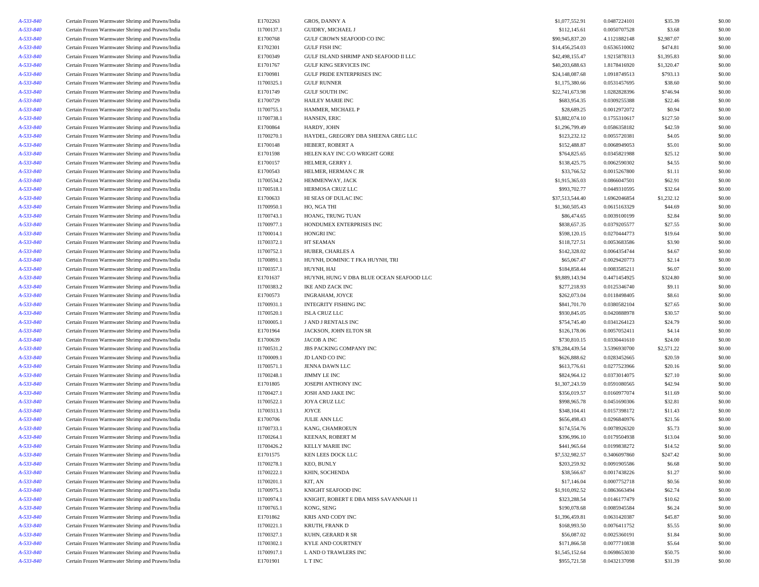| A-533-840 | Certain Frozen Warmwater Shrimp and Prawns/India                                                     | E1702263   | GROS, DANNY A                                       | \$1,077,552.91  | 0.0487224101                 | \$35.39    | \$0.00 |
|-----------|------------------------------------------------------------------------------------------------------|------------|-----------------------------------------------------|-----------------|------------------------------|------------|--------|
| A-533-840 | Certain Frozen Warmwater Shrimp and Prawns/India                                                     | I1700137.1 | GUIDRY, MICHAEL J                                   | \$112,145.61    | 0.0050707528                 | \$3.68     | \$0.00 |
| A-533-840 | Certain Frozen Warmwater Shrimp and Prawns/India                                                     | E1700768   | GULF CROWN SEAFOOD CO INC                           | \$90,945,837.20 | 4.1121882148                 | \$2,987.07 | \$0.00 |
| A-533-840 | Certain Frozen Warmwater Shrimp and Prawns/India                                                     | E1702301   | <b>GULF FISH INC</b>                                | \$14,456,254.03 | 0.6536510002                 | \$474.81   | \$0.00 |
| A-533-840 | Certain Frozen Warmwater Shrimp and Prawns/India                                                     | E1700349   | GULF ISLAND SHRIMP AND SEAFOOD II LLC               | \$42,498,155.47 | 1.9215878313                 | \$1,395.83 | \$0.00 |
| A-533-840 | Certain Frozen Warmwater Shrimp and Prawns/India                                                     | E1701767   | <b>GULF KING SERVICES INC</b>                       | \$40,203,688.63 | 1.8178416920                 | \$1,320.47 | \$0.00 |
| A-533-840 | Certain Frozen Warmwater Shrimp and Prawns/India                                                     | E1700981   | <b>GULF PRIDE ENTERPRISES INC</b>                   | \$24,148,087.68 | 1.0918749513                 | \$793.13   | \$0.00 |
| A-533-840 | Certain Frozen Warmwater Shrimp and Prawns/India                                                     | I1700325.1 | <b>GULF RUNNER</b>                                  | \$1,175,380.66  | 0.0531457695                 | \$38.60    | \$0.00 |
| A-533-840 | Certain Frozen Warmwater Shrimp and Prawns/India                                                     | E1701749   | <b>GULF SOUTH INC</b>                               | \$22,741,673.98 | 1.0282828396                 | \$746.94   | \$0.00 |
| A-533-840 | Certain Frozen Warmwater Shrimp and Prawns/India                                                     | E1700729   | <b>HAILEY MARIE INC</b>                             | \$683,954.35    | 0.0309255388                 | \$22.46    | \$0.00 |
| A-533-840 | Certain Frozen Warmwater Shrimp and Prawns/India                                                     | I1700755.1 | HAMMER, MICHAEL P                                   | \$28,689.25     | 0.0012972072                 | \$0.94     | \$0.00 |
| A-533-840 | Certain Frozen Warmwater Shrimp and Prawns/India                                                     | I1700738.1 | HANSEN, ERIC                                        | \$3,882,074.10  | 0.1755310617                 | \$127.50   | \$0.00 |
| A-533-840 | Certain Frozen Warmwater Shrimp and Prawns/India                                                     | E1700864   | HARDY, JOHN                                         | \$1,296,799.49  | 0.0586358182                 | \$42.59    | \$0.00 |
| A-533-840 | Certain Frozen Warmwater Shrimp and Prawns/India                                                     | I1700270.1 | HAYDEL, GREGORY DBA SHEENA GREG LLC                 | \$123,232.12    | 0.0055720381                 | \$4.05     | \$0.00 |
| A-533-840 | Certain Frozen Warmwater Shrimp and Prawns/India                                                     | E1700148   | HEBERT, ROBERT A                                    | \$152,488.87    | 0.0068949053                 | \$5.01     | \$0.00 |
| A-533-840 | Certain Frozen Warmwater Shrimp and Prawns/India                                                     | E1701598   | HELEN KAY INC C/O WRIGHT GORE                       | \$764,825.65    | 0.0345821988                 | \$25.12    | \$0.00 |
| A-533-840 | Certain Frozen Warmwater Shrimp and Prawns/India                                                     | E1700157   | HELMER, GERRY J.                                    | \$138,425.75    | 0.0062590302                 | \$4.55     | \$0.00 |
| A-533-840 | Certain Frozen Warmwater Shrimp and Prawns/India                                                     | E1700543   | HELMER, HERMAN C JR                                 | \$33,766.52     | 0.0015267800                 | \$1.11     | \$0.00 |
| A-533-840 | Certain Frozen Warmwater Shrimp and Prawns/India                                                     | I1700534.2 | HEMMENWAY, JACK                                     | \$1,915,365.03  | 0.0866047501                 | \$62.91    | \$0.00 |
| A-533-840 | Certain Frozen Warmwater Shrimp and Prawns/India                                                     | I1700518.1 | HERMOSA CRUZ LLC                                    | \$993,702.77    | 0.0449310595                 | \$32.64    | \$0.00 |
| A-533-840 | Certain Frozen Warmwater Shrimp and Prawns/India                                                     | E1700633   | HI SEAS OF DULAC INC                                | \$37,513,544.40 | 1.6962046854                 | \$1,232.12 | \$0.00 |
| A-533-840 | Certain Frozen Warmwater Shrimp and Prawns/India                                                     | I1700950.1 | HO, NGA THI                                         | \$1,360,505.43  | 0.0615163329                 | \$44.69    | \$0.00 |
|           |                                                                                                      | I1700743.1 |                                                     | \$86,474.65     |                              | \$2.84     | \$0.00 |
| A-533-840 | Certain Frozen Warmwater Shrimp and Prawns/India<br>Certain Frozen Warmwater Shrimp and Prawns/India | I1700977.1 | HOANG, TRUNG TUAN<br>HONDUMEX ENTERPRISES INC       | \$838,657.35    | 0.0039100199<br>0.0379205577 | \$27.55    | \$0.00 |
| A-533-840 |                                                                                                      |            | <b>HONGRI INC</b>                                   |                 |                              |            |        |
| A-533-840 | Certain Frozen Warmwater Shrimp and Prawns/India                                                     | I1700014.1 |                                                     | \$598,120.15    | 0.0270444773<br>0.0053683586 | \$19.64    | \$0.00 |
| A-533-840 | Certain Frozen Warmwater Shrimp and Prawns/India                                                     | I1700372.1 | HT SEAMAN                                           | \$118,727.51    |                              | \$3.90     | \$0.00 |
| A-533-840 | Certain Frozen Warmwater Shrimp and Prawns/India                                                     | I1700752.1 | HUBER, CHARLES A<br>HUYNH, DOMINIC T FKA HUYNH, TRI | \$142,328.02    | 0.0064354744                 | \$4.67     | \$0.00 |
| A-533-840 | Certain Frozen Warmwater Shrimp and Prawns/India                                                     | I1700891.1 |                                                     | \$65,067.47     | 0.0029420773                 | \$2.14     | \$0.00 |
| A-533-840 | Certain Frozen Warmwater Shrimp and Prawns/India                                                     | I1700357.1 | HUYNH, HAI                                          | \$184,858.44    | 0.0083585211                 | \$6.07     | \$0.00 |
| A-533-840 | Certain Frozen Warmwater Shrimp and Prawns/India                                                     | E1701637   | HUYNH, HUNG V DBA BLUE OCEAN SEAFOOD LLC            | \$9,889,143.94  | 0.4471454925                 | \$324.80   | \$0.00 |
| A-533-840 | Certain Frozen Warmwater Shrimp and Prawns/India                                                     | I1700383.2 | IKE AND ZACK INC                                    | \$277,218.93    | 0.0125346740                 | \$9.11     | \$0.00 |
| A-533-840 | Certain Frozen Warmwater Shrimp and Prawns/India                                                     | E1700573   | INGRAHAM, JOYCE                                     | \$262,073.04    | 0.0118498405                 | \$8.61     | \$0.00 |
| A-533-840 | Certain Frozen Warmwater Shrimp and Prawns/India                                                     | I1700931.1 | INTEGRITY FISHING INC                               | \$841,701.70    | 0.0380582104                 | \$27.65    | \$0.00 |
| A-533-840 | Certain Frozen Warmwater Shrimp and Prawns/India                                                     | I1700520.1 | <b>ISLA CRUZ LLC</b>                                | \$930,845.05    | 0.0420888978                 | \$30.57    | \$0.00 |
| A-533-840 | Certain Frozen Warmwater Shrimp and Prawns/India                                                     | I1700005.1 | J AND J RENTALS INC                                 | \$754,745.40    | 0.0341264123                 | \$24.79    | \$0.00 |
| A-533-840 | Certain Frozen Warmwater Shrimp and Prawns/India                                                     | E1701964   | JACKSON, JOHN ELTON SR                              | \$126,178.06    | 0.0057052411                 | \$4.14     | \$0.00 |
| A-533-840 | Certain Frozen Warmwater Shrimp and Prawns/India                                                     | E1700639   | JACOB A INC                                         | \$730,810.15    | 0.0330441610                 | \$24.00    | \$0.00 |
| A-533-840 | Certain Frozen Warmwater Shrimp and Prawns/India                                                     | I1700531.2 | JBS PACKING COMPANY INC                             | \$78,284,439.54 | 3.5396930700                 | \$2,571.22 | \$0.00 |
| A-533-840 | Certain Frozen Warmwater Shrimp and Prawns/India                                                     | I1700009.1 | JD LAND CO INC                                      | \$626,888.62    | 0.0283452665                 | \$20.59    | \$0.00 |
| A-533-840 | Certain Frozen Warmwater Shrimp and Prawns/India                                                     | I1700571.1 | JENNA DAWN LLC                                      | \$613,776.61    | 0.0277523966                 | \$20.16    | \$0.00 |
| A-533-840 | Certain Frozen Warmwater Shrimp and Prawns/India                                                     | I1700248.1 | <b>JIMMY LE INC</b>                                 | \$824,964.12    | 0.0373014075                 | \$27.10    | \$0.00 |
| A-533-840 | Certain Frozen Warmwater Shrimp and Prawns/India                                                     | E1701805   | JOSEPH ANTHONY INC                                  | \$1,307,243.59  | 0.0591080565                 | \$42.94    | \$0.00 |
| A-533-840 | Certain Frozen Warmwater Shrimp and Prawns/India                                                     | I1700427.1 | JOSH AND JAKE INC                                   | \$356,019.57    | 0.0160977074                 | \$11.69    | \$0.00 |
| A-533-840 | Certain Frozen Warmwater Shrimp and Prawns/India                                                     | I1700522.1 | JOYA CRUZ LLC                                       | \$998,965.78    | 0.0451690306                 | \$32.81    | \$0.00 |
| A-533-840 | Certain Frozen Warmwater Shrimp and Prawns/India                                                     | I1700313.1 | JOYCE                                               | \$348,104.41    | 0.0157398172                 | \$11.43    | \$0.00 |
| A-533-840 | Certain Frozen Warmwater Shrimp and Prawns/India                                                     | E1700706   | <b>JULIE ANN LLC</b>                                | \$656,498.43    | 0.0296840976                 | \$21.56    | \$0.00 |
| A-533-840 | Certain Frozen Warmwater Shrimp and Prawns/India                                                     | I1700733.1 | KANG, CHAMROEUN                                     | \$174,554.76    | 0.0078926320                 | \$5.73     | \$0.00 |
| A-533-840 | Certain Frozen Warmwater Shrimp and Prawns/India                                                     | I1700264.1 | <b>KEENAN, ROBERT M</b>                             | \$396,996.10    | 0.0179504938                 | \$13.04    | \$0.00 |
| A-533-840 | Certain Frozen Warmwater Shrimp and Prawns/India                                                     | I1700426.2 | KELLY MARIE INC                                     | \$441,965.64    | 0.0199838272                 | \$14.52    | \$0.00 |
| A-533-840 | Certain Frozen Warmwater Shrimp and Prawns/India                                                     | E1701575   | KEN LEES DOCK LLC                                   | \$7,532,982.57  | 0.3406097860                 | \$247.42   | \$0.00 |
| A-533-840 | Certain Frozen Warmwater Shrimp and Prawns/India                                                     | I1700278.1 | KEO, BUNLY                                          | \$203,259.92    | 0.0091905586                 | \$6.68     | \$0.00 |
| A-533-840 | Certain Frozen Warmwater Shrimp and Prawns/India                                                     | I1700222.1 | KHIN, SOCHENDA                                      | \$38,566.67     | 0.0017438226                 | \$1.27     | \$0.00 |
| A-533-840 | Certain Frozen Warmwater Shrimp and Prawns/India                                                     | I1700201.1 | KIT, AN                                             | \$17,146.04     | 0.0007752718                 | \$0.56     | \$0.00 |
| A-533-840 | Certain Frozen Warmwater Shrimp and Prawns/India                                                     | I1700975.1 | KNIGHT SEAFOOD INC                                  | \$1,910,092.52  | 0.0863663494                 | \$62.74    | \$0.00 |
| A-533-840 | Certain Frozen Warmwater Shrimp and Prawns/India                                                     | I1700974.1 | KNIGHT, ROBERT E DBA MISS SAVANNAH 11               | \$323,288.54    | 0.0146177479                 | \$10.62    | \$0.00 |
| A-533-840 | Certain Frozen Warmwater Shrimp and Prawns/India                                                     | I1700765.1 | KONG, SENG                                          | \$190,078.68    | 0.0085945584                 | \$6.24     | \$0.00 |
| A-533-840 | Certain Frozen Warmwater Shrimp and Prawns/India                                                     | E1701862   | KRIS AND CODY INC                                   | \$1,396,459.81  | 0.0631420387                 | \$45.87    | \$0.00 |
| A-533-840 | Certain Frozen Warmwater Shrimp and Prawns/India                                                     | I1700221.1 | KRUTH, FRANK D                                      | \$168,993.50    | 0.0076411752                 | \$5.55     | \$0.00 |
| A-533-840 | Certain Frozen Warmwater Shrimp and Prawns/India                                                     | I1700327.1 | KUHN, GERARD R SR                                   | \$56,087.02     | 0.0025360191                 | \$1.84     | \$0.00 |
| A-533-840 | Certain Frozen Warmwater Shrimp and Prawns/India                                                     | I1700302.1 | KYLE AND COURTNEY                                   | \$171,866.58    | 0.0077710838                 | \$5.64     | \$0.00 |
| A-533-840 | Certain Frozen Warmwater Shrimp and Prawns/India                                                     | I1700917.1 | L AND O TRAWLERS INC                                | \$1,545,152.64  | 0.0698653030                 | \$50.75    | \$0.00 |
| A-533-840 | Certain Frozen Warmwater Shrimp and Prawns/India                                                     | E1701901   | L T INC                                             | \$955,721.58    | 0.0432137098                 | \$31.39    | \$0.00 |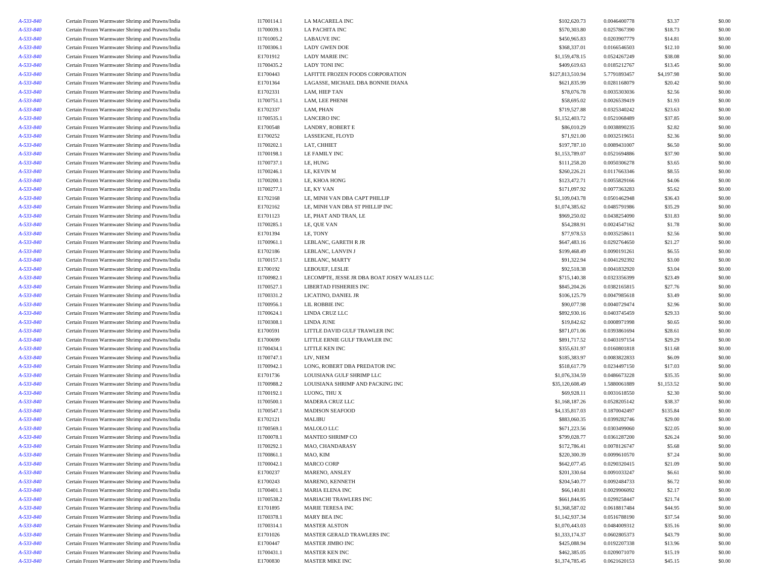| A-533-840 | Certain Frozen Warmwater Shrimp and Prawns/India | I1700114.1 | LA MACARELA INC                             | \$102,620.73     | 0.0046400778 | \$3.37     | \$0.00 |
|-----------|--------------------------------------------------|------------|---------------------------------------------|------------------|--------------|------------|--------|
| A-533-840 | Certain Frozen Warmwater Shrimp and Prawns/India | I1700039.1 | LA PACHITA INC                              | \$570,303.80     | 0.0257867390 | \$18.73    | \$0.00 |
| A-533-840 | Certain Frozen Warmwater Shrimp and Prawns/India | I1701005.2 | <b>LABAUVE INC</b>                          | \$450,965.83     | 0.0203907779 | \$14.81    | \$0.00 |
| A-533-840 | Certain Frozen Warmwater Shrimp and Prawns/India | I1700306.1 | <b>LADY GWEN DOE</b>                        | \$368,337.01     | 0.0166546503 | \$12.10    | \$0.00 |
| A-533-840 | Certain Frozen Warmwater Shrimp and Prawns/India | E1701912   | <b>LADY MARIE INC</b>                       | \$1,159,478.15   | 0.0524267249 | \$38.08    | \$0.00 |
| A-533-840 | Certain Frozen Warmwater Shrimp and Prawns/India | I1700435.2 | <b>LADY TONI INC</b>                        | \$409,619.63     | 0.0185212767 | \$13.45    | \$0.00 |
| A-533-840 | Certain Frozen Warmwater Shrimp and Prawns/India | E1700443   | LAFITTE FROZEN FOODS CORPORATION            | \$127,813,510.94 | 5.7791893457 | \$4,197.98 | \$0.00 |
| A-533-840 | Certain Frozen Warmwater Shrimp and Prawns/India | E1701364   | LAGASSE, MICHAEL DBA BONNIE DIANA           | \$621,835.99     | 0.0281168079 | \$20.42    | \$0.00 |
| A-533-840 | Certain Frozen Warmwater Shrimp and Prawns/India | E1702331   | LAM, HIEP TAN                               | \$78,076.78      | 0.0035303036 | \$2.56     | \$0.00 |
| A-533-840 | Certain Frozen Warmwater Shrimp and Prawns/India | I1700751.1 | LAM, LEE PHENH                              | \$58,695.02      | 0.0026539419 | \$1.93     | \$0.00 |
| A-533-840 |                                                  | E1702337   | LAM, PHAN                                   | \$719,527.88     | 0.0325340242 | \$23.63    | \$0.00 |
|           | Certain Frozen Warmwater Shrimp and Prawns/India |            |                                             |                  |              |            |        |
| A-533-840 | Certain Frozen Warmwater Shrimp and Prawns/India | I1700535.1 | <b>LANCERO INC</b>                          | \$1,152,403.72   | 0.0521068489 | \$37.85    | \$0.00 |
| A-533-840 | Certain Frozen Warmwater Shrimp and Prawns/India | E1700548   | LANDRY, ROBERT E                            | \$86,010.29      | 0.0038890235 | \$2.82     | \$0.00 |
| A-533-840 | Certain Frozen Warmwater Shrimp and Prawns/India | E1700252   | LASSEIGNE, FLOYD                            | \$71,921.00      | 0.0032519651 | \$2.36     | \$0.00 |
| A-533-840 | Certain Frozen Warmwater Shrimp and Prawns/India | I1700202.1 | LAT, CHHIET                                 | \$197,787.10     | 0.0089431007 | \$6.50     | \$0.00 |
| A-533-840 | Certain Frozen Warmwater Shrimp and Prawns/India | I1700198.1 | LE FAMILY INC                               | \$1,153,789.07   | 0.0521694886 | \$37.90    | \$0.00 |
| A-533-840 | Certain Frozen Warmwater Shrimp and Prawns/India | I1700737.1 | LE, HUNG                                    | \$111,258.20     | 0.0050306278 | \$3.65     | \$0.00 |
| A-533-840 | Certain Frozen Warmwater Shrimp and Prawns/India | I1700246.1 | LE, KEVIN M                                 | \$260,226.21     | 0.0117663346 | \$8.55     | \$0.00 |
| A-533-840 | Certain Frozen Warmwater Shrimp and Prawns/India | I1700200.1 | LE, KHOA HONG                               | \$123,472.71     | 0.0055829166 | \$4.06     | \$0.00 |
| A-533-840 | Certain Frozen Warmwater Shrimp and Prawns/India | I1700277.1 | LE, KY VAN                                  | \$171,097.92     | 0.0077363283 | \$5.62     | \$0.00 |
| A-533-840 | Certain Frozen Warmwater Shrimp and Prawns/India | E1702168   | LE, MINH VAN DBA CAPT PHILLIP               | \$1,109,043.78   | 0.0501462948 | \$36.43    | \$0.00 |
| A-533-840 | Certain Frozen Warmwater Shrimp and Prawns/India | E1702162   | LE, MINH VAN DBA ST PHILLIP INC             | \$1,074,385.62   | 0.0485791986 | \$35.29    | \$0.00 |
| A-533-840 | Certain Frozen Warmwater Shrimp and Prawns/India | E1701123   | LE, PHAT AND TRAN, LE                       | \$969,250.02     | 0.0438254090 | \$31.83    | \$0.00 |
| A-533-840 | Certain Frozen Warmwater Shrimp and Prawns/India | I1700285.1 | LE, QUE VAN                                 | \$54,288.91      | 0.0024547162 | \$1.78     | \$0.00 |
| A-533-840 | Certain Frozen Warmwater Shrimp and Prawns/India | E1701394   | LE, TONY                                    | \$77,978.53      | 0.0035258611 | \$2.56     | \$0.00 |
| A-533-840 | Certain Frozen Warmwater Shrimp and Prawns/India | I1700961.1 | LEBLANC, GARETH R JR                        | \$647,483.16     | 0.0292764650 | \$21.27    | \$0.00 |
| A-533-840 | Certain Frozen Warmwater Shrimp and Prawns/India | E1702186   | LEBLANC, LANVIN J                           | \$199,468.49     | 0.0090191261 | \$6.55     | \$0.00 |
| A-533-840 | Certain Frozen Warmwater Shrimp and Prawns/India | I1700157.1 | LEBLANC, MARTY                              | \$91,322.94      | 0.0041292392 | \$3.00     | \$0.00 |
| A-533-840 | Certain Frozen Warmwater Shrimp and Prawns/India | E1700192   | LEBOUEF, LESLIE                             | \$92,518.38      | 0.0041832920 | \$3.04     | \$0.00 |
| A-533-840 | Certain Frozen Warmwater Shrimp and Prawns/India | I1700982.1 | LECOMPTE, JESSE JR DBA BOAT JOSEY WALES LLC | \$715,140.38     | 0.0323356399 | \$23.49    | \$0.00 |
| A-533-840 | Certain Frozen Warmwater Shrimp and Prawns/India | I1700527.1 | LIBERTAD FISHERIES INC                      | \$845,204.26     | 0.0382165815 | \$27.76    | \$0.00 |
|           | Certain Frozen Warmwater Shrimp and Prawns/India |            |                                             |                  |              |            |        |
| A-533-840 |                                                  | I1700331.2 | LICATINO, DANIEL JR                         | \$106,125.79     | 0.0047985618 | \$3.49     | \$0.00 |
| A-533-840 | Certain Frozen Warmwater Shrimp and Prawns/India | I1700956.1 | LIL ROBBIE INC                              | \$90,077.98      | 0.0040729474 | \$2.96     | \$0.00 |
| A-533-840 | Certain Frozen Warmwater Shrimp and Prawns/India | I1700624.1 | LINDA CRUZ LLC                              | \$892,930.16     | 0.0403745459 | \$29.33    | \$0.00 |
| A-533-840 | Certain Frozen Warmwater Shrimp and Prawns/India | I1700308.1 | LINDA JUNE                                  | \$19,842.62      | 0.0008971998 | \$0.65     | \$0.00 |
| A-533-840 | Certain Frozen Warmwater Shrimp and Prawns/India | E1700591   | LITTLE DAVID GULF TRAWLER INC               | \$871,071.06     | 0.0393861694 | \$28.61    | \$0.00 |
| A-533-840 | Certain Frozen Warmwater Shrimp and Prawns/India | E1700699   | LITTLE ERNIE GULF TRAWLER INC               | \$891,717.52     | 0.0403197154 | \$29.29    | \$0.00 |
| A-533-840 | Certain Frozen Warmwater Shrimp and Prawns/India | I1700434.1 | LITTLE KEN INC                              | \$355,631.97     | 0.0160801818 | \$11.68    | \$0.00 |
| A-533-840 | Certain Frozen Warmwater Shrimp and Prawns/India | I1700747.1 | LIV, NIEM                                   | \$185,383.97     | 0.0083822833 | \$6.09     | \$0.00 |
| A-533-840 | Certain Frozen Warmwater Shrimp and Prawns/India | I1700942.1 | LONG, ROBERT DBA PREDATOR INC               | \$518,617.79     | 0.0234497150 | \$17.03    | \$0.00 |
| A-533-840 | Certain Frozen Warmwater Shrimp and Prawns/India | E1701736   | LOUISIANA GULF SHRIMP LLC                   | \$1,076,334.59   | 0.0486673228 | \$35.35    | \$0.00 |
| A-533-840 | Certain Frozen Warmwater Shrimp and Prawns/India | I1700988.2 | LOUISIANA SHRIMP AND PACKING INC            | \$35,120,608.49  | 1.5880061889 | \$1,153.52 | \$0.00 |
| A-533-840 | Certain Frozen Warmwater Shrimp and Prawns/India | I1700192.1 | LUONG, THU X                                | \$69,928.11      | 0.0031618550 | \$2.30     | \$0.00 |
| A-533-840 | Certain Frozen Warmwater Shrimp and Prawns/India | I1700500.1 | MADERA CRUZ LLC                             | \$1,168,187.26   | 0.0528205142 | \$38.37    | \$0.00 |
| A-533-840 | Certain Frozen Warmwater Shrimp and Prawns/India | I1700547.1 | <b>MADISON SEAFOOD</b>                      | \$4,135,817.03   | 0.1870042497 | \$135.84   | \$0.00 |
| A-533-840 | Certain Frozen Warmwater Shrimp and Prawns/India | E1702121   | MALIBU                                      | \$883,060.35     | 0.0399282746 | \$29.00    | \$0.00 |
| A-533-840 | Certain Frozen Warmwater Shrimp and Prawns/India | I1700569.1 | MALOLO LLC                                  | \$671,223.56     | 0.0303499060 | \$22.05    | \$0.00 |
| A-533-840 | Certain Frozen Warmwater Shrimp and Prawns/India | I1700078.1 | MANTEO SHRIMP CO                            | \$799,028.77     | 0.0361287200 | \$26.24    | \$0.00 |
| A-533-840 | Certain Frozen Warmwater Shrimp and Prawns/India | I1700292.1 | MAO, CHANDARASY                             | \$172,786.41     | 0.0078126747 | \$5.68     | \$0.00 |
| A-533-840 | Certain Frozen Warmwater Shrimp and Prawns/India | I1700861.1 | MAO, KIM                                    | \$220,300.39     | 0.0099610570 | \$7.24     | \$0.00 |
| A-533-840 | Certain Frozen Warmwater Shrimp and Prawns/India | I1700042.1 | <b>MARCO CORP</b>                           | \$642,077.45     | 0.0290320415 | \$21.09    | \$0.00 |
| A-533-840 | Certain Frozen Warmwater Shrimp and Prawns/India | E1700237   | MARENO, ANSLEY                              | \$201,330.64     | 0.0091033247 | \$6.61     | \$0.00 |
| A-533-840 | Certain Frozen Warmwater Shrimp and Prawns/India | E1700243   | MARENO, KENNETH                             | \$204,540.77     | 0.0092484733 | \$6.72     | \$0.00 |
| A-533-840 | Certain Frozen Warmwater Shrimp and Prawns/India | I1700401.1 | <b>MARIA ELENA INC</b>                      | \$66,140.81      | 0.0029906092 | \$2.17     | \$0.00 |
| A-533-840 | Certain Frozen Warmwater Shrimp and Prawns/India | I1700538.2 | MARIACHI TRAWLERS INC                       | \$661,844.95     | 0.0299258447 | \$21.74    | \$0.00 |
| A-533-840 | Certain Frozen Warmwater Shrimp and Prawns/India | E1701895   | <b>MARIE TERESA INC</b>                     | \$1,368,587.02   | 0.0618817484 | \$44.95    | \$0.00 |
|           | Certain Frozen Warmwater Shrimp and Prawns/India |            |                                             |                  | 0.0516788190 |            |        |
| A-533-840 |                                                  | I1700378.1 | MARY BEA INC<br><b>MASTER ALSTON</b>        | \$1,142,937.34   |              | \$37.54    | \$0.00 |
| A-533-840 | Certain Frozen Warmwater Shrimp and Prawns/India | I1700314.1 |                                             | \$1,070,443.03   | 0.0484009312 | \$35.16    | \$0.00 |
| A-533-840 | Certain Frozen Warmwater Shrimp and Prawns/India | E1701026   | MASTER GERALD TRAWLERS INC                  | \$1,333,174.37   | 0.0602805373 | \$43.79    | \$0.00 |
| A-533-840 | Certain Frozen Warmwater Shrimp and Prawns/India | E1700447   | MASTER JIMBO INC                            | \$425,088.94     | 0.0192207338 | \$13.96    | \$0.00 |
| A-533-840 | Certain Frozen Warmwater Shrimp and Prawns/India | I1700431.1 | <b>MASTER KEN INC</b>                       | \$462,385.05     | 0.0209071070 | \$15.19    | \$0.00 |
| A-533-840 | Certain Frozen Warmwater Shrimp and Prawns/India | E1700830   | <b>MASTER MIKE INC</b>                      | \$1,374,785.45   | 0.0621620153 | \$45.15    | \$0.00 |
|           |                                                  |            |                                             |                  |              |            |        |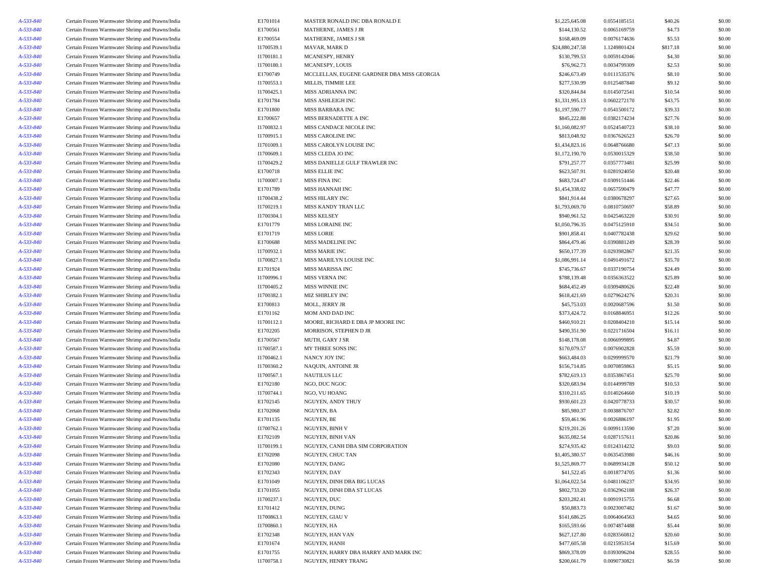| A-533-840 | Certain Frozen Warmwater Shrimp and Prawns/India | E1701014   | MASTER RONALD INC DBA RONALD E             | \$1,225,645.08  | 0.0554185151 | \$40.26  | \$0.00 |
|-----------|--------------------------------------------------|------------|--------------------------------------------|-----------------|--------------|----------|--------|
| A-533-840 | Certain Frozen Warmwater Shrimp and Prawns/India | E1700561   | MATHERNE, JAMES J JR                       | \$144,130.52    | 0.0065169759 | \$4.73   | \$0.00 |
| A-533-840 | Certain Frozen Warmwater Shrimp and Prawns/India | E1700554   | MATHERNE, JAMES J SR                       | \$168,469.09    | 0.0076174636 | \$5.53   | \$0.00 |
| A-533-840 | Certain Frozen Warmwater Shrimp and Prawns/India | I1700539.1 | MAVAR, MARK D                              | \$24,880,247.58 | 1.1249801424 | \$817.18 | \$0.00 |
| A-533-840 | Certain Frozen Warmwater Shrimp and Prawns/India | I1700181.1 | MCANESPY, HENRY                            | \$130,799.53    | 0.0059142046 | \$4.30   | \$0.00 |
| A-533-840 | Certain Frozen Warmwater Shrimp and Prawns/India | I1700180.1 | MCANESPY, LOUIS                            | \$76,962.73     | 0.0034799309 | \$2.53   | \$0.00 |
| A-533-840 | Certain Frozen Warmwater Shrimp and Prawns/India | E1700749   | MCCLELLAN, EUGENE GARDNER DBA MISS GEORGIA | \$246,673.49    | 0.0111535376 | \$8.10   | \$0.00 |
| A-533-840 | Certain Frozen Warmwater Shrimp and Prawns/India | I1700553.1 | MILLIS, TIMMIE LEE                         | \$277,530.99    | 0.0125487840 | \$9.12   | \$0.00 |
| A-533-840 | Certain Frozen Warmwater Shrimp and Prawns/India | I1700425.1 | MISS ADRIANNA INC                          | \$320,844.84    | 0.0145072541 | \$10.54  | \$0.00 |
| A-533-840 | Certain Frozen Warmwater Shrimp and Prawns/India | E1701784   | MISS ASHLEIGH INC                          | \$1,331,995.13  | 0.0602272170 | \$43.75  | \$0.00 |
| A-533-840 | Certain Frozen Warmwater Shrimp and Prawns/India | E1701800   | MISS BARBARA INC                           | \$1,197,590.77  | 0.0541500172 | \$39.33  | \$0.00 |
| A-533-840 | Certain Frozen Warmwater Shrimp and Prawns/India | E1700657   | MISS BERNADETTE A INC                      | \$845,222.88    | 0.0382174234 | \$27.76  | \$0.00 |
| A-533-840 | Certain Frozen Warmwater Shrimp and Prawns/India | I1700832.1 | MISS CANDACE NICOLE INC                    | \$1,160,082.97  | 0.0524540723 | \$38.10  | \$0.00 |
| A-533-840 | Certain Frozen Warmwater Shrimp and Prawns/India | I1700915.1 | MISS CAROLINE INC                          | \$813,048.92    | 0.0367626523 | \$26.70  | \$0.00 |
| A-533-840 | Certain Frozen Warmwater Shrimp and Prawns/India | I1701009.1 | MISS CAROLYN LOUISE INC                    | \$1,434,823.16  | 0.0648766680 | \$47.13  | \$0.00 |
| A-533-840 | Certain Frozen Warmwater Shrimp and Prawns/India | I1700609.1 | MISS CLEDA JO INC                          | \$1,172,190.70  | 0.0530015329 | \$38.50  | \$0.00 |
| A-533-840 | Certain Frozen Warmwater Shrimp and Prawns/India | I1700429.2 | MISS DANIELLE GULF TRAWLER INC             | \$791,257.77    | 0.0357773481 | \$25.99  | \$0.00 |
| A-533-840 | Certain Frozen Warmwater Shrimp and Prawns/India | E1700718   | MISS ELLIE INC                             | \$623,507.91    | 0.0281924050 | \$20.48  | \$0.00 |
|           |                                                  | I1700007.1 | MISS FINA INC                              | \$683,724.47    | 0.0309151446 | \$22.46  | \$0.00 |
| A-533-840 | Certain Frozen Warmwater Shrimp and Prawns/India |            |                                            |                 |              |          |        |
| A-533-840 | Certain Frozen Warmwater Shrimp and Prawns/India | E1701789   | MISS HANNAH INC                            | \$1,454,338.02  | 0.0657590479 | \$47.77  | \$0.00 |
| A-533-840 | Certain Frozen Warmwater Shrimp and Prawns/India | I1700438.2 | MISS HILARY INC                            | \$841,914.44    | 0.0380678297 | \$27.65  | \$0.00 |
| A-533-840 | Certain Frozen Warmwater Shrimp and Prawns/India | I1700219.1 | MISS KANDY TRAN LLC                        | \$1,793,069.70  | 0.0810750697 | \$58.89  | \$0.00 |
| A-533-840 | Certain Frozen Warmwater Shrimp and Prawns/India | I1700304.1 | <b>MISS KELSEY</b>                         | \$940,961.52    | 0.0425463220 | \$30.91  | \$0.00 |
| A-533-840 | Certain Frozen Warmwater Shrimp and Prawns/India | E1701779   | MISS LORAINE INC                           | \$1,050,796.35  | 0.0475125910 | \$34.51  | \$0.00 |
| A-533-840 | Certain Frozen Warmwater Shrimp and Prawns/India | E1701719   | <b>MISS LORIE</b>                          | \$901,858.41    | 0.0407782438 | \$29.62  | \$0.00 |
| A-533-840 | Certain Frozen Warmwater Shrimp and Prawns/India | E1700688   | MISS MADELINE INC                          | \$864,479.46    | 0.0390881249 | \$28.39  | \$0.00 |
| A-533-840 | Certain Frozen Warmwater Shrimp and Prawns/India | I1700932.1 | MISS MARIE INC                             | \$650,177.39    | 0.0293982867 | \$21.35  | \$0.00 |
| A-533-840 | Certain Frozen Warmwater Shrimp and Prawns/India | I1700827.1 | MISS MARILYN LOUISE INC                    | \$1,086,991.14  | 0.0491491672 | \$35.70  | \$0.00 |
| A-533-840 | Certain Frozen Warmwater Shrimp and Prawns/India | E1701924   | MISS MARISSA INC                           | \$745,736.67    | 0.0337190754 | \$24.49  | \$0.00 |
| A-533-840 | Certain Frozen Warmwater Shrimp and Prawns/India | I1700996.1 | MISS VERNA INC                             | \$788,139.48    | 0.0356363522 | \$25.89  | \$0.00 |
| A-533-840 | Certain Frozen Warmwater Shrimp and Prawns/India | I1700405.2 | MISS WINNIE INC                            | \$684,452.49    | 0.0309480626 | \$22.48  | \$0.00 |
| A-533-840 | Certain Frozen Warmwater Shrimp and Prawns/India | I1700382.1 | MIZ SHIRLEY INC                            | \$618,421.69    | 0.0279624276 | \$20.31  | \$0.00 |
| A-533-840 | Certain Frozen Warmwater Shrimp and Prawns/India | E1700813   | MOLL, JERRY JR                             | \$45,753.03     | 0.0020687596 | \$1.50   | \$0.00 |
| A-533-840 | Certain Frozen Warmwater Shrimp and Prawns/India | E1701162   | MOM AND DAD INC                            | \$373,424.72    | 0.0168846951 | \$12.26  | \$0.00 |
| A-533-840 | Certain Frozen Warmwater Shrimp and Prawns/India | I1700112.1 | MOORE, RICHARD E DBA JP MOORE INC          | \$460,910.21    | 0.0208404210 | \$15.14  | \$0.00 |
| A-533-840 | Certain Frozen Warmwater Shrimp and Prawns/India | E1702205   | MORRISON, STEPHEN D JR                     | \$490,351.90    | 0.0221716504 | \$16.11  | \$0.00 |
| A-533-840 | Certain Frozen Warmwater Shrimp and Prawns/India | E1700567   | MUTH, GARY J SR                            | \$148,178.08    | 0.0066999895 | \$4.87   | \$0.00 |
| A-533-840 | Certain Frozen Warmwater Shrimp and Prawns/India | I1700587.1 | MY THREE SONS INC                          | \$170,079.57    | 0.0076902828 | \$5.59   | \$0.00 |
| A-533-840 | Certain Frozen Warmwater Shrimp and Prawns/India | I1700462.1 | NANCY JOY INC                              | \$663,484.03    | 0.0299999570 | \$21.79  | \$0.00 |
| A-533-840 | Certain Frozen Warmwater Shrimp and Prawns/India | I1700360.2 | NAQUIN, ANTOINE JR                         | \$156,714.85    | 0.0070859863 | \$5.15   | \$0.00 |
| A-533-840 | Certain Frozen Warmwater Shrimp and Prawns/India | I1700567.1 | NAUTILUS LLC                               | \$782,619.13    | 0.0353867451 | \$25.70  | \$0.00 |
| A-533-840 | Certain Frozen Warmwater Shrimp and Prawns/India | E1702180   | NGO, DUC NGOC                              | \$320,683.94    | 0.0144999789 | \$10.53  | \$0.00 |
| A-533-840 | Certain Frozen Warmwater Shrimp and Prawns/India | I1700744.1 | NGO, VU HOANG                              | \$310,211.65    | 0.0140264660 | \$10.19  | \$0.00 |
| A-533-840 | Certain Frozen Warmwater Shrimp and Prawns/India | E1702145   | NGUYEN, ANDY THUY                          | \$930,601.23    | 0.0420778733 | \$30.57  | \$0.00 |
| A-533-840 | Certain Frozen Warmwater Shrimp and Prawns/India | E1702068   | NGUYEN, BA                                 | \$85,980.37     | 0.0038876707 | \$2.82   | \$0.00 |
| A-533-840 | Certain Frozen Warmwater Shrimp and Prawns/India | E1701135   | NGUYEN, BE                                 | \$59,461.96     | 0.0026886197 | \$1.95   | \$0.00 |
| A-533-840 | Certain Frozen Warmwater Shrimp and Prawns/India | I1700762.1 | NGUYEN, BINH V                             | \$219,201.26    | 0.0099113590 | \$7.20   | \$0.00 |
| A-533-840 | Certain Frozen Warmwater Shrimp and Prawns/India | E1702109   | NGUYEN, BINH VAN                           | \$635,082.54    | 0.0287157611 | \$20.86  | \$0.00 |
| A-533-840 | Certain Frozen Warmwater Shrimp and Prawns/India | I1700199.1 | NGUYEN, CANH DBA SIM CORPORATION           | \$274,935.42    | 0.0124314232 | \$9.03   | \$0.00 |
| A-533-840 |                                                  | E1702098   |                                            | \$1,405,380.57  | 0.0635453980 | \$46.16  | \$0.00 |
|           | Certain Frozen Warmwater Shrimp and Prawns/India |            | NGUYEN, CHUC TAN                           |                 |              |          |        |
| A-533-840 | Certain Frozen Warmwater Shrimp and Prawns/India | E1702080   | NGUYEN, DANG                               | \$1,525,869.77  | 0.0689934128 | \$50.12  | \$0.00 |
| A-533-840 | Certain Frozen Warmwater Shrimp and Prawns/India | E1702343   | NGUYEN, DAY                                | \$41,522.45     | 0.0018774705 | \$1.36   | \$0.00 |
| A-533-840 | Certain Frozen Warmwater Shrimp and Prawns/India | E1701049   | NGUYEN, DINH DBA BIG LUCAS                 | \$1,064,022.54  | 0.0481106237 | \$34.95  | \$0.00 |
| A-533-840 | Certain Frozen Warmwater Shrimp and Prawns/India | E1701055   | NGUYEN, DINH DBA ST LUCAS                  | \$802,733.20    | 0.0362962188 | \$26.37  | \$0.00 |
| A-533-840 | Certain Frozen Warmwater Shrimp and Prawns/India | I1700237.1 | NGUYEN, DUC                                | \$203,282.41    | 0.0091915755 | \$6.68   | \$0.00 |
| A-533-840 | Certain Frozen Warmwater Shrimp and Prawns/India | E1701412   | NGUYEN, DUNG                               | \$50,883.73     | 0.0023007482 | \$1.67   | \$0.00 |
| A-533-840 | Certain Frozen Warmwater Shrimp and Prawns/India | I1700863.1 | NGUYEN, GIAU V                             | \$141,686.25    | 0.0064064563 | \$4.65   | \$0.00 |
| A-533-840 | Certain Frozen Warmwater Shrimp and Prawns/India | I1700860.1 | NGUYEN, HA                                 | \$165,593.66    | 0.0074874488 | \$5.44   | \$0.00 |
| A-533-840 | Certain Frozen Warmwater Shrimp and Prawns/India | E1702348   | NGUYEN, HAN VAN                            | \$627,127.80    | 0.0283560812 | \$20.60  | \$0.00 |
| A-533-840 | Certain Frozen Warmwater Shrimp and Prawns/India | E1701674   | NGUYEN, HANH                               | \$477,605.58    | 0.0215953154 | \$15.69  | \$0.00 |
| A-533-840 | Certain Frozen Warmwater Shrimp and Prawns/India | E1701755   | NGUYEN, HARRY DBA HARRY AND MARK INC       | \$869,378.09    | 0.0393096204 | \$28.55  | \$0.00 |
| A-533-840 | Certain Frozen Warmwater Shrimp and Prawns/India | I1700758.1 | NGUYEN, HENRY TRANG                        | \$200,661.79    | 0.0090730821 | \$6.59   | \$0.00 |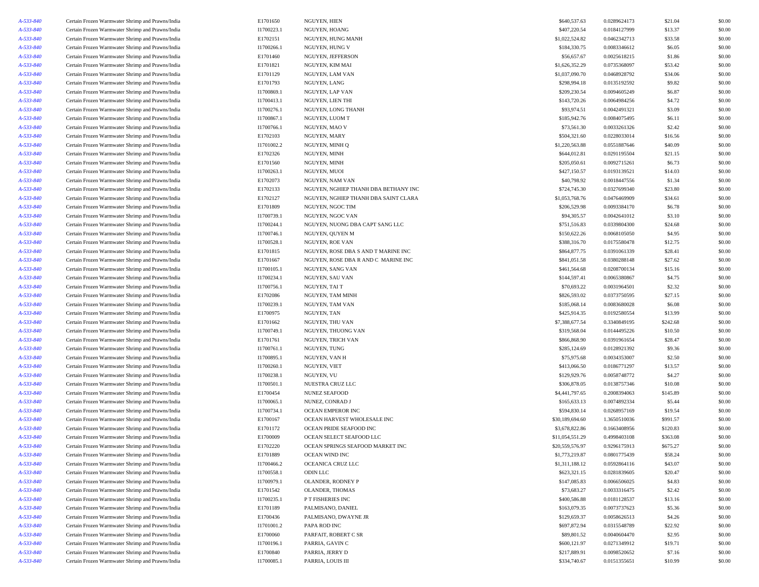| A-533-840              | Certain Frozen Warmwater Shrimp and Prawns/India                                                     | E1701650                 | NGUYEN, HIEN                         | \$640,537.63                | 0.0289624173                 | \$21.04           | \$0.00 |
|------------------------|------------------------------------------------------------------------------------------------------|--------------------------|--------------------------------------|-----------------------------|------------------------------|-------------------|--------|
| A-533-840              | Certain Frozen Warmwater Shrimp and Prawns/India                                                     | I1700223.1               | NGUYEN, HOANG                        | \$407,220.54                | 0.0184127999                 | \$13.37           | \$0.00 |
| A-533-840              | Certain Frozen Warmwater Shrimp and Prawns/India                                                     | E1702151                 | NGUYEN, HUNG MANH                    | \$1,022,524.82              | 0.0462342713                 | \$33.58           | \$0.00 |
| A-533-840              | Certain Frozen Warmwater Shrimp and Prawns/India                                                     | I1700266.1               | NGUYEN, HUNG V                       | \$184,330.75                | 0.0083346612                 | \$6.05            | \$0.00 |
| A-533-840              | Certain Frozen Warmwater Shrimp and Prawns/India                                                     | E1701460                 | NGUYEN, JEFFERSON                    | \$56,657.67                 | 0.0025618215                 | \$1.86            | \$0.00 |
| A-533-840              | Certain Frozen Warmwater Shrimp and Prawns/India                                                     | E1701821                 | NGUYEN, KIM MAI                      | \$1,626,352.29              | 0.0735368097                 | \$53.42           | \$0.00 |
| A-533-840              | Certain Frozen Warmwater Shrimp and Prawns/India                                                     | E1701129                 | NGUYEN, LAM VAN                      | \$1,037,090.70              | 0.0468928792                 | \$34.06           | \$0.00 |
| A-533-840              | Certain Frozen Warmwater Shrimp and Prawns/India                                                     | E1701793                 | NGUYEN, LANG                         | \$298,994.18                | 0.0135192592                 | \$9.82            | \$0.00 |
| A-533-840              | Certain Frozen Warmwater Shrimp and Prawns/India                                                     | I1700869.1               | NGUYEN, LAP VAN                      | \$209,230.54                | 0.0094605249                 | \$6.87            | \$0.00 |
| A-533-840              | Certain Frozen Warmwater Shrimp and Prawns/India                                                     | I1700413.1               | NGUYEN, LIEN THI                     | \$143,720.26                | 0.0064984256                 | \$4.72            | \$0.00 |
| A-533-840              | Certain Frozen Warmwater Shrimp and Prawns/India                                                     | I1700276.1               | NGUYEN, LONG THANH                   | \$93,974.51                 | 0.0042491321                 | \$3.09            | \$0.00 |
| A-533-840              | Certain Frozen Warmwater Shrimp and Prawns/India                                                     | I1700867.1               | NGUYEN, LUOM T                       | \$185,942.76                | 0.0084075495                 | \$6.11            | \$0.00 |
| A-533-840              | Certain Frozen Warmwater Shrimp and Prawns/India                                                     | I1700766.1               | NGUYEN, MAO V                        | \$73,561.30                 | 0.0033261326                 | \$2.42            | \$0.00 |
| A-533-840              | Certain Frozen Warmwater Shrimp and Prawns/India                                                     | E1702103                 | NGUYEN, MARY                         | \$504,321.60                | 0.0228033014                 | \$16.56           | \$0.00 |
| A-533-840              | Certain Frozen Warmwater Shrimp and Prawns/India                                                     | I1701002.2               | NGUYEN, MINH Q                       | \$1,220,563.88              | 0.0551887646                 | \$40.09           | \$0.00 |
| A-533-840              | Certain Frozen Warmwater Shrimp and Prawns/India                                                     | E1702326                 | NGUYEN, MINH                         | \$644,012.81                | 0.0291195504                 | \$21.15           | \$0.00 |
| A-533-840              | Certain Frozen Warmwater Shrimp and Prawns/India                                                     | E1701560                 | NGUYEN, MINH                         | \$205,050.61                | 0.0092715261                 | \$6.73            | \$0.00 |
| A-533-840              | Certain Frozen Warmwater Shrimp and Prawns/India                                                     | I1700263.1               | NGUYEN, MUOI                         | \$427,150.57                | 0.0193139521                 | \$14.03           | \$0.00 |
| A-533-840              | Certain Frozen Warmwater Shrimp and Prawns/India                                                     | E1702073                 | NGUYEN, NAM VAN                      | \$40,798.92                 | 0.0018447556                 | \$1.34            | \$0.00 |
| A-533-840              | Certain Frozen Warmwater Shrimp and Prawns/India                                                     | E1702133                 | NGUYEN, NGHIEP THANH DBA BETHANY INC | \$724,745.30                | 0.0327699340                 | \$23.80           | \$0.00 |
| A-533-840              | Certain Frozen Warmwater Shrimp and Prawns/India                                                     | E1702127                 | NGUYEN, NGHIEP THANH DBA SAINT CLARA | \$1,053,768.76              | 0.0476469909                 | \$34.61           | \$0.00 |
| A-533-840              |                                                                                                      | E1701809                 | NGUYEN, NGOC TIM                     | \$206,529.98                | 0.0093384170                 |                   | \$0.00 |
|                        | Certain Frozen Warmwater Shrimp and Prawns/India                                                     |                          | NGUYEN, NGOC VAN                     |                             |                              | \$6.78            | \$0.00 |
| A-533-840<br>A-533-840 | Certain Frozen Warmwater Shrimp and Prawns/India<br>Certain Frozen Warmwater Shrimp and Prawns/India | I1700739.1<br>I1700244.1 | NGUYEN, NUONG DBA CAPT SANG LLC      | \$94,305.57<br>\$751,516.83 | 0.0042641012<br>0.0339804300 | \$3.10<br>\$24.68 | \$0.00 |
|                        |                                                                                                      |                          |                                      |                             |                              |                   |        |
| A-533-840              | Certain Frozen Warmwater Shrimp and Prawns/India                                                     | I1700746.1               | NGUYEN, QUYEN M                      | \$150,622.26                | 0.0068105050                 | \$4.95            | \$0.00 |
| A-533-840              | Certain Frozen Warmwater Shrimp and Prawns/India                                                     | I1700528.1               | NGUYEN, ROE VAN                      | \$388,316.70                | 0.0175580478                 | \$12.75           | \$0.00 |
| A-533-840              | Certain Frozen Warmwater Shrimp and Prawns/India                                                     | E1701815                 | NGUYEN, ROSE DBA S AND T MARINE INC  | \$864,877.75                | 0.0391061339                 | \$28.41           | \$0.00 |
| A-533-840              | Certain Frozen Warmwater Shrimp and Prawns/India                                                     | E1701667                 | NGUYEN, ROSE DBA R AND C MARINE INC  | \$841,051.58                | 0.0380288148                 | \$27.62           | \$0.00 |
| A-533-840              | Certain Frozen Warmwater Shrimp and Prawns/India                                                     | I1700105.1               | NGUYEN, SANG VAN                     | \$461,564.68                | 0.0208700134                 | \$15.16           | \$0.00 |
| A-533-840              | Certain Frozen Warmwater Shrimp and Prawns/India                                                     | I1700234.1               | <b>NGUYEN, SAU VAN</b>               | \$144,597.41                | 0.0065380867                 | \$4.75            | \$0.00 |
| A-533-840              | Certain Frozen Warmwater Shrimp and Prawns/India                                                     | I1700756.1               | NGUYEN, TAI T                        | \$70,693.22                 | 0.0031964501                 | \$2.32            | \$0.00 |
| A-533-840              | Certain Frozen Warmwater Shrimp and Prawns/India                                                     | E1702086                 | NGUYEN, TAM MINH                     | \$826,593.02                | 0.0373750595                 | \$27.15           | \$0.00 |
| A-533-840              | Certain Frozen Warmwater Shrimp and Prawns/India                                                     | I1700239.1               | NGUYEN, TAM VAN                      | \$185,068.14                | 0.0083680028                 | \$6.08            | \$0.00 |
| A-533-840              | Certain Frozen Warmwater Shrimp and Prawns/India                                                     | E1700975                 | NGUYEN, TAN                          | \$425,914.35                | 0.0192580554                 | \$13.99           | \$0.00 |
| A-533-840              | Certain Frozen Warmwater Shrimp and Prawns/India                                                     | E1701662                 | NGUYEN, THU VAN                      | \$7,388,677.54              | 0.3340849195                 | \$242.68          | \$0.00 |
| A-533-840              | Certain Frozen Warmwater Shrimp and Prawns/India                                                     | I1700749.1               | NGUYEN, THUONG VAN                   | \$319,568.04                | 0.0144495226                 | \$10.50           | \$0.00 |
| A-533-840              | Certain Frozen Warmwater Shrimp and Prawns/India                                                     | E1701761                 | NGUYEN, TRICH VAN                    | \$866,868.90                | 0.0391961654                 | \$28.47           | \$0.00 |
| A-533-840              | Certain Frozen Warmwater Shrimp and Prawns/India                                                     | I1700761.1               | NGUYEN, TUNG                         | \$285,124.69                | 0.0128921392                 | \$9.36            | \$0.00 |
| A-533-840              | Certain Frozen Warmwater Shrimp and Prawns/India                                                     | I1700895.1               | NGUYEN, VAN H                        | \$75,975.68                 | 0.0034353007                 | \$2.50            | \$0.00 |
| A-533-840              | Certain Frozen Warmwater Shrimp and Prawns/India                                                     | I1700260.1               | NGUYEN, VIET                         | \$413,066.50                | 0.0186771297                 | \$13.57           | \$0.00 |
| A-533-840              | Certain Frozen Warmwater Shrimp and Prawns/India                                                     | I1700238.1               | NGUYEN, VU                           | \$129,929.76                | 0.0058748772                 | \$4.27            | \$0.00 |
| A-533-840              | Certain Frozen Warmwater Shrimp and Prawns/India                                                     | I1700501.1               | NUESTRA CRUZ LLC                     | \$306,878.05                | 0.0138757346                 | \$10.08           | \$0.00 |
| A-533-840              | Certain Frozen Warmwater Shrimp and Prawns/India                                                     | E1700454                 | <b>NUNEZ SEAFOOD</b>                 | \$4,441,797.65              | 0.2008394063                 | \$145.89          | \$0.00 |
| A-533-840              | Certain Frozen Warmwater Shrimp and Prawns/India                                                     | I1700065.1               | NUNEZ, CONRAD J                      | \$165,633.13                | 0.0074892334                 | \$5.44            | \$0.00 |
| A-533-840              | Certain Frozen Warmwater Shrimp and Prawns/India                                                     | I1700734.1               | <b>OCEAN EMPEROR INC</b>             | \$594,830.14                | 0.0268957169                 | \$19.54           | \$0.00 |
| A-533-840              | Certain Frozen Warmwater Shrimp and Prawns/India                                                     | E1700167                 | OCEAN HARVEST WHOLESALE INC          | \$30,189,694.60             | 1.3650510036                 | \$991.57          | \$0.00 |
| A-533-840              | Certain Frozen Warmwater Shrimp and Prawns/India                                                     | E1701172                 | OCEAN PRIDE SEAFOOD INC              | \$3,678,822.86              | 0.1663408956                 | \$120.83          | \$0.00 |
| A-533-840              | Certain Frozen Warmwater Shrimp and Prawns/India                                                     | E1700009                 | OCEAN SELECT SEAFOOD LLC             | \$11,054,551.29             | 0.4998403108                 | \$363.08          | \$0.00 |
| A-533-840              | Certain Frozen Warmwater Shrimp and Prawns/India                                                     | E1702220                 | OCEAN SPRINGS SEAFOOD MARKET INC     | \$20,559,576.97             | 0.9296175913                 | \$675.27          | \$0.00 |
| A-533-840              | Certain Frozen Warmwater Shrimp and Prawns/India                                                     | E1701889                 | OCEAN WIND INC                       | \$1,773,219.87              | 0.0801775439                 | \$58.24           | \$0.00 |
| A-533-840              | Certain Frozen Warmwater Shrimp and Prawns/India                                                     | I1700466.2               | OCEANICA CRUZ LLC                    | \$1,311,188.12              | 0.0592864116                 | \$43.07           | \$0.00 |
| A-533-840              | Certain Frozen Warmwater Shrimp and Prawns/India                                                     | I1700558.1               | ODIN LLC                             | \$623,321.15                | 0.0281839605                 | \$20.47           | \$0.00 |
| A-533-840              | Certain Frozen Warmwater Shrimp and Prawns/India                                                     | I1700979.1               | OLANDER, RODNEY P                    | \$147,085.83                | 0.0066506025                 | \$4.83            | \$0.00 |
| A-533-840              | Certain Frozen Warmwater Shrimp and Prawns/India                                                     | E1701542                 | OLANDER, THOMAS                      | \$73,683.27                 | 0.0033316475                 | \$2.42            | \$0.00 |
| A-533-840              | Certain Frozen Warmwater Shrimp and Prawns/India                                                     | I1700235.1               | P T FISHERIES INC                    | \$400,586.88                | 0.0181128537                 | \$13.16           | \$0.00 |
| A-533-840              | Certain Frozen Warmwater Shrimp and Prawns/India                                                     | E1701189                 | PALMISANO, DANIEL                    | \$163,079.35                | 0.0073737623                 | \$5.36            | \$0.00 |
| A-533-840              | Certain Frozen Warmwater Shrimp and Prawns/India                                                     | E1700436                 | PALMISANO, DWAYNE JR                 | \$129,659.37                | 0.0058626513                 | \$4.26            | \$0.00 |
| A-533-840              | Certain Frozen Warmwater Shrimp and Prawns/India                                                     | I1701001.2               | PAPA ROD INC                         | \$697,872.94                | 0.0315548789                 | \$22.92           | \$0.00 |
| A-533-840              | Certain Frozen Warmwater Shrimp and Prawns/India                                                     | E1700060                 | PARFAIT, ROBERT C SR                 | \$89,801.52                 | 0.0040604470                 | \$2.95            | \$0.00 |
| A-533-840              | Certain Frozen Warmwater Shrimp and Prawns/India                                                     | I1700196.1               | PARRIA, GAVINC                       | \$600,121.97                | 0.0271349912                 | \$19.71           | \$0.00 |
| A-533-840              | Certain Frozen Warmwater Shrimp and Prawns/India                                                     | E1700840                 | PARRIA, JERRY D                      | \$217,889.91                | 0.0098520652                 | \$7.16            | \$0.00 |
| A-533-840              | Certain Frozen Warmwater Shrimp and Prawns/India                                                     | I1700085.1               | PARRIA, LOUIS III                    | \$334,740.67                | 0.0151355651                 | \$10.99           | \$0.00 |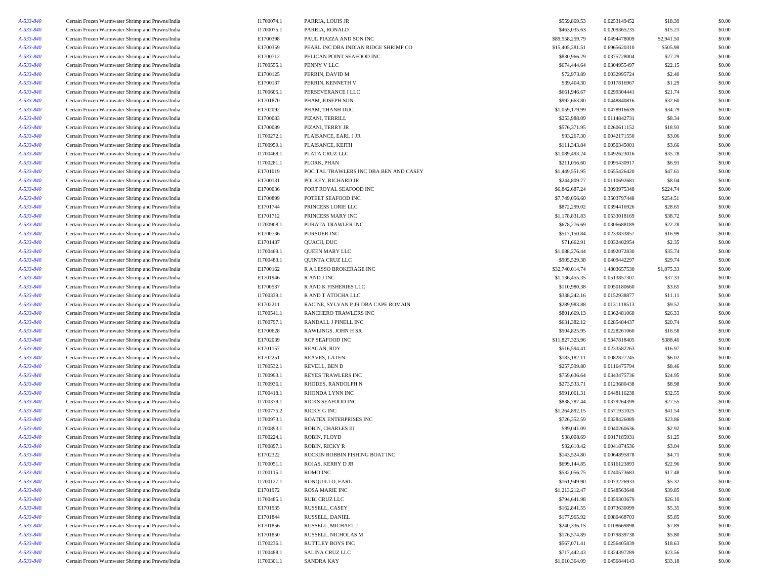| A-533-840 | Certain Frozen Warmwater Shrimp and Prawns/India | I1700074.1 | PARRIA, LOUIS JR                       | \$559,869.53    | 0.0253149452 | \$18.39    | \$0.00 |
|-----------|--------------------------------------------------|------------|----------------------------------------|-----------------|--------------|------------|--------|
| A-533-840 | Certain Frozen Warmwater Shrimp and Prawns/India | I1700075.1 | PARRIA, RONALD                         | \$463,035.63    | 0.0209365235 | \$15.21    | \$0.00 |
| A-533-840 | Certain Frozen Warmwater Shrimp and Prawns/India | E1700398   | PAUL PIAZZA AND SON INC                | \$89,558,259.79 | 4.0494478009 | \$2,941.50 | \$0.00 |
| A-533-840 | Certain Frozen Warmwater Shrimp and Prawns/India | E1700359   | PEARL INC DBA INDIAN RIDGE SHRIMP CO   | \$15,405,281.51 | 0.6965620310 | \$505.98   | \$0.00 |
| A-533-840 | Certain Frozen Warmwater Shrimp and Prawns/India | E1700712   | PELICAN POINT SEAFOOD INC              | \$830,966.29    | 0.0375728004 | \$27.29    | \$0.00 |
| A-533-840 | Certain Frozen Warmwater Shrimp and Prawns/India | I1700555.1 | PENNY V LLC                            | \$674,444.64    | 0.0304955497 | \$22.15    | \$0.00 |
| A-533-840 | Certain Frozen Warmwater Shrimp and Prawns/India | E1700125   | PERRIN, DAVID M                        | \$72,973.89     | 0.0032995724 | \$2.40     | \$0.00 |
| A-533-840 | Certain Frozen Warmwater Shrimp and Prawns/India | E1700137   | PERRIN, KENNETH V                      | \$39,404.30     | 0.0017816967 | \$1.29     | \$0.00 |
| A-533-840 | Certain Frozen Warmwater Shrimp and Prawns/India | I1700605.1 | PERSEVERANCE I LLC                     | \$661,946.67    | 0.0299304441 | \$21.74    | \$0.00 |
| A-533-840 | Certain Frozen Warmwater Shrimp and Prawns/India | E1701870   | PHAM, JOSEPH SON                       | \$992,663.80    | 0.0448840816 | \$32.60    | \$0.00 |
| A-533-840 | Certain Frozen Warmwater Shrimp and Prawns/India | E1702092   | PHAM, THANH DUC                        | \$1,059,179.99  | 0.0478916639 | \$34.79    | \$0.00 |
|           |                                                  |            |                                        |                 |              |            |        |
| A-533-840 | Certain Frozen Warmwater Shrimp and Prawns/India | E1700083   | PIZANI, TERRILL                        | \$253,988.09    | 0.0114842731 | \$8.34     | \$0.00 |
| A-533-840 | Certain Frozen Warmwater Shrimp and Prawns/India | E1700089   | PIZANI, TERRY JR                       | \$576,371.95    | 0.0260611152 | \$18.93    | \$0.00 |
| A-533-840 | Certain Frozen Warmwater Shrimp and Prawns/India | I1700272.1 | PLAISANCE, EARL J JR                   | \$93,267.30     | 0.0042171550 | \$3.06     | \$0.00 |
| A-533-840 | Certain Frozen Warmwater Shrimp and Prawns/India | I1700959.1 | PLAISANCE, KEITH                       | \$111,343.84    | 0.0050345001 | \$3.66     | \$0.00 |
| A-533-840 | Certain Frozen Warmwater Shrimp and Prawns/India | I1700468.1 | PLATA CRUZ LLC                         | \$1,089,493.24  | 0.0492623016 | \$35.78    | \$0.00 |
| A-533-840 | Certain Frozen Warmwater Shrimp and Prawns/India | I1700281.1 | PLORK, PHAN                            | \$211,056.60    | 0.0095430917 | \$6.93     | \$0.00 |
| A-533-840 | Certain Frozen Warmwater Shrimp and Prawns/India | E1701019   | POC TAL TRAWLERS INC DBA BEN AND CASEY | \$1,449,551.95  | 0.0655426420 | \$47.61    | \$0.00 |
| A-533-840 | Certain Frozen Warmwater Shrimp and Prawns/India | E1700131   | POLKEY, RICHARD JR                     | \$244,809.77    | 0.0110692681 | \$8.04     | \$0.00 |
| A-533-840 | Certain Frozen Warmwater Shrimp and Prawns/India | E1700036   | PORT ROYAL SEAFOOD INC                 | \$6,842,687.24  | 0.3093975348 | \$224.74   | \$0.00 |
| A-533-840 | Certain Frozen Warmwater Shrimp and Prawns/India | E1700899   | POTEET SEAFOOD INC                     | \$7,749,056.60  | 0.3503797448 | \$254.51   | \$0.00 |
| A-533-840 | Certain Frozen Warmwater Shrimp and Prawns/India | E1701744   | PRINCESS LORIE LLC                     | \$872,299.02    | 0.0394416926 | \$28.65    | \$0.00 |
| A-533-840 | Certain Frozen Warmwater Shrimp and Prawns/India | E1701712   | PRINCESS MARY INC                      | \$1,178,831.83  | 0.0533018169 | \$38.72    | \$0.00 |
| A-533-840 | Certain Frozen Warmwater Shrimp and Prawns/India | I1700908.1 | PURATA TRAWLER INC                     | \$678,276.69    | 0.0306688189 | \$22.28    | \$0.00 |
| A-533-840 | Certain Frozen Warmwater Shrimp and Prawns/India | E1700736   | PURSUER INC                            | \$517,150.84    | 0.0233833857 | \$16.99    | \$0.00 |
| A-533-840 | Certain Frozen Warmwater Shrimp and Prawns/India | E1701437   | QUACH, DUC                             | \$71,662.91     | 0.0032402954 | \$2.35     | \$0.00 |
| A-533-840 | Certain Frozen Warmwater Shrimp and Prawns/India | I1700469.1 | QUEEN MARY LLC                         | \$1,088,276.44  | 0.0492072830 | \$35.74    | \$0.00 |
| A-533-840 | Certain Frozen Warmwater Shrimp and Prawns/India | I1700483.1 | <b>QUINTA CRUZ LLC</b>                 | \$905,529.38    | 0.0409442297 | \$29.74    | \$0.00 |
| A-533-840 | Certain Frozen Warmwater Shrimp and Prawns/India | E1700162   | R A LESSO BROKERAGE INC                | \$32,740,014.74 | 1.4803657530 | \$1,075.33 | \$0.00 |
| A-533-840 | Certain Frozen Warmwater Shrimp and Prawns/India | E1701946   | R AND J INC                            | \$1,136,455.35  | 0.0513857307 | \$37.33    | \$0.00 |
| A-533-840 | Certain Frozen Warmwater Shrimp and Prawns/India | E1700537   | R AND K FISHERIES LLC                  | \$110,980.38    | 0.0050180660 | \$3.65     | \$0.00 |
| A-533-840 | Certain Frozen Warmwater Shrimp and Prawns/India | I1700339.1 | R AND T ATOCHA LLC                     | \$338,242.16    | 0.0152938877 | \$11.11    | \$0.00 |
| A-533-840 | Certain Frozen Warmwater Shrimp and Prawns/India | E1702211   | RACINE, SYLVAN P JR DBA CAPE ROMAIN    | \$289,983.88    | 0.0131118513 | \$9.52     | \$0.00 |
| A-533-840 | Certain Frozen Warmwater Shrimp and Prawns/India | I1700541.1 | RANCHERO TRAWLERS INC                  | \$801,669.13    | 0.0362481060 | \$26.33    | \$0.00 |
| A-533-840 | Certain Frozen Warmwater Shrimp and Prawns/India | I1700797.1 | RANDALL J PINELL INC                   | \$631,382.12    | 0.0285484437 | \$20.74    | \$0.00 |
| A-533-840 | Certain Frozen Warmwater Shrimp and Prawns/India | E1700628   | RAWLINGS, JOHN H SR                    | \$504,825.95    | 0.0228261060 | \$16.58    | \$0.00 |
| A-533-840 | Certain Frozen Warmwater Shrimp and Prawns/India | E1702039   | RCP SEAFOOD INC                        | \$11,827,323.96 | 0.5347818405 | \$388.46   | \$0.00 |
| A-533-840 | Certain Frozen Warmwater Shrimp and Prawns/India | E1701157   | REAGAN, ROY                            | \$516,594.41    | 0.0233582263 | \$16.97    | \$0.00 |
| A-533-840 | Certain Frozen Warmwater Shrimp and Prawns/India | E1702251   | REAVES, LATEN                          | \$183,182.11    | 0.0082827245 | \$6.02     | \$0.00 |
| A-533-840 | Certain Frozen Warmwater Shrimp and Prawns/India | I1700532.1 | REVELL, BEN D                          | \$257,599.80    | 0.0116475794 | \$8.46     | \$0.00 |
| A-533-840 | Certain Frozen Warmwater Shrimp and Prawns/India | I1700993.1 | REYES TRAWLERS INC                     | \$759,636.64    | 0.0343475736 | \$24.95    | \$0.00 |
| A-533-840 |                                                  | I1700936.1 | RHODES, RANDOLPH N                     | \$273,533.71    | 0.0123680438 | \$8.98     | \$0.00 |
|           | Certain Frozen Warmwater Shrimp and Prawns/India |            |                                        |                 |              |            |        |
| A-533-840 | Certain Frozen Warmwater Shrimp and Prawns/India | I1700418.1 | RHONDA LYNN INC                        | \$991,061.31    | 0.0448116238 | \$32.55    | \$0.00 |
| A-533-840 | Certain Frozen Warmwater Shrimp and Prawns/India | I1700379.1 | RICKS SEAFOOD INC                      | \$838,787.44    | 0.0379264399 | \$27.55    | \$0.00 |
| A-533-840 | Certain Frozen Warmwater Shrimp and Prawns/India | I1700775.2 | RICKY G INC                            | \$1,264,892.15  | 0.0571931025 | \$41.54    | \$0.00 |
| A-533-840 | Certain Frozen Warmwater Shrimp and Prawns/India | I1700973.1 | ROATEX ENTERPRISES INC                 | \$726,352.59    | 0.0328426089 | \$23.86    | \$0.00 |
| A-533-840 | Certain Frozen Warmwater Shrimp and Prawns/India | I1700893.1 | ROBIN, CHARLES III                     | \$89,041.09     | 0.0040260636 | \$2.92     | \$0.00 |
| A-533-840 | Certain Frozen Warmwater Shrimp and Prawns/India | I1700224.1 | ROBIN, FLOYD                           | \$38,008.69     | 0.0017185931 | \$1.25     | \$0.00 |
| A-533-840 | Certain Frozen Warmwater Shrimp and Prawns/India | I1700897.1 | ROBIN, RICKY R                         | \$92,610.42     | 0.0041874536 | \$3.04     | \$0.00 |
| A-533-840 | Certain Frozen Warmwater Shrimp and Prawns/India | E1702322   | ROCKIN ROBBIN FISHING BOAT INC         | \$143,524.80    | 0.0064895878 | \$4.71     | \$0.00 |
| A-533-840 | Certain Frozen Warmwater Shrimp and Prawns/India | I1700051.1 | ROJAS, KERRY D JR                      | \$699,144.85    | 0.0316123893 | \$22.96    | \$0.00 |
| A-533-840 | Certain Frozen Warmwater Shrimp and Prawns/India | I1700115.1 | ROMO INC                               | \$532,056.75    | 0.0240573683 | \$17.48    | \$0.00 |
| A-533-840 | Certain Frozen Warmwater Shrimp and Prawns/India | I1700127.1 | RONQUILLO, EARL                        | \$161,949.90    | 0.0073226933 | \$5.32     | \$0.00 |
| A-533-840 | Certain Frozen Warmwater Shrimp and Prawns/India | E1701972   | <b>ROSA MARIE INC</b>                  | \$1,213,212.47  | 0.0548563648 | \$39.85    | \$0.00 |
| A-533-840 | Certain Frozen Warmwater Shrimp and Prawns/India | I1700485.1 | RUBI CRUZ LLC                          | \$794,641.98    | 0.0359303679 | \$26.10    | \$0.00 |
| A-533-840 | Certain Frozen Warmwater Shrimp and Prawns/India | E1701935   | RUSSELL, CASEY                         | \$162,841.55    | 0.0073630099 | \$5.35     | \$0.00 |
| A-533-840 | Certain Frozen Warmwater Shrimp and Prawns/India | E1701844   | RUSSELL, DANIEL                        | \$177,965.92    | 0.0080468703 | \$5.85     | \$0.00 |
| A-533-840 | Certain Frozen Warmwater Shrimp and Prawns/India | E1701856   | RUSSELL, MICHAEL J                     | \$240,336.15    | 0.0108669898 | \$7.89     | \$0.00 |
| A-533-840 | Certain Frozen Warmwater Shrimp and Prawns/India | E1701850   | RUSSELL, NICHOLAS M                    | \$176,574.89    | 0.0079839738 | \$5.80     | \$0.00 |
| A-533-840 | Certain Frozen Warmwater Shrimp and Prawns/India | I1700236.1 | RUTTLEY BOYS INC                       | \$567,071.41    | 0.0256405839 | \$18.63    | \$0.00 |
| A-533-840 | Certain Frozen Warmwater Shrimp and Prawns/India | I1700488.1 | SALINA CRUZ LLC                        | \$717,442.43    | 0.0324397289 | \$23.56    | \$0.00 |
| A-533-840 | Certain Frozen Warmwater Shrimp and Prawns/India | I1700301.1 | <b>SANDRA KAY</b>                      | \$1,010,364.09  | 0.0456844143 | \$33.18    | \$0.00 |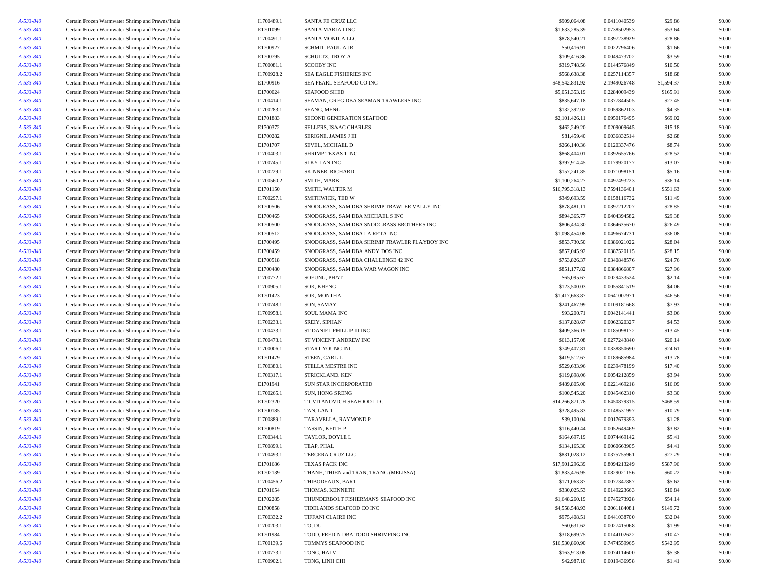| A-533-840 | Certain Frozen Warmwater Shrimp and Prawns/India | I1700489.1 | SANTA FE CRUZ LLC                             | \$909,064.08    | 0.0411040539 | \$29.86    | \$0.00 |
|-----------|--------------------------------------------------|------------|-----------------------------------------------|-----------------|--------------|------------|--------|
| A-533-840 | Certain Frozen Warmwater Shrimp and Prawns/India | E1701099   | SANTA MARIA I INC                             | \$1,633,285.39  | 0.0738502953 | \$53.64    | \$0.00 |
| A-533-840 | Certain Frozen Warmwater Shrimp and Prawns/India | I1700491.1 | SANTA MONICA LLC                              | \$878,540.21    | 0.0397238929 | \$28.86    | \$0.00 |
| A-533-840 | Certain Frozen Warmwater Shrimp and Prawns/India | E1700927   | <b>SCHMIT, PAUL A JR</b>                      | \$50,416.91     | 0.0022796406 | \$1.66     | \$0.00 |
| A-533-840 | Certain Frozen Warmwater Shrimp and Prawns/India | E1700795   | <b>SCHULTZ, TROY A</b>                        | \$109,416.86    | 0.0049473702 | \$3.59     | \$0.00 |
| A-533-840 | Certain Frozen Warmwater Shrimp and Prawns/India | I1700081.1 | <b>SCOOBY INC</b>                             | \$319,748.56    | 0.0144576849 | \$10.50    | \$0.00 |
| A-533-840 | Certain Frozen Warmwater Shrimp and Prawns/India | I1700928.2 | SEA EAGLE FISHERIES INC                       | \$568,638.38    | 0.0257114357 | \$18.68    | \$0.00 |
| A-533-840 | Certain Frozen Warmwater Shrimp and Prawns/India | E1700916   | SEA PEARL SEAFOOD CO INC                      | \$48,542,831.92 | 2.1949026748 | \$1,594.37 | \$0.00 |
| A-533-840 | Certain Frozen Warmwater Shrimp and Prawns/India | E1700024   | <b>SEAFOOD SHED</b>                           | \$5,051,353.19  | 0.2284009439 | \$165.91   | \$0.00 |
| A-533-840 | Certain Frozen Warmwater Shrimp and Prawns/India | I1700414.1 | SEAMAN, GREG DBA SEAMAN TRAWLERS INC          | \$835,647.18    | 0.0377844505 | \$27.45    | \$0.00 |
| A-533-840 | Certain Frozen Warmwater Shrimp and Prawns/India | I1700283.1 | SEANG, MENG                                   | \$132,392.02    | 0.0059862103 | \$4.35     | \$0.00 |
|           | Certain Frozen Warmwater Shrimp and Prawns/India | E1701883   | SECOND GENERATION SEAFOOD                     |                 |              |            |        |
| A-533-840 |                                                  |            | SELLERS. ISAAC CHARLES                        | \$2,101,426.11  | 0.0950176495 | \$69.02    | \$0.00 |
| A-533-840 | Certain Frozen Warmwater Shrimp and Prawns/India | E1700372   |                                               | \$462,249.20    | 0.0209009645 | \$15.18    | \$0.00 |
| A-533-840 | Certain Frozen Warmwater Shrimp and Prawns/India | E1700282   | SERIGNE, JAMES J III                          | \$81,459.40     | 0.0036832514 | \$2.68     | \$0.00 |
| A-533-840 | Certain Frozen Warmwater Shrimp and Prawns/India | E1701707   | SEVEL, MICHAEL D                              | \$266,140.36    | 0.0120337476 | \$8.74     | \$0.00 |
| A-533-840 | Certain Frozen Warmwater Shrimp and Prawns/India | I1700403.1 | SHRIMP TEXAS 1 INC                            | \$868,404.01    | 0.0392655766 | \$28.52    | \$0.00 |
| A-533-840 | Certain Frozen Warmwater Shrimp and Prawns/India | I1700745.1 | SI KY LAN INC                                 | \$397,914.45    | 0.0179920177 | \$13.07    | \$0.00 |
| A-533-840 | Certain Frozen Warmwater Shrimp and Prawns/India | I1700229.1 | <b>SKINNER, RICHARD</b>                       | \$157,241.85    | 0.0071098151 | \$5.16     | \$0.00 |
| A-533-840 | Certain Frozen Warmwater Shrimp and Prawns/India | I1700560.2 | SMITH, MARK                                   | \$1,100,264.27  | 0.0497493223 | \$36.14    | \$0.00 |
| A-533-840 | Certain Frozen Warmwater Shrimp and Prawns/India | E1701150   | SMITH, WALTER M                               | \$16,795,318.13 | 0.7594136401 | \$551.63   | \$0.00 |
| A-533-840 | Certain Frozen Warmwater Shrimp and Prawns/India | I1700297.1 | SMITHWICK, TED W                              | \$349,693.59    | 0.0158116732 | \$11.49    | \$0.00 |
| A-533-840 | Certain Frozen Warmwater Shrimp and Prawns/India | E1700506   | SNODGRASS, SAM DBA SHRIMP TRAWLER VALLY INC   | \$878,481.11    | 0.0397212207 | \$28.85    | \$0.00 |
| A-533-840 | Certain Frozen Warmwater Shrimp and Prawns/India | E1700465   | SNODGRASS, SAM DBA MICHAEL S INC              | \$894,365.77    | 0.0404394582 | \$29.38    | \$0.00 |
| A-533-840 | Certain Frozen Warmwater Shrimp and Prawns/India | E1700500   | SNODGRASS, SAM DBA SNODGRASS BROTHERS INC     | \$806,434.30    | 0.0364635670 | \$26.49    | \$0.00 |
| A-533-840 | Certain Frozen Warmwater Shrimp and Prawns/India | E1700512   | SNODGRASS, SAM DBA LA RETA INC                | \$1,098,454.08  | 0.0496674731 | \$36.08    | \$0.00 |
| A-533-840 | Certain Frozen Warmwater Shrimp and Prawns/India | E1700495   | SNODGRASS, SAM DBA SHRIMP TRAWLER PLAYBOY INC | \$853,730.50    | 0.0386021022 | \$28.04    | \$0.00 |
| A-533-840 | Certain Frozen Warmwater Shrimp and Prawns/India | E1700459   | SNODGRASS, SAM DBA ANDY DOS INC               | \$857,045.92    | 0.0387520115 | \$28.15    | \$0.00 |
| A-533-840 | Certain Frozen Warmwater Shrimp and Prawns/India | E1700518   | SNODGRASS, SAM DBA CHALLENGE 42 INC           | \$753,826.37    | 0.0340848576 | \$24.76    | \$0.00 |
| A-533-840 | Certain Frozen Warmwater Shrimp and Prawns/India | E1700480   | SNODGRASS, SAM DBA WAR WAGON INC              | \$851,177.82    | 0.0384866807 | \$27.96    | \$0.00 |
| A-533-840 | Certain Frozen Warmwater Shrimp and Prawns/India | I1700772.1 | SOEUNG, PHAT                                  | \$65,095.67     | 0.0029433524 | \$2.14     | \$0.00 |
| A-533-840 | Certain Frozen Warmwater Shrimp and Prawns/India | I1700905.1 | SOK, KHENG                                    | \$123,500.03    | 0.0055841519 | \$4.06     | \$0.00 |
|           |                                                  |            |                                               |                 |              |            |        |
| A-533-840 | Certain Frozen Warmwater Shrimp and Prawns/India | E1701423   | SOK, MONTHA                                   | \$1,417,663.87  | 0.0641007971 | \$46.56    | \$0.00 |
| A-533-840 | Certain Frozen Warmwater Shrimp and Prawns/India | I1700748.1 | SON, SAMAY                                    | \$241,467.99    | 0.0109181668 | \$7.93     | \$0.00 |
| A-533-840 | Certain Frozen Warmwater Shrimp and Prawns/India | I1700958.1 | SOUL MAMA INC                                 | \$93,200.71     | 0.0042141441 | \$3.06     | \$0.00 |
| A-533-840 | Certain Frozen Warmwater Shrimp and Prawns/India | I1700233.1 | SREIY, SIPHAN                                 | \$137,828.67    | 0.0062320327 | \$4.53     | \$0.00 |
| A-533-840 | Certain Frozen Warmwater Shrimp and Prawns/India | I1700433.1 | ST DANIEL PHILLIP III INC                     | \$409,366.19    | 0.0185098172 | \$13.45    | \$0.00 |
| A-533-840 | Certain Frozen Warmwater Shrimp and Prawns/India | I1700473.1 | ST VINCENT ANDREW INC                         | \$613,157.08    | 0.0277243840 | \$20.14    | \$0.00 |
| A-533-840 | Certain Frozen Warmwater Shrimp and Prawns/India | I1700006.1 | START YOUNG INC                               | \$749,407.81    | 0.0338850690 | \$24.61    | \$0.00 |
| A-533-840 | Certain Frozen Warmwater Shrimp and Prawns/India | E1701479   | STEEN, CARL L                                 | \$419,512.67    | 0.0189685984 | \$13.78    | \$0.00 |
| A-533-840 | Certain Frozen Warmwater Shrimp and Prawns/India | I1700380.1 | STELLA MESTRE INC                             | \$529,633.96    | 0.0239478199 | \$17.40    | \$0.00 |
| A-533-840 | Certain Frozen Warmwater Shrimp and Prawns/India | I1700317.1 | STRICKLAND, KEN                               | \$119,898.06    | 0.0054212859 | \$3.94     | \$0.00 |
| A-533-840 | Certain Frozen Warmwater Shrimp and Prawns/India | E1701941   | <b>SUN STAR INCORPORATED</b>                  | \$489,805.00    | 0.0221469218 | \$16.09    | \$0.00 |
| A-533-840 | Certain Frozen Warmwater Shrimp and Prawns/India | I1700265.1 | <b>SUN, HONG SRENG</b>                        | \$100,545.20    | 0.0045462310 | \$3.30     | \$0.00 |
| A-533-840 | Certain Frozen Warmwater Shrimp and Prawns/India | E1702320   | T CVITANOVICH SEAFOOD LLC                     | \$14,266,871.78 | 0.6450879315 | \$468.59   | \$0.00 |
| A-533-840 | Certain Frozen Warmwater Shrimp and Prawns/India | E1700185   | TAN, LAN T                                    | \$328,495.83    | 0.0148531997 | \$10.79    | \$0.00 |
| A-533-840 | Certain Frozen Warmwater Shrimp and Prawns/India | I1700889.1 | TARAVELLA, RAYMOND P                          | \$39,100.04     | 0.0017679393 | \$1.28     | \$0.00 |
| A-533-840 | Certain Frozen Warmwater Shrimp and Prawns/India | E1700819   | TASSIN, KEITH P                               | \$116,440.44    | 0.0052649469 | \$3.82     | \$0.00 |
| A-533-840 | Certain Frozen Warmwater Shrimp and Prawns/India | I1700344.1 | TAYLOR, DOYLE L                               | \$164,697.19    | 0.0074469142 | \$5.41     | \$0.00 |
| A-533-840 | Certain Frozen Warmwater Shrimp and Prawns/India | I1700899.1 | TEAP, PHAL                                    | \$134,165.30    | 0.0060663905 | \$4.41     | \$0.00 |
| A-533-840 | Certain Frozen Warmwater Shrimp and Prawns/India | I1700493.1 | <b>TERCERA CRUZ LLC</b>                       | \$831,028.12    | 0.0375755961 | \$27.29    | \$0.00 |
| A-533-840 | Certain Frozen Warmwater Shrimp and Prawns/India | E1701686   | TEXAS PACK INC                                | \$17,901,296.39 | 0.8094213249 | \$587.96   | \$0.00 |
| A-533-840 | Certain Frozen Warmwater Shrimp and Prawns/India | E1702139   | THANH, THIEN and TRAN, TRANG (MELISSA)        | \$1,833,476.95  | 0.0829021156 | \$60.22    | \$0.00 |
| A-533-840 | Certain Frozen Warmwater Shrimp and Prawns/India | I1700456.2 | THIBODEAUX, BART                              | \$171,063.87    | 0.0077347887 | \$5.62     | \$0.00 |
| A-533-840 | Certain Frozen Warmwater Shrimp and Prawns/India | E1701654   | THOMAS, KENNETH                               | \$330,025.53    | 0.0149223663 | \$10.84    | \$0.00 |
| A-533-840 | Certain Frozen Warmwater Shrimp and Prawns/India | E1702285   | THUNDERBOLT FISHERMANS SEAFOOD INC            | \$1,648,260.19  | 0.0745273928 | \$54.14    | \$0.00 |
|           |                                                  |            |                                               | \$4,558,548.93  |              |            |        |
| A-533-840 | Certain Frozen Warmwater Shrimp and Prawns/India | E1700858   | TIDELANDS SEAFOOD CO INC                      |                 | 0.2061184081 | \$149.72   | \$0.00 |
| A-533-840 | Certain Frozen Warmwater Shrimp and Prawns/India | I1700332.2 | <b>TIFFANI CLAIRE INC</b>                     | \$975,408.51    | 0.0441038700 | \$32.04    | \$0.00 |
| A-533-840 | Certain Frozen Warmwater Shrimp and Prawns/India | I1700203.1 | TO, DU                                        | \$60,631.62     | 0.0027415068 | \$1.99     | \$0.00 |
| A-533-840 | Certain Frozen Warmwater Shrimp and Prawns/India | E1701984   | TODD, FRED N DBA TODD SHRIMPING INC           | \$318,699.75    | 0.0144102622 | \$10.47    | \$0.00 |
| A-533-840 | Certain Frozen Warmwater Shrimp and Prawns/India | I1700139.5 | TOMMYS SEAFOOD INC                            | \$16,530,860.90 | 0.7474559965 | \$542.95   | \$0.00 |
| A-533-840 | Certain Frozen Warmwater Shrimp and Prawns/India | I1700773.1 | TONG, HAI V                                   | \$163,913.08    | 0.0074114600 | \$5.38     | \$0.00 |
| A-533-840 | Certain Frozen Warmwater Shrimp and Prawns/India | I1700902.1 | TONG, LINH CHI                                | \$42,987.10     | 0.0019436958 | \$1.41     | \$0.00 |
|           |                                                  |            |                                               |                 |              |            |        |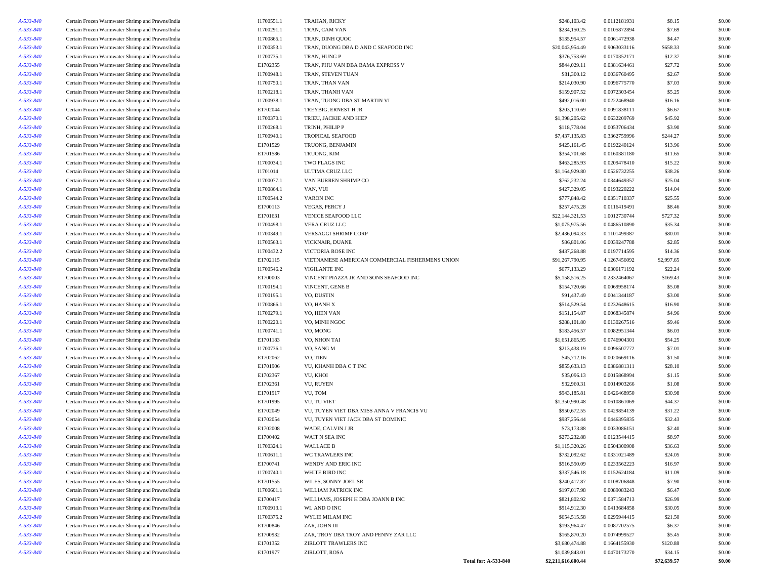| A-533-840              | Certain Frozen Warmwater Shrimp and Prawns/India | I1700551.1 | TRAHAN, RICKY                                   |                             | \$248,103.42                 | 0.0112181931                 | \$8.15      | \$0.00 |
|------------------------|--------------------------------------------------|------------|-------------------------------------------------|-----------------------------|------------------------------|------------------------------|-------------|--------|
| A-533-840              | Certain Frozen Warmwater Shrimp and Prawns/India | I1700291.1 | TRAN, CAM VAN                                   |                             | \$234,150.25                 | 0.0105872894                 | \$7.69      | \$0.00 |
| A-533-840              | Certain Frozen Warmwater Shrimp and Prawns/India | I1700865.1 | TRAN, DINH QUOC                                 |                             | \$135,954.57                 | 0.0061472938                 | \$4.47      | \$0.00 |
| A-533-840              | Certain Frozen Warmwater Shrimp and Prawns/India | I1700353.1 | TRAN, DUONG DBA D AND C SEAFOOD INC             |                             | \$20,043,954.49              | 0.9063033116                 | \$658.33    | \$0.00 |
| A-533-840              | Certain Frozen Warmwater Shrimp and Prawns/India | I1700735.1 | TRAN, HUNG P                                    |                             | \$376,753.69                 | 0.0170352171                 | \$12.37     | \$0.00 |
| A-533-840              | Certain Frozen Warmwater Shrimp and Prawns/India | E1702355   | TRAN, PHU VAN DBA BAMA EXPRESS V                |                             | \$844,029.11                 | 0.0381634461                 | \$27.72     | \$0.00 |
| A-533-840              | Certain Frozen Warmwater Shrimp and Prawns/India | I1700948.1 | TRAN, STEVEN TUAN                               |                             | \$81,300.12                  | 0.0036760495                 | \$2.67      | \$0.00 |
| A-533-840              | Certain Frozen Warmwater Shrimp and Prawns/India | I1700750.1 | TRAN, THAN VAN                                  |                             | \$214,030.90                 | 0.0096775770                 | \$7.03      | \$0.00 |
| A-533-840              | Certain Frozen Warmwater Shrimp and Prawns/India | I1700218.1 | TRAN, THANH VAN                                 |                             | \$159,907.52                 | 0.0072303454                 | \$5.25      | \$0.00 |
| A-533-840              | Certain Frozen Warmwater Shrimp and Prawns/India | I1700938.1 | TRAN, TUONG DBA ST MARTIN VI                    |                             | \$492,016.00                 | 0.0222468940                 | \$16.16     | \$0.00 |
| A-533-840              | Certain Frozen Warmwater Shrimp and Prawns/India | E1702044   | TREYBIG, ERNEST H JR                            |                             | \$203,110.69                 | 0.0091838111                 | \$6.67      | \$0.00 |
| A-533-840              | Certain Frozen Warmwater Shrimp and Prawns/India | I1700370.1 | TRIEU, JACKIE AND HIEP                          |                             | \$1,398,205.62               | 0.0632209769                 | \$45.92     | \$0.00 |
| A-533-840              | Certain Frozen Warmwater Shrimp and Prawns/India | I1700268.1 | TRINH, PHILIP P                                 |                             | \$118,778.04                 | 0.0053706434                 | \$3.90      | \$0.00 |
| A-533-840              | Certain Frozen Warmwater Shrimp and Prawns/India | I1700940.1 | <b>TROPICAL SEAFOOD</b>                         |                             | \$7,437,135.83               | 0.3362759996                 | \$244.27    | \$0.00 |
| A-533-840              | Certain Frozen Warmwater Shrimp and Prawns/India | E1701529   | TRUONG, BENJAMIN                                |                             | \$425,161.45                 | 0.0192240124                 | \$13.96     | \$0.00 |
| A-533-840              | Certain Frozen Warmwater Shrimp and Prawns/India | E1701586   | TRUONG, KIM                                     |                             | \$354,701.68                 | 0.0160381180                 | \$11.65     | \$0.00 |
| A-533-840              | Certain Frozen Warmwater Shrimp and Prawns/India | I1700034.1 | TWO FLAGS INC                                   |                             | \$463,285.93                 | 0.0209478410                 | \$15.22     | \$0.00 |
| A-533-840              | Certain Frozen Warmwater Shrimp and Prawns/India | I1701014   | ULTIMA CRUZ LLC                                 |                             | \$1,164,929.80               | 0.0526732255                 | \$38.26     | \$0.00 |
| A-533-840              | Certain Frozen Warmwater Shrimp and Prawns/India | I1700077.1 | VAN BURREN SHRIMP CO                            |                             | \$762,232.24                 | 0.0344649357                 | \$25.04     | \$0.00 |
| A-533-840              | Certain Frozen Warmwater Shrimp and Prawns/India | I1700864.1 | VAN, VUI                                        |                             | \$427,329.05                 | 0.0193220222                 | \$14.04     | \$0.00 |
| A-533-840              | Certain Frozen Warmwater Shrimp and Prawns/India | I1700544.2 | <b>VARON INC</b>                                |                             | \$777,848.42                 | 0.0351710337                 | \$25.55     | \$0.00 |
| A-533-840              | Certain Frozen Warmwater Shrimp and Prawns/India | E1700113   | <b>VEGAS, PERCY J</b>                           |                             | \$257,475.28                 | 0.0116419491                 | \$8.46      | \$0.00 |
| A-533-840              | Certain Frozen Warmwater Shrimp and Prawns/India | E1701631   | VENICE SEAFOOD LLC                              |                             | \$22,144,321.53              | 1.0012730744                 | \$727.32    | \$0.00 |
| A-533-840              | Certain Frozen Warmwater Shrimp and Prawns/India | I1700498.1 | VERA CRUZ LLC                                   |                             | \$1,075,975.56               | 0.0486510890                 | \$35.34     | \$0.00 |
| A-533-840              | Certain Frozen Warmwater Shrimp and Prawns/India | I1700349.1 | <b>VERSAGGI SHRIMP CORP</b>                     |                             | \$2,436,094.33               | 0.1101499387                 | \$80.01     | \$0.00 |
| A-533-840              | Certain Frozen Warmwater Shrimp and Prawns/India | I1700563.1 | VICKNAIR, DUANE                                 |                             | \$86,801.06                  | 0.0039247788                 | \$2.85      | \$0.00 |
| A-533-840              | Certain Frozen Warmwater Shrimp and Prawns/India | I1700432.2 | VICTORIA ROSE INC                               |                             | \$437,268.88                 | 0.0197714595                 | \$14.36     | \$0.00 |
| A-533-840              | Certain Frozen Warmwater Shrimp and Prawns/India | E1702115   | VIETNAMESE AMERICAN COMMERCIAL FISHERMENS UNION |                             | \$91,267,790.95              | 4.1267456092                 | \$2,997.65  | \$0.00 |
| A-533-840              | Certain Frozen Warmwater Shrimp and Prawns/India | I1700546.2 | <b>VIGILANTE INC</b>                            |                             | \$677,133.29                 | 0.0306171192                 | \$22.24     | \$0.00 |
| A-533-840              | Certain Frozen Warmwater Shrimp and Prawns/India | E1700003   | VINCENT PIAZZA JR AND SONS SEAFOOD INC          |                             | \$5,158,516.25               | 0.2332464067                 | \$169.43    | \$0.00 |
| A-533-840              | Certain Frozen Warmwater Shrimp and Prawns/India | I1700194.1 | VINCENT, GENE B                                 |                             | \$154,720.66                 | 0.0069958174                 | \$5.08      | \$0.00 |
| A-533-840              | Certain Frozen Warmwater Shrimp and Prawns/India | I1700195.1 | VO, DUSTIN                                      |                             | \$91,437.49                  | 0.0041344187                 | \$3.00      | \$0.00 |
| A-533-840              |                                                  |            |                                                 |                             | \$514,529.54                 | 0.0232648615                 | \$16.90     |        |
|                        | Certain Frozen Warmwater Shrimp and Prawns/India | I1700866.1 | VO, HANH X                                      |                             |                              |                              |             | \$0.00 |
| A-533-840<br>A-533-840 | Certain Frozen Warmwater Shrimp and Prawns/India | I1700279.1 | VO, HIEN VAN<br>VO, MINH NGOC                   |                             | \$151,154.87<br>\$288,101.80 | 0.0068345874<br>0.0130267516 | \$4.96      | \$0.00 |
|                        | Certain Frozen Warmwater Shrimp and Prawns/India | I1700220.1 |                                                 |                             |                              |                              | \$9.46      | \$0.00 |
| A-533-840              | Certain Frozen Warmwater Shrimp and Prawns/India | I1700741.1 | VO, MONG                                        |                             | \$183,456.57                 | 0.0082951344                 | \$6.03      | \$0.00 |
| A-533-840              | Certain Frozen Warmwater Shrimp and Prawns/India | E1701183   | VO, NHON TAI                                    |                             | \$1,651,865.95               | 0.0746904301                 | \$54.25     | \$0.00 |
| A-533-840              | Certain Frozen Warmwater Shrimp and Prawns/India | I1700736.1 | VO, SANG M                                      |                             | \$213,438.19                 | 0.0096507772                 | \$7.01      | \$0.00 |
| A-533-840              | Certain Frozen Warmwater Shrimp and Prawns/India | E1702062   | VO, TIEN                                        |                             | \$45,712.16                  | 0.0020669116                 | \$1.50      | \$0.00 |
| A-533-840              | Certain Frozen Warmwater Shrimp and Prawns/India | E1701906   | VU, KHANH DBA C T INC                           |                             | \$855,633.13                 | 0.0386881311                 | \$28.10     | \$0.00 |
| A-533-840              | Certain Frozen Warmwater Shrimp and Prawns/India | E1702367   | VU, KHOI                                        |                             | \$35,096.13                  | 0.0015868994                 | \$1.15      | \$0.00 |
| A-533-840              | Certain Frozen Warmwater Shrimp and Prawns/India | E1702361   | VU, RUYEN                                       |                             | \$32,960.31                  | 0.0014903266                 | \$1.08      | \$0.00 |
| A-533-840              | Certain Frozen Warmwater Shrimp and Prawns/India | E1701917   | VU, TOM                                         |                             | \$943,185.81                 | 0.0426468950                 | \$30.98     | \$0.00 |
| A-533-840              | Certain Frozen Warmwater Shrimp and Prawns/India | E1701995   | VU, TU VIET                                     |                             | \$1,350,990.48               | 0.0610861069                 | \$44.37     | \$0.00 |
| A-533-840              | Certain Frozen Warmwater Shrimp and Prawns/India | E1702049   | VU, TUYEN VIET DBA MISS ANNA V FRANCIS VU       |                             | \$950,672.55                 | 0.0429854139                 | \$31.22     | \$0.00 |
| A-533-840              | Certain Frozen Warmwater Shrimp and Prawns/India | E1702054   | VU, TUYEN VIET JACK DBA ST DOMINIC              |                             | \$987,256.44                 | 0.0446395835                 | \$32.43     | \$0.00 |
| A-533-840              | Certain Frozen Warmwater Shrimp and Prawns/India | E1702008   | WADE, CALVIN J JR                               |                             | \$73,173.88                  | 0.0033086151                 | \$2.40      | \$0.00 |
| A-533-840              | Certain Frozen Warmwater Shrimp and Prawns/India | E1700402   | WAIT N SEA INC                                  |                             | \$273,232.88                 | 0.0123544415                 | \$8.97      | \$0.00 |
| A-533-840              | Certain Frozen Warmwater Shrimp and Prawns/India | I1700324.1 | <b>WALLACE B</b>                                |                             | \$1,115,320.26               | 0.0504300908                 | \$36.63     | \$0.00 |
| A-533-840              | Certain Frozen Warmwater Shrimp and Prawns/India | I1700611.1 | WC TRAWLERS INC                                 |                             | \$732,092.62                 | 0.0331021489                 | \$24.05     | \$0.00 |
| A-533-840              | Certain Frozen Warmwater Shrimp and Prawns/India | E1700741   | WENDY AND ERIC INC                              |                             | \$516,550.09                 | 0.0233562223                 | \$16.97     | \$0.00 |
| A-533-840              | Certain Frozen Warmwater Shrimp and Prawns/India | I1700740.1 | WHITE BIRD INC                                  |                             | \$337,546.18                 | 0.0152624184                 | \$11.09     | \$0.00 |
| A-533-840              | Certain Frozen Warmwater Shrimp and Prawns/India | E1701555   | WILES, SONNY JOEL SR                            |                             | \$240,417.87                 | 0.0108706848                 | \$7.90      | \$0.00 |
| A-533-840              | Certain Frozen Warmwater Shrimp and Prawns/India | I1700601.1 | WILLIAM PATRICK INC                             |                             | \$197,017.98                 | 0.0089083243                 | \$6.47      | \$0.00 |
| A-533-840              | Certain Frozen Warmwater Shrimp and Prawns/India | E1700417   | WILLIAMS, JOSEPH H DBA JOANN B INC              |                             | \$821,802.92                 | 0.0371584713                 | \$26.99     | \$0.00 |
| A-533-840              | Certain Frozen Warmwater Shrimp and Prawns/India | I1700913.1 | WL AND O INC                                    |                             | \$914,912.30                 | 0.0413684858                 | \$30.05     | \$0.00 |
| A-533-840              | Certain Frozen Warmwater Shrimp and Prawns/India | I1700375.2 | WYLIE MILAM INC                                 |                             | \$654,515.58                 | 0.0295944415                 | \$21.50     | \$0.00 |
| A-533-840              | Certain Frozen Warmwater Shrimp and Prawns/India | E1700846   | ZAR, JOHN III                                   |                             | \$193,964.47                 | 0.0087702575                 | \$6.37      | \$0.00 |
| A-533-840              | Certain Frozen Warmwater Shrimp and Prawns/India | E1700932   | ZAR, TROY DBA TROY AND PENNY ZAR LLC            |                             | \$165,870.20                 | 0.0074999527                 | \$5.45      | \$0.00 |
| A-533-840              | Certain Frozen Warmwater Shrimp and Prawns/India | E1701352   | ZIRLOTT TRAWLERS INC                            |                             | \$3,680,474.88               | 0.1664155930                 | \$120.88    | \$0.00 |
| A-533-840              | Certain Frozen Warmwater Shrimp and Prawns/India | E1701977   | ZIRLOTT, ROSA                                   |                             | \$1,039,843.01               | 0.0470173270                 | \$34.15     | \$0.00 |
|                        |                                                  |            |                                                 | <b>Total for: A-533-840</b> | \$2,211,616,600.44           |                              | \$72,639.57 | \$0.00 |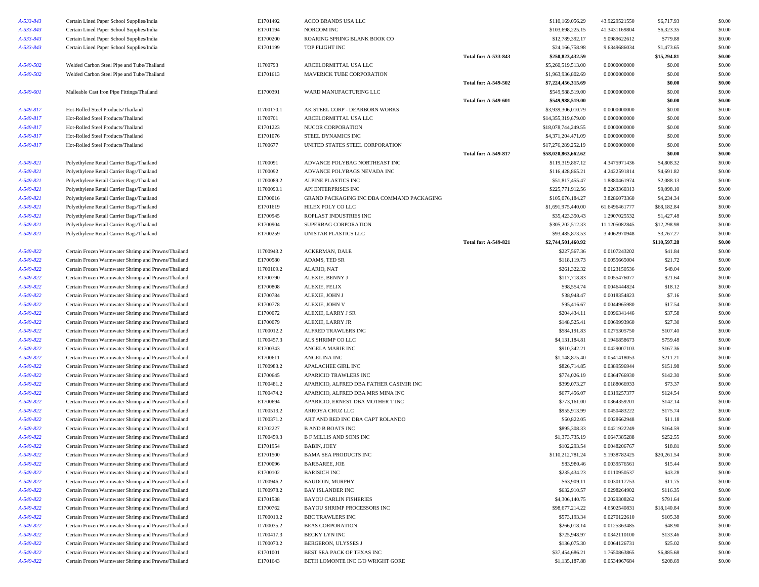| A-533-843       | Certain Lined Paper School Supplies/India           | E1701492   | ACCO BRANDS USA LLC                       |                             | \$110,169,056.29    | 43.9229521550 | \$6,717.93   | \$0.00 |
|-----------------|-----------------------------------------------------|------------|-------------------------------------------|-----------------------------|---------------------|---------------|--------------|--------|
| A-533-843       | Certain Lined Paper School Supplies/India           | E1701194   | NORCOM INC                                |                             | \$103,698,225.15    | 41.3431169804 | \$6,323.35   | \$0.00 |
| A-533-843       | Certain Lined Paper School Supplies/India           | E1700200   | ROARING SPRING BLANK BOOK CO              |                             | \$12,789,392.17     | 5.0989622612  | \$779.88     | \$0.00 |
| A-533-843       | Certain Lined Paper School Supplies/India           | E1701199   | TOP FLIGHT INC                            |                             | \$24,166,758.98     | 9.6349686034  | \$1,473.65   | \$0.00 |
|                 |                                                     |            |                                           | <b>Total for: A-533-843</b> | \$250,823,432.59    |               | \$15,294.81  | \$0.00 |
| A-549-502       | Welded Carbon Steel Pipe and Tube/Thailand          | I1700793   | ARCELORMITTAL USA LLC                     |                             | \$5,260,519,513.00  | 0.0000000000  | \$0.00       | \$0.00 |
| A-549-502       | Welded Carbon Steel Pipe and Tube/Thailand          | E1701613   | MAVERICK TUBE CORPORATION                 |                             | \$1,963,936,802.69  | 0.0000000000  | \$0.00       | \$0.00 |
|                 |                                                     |            |                                           | <b>Total for: A-549-502</b> | \$7,224,456,315.69  |               | \$0.00       | \$0.00 |
| A-549-601       | Malleable Cast Iron Pipe Fittings/Thailand          | E1700391   | WARD MANUFACTURING LLC                    |                             | \$549,988,519.00    | 0.0000000000  | \$0.00       | \$0.00 |
|                 |                                                     |            |                                           | <b>Total for: A-549-601</b> | \$549,988,519.00    |               | \$0.00       | \$0.00 |
| A-549-817       | Hot-Rolled Steel Products/Thailand                  | I1700170.1 | AK STEEL CORP - DEARBORN WORKS            |                             | \$3,939,306,010.79  | 0.0000000000  | \$0.00       | \$0.00 |
| A-549-817       | Hot-Rolled Steel Products/Thailand                  | I1700701   | ARCELORMITTAL USA LLC                     |                             | \$14,355,319,679.00 | 0.0000000000  | \$0.00       | \$0.00 |
| A-549-817       | Hot-Rolled Steel Products/Thailand                  | E1701223   | NUCOR CORPORATION                         |                             | \$18,078,744,249.55 | 0.0000000000  | \$0.00       | \$0.00 |
| A-549-817       | Hot-Rolled Steel Products/Thailand                  | E1701076   | STEEL DYNAMICS INC                        |                             | \$4,371,204,471.09  | 0.0000000000  | \$0.00       | \$0.00 |
| A-549-817       | Hot-Rolled Steel Products/Thailand                  | I1700677   | UNITED STATES STEEL CORPORATION           |                             | \$17,276,289,252.19 | 0.0000000000  | \$0.00       | \$0.00 |
|                 |                                                     |            |                                           | <b>Total for: A-549-817</b> | \$58,020,863,662.62 |               | \$0.00       | \$0.00 |
| A-549-821       | Polyethylene Retail Carrier Bags/Thailand           | I1700091   | ADVANCE POLYBAG NORTHEAST INC             |                             | \$119,319,867.12    | 4.3475971436  | \$4,808.32   | \$0.00 |
| A-549-821       | Polyethylene Retail Carrier Bags/Thailand           | I1700092   | ADVANCE POLYBAGS NEVADA INC               |                             | \$116,428,865.21    | 4.2422591814  | \$4,691.82   | \$0.00 |
| A-549-821       | Polyethylene Retail Carrier Bags/Thailand           | I1700089.2 | ALPINE PLASTICS INC                       |                             | \$51,817,455.47     | 1.8880461974  | \$2,088.13   | \$0.00 |
| A-549-821       | Polyethylene Retail Carrier Bags/Thailand           | I1700090.1 | API ENTERPRISES INC                       |                             | \$225,771,912.56    | 8.2263360313  | \$9,098.10   | \$0.00 |
| A-549-821       | Polyethylene Retail Carrier Bags/Thailand           | E1700016   | GRAND PACKAGING INC DBA COMMAND PACKAGING |                             | \$105,076,184.27    | 3.8286073360  | \$4,234.34   | \$0.00 |
| A-549-821       | Polyethylene Retail Carrier Bags/Thailand           | E1701619   | HILEX POLY CO LLC                         |                             | \$1,691,975,440.00  | 61.6496461777 | \$68,182.84  | \$0.00 |
| A-549-821       | Polyethylene Retail Carrier Bags/Thailand           | E1700945   | ROPLAST INDUSTRIES INC                    |                             | \$35,423,350.43     | 1.2907025532  | \$1,427.48   | \$0.00 |
| A-549-821       | Polyethylene Retail Carrier Bags/Thailand           | E1700904   | SUPERBAG CORPORATION                      |                             | \$305,202,512.33    | 11.1205082845 | \$12,298.98  | \$0.00 |
| $A - 549 - 821$ | Polyethylene Retail Carrier Bags/Thailand           | E1700259   | UNISTAR PLASTICS LLC                      |                             | \$93,485,873.53     | 3.4062970948  | \$3,767.27   | \$0.00 |
|                 |                                                     |            |                                           | <b>Total for: A-549-821</b> | \$2,744,501,460.92  |               | \$110,597.28 | \$0.00 |
| A-549-822       | Certain Frozen Warmwater Shrimp and Prawns/Thailand | I1700943.2 | ACKERMAN, DALE                            |                             | \$227,567.36        | 0.0107243202  | \$41.84      | \$0.00 |
| A-549-822       | Certain Frozen Warmwater Shrimp and Prawns/Thailand | E1700580   | ADAMS, TED SR                             |                             | \$118,119.73        | 0.0055665004  | \$21.72      | \$0.00 |
| A-549-822       | Certain Frozen Warmwater Shrimp and Prawns/Thailand | I1700109.2 | ALARIO, NAT                               |                             | \$261,322.32        | 0.0123150536  | \$48.04      | \$0.00 |
| A-549-822       | Certain Frozen Warmwater Shrimp and Prawns/Thailand | E1700790   | ALEXIE, BENNY J                           |                             | \$117,718.83        | 0.0055476077  | \$21.64      | \$0.00 |
| A-549-822       | Certain Frozen Warmwater Shrimp and Prawns/Thailand | E1700808   | ALEXIE, FELIX                             |                             | \$98,554.74         | 0.0046444824  | \$18.12      | \$0.00 |
| A-549-822       | Certain Frozen Warmwater Shrimp and Prawns/Thailand | E1700784   | ALEXIE, JOHN J                            |                             | \$38,948.47         | 0.0018354823  | \$7.16       | \$0.00 |
| A-549-822       | Certain Frozen Warmwater Shrimp and Prawns/Thailand | E1700778   | ALEXIE, JOHN V                            |                             | \$95,416.67         | 0.0044965980  | \$17.54      | \$0.00 |
| A-549-822       | Certain Frozen Warmwater Shrimp and Prawns/Thailand | E1700072   | ALEXIE, LARRY J SR                        |                             | \$204,434.11        | 0.0096341446  | \$37.58      | \$0.00 |
| A-549-822       | Certain Frozen Warmwater Shrimp and Prawns/Thailand | E1700079   | ALEXIE, LARRY JR                          |                             | \$148,525.41        | 0.0069993960  | \$27.30      | \$0.00 |
| A-549-822       | Certain Frozen Warmwater Shrimp and Prawns/Thailand | I1700012.2 | ALFRED TRAWLERS INC                       |                             | \$584,191.83        | 0.0275305750  | \$107.40     | \$0.00 |
| A-549-822       | Certain Frozen Warmwater Shrimp and Prawns/Thailand | I1700457.3 | ALS SHRIMP CO LLC                         |                             | \$4,131,184.81      | 0.1946858673  | \$759.48     | \$0.00 |
| A-549-822       | Certain Frozen Warmwater Shrimp and Prawns/Thailand | E1700343   | ANGELA MARIE INC                          |                             | \$910,342.21        | 0.0429007103  | \$167.36     | \$0.00 |
| A-549-822       | Certain Frozen Warmwater Shrimp and Prawns/Thailand | E1700611   | ANGELINA INC                              |                             | \$1,148,875.40      | 0.0541418053  | \$211.21     | \$0.00 |
| A-549-822       | Certain Frozen Warmwater Shrimp and Prawns/Thailand | I1700983.2 | APALACHEE GIRL INC                        |                             | \$826,714.85        | 0.0389596944  | \$151.98     | \$0.00 |
| A-549-822       | Certain Frozen Warmwater Shrimp and Prawns/Thailand | E1700645   | APARICIO TRAWLERS INC                     |                             | \$774,026.19        | 0.0364766930  | \$142.30     | \$0.00 |
| A-549-822       | Certain Frozen Warmwater Shrimp and Prawns/Thailand | I1700481.2 | APARICIO, ALFRED DBA FATHER CASIMIR INC   |                             | \$399,073.27        | 0.0188066933  | \$73.37      | \$0.00 |
| A-549-822       | Certain Frozen Warmwater Shrimp and Prawns/Thailand | I1700474.2 | APARICIO, ALFRED DBA MRS MINA INC         |                             | \$677,456.07        | 0.0319257377  | \$124.54     | \$0.00 |
| A-549-822       | Certain Frozen Warmwater Shrimp and Prawns/Thailand | E1700694   | APARICIO, ERNEST DBA MOTHER T INC         |                             | \$773,161.00        | 0.0364359201  | \$142.14     | \$0.00 |
| A-549-822       | Certain Frozen Warmwater Shrimp and Prawns/Thailand | I1700513.2 | ARROYA CRUZ LLC                           |                             | \$955,913.99        | 0.0450483222  | \$175.74     | \$0.00 |
| A-549-822       | Certain Frozen Warmwater Shrimp and Prawns/Thailand | I1700371.2 | ART AND RED INC DBA CAPT ROLANDO          |                             | \$60,822.05         | 0.0028662948  | \$11.18      | \$0.00 |
| A-549-822       | Certain Frozen Warmwater Shrimp and Prawns/Thailand | E1702227   | <b>B AND B BOATS INC</b>                  |                             | \$895,308.33        | 0.0421922249  | \$164.59     | \$0.00 |
| A-549-822       | Certain Frozen Warmwater Shrimp and Prawns/Thailand | I1700459.3 | <b>B F MILLIS AND SONS INC</b>            |                             | \$1,373,735.19      | 0.0647385288  | \$252.55     | \$0.00 |
| A-549-822       | Certain Frozen Warmwater Shrimp and Prawns/Thailand | E1701954   | BABIN, JOEY                               |                             | \$102,293.54        | 0.0048206767  | \$18.81      | \$0.00 |
| A-549-822       | Certain Frozen Warmwater Shrimp and Prawns/Thailand | E1701500   | BAMA SEA PRODUCTS INC                     |                             | \$110,212,781.24    | 5.1938782425  | \$20,261.54  | \$0.00 |
| A-549-822       | Certain Frozen Warmwater Shrimp and Prawns/Thailand | E1700096   | <b>BARBAREE, JOE</b>                      |                             | \$83,980.46         | 0.0039576561  | \$15.44      | \$0.00 |
| A-549-822       | Certain Frozen Warmwater Shrimp and Prawns/Thailand | E1700102   | <b>BARISICH INC</b>                       |                             | \$235,434.23        | 0.0110950537  | \$43.28      | \$0.00 |
| A-549-822       | Certain Frozen Warmwater Shrimp and Prawns/Thailand | I1700946.2 | <b>BAUDOIN, MURPHY</b>                    |                             | \$63,909.11         | 0.0030117753  | \$11.75      | \$0.00 |
| A-549-822       | Certain Frozen Warmwater Shrimp and Prawns/Thailand | I1700978.2 | <b>BAY ISLANDER INC</b>                   |                             | \$632,910.57        | 0.0298264902  | \$116.35     | \$0.00 |
| A-549-822       | Certain Frozen Warmwater Shrimp and Prawns/Thailand | E1701538   | <b>BAYOU CARLIN FISHERIES</b>             |                             | \$4,306,140.75      | 0.2029308262  | \$791.64     | \$0.00 |
| A-549-822       | Certain Frozen Warmwater Shrimp and Prawns/Thailand | E1700762   | BAYOU SHRIMP PROCESSORS INC               |                             | \$98,677,214.22     | 4.6502540831  | \$18,140.84  | \$0.00 |
| A-549-822       | Certain Frozen Warmwater Shrimp and Prawns/Thailand | I1700010.2 | <b>BBC TRAWLERS INC</b>                   |                             | \$573,193.34        | 0.0270122610  | \$105.38     | \$0.00 |
| A-549-822       | Certain Frozen Warmwater Shrimp and Prawns/Thailand | I1700035.2 | <b>BEAS CORPORATION</b>                   |                             | \$266,018.14        | 0.0125363485  | \$48.90      | \$0.00 |
| A-549-822       | Certain Frozen Warmwater Shrimp and Prawns/Thailand | I1700417.3 | BECKY LYN INC                             |                             | \$725,948.97        | 0.0342110100  | \$133.46     | \$0.00 |
| A-549-822       | Certain Frozen Warmwater Shrimp and Prawns/Thailand | I1700070.2 | <b>BERGERON, ULYSSES J</b>                |                             | \$136,075.30        | 0.0064126731  | \$25.02      | \$0.00 |
| A-549-822       | Certain Frozen Warmwater Shrimp and Prawns/Thailand | E1701001   | BEST SEA PACK OF TEXAS INC                |                             | \$37,454,686.21     | 1.7650863865  | \$6,885.68   | \$0.00 |
| A-549-822       | Certain Frozen Warmwater Shrimp and Prawns/Thailand | E1701643   | BETH LOMONTE INC C/O WRIGHT GORE          |                             | \$1,135,187.88      | 0.0534967684  | \$208.69     | \$0.00 |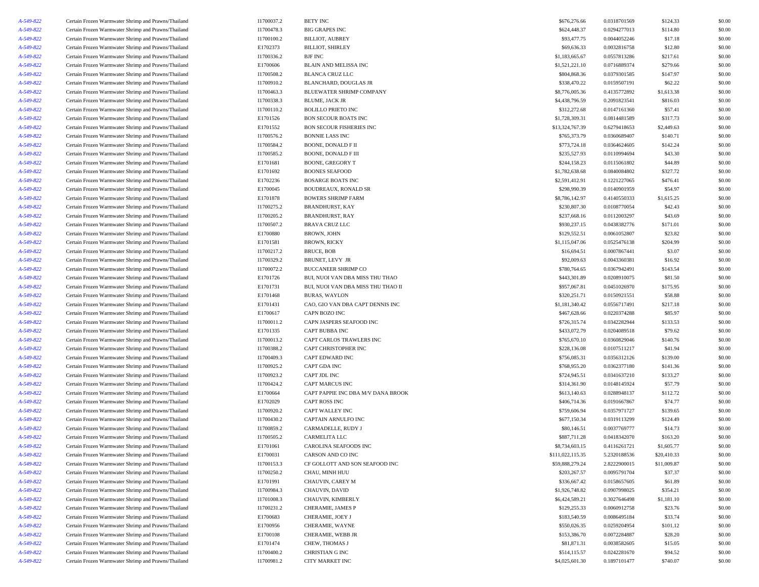| I1700478.3<br>\$624,448.37<br>A-549-822<br>Certain Frozen Warmwater Shrimp and Prawns/Thailand<br><b>BIG GRAPES INC</b><br>0.0294277013<br>0.0044052246<br>A-549-822<br>Certain Frozen Warmwater Shrimp and Prawns/Thailand<br>I1700100.2<br><b>BILLIOT, AUBREY</b><br>\$93,477.75<br>\$69,636.33<br>A-549-822<br>Certain Frozen Warmwater Shrimp and Prawns/Thailand<br>E1702373<br><b>BILLIOT, SHIRLEY</b><br>0.0032816758<br>A-549-822<br>Certain Frozen Warmwater Shrimp and Prawns/Thailand<br>I1700336.2<br><b>BJF INC</b><br>\$1,183,665.67<br>0.0557813286<br>A-549-822<br>Certain Frozen Warmwater Shrimp and Prawns/Thailand<br>E1700606<br>BLAIN AND MELISSA INC<br>\$1,521,221.10<br>0.0716889374<br>A-549-822<br>Certain Frozen Warmwater Shrimp and Prawns/Thailand<br>I1700508.2<br><b>BLANCA CRUZ LLC</b><br>\$804,868.36<br>0.0379301585<br>A-549-822<br>Certain Frozen Warmwater Shrimp and Prawns/Thailand<br>I1700910.2<br><b>BLANCHARD, DOUGLAS JR</b><br>\$338,470.22<br>0.0159507191<br>I1700463.3<br>A-549-822<br>Certain Frozen Warmwater Shrimp and Prawns/Thailand<br>BLUEWATER SHRIMP COMPANY<br>\$8,776,005.36<br>0.4135772892<br>I1700338.3<br>\$4,438,796.59<br>A-549-822<br>Certain Frozen Warmwater Shrimp and Prawns/Thailand<br>BLUME, JACK JR<br>0.2091823541<br>\$312,272.68<br>A-549-822<br>Certain Frozen Warmwater Shrimp and Prawns/Thailand<br>I1700110.2<br>0.0147161360<br>\$57.41<br><b>BOLILLO PRIETO INC</b><br>A-549-822<br>Certain Frozen Warmwater Shrimp and Prawns/Thailand<br>E1701526<br><b>BON SECOUR BOATS INC</b><br>\$1,728,309.31<br>0.0814481589<br>\$317.73<br>A-549-822<br>Certain Frozen Warmwater Shrimp and Prawns/Thailand<br>E1701552<br><b>BON SECOUR FISHERIES INC</b><br>\$13,324,767.39<br>0.6279418653<br>\$2,449.63<br>A-549-822<br>Certain Frozen Warmwater Shrimp and Prawns/Thailand<br>I1700576.2<br><b>BONNIE LASS INC</b><br>\$765,373.79<br>0.0360689407<br>\$140.71<br>I1700584.2<br>BOONE, DONALD F II<br>\$773,724.18<br>0.0364624605<br>A-549-822<br>Certain Frozen Warmwater Shrimp and Prawns/Thailand<br>I1700585.2<br>\$235,527.93<br>A-549-822<br>Certain Frozen Warmwater Shrimp and Prawns/Thailand<br><b>BOONE, DONALD F III</b><br>0.0110994694<br>A-549-822<br>Certain Frozen Warmwater Shrimp and Prawns/Thailand<br>E1701681<br><b>BOONE, GREGORY T</b><br>\$244,158.23<br>0.0115061802<br>A-549-822<br>Certain Frozen Warmwater Shrimp and Prawns/Thailand<br>E1701692<br><b>BOONES SEAFOOD</b><br>\$1,782,638.68<br>0.0840084802<br>A-549-822<br>Certain Frozen Warmwater Shrimp and Prawns/Thailand<br>E1702236<br>\$2,591,412.91<br>0.1221227065<br><b>BOSARGE BOATS INC</b><br>E1700045<br>A-549-822<br>Certain Frozen Warmwater Shrimp and Prawns/Thailand<br><b>BOUDREAUX, RONALD SR</b><br>\$298,990.39<br>0.0140901959<br>A-549-822<br>Certain Frozen Warmwater Shrimp and Prawns/Thailand<br>E1701878<br><b>BOWERS SHRIMP FARM</b><br>\$8,786,142.97<br>0.4140550333<br>\$230,807.30<br>A-549-822<br>Certain Frozen Warmwater Shrimp and Prawns/Thailand<br>I1700275.2<br>BRANDHURST, KAY<br>0.0108770054<br>A-549-822<br>Certain Frozen Warmwater Shrimp and Prawns/Thailand<br>I1700205.2<br><b>BRANDHURST, RAY</b><br>\$237,668.16<br>0.0112003297<br>\$930,237.15<br>A-549-822<br>Certain Frozen Warmwater Shrimp and Prawns/Thailand<br>I1700507.2<br><b>BRAVA CRUZ LLC</b><br>0.0438382776<br>A-549-822<br>Certain Frozen Warmwater Shrimp and Prawns/Thailand<br>E1700880<br><b>BROWN, JOHN</b><br>\$129,552.51<br>0.0061052807<br>\$1,115,047.06<br>A-549-822<br>Certain Frozen Warmwater Shrimp and Prawns/Thailand<br>E1701581<br><b>BROWN, RICKY</b><br>0.0525476138<br>A-549-822<br>Certain Frozen Warmwater Shrimp and Prawns/Thailand<br>I1700217.2<br><b>BRUCE, BOB</b><br>\$16,694.51<br>0.0007867441<br>I1700329.2<br>\$92,009.63<br>0.0043360381<br>A-549-822<br>Certain Frozen Warmwater Shrimp and Prawns/Thailand<br>BRUNET, LEVY JR<br>Certain Frozen Warmwater Shrimp and Prawns/Thailand<br>I1700072.2<br>\$780,764.65<br>0.0367942491<br>A-549-822<br><b>BUCCANEER SHRIMP CO</b><br>Certain Frozen Warmwater Shrimp and Prawns/Thailand<br>E1701726<br>\$443,301.89<br>0.0208910075<br>A-549-822<br>BUI, NUOI VAN DBA MISS THU THAO<br>A-549-822<br>Certain Frozen Warmwater Shrimp and Prawns/Thailand<br>E1701731<br>BUI, NUOI VAN DBA MISS THU THAO II<br>\$957,067.81<br>0.0451026970<br>\$175.95<br>A-549-822<br>Certain Frozen Warmwater Shrimp and Prawns/Thailand<br>E1701468<br><b>BURAS, WAYLON</b><br>\$320,251.71<br>0.0150921551<br>\$58.88<br>A-549-822<br>Certain Frozen Warmwater Shrimp and Prawns/Thailand<br>E1701431<br>CAO, GIO VAN DBA CAPT DENNIS INC<br>\$1,181,340.42<br>0.0556717491<br>\$217.18<br>E1700617<br>\$467,628.66<br>\$85.97<br>A-549-822<br>Certain Frozen Warmwater Shrimp and Prawns/Thailand<br>CAPN BOZO INC<br>0.0220374288<br>I1700011.2<br>\$726,315.74<br>0.0342282944<br>\$133.53<br>A-549-822<br>Certain Frozen Warmwater Shrimp and Prawns/Thailand<br>CAPN JASPERS SEAFOOD INC<br>A-549-822<br>Certain Frozen Warmwater Shrimp and Prawns/Thailand<br>E1701335<br>CAPT BUBBA INC<br>\$433,072.79<br>0.0204089518<br>A-549-822<br>Certain Frozen Warmwater Shrimp and Prawns/Thailand<br>I1700013.2<br>CAPT CARLOS TRAWLERS INC<br>\$765,670.10<br>0.0360829046<br>A-549-822<br>Certain Frozen Warmwater Shrimp and Prawns/Thailand<br>I1700388.2<br>CAPT CHRISTOPHER INC<br>\$228,136.08<br>0.0107511217<br>\$756,085.31<br>A-549-822<br>Certain Frozen Warmwater Shrimp and Prawns/Thailand<br>I1700409.3<br>CAPT EDWARD INC<br>0.0356312126<br>I1700925.2<br>\$768,955.20<br>A-549-822<br>Certain Frozen Warmwater Shrimp and Prawns/Thailand<br>CAPT GDA INC<br>0.0362377180<br>\$724,945.51<br>A-549-822<br>Certain Frozen Warmwater Shrimp and Prawns/Thailand<br>I1700923.2<br>CAPT JDL INC<br>0.0341637210<br>A-549-822<br>Certain Frozen Warmwater Shrimp and Prawns/Thailand<br>I1700424.2<br>\$314,361.90<br>0.0148145924<br>CAPT MARCUS INC<br>A-549-822<br>Certain Frozen Warmwater Shrimp and Prawns/Thailand<br>E1700664<br>CAPT PAPPIE INC DBA M/V DANA BROOK<br>\$613,140.63<br>0.0288948137<br>A-549-822<br>Certain Frozen Warmwater Shrimp and Prawns/Thailand<br>E1702029<br><b>CAPT ROSS INC</b><br>\$406,714.36<br>0.0191667867<br>A-549-822<br>Certain Frozen Warmwater Shrimp and Prawns/Thailand<br>I1700920.2<br>CAPT WALLEY INC<br>\$759,606.94<br>0.0357971727<br>A-549-822<br>Certain Frozen Warmwater Shrimp and Prawns/Thailand<br>I1700430.2<br>CAPTAIN ARNULFO INC<br>\$677,150.34<br>0.0319113299<br>A-549-822<br>Certain Frozen Warmwater Shrimp and Prawns/Thailand<br>I1700859.2<br>CARMADELLE, RUDY J<br>\$80,146.51<br>0.0037769777<br>A-549-822<br>Certain Frozen Warmwater Shrimp and Prawns/Thailand<br>I1700505.2<br>CARMELITA LLC<br>\$887,711.28<br>0.0418342070<br>E1701061<br>\$8,734,603.15<br>A-549-822<br>Certain Frozen Warmwater Shrimp and Prawns/Thailand<br>CAROLINA SEAFOODS INC<br>0.4116261721<br>A-549-822<br>Certain Frozen Warmwater Shrimp and Prawns/Thailand<br>E1700031<br>CARSON AND CO INC<br>\$111,022,115.35<br>5.2320188536<br>A-549-822<br>Certain Frozen Warmwater Shrimp and Prawns/Thailand<br>I1700153.3<br>CF GOLLOTT AND SON SEAFOOD INC<br>\$59,888,279.24<br>2.8222900015<br>A-549-822<br>Certain Frozen Warmwater Shrimp and Prawns/Thailand<br>I1700250.2<br>CHAU, MINH HUU<br>\$203,267.57<br>0.0095791704<br>A-549-822<br>Certain Frozen Warmwater Shrimp and Prawns/Thailand<br>E1701991<br>CHAUVIN, CAREY M<br>\$336,667.42<br>0.0158657605<br>A-549-822<br>Certain Frozen Warmwater Shrimp and Prawns/Thailand<br>I1700984.3<br>CHAUVIN, DAVID<br>\$1,926,748.82<br>0.0907998025<br>A-549-822<br>Certain Frozen Warmwater Shrimp and Prawns/Thailand<br>I1701008.3<br>\$6,424,589.21<br>0.3027646498<br>CHAUVIN, KIMBERLY<br>\$1,181.10<br>A-549-822<br>Certain Frozen Warmwater Shrimp and Prawns/Thailand<br>I1700231.2<br>CHERAMIE, JAMES P<br>\$129,255.33<br>0.0060912758<br>E1700683<br>A-549-822<br>Certain Frozen Warmwater Shrimp and Prawns/Thailand<br>CHERAMIE, JOEY J<br>\$183,540.59<br>0.0086495184<br>A-549-822<br>Certain Frozen Warmwater Shrimp and Prawns/Thailand<br>E1700956<br>CHERAMIE, WAYNE<br>\$550,026.35<br>0.0259204954<br>A-549-822<br>Certain Frozen Warmwater Shrimp and Prawns/Thailand<br>E1700108<br>CHERAMIE, WEBB JR<br>\$153,386.70<br>0.0072284887<br>A-549-822<br>Certain Frozen Warmwater Shrimp and Prawns/Thailand<br>E1701474<br>CHEW, THOMAS J<br>\$81,871.31<br>0.0038582605<br>A-549-822<br>Certain Frozen Warmwater Shrimp and Prawns/Thailand<br>I1700400.2<br>CHRISTIAN G INC<br>\$514,115.57<br>0.0242281670<br>A-549-822<br>Certain Frozen Warmwater Shrimp and Prawns/Thailand<br>I1700981.2<br>CITY MARKET INC<br>\$4,025,601.30<br>0.1897101477 | A-549-822 | Certain Frozen Warmwater Shrimp and Prawns/Thailand | I1700037.2 | <b>BETY INC</b> | \$676,276.66 | 0.0318701569 | \$124.33    | \$0.00 |
|-----------------------------------------------------------------------------------------------------------------------------------------------------------------------------------------------------------------------------------------------------------------------------------------------------------------------------------------------------------------------------------------------------------------------------------------------------------------------------------------------------------------------------------------------------------------------------------------------------------------------------------------------------------------------------------------------------------------------------------------------------------------------------------------------------------------------------------------------------------------------------------------------------------------------------------------------------------------------------------------------------------------------------------------------------------------------------------------------------------------------------------------------------------------------------------------------------------------------------------------------------------------------------------------------------------------------------------------------------------------------------------------------------------------------------------------------------------------------------------------------------------------------------------------------------------------------------------------------------------------------------------------------------------------------------------------------------------------------------------------------------------------------------------------------------------------------------------------------------------------------------------------------------------------------------------------------------------------------------------------------------------------------------------------------------------------------------------------------------------------------------------------------------------------------------------------------------------------------------------------------------------------------------------------------------------------------------------------------------------------------------------------------------------------------------------------------------------------------------------------------------------------------------------------------------------------------------------------------------------------------------------------------------------------------------------------------------------------------------------------------------------------------------------------------------------------------------------------------------------------------------------------------------------------------------------------------------------------------------------------------------------------------------------------------------------------------------------------------------------------------------------------------------------------------------------------------------------------------------------------------------------------------------------------------------------------------------------------------------------------------------------------------------------------------------------------------------------------------------------------------------------------------------------------------------------------------------------------------------------------------------------------------------------------------------------------------------------------------------------------------------------------------------------------------------------------------------------------------------------------------------------------------------------------------------------------------------------------------------------------------------------------------------------------------------------------------------------------------------------------------------------------------------------------------------------------------------------------------------------------------------------------------------------------------------------------------------------------------------------------------------------------------------------------------------------------------------------------------------------------------------------------------------------------------------------------------------------------------------------------------------------------------------------------------------------------------------------------------------------------------------------------------------------------------------------------------------------------------------------------------------------------------------------------------------------------------------------------------------------------------------------------------------------------------------------------------------------------------------------------------------------------------------------------------------------------------------------------------------------------------------------------------------------------------------------------------------------------------------------------------------------------------------------------------------------------------------------------------------------------------------------------------------------------------------------------------------------------------------------------------------------------------------------------------------------------------------------------------------------------------------------------------------------------------------------------------------------------------------------------------------------------------------------------------------------------------------------------------------------------------------------------------------------------------------------------------------------------------------------------------------------------------------------------------------------------------------------------------------------------------------------------------------------------------------------------------------------------------------------------------------------------------------------------------------------------------------------------------------------------------------------------------------------------------------------------------------------------------------------------------------------------------------------------------------------------------------------------------------------------------------------------------------------------------------------------------------------------------------------------------------------------------------------------------------------------------------------------------------------------------------------------------------------------------------------------------------------------------------------------------------------------------------------------------------------------------------------------------------------------------------------------------------------------------------------------------------------------------------------------------------------------------------------------------------------------------------------------------------------------------------------------------------------------------------------------------------------------------------------------------------------------------------------------------------------------------------------------------------------------------------------------------------------------------------------------------------------------------------------------------------------------------------------------------------------------------------------------------------------------------------------------------------------------------------------------------------------------------------------------------------------------------------------------------------------------------------------------------------------------------------------------------------------------------------------------------------------------------------------------------------------------------------------------------------------------------------------------------------------------------------------------------------------------------------------------------------------------------------------------------------------------------------------------------------------------------------------------------------------------------------------------------------------------------------------------------------------------------------------------------------------|-----------|-----------------------------------------------------|------------|-----------------|--------------|--------------|-------------|--------|
|                                                                                                                                                                                                                                                                                                                                                                                                                                                                                                                                                                                                                                                                                                                                                                                                                                                                                                                                                                                                                                                                                                                                                                                                                                                                                                                                                                                                                                                                                                                                                                                                                                                                                                                                                                                                                                                                                                                                                                                                                                                                                                                                                                                                                                                                                                                                                                                                                                                                                                                                                                                                                                                                                                                                                                                                                                                                                                                                                                                                                                                                                                                                                                                                                                                                                                                                                                                                                                                                                                                                                                                                                                                                                                                                                                                                                                                                                                                                                                                                                                                                                                                                                                                                                                                                                                                                                                                                                                                                                                                                                                                                                                                                                                                                                                                                                                                                                                                                                                                                                                                                                                                                                                                                                                                                                                                                                                                                                                                                                                                                                                                                                                                                                                                                                                                                                                                                                                                                                                                                                                                                                                                                                                                                                                                                                                                                                                                                                                                                                                                                                                                                                                                                                                                                                                                                                                                                                                                                                                                                                                                                                                                                                                                                                                                                                                                                                                                                                                                                                                                                                                                                                                                                                                                                                                                                                                                                                                                                                                                                                                                                                                                                                                                                                                                                                                                                                                                                                                                                                                                                                                                                                                                                                                                                                                                                                                                                                   |           |                                                     |            |                 |              |              | \$114.80    | \$0.00 |
|                                                                                                                                                                                                                                                                                                                                                                                                                                                                                                                                                                                                                                                                                                                                                                                                                                                                                                                                                                                                                                                                                                                                                                                                                                                                                                                                                                                                                                                                                                                                                                                                                                                                                                                                                                                                                                                                                                                                                                                                                                                                                                                                                                                                                                                                                                                                                                                                                                                                                                                                                                                                                                                                                                                                                                                                                                                                                                                                                                                                                                                                                                                                                                                                                                                                                                                                                                                                                                                                                                                                                                                                                                                                                                                                                                                                                                                                                                                                                                                                                                                                                                                                                                                                                                                                                                                                                                                                                                                                                                                                                                                                                                                                                                                                                                                                                                                                                                                                                                                                                                                                                                                                                                                                                                                                                                                                                                                                                                                                                                                                                                                                                                                                                                                                                                                                                                                                                                                                                                                                                                                                                                                                                                                                                                                                                                                                                                                                                                                                                                                                                                                                                                                                                                                                                                                                                                                                                                                                                                                                                                                                                                                                                                                                                                                                                                                                                                                                                                                                                                                                                                                                                                                                                                                                                                                                                                                                                                                                                                                                                                                                                                                                                                                                                                                                                                                                                                                                                                                                                                                                                                                                                                                                                                                                                                                                                                                                                   |           |                                                     |            |                 |              |              | \$17.18     | \$0.00 |
|                                                                                                                                                                                                                                                                                                                                                                                                                                                                                                                                                                                                                                                                                                                                                                                                                                                                                                                                                                                                                                                                                                                                                                                                                                                                                                                                                                                                                                                                                                                                                                                                                                                                                                                                                                                                                                                                                                                                                                                                                                                                                                                                                                                                                                                                                                                                                                                                                                                                                                                                                                                                                                                                                                                                                                                                                                                                                                                                                                                                                                                                                                                                                                                                                                                                                                                                                                                                                                                                                                                                                                                                                                                                                                                                                                                                                                                                                                                                                                                                                                                                                                                                                                                                                                                                                                                                                                                                                                                                                                                                                                                                                                                                                                                                                                                                                                                                                                                                                                                                                                                                                                                                                                                                                                                                                                                                                                                                                                                                                                                                                                                                                                                                                                                                                                                                                                                                                                                                                                                                                                                                                                                                                                                                                                                                                                                                                                                                                                                                                                                                                                                                                                                                                                                                                                                                                                                                                                                                                                                                                                                                                                                                                                                                                                                                                                                                                                                                                                                                                                                                                                                                                                                                                                                                                                                                                                                                                                                                                                                                                                                                                                                                                                                                                                                                                                                                                                                                                                                                                                                                                                                                                                                                                                                                                                                                                                                                                   |           |                                                     |            |                 |              |              | \$12.80     | \$0.00 |
|                                                                                                                                                                                                                                                                                                                                                                                                                                                                                                                                                                                                                                                                                                                                                                                                                                                                                                                                                                                                                                                                                                                                                                                                                                                                                                                                                                                                                                                                                                                                                                                                                                                                                                                                                                                                                                                                                                                                                                                                                                                                                                                                                                                                                                                                                                                                                                                                                                                                                                                                                                                                                                                                                                                                                                                                                                                                                                                                                                                                                                                                                                                                                                                                                                                                                                                                                                                                                                                                                                                                                                                                                                                                                                                                                                                                                                                                                                                                                                                                                                                                                                                                                                                                                                                                                                                                                                                                                                                                                                                                                                                                                                                                                                                                                                                                                                                                                                                                                                                                                                                                                                                                                                                                                                                                                                                                                                                                                                                                                                                                                                                                                                                                                                                                                                                                                                                                                                                                                                                                                                                                                                                                                                                                                                                                                                                                                                                                                                                                                                                                                                                                                                                                                                                                                                                                                                                                                                                                                                                                                                                                                                                                                                                                                                                                                                                                                                                                                                                                                                                                                                                                                                                                                                                                                                                                                                                                                                                                                                                                                                                                                                                                                                                                                                                                                                                                                                                                                                                                                                                                                                                                                                                                                                                                                                                                                                                                                   |           |                                                     |            |                 |              |              | \$217.61    | \$0.00 |
|                                                                                                                                                                                                                                                                                                                                                                                                                                                                                                                                                                                                                                                                                                                                                                                                                                                                                                                                                                                                                                                                                                                                                                                                                                                                                                                                                                                                                                                                                                                                                                                                                                                                                                                                                                                                                                                                                                                                                                                                                                                                                                                                                                                                                                                                                                                                                                                                                                                                                                                                                                                                                                                                                                                                                                                                                                                                                                                                                                                                                                                                                                                                                                                                                                                                                                                                                                                                                                                                                                                                                                                                                                                                                                                                                                                                                                                                                                                                                                                                                                                                                                                                                                                                                                                                                                                                                                                                                                                                                                                                                                                                                                                                                                                                                                                                                                                                                                                                                                                                                                                                                                                                                                                                                                                                                                                                                                                                                                                                                                                                                                                                                                                                                                                                                                                                                                                                                                                                                                                                                                                                                                                                                                                                                                                                                                                                                                                                                                                                                                                                                                                                                                                                                                                                                                                                                                                                                                                                                                                                                                                                                                                                                                                                                                                                                                                                                                                                                                                                                                                                                                                                                                                                                                                                                                                                                                                                                                                                                                                                                                                                                                                                                                                                                                                                                                                                                                                                                                                                                                                                                                                                                                                                                                                                                                                                                                                                                   |           |                                                     |            |                 |              |              | \$279.66    | \$0.00 |
|                                                                                                                                                                                                                                                                                                                                                                                                                                                                                                                                                                                                                                                                                                                                                                                                                                                                                                                                                                                                                                                                                                                                                                                                                                                                                                                                                                                                                                                                                                                                                                                                                                                                                                                                                                                                                                                                                                                                                                                                                                                                                                                                                                                                                                                                                                                                                                                                                                                                                                                                                                                                                                                                                                                                                                                                                                                                                                                                                                                                                                                                                                                                                                                                                                                                                                                                                                                                                                                                                                                                                                                                                                                                                                                                                                                                                                                                                                                                                                                                                                                                                                                                                                                                                                                                                                                                                                                                                                                                                                                                                                                                                                                                                                                                                                                                                                                                                                                                                                                                                                                                                                                                                                                                                                                                                                                                                                                                                                                                                                                                                                                                                                                                                                                                                                                                                                                                                                                                                                                                                                                                                                                                                                                                                                                                                                                                                                                                                                                                                                                                                                                                                                                                                                                                                                                                                                                                                                                                                                                                                                                                                                                                                                                                                                                                                                                                                                                                                                                                                                                                                                                                                                                                                                                                                                                                                                                                                                                                                                                                                                                                                                                                                                                                                                                                                                                                                                                                                                                                                                                                                                                                                                                                                                                                                                                                                                                                                   |           |                                                     |            |                 |              |              | \$147.97    | \$0.00 |
|                                                                                                                                                                                                                                                                                                                                                                                                                                                                                                                                                                                                                                                                                                                                                                                                                                                                                                                                                                                                                                                                                                                                                                                                                                                                                                                                                                                                                                                                                                                                                                                                                                                                                                                                                                                                                                                                                                                                                                                                                                                                                                                                                                                                                                                                                                                                                                                                                                                                                                                                                                                                                                                                                                                                                                                                                                                                                                                                                                                                                                                                                                                                                                                                                                                                                                                                                                                                                                                                                                                                                                                                                                                                                                                                                                                                                                                                                                                                                                                                                                                                                                                                                                                                                                                                                                                                                                                                                                                                                                                                                                                                                                                                                                                                                                                                                                                                                                                                                                                                                                                                                                                                                                                                                                                                                                                                                                                                                                                                                                                                                                                                                                                                                                                                                                                                                                                                                                                                                                                                                                                                                                                                                                                                                                                                                                                                                                                                                                                                                                                                                                                                                                                                                                                                                                                                                                                                                                                                                                                                                                                                                                                                                                                                                                                                                                                                                                                                                                                                                                                                                                                                                                                                                                                                                                                                                                                                                                                                                                                                                                                                                                                                                                                                                                                                                                                                                                                                                                                                                                                                                                                                                                                                                                                                                                                                                                                                                   |           |                                                     |            |                 |              |              | \$62.22     | \$0.00 |
|                                                                                                                                                                                                                                                                                                                                                                                                                                                                                                                                                                                                                                                                                                                                                                                                                                                                                                                                                                                                                                                                                                                                                                                                                                                                                                                                                                                                                                                                                                                                                                                                                                                                                                                                                                                                                                                                                                                                                                                                                                                                                                                                                                                                                                                                                                                                                                                                                                                                                                                                                                                                                                                                                                                                                                                                                                                                                                                                                                                                                                                                                                                                                                                                                                                                                                                                                                                                                                                                                                                                                                                                                                                                                                                                                                                                                                                                                                                                                                                                                                                                                                                                                                                                                                                                                                                                                                                                                                                                                                                                                                                                                                                                                                                                                                                                                                                                                                                                                                                                                                                                                                                                                                                                                                                                                                                                                                                                                                                                                                                                                                                                                                                                                                                                                                                                                                                                                                                                                                                                                                                                                                                                                                                                                                                                                                                                                                                                                                                                                                                                                                                                                                                                                                                                                                                                                                                                                                                                                                                                                                                                                                                                                                                                                                                                                                                                                                                                                                                                                                                                                                                                                                                                                                                                                                                                                                                                                                                                                                                                                                                                                                                                                                                                                                                                                                                                                                                                                                                                                                                                                                                                                                                                                                                                                                                                                                                                                   |           |                                                     |            |                 |              |              | \$1,613.38  | \$0.00 |
|                                                                                                                                                                                                                                                                                                                                                                                                                                                                                                                                                                                                                                                                                                                                                                                                                                                                                                                                                                                                                                                                                                                                                                                                                                                                                                                                                                                                                                                                                                                                                                                                                                                                                                                                                                                                                                                                                                                                                                                                                                                                                                                                                                                                                                                                                                                                                                                                                                                                                                                                                                                                                                                                                                                                                                                                                                                                                                                                                                                                                                                                                                                                                                                                                                                                                                                                                                                                                                                                                                                                                                                                                                                                                                                                                                                                                                                                                                                                                                                                                                                                                                                                                                                                                                                                                                                                                                                                                                                                                                                                                                                                                                                                                                                                                                                                                                                                                                                                                                                                                                                                                                                                                                                                                                                                                                                                                                                                                                                                                                                                                                                                                                                                                                                                                                                                                                                                                                                                                                                                                                                                                                                                                                                                                                                                                                                                                                                                                                                                                                                                                                                                                                                                                                                                                                                                                                                                                                                                                                                                                                                                                                                                                                                                                                                                                                                                                                                                                                                                                                                                                                                                                                                                                                                                                                                                                                                                                                                                                                                                                                                                                                                                                                                                                                                                                                                                                                                                                                                                                                                                                                                                                                                                                                                                                                                                                                                                                   |           |                                                     |            |                 |              |              | \$816.03    | \$0.00 |
|                                                                                                                                                                                                                                                                                                                                                                                                                                                                                                                                                                                                                                                                                                                                                                                                                                                                                                                                                                                                                                                                                                                                                                                                                                                                                                                                                                                                                                                                                                                                                                                                                                                                                                                                                                                                                                                                                                                                                                                                                                                                                                                                                                                                                                                                                                                                                                                                                                                                                                                                                                                                                                                                                                                                                                                                                                                                                                                                                                                                                                                                                                                                                                                                                                                                                                                                                                                                                                                                                                                                                                                                                                                                                                                                                                                                                                                                                                                                                                                                                                                                                                                                                                                                                                                                                                                                                                                                                                                                                                                                                                                                                                                                                                                                                                                                                                                                                                                                                                                                                                                                                                                                                                                                                                                                                                                                                                                                                                                                                                                                                                                                                                                                                                                                                                                                                                                                                                                                                                                                                                                                                                                                                                                                                                                                                                                                                                                                                                                                                                                                                                                                                                                                                                                                                                                                                                                                                                                                                                                                                                                                                                                                                                                                                                                                                                                                                                                                                                                                                                                                                                                                                                                                                                                                                                                                                                                                                                                                                                                                                                                                                                                                                                                                                                                                                                                                                                                                                                                                                                                                                                                                                                                                                                                                                                                                                                                                                   |           |                                                     |            |                 |              |              |             | \$0.00 |
|                                                                                                                                                                                                                                                                                                                                                                                                                                                                                                                                                                                                                                                                                                                                                                                                                                                                                                                                                                                                                                                                                                                                                                                                                                                                                                                                                                                                                                                                                                                                                                                                                                                                                                                                                                                                                                                                                                                                                                                                                                                                                                                                                                                                                                                                                                                                                                                                                                                                                                                                                                                                                                                                                                                                                                                                                                                                                                                                                                                                                                                                                                                                                                                                                                                                                                                                                                                                                                                                                                                                                                                                                                                                                                                                                                                                                                                                                                                                                                                                                                                                                                                                                                                                                                                                                                                                                                                                                                                                                                                                                                                                                                                                                                                                                                                                                                                                                                                                                                                                                                                                                                                                                                                                                                                                                                                                                                                                                                                                                                                                                                                                                                                                                                                                                                                                                                                                                                                                                                                                                                                                                                                                                                                                                                                                                                                                                                                                                                                                                                                                                                                                                                                                                                                                                                                                                                                                                                                                                                                                                                                                                                                                                                                                                                                                                                                                                                                                                                                                                                                                                                                                                                                                                                                                                                                                                                                                                                                                                                                                                                                                                                                                                                                                                                                                                                                                                                                                                                                                                                                                                                                                                                                                                                                                                                                                                                                                                   |           |                                                     |            |                 |              |              |             | \$0.00 |
|                                                                                                                                                                                                                                                                                                                                                                                                                                                                                                                                                                                                                                                                                                                                                                                                                                                                                                                                                                                                                                                                                                                                                                                                                                                                                                                                                                                                                                                                                                                                                                                                                                                                                                                                                                                                                                                                                                                                                                                                                                                                                                                                                                                                                                                                                                                                                                                                                                                                                                                                                                                                                                                                                                                                                                                                                                                                                                                                                                                                                                                                                                                                                                                                                                                                                                                                                                                                                                                                                                                                                                                                                                                                                                                                                                                                                                                                                                                                                                                                                                                                                                                                                                                                                                                                                                                                                                                                                                                                                                                                                                                                                                                                                                                                                                                                                                                                                                                                                                                                                                                                                                                                                                                                                                                                                                                                                                                                                                                                                                                                                                                                                                                                                                                                                                                                                                                                                                                                                                                                                                                                                                                                                                                                                                                                                                                                                                                                                                                                                                                                                                                                                                                                                                                                                                                                                                                                                                                                                                                                                                                                                                                                                                                                                                                                                                                                                                                                                                                                                                                                                                                                                                                                                                                                                                                                                                                                                                                                                                                                                                                                                                                                                                                                                                                                                                                                                                                                                                                                                                                                                                                                                                                                                                                                                                                                                                                                                   |           |                                                     |            |                 |              |              |             |        |
|                                                                                                                                                                                                                                                                                                                                                                                                                                                                                                                                                                                                                                                                                                                                                                                                                                                                                                                                                                                                                                                                                                                                                                                                                                                                                                                                                                                                                                                                                                                                                                                                                                                                                                                                                                                                                                                                                                                                                                                                                                                                                                                                                                                                                                                                                                                                                                                                                                                                                                                                                                                                                                                                                                                                                                                                                                                                                                                                                                                                                                                                                                                                                                                                                                                                                                                                                                                                                                                                                                                                                                                                                                                                                                                                                                                                                                                                                                                                                                                                                                                                                                                                                                                                                                                                                                                                                                                                                                                                                                                                                                                                                                                                                                                                                                                                                                                                                                                                                                                                                                                                                                                                                                                                                                                                                                                                                                                                                                                                                                                                                                                                                                                                                                                                                                                                                                                                                                                                                                                                                                                                                                                                                                                                                                                                                                                                                                                                                                                                                                                                                                                                                                                                                                                                                                                                                                                                                                                                                                                                                                                                                                                                                                                                                                                                                                                                                                                                                                                                                                                                                                                                                                                                                                                                                                                                                                                                                                                                                                                                                                                                                                                                                                                                                                                                                                                                                                                                                                                                                                                                                                                                                                                                                                                                                                                                                                                                                   |           |                                                     |            |                 |              |              |             | \$0.00 |
|                                                                                                                                                                                                                                                                                                                                                                                                                                                                                                                                                                                                                                                                                                                                                                                                                                                                                                                                                                                                                                                                                                                                                                                                                                                                                                                                                                                                                                                                                                                                                                                                                                                                                                                                                                                                                                                                                                                                                                                                                                                                                                                                                                                                                                                                                                                                                                                                                                                                                                                                                                                                                                                                                                                                                                                                                                                                                                                                                                                                                                                                                                                                                                                                                                                                                                                                                                                                                                                                                                                                                                                                                                                                                                                                                                                                                                                                                                                                                                                                                                                                                                                                                                                                                                                                                                                                                                                                                                                                                                                                                                                                                                                                                                                                                                                                                                                                                                                                                                                                                                                                                                                                                                                                                                                                                                                                                                                                                                                                                                                                                                                                                                                                                                                                                                                                                                                                                                                                                                                                                                                                                                                                                                                                                                                                                                                                                                                                                                                                                                                                                                                                                                                                                                                                                                                                                                                                                                                                                                                                                                                                                                                                                                                                                                                                                                                                                                                                                                                                                                                                                                                                                                                                                                                                                                                                                                                                                                                                                                                                                                                                                                                                                                                                                                                                                                                                                                                                                                                                                                                                                                                                                                                                                                                                                                                                                                                                                   |           |                                                     |            |                 |              |              |             | \$0.00 |
|                                                                                                                                                                                                                                                                                                                                                                                                                                                                                                                                                                                                                                                                                                                                                                                                                                                                                                                                                                                                                                                                                                                                                                                                                                                                                                                                                                                                                                                                                                                                                                                                                                                                                                                                                                                                                                                                                                                                                                                                                                                                                                                                                                                                                                                                                                                                                                                                                                                                                                                                                                                                                                                                                                                                                                                                                                                                                                                                                                                                                                                                                                                                                                                                                                                                                                                                                                                                                                                                                                                                                                                                                                                                                                                                                                                                                                                                                                                                                                                                                                                                                                                                                                                                                                                                                                                                                                                                                                                                                                                                                                                                                                                                                                                                                                                                                                                                                                                                                                                                                                                                                                                                                                                                                                                                                                                                                                                                                                                                                                                                                                                                                                                                                                                                                                                                                                                                                                                                                                                                                                                                                                                                                                                                                                                                                                                                                                                                                                                                                                                                                                                                                                                                                                                                                                                                                                                                                                                                                                                                                                                                                                                                                                                                                                                                                                                                                                                                                                                                                                                                                                                                                                                                                                                                                                                                                                                                                                                                                                                                                                                                                                                                                                                                                                                                                                                                                                                                                                                                                                                                                                                                                                                                                                                                                                                                                                                                                   |           |                                                     |            |                 |              |              | \$142.24    | \$0.00 |
|                                                                                                                                                                                                                                                                                                                                                                                                                                                                                                                                                                                                                                                                                                                                                                                                                                                                                                                                                                                                                                                                                                                                                                                                                                                                                                                                                                                                                                                                                                                                                                                                                                                                                                                                                                                                                                                                                                                                                                                                                                                                                                                                                                                                                                                                                                                                                                                                                                                                                                                                                                                                                                                                                                                                                                                                                                                                                                                                                                                                                                                                                                                                                                                                                                                                                                                                                                                                                                                                                                                                                                                                                                                                                                                                                                                                                                                                                                                                                                                                                                                                                                                                                                                                                                                                                                                                                                                                                                                                                                                                                                                                                                                                                                                                                                                                                                                                                                                                                                                                                                                                                                                                                                                                                                                                                                                                                                                                                                                                                                                                                                                                                                                                                                                                                                                                                                                                                                                                                                                                                                                                                                                                                                                                                                                                                                                                                                                                                                                                                                                                                                                                                                                                                                                                                                                                                                                                                                                                                                                                                                                                                                                                                                                                                                                                                                                                                                                                                                                                                                                                                                                                                                                                                                                                                                                                                                                                                                                                                                                                                                                                                                                                                                                                                                                                                                                                                                                                                                                                                                                                                                                                                                                                                                                                                                                                                                                                                   |           |                                                     |            |                 |              |              | \$43.30     | \$0.00 |
|                                                                                                                                                                                                                                                                                                                                                                                                                                                                                                                                                                                                                                                                                                                                                                                                                                                                                                                                                                                                                                                                                                                                                                                                                                                                                                                                                                                                                                                                                                                                                                                                                                                                                                                                                                                                                                                                                                                                                                                                                                                                                                                                                                                                                                                                                                                                                                                                                                                                                                                                                                                                                                                                                                                                                                                                                                                                                                                                                                                                                                                                                                                                                                                                                                                                                                                                                                                                                                                                                                                                                                                                                                                                                                                                                                                                                                                                                                                                                                                                                                                                                                                                                                                                                                                                                                                                                                                                                                                                                                                                                                                                                                                                                                                                                                                                                                                                                                                                                                                                                                                                                                                                                                                                                                                                                                                                                                                                                                                                                                                                                                                                                                                                                                                                                                                                                                                                                                                                                                                                                                                                                                                                                                                                                                                                                                                                                                                                                                                                                                                                                                                                                                                                                                                                                                                                                                                                                                                                                                                                                                                                                                                                                                                                                                                                                                                                                                                                                                                                                                                                                                                                                                                                                                                                                                                                                                                                                                                                                                                                                                                                                                                                                                                                                                                                                                                                                                                                                                                                                                                                                                                                                                                                                                                                                                                                                                                                                   |           |                                                     |            |                 |              |              | \$44.89     | \$0.00 |
|                                                                                                                                                                                                                                                                                                                                                                                                                                                                                                                                                                                                                                                                                                                                                                                                                                                                                                                                                                                                                                                                                                                                                                                                                                                                                                                                                                                                                                                                                                                                                                                                                                                                                                                                                                                                                                                                                                                                                                                                                                                                                                                                                                                                                                                                                                                                                                                                                                                                                                                                                                                                                                                                                                                                                                                                                                                                                                                                                                                                                                                                                                                                                                                                                                                                                                                                                                                                                                                                                                                                                                                                                                                                                                                                                                                                                                                                                                                                                                                                                                                                                                                                                                                                                                                                                                                                                                                                                                                                                                                                                                                                                                                                                                                                                                                                                                                                                                                                                                                                                                                                                                                                                                                                                                                                                                                                                                                                                                                                                                                                                                                                                                                                                                                                                                                                                                                                                                                                                                                                                                                                                                                                                                                                                                                                                                                                                                                                                                                                                                                                                                                                                                                                                                                                                                                                                                                                                                                                                                                                                                                                                                                                                                                                                                                                                                                                                                                                                                                                                                                                                                                                                                                                                                                                                                                                                                                                                                                                                                                                                                                                                                                                                                                                                                                                                                                                                                                                                                                                                                                                                                                                                                                                                                                                                                                                                                                                                   |           |                                                     |            |                 |              |              | \$327.72    | \$0.00 |
|                                                                                                                                                                                                                                                                                                                                                                                                                                                                                                                                                                                                                                                                                                                                                                                                                                                                                                                                                                                                                                                                                                                                                                                                                                                                                                                                                                                                                                                                                                                                                                                                                                                                                                                                                                                                                                                                                                                                                                                                                                                                                                                                                                                                                                                                                                                                                                                                                                                                                                                                                                                                                                                                                                                                                                                                                                                                                                                                                                                                                                                                                                                                                                                                                                                                                                                                                                                                                                                                                                                                                                                                                                                                                                                                                                                                                                                                                                                                                                                                                                                                                                                                                                                                                                                                                                                                                                                                                                                                                                                                                                                                                                                                                                                                                                                                                                                                                                                                                                                                                                                                                                                                                                                                                                                                                                                                                                                                                                                                                                                                                                                                                                                                                                                                                                                                                                                                                                                                                                                                                                                                                                                                                                                                                                                                                                                                                                                                                                                                                                                                                                                                                                                                                                                                                                                                                                                                                                                                                                                                                                                                                                                                                                                                                                                                                                                                                                                                                                                                                                                                                                                                                                                                                                                                                                                                                                                                                                                                                                                                                                                                                                                                                                                                                                                                                                                                                                                                                                                                                                                                                                                                                                                                                                                                                                                                                                                                                   |           |                                                     |            |                 |              |              | \$476.41    | \$0.00 |
|                                                                                                                                                                                                                                                                                                                                                                                                                                                                                                                                                                                                                                                                                                                                                                                                                                                                                                                                                                                                                                                                                                                                                                                                                                                                                                                                                                                                                                                                                                                                                                                                                                                                                                                                                                                                                                                                                                                                                                                                                                                                                                                                                                                                                                                                                                                                                                                                                                                                                                                                                                                                                                                                                                                                                                                                                                                                                                                                                                                                                                                                                                                                                                                                                                                                                                                                                                                                                                                                                                                                                                                                                                                                                                                                                                                                                                                                                                                                                                                                                                                                                                                                                                                                                                                                                                                                                                                                                                                                                                                                                                                                                                                                                                                                                                                                                                                                                                                                                                                                                                                                                                                                                                                                                                                                                                                                                                                                                                                                                                                                                                                                                                                                                                                                                                                                                                                                                                                                                                                                                                                                                                                                                                                                                                                                                                                                                                                                                                                                                                                                                                                                                                                                                                                                                                                                                                                                                                                                                                                                                                                                                                                                                                                                                                                                                                                                                                                                                                                                                                                                                                                                                                                                                                                                                                                                                                                                                                                                                                                                                                                                                                                                                                                                                                                                                                                                                                                                                                                                                                                                                                                                                                                                                                                                                                                                                                                                                   |           |                                                     |            |                 |              |              | \$54.97     | \$0.00 |
|                                                                                                                                                                                                                                                                                                                                                                                                                                                                                                                                                                                                                                                                                                                                                                                                                                                                                                                                                                                                                                                                                                                                                                                                                                                                                                                                                                                                                                                                                                                                                                                                                                                                                                                                                                                                                                                                                                                                                                                                                                                                                                                                                                                                                                                                                                                                                                                                                                                                                                                                                                                                                                                                                                                                                                                                                                                                                                                                                                                                                                                                                                                                                                                                                                                                                                                                                                                                                                                                                                                                                                                                                                                                                                                                                                                                                                                                                                                                                                                                                                                                                                                                                                                                                                                                                                                                                                                                                                                                                                                                                                                                                                                                                                                                                                                                                                                                                                                                                                                                                                                                                                                                                                                                                                                                                                                                                                                                                                                                                                                                                                                                                                                                                                                                                                                                                                                                                                                                                                                                                                                                                                                                                                                                                                                                                                                                                                                                                                                                                                                                                                                                                                                                                                                                                                                                                                                                                                                                                                                                                                                                                                                                                                                                                                                                                                                                                                                                                                                                                                                                                                                                                                                                                                                                                                                                                                                                                                                                                                                                                                                                                                                                                                                                                                                                                                                                                                                                                                                                                                                                                                                                                                                                                                                                                                                                                                                                                   |           |                                                     |            |                 |              |              | \$1,615.25  | \$0.00 |
|                                                                                                                                                                                                                                                                                                                                                                                                                                                                                                                                                                                                                                                                                                                                                                                                                                                                                                                                                                                                                                                                                                                                                                                                                                                                                                                                                                                                                                                                                                                                                                                                                                                                                                                                                                                                                                                                                                                                                                                                                                                                                                                                                                                                                                                                                                                                                                                                                                                                                                                                                                                                                                                                                                                                                                                                                                                                                                                                                                                                                                                                                                                                                                                                                                                                                                                                                                                                                                                                                                                                                                                                                                                                                                                                                                                                                                                                                                                                                                                                                                                                                                                                                                                                                                                                                                                                                                                                                                                                                                                                                                                                                                                                                                                                                                                                                                                                                                                                                                                                                                                                                                                                                                                                                                                                                                                                                                                                                                                                                                                                                                                                                                                                                                                                                                                                                                                                                                                                                                                                                                                                                                                                                                                                                                                                                                                                                                                                                                                                                                                                                                                                                                                                                                                                                                                                                                                                                                                                                                                                                                                                                                                                                                                                                                                                                                                                                                                                                                                                                                                                                                                                                                                                                                                                                                                                                                                                                                                                                                                                                                                                                                                                                                                                                                                                                                                                                                                                                                                                                                                                                                                                                                                                                                                                                                                                                                                                                   |           |                                                     |            |                 |              |              | \$42.43     | \$0.00 |
|                                                                                                                                                                                                                                                                                                                                                                                                                                                                                                                                                                                                                                                                                                                                                                                                                                                                                                                                                                                                                                                                                                                                                                                                                                                                                                                                                                                                                                                                                                                                                                                                                                                                                                                                                                                                                                                                                                                                                                                                                                                                                                                                                                                                                                                                                                                                                                                                                                                                                                                                                                                                                                                                                                                                                                                                                                                                                                                                                                                                                                                                                                                                                                                                                                                                                                                                                                                                                                                                                                                                                                                                                                                                                                                                                                                                                                                                                                                                                                                                                                                                                                                                                                                                                                                                                                                                                                                                                                                                                                                                                                                                                                                                                                                                                                                                                                                                                                                                                                                                                                                                                                                                                                                                                                                                                                                                                                                                                                                                                                                                                                                                                                                                                                                                                                                                                                                                                                                                                                                                                                                                                                                                                                                                                                                                                                                                                                                                                                                                                                                                                                                                                                                                                                                                                                                                                                                                                                                                                                                                                                                                                                                                                                                                                                                                                                                                                                                                                                                                                                                                                                                                                                                                                                                                                                                                                                                                                                                                                                                                                                                                                                                                                                                                                                                                                                                                                                                                                                                                                                                                                                                                                                                                                                                                                                                                                                                                                   |           |                                                     |            |                 |              |              | \$43.69     | \$0.00 |
|                                                                                                                                                                                                                                                                                                                                                                                                                                                                                                                                                                                                                                                                                                                                                                                                                                                                                                                                                                                                                                                                                                                                                                                                                                                                                                                                                                                                                                                                                                                                                                                                                                                                                                                                                                                                                                                                                                                                                                                                                                                                                                                                                                                                                                                                                                                                                                                                                                                                                                                                                                                                                                                                                                                                                                                                                                                                                                                                                                                                                                                                                                                                                                                                                                                                                                                                                                                                                                                                                                                                                                                                                                                                                                                                                                                                                                                                                                                                                                                                                                                                                                                                                                                                                                                                                                                                                                                                                                                                                                                                                                                                                                                                                                                                                                                                                                                                                                                                                                                                                                                                                                                                                                                                                                                                                                                                                                                                                                                                                                                                                                                                                                                                                                                                                                                                                                                                                                                                                                                                                                                                                                                                                                                                                                                                                                                                                                                                                                                                                                                                                                                                                                                                                                                                                                                                                                                                                                                                                                                                                                                                                                                                                                                                                                                                                                                                                                                                                                                                                                                                                                                                                                                                                                                                                                                                                                                                                                                                                                                                                                                                                                                                                                                                                                                                                                                                                                                                                                                                                                                                                                                                                                                                                                                                                                                                                                                                                   |           |                                                     |            |                 |              |              | \$171.01    | \$0.00 |
|                                                                                                                                                                                                                                                                                                                                                                                                                                                                                                                                                                                                                                                                                                                                                                                                                                                                                                                                                                                                                                                                                                                                                                                                                                                                                                                                                                                                                                                                                                                                                                                                                                                                                                                                                                                                                                                                                                                                                                                                                                                                                                                                                                                                                                                                                                                                                                                                                                                                                                                                                                                                                                                                                                                                                                                                                                                                                                                                                                                                                                                                                                                                                                                                                                                                                                                                                                                                                                                                                                                                                                                                                                                                                                                                                                                                                                                                                                                                                                                                                                                                                                                                                                                                                                                                                                                                                                                                                                                                                                                                                                                                                                                                                                                                                                                                                                                                                                                                                                                                                                                                                                                                                                                                                                                                                                                                                                                                                                                                                                                                                                                                                                                                                                                                                                                                                                                                                                                                                                                                                                                                                                                                                                                                                                                                                                                                                                                                                                                                                                                                                                                                                                                                                                                                                                                                                                                                                                                                                                                                                                                                                                                                                                                                                                                                                                                                                                                                                                                                                                                                                                                                                                                                                                                                                                                                                                                                                                                                                                                                                                                                                                                                                                                                                                                                                                                                                                                                                                                                                                                                                                                                                                                                                                                                                                                                                                                                                   |           |                                                     |            |                 |              |              | \$23.82     | \$0.00 |
|                                                                                                                                                                                                                                                                                                                                                                                                                                                                                                                                                                                                                                                                                                                                                                                                                                                                                                                                                                                                                                                                                                                                                                                                                                                                                                                                                                                                                                                                                                                                                                                                                                                                                                                                                                                                                                                                                                                                                                                                                                                                                                                                                                                                                                                                                                                                                                                                                                                                                                                                                                                                                                                                                                                                                                                                                                                                                                                                                                                                                                                                                                                                                                                                                                                                                                                                                                                                                                                                                                                                                                                                                                                                                                                                                                                                                                                                                                                                                                                                                                                                                                                                                                                                                                                                                                                                                                                                                                                                                                                                                                                                                                                                                                                                                                                                                                                                                                                                                                                                                                                                                                                                                                                                                                                                                                                                                                                                                                                                                                                                                                                                                                                                                                                                                                                                                                                                                                                                                                                                                                                                                                                                                                                                                                                                                                                                                                                                                                                                                                                                                                                                                                                                                                                                                                                                                                                                                                                                                                                                                                                                                                                                                                                                                                                                                                                                                                                                                                                                                                                                                                                                                                                                                                                                                                                                                                                                                                                                                                                                                                                                                                                                                                                                                                                                                                                                                                                                                                                                                                                                                                                                                                                                                                                                                                                                                                                                                   |           |                                                     |            |                 |              |              | \$204.99    | \$0.00 |
|                                                                                                                                                                                                                                                                                                                                                                                                                                                                                                                                                                                                                                                                                                                                                                                                                                                                                                                                                                                                                                                                                                                                                                                                                                                                                                                                                                                                                                                                                                                                                                                                                                                                                                                                                                                                                                                                                                                                                                                                                                                                                                                                                                                                                                                                                                                                                                                                                                                                                                                                                                                                                                                                                                                                                                                                                                                                                                                                                                                                                                                                                                                                                                                                                                                                                                                                                                                                                                                                                                                                                                                                                                                                                                                                                                                                                                                                                                                                                                                                                                                                                                                                                                                                                                                                                                                                                                                                                                                                                                                                                                                                                                                                                                                                                                                                                                                                                                                                                                                                                                                                                                                                                                                                                                                                                                                                                                                                                                                                                                                                                                                                                                                                                                                                                                                                                                                                                                                                                                                                                                                                                                                                                                                                                                                                                                                                                                                                                                                                                                                                                                                                                                                                                                                                                                                                                                                                                                                                                                                                                                                                                                                                                                                                                                                                                                                                                                                                                                                                                                                                                                                                                                                                                                                                                                                                                                                                                                                                                                                                                                                                                                                                                                                                                                                                                                                                                                                                                                                                                                                                                                                                                                                                                                                                                                                                                                                                                   |           |                                                     |            |                 |              |              | \$3.07      | \$0.00 |
|                                                                                                                                                                                                                                                                                                                                                                                                                                                                                                                                                                                                                                                                                                                                                                                                                                                                                                                                                                                                                                                                                                                                                                                                                                                                                                                                                                                                                                                                                                                                                                                                                                                                                                                                                                                                                                                                                                                                                                                                                                                                                                                                                                                                                                                                                                                                                                                                                                                                                                                                                                                                                                                                                                                                                                                                                                                                                                                                                                                                                                                                                                                                                                                                                                                                                                                                                                                                                                                                                                                                                                                                                                                                                                                                                                                                                                                                                                                                                                                                                                                                                                                                                                                                                                                                                                                                                                                                                                                                                                                                                                                                                                                                                                                                                                                                                                                                                                                                                                                                                                                                                                                                                                                                                                                                                                                                                                                                                                                                                                                                                                                                                                                                                                                                                                                                                                                                                                                                                                                                                                                                                                                                                                                                                                                                                                                                                                                                                                                                                                                                                                                                                                                                                                                                                                                                                                                                                                                                                                                                                                                                                                                                                                                                                                                                                                                                                                                                                                                                                                                                                                                                                                                                                                                                                                                                                                                                                                                                                                                                                                                                                                                                                                                                                                                                                                                                                                                                                                                                                                                                                                                                                                                                                                                                                                                                                                                                                   |           |                                                     |            |                 |              |              | \$16.92     | \$0.00 |
|                                                                                                                                                                                                                                                                                                                                                                                                                                                                                                                                                                                                                                                                                                                                                                                                                                                                                                                                                                                                                                                                                                                                                                                                                                                                                                                                                                                                                                                                                                                                                                                                                                                                                                                                                                                                                                                                                                                                                                                                                                                                                                                                                                                                                                                                                                                                                                                                                                                                                                                                                                                                                                                                                                                                                                                                                                                                                                                                                                                                                                                                                                                                                                                                                                                                                                                                                                                                                                                                                                                                                                                                                                                                                                                                                                                                                                                                                                                                                                                                                                                                                                                                                                                                                                                                                                                                                                                                                                                                                                                                                                                                                                                                                                                                                                                                                                                                                                                                                                                                                                                                                                                                                                                                                                                                                                                                                                                                                                                                                                                                                                                                                                                                                                                                                                                                                                                                                                                                                                                                                                                                                                                                                                                                                                                                                                                                                                                                                                                                                                                                                                                                                                                                                                                                                                                                                                                                                                                                                                                                                                                                                                                                                                                                                                                                                                                                                                                                                                                                                                                                                                                                                                                                                                                                                                                                                                                                                                                                                                                                                                                                                                                                                                                                                                                                                                                                                                                                                                                                                                                                                                                                                                                                                                                                                                                                                                                                                   |           |                                                     |            |                 |              |              | \$143.54    | \$0.00 |
|                                                                                                                                                                                                                                                                                                                                                                                                                                                                                                                                                                                                                                                                                                                                                                                                                                                                                                                                                                                                                                                                                                                                                                                                                                                                                                                                                                                                                                                                                                                                                                                                                                                                                                                                                                                                                                                                                                                                                                                                                                                                                                                                                                                                                                                                                                                                                                                                                                                                                                                                                                                                                                                                                                                                                                                                                                                                                                                                                                                                                                                                                                                                                                                                                                                                                                                                                                                                                                                                                                                                                                                                                                                                                                                                                                                                                                                                                                                                                                                                                                                                                                                                                                                                                                                                                                                                                                                                                                                                                                                                                                                                                                                                                                                                                                                                                                                                                                                                                                                                                                                                                                                                                                                                                                                                                                                                                                                                                                                                                                                                                                                                                                                                                                                                                                                                                                                                                                                                                                                                                                                                                                                                                                                                                                                                                                                                                                                                                                                                                                                                                                                                                                                                                                                                                                                                                                                                                                                                                                                                                                                                                                                                                                                                                                                                                                                                                                                                                                                                                                                                                                                                                                                                                                                                                                                                                                                                                                                                                                                                                                                                                                                                                                                                                                                                                                                                                                                                                                                                                                                                                                                                                                                                                                                                                                                                                                                                                   |           |                                                     |            |                 |              |              | \$81.50     | \$0.00 |
|                                                                                                                                                                                                                                                                                                                                                                                                                                                                                                                                                                                                                                                                                                                                                                                                                                                                                                                                                                                                                                                                                                                                                                                                                                                                                                                                                                                                                                                                                                                                                                                                                                                                                                                                                                                                                                                                                                                                                                                                                                                                                                                                                                                                                                                                                                                                                                                                                                                                                                                                                                                                                                                                                                                                                                                                                                                                                                                                                                                                                                                                                                                                                                                                                                                                                                                                                                                                                                                                                                                                                                                                                                                                                                                                                                                                                                                                                                                                                                                                                                                                                                                                                                                                                                                                                                                                                                                                                                                                                                                                                                                                                                                                                                                                                                                                                                                                                                                                                                                                                                                                                                                                                                                                                                                                                                                                                                                                                                                                                                                                                                                                                                                                                                                                                                                                                                                                                                                                                                                                                                                                                                                                                                                                                                                                                                                                                                                                                                                                                                                                                                                                                                                                                                                                                                                                                                                                                                                                                                                                                                                                                                                                                                                                                                                                                                                                                                                                                                                                                                                                                                                                                                                                                                                                                                                                                                                                                                                                                                                                                                                                                                                                                                                                                                                                                                                                                                                                                                                                                                                                                                                                                                                                                                                                                                                                                                                                                   |           |                                                     |            |                 |              |              |             | \$0.00 |
|                                                                                                                                                                                                                                                                                                                                                                                                                                                                                                                                                                                                                                                                                                                                                                                                                                                                                                                                                                                                                                                                                                                                                                                                                                                                                                                                                                                                                                                                                                                                                                                                                                                                                                                                                                                                                                                                                                                                                                                                                                                                                                                                                                                                                                                                                                                                                                                                                                                                                                                                                                                                                                                                                                                                                                                                                                                                                                                                                                                                                                                                                                                                                                                                                                                                                                                                                                                                                                                                                                                                                                                                                                                                                                                                                                                                                                                                                                                                                                                                                                                                                                                                                                                                                                                                                                                                                                                                                                                                                                                                                                                                                                                                                                                                                                                                                                                                                                                                                                                                                                                                                                                                                                                                                                                                                                                                                                                                                                                                                                                                                                                                                                                                                                                                                                                                                                                                                                                                                                                                                                                                                                                                                                                                                                                                                                                                                                                                                                                                                                                                                                                                                                                                                                                                                                                                                                                                                                                                                                                                                                                                                                                                                                                                                                                                                                                                                                                                                                                                                                                                                                                                                                                                                                                                                                                                                                                                                                                                                                                                                                                                                                                                                                                                                                                                                                                                                                                                                                                                                                                                                                                                                                                                                                                                                                                                                                                                                   |           |                                                     |            |                 |              |              |             | \$0.00 |
|                                                                                                                                                                                                                                                                                                                                                                                                                                                                                                                                                                                                                                                                                                                                                                                                                                                                                                                                                                                                                                                                                                                                                                                                                                                                                                                                                                                                                                                                                                                                                                                                                                                                                                                                                                                                                                                                                                                                                                                                                                                                                                                                                                                                                                                                                                                                                                                                                                                                                                                                                                                                                                                                                                                                                                                                                                                                                                                                                                                                                                                                                                                                                                                                                                                                                                                                                                                                                                                                                                                                                                                                                                                                                                                                                                                                                                                                                                                                                                                                                                                                                                                                                                                                                                                                                                                                                                                                                                                                                                                                                                                                                                                                                                                                                                                                                                                                                                                                                                                                                                                                                                                                                                                                                                                                                                                                                                                                                                                                                                                                                                                                                                                                                                                                                                                                                                                                                                                                                                                                                                                                                                                                                                                                                                                                                                                                                                                                                                                                                                                                                                                                                                                                                                                                                                                                                                                                                                                                                                                                                                                                                                                                                                                                                                                                                                                                                                                                                                                                                                                                                                                                                                                                                                                                                                                                                                                                                                                                                                                                                                                                                                                                                                                                                                                                                                                                                                                                                                                                                                                                                                                                                                                                                                                                                                                                                                                                                   |           |                                                     |            |                 |              |              |             |        |
|                                                                                                                                                                                                                                                                                                                                                                                                                                                                                                                                                                                                                                                                                                                                                                                                                                                                                                                                                                                                                                                                                                                                                                                                                                                                                                                                                                                                                                                                                                                                                                                                                                                                                                                                                                                                                                                                                                                                                                                                                                                                                                                                                                                                                                                                                                                                                                                                                                                                                                                                                                                                                                                                                                                                                                                                                                                                                                                                                                                                                                                                                                                                                                                                                                                                                                                                                                                                                                                                                                                                                                                                                                                                                                                                                                                                                                                                                                                                                                                                                                                                                                                                                                                                                                                                                                                                                                                                                                                                                                                                                                                                                                                                                                                                                                                                                                                                                                                                                                                                                                                                                                                                                                                                                                                                                                                                                                                                                                                                                                                                                                                                                                                                                                                                                                                                                                                                                                                                                                                                                                                                                                                                                                                                                                                                                                                                                                                                                                                                                                                                                                                                                                                                                                                                                                                                                                                                                                                                                                                                                                                                                                                                                                                                                                                                                                                                                                                                                                                                                                                                                                                                                                                                                                                                                                                                                                                                                                                                                                                                                                                                                                                                                                                                                                                                                                                                                                                                                                                                                                                                                                                                                                                                                                                                                                                                                                                                                   |           |                                                     |            |                 |              |              |             | \$0.00 |
|                                                                                                                                                                                                                                                                                                                                                                                                                                                                                                                                                                                                                                                                                                                                                                                                                                                                                                                                                                                                                                                                                                                                                                                                                                                                                                                                                                                                                                                                                                                                                                                                                                                                                                                                                                                                                                                                                                                                                                                                                                                                                                                                                                                                                                                                                                                                                                                                                                                                                                                                                                                                                                                                                                                                                                                                                                                                                                                                                                                                                                                                                                                                                                                                                                                                                                                                                                                                                                                                                                                                                                                                                                                                                                                                                                                                                                                                                                                                                                                                                                                                                                                                                                                                                                                                                                                                                                                                                                                                                                                                                                                                                                                                                                                                                                                                                                                                                                                                                                                                                                                                                                                                                                                                                                                                                                                                                                                                                                                                                                                                                                                                                                                                                                                                                                                                                                                                                                                                                                                                                                                                                                                                                                                                                                                                                                                                                                                                                                                                                                                                                                                                                                                                                                                                                                                                                                                                                                                                                                                                                                                                                                                                                                                                                                                                                                                                                                                                                                                                                                                                                                                                                                                                                                                                                                                                                                                                                                                                                                                                                                                                                                                                                                                                                                                                                                                                                                                                                                                                                                                                                                                                                                                                                                                                                                                                                                                                                   |           |                                                     |            |                 |              |              |             | \$0.00 |
|                                                                                                                                                                                                                                                                                                                                                                                                                                                                                                                                                                                                                                                                                                                                                                                                                                                                                                                                                                                                                                                                                                                                                                                                                                                                                                                                                                                                                                                                                                                                                                                                                                                                                                                                                                                                                                                                                                                                                                                                                                                                                                                                                                                                                                                                                                                                                                                                                                                                                                                                                                                                                                                                                                                                                                                                                                                                                                                                                                                                                                                                                                                                                                                                                                                                                                                                                                                                                                                                                                                                                                                                                                                                                                                                                                                                                                                                                                                                                                                                                                                                                                                                                                                                                                                                                                                                                                                                                                                                                                                                                                                                                                                                                                                                                                                                                                                                                                                                                                                                                                                                                                                                                                                                                                                                                                                                                                                                                                                                                                                                                                                                                                                                                                                                                                                                                                                                                                                                                                                                                                                                                                                                                                                                                                                                                                                                                                                                                                                                                                                                                                                                                                                                                                                                                                                                                                                                                                                                                                                                                                                                                                                                                                                                                                                                                                                                                                                                                                                                                                                                                                                                                                                                                                                                                                                                                                                                                                                                                                                                                                                                                                                                                                                                                                                                                                                                                                                                                                                                                                                                                                                                                                                                                                                                                                                                                                                                                   |           |                                                     |            |                 |              |              |             | \$0.00 |
|                                                                                                                                                                                                                                                                                                                                                                                                                                                                                                                                                                                                                                                                                                                                                                                                                                                                                                                                                                                                                                                                                                                                                                                                                                                                                                                                                                                                                                                                                                                                                                                                                                                                                                                                                                                                                                                                                                                                                                                                                                                                                                                                                                                                                                                                                                                                                                                                                                                                                                                                                                                                                                                                                                                                                                                                                                                                                                                                                                                                                                                                                                                                                                                                                                                                                                                                                                                                                                                                                                                                                                                                                                                                                                                                                                                                                                                                                                                                                                                                                                                                                                                                                                                                                                                                                                                                                                                                                                                                                                                                                                                                                                                                                                                                                                                                                                                                                                                                                                                                                                                                                                                                                                                                                                                                                                                                                                                                                                                                                                                                                                                                                                                                                                                                                                                                                                                                                                                                                                                                                                                                                                                                                                                                                                                                                                                                                                                                                                                                                                                                                                                                                                                                                                                                                                                                                                                                                                                                                                                                                                                                                                                                                                                                                                                                                                                                                                                                                                                                                                                                                                                                                                                                                                                                                                                                                                                                                                                                                                                                                                                                                                                                                                                                                                                                                                                                                                                                                                                                                                                                                                                                                                                                                                                                                                                                                                                                                   |           |                                                     |            |                 |              |              | \$79.62     | \$0.00 |
|                                                                                                                                                                                                                                                                                                                                                                                                                                                                                                                                                                                                                                                                                                                                                                                                                                                                                                                                                                                                                                                                                                                                                                                                                                                                                                                                                                                                                                                                                                                                                                                                                                                                                                                                                                                                                                                                                                                                                                                                                                                                                                                                                                                                                                                                                                                                                                                                                                                                                                                                                                                                                                                                                                                                                                                                                                                                                                                                                                                                                                                                                                                                                                                                                                                                                                                                                                                                                                                                                                                                                                                                                                                                                                                                                                                                                                                                                                                                                                                                                                                                                                                                                                                                                                                                                                                                                                                                                                                                                                                                                                                                                                                                                                                                                                                                                                                                                                                                                                                                                                                                                                                                                                                                                                                                                                                                                                                                                                                                                                                                                                                                                                                                                                                                                                                                                                                                                                                                                                                                                                                                                                                                                                                                                                                                                                                                                                                                                                                                                                                                                                                                                                                                                                                                                                                                                                                                                                                                                                                                                                                                                                                                                                                                                                                                                                                                                                                                                                                                                                                                                                                                                                                                                                                                                                                                                                                                                                                                                                                                                                                                                                                                                                                                                                                                                                                                                                                                                                                                                                                                                                                                                                                                                                                                                                                                                                                                                   |           |                                                     |            |                 |              |              | \$140.76    | \$0.00 |
|                                                                                                                                                                                                                                                                                                                                                                                                                                                                                                                                                                                                                                                                                                                                                                                                                                                                                                                                                                                                                                                                                                                                                                                                                                                                                                                                                                                                                                                                                                                                                                                                                                                                                                                                                                                                                                                                                                                                                                                                                                                                                                                                                                                                                                                                                                                                                                                                                                                                                                                                                                                                                                                                                                                                                                                                                                                                                                                                                                                                                                                                                                                                                                                                                                                                                                                                                                                                                                                                                                                                                                                                                                                                                                                                                                                                                                                                                                                                                                                                                                                                                                                                                                                                                                                                                                                                                                                                                                                                                                                                                                                                                                                                                                                                                                                                                                                                                                                                                                                                                                                                                                                                                                                                                                                                                                                                                                                                                                                                                                                                                                                                                                                                                                                                                                                                                                                                                                                                                                                                                                                                                                                                                                                                                                                                                                                                                                                                                                                                                                                                                                                                                                                                                                                                                                                                                                                                                                                                                                                                                                                                                                                                                                                                                                                                                                                                                                                                                                                                                                                                                                                                                                                                                                                                                                                                                                                                                                                                                                                                                                                                                                                                                                                                                                                                                                                                                                                                                                                                                                                                                                                                                                                                                                                                                                                                                                                                                   |           |                                                     |            |                 |              |              | \$41.94     | \$0.00 |
|                                                                                                                                                                                                                                                                                                                                                                                                                                                                                                                                                                                                                                                                                                                                                                                                                                                                                                                                                                                                                                                                                                                                                                                                                                                                                                                                                                                                                                                                                                                                                                                                                                                                                                                                                                                                                                                                                                                                                                                                                                                                                                                                                                                                                                                                                                                                                                                                                                                                                                                                                                                                                                                                                                                                                                                                                                                                                                                                                                                                                                                                                                                                                                                                                                                                                                                                                                                                                                                                                                                                                                                                                                                                                                                                                                                                                                                                                                                                                                                                                                                                                                                                                                                                                                                                                                                                                                                                                                                                                                                                                                                                                                                                                                                                                                                                                                                                                                                                                                                                                                                                                                                                                                                                                                                                                                                                                                                                                                                                                                                                                                                                                                                                                                                                                                                                                                                                                                                                                                                                                                                                                                                                                                                                                                                                                                                                                                                                                                                                                                                                                                                                                                                                                                                                                                                                                                                                                                                                                                                                                                                                                                                                                                                                                                                                                                                                                                                                                                                                                                                                                                                                                                                                                                                                                                                                                                                                                                                                                                                                                                                                                                                                                                                                                                                                                                                                                                                                                                                                                                                                                                                                                                                                                                                                                                                                                                                                                   |           |                                                     |            |                 |              |              | \$139.00    | \$0.00 |
|                                                                                                                                                                                                                                                                                                                                                                                                                                                                                                                                                                                                                                                                                                                                                                                                                                                                                                                                                                                                                                                                                                                                                                                                                                                                                                                                                                                                                                                                                                                                                                                                                                                                                                                                                                                                                                                                                                                                                                                                                                                                                                                                                                                                                                                                                                                                                                                                                                                                                                                                                                                                                                                                                                                                                                                                                                                                                                                                                                                                                                                                                                                                                                                                                                                                                                                                                                                                                                                                                                                                                                                                                                                                                                                                                                                                                                                                                                                                                                                                                                                                                                                                                                                                                                                                                                                                                                                                                                                                                                                                                                                                                                                                                                                                                                                                                                                                                                                                                                                                                                                                                                                                                                                                                                                                                                                                                                                                                                                                                                                                                                                                                                                                                                                                                                                                                                                                                                                                                                                                                                                                                                                                                                                                                                                                                                                                                                                                                                                                                                                                                                                                                                                                                                                                                                                                                                                                                                                                                                                                                                                                                                                                                                                                                                                                                                                                                                                                                                                                                                                                                                                                                                                                                                                                                                                                                                                                                                                                                                                                                                                                                                                                                                                                                                                                                                                                                                                                                                                                                                                                                                                                                                                                                                                                                                                                                                                                                   |           |                                                     |            |                 |              |              | \$141.36    | \$0.00 |
|                                                                                                                                                                                                                                                                                                                                                                                                                                                                                                                                                                                                                                                                                                                                                                                                                                                                                                                                                                                                                                                                                                                                                                                                                                                                                                                                                                                                                                                                                                                                                                                                                                                                                                                                                                                                                                                                                                                                                                                                                                                                                                                                                                                                                                                                                                                                                                                                                                                                                                                                                                                                                                                                                                                                                                                                                                                                                                                                                                                                                                                                                                                                                                                                                                                                                                                                                                                                                                                                                                                                                                                                                                                                                                                                                                                                                                                                                                                                                                                                                                                                                                                                                                                                                                                                                                                                                                                                                                                                                                                                                                                                                                                                                                                                                                                                                                                                                                                                                                                                                                                                                                                                                                                                                                                                                                                                                                                                                                                                                                                                                                                                                                                                                                                                                                                                                                                                                                                                                                                                                                                                                                                                                                                                                                                                                                                                                                                                                                                                                                                                                                                                                                                                                                                                                                                                                                                                                                                                                                                                                                                                                                                                                                                                                                                                                                                                                                                                                                                                                                                                                                                                                                                                                                                                                                                                                                                                                                                                                                                                                                                                                                                                                                                                                                                                                                                                                                                                                                                                                                                                                                                                                                                                                                                                                                                                                                                                                   |           |                                                     |            |                 |              |              | \$133.27    | \$0.00 |
|                                                                                                                                                                                                                                                                                                                                                                                                                                                                                                                                                                                                                                                                                                                                                                                                                                                                                                                                                                                                                                                                                                                                                                                                                                                                                                                                                                                                                                                                                                                                                                                                                                                                                                                                                                                                                                                                                                                                                                                                                                                                                                                                                                                                                                                                                                                                                                                                                                                                                                                                                                                                                                                                                                                                                                                                                                                                                                                                                                                                                                                                                                                                                                                                                                                                                                                                                                                                                                                                                                                                                                                                                                                                                                                                                                                                                                                                                                                                                                                                                                                                                                                                                                                                                                                                                                                                                                                                                                                                                                                                                                                                                                                                                                                                                                                                                                                                                                                                                                                                                                                                                                                                                                                                                                                                                                                                                                                                                                                                                                                                                                                                                                                                                                                                                                                                                                                                                                                                                                                                                                                                                                                                                                                                                                                                                                                                                                                                                                                                                                                                                                                                                                                                                                                                                                                                                                                                                                                                                                                                                                                                                                                                                                                                                                                                                                                                                                                                                                                                                                                                                                                                                                                                                                                                                                                                                                                                                                                                                                                                                                                                                                                                                                                                                                                                                                                                                                                                                                                                                                                                                                                                                                                                                                                                                                                                                                                                                   |           |                                                     |            |                 |              |              | \$57.79     | \$0.00 |
|                                                                                                                                                                                                                                                                                                                                                                                                                                                                                                                                                                                                                                                                                                                                                                                                                                                                                                                                                                                                                                                                                                                                                                                                                                                                                                                                                                                                                                                                                                                                                                                                                                                                                                                                                                                                                                                                                                                                                                                                                                                                                                                                                                                                                                                                                                                                                                                                                                                                                                                                                                                                                                                                                                                                                                                                                                                                                                                                                                                                                                                                                                                                                                                                                                                                                                                                                                                                                                                                                                                                                                                                                                                                                                                                                                                                                                                                                                                                                                                                                                                                                                                                                                                                                                                                                                                                                                                                                                                                                                                                                                                                                                                                                                                                                                                                                                                                                                                                                                                                                                                                                                                                                                                                                                                                                                                                                                                                                                                                                                                                                                                                                                                                                                                                                                                                                                                                                                                                                                                                                                                                                                                                                                                                                                                                                                                                                                                                                                                                                                                                                                                                                                                                                                                                                                                                                                                                                                                                                                                                                                                                                                                                                                                                                                                                                                                                                                                                                                                                                                                                                                                                                                                                                                                                                                                                                                                                                                                                                                                                                                                                                                                                                                                                                                                                                                                                                                                                                                                                                                                                                                                                                                                                                                                                                                                                                                                                                   |           |                                                     |            |                 |              |              | \$112.72    | \$0.00 |
|                                                                                                                                                                                                                                                                                                                                                                                                                                                                                                                                                                                                                                                                                                                                                                                                                                                                                                                                                                                                                                                                                                                                                                                                                                                                                                                                                                                                                                                                                                                                                                                                                                                                                                                                                                                                                                                                                                                                                                                                                                                                                                                                                                                                                                                                                                                                                                                                                                                                                                                                                                                                                                                                                                                                                                                                                                                                                                                                                                                                                                                                                                                                                                                                                                                                                                                                                                                                                                                                                                                                                                                                                                                                                                                                                                                                                                                                                                                                                                                                                                                                                                                                                                                                                                                                                                                                                                                                                                                                                                                                                                                                                                                                                                                                                                                                                                                                                                                                                                                                                                                                                                                                                                                                                                                                                                                                                                                                                                                                                                                                                                                                                                                                                                                                                                                                                                                                                                                                                                                                                                                                                                                                                                                                                                                                                                                                                                                                                                                                                                                                                                                                                                                                                                                                                                                                                                                                                                                                                                                                                                                                                                                                                                                                                                                                                                                                                                                                                                                                                                                                                                                                                                                                                                                                                                                                                                                                                                                                                                                                                                                                                                                                                                                                                                                                                                                                                                                                                                                                                                                                                                                                                                                                                                                                                                                                                                                                                   |           |                                                     |            |                 |              |              | \$74.77     | \$0.00 |
|                                                                                                                                                                                                                                                                                                                                                                                                                                                                                                                                                                                                                                                                                                                                                                                                                                                                                                                                                                                                                                                                                                                                                                                                                                                                                                                                                                                                                                                                                                                                                                                                                                                                                                                                                                                                                                                                                                                                                                                                                                                                                                                                                                                                                                                                                                                                                                                                                                                                                                                                                                                                                                                                                                                                                                                                                                                                                                                                                                                                                                                                                                                                                                                                                                                                                                                                                                                                                                                                                                                                                                                                                                                                                                                                                                                                                                                                                                                                                                                                                                                                                                                                                                                                                                                                                                                                                                                                                                                                                                                                                                                                                                                                                                                                                                                                                                                                                                                                                                                                                                                                                                                                                                                                                                                                                                                                                                                                                                                                                                                                                                                                                                                                                                                                                                                                                                                                                                                                                                                                                                                                                                                                                                                                                                                                                                                                                                                                                                                                                                                                                                                                                                                                                                                                                                                                                                                                                                                                                                                                                                                                                                                                                                                                                                                                                                                                                                                                                                                                                                                                                                                                                                                                                                                                                                                                                                                                                                                                                                                                                                                                                                                                                                                                                                                                                                                                                                                                                                                                                                                                                                                                                                                                                                                                                                                                                                                                                   |           |                                                     |            |                 |              |              | \$139.65    | \$0.00 |
|                                                                                                                                                                                                                                                                                                                                                                                                                                                                                                                                                                                                                                                                                                                                                                                                                                                                                                                                                                                                                                                                                                                                                                                                                                                                                                                                                                                                                                                                                                                                                                                                                                                                                                                                                                                                                                                                                                                                                                                                                                                                                                                                                                                                                                                                                                                                                                                                                                                                                                                                                                                                                                                                                                                                                                                                                                                                                                                                                                                                                                                                                                                                                                                                                                                                                                                                                                                                                                                                                                                                                                                                                                                                                                                                                                                                                                                                                                                                                                                                                                                                                                                                                                                                                                                                                                                                                                                                                                                                                                                                                                                                                                                                                                                                                                                                                                                                                                                                                                                                                                                                                                                                                                                                                                                                                                                                                                                                                                                                                                                                                                                                                                                                                                                                                                                                                                                                                                                                                                                                                                                                                                                                                                                                                                                                                                                                                                                                                                                                                                                                                                                                                                                                                                                                                                                                                                                                                                                                                                                                                                                                                                                                                                                                                                                                                                                                                                                                                                                                                                                                                                                                                                                                                                                                                                                                                                                                                                                                                                                                                                                                                                                                                                                                                                                                                                                                                                                                                                                                                                                                                                                                                                                                                                                                                                                                                                                                                   |           |                                                     |            |                 |              |              | \$124.49    | \$0.00 |
|                                                                                                                                                                                                                                                                                                                                                                                                                                                                                                                                                                                                                                                                                                                                                                                                                                                                                                                                                                                                                                                                                                                                                                                                                                                                                                                                                                                                                                                                                                                                                                                                                                                                                                                                                                                                                                                                                                                                                                                                                                                                                                                                                                                                                                                                                                                                                                                                                                                                                                                                                                                                                                                                                                                                                                                                                                                                                                                                                                                                                                                                                                                                                                                                                                                                                                                                                                                                                                                                                                                                                                                                                                                                                                                                                                                                                                                                                                                                                                                                                                                                                                                                                                                                                                                                                                                                                                                                                                                                                                                                                                                                                                                                                                                                                                                                                                                                                                                                                                                                                                                                                                                                                                                                                                                                                                                                                                                                                                                                                                                                                                                                                                                                                                                                                                                                                                                                                                                                                                                                                                                                                                                                                                                                                                                                                                                                                                                                                                                                                                                                                                                                                                                                                                                                                                                                                                                                                                                                                                                                                                                                                                                                                                                                                                                                                                                                                                                                                                                                                                                                                                                                                                                                                                                                                                                                                                                                                                                                                                                                                                                                                                                                                                                                                                                                                                                                                                                                                                                                                                                                                                                                                                                                                                                                                                                                                                                                                   |           |                                                     |            |                 |              |              | \$14.73     | \$0.00 |
|                                                                                                                                                                                                                                                                                                                                                                                                                                                                                                                                                                                                                                                                                                                                                                                                                                                                                                                                                                                                                                                                                                                                                                                                                                                                                                                                                                                                                                                                                                                                                                                                                                                                                                                                                                                                                                                                                                                                                                                                                                                                                                                                                                                                                                                                                                                                                                                                                                                                                                                                                                                                                                                                                                                                                                                                                                                                                                                                                                                                                                                                                                                                                                                                                                                                                                                                                                                                                                                                                                                                                                                                                                                                                                                                                                                                                                                                                                                                                                                                                                                                                                                                                                                                                                                                                                                                                                                                                                                                                                                                                                                                                                                                                                                                                                                                                                                                                                                                                                                                                                                                                                                                                                                                                                                                                                                                                                                                                                                                                                                                                                                                                                                                                                                                                                                                                                                                                                                                                                                                                                                                                                                                                                                                                                                                                                                                                                                                                                                                                                                                                                                                                                                                                                                                                                                                                                                                                                                                                                                                                                                                                                                                                                                                                                                                                                                                                                                                                                                                                                                                                                                                                                                                                                                                                                                                                                                                                                                                                                                                                                                                                                                                                                                                                                                                                                                                                                                                                                                                                                                                                                                                                                                                                                                                                                                                                                                                                   |           |                                                     |            |                 |              |              | \$163.20    | \$0.00 |
|                                                                                                                                                                                                                                                                                                                                                                                                                                                                                                                                                                                                                                                                                                                                                                                                                                                                                                                                                                                                                                                                                                                                                                                                                                                                                                                                                                                                                                                                                                                                                                                                                                                                                                                                                                                                                                                                                                                                                                                                                                                                                                                                                                                                                                                                                                                                                                                                                                                                                                                                                                                                                                                                                                                                                                                                                                                                                                                                                                                                                                                                                                                                                                                                                                                                                                                                                                                                                                                                                                                                                                                                                                                                                                                                                                                                                                                                                                                                                                                                                                                                                                                                                                                                                                                                                                                                                                                                                                                                                                                                                                                                                                                                                                                                                                                                                                                                                                                                                                                                                                                                                                                                                                                                                                                                                                                                                                                                                                                                                                                                                                                                                                                                                                                                                                                                                                                                                                                                                                                                                                                                                                                                                                                                                                                                                                                                                                                                                                                                                                                                                                                                                                                                                                                                                                                                                                                                                                                                                                                                                                                                                                                                                                                                                                                                                                                                                                                                                                                                                                                                                                                                                                                                                                                                                                                                                                                                                                                                                                                                                                                                                                                                                                                                                                                                                                                                                                                                                                                                                                                                                                                                                                                                                                                                                                                                                                                                                   |           |                                                     |            |                 |              |              | \$1,605.77  | \$0.00 |
|                                                                                                                                                                                                                                                                                                                                                                                                                                                                                                                                                                                                                                                                                                                                                                                                                                                                                                                                                                                                                                                                                                                                                                                                                                                                                                                                                                                                                                                                                                                                                                                                                                                                                                                                                                                                                                                                                                                                                                                                                                                                                                                                                                                                                                                                                                                                                                                                                                                                                                                                                                                                                                                                                                                                                                                                                                                                                                                                                                                                                                                                                                                                                                                                                                                                                                                                                                                                                                                                                                                                                                                                                                                                                                                                                                                                                                                                                                                                                                                                                                                                                                                                                                                                                                                                                                                                                                                                                                                                                                                                                                                                                                                                                                                                                                                                                                                                                                                                                                                                                                                                                                                                                                                                                                                                                                                                                                                                                                                                                                                                                                                                                                                                                                                                                                                                                                                                                                                                                                                                                                                                                                                                                                                                                                                                                                                                                                                                                                                                                                                                                                                                                                                                                                                                                                                                                                                                                                                                                                                                                                                                                                                                                                                                                                                                                                                                                                                                                                                                                                                                                                                                                                                                                                                                                                                                                                                                                                                                                                                                                                                                                                                                                                                                                                                                                                                                                                                                                                                                                                                                                                                                                                                                                                                                                                                                                                                                                   |           |                                                     |            |                 |              |              | \$20,410.33 | \$0.00 |
|                                                                                                                                                                                                                                                                                                                                                                                                                                                                                                                                                                                                                                                                                                                                                                                                                                                                                                                                                                                                                                                                                                                                                                                                                                                                                                                                                                                                                                                                                                                                                                                                                                                                                                                                                                                                                                                                                                                                                                                                                                                                                                                                                                                                                                                                                                                                                                                                                                                                                                                                                                                                                                                                                                                                                                                                                                                                                                                                                                                                                                                                                                                                                                                                                                                                                                                                                                                                                                                                                                                                                                                                                                                                                                                                                                                                                                                                                                                                                                                                                                                                                                                                                                                                                                                                                                                                                                                                                                                                                                                                                                                                                                                                                                                                                                                                                                                                                                                                                                                                                                                                                                                                                                                                                                                                                                                                                                                                                                                                                                                                                                                                                                                                                                                                                                                                                                                                                                                                                                                                                                                                                                                                                                                                                                                                                                                                                                                                                                                                                                                                                                                                                                                                                                                                                                                                                                                                                                                                                                                                                                                                                                                                                                                                                                                                                                                                                                                                                                                                                                                                                                                                                                                                                                                                                                                                                                                                                                                                                                                                                                                                                                                                                                                                                                                                                                                                                                                                                                                                                                                                                                                                                                                                                                                                                                                                                                                                                   |           |                                                     |            |                 |              |              | \$11,009.87 | \$0.00 |
|                                                                                                                                                                                                                                                                                                                                                                                                                                                                                                                                                                                                                                                                                                                                                                                                                                                                                                                                                                                                                                                                                                                                                                                                                                                                                                                                                                                                                                                                                                                                                                                                                                                                                                                                                                                                                                                                                                                                                                                                                                                                                                                                                                                                                                                                                                                                                                                                                                                                                                                                                                                                                                                                                                                                                                                                                                                                                                                                                                                                                                                                                                                                                                                                                                                                                                                                                                                                                                                                                                                                                                                                                                                                                                                                                                                                                                                                                                                                                                                                                                                                                                                                                                                                                                                                                                                                                                                                                                                                                                                                                                                                                                                                                                                                                                                                                                                                                                                                                                                                                                                                                                                                                                                                                                                                                                                                                                                                                                                                                                                                                                                                                                                                                                                                                                                                                                                                                                                                                                                                                                                                                                                                                                                                                                                                                                                                                                                                                                                                                                                                                                                                                                                                                                                                                                                                                                                                                                                                                                                                                                                                                                                                                                                                                                                                                                                                                                                                                                                                                                                                                                                                                                                                                                                                                                                                                                                                                                                                                                                                                                                                                                                                                                                                                                                                                                                                                                                                                                                                                                                                                                                                                                                                                                                                                                                                                                                                                   |           |                                                     |            |                 |              |              | \$37.37     | \$0.00 |
|                                                                                                                                                                                                                                                                                                                                                                                                                                                                                                                                                                                                                                                                                                                                                                                                                                                                                                                                                                                                                                                                                                                                                                                                                                                                                                                                                                                                                                                                                                                                                                                                                                                                                                                                                                                                                                                                                                                                                                                                                                                                                                                                                                                                                                                                                                                                                                                                                                                                                                                                                                                                                                                                                                                                                                                                                                                                                                                                                                                                                                                                                                                                                                                                                                                                                                                                                                                                                                                                                                                                                                                                                                                                                                                                                                                                                                                                                                                                                                                                                                                                                                                                                                                                                                                                                                                                                                                                                                                                                                                                                                                                                                                                                                                                                                                                                                                                                                                                                                                                                                                                                                                                                                                                                                                                                                                                                                                                                                                                                                                                                                                                                                                                                                                                                                                                                                                                                                                                                                                                                                                                                                                                                                                                                                                                                                                                                                                                                                                                                                                                                                                                                                                                                                                                                                                                                                                                                                                                                                                                                                                                                                                                                                                                                                                                                                                                                                                                                                                                                                                                                                                                                                                                                                                                                                                                                                                                                                                                                                                                                                                                                                                                                                                                                                                                                                                                                                                                                                                                                                                                                                                                                                                                                                                                                                                                                                                                                   |           |                                                     |            |                 |              |              | \$61.89     | \$0.00 |
|                                                                                                                                                                                                                                                                                                                                                                                                                                                                                                                                                                                                                                                                                                                                                                                                                                                                                                                                                                                                                                                                                                                                                                                                                                                                                                                                                                                                                                                                                                                                                                                                                                                                                                                                                                                                                                                                                                                                                                                                                                                                                                                                                                                                                                                                                                                                                                                                                                                                                                                                                                                                                                                                                                                                                                                                                                                                                                                                                                                                                                                                                                                                                                                                                                                                                                                                                                                                                                                                                                                                                                                                                                                                                                                                                                                                                                                                                                                                                                                                                                                                                                                                                                                                                                                                                                                                                                                                                                                                                                                                                                                                                                                                                                                                                                                                                                                                                                                                                                                                                                                                                                                                                                                                                                                                                                                                                                                                                                                                                                                                                                                                                                                                                                                                                                                                                                                                                                                                                                                                                                                                                                                                                                                                                                                                                                                                                                                                                                                                                                                                                                                                                                                                                                                                                                                                                                                                                                                                                                                                                                                                                                                                                                                                                                                                                                                                                                                                                                                                                                                                                                                                                                                                                                                                                                                                                                                                                                                                                                                                                                                                                                                                                                                                                                                                                                                                                                                                                                                                                                                                                                                                                                                                                                                                                                                                                                                                                   |           |                                                     |            |                 |              |              | \$354.21    | \$0.00 |
|                                                                                                                                                                                                                                                                                                                                                                                                                                                                                                                                                                                                                                                                                                                                                                                                                                                                                                                                                                                                                                                                                                                                                                                                                                                                                                                                                                                                                                                                                                                                                                                                                                                                                                                                                                                                                                                                                                                                                                                                                                                                                                                                                                                                                                                                                                                                                                                                                                                                                                                                                                                                                                                                                                                                                                                                                                                                                                                                                                                                                                                                                                                                                                                                                                                                                                                                                                                                                                                                                                                                                                                                                                                                                                                                                                                                                                                                                                                                                                                                                                                                                                                                                                                                                                                                                                                                                                                                                                                                                                                                                                                                                                                                                                                                                                                                                                                                                                                                                                                                                                                                                                                                                                                                                                                                                                                                                                                                                                                                                                                                                                                                                                                                                                                                                                                                                                                                                                                                                                                                                                                                                                                                                                                                                                                                                                                                                                                                                                                                                                                                                                                                                                                                                                                                                                                                                                                                                                                                                                                                                                                                                                                                                                                                                                                                                                                                                                                                                                                                                                                                                                                                                                                                                                                                                                                                                                                                                                                                                                                                                                                                                                                                                                                                                                                                                                                                                                                                                                                                                                                                                                                                                                                                                                                                                                                                                                                                                   |           |                                                     |            |                 |              |              |             | \$0.00 |
|                                                                                                                                                                                                                                                                                                                                                                                                                                                                                                                                                                                                                                                                                                                                                                                                                                                                                                                                                                                                                                                                                                                                                                                                                                                                                                                                                                                                                                                                                                                                                                                                                                                                                                                                                                                                                                                                                                                                                                                                                                                                                                                                                                                                                                                                                                                                                                                                                                                                                                                                                                                                                                                                                                                                                                                                                                                                                                                                                                                                                                                                                                                                                                                                                                                                                                                                                                                                                                                                                                                                                                                                                                                                                                                                                                                                                                                                                                                                                                                                                                                                                                                                                                                                                                                                                                                                                                                                                                                                                                                                                                                                                                                                                                                                                                                                                                                                                                                                                                                                                                                                                                                                                                                                                                                                                                                                                                                                                                                                                                                                                                                                                                                                                                                                                                                                                                                                                                                                                                                                                                                                                                                                                                                                                                                                                                                                                                                                                                                                                                                                                                                                                                                                                                                                                                                                                                                                                                                                                                                                                                                                                                                                                                                                                                                                                                                                                                                                                                                                                                                                                                                                                                                                                                                                                                                                                                                                                                                                                                                                                                                                                                                                                                                                                                                                                                                                                                                                                                                                                                                                                                                                                                                                                                                                                                                                                                                                                   |           |                                                     |            |                 |              |              | \$23.76     | \$0.00 |
|                                                                                                                                                                                                                                                                                                                                                                                                                                                                                                                                                                                                                                                                                                                                                                                                                                                                                                                                                                                                                                                                                                                                                                                                                                                                                                                                                                                                                                                                                                                                                                                                                                                                                                                                                                                                                                                                                                                                                                                                                                                                                                                                                                                                                                                                                                                                                                                                                                                                                                                                                                                                                                                                                                                                                                                                                                                                                                                                                                                                                                                                                                                                                                                                                                                                                                                                                                                                                                                                                                                                                                                                                                                                                                                                                                                                                                                                                                                                                                                                                                                                                                                                                                                                                                                                                                                                                                                                                                                                                                                                                                                                                                                                                                                                                                                                                                                                                                                                                                                                                                                                                                                                                                                                                                                                                                                                                                                                                                                                                                                                                                                                                                                                                                                                                                                                                                                                                                                                                                                                                                                                                                                                                                                                                                                                                                                                                                                                                                                                                                                                                                                                                                                                                                                                                                                                                                                                                                                                                                                                                                                                                                                                                                                                                                                                                                                                                                                                                                                                                                                                                                                                                                                                                                                                                                                                                                                                                                                                                                                                                                                                                                                                                                                                                                                                                                                                                                                                                                                                                                                                                                                                                                                                                                                                                                                                                                                                                   |           |                                                     |            |                 |              |              |             |        |
|                                                                                                                                                                                                                                                                                                                                                                                                                                                                                                                                                                                                                                                                                                                                                                                                                                                                                                                                                                                                                                                                                                                                                                                                                                                                                                                                                                                                                                                                                                                                                                                                                                                                                                                                                                                                                                                                                                                                                                                                                                                                                                                                                                                                                                                                                                                                                                                                                                                                                                                                                                                                                                                                                                                                                                                                                                                                                                                                                                                                                                                                                                                                                                                                                                                                                                                                                                                                                                                                                                                                                                                                                                                                                                                                                                                                                                                                                                                                                                                                                                                                                                                                                                                                                                                                                                                                                                                                                                                                                                                                                                                                                                                                                                                                                                                                                                                                                                                                                                                                                                                                                                                                                                                                                                                                                                                                                                                                                                                                                                                                                                                                                                                                                                                                                                                                                                                                                                                                                                                                                                                                                                                                                                                                                                                                                                                                                                                                                                                                                                                                                                                                                                                                                                                                                                                                                                                                                                                                                                                                                                                                                                                                                                                                                                                                                                                                                                                                                                                                                                                                                                                                                                                                                                                                                                                                                                                                                                                                                                                                                                                                                                                                                                                                                                                                                                                                                                                                                                                                                                                                                                                                                                                                                                                                                                                                                                                                                   |           |                                                     |            |                 |              |              | \$33.74     | \$0.00 |
|                                                                                                                                                                                                                                                                                                                                                                                                                                                                                                                                                                                                                                                                                                                                                                                                                                                                                                                                                                                                                                                                                                                                                                                                                                                                                                                                                                                                                                                                                                                                                                                                                                                                                                                                                                                                                                                                                                                                                                                                                                                                                                                                                                                                                                                                                                                                                                                                                                                                                                                                                                                                                                                                                                                                                                                                                                                                                                                                                                                                                                                                                                                                                                                                                                                                                                                                                                                                                                                                                                                                                                                                                                                                                                                                                                                                                                                                                                                                                                                                                                                                                                                                                                                                                                                                                                                                                                                                                                                                                                                                                                                                                                                                                                                                                                                                                                                                                                                                                                                                                                                                                                                                                                                                                                                                                                                                                                                                                                                                                                                                                                                                                                                                                                                                                                                                                                                                                                                                                                                                                                                                                                                                                                                                                                                                                                                                                                                                                                                                                                                                                                                                                                                                                                                                                                                                                                                                                                                                                                                                                                                                                                                                                                                                                                                                                                                                                                                                                                                                                                                                                                                                                                                                                                                                                                                                                                                                                                                                                                                                                                                                                                                                                                                                                                                                                                                                                                                                                                                                                                                                                                                                                                                                                                                                                                                                                                                                                   |           |                                                     |            |                 |              |              | \$101.12    | \$0.00 |
|                                                                                                                                                                                                                                                                                                                                                                                                                                                                                                                                                                                                                                                                                                                                                                                                                                                                                                                                                                                                                                                                                                                                                                                                                                                                                                                                                                                                                                                                                                                                                                                                                                                                                                                                                                                                                                                                                                                                                                                                                                                                                                                                                                                                                                                                                                                                                                                                                                                                                                                                                                                                                                                                                                                                                                                                                                                                                                                                                                                                                                                                                                                                                                                                                                                                                                                                                                                                                                                                                                                                                                                                                                                                                                                                                                                                                                                                                                                                                                                                                                                                                                                                                                                                                                                                                                                                                                                                                                                                                                                                                                                                                                                                                                                                                                                                                                                                                                                                                                                                                                                                                                                                                                                                                                                                                                                                                                                                                                                                                                                                                                                                                                                                                                                                                                                                                                                                                                                                                                                                                                                                                                                                                                                                                                                                                                                                                                                                                                                                                                                                                                                                                                                                                                                                                                                                                                                                                                                                                                                                                                                                                                                                                                                                                                                                                                                                                                                                                                                                                                                                                                                                                                                                                                                                                                                                                                                                                                                                                                                                                                                                                                                                                                                                                                                                                                                                                                                                                                                                                                                                                                                                                                                                                                                                                                                                                                                                                   |           |                                                     |            |                 |              |              | \$28.20     | \$0.00 |
|                                                                                                                                                                                                                                                                                                                                                                                                                                                                                                                                                                                                                                                                                                                                                                                                                                                                                                                                                                                                                                                                                                                                                                                                                                                                                                                                                                                                                                                                                                                                                                                                                                                                                                                                                                                                                                                                                                                                                                                                                                                                                                                                                                                                                                                                                                                                                                                                                                                                                                                                                                                                                                                                                                                                                                                                                                                                                                                                                                                                                                                                                                                                                                                                                                                                                                                                                                                                                                                                                                                                                                                                                                                                                                                                                                                                                                                                                                                                                                                                                                                                                                                                                                                                                                                                                                                                                                                                                                                                                                                                                                                                                                                                                                                                                                                                                                                                                                                                                                                                                                                                                                                                                                                                                                                                                                                                                                                                                                                                                                                                                                                                                                                                                                                                                                                                                                                                                                                                                                                                                                                                                                                                                                                                                                                                                                                                                                                                                                                                                                                                                                                                                                                                                                                                                                                                                                                                                                                                                                                                                                                                                                                                                                                                                                                                                                                                                                                                                                                                                                                                                                                                                                                                                                                                                                                                                                                                                                                                                                                                                                                                                                                                                                                                                                                                                                                                                                                                                                                                                                                                                                                                                                                                                                                                                                                                                                                                                   |           |                                                     |            |                 |              |              | \$15.05     | \$0.00 |
|                                                                                                                                                                                                                                                                                                                                                                                                                                                                                                                                                                                                                                                                                                                                                                                                                                                                                                                                                                                                                                                                                                                                                                                                                                                                                                                                                                                                                                                                                                                                                                                                                                                                                                                                                                                                                                                                                                                                                                                                                                                                                                                                                                                                                                                                                                                                                                                                                                                                                                                                                                                                                                                                                                                                                                                                                                                                                                                                                                                                                                                                                                                                                                                                                                                                                                                                                                                                                                                                                                                                                                                                                                                                                                                                                                                                                                                                                                                                                                                                                                                                                                                                                                                                                                                                                                                                                                                                                                                                                                                                                                                                                                                                                                                                                                                                                                                                                                                                                                                                                                                                                                                                                                                                                                                                                                                                                                                                                                                                                                                                                                                                                                                                                                                                                                                                                                                                                                                                                                                                                                                                                                                                                                                                                                                                                                                                                                                                                                                                                                                                                                                                                                                                                                                                                                                                                                                                                                                                                                                                                                                                                                                                                                                                                                                                                                                                                                                                                                                                                                                                                                                                                                                                                                                                                                                                                                                                                                                                                                                                                                                                                                                                                                                                                                                                                                                                                                                                                                                                                                                                                                                                                                                                                                                                                                                                                                                                                   |           |                                                     |            |                 |              |              | \$94.52     | \$0.00 |
|                                                                                                                                                                                                                                                                                                                                                                                                                                                                                                                                                                                                                                                                                                                                                                                                                                                                                                                                                                                                                                                                                                                                                                                                                                                                                                                                                                                                                                                                                                                                                                                                                                                                                                                                                                                                                                                                                                                                                                                                                                                                                                                                                                                                                                                                                                                                                                                                                                                                                                                                                                                                                                                                                                                                                                                                                                                                                                                                                                                                                                                                                                                                                                                                                                                                                                                                                                                                                                                                                                                                                                                                                                                                                                                                                                                                                                                                                                                                                                                                                                                                                                                                                                                                                                                                                                                                                                                                                                                                                                                                                                                                                                                                                                                                                                                                                                                                                                                                                                                                                                                                                                                                                                                                                                                                                                                                                                                                                                                                                                                                                                                                                                                                                                                                                                                                                                                                                                                                                                                                                                                                                                                                                                                                                                                                                                                                                                                                                                                                                                                                                                                                                                                                                                                                                                                                                                                                                                                                                                                                                                                                                                                                                                                                                                                                                                                                                                                                                                                                                                                                                                                                                                                                                                                                                                                                                                                                                                                                                                                                                                                                                                                                                                                                                                                                                                                                                                                                                                                                                                                                                                                                                                                                                                                                                                                                                                                                                   |           |                                                     |            |                 |              |              | \$740.07    | \$0.00 |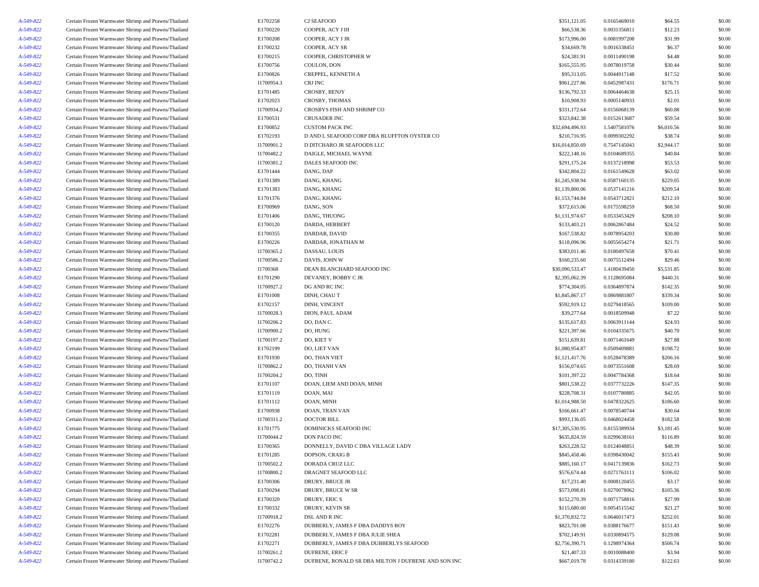| A-549-822 | Certain Frozen Warmwater Shrimp and Prawns/Thailand | E1702258   | CJ SEAFOOD                                          | \$351,121.05    | 0.0165469010 | \$64.55    | \$0.00 |
|-----------|-----------------------------------------------------|------------|-----------------------------------------------------|-----------------|--------------|------------|--------|
| A-549-822 | Certain Frozen Warmwater Shrimp and Prawns/Thailand | E1700220   | COOPER, ACY J III                                   | \$66,538.36     | 0.0031356811 | \$12.23    | \$0.00 |
| A-549-822 | Certain Frozen Warmwater Shrimp and Prawns/Thailand | E1700208   | COOPER, ACY J JR                                    | \$173,996.00    | 0.0081997208 | \$31.99    | \$0.00 |
| A-549-822 | Certain Frozen Warmwater Shrimp and Prawns/Thailand | E1700232   | COOPER, ACY SR                                      | \$34,669.78     | 0.0016338451 | \$6.37     | \$0.00 |
| A-549-822 | Certain Frozen Warmwater Shrimp and Prawns/Thailand | E1700215   | COOPER, CHRISTOPHER W                               | \$24,381.91     | 0.0011490198 | \$4.48     | \$0.00 |
| A-549-822 | Certain Frozen Warmwater Shrimp and Prawns/Thailand | E1700756   | COULON, DON                                         | \$165,555.95    | 0.0078019758 | \$30.44    | \$0.00 |
| A-549-822 | Certain Frozen Warmwater Shrimp and Prawns/Thailand | E1700826   | CREPPEL, KENNETH A                                  | \$95,313.05     | 0.0044917148 | \$17.52    | \$0.00 |
| A-549-822 | Certain Frozen Warmwater Shrimp and Prawns/Thailand | I1700954.3 | CRJ INC                                             | \$961,227.86    | 0.0452987431 | \$176.71   | \$0.00 |
| A-549-822 | Certain Frozen Warmwater Shrimp and Prawns/Thailand | E1701485   | CROSBY, BENJY                                       | \$136,792.33    | 0.0064464638 | \$25.15    | \$0.00 |
| A-549-822 | Certain Frozen Warmwater Shrimp and Prawns/Thailand | E1702023   | CROSBY, THOMAS                                      | \$10,908.93     | 0.0005140933 | \$2.01     | \$0.00 |
| A-549-822 | Certain Frozen Warmwater Shrimp and Prawns/Thailand | I1700934.2 | CROSBYS FISH AND SHRIMP CO                          | \$331,172.64    | 0.0156068139 | \$60.88    | \$0.00 |
| A-549-822 | Certain Frozen Warmwater Shrimp and Prawns/Thailand | E1700531   | CRUSADER INC                                        | \$323,842.38    | 0.0152613687 | \$59.54    | \$0.00 |
| A-549-822 | Certain Frozen Warmwater Shrimp and Prawns/Thailand | E1700852   | <b>CUSTOM PACK INC</b>                              | \$32,694,496.93 | 1.5407581076 | \$6,010.56 | \$0.00 |
| A-549-822 | Certain Frozen Warmwater Shrimp and Prawns/Thailand | E1702193   | D AND L SEAFOOD CORP DBA BLUFFTON OYSTER CO         | \$210,716.95    | 0.0099302292 | \$38.74    | \$0.00 |
| A-549-822 | Certain Frozen Warmwater Shrimp and Prawns/Thailand | I1700901.2 | D DITCHARO JR SEAFOODS LLC                          | \$16,014,850.69 | 0.7547145043 | \$2,944.17 | \$0.00 |
| A-549-822 | Certain Frozen Warmwater Shrimp and Prawns/Thailand | I1700482.2 | DAIGLE, MICHAEL WAYNE                               | \$222,148.16    | 0.0104689355 | \$40.84    | \$0.00 |
| A-549-822 | Certain Frozen Warmwater Shrimp and Prawns/Thailand | I1700381.2 | DALES SEAFOOD INC                                   | \$291,175.24    | 0.0137218998 | \$53.53    | \$0.00 |
| A-549-822 | Certain Frozen Warmwater Shrimp and Prawns/Thailand | E1701444   | DANG, DAP                                           | \$342,804.22    | 0.0161549628 | \$63.02    | \$0.00 |
| A-549-822 | Certain Frozen Warmwater Shrimp and Prawns/Thailand | E1701389   | DANG, KHANG                                         | \$1,245,938.94  | 0.0587160135 | \$229.05   | \$0.00 |
| A-549-822 | Certain Frozen Warmwater Shrimp and Prawns/Thailand | E1701383   | DANG, KHANG                                         | \$1,139,800.06  | 0.0537141216 | \$209.54   | \$0.00 |
| A-549-822 | Certain Frozen Warmwater Shrimp and Prawns/Thailand | E1701376   | DANG, KHANG                                         | \$1,153,744.84  | 0.0543712821 | \$212.10   | \$0.00 |
| A-549-822 | Certain Frozen Warmwater Shrimp and Prawns/Thailand | E1700969   | DANG, SON                                           | \$372,615.06    | 0.0175598259 | \$68.50    | \$0.00 |
| A-549-822 | Certain Frozen Warmwater Shrimp and Prawns/Thailand | E1701406   | DANG, THUONG                                        | \$1,131,974.67  | 0.0533453429 | \$208.10   | \$0.00 |
| A-549-822 | Certain Frozen Warmwater Shrimp and Prawns/Thailand | E1700120   | DARDA, HERBERT                                      | \$133,403.21    | 0.0062867484 | \$24.52    | \$0.00 |
| A-549-822 | Certain Frozen Warmwater Shrimp and Prawns/Thailand | E1700355   | DARDAR, DAVID                                       | \$167,538.82    | 0.0078954203 | \$30.80    | \$0.00 |
| A-549-822 | Certain Frozen Warmwater Shrimp and Prawns/Thailand | E1700226   | DARDAR, JONATHAN M                                  | \$118,096.96    | 0.0055654274 | \$21.71    | \$0.00 |
| A-549-822 | Certain Frozen Warmwater Shrimp and Prawns/Thailand | I1700365.2 | DASSAU, LOUIS                                       | \$383,011.46    | 0.0180497658 | \$70.41    | \$0.00 |
| A-549-822 | Certain Frozen Warmwater Shrimp and Prawns/Thailand | I1700586.2 | DAVIS, JOHN W                                       | \$160,235.60    | 0.0075512494 | \$29.46    | \$0.00 |
| A-549-822 | Certain Frozen Warmwater Shrimp and Prawns/Thailand | I1700368   | DEAN BLANCHARD SEAFOOD INC                          | \$30,090,533.47 | 1.4180439450 | \$5,531.85 | \$0.00 |
| A-549-822 | Certain Frozen Warmwater Shrimp and Prawns/Thailand | E1701290   | DEVANEY, BOBBY CJR                                  | \$2,395,062.39  | 0.1128695084 | \$440.31   | \$0.00 |
| A-549-822 | Certain Frozen Warmwater Shrimp and Prawns/Thailand | I1700927.2 | DG AND RC INC                                       | \$774,304.05    | 0.0364897874 | \$142.35   | \$0.00 |
| A-549-822 | Certain Frozen Warmwater Shrimp and Prawns/Thailand | E1701008   | DINH, CHAU T                                        | \$1,845,867.17  | 0.0869881807 | \$339.34   | \$0.00 |
| A-549-822 | Certain Frozen Warmwater Shrimp and Prawns/Thailand | E1702157   | DINH, VINCENT                                       | \$592,919.12    | 0.0279418565 | \$109.00   | \$0.00 |
| A-549-822 | Certain Frozen Warmwater Shrimp and Prawns/Thailand | I1700028.3 | DION, PAUL ADAM                                     | \$39,277.64     | 0.0018509948 | \$7.22     | \$0.00 |
| A-549-822 | Certain Frozen Warmwater Shrimp and Prawns/Thailand | I1700206.2 | DO, DAN C.                                          | \$135,617.83    | 0.0063911144 | \$24.93    | \$0.00 |
| A-549-822 | Certain Frozen Warmwater Shrimp and Prawns/Thailand | I1700900.2 | DO, HUNG                                            | \$221,397.66    | 0.0104335675 | \$40.70    | \$0.00 |
| A-549-822 | Certain Frozen Warmwater Shrimp and Prawns/Thailand | I1700197.2 | DO, KIET V                                          | \$151,639.81    | 0.0071461649 | \$27.88    | \$0.00 |
| A-549-822 | Certain Frozen Warmwater Shrimp and Prawns/Thailand | E1702199   | DO, LIET VAN                                        | \$1,080,954.87  | 0.0509409881 | \$198.72   | \$0.00 |
| A-549-822 | Certain Frozen Warmwater Shrimp and Prawns/Thailand | E1701930   | DO, THAN VIET                                       | \$1,121,417.76  | 0.0528478389 | \$206.16   | \$0.00 |
| A-549-822 | Certain Frozen Warmwater Shrimp and Prawns/Thailand | I1700862.2 | DO, THANH VAN                                       | \$156,074.65    | 0.0073551608 | \$28.69    | \$0.00 |
| A-549-822 | Certain Frozen Warmwater Shrimp and Prawns/Thailand | I1700204.2 | DO, TINH                                            | \$101,397.22    | 0.0047784368 | \$18.64    | \$0.00 |
| A-549-822 | Certain Frozen Warmwater Shrimp and Prawns/Thailand | E1701107   | DOAN, LIEM AND DOAN, MINH                           | \$801,538.22    | 0.0377732226 | \$147.35   | \$0.00 |
| A-549-822 | Certain Frozen Warmwater Shrimp and Prawns/Thailand | E1701119   | DOAN, MAI                                           | \$228,708.31    | 0.0107780885 | \$42.05    | \$0.00 |
| A-549-822 | Certain Frozen Warmwater Shrimp and Prawns/Thailand | E1701112   | DOAN, MINH                                          | \$1,014,988.50  | 0.0478322625 | \$186.60   | \$0.00 |
| A-549-822 | Certain Frozen Warmwater Shrimp and Prawns/Thailand | E1700938   | DOAN, TRAN VAN                                      | \$166,661.47    | 0.0078540744 | \$30.64    | \$0.00 |
| A-549-822 | Certain Frozen Warmwater Shrimp and Prawns/Thailand | I1700311.2 | <b>DOCTOR BILL</b>                                  | \$993,136.05    | 0.0468024458 | \$182.58   | \$0.00 |
| A-549-822 | Certain Frozen Warmwater Shrimp and Prawns/Thailand | E1701775   | DOMINICKS SEAFOOD INC                               | \$17,305,530.95 | 0.8155389934 | \$3,181.45 | \$0.00 |
| A-549-822 | Certain Frozen Warmwater Shrimp and Prawns/Thailand | I1700044.2 | DON PACO INC                                        | \$635,824.59    | 0.0299638161 | \$116.89   | \$0.00 |
| A-549-822 | Certain Frozen Warmwater Shrimp and Prawns/Thailand | E1700365   | DONNELLY, DAVID C DBA VILLAGE LADY                  | \$263,228.52    | 0.0124048851 | \$48.39    | \$0.00 |
| A-549-822 | Certain Frozen Warmwater Shrimp and Prawns/Thailand | E1701285   | DOPSON, CRAIG B                                     | \$845,458.46    | 0.0398430042 | \$155.43   | \$0.00 |
| A-549-822 | Certain Frozen Warmwater Shrimp and Prawns/Thailand | I1700502.2 | DORADA CRUZ LLC                                     | \$885,160.17    | 0.0417139836 | \$162.73   | \$0.00 |
| A-549-822 | Certain Frozen Warmwater Shrimp and Prawns/Thailand | I1700800.2 | DRAGNET SEAFOOD LLC                                 | \$576,674.44    | 0.0271763111 | \$106.02   | \$0.00 |
| A-549-822 | Certain Frozen Warmwater Shrimp and Prawns/Thailand | E1700306   | DRURY, BRUCE JR                                     | \$17,231.40     | 0.0008120455 | \$3.17     | \$0.00 |
| A-549-822 | Certain Frozen Warmwater Shrimp and Prawns/Thailand | E1700294   | DRURY, BRUCE W SR                                   | \$573,098.81    | 0.0270078062 | \$105.36   | \$0.00 |
| A-549-822 | Certain Frozen Warmwater Shrimp and Prawns/Thailand | E1700320   | DRURY, ERIC S                                       | \$152,270.39    | 0.0071758816 | \$27.99    | \$0.00 |
| A-549-822 | Certain Frozen Warmwater Shrimp and Prawns/Thailand | E1700332   | DRURY, KEVIN SR                                     | \$115,680.60    | 0.0054515542 | \$21.27    | \$0.00 |
| A-549-822 | Certain Frozen Warmwater Shrimp and Prawns/Thailand | I1700918.2 | DSL AND R INC                                       | \$1,370,832.72  | 0.0646017473 | \$252.01   | \$0.00 |
| A-549-822 | Certain Frozen Warmwater Shrimp and Prawns/Thailand | E1702276   | DUBBERLY, JAMES F DBA DADDYS BOY                    | \$823,701.08    | 0.0388176677 | \$151.43   | \$0.00 |
| A-549-822 | Certain Frozen Warmwater Shrimp and Prawns/Thailand | E1702281   | DUBBERLY, JAMES F DBA JULIE SHEA                    | \$702,149.91    | 0.0330894575 | \$129.08   | \$0.00 |
| A-549-822 | Certain Frozen Warmwater Shrimp and Prawns/Thailand | E1702271   | DUBBERLY, JAMES F DBA DUBBERLYS SEAFOOD             | \$2,756,390.71  | 0.1298974364 | \$506.74   | \$0.00 |
| A-549-822 | Certain Frozen Warmwater Shrimp and Prawns/Thailand | I1700261.2 | <b>DUFRENE, ERIC F</b>                              | \$21,407.33     | 0.0010088400 | \$3.94     | \$0.00 |
| A-549-822 | Certain Frozen Warmwater Shrimp and Prawns/Thailand | I1700742.2 | DUFRENE, RONALD SR DBA MILTON J DUFRENE AND SON INC | \$667,019.78    | 0.0314339180 | \$122.63   | \$0.00 |
|           |                                                     |            |                                                     |                 |              |            |        |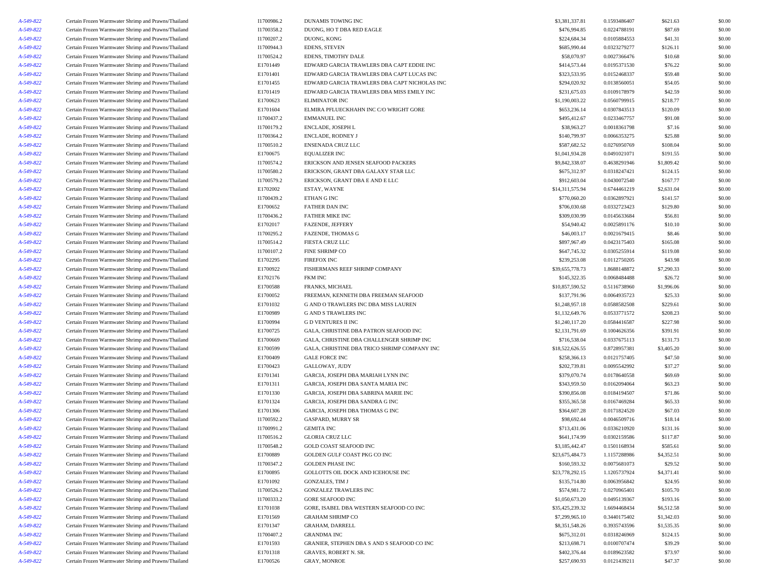| A-549-822 | Certain Frozen Warmwater Shrimp and Prawns/Thailand                                                        | I1700986.2 | <b>DUNAMIS TOWING INC</b>                    | \$3,381,337.81  | 0.1593486407 | \$621.63   | \$0.00 |
|-----------|------------------------------------------------------------------------------------------------------------|------------|----------------------------------------------|-----------------|--------------|------------|--------|
| A-549-822 | Certain Frozen Warmwater Shrimp and Prawns/Thailand                                                        | I1700358.2 | DUONG, HO T DBA RED EAGLE                    | \$476,994.85    | 0.0224788191 | \$87.69    | \$0.00 |
| A-549-822 | Certain Frozen Warmwater Shrimp and Prawns/Thailand                                                        | I1700207.2 | DUONG, KONG                                  | \$224,684.34    | 0.0105884553 | \$41.31    | \$0.00 |
| A-549-822 | Certain Frozen Warmwater Shrimp and Prawns/Thailand                                                        | I1700944.3 | <b>EDENS, STEVEN</b>                         | \$685,990.44    | 0.0323279277 | \$126.11   | \$0.00 |
| A-549-822 | Certain Frozen Warmwater Shrimp and Prawns/Thailand                                                        | I1700524.2 | EDENS, TIMOTHY DALE                          | \$58,070.97     | 0.0027366476 | \$10.68    | \$0.00 |
| A-549-822 | Certain Frozen Warmwater Shrimp and Prawns/Thailand                                                        | E1701449   | EDWARD GARCIA TRAWLERS DBA CAPT EDDIE INC    | \$414,573.44    | 0.0195371530 | \$76.22    | \$0.00 |
| A-549-822 | Certain Frozen Warmwater Shrimp and Prawns/Thailand                                                        | E1701401   | EDWARD GARCIA TRAWLERS DBA CAPT LUCAS INC    | \$323,533.95    | 0.0152468337 | \$59.48    | \$0.00 |
| A-549-822 | Certain Frozen Warmwater Shrimp and Prawns/Thailand                                                        | E1701455   | EDWARD GARCIA TRAWLERS DBA CAPT NICHOLAS INC | \$294,020.92    | 0.0138560051 | \$54.05    | \$0.00 |
| A-549-822 | Certain Frozen Warmwater Shrimp and Prawns/Thailand                                                        | E1701419   | EDWARD GARCIA TRAWLERS DBA MISS EMILY INC    | \$231,675.03    | 0.0109178979 | \$42.59    | \$0.00 |
| A-549-822 | Certain Frozen Warmwater Shrimp and Prawns/Thailand                                                        | E1700623   | <b>ELIMINATOR INC</b>                        | \$1,190,003.22  | 0.0560799915 | \$218.77   | \$0.00 |
| A-549-822 | Certain Frozen Warmwater Shrimp and Prawns/Thailand                                                        | E1701604   | ELMIRA PFLUECKHAHN INC C/O WRIGHT GORE       | \$653,236.14    | 0.0307843513 | \$120.09   | \$0.00 |
| A-549-822 | Certain Frozen Warmwater Shrimp and Prawns/Thailand                                                        | I1700437.2 | <b>EMMANUEL INC</b>                          | \$495,412.67    | 0.0233467757 | \$91.08    | \$0.00 |
| A-549-822 | Certain Frozen Warmwater Shrimp and Prawns/Thailand                                                        | I1700179.2 | ENCLADE, JOSEPH L                            | \$38,963.27     | 0.0018361798 | \$7.16     | \$0.00 |
| A-549-822 | Certain Frozen Warmwater Shrimp and Prawns/Thailand                                                        | I1700364.2 | <b>ENCLADE, RODNEY J</b>                     | \$140,799.97    | 0.0066353275 | \$25.88    | \$0.00 |
| A-549-822 | Certain Frozen Warmwater Shrimp and Prawns/Thailand                                                        | I1700510.2 | <b>ENSENADA CRUZ LLC</b>                     | \$587,682.52    | 0.0276950769 | \$108.04   | \$0.00 |
|           | Certain Frozen Warmwater Shrimp and Prawns/Thailand                                                        | E1700675   | <b>EQUALIZER INC</b>                         | \$1,041,934.28  | 0.0491021071 | \$191.55   | \$0.00 |
| A-549-822 |                                                                                                            |            |                                              |                 |              |            |        |
| A-549-822 | Certain Frozen Warmwater Shrimp and Prawns/Thailand                                                        | I1700574.2 | ERICKSON AND JENSEN SEAFOOD PACKERS          | \$9,842,338.07  | 0.4638291946 | \$1,809.42 | \$0.00 |
| A-549-822 | Certain Frozen Warmwater Shrimp and Prawns/Thailand                                                        | I1700580.2 | ERICKSON, GRANT DBA GALAXY STAR LLC          | \$675,312.97    | 0.0318247421 | \$124.15   | \$0.00 |
| A-549-822 | Certain Frozen Warmwater Shrimp and Prawns/Thailand                                                        | I1700579.2 | ERICKSON, GRANT DBA E AND E LLC              | \$912,603.04    | 0.0430072540 | \$167.77   | \$0.00 |
| A-549-822 | Certain Frozen Warmwater Shrimp and Prawns/Thailand                                                        | E1702002   | ESTAY, WAYNE                                 | \$14,311,575.94 | 0.6744461219 | \$2,631.04 | \$0.00 |
| A-549-822 | Certain Frozen Warmwater Shrimp and Prawns/Thailand                                                        | I1700439.2 | ETHAN G INC                                  | \$770,060.20    | 0.0362897921 | \$141.57   | \$0.00 |
| A-549-822 | Certain Frozen Warmwater Shrimp and Prawns/Thailand                                                        | E1700652   | FATHER DAN INC                               | \$706,030.68    | 0.0332723423 | \$129.80   | \$0.00 |
| A-549-822 | Certain Frozen Warmwater Shrimp and Prawns/Thailand                                                        | I1700436.2 | <b>FATHER MIKE INC</b>                       | \$309,030.99    | 0.0145633684 | \$56.81    | \$0.00 |
| A-549-822 | Certain Frozen Warmwater Shrimp and Prawns/Thailand                                                        | E1702017   | FAZENDE, JEFFERY                             | \$54,940.42     | 0.0025891176 | \$10.10    | \$0.00 |
| A-549-822 | Certain Frozen Warmwater Shrimp and Prawns/Thailand                                                        | I1700295.2 | <b>FAZENDE, THOMAS G</b>                     | \$46,003.17     | 0.0021679415 | \$8.46     | \$0.00 |
| A-549-822 | Certain Frozen Warmwater Shrimp and Prawns/Thailand                                                        | I1700514.2 | <b>FIESTA CRUZ LLC</b>                       | \$897,967.49    | 0.0423175403 | \$165.08   | \$0.00 |
| A-549-822 | Certain Frozen Warmwater Shrimp and Prawns/Thailand                                                        | I1700107.2 | <b>FINE SHRIMP CO</b>                        | \$647,745.32    | 0.0305255914 | \$119.08   | \$0.00 |
| A-549-822 | Certain Frozen Warmwater Shrimp and Prawns/Thailand                                                        | E1702295   | <b>FIREFOX INC</b>                           | \$239,253.08    | 0.0112750205 | \$43.98    | \$0.00 |
| A-549-822 | Certain Frozen Warmwater Shrimp and Prawns/Thailand                                                        | E1700922   | FISHERMANS REEF SHRIMP COMPANY               | \$39,655,778.73 | 1.8688148872 | \$7,290.33 | \$0.00 |
| A-549-822 | Certain Frozen Warmwater Shrimp and Prawns/Thailand                                                        | E1702176   | FKM INC                                      | \$145,322.35    | 0.0068484488 | \$26.72    | \$0.00 |
| A-549-822 | Certain Frozen Warmwater Shrimp and Prawns/Thailand                                                        | E1700588   | FRANKS, MICHAEL                              | \$10,857,590.52 | 0.5116738960 | \$1,996.06 | \$0.00 |
| A-549-822 | Certain Frozen Warmwater Shrimp and Prawns/Thailand                                                        | E1700052   | FREEMAN, KENNETH DBA FREEMAN SEAFOOD         | \$137,791.96    | 0.0064935723 | \$25.33    | \$0.00 |
| A-549-822 | Certain Frozen Warmwater Shrimp and Prawns/Thailand                                                        | E1701032   | G AND O TRAWLERS INC DBA MISS LAUREN         | \$1,248,957.18  | 0.0588582508 | \$229.61   | \$0.00 |
| A-549-822 | Certain Frozen Warmwater Shrimp and Prawns/Thailand                                                        | E1700989   | <b>G AND S TRAWLERS INC</b>                  | \$1,132,649.76  | 0.0533771572 | \$208.23   | \$0.00 |
| A-549-822 | Certain Frozen Warmwater Shrimp and Prawns/Thailand                                                        | E1700994   | <b>GD VENTURES II INC</b>                    | \$1,240,117.20  | 0.0584416587 | \$227.98   | \$0.00 |
| A-549-822 | Certain Frozen Warmwater Shrimp and Prawns/Thailand                                                        | E1700725   | GALA, CHRISTINE DBA PATRON SEAFOOD INC       | \$2,131,791.69  | 0.1004626356 | \$391.91   | \$0.00 |
| A-549-822 | Certain Frozen Warmwater Shrimp and Prawns/Thailand                                                        | E1700669   | GALA, CHRISTINE DBA CHALLENGER SHRIMP INC    | \$716,538.04    | 0.0337675113 | \$131.73   | \$0.00 |
| A-549-822 | Certain Frozen Warmwater Shrimp and Prawns/Thailand                                                        | E1700599   | GALA, CHRISTINE DBA TRICO SHRIMP COMPANY INC | \$18,522,626.55 | 0.8728957381 | \$3,405.20 | \$0.00 |
| A-549-822 | Certain Frozen Warmwater Shrimp and Prawns/Thailand                                                        | E1700409   | <b>GALE FORCE INC</b>                        | \$258,366.13    | 0.0121757405 | \$47.50    | \$0.00 |
| A-549-822 | Certain Frozen Warmwater Shrimp and Prawns/Thailand                                                        | E1700423   | GALLOWAY, JUDY                               | \$202,739.81    | 0.0095542992 | \$37.27    | \$0.00 |
| A-549-822 | Certain Frozen Warmwater Shrimp and Prawns/Thailand                                                        | E1701341   | GARCIA, JOSEPH DBA MARIAH LYNN INC           | \$379,070.74    | 0.0178640558 | \$69.69    | \$0.00 |
| A-549-822 | Certain Frozen Warmwater Shrimp and Prawns/Thailand                                                        | E1701311   | GARCIA, JOSEPH DBA SANTA MARIA INC           | \$343,959.50    | 0.0162094064 | \$63.23    | \$0.00 |
| A-549-822 | Certain Frozen Warmwater Shrimp and Prawns/Thailand                                                        | E1701330   | GARCIA, JOSEPH DBA SABRINA MARIE INC         | \$390,856.08    | 0.0184194507 | \$71.86    | \$0.00 |
| A-549-822 | Certain Frozen Warmwater Shrimp and Prawns/Thailand                                                        | E1701324   | GARCIA, JOSEPH DBA SANDRA G INC              | \$355,365.58    | 0.0167469284 | \$65.33    | \$0.00 |
|           |                                                                                                            |            |                                              |                 |              |            |        |
| A-549-822 | Certain Frozen Warmwater Shrimp and Prawns/Thailand<br>Certain Frozen Warmwater Shrimp and Prawns/Thailand | E1701306   | GARCIA, JOSEPH DBA THOMAS G INC              | \$364,607.28    | 0.0171824520 | \$67.03    | \$0.00 |
| A-549-822 |                                                                                                            | I1700592.2 | <b>GASPARD, MURRY SR</b>                     | \$98,692.44     | 0.0046509716 | \$18.14    | \$0.00 |
| A-549-822 | Certain Frozen Warmwater Shrimp and Prawns/Thailand                                                        | I1700991.2 | <b>GEMITA INC</b>                            | \$713,431.06    | 0.0336210920 | \$131.16   | \$0.00 |
| A-549-822 | Certain Frozen Warmwater Shrimp and Prawns/Thailand                                                        | I1700516.2 | <b>GLORIA CRUZ LLC</b>                       | \$641,174.99    | 0.0302159586 | \$117.87   | \$0.00 |
| A-549-822 | Certain Frozen Warmwater Shrimp and Prawns/Thailand                                                        | I1700548.2 | GOLD COAST SEAFOOD INC                       | \$3,185,442.47  | 0.1501168934 | \$585.61   | \$0.00 |
| A-549-822 | Certain Frozen Warmwater Shrimp and Prawns/Thailand                                                        | E1700889   | GOLDEN GULF COAST PKG CO INC                 | \$23,675,484.73 | 1.1157288986 | \$4,352.51 | \$0.00 |
| A-549-822 | Certain Frozen Warmwater Shrimp and Prawns/Thailand                                                        | I1700347.2 | <b>GOLDEN PHASE INC</b>                      | \$160,593.32    | 0.0075681073 | \$29.52    | \$0.00 |
| A-549-822 | Certain Frozen Warmwater Shrimp and Prawns/Thailand                                                        | E1700895   | GOLLOTTS OIL DOCK AND ICEHOUSE INC           | \$23,778,292.15 | 1.1205737924 | \$4,371.41 | \$0.00 |
| A-549-822 | Certain Frozen Warmwater Shrimp and Prawns/Thailand                                                        | E1701092   | <b>GONZALES, TIM J</b>                       | \$135,714.80    | 0.0063956842 | \$24.95    | \$0.00 |
| A-549-822 | Certain Frozen Warmwater Shrimp and Prawns/Thailand                                                        | I1700526.2 | <b>GONZALEZ TRAWLERS INC</b>                 | \$574,981.72    | 0.0270965401 | \$105.70   | \$0.00 |
| A-549-822 | Certain Frozen Warmwater Shrimp and Prawns/Thailand                                                        | I1700333.2 | <b>GORE SEAFOOD INC</b>                      | \$1,050,673.20  | 0.0495139367 | \$193.16   | \$0.00 |
| A-549-822 | Certain Frozen Warmwater Shrimp and Prawns/Thailand                                                        | E1701038   | GORE, ISABEL DBA WESTERN SEAFOOD CO INC      | \$35,425,239.32 | 1.6694468434 | \$6,512.58 | \$0.00 |
| A-549-822 | Certain Frozen Warmwater Shrimp and Prawns/Thailand                                                        | E1701569   | <b>GRAHAM SHRIMP CO</b>                      | \$7,299,965.10  | 0.3440175402 | \$1,342.03 | \$0.00 |
| A-549-822 | Certain Frozen Warmwater Shrimp and Prawns/Thailand                                                        | E1701347   | GRAHAM, DARRELL                              | \$8,351,548.26  | 0.3935743596 | \$1,535.35 | \$0.00 |
| A-549-822 | Certain Frozen Warmwater Shrimp and Prawns/Thailand                                                        | I1700407.2 | <b>GRANDMA INC</b>                           | \$675,312.01    | 0.0318246969 | \$124.15   | \$0.00 |
| A-549-822 | Certain Frozen Warmwater Shrimp and Prawns/Thailand                                                        | E1701593   | GRANIER, STEPHEN DBA S AND S SEAFOOD CO INC  | \$213,698.71    | 0.0100707474 | \$39.29    | \$0.00 |
| A-549-822 | Certain Frozen Warmwater Shrimp and Prawns/Thailand                                                        | E1701318   | GRAVES, ROBERT N. SR.                        | \$402,376.44    | 0.0189623582 | \$73.97    | \$0.00 |
| A-549-822 | Certain Frozen Warmwater Shrimp and Prawns/Thailand                                                        | E1700526   | GRAY, MONROE                                 | \$257,690.93    | 0.0121439211 | \$47.37    | \$0.00 |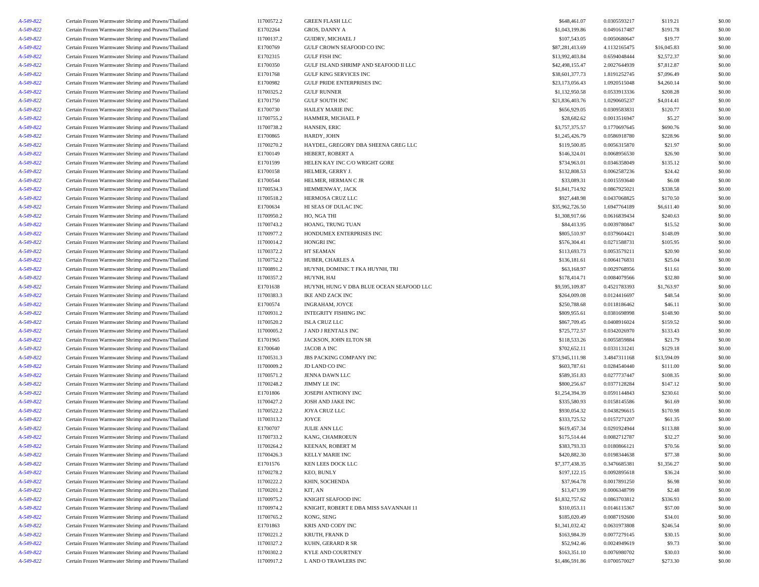|                                                     |                                                                                                                                                                                                                                                                                                                                                                                                                                                                                                                                                                                                                                                                                                                                                                                                                                                                                                                                                                                                                                                                                                                                                                                                                                                                                                                                                                                                                                                                                                                                                                                                                                                                                                                                                                                                                                                                                                                                            |                                                                                                                                                                                                                                                                                                                                                                                                                                      |                                                                                                                                                                                                                                                                                                                                                                                                                                                                                                                                                                                                                                                                                                                                                           |                                                                                                                                                                                                                                                                                                                                                                                                                                                                                                                               |                                                                                                                                                                                                                                                                                                                                                                                                                                                                                              | \$0.00                                                                                                                                                                                                                                                                                                                                                                                          |
|-----------------------------------------------------|--------------------------------------------------------------------------------------------------------------------------------------------------------------------------------------------------------------------------------------------------------------------------------------------------------------------------------------------------------------------------------------------------------------------------------------------------------------------------------------------------------------------------------------------------------------------------------------------------------------------------------------------------------------------------------------------------------------------------------------------------------------------------------------------------------------------------------------------------------------------------------------------------------------------------------------------------------------------------------------------------------------------------------------------------------------------------------------------------------------------------------------------------------------------------------------------------------------------------------------------------------------------------------------------------------------------------------------------------------------------------------------------------------------------------------------------------------------------------------------------------------------------------------------------------------------------------------------------------------------------------------------------------------------------------------------------------------------------------------------------------------------------------------------------------------------------------------------------------------------------------------------------------------------------------------------------|--------------------------------------------------------------------------------------------------------------------------------------------------------------------------------------------------------------------------------------------------------------------------------------------------------------------------------------------------------------------------------------------------------------------------------------|-----------------------------------------------------------------------------------------------------------------------------------------------------------------------------------------------------------------------------------------------------------------------------------------------------------------------------------------------------------------------------------------------------------------------------------------------------------------------------------------------------------------------------------------------------------------------------------------------------------------------------------------------------------------------------------------------------------------------------------------------------------|-------------------------------------------------------------------------------------------------------------------------------------------------------------------------------------------------------------------------------------------------------------------------------------------------------------------------------------------------------------------------------------------------------------------------------------------------------------------------------------------------------------------------------|----------------------------------------------------------------------------------------------------------------------------------------------------------------------------------------------------------------------------------------------------------------------------------------------------------------------------------------------------------------------------------------------------------------------------------------------------------------------------------------------|-------------------------------------------------------------------------------------------------------------------------------------------------------------------------------------------------------------------------------------------------------------------------------------------------------------------------------------------------------------------------------------------------|
|                                                     |                                                                                                                                                                                                                                                                                                                                                                                                                                                                                                                                                                                                                                                                                                                                                                                                                                                                                                                                                                                                                                                                                                                                                                                                                                                                                                                                                                                                                                                                                                                                                                                                                                                                                                                                                                                                                                                                                                                                            |                                                                                                                                                                                                                                                                                                                                                                                                                                      |                                                                                                                                                                                                                                                                                                                                                                                                                                                                                                                                                                                                                                                                                                                                                           |                                                                                                                                                                                                                                                                                                                                                                                                                                                                                                                               |                                                                                                                                                                                                                                                                                                                                                                                                                                                                                              | \$0.00                                                                                                                                                                                                                                                                                                                                                                                          |
|                                                     |                                                                                                                                                                                                                                                                                                                                                                                                                                                                                                                                                                                                                                                                                                                                                                                                                                                                                                                                                                                                                                                                                                                                                                                                                                                                                                                                                                                                                                                                                                                                                                                                                                                                                                                                                                                                                                                                                                                                            |                                                                                                                                                                                                                                                                                                                                                                                                                                      |                                                                                                                                                                                                                                                                                                                                                                                                                                                                                                                                                                                                                                                                                                                                                           |                                                                                                                                                                                                                                                                                                                                                                                                                                                                                                                               |                                                                                                                                                                                                                                                                                                                                                                                                                                                                                              | \$0.00                                                                                                                                                                                                                                                                                                                                                                                          |
| Certain Frozen Warmwater Shrimp and Prawns/Thailand |                                                                                                                                                                                                                                                                                                                                                                                                                                                                                                                                                                                                                                                                                                                                                                                                                                                                                                                                                                                                                                                                                                                                                                                                                                                                                                                                                                                                                                                                                                                                                                                                                                                                                                                                                                                                                                                                                                                                            | GULF CROWN SEAFOOD CO INC                                                                                                                                                                                                                                                                                                                                                                                                            | \$87,281,413.69                                                                                                                                                                                                                                                                                                                                                                                                                                                                                                                                                                                                                                                                                                                                           | 4.1132165475                                                                                                                                                                                                                                                                                                                                                                                                                                                                                                                  | \$16,045.83                                                                                                                                                                                                                                                                                                                                                                                                                                                                                  | \$0.00                                                                                                                                                                                                                                                                                                                                                                                          |
| Certain Frozen Warmwater Shrimp and Prawns/Thailand | E1702315                                                                                                                                                                                                                                                                                                                                                                                                                                                                                                                                                                                                                                                                                                                                                                                                                                                                                                                                                                                                                                                                                                                                                                                                                                                                                                                                                                                                                                                                                                                                                                                                                                                                                                                                                                                                                                                                                                                                   | <b>GULF FISH INC</b>                                                                                                                                                                                                                                                                                                                                                                                                                 | \$13,992,403.84                                                                                                                                                                                                                                                                                                                                                                                                                                                                                                                                                                                                                                                                                                                                           | 0.6594048444                                                                                                                                                                                                                                                                                                                                                                                                                                                                                                                  |                                                                                                                                                                                                                                                                                                                                                                                                                                                                                              | \$0.00                                                                                                                                                                                                                                                                                                                                                                                          |
| Certain Frozen Warmwater Shrimp and Prawns/Thailand | E1700350                                                                                                                                                                                                                                                                                                                                                                                                                                                                                                                                                                                                                                                                                                                                                                                                                                                                                                                                                                                                                                                                                                                                                                                                                                                                                                                                                                                                                                                                                                                                                                                                                                                                                                                                                                                                                                                                                                                                   | GULF ISLAND SHRIMP AND SEAFOOD II LLC                                                                                                                                                                                                                                                                                                                                                                                                | \$42,498,155.47                                                                                                                                                                                                                                                                                                                                                                                                                                                                                                                                                                                                                                                                                                                                           | 2.0027644939                                                                                                                                                                                                                                                                                                                                                                                                                                                                                                                  | \$7,812.87                                                                                                                                                                                                                                                                                                                                                                                                                                                                                   | \$0.00                                                                                                                                                                                                                                                                                                                                                                                          |
| Certain Frozen Warmwater Shrimp and Prawns/Thailand | E1701768                                                                                                                                                                                                                                                                                                                                                                                                                                                                                                                                                                                                                                                                                                                                                                                                                                                                                                                                                                                                                                                                                                                                                                                                                                                                                                                                                                                                                                                                                                                                                                                                                                                                                                                                                                                                                                                                                                                                   | <b>GULF KING SERVICES INC</b>                                                                                                                                                                                                                                                                                                                                                                                                        | \$38,601,377.73                                                                                                                                                                                                                                                                                                                                                                                                                                                                                                                                                                                                                                                                                                                                           | 1.8191252745                                                                                                                                                                                                                                                                                                                                                                                                                                                                                                                  | \$7,096.49                                                                                                                                                                                                                                                                                                                                                                                                                                                                                   | \$0.00                                                                                                                                                                                                                                                                                                                                                                                          |
| Certain Frozen Warmwater Shrimp and Prawns/Thailand | E1700982                                                                                                                                                                                                                                                                                                                                                                                                                                                                                                                                                                                                                                                                                                                                                                                                                                                                                                                                                                                                                                                                                                                                                                                                                                                                                                                                                                                                                                                                                                                                                                                                                                                                                                                                                                                                                                                                                                                                   | <b>GULF PRIDE ENTERPRISES INC</b>                                                                                                                                                                                                                                                                                                                                                                                                    | \$23,173,056.43                                                                                                                                                                                                                                                                                                                                                                                                                                                                                                                                                                                                                                                                                                                                           | 1.0920515048                                                                                                                                                                                                                                                                                                                                                                                                                                                                                                                  | \$4,260.14                                                                                                                                                                                                                                                                                                                                                                                                                                                                                   | \$0.00                                                                                                                                                                                                                                                                                                                                                                                          |
| Certain Frozen Warmwater Shrimp and Prawns/Thailand | I1700325.2                                                                                                                                                                                                                                                                                                                                                                                                                                                                                                                                                                                                                                                                                                                                                                                                                                                                                                                                                                                                                                                                                                                                                                                                                                                                                                                                                                                                                                                                                                                                                                                                                                                                                                                                                                                                                                                                                                                                 | <b>GULF RUNNER</b>                                                                                                                                                                                                                                                                                                                                                                                                                   | \$1,132,950.58                                                                                                                                                                                                                                                                                                                                                                                                                                                                                                                                                                                                                                                                                                                                            | 0.0533913336                                                                                                                                                                                                                                                                                                                                                                                                                                                                                                                  | \$208.28                                                                                                                                                                                                                                                                                                                                                                                                                                                                                     | \$0.00                                                                                                                                                                                                                                                                                                                                                                                          |
| Certain Frozen Warmwater Shrimp and Prawns/Thailand | E1701750                                                                                                                                                                                                                                                                                                                                                                                                                                                                                                                                                                                                                                                                                                                                                                                                                                                                                                                                                                                                                                                                                                                                                                                                                                                                                                                                                                                                                                                                                                                                                                                                                                                                                                                                                                                                                                                                                                                                   | GULF SOUTH INC                                                                                                                                                                                                                                                                                                                                                                                                                       | \$21,836,403.76                                                                                                                                                                                                                                                                                                                                                                                                                                                                                                                                                                                                                                                                                                                                           | 1.0290605237                                                                                                                                                                                                                                                                                                                                                                                                                                                                                                                  | \$4,014.41                                                                                                                                                                                                                                                                                                                                                                                                                                                                                   | \$0.00                                                                                                                                                                                                                                                                                                                                                                                          |
| Certain Frozen Warmwater Shrimp and Prawns/Thailand | E1700730                                                                                                                                                                                                                                                                                                                                                                                                                                                                                                                                                                                                                                                                                                                                                                                                                                                                                                                                                                                                                                                                                                                                                                                                                                                                                                                                                                                                                                                                                                                                                                                                                                                                                                                                                                                                                                                                                                                                   | <b>HAILEY MARIE INC</b>                                                                                                                                                                                                                                                                                                                                                                                                              | \$656,929.05                                                                                                                                                                                                                                                                                                                                                                                                                                                                                                                                                                                                                                                                                                                                              | 0.0309583831                                                                                                                                                                                                                                                                                                                                                                                                                                                                                                                  | \$120.77                                                                                                                                                                                                                                                                                                                                                                                                                                                                                     | \$0.00                                                                                                                                                                                                                                                                                                                                                                                          |
|                                                     |                                                                                                                                                                                                                                                                                                                                                                                                                                                                                                                                                                                                                                                                                                                                                                                                                                                                                                                                                                                                                                                                                                                                                                                                                                                                                                                                                                                                                                                                                                                                                                                                                                                                                                                                                                                                                                                                                                                                            | HAMMER, MICHAEL P                                                                                                                                                                                                                                                                                                                                                                                                                    | \$28,682.62                                                                                                                                                                                                                                                                                                                                                                                                                                                                                                                                                                                                                                                                                                                                               | 0.0013516947                                                                                                                                                                                                                                                                                                                                                                                                                                                                                                                  |                                                                                                                                                                                                                                                                                                                                                                                                                                                                                              | \$0.00                                                                                                                                                                                                                                                                                                                                                                                          |
|                                                     |                                                                                                                                                                                                                                                                                                                                                                                                                                                                                                                                                                                                                                                                                                                                                                                                                                                                                                                                                                                                                                                                                                                                                                                                                                                                                                                                                                                                                                                                                                                                                                                                                                                                                                                                                                                                                                                                                                                                            |                                                                                                                                                                                                                                                                                                                                                                                                                                      |                                                                                                                                                                                                                                                                                                                                                                                                                                                                                                                                                                                                                                                                                                                                                           |                                                                                                                                                                                                                                                                                                                                                                                                                                                                                                                               |                                                                                                                                                                                                                                                                                                                                                                                                                                                                                              | \$0.00                                                                                                                                                                                                                                                                                                                                                                                          |
|                                                     |                                                                                                                                                                                                                                                                                                                                                                                                                                                                                                                                                                                                                                                                                                                                                                                                                                                                                                                                                                                                                                                                                                                                                                                                                                                                                                                                                                                                                                                                                                                                                                                                                                                                                                                                                                                                                                                                                                                                            |                                                                                                                                                                                                                                                                                                                                                                                                                                      |                                                                                                                                                                                                                                                                                                                                                                                                                                                                                                                                                                                                                                                                                                                                                           |                                                                                                                                                                                                                                                                                                                                                                                                                                                                                                                               |                                                                                                                                                                                                                                                                                                                                                                                                                                                                                              | \$0.00                                                                                                                                                                                                                                                                                                                                                                                          |
|                                                     |                                                                                                                                                                                                                                                                                                                                                                                                                                                                                                                                                                                                                                                                                                                                                                                                                                                                                                                                                                                                                                                                                                                                                                                                                                                                                                                                                                                                                                                                                                                                                                                                                                                                                                                                                                                                                                                                                                                                            |                                                                                                                                                                                                                                                                                                                                                                                                                                      |                                                                                                                                                                                                                                                                                                                                                                                                                                                                                                                                                                                                                                                                                                                                                           |                                                                                                                                                                                                                                                                                                                                                                                                                                                                                                                               |                                                                                                                                                                                                                                                                                                                                                                                                                                                                                              | \$0.00                                                                                                                                                                                                                                                                                                                                                                                          |
|                                                     |                                                                                                                                                                                                                                                                                                                                                                                                                                                                                                                                                                                                                                                                                                                                                                                                                                                                                                                                                                                                                                                                                                                                                                                                                                                                                                                                                                                                                                                                                                                                                                                                                                                                                                                                                                                                                                                                                                                                            |                                                                                                                                                                                                                                                                                                                                                                                                                                      |                                                                                                                                                                                                                                                                                                                                                                                                                                                                                                                                                                                                                                                                                                                                                           |                                                                                                                                                                                                                                                                                                                                                                                                                                                                                                                               |                                                                                                                                                                                                                                                                                                                                                                                                                                                                                              | \$0.00                                                                                                                                                                                                                                                                                                                                                                                          |
|                                                     |                                                                                                                                                                                                                                                                                                                                                                                                                                                                                                                                                                                                                                                                                                                                                                                                                                                                                                                                                                                                                                                                                                                                                                                                                                                                                                                                                                                                                                                                                                                                                                                                                                                                                                                                                                                                                                                                                                                                            |                                                                                                                                                                                                                                                                                                                                                                                                                                      |                                                                                                                                                                                                                                                                                                                                                                                                                                                                                                                                                                                                                                                                                                                                                           |                                                                                                                                                                                                                                                                                                                                                                                                                                                                                                                               |                                                                                                                                                                                                                                                                                                                                                                                                                                                                                              | \$0.00                                                                                                                                                                                                                                                                                                                                                                                          |
|                                                     |                                                                                                                                                                                                                                                                                                                                                                                                                                                                                                                                                                                                                                                                                                                                                                                                                                                                                                                                                                                                                                                                                                                                                                                                                                                                                                                                                                                                                                                                                                                                                                                                                                                                                                                                                                                                                                                                                                                                            |                                                                                                                                                                                                                                                                                                                                                                                                                                      |                                                                                                                                                                                                                                                                                                                                                                                                                                                                                                                                                                                                                                                                                                                                                           |                                                                                                                                                                                                                                                                                                                                                                                                                                                                                                                               |                                                                                                                                                                                                                                                                                                                                                                                                                                                                                              |                                                                                                                                                                                                                                                                                                                                                                                                 |
|                                                     |                                                                                                                                                                                                                                                                                                                                                                                                                                                                                                                                                                                                                                                                                                                                                                                                                                                                                                                                                                                                                                                                                                                                                                                                                                                                                                                                                                                                                                                                                                                                                                                                                                                                                                                                                                                                                                                                                                                                            |                                                                                                                                                                                                                                                                                                                                                                                                                                      |                                                                                                                                                                                                                                                                                                                                                                                                                                                                                                                                                                                                                                                                                                                                                           |                                                                                                                                                                                                                                                                                                                                                                                                                                                                                                                               |                                                                                                                                                                                                                                                                                                                                                                                                                                                                                              | \$0.00                                                                                                                                                                                                                                                                                                                                                                                          |
|                                                     |                                                                                                                                                                                                                                                                                                                                                                                                                                                                                                                                                                                                                                                                                                                                                                                                                                                                                                                                                                                                                                                                                                                                                                                                                                                                                                                                                                                                                                                                                                                                                                                                                                                                                                                                                                                                                                                                                                                                            |                                                                                                                                                                                                                                                                                                                                                                                                                                      |                                                                                                                                                                                                                                                                                                                                                                                                                                                                                                                                                                                                                                                                                                                                                           |                                                                                                                                                                                                                                                                                                                                                                                                                                                                                                                               |                                                                                                                                                                                                                                                                                                                                                                                                                                                                                              | \$0.00                                                                                                                                                                                                                                                                                                                                                                                          |
|                                                     |                                                                                                                                                                                                                                                                                                                                                                                                                                                                                                                                                                                                                                                                                                                                                                                                                                                                                                                                                                                                                                                                                                                                                                                                                                                                                                                                                                                                                                                                                                                                                                                                                                                                                                                                                                                                                                                                                                                                            |                                                                                                                                                                                                                                                                                                                                                                                                                                      |                                                                                                                                                                                                                                                                                                                                                                                                                                                                                                                                                                                                                                                                                                                                                           |                                                                                                                                                                                                                                                                                                                                                                                                                                                                                                                               |                                                                                                                                                                                                                                                                                                                                                                                                                                                                                              | \$0.00                                                                                                                                                                                                                                                                                                                                                                                          |
|                                                     |                                                                                                                                                                                                                                                                                                                                                                                                                                                                                                                                                                                                                                                                                                                                                                                                                                                                                                                                                                                                                                                                                                                                                                                                                                                                                                                                                                                                                                                                                                                                                                                                                                                                                                                                                                                                                                                                                                                                            |                                                                                                                                                                                                                                                                                                                                                                                                                                      |                                                                                                                                                                                                                                                                                                                                                                                                                                                                                                                                                                                                                                                                                                                                                           |                                                                                                                                                                                                                                                                                                                                                                                                                                                                                                                               |                                                                                                                                                                                                                                                                                                                                                                                                                                                                                              | \$0.00                                                                                                                                                                                                                                                                                                                                                                                          |
|                                                     |                                                                                                                                                                                                                                                                                                                                                                                                                                                                                                                                                                                                                                                                                                                                                                                                                                                                                                                                                                                                                                                                                                                                                                                                                                                                                                                                                                                                                                                                                                                                                                                                                                                                                                                                                                                                                                                                                                                                            |                                                                                                                                                                                                                                                                                                                                                                                                                                      |                                                                                                                                                                                                                                                                                                                                                                                                                                                                                                                                                                                                                                                                                                                                                           |                                                                                                                                                                                                                                                                                                                                                                                                                                                                                                                               |                                                                                                                                                                                                                                                                                                                                                                                                                                                                                              | \$0.00                                                                                                                                                                                                                                                                                                                                                                                          |
|                                                     | I1700950.2                                                                                                                                                                                                                                                                                                                                                                                                                                                                                                                                                                                                                                                                                                                                                                                                                                                                                                                                                                                                                                                                                                                                                                                                                                                                                                                                                                                                                                                                                                                                                                                                                                                                                                                                                                                                                                                                                                                                 | HO, NGA THI                                                                                                                                                                                                                                                                                                                                                                                                                          |                                                                                                                                                                                                                                                                                                                                                                                                                                                                                                                                                                                                                                                                                                                                                           | 0.0616839434                                                                                                                                                                                                                                                                                                                                                                                                                                                                                                                  | \$240.63                                                                                                                                                                                                                                                                                                                                                                                                                                                                                     | \$0.00                                                                                                                                                                                                                                                                                                                                                                                          |
| Certain Frozen Warmwater Shrimp and Prawns/Thailand | I1700743.2                                                                                                                                                                                                                                                                                                                                                                                                                                                                                                                                                                                                                                                                                                                                                                                                                                                                                                                                                                                                                                                                                                                                                                                                                                                                                                                                                                                                                                                                                                                                                                                                                                                                                                                                                                                                                                                                                                                                 | HOANG, TRUNG TUAN                                                                                                                                                                                                                                                                                                                                                                                                                    | \$84,413.95                                                                                                                                                                                                                                                                                                                                                                                                                                                                                                                                                                                                                                                                                                                                               | 0.0039780847                                                                                                                                                                                                                                                                                                                                                                                                                                                                                                                  | \$15.52                                                                                                                                                                                                                                                                                                                                                                                                                                                                                      | \$0.00                                                                                                                                                                                                                                                                                                                                                                                          |
| Certain Frozen Warmwater Shrimp and Prawns/Thailand | I1700977.2                                                                                                                                                                                                                                                                                                                                                                                                                                                                                                                                                                                                                                                                                                                                                                                                                                                                                                                                                                                                                                                                                                                                                                                                                                                                                                                                                                                                                                                                                                                                                                                                                                                                                                                                                                                                                                                                                                                                 | HONDUMEX ENTERPRISES INC                                                                                                                                                                                                                                                                                                                                                                                                             | \$805,510.97                                                                                                                                                                                                                                                                                                                                                                                                                                                                                                                                                                                                                                                                                                                                              | 0.0379604421                                                                                                                                                                                                                                                                                                                                                                                                                                                                                                                  | \$148.09                                                                                                                                                                                                                                                                                                                                                                                                                                                                                     | \$0.00                                                                                                                                                                                                                                                                                                                                                                                          |
| Certain Frozen Warmwater Shrimp and Prawns/Thailand | I1700014.2                                                                                                                                                                                                                                                                                                                                                                                                                                                                                                                                                                                                                                                                                                                                                                                                                                                                                                                                                                                                                                                                                                                                                                                                                                                                                                                                                                                                                                                                                                                                                                                                                                                                                                                                                                                                                                                                                                                                 | HONGRI INC                                                                                                                                                                                                                                                                                                                                                                                                                           | \$576,304.41                                                                                                                                                                                                                                                                                                                                                                                                                                                                                                                                                                                                                                                                                                                                              | 0.0271588731                                                                                                                                                                                                                                                                                                                                                                                                                                                                                                                  | \$105.95                                                                                                                                                                                                                                                                                                                                                                                                                                                                                     | \$0.00                                                                                                                                                                                                                                                                                                                                                                                          |
| Certain Frozen Warmwater Shrimp and Prawns/Thailand | I1700372.2                                                                                                                                                                                                                                                                                                                                                                                                                                                                                                                                                                                                                                                                                                                                                                                                                                                                                                                                                                                                                                                                                                                                                                                                                                                                                                                                                                                                                                                                                                                                                                                                                                                                                                                                                                                                                                                                                                                                 | HT SEAMAN                                                                                                                                                                                                                                                                                                                                                                                                                            | \$113,693.73                                                                                                                                                                                                                                                                                                                                                                                                                                                                                                                                                                                                                                                                                                                                              | 0.0053579211                                                                                                                                                                                                                                                                                                                                                                                                                                                                                                                  | \$20.90                                                                                                                                                                                                                                                                                                                                                                                                                                                                                      | \$0.00                                                                                                                                                                                                                                                                                                                                                                                          |
| Certain Frozen Warmwater Shrimp and Prawns/Thailand | I1700752.2                                                                                                                                                                                                                                                                                                                                                                                                                                                                                                                                                                                                                                                                                                                                                                                                                                                                                                                                                                                                                                                                                                                                                                                                                                                                                                                                                                                                                                                                                                                                                                                                                                                                                                                                                                                                                                                                                                                                 | HUBER, CHARLES A                                                                                                                                                                                                                                                                                                                                                                                                                     | \$136,181.61                                                                                                                                                                                                                                                                                                                                                                                                                                                                                                                                                                                                                                                                                                                                              | 0.0064176831                                                                                                                                                                                                                                                                                                                                                                                                                                                                                                                  | \$25.04                                                                                                                                                                                                                                                                                                                                                                                                                                                                                      | \$0.00                                                                                                                                                                                                                                                                                                                                                                                          |
| Certain Frozen Warmwater Shrimp and Prawns/Thailand | I1700891.2                                                                                                                                                                                                                                                                                                                                                                                                                                                                                                                                                                                                                                                                                                                                                                                                                                                                                                                                                                                                                                                                                                                                                                                                                                                                                                                                                                                                                                                                                                                                                                                                                                                                                                                                                                                                                                                                                                                                 | HUYNH, DOMINIC T FKA HUYNH, TRI                                                                                                                                                                                                                                                                                                                                                                                                      | \$63,168.97                                                                                                                                                                                                                                                                                                                                                                                                                                                                                                                                                                                                                                                                                                                                               | 0.0029768956                                                                                                                                                                                                                                                                                                                                                                                                                                                                                                                  | \$11.61                                                                                                                                                                                                                                                                                                                                                                                                                                                                                      | \$0.00                                                                                                                                                                                                                                                                                                                                                                                          |
| Certain Frozen Warmwater Shrimp and Prawns/Thailand | I1700357.2                                                                                                                                                                                                                                                                                                                                                                                                                                                                                                                                                                                                                                                                                                                                                                                                                                                                                                                                                                                                                                                                                                                                                                                                                                                                                                                                                                                                                                                                                                                                                                                                                                                                                                                                                                                                                                                                                                                                 | HUYNH, HAI                                                                                                                                                                                                                                                                                                                                                                                                                           | \$178,414.71                                                                                                                                                                                                                                                                                                                                                                                                                                                                                                                                                                                                                                                                                                                                              | 0.0084079566                                                                                                                                                                                                                                                                                                                                                                                                                                                                                                                  | \$32.80                                                                                                                                                                                                                                                                                                                                                                                                                                                                                      | \$0.00                                                                                                                                                                                                                                                                                                                                                                                          |
| Certain Frozen Warmwater Shrimp and Prawns/Thailand | E1701638                                                                                                                                                                                                                                                                                                                                                                                                                                                                                                                                                                                                                                                                                                                                                                                                                                                                                                                                                                                                                                                                                                                                                                                                                                                                                                                                                                                                                                                                                                                                                                                                                                                                                                                                                                                                                                                                                                                                   | HUYNH, HUNG V DBA BLUE OCEAN SEAFOOD LLC                                                                                                                                                                                                                                                                                                                                                                                             | \$9,595,109.87                                                                                                                                                                                                                                                                                                                                                                                                                                                                                                                                                                                                                                                                                                                                            | 0.4521783393                                                                                                                                                                                                                                                                                                                                                                                                                                                                                                                  | \$1,763.97                                                                                                                                                                                                                                                                                                                                                                                                                                                                                   | \$0.00                                                                                                                                                                                                                                                                                                                                                                                          |
|                                                     | I1700383.3                                                                                                                                                                                                                                                                                                                                                                                                                                                                                                                                                                                                                                                                                                                                                                                                                                                                                                                                                                                                                                                                                                                                                                                                                                                                                                                                                                                                                                                                                                                                                                                                                                                                                                                                                                                                                                                                                                                                 | IKE AND ZACK INC                                                                                                                                                                                                                                                                                                                                                                                                                     | \$264,009.08                                                                                                                                                                                                                                                                                                                                                                                                                                                                                                                                                                                                                                                                                                                                              | 0.0124416697                                                                                                                                                                                                                                                                                                                                                                                                                                                                                                                  | \$48.54                                                                                                                                                                                                                                                                                                                                                                                                                                                                                      | \$0.00                                                                                                                                                                                                                                                                                                                                                                                          |
|                                                     | E1700574                                                                                                                                                                                                                                                                                                                                                                                                                                                                                                                                                                                                                                                                                                                                                                                                                                                                                                                                                                                                                                                                                                                                                                                                                                                                                                                                                                                                                                                                                                                                                                                                                                                                                                                                                                                                                                                                                                                                   | INGRAHAM, JOYCE                                                                                                                                                                                                                                                                                                                                                                                                                      | \$250,788.68                                                                                                                                                                                                                                                                                                                                                                                                                                                                                                                                                                                                                                                                                                                                              | 0.0118186462                                                                                                                                                                                                                                                                                                                                                                                                                                                                                                                  | \$46.11                                                                                                                                                                                                                                                                                                                                                                                                                                                                                      | \$0.00                                                                                                                                                                                                                                                                                                                                                                                          |
|                                                     |                                                                                                                                                                                                                                                                                                                                                                                                                                                                                                                                                                                                                                                                                                                                                                                                                                                                                                                                                                                                                                                                                                                                                                                                                                                                                                                                                                                                                                                                                                                                                                                                                                                                                                                                                                                                                                                                                                                                            |                                                                                                                                                                                                                                                                                                                                                                                                                                      |                                                                                                                                                                                                                                                                                                                                                                                                                                                                                                                                                                                                                                                                                                                                                           |                                                                                                                                                                                                                                                                                                                                                                                                                                                                                                                               |                                                                                                                                                                                                                                                                                                                                                                                                                                                                                              | \$0.00                                                                                                                                                                                                                                                                                                                                                                                          |
|                                                     |                                                                                                                                                                                                                                                                                                                                                                                                                                                                                                                                                                                                                                                                                                                                                                                                                                                                                                                                                                                                                                                                                                                                                                                                                                                                                                                                                                                                                                                                                                                                                                                                                                                                                                                                                                                                                                                                                                                                            |                                                                                                                                                                                                                                                                                                                                                                                                                                      |                                                                                                                                                                                                                                                                                                                                                                                                                                                                                                                                                                                                                                                                                                                                                           |                                                                                                                                                                                                                                                                                                                                                                                                                                                                                                                               |                                                                                                                                                                                                                                                                                                                                                                                                                                                                                              | \$0.00                                                                                                                                                                                                                                                                                                                                                                                          |
|                                                     |                                                                                                                                                                                                                                                                                                                                                                                                                                                                                                                                                                                                                                                                                                                                                                                                                                                                                                                                                                                                                                                                                                                                                                                                                                                                                                                                                                                                                                                                                                                                                                                                                                                                                                                                                                                                                                                                                                                                            |                                                                                                                                                                                                                                                                                                                                                                                                                                      |                                                                                                                                                                                                                                                                                                                                                                                                                                                                                                                                                                                                                                                                                                                                                           |                                                                                                                                                                                                                                                                                                                                                                                                                                                                                                                               |                                                                                                                                                                                                                                                                                                                                                                                                                                                                                              | \$0.00                                                                                                                                                                                                                                                                                                                                                                                          |
|                                                     |                                                                                                                                                                                                                                                                                                                                                                                                                                                                                                                                                                                                                                                                                                                                                                                                                                                                                                                                                                                                                                                                                                                                                                                                                                                                                                                                                                                                                                                                                                                                                                                                                                                                                                                                                                                                                                                                                                                                            |                                                                                                                                                                                                                                                                                                                                                                                                                                      |                                                                                                                                                                                                                                                                                                                                                                                                                                                                                                                                                                                                                                                                                                                                                           |                                                                                                                                                                                                                                                                                                                                                                                                                                                                                                                               |                                                                                                                                                                                                                                                                                                                                                                                                                                                                                              | \$0.00                                                                                                                                                                                                                                                                                                                                                                                          |
|                                                     |                                                                                                                                                                                                                                                                                                                                                                                                                                                                                                                                                                                                                                                                                                                                                                                                                                                                                                                                                                                                                                                                                                                                                                                                                                                                                                                                                                                                                                                                                                                                                                                                                                                                                                                                                                                                                                                                                                                                            |                                                                                                                                                                                                                                                                                                                                                                                                                                      |                                                                                                                                                                                                                                                                                                                                                                                                                                                                                                                                                                                                                                                                                                                                                           |                                                                                                                                                                                                                                                                                                                                                                                                                                                                                                                               |                                                                                                                                                                                                                                                                                                                                                                                                                                                                                              | \$0.00                                                                                                                                                                                                                                                                                                                                                                                          |
|                                                     |                                                                                                                                                                                                                                                                                                                                                                                                                                                                                                                                                                                                                                                                                                                                                                                                                                                                                                                                                                                                                                                                                                                                                                                                                                                                                                                                                                                                                                                                                                                                                                                                                                                                                                                                                                                                                                                                                                                                            |                                                                                                                                                                                                                                                                                                                                                                                                                                      |                                                                                                                                                                                                                                                                                                                                                                                                                                                                                                                                                                                                                                                                                                                                                           |                                                                                                                                                                                                                                                                                                                                                                                                                                                                                                                               |                                                                                                                                                                                                                                                                                                                                                                                                                                                                                              | \$0.00                                                                                                                                                                                                                                                                                                                                                                                          |
|                                                     |                                                                                                                                                                                                                                                                                                                                                                                                                                                                                                                                                                                                                                                                                                                                                                                                                                                                                                                                                                                                                                                                                                                                                                                                                                                                                                                                                                                                                                                                                                                                                                                                                                                                                                                                                                                                                                                                                                                                            |                                                                                                                                                                                                                                                                                                                                                                                                                                      |                                                                                                                                                                                                                                                                                                                                                                                                                                                                                                                                                                                                                                                                                                                                                           |                                                                                                                                                                                                                                                                                                                                                                                                                                                                                                                               |                                                                                                                                                                                                                                                                                                                                                                                                                                                                                              | \$0.00                                                                                                                                                                                                                                                                                                                                                                                          |
|                                                     |                                                                                                                                                                                                                                                                                                                                                                                                                                                                                                                                                                                                                                                                                                                                                                                                                                                                                                                                                                                                                                                                                                                                                                                                                                                                                                                                                                                                                                                                                                                                                                                                                                                                                                                                                                                                                                                                                                                                            |                                                                                                                                                                                                                                                                                                                                                                                                                                      |                                                                                                                                                                                                                                                                                                                                                                                                                                                                                                                                                                                                                                                                                                                                                           |                                                                                                                                                                                                                                                                                                                                                                                                                                                                                                                               |                                                                                                                                                                                                                                                                                                                                                                                                                                                                                              | \$0.00                                                                                                                                                                                                                                                                                                                                                                                          |
|                                                     |                                                                                                                                                                                                                                                                                                                                                                                                                                                                                                                                                                                                                                                                                                                                                                                                                                                                                                                                                                                                                                                                                                                                                                                                                                                                                                                                                                                                                                                                                                                                                                                                                                                                                                                                                                                                                                                                                                                                            |                                                                                                                                                                                                                                                                                                                                                                                                                                      |                                                                                                                                                                                                                                                                                                                                                                                                                                                                                                                                                                                                                                                                                                                                                           |                                                                                                                                                                                                                                                                                                                                                                                                                                                                                                                               |                                                                                                                                                                                                                                                                                                                                                                                                                                                                                              |                                                                                                                                                                                                                                                                                                                                                                                                 |
|                                                     |                                                                                                                                                                                                                                                                                                                                                                                                                                                                                                                                                                                                                                                                                                                                                                                                                                                                                                                                                                                                                                                                                                                                                                                                                                                                                                                                                                                                                                                                                                                                                                                                                                                                                                                                                                                                                                                                                                                                            |                                                                                                                                                                                                                                                                                                                                                                                                                                      |                                                                                                                                                                                                                                                                                                                                                                                                                                                                                                                                                                                                                                                                                                                                                           |                                                                                                                                                                                                                                                                                                                                                                                                                                                                                                                               |                                                                                                                                                                                                                                                                                                                                                                                                                                                                                              | \$0.00                                                                                                                                                                                                                                                                                                                                                                                          |
|                                                     |                                                                                                                                                                                                                                                                                                                                                                                                                                                                                                                                                                                                                                                                                                                                                                                                                                                                                                                                                                                                                                                                                                                                                                                                                                                                                                                                                                                                                                                                                                                                                                                                                                                                                                                                                                                                                                                                                                                                            |                                                                                                                                                                                                                                                                                                                                                                                                                                      |                                                                                                                                                                                                                                                                                                                                                                                                                                                                                                                                                                                                                                                                                                                                                           |                                                                                                                                                                                                                                                                                                                                                                                                                                                                                                                               |                                                                                                                                                                                                                                                                                                                                                                                                                                                                                              | \$0.00                                                                                                                                                                                                                                                                                                                                                                                          |
|                                                     |                                                                                                                                                                                                                                                                                                                                                                                                                                                                                                                                                                                                                                                                                                                                                                                                                                                                                                                                                                                                                                                                                                                                                                                                                                                                                                                                                                                                                                                                                                                                                                                                                                                                                                                                                                                                                                                                                                                                            |                                                                                                                                                                                                                                                                                                                                                                                                                                      |                                                                                                                                                                                                                                                                                                                                                                                                                                                                                                                                                                                                                                                                                                                                                           |                                                                                                                                                                                                                                                                                                                                                                                                                                                                                                                               |                                                                                                                                                                                                                                                                                                                                                                                                                                                                                              | \$0.00                                                                                                                                                                                                                                                                                                                                                                                          |
|                                                     |                                                                                                                                                                                                                                                                                                                                                                                                                                                                                                                                                                                                                                                                                                                                                                                                                                                                                                                                                                                                                                                                                                                                                                                                                                                                                                                                                                                                                                                                                                                                                                                                                                                                                                                                                                                                                                                                                                                                            |                                                                                                                                                                                                                                                                                                                                                                                                                                      |                                                                                                                                                                                                                                                                                                                                                                                                                                                                                                                                                                                                                                                                                                                                                           |                                                                                                                                                                                                                                                                                                                                                                                                                                                                                                                               |                                                                                                                                                                                                                                                                                                                                                                                                                                                                                              | \$0.00                                                                                                                                                                                                                                                                                                                                                                                          |
|                                                     |                                                                                                                                                                                                                                                                                                                                                                                                                                                                                                                                                                                                                                                                                                                                                                                                                                                                                                                                                                                                                                                                                                                                                                                                                                                                                                                                                                                                                                                                                                                                                                                                                                                                                                                                                                                                                                                                                                                                            |                                                                                                                                                                                                                                                                                                                                                                                                                                      |                                                                                                                                                                                                                                                                                                                                                                                                                                                                                                                                                                                                                                                                                                                                                           |                                                                                                                                                                                                                                                                                                                                                                                                                                                                                                                               |                                                                                                                                                                                                                                                                                                                                                                                                                                                                                              | \$0.00                                                                                                                                                                                                                                                                                                                                                                                          |
|                                                     |                                                                                                                                                                                                                                                                                                                                                                                                                                                                                                                                                                                                                                                                                                                                                                                                                                                                                                                                                                                                                                                                                                                                                                                                                                                                                                                                                                                                                                                                                                                                                                                                                                                                                                                                                                                                                                                                                                                                            |                                                                                                                                                                                                                                                                                                                                                                                                                                      |                                                                                                                                                                                                                                                                                                                                                                                                                                                                                                                                                                                                                                                                                                                                                           |                                                                                                                                                                                                                                                                                                                                                                                                                                                                                                                               |                                                                                                                                                                                                                                                                                                                                                                                                                                                                                              | \$0.00                                                                                                                                                                                                                                                                                                                                                                                          |
|                                                     |                                                                                                                                                                                                                                                                                                                                                                                                                                                                                                                                                                                                                                                                                                                                                                                                                                                                                                                                                                                                                                                                                                                                                                                                                                                                                                                                                                                                                                                                                                                                                                                                                                                                                                                                                                                                                                                                                                                                            |                                                                                                                                                                                                                                                                                                                                                                                                                                      |                                                                                                                                                                                                                                                                                                                                                                                                                                                                                                                                                                                                                                                                                                                                                           |                                                                                                                                                                                                                                                                                                                                                                                                                                                                                                                               |                                                                                                                                                                                                                                                                                                                                                                                                                                                                                              | \$0.00                                                                                                                                                                                                                                                                                                                                                                                          |
|                                                     |                                                                                                                                                                                                                                                                                                                                                                                                                                                                                                                                                                                                                                                                                                                                                                                                                                                                                                                                                                                                                                                                                                                                                                                                                                                                                                                                                                                                                                                                                                                                                                                                                                                                                                                                                                                                                                                                                                                                            |                                                                                                                                                                                                                                                                                                                                                                                                                                      |                                                                                                                                                                                                                                                                                                                                                                                                                                                                                                                                                                                                                                                                                                                                                           |                                                                                                                                                                                                                                                                                                                                                                                                                                                                                                                               |                                                                                                                                                                                                                                                                                                                                                                                                                                                                                              | \$0.00                                                                                                                                                                                                                                                                                                                                                                                          |
|                                                     |                                                                                                                                                                                                                                                                                                                                                                                                                                                                                                                                                                                                                                                                                                                                                                                                                                                                                                                                                                                                                                                                                                                                                                                                                                                                                                                                                                                                                                                                                                                                                                                                                                                                                                                                                                                                                                                                                                                                            |                                                                                                                                                                                                                                                                                                                                                                                                                                      |                                                                                                                                                                                                                                                                                                                                                                                                                                                                                                                                                                                                                                                                                                                                                           |                                                                                                                                                                                                                                                                                                                                                                                                                                                                                                                               |                                                                                                                                                                                                                                                                                                                                                                                                                                                                                              | \$0.00                                                                                                                                                                                                                                                                                                                                                                                          |
| Certain Frozen Warmwater Shrimp and Prawns/Thailand | E1701576                                                                                                                                                                                                                                                                                                                                                                                                                                                                                                                                                                                                                                                                                                                                                                                                                                                                                                                                                                                                                                                                                                                                                                                                                                                                                                                                                                                                                                                                                                                                                                                                                                                                                                                                                                                                                                                                                                                                   | KEN LEES DOCK LLC                                                                                                                                                                                                                                                                                                                                                                                                                    | \$7,377,438.35                                                                                                                                                                                                                                                                                                                                                                                                                                                                                                                                                                                                                                                                                                                                            | 0.3476685381                                                                                                                                                                                                                                                                                                                                                                                                                                                                                                                  | \$1,356.27                                                                                                                                                                                                                                                                                                                                                                                                                                                                                   | \$0.00                                                                                                                                                                                                                                                                                                                                                                                          |
| Certain Frozen Warmwater Shrimp and Prawns/Thailand | I1700278.2                                                                                                                                                                                                                                                                                                                                                                                                                                                                                                                                                                                                                                                                                                                                                                                                                                                                                                                                                                                                                                                                                                                                                                                                                                                                                                                                                                                                                                                                                                                                                                                                                                                                                                                                                                                                                                                                                                                                 | KEO, BUNLY                                                                                                                                                                                                                                                                                                                                                                                                                           | \$197,122.15                                                                                                                                                                                                                                                                                                                                                                                                                                                                                                                                                                                                                                                                                                                                              | 0.0092895618                                                                                                                                                                                                                                                                                                                                                                                                                                                                                                                  | \$36.24                                                                                                                                                                                                                                                                                                                                                                                                                                                                                      | \$0.00                                                                                                                                                                                                                                                                                                                                                                                          |
| Certain Frozen Warmwater Shrimp and Prawns/Thailand | I1700222.2                                                                                                                                                                                                                                                                                                                                                                                                                                                                                                                                                                                                                                                                                                                                                                                                                                                                                                                                                                                                                                                                                                                                                                                                                                                                                                                                                                                                                                                                                                                                                                                                                                                                                                                                                                                                                                                                                                                                 | KHIN, SOCHENDA                                                                                                                                                                                                                                                                                                                                                                                                                       | \$37,964.78                                                                                                                                                                                                                                                                                                                                                                                                                                                                                                                                                                                                                                                                                                                                               | 0.0017891250                                                                                                                                                                                                                                                                                                                                                                                                                                                                                                                  | \$6.98                                                                                                                                                                                                                                                                                                                                                                                                                                                                                       | \$0.00                                                                                                                                                                                                                                                                                                                                                                                          |
| Certain Frozen Warmwater Shrimp and Prawns/Thailand | I1700201.2                                                                                                                                                                                                                                                                                                                                                                                                                                                                                                                                                                                                                                                                                                                                                                                                                                                                                                                                                                                                                                                                                                                                                                                                                                                                                                                                                                                                                                                                                                                                                                                                                                                                                                                                                                                                                                                                                                                                 | KIT, AN                                                                                                                                                                                                                                                                                                                                                                                                                              | \$13,471.99                                                                                                                                                                                                                                                                                                                                                                                                                                                                                                                                                                                                                                                                                                                                               | 0.0006348799                                                                                                                                                                                                                                                                                                                                                                                                                                                                                                                  | \$2.48                                                                                                                                                                                                                                                                                                                                                                                                                                                                                       | \$0.00                                                                                                                                                                                                                                                                                                                                                                                          |
| Certain Frozen Warmwater Shrimp and Prawns/Thailand | I1700975.2                                                                                                                                                                                                                                                                                                                                                                                                                                                                                                                                                                                                                                                                                                                                                                                                                                                                                                                                                                                                                                                                                                                                                                                                                                                                                                                                                                                                                                                                                                                                                                                                                                                                                                                                                                                                                                                                                                                                 | KNIGHT SEAFOOD INC                                                                                                                                                                                                                                                                                                                                                                                                                   | \$1,832,757.62                                                                                                                                                                                                                                                                                                                                                                                                                                                                                                                                                                                                                                                                                                                                            | 0.0863703812                                                                                                                                                                                                                                                                                                                                                                                                                                                                                                                  | \$336.93                                                                                                                                                                                                                                                                                                                                                                                                                                                                                     | \$0.00                                                                                                                                                                                                                                                                                                                                                                                          |
| Certain Frozen Warmwater Shrimp and Prawns/Thailand | I1700974.2                                                                                                                                                                                                                                                                                                                                                                                                                                                                                                                                                                                                                                                                                                                                                                                                                                                                                                                                                                                                                                                                                                                                                                                                                                                                                                                                                                                                                                                                                                                                                                                                                                                                                                                                                                                                                                                                                                                                 | KNIGHT, ROBERT E DBA MISS SAVANNAH 11                                                                                                                                                                                                                                                                                                                                                                                                | \$310,053.11                                                                                                                                                                                                                                                                                                                                                                                                                                                                                                                                                                                                                                                                                                                                              | 0.0146115367                                                                                                                                                                                                                                                                                                                                                                                                                                                                                                                  | \$57.00                                                                                                                                                                                                                                                                                                                                                                                                                                                                                      | \$0.00                                                                                                                                                                                                                                                                                                                                                                                          |
| Certain Frozen Warmwater Shrimp and Prawns/Thailand | I1700765.2                                                                                                                                                                                                                                                                                                                                                                                                                                                                                                                                                                                                                                                                                                                                                                                                                                                                                                                                                                                                                                                                                                                                                                                                                                                                                                                                                                                                                                                                                                                                                                                                                                                                                                                                                                                                                                                                                                                                 | KONG, SENG                                                                                                                                                                                                                                                                                                                                                                                                                           | \$185,020.49                                                                                                                                                                                                                                                                                                                                                                                                                                                                                                                                                                                                                                                                                                                                              | 0.0087192600                                                                                                                                                                                                                                                                                                                                                                                                                                                                                                                  | \$34.01                                                                                                                                                                                                                                                                                                                                                                                                                                                                                      | \$0.00                                                                                                                                                                                                                                                                                                                                                                                          |
| Certain Frozen Warmwater Shrimp and Prawns/Thailand | E1701863                                                                                                                                                                                                                                                                                                                                                                                                                                                                                                                                                                                                                                                                                                                                                                                                                                                                                                                                                                                                                                                                                                                                                                                                                                                                                                                                                                                                                                                                                                                                                                                                                                                                                                                                                                                                                                                                                                                                   | KRIS AND CODY INC                                                                                                                                                                                                                                                                                                                                                                                                                    | \$1,341,032.42                                                                                                                                                                                                                                                                                                                                                                                                                                                                                                                                                                                                                                                                                                                                            | 0.0631973808                                                                                                                                                                                                                                                                                                                                                                                                                                                                                                                  | \$246.54                                                                                                                                                                                                                                                                                                                                                                                                                                                                                     | \$0.00                                                                                                                                                                                                                                                                                                                                                                                          |
| Certain Frozen Warmwater Shrimp and Prawns/Thailand | I1700221.2                                                                                                                                                                                                                                                                                                                                                                                                                                                                                                                                                                                                                                                                                                                                                                                                                                                                                                                                                                                                                                                                                                                                                                                                                                                                                                                                                                                                                                                                                                                                                                                                                                                                                                                                                                                                                                                                                                                                 | KRUTH, FRANK D                                                                                                                                                                                                                                                                                                                                                                                                                       | \$163,984.39                                                                                                                                                                                                                                                                                                                                                                                                                                                                                                                                                                                                                                                                                                                                              | 0.0077279145                                                                                                                                                                                                                                                                                                                                                                                                                                                                                                                  | \$30.15                                                                                                                                                                                                                                                                                                                                                                                                                                                                                      | \$0.00                                                                                                                                                                                                                                                                                                                                                                                          |
|                                                     |                                                                                                                                                                                                                                                                                                                                                                                                                                                                                                                                                                                                                                                                                                                                                                                                                                                                                                                                                                                                                                                                                                                                                                                                                                                                                                                                                                                                                                                                                                                                                                                                                                                                                                                                                                                                                                                                                                                                            |                                                                                                                                                                                                                                                                                                                                                                                                                                      | \$52,942.46                                                                                                                                                                                                                                                                                                                                                                                                                                                                                                                                                                                                                                                                                                                                               | 0.0024949619                                                                                                                                                                                                                                                                                                                                                                                                                                                                                                                  |                                                                                                                                                                                                                                                                                                                                                                                                                                                                                              | \$0.00                                                                                                                                                                                                                                                                                                                                                                                          |
|                                                     |                                                                                                                                                                                                                                                                                                                                                                                                                                                                                                                                                                                                                                                                                                                                                                                                                                                                                                                                                                                                                                                                                                                                                                                                                                                                                                                                                                                                                                                                                                                                                                                                                                                                                                                                                                                                                                                                                                                                            |                                                                                                                                                                                                                                                                                                                                                                                                                                      |                                                                                                                                                                                                                                                                                                                                                                                                                                                                                                                                                                                                                                                                                                                                                           |                                                                                                                                                                                                                                                                                                                                                                                                                                                                                                                               |                                                                                                                                                                                                                                                                                                                                                                                                                                                                                              |                                                                                                                                                                                                                                                                                                                                                                                                 |
| Certain Frozen Warmwater Shrimp and Prawns/Thailand | I1700302.2                                                                                                                                                                                                                                                                                                                                                                                                                                                                                                                                                                                                                                                                                                                                                                                                                                                                                                                                                                                                                                                                                                                                                                                                                                                                                                                                                                                                                                                                                                                                                                                                                                                                                                                                                                                                                                                                                                                                 | KYLE AND COURTNEY                                                                                                                                                                                                                                                                                                                                                                                                                    | \$163,351.10                                                                                                                                                                                                                                                                                                                                                                                                                                                                                                                                                                                                                                                                                                                                              | 0.0076980702                                                                                                                                                                                                                                                                                                                                                                                                                                                                                                                  | \$30.03                                                                                                                                                                                                                                                                                                                                                                                                                                                                                      | \$0.00                                                                                                                                                                                                                                                                                                                                                                                          |
|                                                     | Certain Frozen Warmwater Shrimp and Prawns/Thailand<br>Certain Frozen Warmwater Shrimp and Prawns/Thailand<br>Certain Frozen Warmwater Shrimp and Prawns/Thailand<br>Certain Frozen Warmwater Shrimp and Prawns/Thailand<br>Certain Frozen Warmwater Shrimp and Prawns/Thailand<br>Certain Frozen Warmwater Shrimp and Prawns/Thailand<br>Certain Frozen Warmwater Shrimp and Prawns/Thailand<br>Certain Frozen Warmwater Shrimp and Prawns/Thailand<br>Certain Frozen Warmwater Shrimp and Prawns/Thailand<br>Certain Frozen Warmwater Shrimp and Prawns/Thailand<br>Certain Frozen Warmwater Shrimp and Prawns/Thailand<br>Certain Frozen Warmwater Shrimp and Prawns/Thailand<br>Certain Frozen Warmwater Shrimp and Prawns/Thailand<br>Certain Frozen Warmwater Shrimp and Prawns/Thailand<br>Certain Frozen Warmwater Shrimp and Prawns/Thailand<br>Certain Frozen Warmwater Shrimp and Prawns/Thailand<br>Certain Frozen Warmwater Shrimp and Prawns/Thailand<br>Certain Frozen Warmwater Shrimp and Prawns/Thailand<br>Certain Frozen Warmwater Shrimp and Prawns/Thailand<br>Certain Frozen Warmwater Shrimp and Prawns/Thailand<br>Certain Frozen Warmwater Shrimp and Prawns/Thailand<br>Certain Frozen Warmwater Shrimp and Prawns/Thailand<br>Certain Frozen Warmwater Shrimp and Prawns/Thailand<br>Certain Frozen Warmwater Shrimp and Prawns/Thailand<br>Certain Frozen Warmwater Shrimp and Prawns/Thailand<br>Certain Frozen Warmwater Shrimp and Prawns/Thailand<br>Certain Frozen Warmwater Shrimp and Prawns/Thailand<br>Certain Frozen Warmwater Shrimp and Prawns/Thailand<br>Certain Frozen Warmwater Shrimp and Prawns/Thailand<br>Certain Frozen Warmwater Shrimp and Prawns/Thailand<br>Certain Frozen Warmwater Shrimp and Prawns/Thailand<br>Certain Frozen Warmwater Shrimp and Prawns/Thailand<br>Certain Frozen Warmwater Shrimp and Prawns/Thailand<br>Certain Frozen Warmwater Shrimp and Prawns/Thailand | I1700572.2<br>E1702264<br>I1700137.2<br>E1700769<br>I1700755.2<br>I1700738.2<br>E1700865<br>I1700270.2<br>E1700149<br>E1701599<br>E1700158<br>E1700544<br>I1700534.3<br>I1700518.2<br>E1700634<br>I1700931.2<br>I1700520.2<br>I1700005.2<br>E1701965<br>E1700640<br>I1700531.3<br>I1700009.2<br>I1700571.2<br>I1700248.2<br>E1701806<br>I1700427.2<br>I1700522.2<br>I1700313.2<br>E1700707<br>I1700733.2<br>I1700264.2<br>I1700426.3 | <b>GREEN FLASH LLC</b><br>GROS, DANNY A<br>GUIDRY, MICHAEL J<br>HANSEN, ERIC<br>HARDY, JOHN<br>HAYDEL, GREGORY DBA SHEENA GREG LLC<br>HEBERT, ROBERT A<br>HELEN KAY INC C/O WRIGHT GORE<br>HELMER, GERRY J.<br>HELMER, HERMAN C JR<br>HEMMENWAY, JACK<br>HERMOSA CRUZ LLC<br>HI SEAS OF DULAC INC<br>INTEGRITY FISHING INC<br>ISLA CRUZ LLC<br>J AND J RENTALS INC<br>JACKSON, JOHN ELTON SR<br>JACOB A INC<br>JBS PACKING COMPANY INC<br>JD LAND CO INC<br>JENNA DAWN LLC<br>JIMMY LE INC<br><b>JOSEPH ANTHONY INC</b><br>JOSH AND JAKE INC<br>JOYA CRUZ LLC<br>JOYCE<br>JULIE ANN LLC<br>KANG, CHAMROEUN<br><b>KEENAN, ROBERT M</b><br><b>KELLY MARIE INC</b><br>I1700327.2<br>Certain Frozen Warmwater Shrimp and Prawns/Thailand<br>KUHN, GERARD R SR | \$648,461.07<br>\$1,043,199.86<br>\$107,543.05<br>\$3,757,375.57<br>\$1,245,426.79<br>\$119,500.85<br>\$146,324.01<br>\$734,963.01<br>\$132,808.53<br>\$33,089.31<br>\$1,841,714.92<br>\$927,448.98<br>\$35,962,726.50<br>\$1,308,917.66<br>\$809,955.61<br>\$867,709.45<br>\$725,772.57<br>\$118,533.26<br>\$702,652.11<br>\$73,945,111.98<br>\$603,787.61<br>\$589,351.83<br>\$800,256.67<br>\$1,254,394.39<br>\$335,580.93<br>\$930,054.32<br>\$333,725.52<br>\$619,457.34<br>\$175,514.44<br>\$383,793.33<br>\$420,882.30 | 0.0305593217<br>0.0491617487<br>0.0050680647<br>0.1770697645<br>0.0586918780<br>0.0056315870<br>0.0068956530<br>0.0346358049<br>0.0062587236<br>0.0015593640<br>0.0867925021<br>0.0437068825<br>1.6947764189<br>0.0381698998<br>0.0408916024<br>0.0342026970<br>0.0055859884<br>0.0331131241<br>3.4847311168<br>0.0284540440<br>0.0277737447<br>0.0377128284<br>0.0591144843<br>0.0158145586<br>0.0438296615<br>0.0157271207<br>0.0291924944<br>0.0082712787<br>0.0180866121<br>0.0198344638 | \$119.21<br>\$191.78<br>\$19.77<br>\$2,572.37<br>\$5.27<br>\$690.76<br>\$228.96<br>\$21.97<br>\$26.90<br>\$135.12<br>\$24.42<br>\$6.08<br>\$338.58<br>\$170.50<br>\$6,611.40<br>\$148.90<br>\$159.52<br>\$133.43<br>\$21.79<br>\$129.18<br>\$13,594.09<br>\$111.00<br>\$108.35<br>\$147.12<br>\$230.61<br>\$61.69<br>\$170.98<br>\$61.35<br>\$113.88<br>\$32.27<br>\$70.56<br>\$77.38<br>\$9.73 |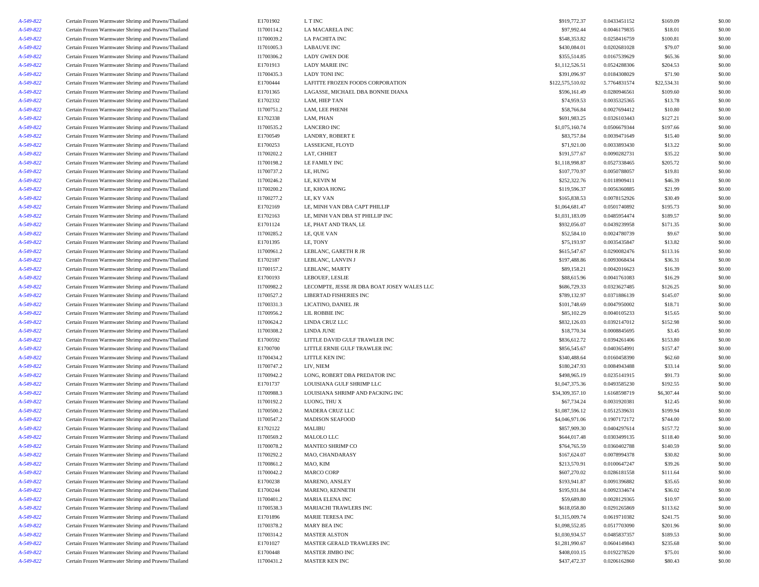| A-549-822 | Certain Frozen Warmwater Shrimp and Prawns/Thailand | E1701902   | L T INC                                     | \$919,772.37     | 0.0433451152 | \$169.09             | \$0.00 |
|-----------|-----------------------------------------------------|------------|---------------------------------------------|------------------|--------------|----------------------|--------|
| A-549-822 | Certain Frozen Warmwater Shrimp and Prawns/Thailand | I1700114.2 | LA MACARELA INC                             | \$97,992.44      | 0.0046179835 | \$18.01              | \$0.00 |
| A-549-822 | Certain Frozen Warmwater Shrimp and Prawns/Thailand | I1700039.2 | LA PACHITA INC                              | \$548,353.82     | 0.0258416759 | \$100.81             | \$0.00 |
| A-549-822 | Certain Frozen Warmwater Shrimp and Prawns/Thailand | I1701005.3 | <b>LABAUVE INC</b>                          | \$430,084.01     | 0.0202681028 | \$79.07              | \$0.00 |
| A-549-822 | Certain Frozen Warmwater Shrimp and Prawns/Thailand | I1700306.2 | <b>LADY GWEN DOE</b>                        | \$355,514.85     | 0.0167539629 | \$65.36              | \$0.00 |
| A-549-822 | Certain Frozen Warmwater Shrimp and Prawns/Thailand | E1701913   | <b>LADY MARIE INC</b>                       | \$1,112,526.51   | 0.0524288306 | \$204.53             | \$0.00 |
| A-549-822 | Certain Frozen Warmwater Shrimp and Prawns/Thailand | I1700435.3 | <b>LADY TONI INC</b>                        | \$391,096.97     | 0.0184308029 | \$71.90              | \$0.00 |
| A-549-822 | Certain Frozen Warmwater Shrimp and Prawns/Thailand | E1700444   | LAFITTE FROZEN FOODS CORPORATION            | \$122,575,510.02 | 5.7764831574 | \$22,534.31          | \$0.00 |
| A-549-822 | Certain Frozen Warmwater Shrimp and Prawns/Thailand | E1701365   | LAGASSE, MICHAEL DBA BONNIE DIANA           | \$596,161.49     | 0.0280946561 | \$109.60             | \$0.00 |
| A-549-822 | Certain Frozen Warmwater Shrimp and Prawns/Thailand | E1702332   | LAM, HIEP TAN                               | \$74,959.53      | 0.0035325365 | \$13.78              | \$0.00 |
|           |                                                     |            |                                             |                  |              | \$10.80              |        |
| A-549-822 | Certain Frozen Warmwater Shrimp and Prawns/Thailand | I1700751.2 | LAM, LEE PHENH                              | \$58,766.84      | 0.0027694412 |                      | \$0.00 |
| A-549-822 | Certain Frozen Warmwater Shrimp and Prawns/Thailand | E1702338   | LAM, PHAN                                   | \$691,983.25     | 0.0326103443 | \$127.21             | \$0.00 |
| A-549-822 | Certain Frozen Warmwater Shrimp and Prawns/Thailand | I1700535.2 | <b>LANCERO INC</b>                          | \$1,075,160.74   | 0.0506679344 | \$197.66             | \$0.00 |
| A-549-822 | Certain Frozen Warmwater Shrimp and Prawns/Thailand | E1700549   | LANDRY, ROBERT E                            | \$83,757.84      | 0.0039471649 | \$15.40              | \$0.00 |
| A-549-822 | Certain Frozen Warmwater Shrimp and Prawns/Thailand | E1700253   | LASSEIGNE, FLOYD                            | \$71,921.00      | 0.0033893430 | \$13.22              | \$0.00 |
| A-549-822 | Certain Frozen Warmwater Shrimp and Prawns/Thailand | I1700202.2 | LAT, CHHIET                                 | \$191,577.67     | 0.0090282731 | \$35.22              | \$0.00 |
| A-549-822 | Certain Frozen Warmwater Shrimp and Prawns/Thailand | I1700198.2 | LE FAMILY INC                               | \$1,118,998.87   | 0.0527338465 | \$205.72             | \$0.00 |
| A-549-822 | Certain Frozen Warmwater Shrimp and Prawns/Thailand | I1700737.2 | LE, HUNG                                    | \$107,770.97     | 0.0050788057 | \$19.81              | \$0.00 |
| A-549-822 | Certain Frozen Warmwater Shrimp and Prawns/Thailand | I1700246.2 | LE, KEVIN M                                 | \$252,322.76     | 0.0118909411 | \$46.39              | \$0.00 |
| A-549-822 | Certain Frozen Warmwater Shrimp and Prawns/Thailand | I1700200.2 | LE, KHOA HONG                               | \$119,596.37     | 0.0056360885 | \$21.99              | \$0.00 |
| A-549-822 | Certain Frozen Warmwater Shrimp and Prawns/Thailand | I1700277.2 | LE, KY VAN                                  | \$165,838.53     | 0.0078152926 | \$30.49              | \$0.00 |
| A-549-822 | Certain Frozen Warmwater Shrimp and Prawns/Thailand | E1702169   | LE, MINH VAN DBA CAPT PHILLIP               | \$1,064,681.47   | 0.0501740892 | \$195.73             | \$0.00 |
| A-549-822 | Certain Frozen Warmwater Shrimp and Prawns/Thailand | E1702163   | LE, MINH VAN DBA ST PHILLIP INC             | \$1,031,183.09   | 0.0485954474 | \$189.57             | \$0.00 |
| A-549-822 | Certain Frozen Warmwater Shrimp and Prawns/Thailand | E1701124   | LE, PHAT AND TRAN, LE                       | \$932,056.07     | 0.0439239958 | \$171.35             | \$0.00 |
| A-549-822 | Certain Frozen Warmwater Shrimp and Prawns/Thailand | I1700285.2 | LE, QUE VAN                                 | \$52,584.10      | 0.0024780739 | \$9.67               | \$0.00 |
| A-549-822 | Certain Frozen Warmwater Shrimp and Prawns/Thailand | E1701395   | LE, TONY                                    | \$75,193.97      | 0.0035435847 | \$13.82              | \$0.00 |
| A-549-822 | Certain Frozen Warmwater Shrimp and Prawns/Thailand | I1700961.2 | LEBLANC, GARETH R JR                        | \$615,547.67     | 0.0290082476 | \$113.16             | \$0.00 |
| A-549-822 | Certain Frozen Warmwater Shrimp and Prawns/Thailand | E1702187   | LEBLANC, LANVIN J                           | \$197,488.86     | 0.0093068434 | \$36.31              | \$0.00 |
| A-549-822 | Certain Frozen Warmwater Shrimp and Prawns/Thailand | I1700157.2 | LEBLANC, MARTY                              | \$89,158.21      | 0.0042016623 | \$16.39              | \$0.00 |
| A-549-822 | Certain Frozen Warmwater Shrimp and Prawns/Thailand | E1700193   | LEBOUEF, LESLIE                             | \$88,615.96      | 0.0041761083 | \$16.29              | \$0.00 |
| A-549-822 | Certain Frozen Warmwater Shrimp and Prawns/Thailand | I1700982.2 | LECOMPTE, JESSE JR DBA BOAT JOSEY WALES LLC | \$686,729.33     | 0.0323627485 | \$126.25             | \$0.00 |
|           |                                                     |            |                                             |                  | 0.0371886139 |                      |        |
| A-549-822 | Certain Frozen Warmwater Shrimp and Prawns/Thailand | I1700527.2 | LIBERTAD FISHERIES INC                      | \$789,132.97     |              | \$145.07             | \$0.00 |
| A-549-822 | Certain Frozen Warmwater Shrimp and Prawns/Thailand | I1700331.3 | LICATINO, DANIEL JR                         | \$101,748.69     | 0.0047950002 | \$18.71              | \$0.00 |
| A-549-822 | Certain Frozen Warmwater Shrimp and Prawns/Thailand | I1700956.2 | LIL ROBBIE INC                              | \$85,102.29      | 0.0040105233 | \$15.65              | \$0.00 |
| A-549-822 | Certain Frozen Warmwater Shrimp and Prawns/Thailand | I1700624.2 | LINDA CRUZ LLC                              | \$832,126.03     | 0.0392147012 | \$152.98             | \$0.00 |
| A-549-822 | Certain Frozen Warmwater Shrimp and Prawns/Thailand | I1700308.2 | LINDA JUNE                                  | \$18,770.34      | 0.0008845695 | \$3.45               | \$0.00 |
| A-549-822 | Certain Frozen Warmwater Shrimp and Prawns/Thailand | E1700592   | LITTLE DAVID GULF TRAWLER INC               | \$836,612.72     | 0.0394261406 | \$153.80             | \$0.00 |
| A-549-822 | Certain Frozen Warmwater Shrimp and Prawns/Thailand | E1700700   | LITTLE ERNIE GULF TRAWLER INC               | \$856,545.67     | 0.0403654991 | \$157.47             | \$0.00 |
| A-549-822 | Certain Frozen Warmwater Shrimp and Prawns/Thailand | I1700434.2 | LITTLE KEN INC                              | \$340,488.64     | 0.0160458390 | \$62.60              | \$0.00 |
| A-549-822 | Certain Frozen Warmwater Shrimp and Prawns/Thailand | I1700747.2 | LIV, NIEM                                   | \$180,247.93     | 0.0084943488 | \$33.14              | \$0.00 |
| A-549-822 | Certain Frozen Warmwater Shrimp and Prawns/Thailand | I1700942.2 | LONG, ROBERT DBA PREDATOR INC               | \$498,965.19     | 0.0235141915 | \$91.73              | \$0.00 |
| A-549-822 | Certain Frozen Warmwater Shrimp and Prawns/Thailand | E1701737   | LOUISIANA GULF SHRIMP LLC                   | \$1,047,375.36   | 0.0493585230 | \$192.55             | \$0.00 |
| A-549-822 | Certain Frozen Warmwater Shrimp and Prawns/Thailand | I1700988.3 | LOUISIANA SHRIMP AND PACKING INC            | \$34,309,357.10  | 1.6168598719 | \$6,307.44           | \$0.00 |
| A-549-822 | Certain Frozen Warmwater Shrimp and Prawns/Thailand | I1700192.2 | LUONG, THU X                                | \$67,734.24      | 0.0031920381 | \$12.45              | \$0.00 |
| A-549-822 | Certain Frozen Warmwater Shrimp and Prawns/Thailand | I1700500.2 | MADERA CRUZ LLC                             | \$1,087,596.12   | 0.0512539631 | \$199.94             | \$0.00 |
| A-549-822 | Certain Frozen Warmwater Shrimp and Prawns/Thailand | I1700547.2 | <b>MADISON SEAFOOD</b>                      | \$4,046,971.06   | 0.1907172172 | \$744.00             | \$0.00 |
| A-549-822 | Certain Frozen Warmwater Shrimp and Prawns/Thailand | E1702122   | MALIBU                                      | \$857,909.30     | 0.0404297614 | \$157.72             | \$0.00 |
| A-549-822 | Certain Frozen Warmwater Shrimp and Prawns/Thailand | I1700569.2 | MALOLO LLC                                  | \$644,017.48     | 0.0303499135 | \$118.40             | \$0.00 |
| A-549-822 | Certain Frozen Warmwater Shrimp and Prawns/Thailand | I1700078.2 | MANTEO SHRIMP CO                            | \$764,765.59     | 0.0360402788 | \$140.59             | \$0.00 |
| A-549-822 | Certain Frozen Warmwater Shrimp and Prawns/Thailand | I1700292.2 | MAO, CHANDARASY                             | \$167,624.07     | 0.0078994378 | \$30.82              | \$0.00 |
| A-549-822 | Certain Frozen Warmwater Shrimp and Prawns/Thailand | I1700861.2 | MAO, KIM                                    | \$213,570.91     | 0.0100647247 | \$39.26              | \$0.00 |
| A-549-822 | Certain Frozen Warmwater Shrimp and Prawns/Thailand | I1700042.2 | <b>MARCO CORP</b>                           | \$607,270.02     | 0.0286181558 | \$111.64             | \$0.00 |
| A-549-822 | Certain Frozen Warmwater Shrimp and Prawns/Thailand | E1700238   | MARENO, ANSLEY                              | \$193,941.87     | 0.0091396882 | \$35.65              | \$0.00 |
| A-549-822 | Certain Frozen Warmwater Shrimp and Prawns/Thailand | E1700244   | MARENO, KENNETH                             | \$195,931.84     | 0.0092334674 | \$36.02              | \$0.00 |
| A-549-822 | Certain Frozen Warmwater Shrimp and Prawns/Thailand | I1700401.2 | MARIA ELENA INC                             | \$59,689.80      | 0.0028129365 | \$10.97              | \$0.00 |
| A-549-822 | Certain Frozen Warmwater Shrimp and Prawns/Thailand | I1700538.3 | MARIACHI TRAWLERS INC                       | \$618,058.80     | 0.0291265869 | \$113.62             | \$0.00 |
| A-549-822 | Certain Frozen Warmwater Shrimp and Prawns/Thailand | E1701896   | MARIE TERESA INC                            | \$1,315,009.74   | 0.0619710382 | \$241.75             | \$0.00 |
| A-549-822 | Certain Frozen Warmwater Shrimp and Prawns/Thailand | I1700378.2 | MARY BEA INC                                | \$1,098,552.85   | 0.0517703090 | \$201.96             | \$0.00 |
|           |                                                     |            |                                             |                  | 0.0485837357 |                      |        |
| A-549-822 | Certain Frozen Warmwater Shrimp and Prawns/Thailand | I1700314.2 | <b>MASTER ALSTON</b>                        | \$1,030,934.57   |              | \$189.53<br>\$235.68 | \$0.00 |
| A-549-822 | Certain Frozen Warmwater Shrimp and Prawns/Thailand | E1701027   | MASTER GERALD TRAWLERS INC                  | \$1,281,990.67   | 0.0604149843 |                      | \$0.00 |
| A-549-822 | Certain Frozen Warmwater Shrimp and Prawns/Thailand | E1700448   | MASTER JIMBO INC                            | \$408,010.15     | 0.0192278520 | \$75.01              | \$0.00 |
| A-549-822 | Certain Frozen Warmwater Shrimp and Prawns/Thailand | I1700431.2 | MASTER KEN INC                              | \$437,472.37     | 0.0206162860 | \$80.43              | \$0.00 |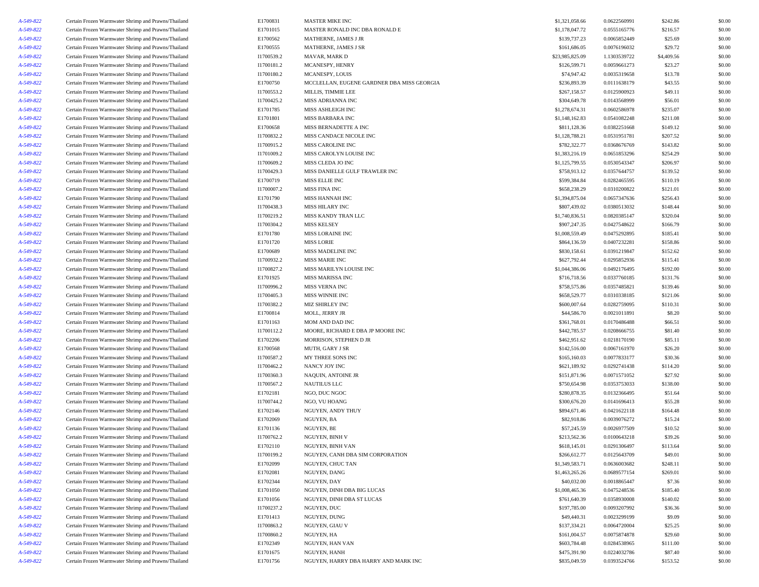| A-549-822 | Certain Frozen Warmwater Shrimp and Prawns/Thailand                                                        | E1700831   | <b>MASTER MIKE INC</b>                     | \$1,321,058.66  | 0.0622560991 | \$242.86   | \$0.00 |
|-----------|------------------------------------------------------------------------------------------------------------|------------|--------------------------------------------|-----------------|--------------|------------|--------|
| A-549-822 | Certain Frozen Warmwater Shrimp and Prawns/Thailand                                                        | E1701015   | MASTER RONALD INC DBA RONALD E             | \$1,178,047.72  | 0.0555165776 | \$216.57   | \$0.00 |
| A-549-822 | Certain Frozen Warmwater Shrimp and Prawns/Thailand                                                        | E1700562   | MATHERNE, JAMES J JR                       | \$139,737.23    | 0.0065852449 | \$25.69    | \$0.00 |
| A-549-822 | Certain Frozen Warmwater Shrimp and Prawns/Thailand                                                        | E1700555   | MATHERNE, JAMES J SR                       | \$161,686.05    | 0.0076196032 | \$29.72    | \$0.00 |
| A-549-822 | Certain Frozen Warmwater Shrimp and Prawns/Thailand                                                        | I1700539.2 | MAVAR, MARK D                              | \$23,985,825.09 | 1.1303539722 | \$4,409.56 | \$0.00 |
| A-549-822 | Certain Frozen Warmwater Shrimp and Prawns/Thailand                                                        | I1700181.2 | MCANESPY, HENRY                            | \$126,599.71    | 0.0059661273 | \$23.27    | \$0.00 |
| A-549-822 | Certain Frozen Warmwater Shrimp and Prawns/Thailand                                                        | I1700180.2 | MCANESPY, LOUIS                            | \$74,947.42     | 0.0035319658 | \$13.78    | \$0.00 |
| A-549-822 | Certain Frozen Warmwater Shrimp and Prawns/Thailand                                                        | E1700750   | MCCLELLAN, EUGENE GARDNER DBA MISS GEORGIA | \$236,893.39    | 0.0111638179 | \$43.55    | \$0.00 |
| A-549-822 | Certain Frozen Warmwater Shrimp and Prawns/Thailand                                                        | I1700553.2 | MILLIS, TIMMIE LEE                         | \$267,158.57    | 0.0125900923 | \$49.11    | \$0.00 |
| A-549-822 | Certain Frozen Warmwater Shrimp and Prawns/Thailand                                                        | I1700425.2 | MISS ADRIANNA INC                          | \$304,649.78    | 0.0143568999 | \$56.01    | \$0.00 |
| A-549-822 | Certain Frozen Warmwater Shrimp and Prawns/Thailand                                                        | E1701785   | MISS ASHLEIGH INC                          | \$1,278,674.31  | 0.0602586978 | \$235.07   | \$0.00 |
|           |                                                                                                            |            |                                            |                 |              |            |        |
| A-549-822 | Certain Frozen Warmwater Shrimp and Prawns/Thailand                                                        | E1701801   | MISS BARBARA INC                           | \$1,148,162.83  | 0.0541082248 | \$211.08   | \$0.00 |
| A-549-822 | Certain Frozen Warmwater Shrimp and Prawns/Thailand                                                        | E1700658   | MISS BERNADETTE A INC                      | \$811,128.36    | 0.0382251668 | \$149.12   | \$0.00 |
| A-549-822 | Certain Frozen Warmwater Shrimp and Prawns/Thailand                                                        | I1700832.2 | MISS CANDACE NICOLE INC                    | \$1,128,788.21  | 0.0531951781 | \$207.52   | \$0.00 |
| A-549-822 | Certain Frozen Warmwater Shrimp and Prawns/Thailand                                                        | I1700915.2 | MISS CAROLINE INC                          | \$782,322.77    | 0.0368676769 | \$143.82   | \$0.00 |
| A-549-822 | Certain Frozen Warmwater Shrimp and Prawns/Thailand                                                        | I1701009.2 | MISS CAROLYN LOUISE INC                    | \$1,383,216.19  | 0.0651853296 | \$254.29   | \$0.00 |
| A-549-822 | Certain Frozen Warmwater Shrimp and Prawns/Thailand                                                        | I1700609.2 | MISS CLEDA JO INC                          | \$1,125,799.55  | 0.0530543347 | \$206.97   | \$0.00 |
| A-549-822 | Certain Frozen Warmwater Shrimp and Prawns/Thailand                                                        | I1700429.3 | MISS DANIELLE GULF TRAWLER INC             | \$758,913.12    | 0.0357644757 | \$139.52   | \$0.00 |
| A-549-822 | Certain Frozen Warmwater Shrimp and Prawns/Thailand                                                        | E1700719   | <b>MISS ELLIE INC</b>                      | \$599,384.84    | 0.0282465595 | \$110.19   | \$0.00 |
| A-549-822 | Certain Frozen Warmwater Shrimp and Prawns/Thailand                                                        | I1700007.2 | MISS FINA INC                              | \$658,238.29    | 0.0310200822 | \$121.01   | \$0.00 |
| A-549-822 | Certain Frozen Warmwater Shrimp and Prawns/Thailand                                                        | E1701790   | MISS HANNAH INC                            | \$1,394,875.04  | 0.0657347636 | \$256.43   | \$0.00 |
| A-549-822 | Certain Frozen Warmwater Shrimp and Prawns/Thailand                                                        | I1700438.3 | MISS HILARY INC                            | \$807,439.02    | 0.0380513032 | \$148.44   | \$0.00 |
| A-549-822 | Certain Frozen Warmwater Shrimp and Prawns/Thailand                                                        | I1700219.2 | MISS KANDY TRAN LLC                        | \$1,740,836.51  | 0.0820385147 | \$320.04   | \$0.00 |
| A-549-822 | Certain Frozen Warmwater Shrimp and Prawns/Thailand                                                        | I1700304.2 | <b>MISS KELSEY</b>                         | \$907,247.35    | 0.0427548622 | \$166.79   | \$0.00 |
| A-549-822 | Certain Frozen Warmwater Shrimp and Prawns/Thailand                                                        | E1701780   | MISS LORAINE INC                           | \$1,008,559.49  | 0.0475292895 | \$185.41   | \$0.00 |
| A-549-822 | Certain Frozen Warmwater Shrimp and Prawns/Thailand                                                        | E1701720   | <b>MISS LORIE</b>                          | \$864,136.59    | 0.0407232281 | \$158.86   | \$0.00 |
| A-549-822 | Certain Frozen Warmwater Shrimp and Prawns/Thailand                                                        | E1700689   | MISS MADELINE INC                          | \$830,158.61    | 0.0391219847 | \$152.62   | \$0.00 |
| A-549-822 | Certain Frozen Warmwater Shrimp and Prawns/Thailand                                                        | I1700932.2 | MISS MARIE INC                             | \$627,792.44    | 0.0295852936 | \$115.41   | \$0.00 |
| A-549-822 | Certain Frozen Warmwater Shrimp and Prawns/Thailand                                                        | I1700827.2 | MISS MARILYN LOUISE INC                    | \$1,044,386.06  | 0.0492176495 | \$192.00   | \$0.00 |
| A-549-822 | Certain Frozen Warmwater Shrimp and Prawns/Thailand                                                        | E1701925   | <b>MISS MARISSA INC</b>                    | \$716,718.56    | 0.0337760185 | \$131.76   | \$0.00 |
|           | Certain Frozen Warmwater Shrimp and Prawns/Thailand                                                        |            |                                            |                 | 0.0357485821 |            |        |
| A-549-822 |                                                                                                            | I1700996.2 | MISS VERNA INC                             | \$758,575.86    |              | \$139.46   | \$0.00 |
| A-549-822 | Certain Frozen Warmwater Shrimp and Prawns/Thailand                                                        | I1700405.3 | MISS WINNIE INC                            | \$658,529.77    | 0.0310338185 | \$121.06   | \$0.00 |
| A-549-822 | Certain Frozen Warmwater Shrimp and Prawns/Thailand                                                        | I1700382.2 | MIZ SHIRLEY INC                            | \$600,007.64    | 0.0282759095 | \$110.31   | \$0.00 |
| A-549-822 | Certain Frozen Warmwater Shrimp and Prawns/Thailand                                                        | E1700814   | MOLL, JERRY JR                             | \$44,586.70     | 0.0021011891 | \$8.20     | \$0.00 |
| A-549-822 | Certain Frozen Warmwater Shrimp and Prawns/Thailand                                                        | E1701163   | MOM AND DAD INC                            | \$361,768.01    | 0.0170486488 | \$66.51    | \$0.00 |
| A-549-822 | Certain Frozen Warmwater Shrimp and Prawns/Thailand                                                        | I1700112.2 | MOORE, RICHARD E DBA JP MOORE INC          | \$442,785.57    | 0.0208666755 | \$81.40    | \$0.00 |
| A-549-822 | Certain Frozen Warmwater Shrimp and Prawns/Thailand                                                        | E1702206   | MORRISON, STEPHEN D JR                     | \$462,951.62    | 0.0218170190 | \$85.11    | \$0.00 |
| A-549-822 | Certain Frozen Warmwater Shrimp and Prawns/Thailand                                                        | E1700568   | MUTH, GARY J SR                            | \$142,516.00    | 0.0067161970 | \$26.20    | \$0.00 |
| A-549-822 | Certain Frozen Warmwater Shrimp and Prawns/Thailand                                                        | I1700587.2 | MY THREE SONS INC                          | \$165,160.03    | 0.0077833177 | \$30.36    | \$0.00 |
| A-549-822 | Certain Frozen Warmwater Shrimp and Prawns/Thailand                                                        | I1700462.2 | NANCY JOY INC                              | \$621,189.92    | 0.0292741438 | \$114.20   | \$0.00 |
| A-549-822 | Certain Frozen Warmwater Shrimp and Prawns/Thailand                                                        | I1700360.3 | NAQUIN, ANTOINE JR                         | \$151,871.96    | 0.0071571052 | \$27.92    | \$0.00 |
| A-549-822 | Certain Frozen Warmwater Shrimp and Prawns/Thailand                                                        | I1700567.2 | <b>NAUTILUS LLC</b>                        | \$750,654.98    | 0.0353753033 | \$138.00   | \$0.00 |
| A-549-822 | Certain Frozen Warmwater Shrimp and Prawns/Thailand                                                        | E1702181   | NGO, DUC NGOC                              | \$280,878.35    | 0.0132366495 | \$51.64    | \$0.00 |
| A-549-822 | Certain Frozen Warmwater Shrimp and Prawns/Thailand                                                        | I1700744.2 | NGO, VU HOANG                              | \$300,676.20    | 0.0141696413 | \$55.28    | \$0.00 |
| A-549-822 | Certain Frozen Warmwater Shrimp and Prawns/Thailand                                                        | E1702146   | NGUYEN, ANDY THUY                          | \$894,671.46    | 0.0421622118 | \$164.48   | \$0.00 |
| A-549-822 | Certain Frozen Warmwater Shrimp and Prawns/Thailand                                                        | E1702069   | NGUYEN, BA                                 | \$82,918.86     | 0.0039076272 | \$15.24    | \$0.00 |
| A-549-822 | Certain Frozen Warmwater Shrimp and Prawns/Thailand                                                        | E1701136   | NGUYEN, BE                                 | \$57,245.59     | 0.0026977509 | \$10.52    | \$0.00 |
| A-549-822 | Certain Frozen Warmwater Shrimp and Prawns/Thailand                                                        | I1700762.2 | <b>NGUYEN, BINH V</b>                      | \$213,562.36    | 0.0100643218 | \$39.26    | \$0.00 |
| A-549-822 | Certain Frozen Warmwater Shrimp and Prawns/Thailand                                                        | E1702110   | NGUYEN, BINH VAN                           | \$618,145.01    | 0.0291306497 | \$113.64   | \$0.00 |
| A-549-822 | Certain Frozen Warmwater Shrimp and Prawns/Thailand                                                        | I1700199.2 | NGUYEN, CANH DBA SIM CORPORATION           | \$266,612.77    | 0.0125643709 | \$49.01    | \$0.00 |
| A-549-822 | Certain Frozen Warmwater Shrimp and Prawns/Thailand                                                        | E1702099   | NGUYEN, CHUC TAN                           | \$1,349,583.71  | 0.0636003682 | \$248.11   | \$0.00 |
|           |                                                                                                            |            | NGUYEN, DANG                               |                 |              |            |        |
| A-549-822 | Certain Frozen Warmwater Shrimp and Prawns/Thailand<br>Certain Frozen Warmwater Shrimp and Prawns/Thailand | E1702081   |                                            | \$1,463,265.26  | 0.0689577154 | \$269.01   | \$0.00 |
| A-549-822 |                                                                                                            | E1702344   | NGUYEN, DAY                                | \$40,032.00     | 0.0018865447 | \$7.36     | \$0.00 |
| A-549-822 | Certain Frozen Warmwater Shrimp and Prawns/Thailand                                                        | E1701050   | NGUYEN, DINH DBA BIG LUCAS                 | \$1,008,465.36  | 0.0475248536 | \$185.40   | \$0.00 |
| A-549-822 | Certain Frozen Warmwater Shrimp and Prawns/Thailand                                                        | E1701056   | NGUYEN, DINH DBA ST LUCAS                  | \$761,640.39    | 0.0358930008 | \$140.02   | \$0.00 |
| A-549-822 | Certain Frozen Warmwater Shrimp and Prawns/Thailand                                                        | I1700237.2 | NGUYEN, DUC                                | \$197,785.00    | 0.0093207992 | \$36.36    | \$0.00 |
| A-549-822 | Certain Frozen Warmwater Shrimp and Prawns/Thailand                                                        | E1701413   | NGUYEN, DUNG                               | \$49,440.31     | 0.0023299199 | \$9.09     | \$0.00 |
| A-549-822 | Certain Frozen Warmwater Shrimp and Prawns/Thailand                                                        | I1700863.2 | NGUYEN, GIAU V                             | \$137,334.21    | 0.0064720004 | \$25.25    | \$0.00 |
| A-549-822 | Certain Frozen Warmwater Shrimp and Prawns/Thailand                                                        | I1700860.2 | NGUYEN, HA                                 | \$161,004.57    | 0.0075874878 | \$29.60    | \$0.00 |
| A-549-822 | Certain Frozen Warmwater Shrimp and Prawns/Thailand                                                        | E1702349   | NGUYEN, HAN VAN                            | \$603,784.48    | 0.0284538965 | \$111.00   | \$0.00 |
| A-549-822 | Certain Frozen Warmwater Shrimp and Prawns/Thailand                                                        | E1701675   | NGUYEN, HANH                               | \$475,391.90    | 0.0224032786 | \$87.40    | \$0.00 |
| A-549-822 | Certain Frozen Warmwater Shrimp and Prawns/Thailand                                                        | E1701756   | NGUYEN, HARRY DBA HARRY AND MARK INC       | \$835,049.59    | 0.0393524766 | \$153.52   | \$0.00 |
|           |                                                                                                            |            |                                            |                 |              |            |        |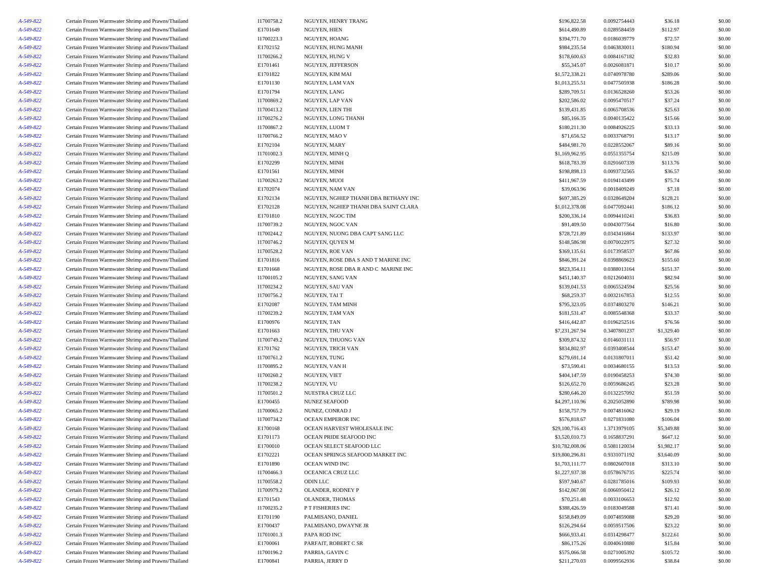| A-549-822 | Certain Frozen Warmwater Shrimp and Prawns/Thailand | I1700758.2 | NGUYEN, HENRY TRANG                  | \$196,822.58    | 0.0092754443 | \$36.18    | \$0.00 |
|-----------|-----------------------------------------------------|------------|--------------------------------------|-----------------|--------------|------------|--------|
| A-549-822 | Certain Frozen Warmwater Shrimp and Prawns/Thailand | E1701649   | NGUYEN, HIEN                         | \$614,490.89    | 0.0289584459 | \$112.97   | \$0.00 |
| A-549-822 | Certain Frozen Warmwater Shrimp and Prawns/Thailand | I1700223.3 | NGUYEN, HOANG                        | \$394,771.70    | 0.0186039779 | \$72.57    | \$0.00 |
| A-549-822 | Certain Frozen Warmwater Shrimp and Prawns/Thailand | E1702152   | NGUYEN, HUNG MANH                    | \$984,235.54    | 0.0463830011 | \$180.94   | \$0.00 |
| A-549-822 | Certain Frozen Warmwater Shrimp and Prawns/Thailand | I1700266.2 | NGUYEN, HUNG V                       | \$178,600.63    | 0.0084167182 | \$32.83    | \$0.00 |
| A-549-822 | Certain Frozen Warmwater Shrimp and Prawns/Thailand | E1701461   | NGUYEN, JEFFERSON                    | \$55,345.07     | 0.0026081871 | \$10.17    | \$0.00 |
| A-549-822 | Certain Frozen Warmwater Shrimp and Prawns/Thailand | E1701822   | NGUYEN, KIM MAI                      | \$1,572,338.21  | 0.0740978780 | \$289.06   | \$0.00 |
| A-549-822 | Certain Frozen Warmwater Shrimp and Prawns/Thailand | E1701130   | NGUYEN, LAM VAN                      | \$1,013,255.51  | 0.0477505938 | \$186.28   | \$0.00 |
| A-549-822 | Certain Frozen Warmwater Shrimp and Prawns/Thailand | E1701794   | NGUYEN, LANG                         | \$289,709.51    | 0.0136528260 | \$53.26    | \$0.00 |
| A-549-822 | Certain Frozen Warmwater Shrimp and Prawns/Thailand | I1700869.2 | NGUYEN, LAP VAN                      | \$202,586.02    | 0.0095470517 | \$37.24    | \$0.00 |
| A-549-822 | Certain Frozen Warmwater Shrimp and Prawns/Thailand | I1700413.2 | NGUYEN, LIEN THI                     | \$139,431.85    | 0.0065708536 | \$25.63    | \$0.00 |
| A-549-822 | Certain Frozen Warmwater Shrimp and Prawns/Thailand | I1700276.2 | NGUYEN, LONG THANH                   | \$85,166.35     | 0.0040135422 | \$15.66    | \$0.00 |
| A-549-822 | Certain Frozen Warmwater Shrimp and Prawns/Thailand | I1700867.2 | NGUYEN, LUOM T                       | \$180,211.30    | 0.0084926225 | \$33.13    | \$0.00 |
| A-549-822 | Certain Frozen Warmwater Shrimp and Prawns/Thailand | I1700766.2 | NGUYEN, MAO V                        | \$71,656.52     | 0.0033768791 | \$13.17    | \$0.00 |
|           |                                                     |            |                                      |                 |              |            |        |
| A-549-822 | Certain Frozen Warmwater Shrimp and Prawns/Thailand | E1702104   | NGUYEN, MARY                         | \$484,981.70    | 0.0228552067 | \$89.16    | \$0.00 |
| A-549-822 | Certain Frozen Warmwater Shrimp and Prawns/Thailand | I1701002.3 | NGUYEN, MINH Q                       | \$1,169,962.95  | 0.0551355754 | \$215.09   | \$0.00 |
| A-549-822 | Certain Frozen Warmwater Shrimp and Prawns/Thailand | E1702299   | NGUYEN, MINH                         | \$618,783.39    | 0.0291607339 | \$113.76   | \$0.00 |
| A-549-822 | Certain Frozen Warmwater Shrimp and Prawns/Thailand | E1701561   | NGUYEN, MINH                         | \$198,898.13    | 0.0093732565 | \$36.57    | \$0.00 |
| A-549-822 | Certain Frozen Warmwater Shrimp and Prawns/Thailand | I1700263.2 | NGUYEN, MUOI                         | \$411,967.59    | 0.0194143499 | \$75.74    | \$0.00 |
| A-549-822 | Certain Frozen Warmwater Shrimp and Prawns/Thailand | E1702074   | NGUYEN, NAM VAN                      | \$39,063.96     | 0.0018409249 | \$7.18     | \$0.00 |
| A-549-822 | Certain Frozen Warmwater Shrimp and Prawns/Thailand | E1702134   | NGUYEN, NGHIEP THANH DBA BETHANY INC | \$697,385.29    | 0.0328649204 | \$128.21   | \$0.00 |
| A-549-822 | Certain Frozen Warmwater Shrimp and Prawns/Thailand | E1702128   | NGUYEN, NGHIEP THANH DBA SAINT CLARA | \$1,012,378.08  | 0.0477092441 | \$186.12   | \$0.00 |
| A-549-822 | Certain Frozen Warmwater Shrimp and Prawns/Thailand | E1701810   | NGUYEN, NGOC TIM                     | \$200,336.14    | 0.0094410241 | \$36.83    | \$0.00 |
| A-549-822 | Certain Frozen Warmwater Shrimp and Prawns/Thailand | I1700739.2 | NGUYEN, NGOC VAN                     | \$91,409.50     | 0.0043077564 | \$16.80    | \$0.00 |
| A-549-822 | Certain Frozen Warmwater Shrimp and Prawns/Thailand | I1700244.2 | NGUYEN, NUONG DBA CAPT SANG LLC      | \$728,721.89    | 0.0343416864 | \$133.97   | \$0.00 |
| A-549-822 | Certain Frozen Warmwater Shrimp and Prawns/Thailand | I1700746.2 | NGUYEN, QUYEN M                      | \$148,586.98    | 0.0070022975 | \$27.32    | \$0.00 |
| A-549-822 | Certain Frozen Warmwater Shrimp and Prawns/Thailand | I1700528.2 | NGUYEN, ROE VAN                      | \$369,135.61    | 0.0173958537 | \$67.86    | \$0.00 |
| A-549-822 | Certain Frozen Warmwater Shrimp and Prawns/Thailand | E1701816   | NGUYEN, ROSE DBA S AND T MARINE INC  | \$846,391.24    | 0.0398869623 | \$155.60   | \$0.00 |
| A-549-822 | Certain Frozen Warmwater Shrimp and Prawns/Thailand | E1701668   | NGUYEN, ROSE DBA R AND C MARINE INC  | \$823,354.11    | 0.0388013164 | \$151.37   | \$0.00 |
| A-549-822 | Certain Frozen Warmwater Shrimp and Prawns/Thailand | I1700105.2 | NGUYEN, SANG VAN                     | \$451,140.37    | 0.0212604031 | \$82.94    | \$0.00 |
| A-549-822 | Certain Frozen Warmwater Shrimp and Prawns/Thailand | I1700234.2 | NGUYEN, SAU VAN                      | \$139,041.53    | 0.0065524594 | \$25.56    | \$0.00 |
| A-549-822 | Certain Frozen Warmwater Shrimp and Prawns/Thailand | I1700756.2 | NGUYEN, TAI T                        | \$68,259.37     | 0.0032167853 | \$12.55    | \$0.00 |
| A-549-822 | Certain Frozen Warmwater Shrimp and Prawns/Thailand | E1702087   | NGUYEN, TAM MINH                     | \$795,323.05    | 0.0374803270 | \$146.21   | \$0.00 |
| A-549-822 | Certain Frozen Warmwater Shrimp and Prawns/Thailand | I1700239.2 | NGUYEN, TAM VAN                      | \$181,531.47    | 0.0085548368 | \$33.37    | \$0.00 |
| A-549-822 | Certain Frozen Warmwater Shrimp and Prawns/Thailand | E1700976   | NGUYEN, TAN                          | \$416,442.87    | 0.0196252516 | \$76.56    | \$0.00 |
| A-549-822 | Certain Frozen Warmwater Shrimp and Prawns/Thailand | E1701663   | NGUYEN, THU VAN                      | \$7,231,267.94  | 0.3407801237 | \$1,329.40 | \$0.00 |
| A-549-822 | Certain Frozen Warmwater Shrimp and Prawns/Thailand | I1700749.2 | NGUYEN, THUONG VAN                   | \$309,874.32    | 0.0146031111 | \$56.97    | \$0.00 |
| A-549-822 | Certain Frozen Warmwater Shrimp and Prawns/Thailand | E1701762   | NGUYEN, TRICH VAN                    | \$834,802.97    | 0.0393408544 | \$153.47   | \$0.00 |
| A-549-822 | Certain Frozen Warmwater Shrimp and Prawns/Thailand | I1700761.2 | NGUYEN, TUNG                         | \$279,691.14    | 0.0131807011 | \$51.42    | \$0.00 |
| A-549-822 | Certain Frozen Warmwater Shrimp and Prawns/Thailand | I1700895.2 | NGUYEN, VAN H                        | \$73,590.41     | 0.0034680155 | \$13.53    | \$0.00 |
| A-549-822 | Certain Frozen Warmwater Shrimp and Prawns/Thailand | I1700260.2 | NGUYEN, VIET                         | \$404,147.59    | 0.0190458253 | \$74.30    | \$0.00 |
| A-549-822 | Certain Frozen Warmwater Shrimp and Prawns/Thailand | I1700238.2 | NGUYEN, VU                           | \$126,652.70    | 0.0059686245 | \$23.28    | \$0.00 |
| A-549-822 | Certain Frozen Warmwater Shrimp and Prawns/Thailand | I1700501.2 | NUESTRA CRUZ LLC                     | \$280,646.20    | 0.0132257092 | \$51.59    | \$0.00 |
| A-549-822 | Certain Frozen Warmwater Shrimp and Prawns/Thailand | E1700455   | <b>NUNEZ SEAFOOD</b>                 | \$4,297,110.96  | 0.2025052890 | \$789.98   | \$0.00 |
| A-549-822 | Certain Frozen Warmwater Shrimp and Prawns/Thailand | I1700065.2 | NUNEZ, CONRAD J                      | \$158,757.79    | 0.0074816062 | \$29.19    | \$0.00 |
| A-549-822 | Certain Frozen Warmwater Shrimp and Prawns/Thailand | I1700734.2 | OCEAN EMPEROR INC                    | \$576,818.67    | 0.0271831080 | \$106.04   | \$0.00 |
| A-549-822 | Certain Frozen Warmwater Shrimp and Prawns/Thailand | E1700168   | OCEAN HARVEST WHOLESALE INC          | \$29,100,716.43 | 1.3713979105 | \$5,349.88 | \$0.00 |
| A-549-822 | Certain Frozen Warmwater Shrimp and Prawns/Thailand | E1701173   | OCEAN PRIDE SEAFOOD INC              | \$3,520,010.73  | 0.1658837291 | \$647.12   | \$0.00 |
| A-549-822 | Certain Frozen Warmwater Shrimp and Prawns/Thailand | E1700010   | OCEAN SELECT SEAFOOD LLC             | \$10,782,008.06 | 0.5081120034 | \$1,982.17 | \$0.00 |
| A-549-822 | Certain Frozen Warmwater Shrimp and Prawns/Thailand | E1702221   | OCEAN SPRINGS SEAFOOD MARKET INC     | \$19,800,296.81 | 0.9331071192 | \$3,640.09 | \$0.00 |
| A-549-822 | Certain Frozen Warmwater Shrimp and Prawns/Thailand | E1701890   | OCEAN WIND INC                       | \$1,703,111.77  | 0.0802607018 | \$313.10   | \$0.00 |
| A-549-822 | Certain Frozen Warmwater Shrimp and Prawns/Thailand | I1700466.3 | OCEANICA CRUZ LLC                    | \$1,227,937.38  | 0.0578676735 | \$225.74   | \$0.00 |
| A-549-822 | Certain Frozen Warmwater Shrimp and Prawns/Thailand | I1700558.2 | ODIN LLC                             | \$597,940.67    | 0.0281785016 | \$109.93   | \$0.00 |
| A-549-822 | Certain Frozen Warmwater Shrimp and Prawns/Thailand | I1700979.2 | OLANDER, RODNEY P                    | \$142,067.08    | 0.0066950412 | \$26.12    | \$0.00 |
| A-549-822 | Certain Frozen Warmwater Shrimp and Prawns/Thailand | E1701543   | OLANDER, THOMAS                      | \$70,251.48     | 0.0033106653 | \$12.92    | \$0.00 |
| A-549-822 | Certain Frozen Warmwater Shrimp and Prawns/Thailand | I1700235.2 | P T FISHERIES INC                    | \$388,426.59    | 0.0183049588 | \$71.41    | \$0.00 |
| A-549-822 | Certain Frozen Warmwater Shrimp and Prawns/Thailand | E1701190   | PALMISANO, DANIEL                    | \$158,849.09    | 0.0074859088 | \$29.20    | \$0.00 |
| A-549-822 | Certain Frozen Warmwater Shrimp and Prawns/Thailand | E1700437   | PALMISANO, DWAYNE JR                 | \$126,294.64    | 0.0059517506 | \$23.22    | \$0.00 |
| A-549-822 | Certain Frozen Warmwater Shrimp and Prawns/Thailand | I1701001.3 | PAPA ROD INC                         | \$666,933.41    | 0.0314298477 | \$122.61   | \$0.00 |
| A-549-822 | Certain Frozen Warmwater Shrimp and Prawns/Thailand | E1700061   | PARFAIT, ROBERT C SR                 | \$86,175.26     | 0.0040610880 | \$15.84    | \$0.00 |
| A-549-822 | Certain Frozen Warmwater Shrimp and Prawns/Thailand | I1700196.2 |                                      |                 |              |            | \$0.00 |
|           |                                                     |            | PARRIA, GAVIN C                      | \$575,066.58    | 0.0271005392 | \$105.72   |        |
| A-549-822 | Certain Frozen Warmwater Shrimp and Prawns/Thailand | E1700841   | PARRIA, JERRY D                      | \$211,270.03    | 0.0099562936 | \$38.84    | \$0.00 |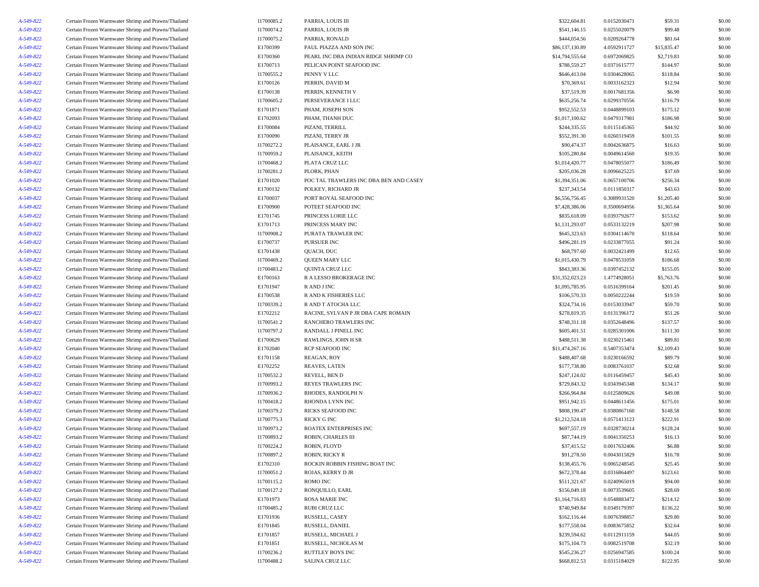| A-549-822 | Certain Frozen Warmwater Shrimp and Prawns/Thailand | I1700085.2 | PARRIA, LOUIS III                      | \$322,604.81    | 0.0152030471 | \$59.31     | \$0.00 |
|-----------|-----------------------------------------------------|------------|----------------------------------------|-----------------|--------------|-------------|--------|
| A-549-822 | Certain Frozen Warmwater Shrimp and Prawns/Thailand | I1700074.2 | PARRIA, LOUIS JR                       | \$541,146.15    | 0.0255020079 | \$99.48     | \$0.00 |
| A-549-822 | Certain Frozen Warmwater Shrimp and Prawns/Thailand | I1700075.2 | PARRIA, RONALD                         | \$444,054.56    | 0.0209264778 | \$81.64     | \$0.00 |
| A-549-822 | Certain Frozen Warmwater Shrimp and Prawns/Thailand | E1700399   | PAUL PIAZZA AND SON INC                | \$86,137,130.89 | 4.0592911727 | \$15,835.47 | \$0.00 |
| A-549-822 | Certain Frozen Warmwater Shrimp and Prawns/Thailand | E1700360   | PEARL INC DBA INDIAN RIDGE SHRIMP CO   | \$14,794,555.64 | 0.6972069825 | \$2,719.83  | \$0.00 |
| A-549-822 | Certain Frozen Warmwater Shrimp and Prawns/Thailand | E1700713   | PELICAN POINT SEAFOOD INC              | \$788,559.27    | 0.0371615777 | \$144.97    | \$0.00 |
| A-549-822 | Certain Frozen Warmwater Shrimp and Prawns/Thailand | I1700555.2 | PENNY V LLC                            | \$646,413.04    | 0.0304628065 | \$118.84    | \$0.00 |
| A-549-822 | Certain Frozen Warmwater Shrimp and Prawns/Thailand | E1700126   | PERRIN, DAVID M                        | \$70,369.61     | 0.0033162323 | \$12.94     | \$0.00 |
| A-549-822 | Certain Frozen Warmwater Shrimp and Prawns/Thailand | E1700138   | PERRIN, KENNETH V                      | \$37,519.39     | 0.0017681356 | \$6.90      | \$0.00 |
| A-549-822 | Certain Frozen Warmwater Shrimp and Prawns/Thailand | I1700605.2 | PERSEVERANCE I LLC                     | \$635,256.74    | 0.0299370556 | \$116.79    | \$0.00 |
| A-549-822 | Certain Frozen Warmwater Shrimp and Prawns/Thailand | E1701871   | PHAM, JOSEPH SON                       | \$952,552.53    | 0.0448899103 | \$175.12    | \$0.00 |
| A-549-822 | Certain Frozen Warmwater Shrimp and Prawns/Thailand | E1702093   | PHAM, THANH DUC                        | \$1,017,100.62  | 0.0479317981 | \$186.98    | \$0.00 |
| A-549-822 | Certain Frozen Warmwater Shrimp and Prawns/Thailand | E1700084   | PIZANI, TERRILL                        | \$244,335.55    | 0.0115145365 | \$44.92     | \$0.00 |
| A-549-822 | Certain Frozen Warmwater Shrimp and Prawns/Thailand | E1700090   | PIZANI, TERRY JR                       | \$552,391.30    | 0.0260319459 | \$101.55    | \$0.00 |
| A-549-822 | Certain Frozen Warmwater Shrimp and Prawns/Thailand | I1700272.2 | PLAISANCE, EARL J JR                   | \$90,474.37     | 0.0042636875 | \$16.63     | \$0.00 |
| A-549-822 | Certain Frozen Warmwater Shrimp and Prawns/Thailand | I1700959.2 | PLAISANCE, KEITH                       | \$105,280.84    | 0.0049614560 | \$19.35     | \$0.00 |
| A-549-822 | Certain Frozen Warmwater Shrimp and Prawns/Thailand | I1700468.2 | PLATA CRUZ LLC                         | \$1,014,420.77  | 0.0478055077 | \$186.49    | \$0.00 |
| A-549-822 | Certain Frozen Warmwater Shrimp and Prawns/Thailand | I1700281.2 | PLORK, PHAN                            | \$205,036.28    | 0.0096625225 | \$37.69     | \$0.00 |
| A-549-822 | Certain Frozen Warmwater Shrimp and Prawns/Thailand | E1701020   | POC TAL TRAWLERS INC DBA BEN AND CASEY | \$1,394,351.06  | 0.0657100706 | \$256.34    | \$0.00 |
| A-549-822 | Certain Frozen Warmwater Shrimp and Prawns/Thailand | E1700132   | POLKEY, RICHARD JR                     | \$237,343.54    | 0.0111850317 | \$43.63     | \$0.00 |
| A-549-822 | Certain Frozen Warmwater Shrimp and Prawns/Thailand | E1700037   | PORT ROYAL SEAFOOD INC                 | \$6,556,756.45  | 0.3089931520 | \$1,205.40  | \$0.00 |
| A-549-822 | Certain Frozen Warmwater Shrimp and Prawns/Thailand | E1700900   | POTEET SEAFOOD INC                     | \$7,428,386.06  | 0.3500694956 | \$1,365.64  | \$0.00 |
| A-549-822 | Certain Frozen Warmwater Shrimp and Prawns/Thailand | E1701745   | PRINCESS LORIE LLC                     | \$835,618.09    | 0.0393792677 | \$153.62    | \$0.00 |
| A-549-822 | Certain Frozen Warmwater Shrimp and Prawns/Thailand | E1701713   | PRINCESS MARY INC                      | \$1,131,293.07  | 0.0533132219 | \$207.98    | \$0.00 |
| A-549-822 | Certain Frozen Warmwater Shrimp and Prawns/Thailand | I1700908.2 | PURATA TRAWLER INC                     | \$645,323.63    | 0.0304114670 | \$118.64    | \$0.00 |
| A-549-822 | Certain Frozen Warmwater Shrimp and Prawns/Thailand | E1700737   | PURSUER INC                            | \$496,281.19    | 0.0233877055 | \$91.24     | \$0.00 |
| A-549-822 | Certain Frozen Warmwater Shrimp and Prawns/Thailand | E1701438   | QUACH, DUC                             | \$68,797.60     | 0.0032421499 | \$12.65     | \$0.00 |
| A-549-822 | Certain Frozen Warmwater Shrimp and Prawns/Thailand | I1700469.2 | QUEEN MARY LLC                         | \$1,015,430.79  | 0.0478531059 | \$186.68    | \$0.00 |
| A-549-822 | Certain Frozen Warmwater Shrimp and Prawns/Thailand | I1700483.2 | QUINTA CRUZ LLC                        | \$843,383.36    | 0.0397452132 | \$155.05    | \$0.00 |
| A-549-822 | Certain Frozen Warmwater Shrimp and Prawns/Thailand | E1700163   | R A LESSO BROKERAGE INC                | \$31,352,023.23 | 1.4774928051 | \$5,763.76  | \$0.00 |
| A-549-822 | Certain Frozen Warmwater Shrimp and Prawns/Thailand | E1701947   | R AND J INC                            | \$1,095,785.95  | 0.0516399164 | \$201.45    | \$0.00 |
| A-549-822 | Certain Frozen Warmwater Shrimp and Prawns/Thailand | E1700538   | R AND K FISHERIES LLC                  | \$106,570.33    | 0.0050222244 | \$19.59     | \$0.00 |
| A-549-822 | Certain Frozen Warmwater Shrimp and Prawns/Thailand | I1700339.2 | R AND T ATOCHA LLC                     | \$324,734.16    | 0.0153033947 | \$59.70     | \$0.00 |
| A-549-822 | Certain Frozen Warmwater Shrimp and Prawns/Thailand | E1702212   | RACINE, SYLVAN P JR DBA CAPE ROMAIN    | \$278,819.35    | 0.0131396172 | \$51.26     | \$0.00 |
| A-549-822 | Certain Frozen Warmwater Shrimp and Prawns/Thailand | I1700541.2 | RANCHERO TRAWLERS INC                  | \$748,311.18    | 0.0352648496 | \$137.57    | \$0.00 |
| A-549-822 | Certain Frozen Warmwater Shrimp and Prawns/Thailand | I1700797.2 | RANDALL J PINELL INC                   | \$605,401.51    | 0.0285301006 | \$111.30    | \$0.00 |
| A-549-822 | Certain Frozen Warmwater Shrimp and Prawns/Thailand | E1700629   | RAWLINGS, JOHN H SR                    | \$488,511.38    | 0.0230215461 | \$89.81     | \$0.00 |
| A-549-822 | Certain Frozen Warmwater Shrimp and Prawns/Thailand | E1702040   | <b>RCP SEAFOOD INC</b>                 | \$11,474,267.16 | 0.5407353474 | \$2,109.43  | \$0.00 |
| A-549-822 | Certain Frozen Warmwater Shrimp and Prawns/Thailand | E1701158   | REAGAN, ROY                            | \$488,407.68    | 0.0230166592 | \$89.79     | \$0.00 |
| A-549-822 | Certain Frozen Warmwater Shrimp and Prawns/Thailand | E1702252   | REAVES, LATEN                          | \$177,738.80    | 0.0083761037 | \$32.68     | \$0.00 |
| A-549-822 | Certain Frozen Warmwater Shrimp and Prawns/Thailand | I1700532.2 | REVELL, BEN D                          | \$247,124.02    | 0.0116459457 | \$45.43     | \$0.00 |
| A-549-822 | Certain Frozen Warmwater Shrimp and Prawns/Thailand | I1700993.2 | REYES TRAWLERS INC                     | \$729,843.32    | 0.0343945348 | \$134.17    | \$0.00 |
| A-549-822 | Certain Frozen Warmwater Shrimp and Prawns/Thailand | I1700936.2 | RHODES, RANDOLPH N                     | \$266,964.84    | 0.0125809626 | \$49.08     | \$0.00 |
| A-549-822 | Certain Frozen Warmwater Shrimp and Prawns/Thailand | I1700418.2 | RHONDA LYNN INC                        | \$951,942.15    | 0.0448611456 | \$175.01    | \$0.00 |
| A-549-822 | Certain Frozen Warmwater Shrimp and Prawns/Thailand | I1700379.2 | RICKS SEAFOOD INC                      | \$808,190.47    | 0.0380867160 | \$148.58    | \$0.00 |
| A-549-822 | Certain Frozen Warmwater Shrimp and Prawns/Thailand | I1700775.3 | RICKY G INC                            | \$1,212,524.18  | 0.0571413123 | \$222.91    | \$0.00 |
| A-549-822 | Certain Frozen Warmwater Shrimp and Prawns/Thailand | I1700973.2 | ROATEX ENTERPRISES INC                 | \$697,557.19    | 0.0328730214 | \$128.24    | \$0.00 |
| A-549-822 |                                                     | I1700893.2 |                                        | \$87,744.19     | 0.0041350253 |             | \$0.00 |
| A-549-822 | Certain Frozen Warmwater Shrimp and Prawns/Thailand | I1700224.2 | ROBIN, CHARLES III                     | \$37,415.52     |              | \$16.13     |        |
|           | Certain Frozen Warmwater Shrimp and Prawns/Thailand |            | ROBIN, FLOYD                           |                 | 0.0017632406 | \$6.88      | \$0.00 |
| A-549-822 | Certain Frozen Warmwater Shrimp and Prawns/Thailand | I1700897.2 | ROBIN, RICKY R                         | \$91,278.50     | 0.0043015829 | \$16.78     | \$0.00 |
| A-549-822 | Certain Frozen Warmwater Shrimp and Prawns/Thailand | E1702310   | ROCKIN ROBBIN FISHING BOAT INC         | \$138,455.76    | 0.0065248545 | \$25.45     | \$0.00 |
| A-549-822 | Certain Frozen Warmwater Shrimp and Prawns/Thailand | I1700051.2 | ROJAS, KERRY D JR                      | \$672,378.44    | 0.0316864497 | \$123.61    | \$0.00 |
| A-549-822 | Certain Frozen Warmwater Shrimp and Prawns/Thailand | I1700115.2 | ROMO INC                               | \$511,321.67    | 0.0240965019 | \$94.00     | \$0.00 |
| A-549-822 | Certain Frozen Warmwater Shrimp and Prawns/Thailand | I1700127.2 | RONQUILLO, EARL                        | \$156,049.18    | 0.0073539605 | \$28.69     | \$0.00 |
| A-549-822 | Certain Frozen Warmwater Shrimp and Prawns/Thailand | E1701973   | <b>ROSA MARIE INC</b>                  | \$1,164,716.83  | 0.0548883472 | \$214.12    | \$0.00 |
| A-549-822 | Certain Frozen Warmwater Shrimp and Prawns/Thailand | I1700485.2 | RUBI CRUZ LLC                          | \$740,949.84    | 0.0349179397 | \$136.22    | \$0.00 |
| A-549-822 | Certain Frozen Warmwater Shrimp and Prawns/Thailand | E1701936   | RUSSELL, CASEY                         | \$162,116.44    | 0.0076398857 | \$29.80     | \$0.00 |
| A-549-822 | Certain Frozen Warmwater Shrimp and Prawns/Thailand | E1701845   | RUSSELL, DANIEL                        | \$177,558.04    | 0.0083675852 | \$32.64     | \$0.00 |
| A-549-822 | Certain Frozen Warmwater Shrimp and Prawns/Thailand | E1701857   | RUSSELL, MICHAEL J                     | \$239,594.62    | 0.0112911159 | \$44.05     | \$0.00 |
| A-549-822 | Certain Frozen Warmwater Shrimp and Prawns/Thailand | E1701851   | RUSSELL, NICHOLAS M                    | \$175,104.73    | 0.0082519708 | \$32.19     | \$0.00 |
| A-549-822 | Certain Frozen Warmwater Shrimp and Prawns/Thailand | I1700236.2 | <b>RUTTLEY BOYS INC</b>                | \$545,236.27    | 0.0256947585 | \$100.24    | \$0.00 |
| A-549-822 | Certain Frozen Warmwater Shrimp and Prawns/Thailand | I1700488.2 | SALINA CRUZ LLC                        | \$668,812.53    | 0.0315184029 | \$122.95    | \$0.00 |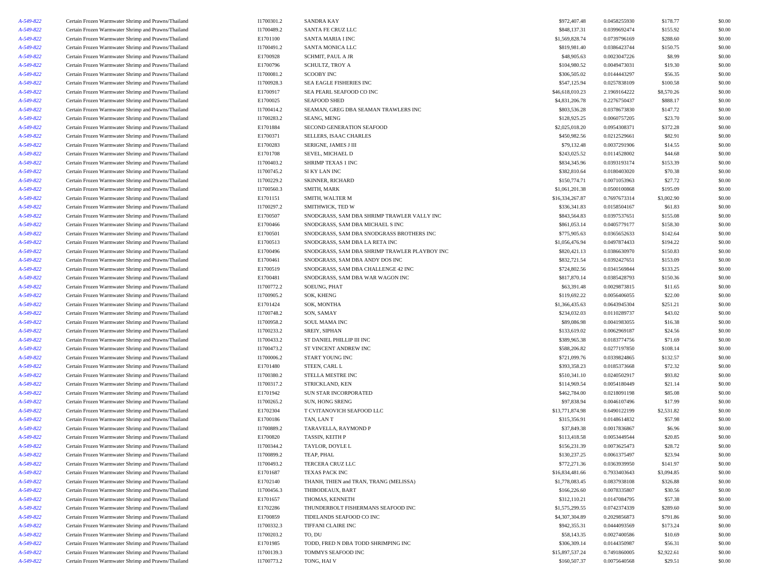| A-549-822              | Certain Frozen Warmwater Shrimp and Prawns/Thailand                                                        | I1700301.2           | <b>SANDRA KAY</b>                                                               | \$972,407.48                 | 0.0458255930                 | \$178.77             | \$0.00           |
|------------------------|------------------------------------------------------------------------------------------------------------|----------------------|---------------------------------------------------------------------------------|------------------------------|------------------------------|----------------------|------------------|
| A-549-822              | Certain Frozen Warmwater Shrimp and Prawns/Thailand                                                        | I1700489.2           | SANTA FE CRUZ LLC                                                               | \$848,137.31                 | 0.0399692474                 | \$155.92             | \$0.00           |
| A-549-822              | Certain Frozen Warmwater Shrimp and Prawns/Thailand                                                        | E1701100             | SANTA MARIA I INC                                                               | \$1,569,828.74               | 0.0739796169                 | \$288.60             | \$0.00           |
| A-549-822              | Certain Frozen Warmwater Shrimp and Prawns/Thailand                                                        | I1700491.2           | SANTA MONICA LLC                                                                | \$819,981.40                 | 0.0386423744                 | \$150.75             | \$0.00           |
| A-549-822              | Certain Frozen Warmwater Shrimp and Prawns/Thailand                                                        | E1700928             | SCHMIT, PAUL A JR                                                               | \$48,905.63                  | 0.0023047226                 | \$8.99               | \$0.00           |
| A-549-822              | Certain Frozen Warmwater Shrimp and Prawns/Thailand                                                        | E1700796             | SCHULTZ, TROY A                                                                 | \$104,980.52                 | 0.0049473031                 | \$19.30              | \$0.00           |
| A-549-822              | Certain Frozen Warmwater Shrimp and Prawns/Thailand                                                        | I1700081.2           | <b>SCOOBY INC</b>                                                               | \$306,505.02                 | 0.0144443297                 | \$56.35              | \$0.00           |
| A-549-822              | Certain Frozen Warmwater Shrimp and Prawns/Thailand                                                        | I1700928.3           | SEA EAGLE FISHERIES INC                                                         | \$547,125.94                 | 0.0257838109                 | \$100.58             | \$0.00           |
| A-549-822              | Certain Frozen Warmwater Shrimp and Prawns/Thailand                                                        | E1700917             | SEA PEARL SEAFOOD CO INC                                                        | \$46,618,010.23              | 2.1969164222                 | \$8,570.26           | \$0.00           |
| A-549-822              | Certain Frozen Warmwater Shrimp and Prawns/Thailand                                                        | E1700025             | <b>SEAFOOD SHED</b>                                                             | \$4,831,206.78               | 0.2276750437                 | \$888.17             | \$0.00           |
| A-549-822              | Certain Frozen Warmwater Shrimp and Prawns/Thailand                                                        | I1700414.2           | SEAMAN, GREG DBA SEAMAN TRAWLERS INC                                            | \$803,536.28                 | 0.0378673830                 | \$147.72             | \$0.00           |
| A-549-822              | Certain Frozen Warmwater Shrimp and Prawns/Thailand                                                        | I1700283.2           | SEANG, MENG                                                                     | \$128,925.25                 | 0.0060757205                 | \$23.70              | \$0.00           |
| A-549-822              | Certain Frozen Warmwater Shrimp and Prawns/Thailand                                                        | E1701884             | SECOND GENERATION SEAFOOD                                                       | \$2,025,018.20               | 0.0954308371                 | \$372.28             | \$0.00           |
| A-549-822              | Certain Frozen Warmwater Shrimp and Prawns/Thailand                                                        | E1700371             | SELLERS, ISAAC CHARLES                                                          | \$450,982.56                 | 0.0212529661                 | \$82.91              | \$0.00           |
| A-549-822              | Certain Frozen Warmwater Shrimp and Prawns/Thailand                                                        | E1700283             | SERIGNE, JAMES J III                                                            | \$79,132.48                  | 0.0037291906                 | \$14.55              | \$0.00           |
| A-549-822              | Certain Frozen Warmwater Shrimp and Prawns/Thailand                                                        | E1701708             | SEVEL, MICHAEL D                                                                | \$243,025.52                 | 0.0114528002                 | \$44.68              | \$0.00           |
| A-549-822              | Certain Frozen Warmwater Shrimp and Prawns/Thailand                                                        | I1700403.2           | SHRIMP TEXAS 1 INC                                                              | \$834,345.96                 | 0.0393193174                 | \$153.39             | \$0.00           |
| A-549-822              | Certain Frozen Warmwater Shrimp and Prawns/Thailand                                                        | I1700745.2           | SI KY LAN INC                                                                   | \$382,810.64                 | 0.0180403020                 | \$70.38              | \$0.00           |
| A-549-822              | Certain Frozen Warmwater Shrimp and Prawns/Thailand                                                        | I1700229.2           | SKINNER, RICHARD                                                                | \$150,774.71                 | 0.0071053963                 | \$27.72              | \$0.00           |
| A-549-822              | Certain Frozen Warmwater Shrimp and Prawns/Thailand                                                        | I1700560.3           | SMITH, MARK                                                                     | \$1,061,201.38               | 0.0500100868                 | \$195.09             | \$0.00           |
| A-549-822              | Certain Frozen Warmwater Shrimp and Prawns/Thailand                                                        | E1701151             | SMITH, WALTER M                                                                 | \$16,334,267.87              | 0.7697673314                 | \$3,002.90           | \$0.00           |
| A-549-822              | Certain Frozen Warmwater Shrimp and Prawns/Thailand                                                        | I1700297.2           | SMITHWICK, TED W                                                                | \$336,341.83                 | 0.0158504167                 | \$61.83              | \$0.00           |
| A-549-822              | Certain Frozen Warmwater Shrimp and Prawns/Thailand                                                        | E1700507             | SNODGRASS, SAM DBA SHRIMP TRAWLER VALLY INC                                     | \$843,564.83                 | 0.0397537651                 | \$155.08             | \$0.00           |
| A-549-822              | Certain Frozen Warmwater Shrimp and Prawns/Thailand                                                        | E1700466             | SNODGRASS, SAM DBA MICHAEL S INC                                                | \$861,053.14                 | 0.0405779177                 | \$158.30             | \$0.00           |
| A-549-822              |                                                                                                            | E1700501             | SNODGRASS, SAM DBA SNODGRASS BROTHERS INC                                       | \$775,905.63                 | 0.0365652633                 | \$142.64             | \$0.00           |
| A-549-822              | Certain Frozen Warmwater Shrimp and Prawns/Thailand<br>Certain Frozen Warmwater Shrimp and Prawns/Thailand | E1700513             |                                                                                 | \$1,056,476.94               | 0.0497874433                 | \$194.22             |                  |
| A-549-822              | Certain Frozen Warmwater Shrimp and Prawns/Thailand                                                        | E1700496             | SNODGRASS, SAM DBA LA RETA INC<br>SNODGRASS, SAM DBA SHRIMP TRAWLER PLAYBOY INC | \$820,421.13                 | 0.0386630970                 | \$150.83             | \$0.00<br>\$0.00 |
|                        | Certain Frozen Warmwater Shrimp and Prawns/Thailand                                                        |                      | SNODGRASS, SAM DBA ANDY DOS INC                                                 |                              | 0.0392427651                 |                      | \$0.00           |
| A-549-822              |                                                                                                            | E1700461             |                                                                                 | \$832,721.54                 |                              | \$153.09             |                  |
| A-549-822<br>A-549-822 | Certain Frozen Warmwater Shrimp and Prawns/Thailand<br>Certain Frozen Warmwater Shrimp and Prawns/Thailand | E1700519<br>E1700481 | SNODGRASS, SAM DBA CHALLENGE 42 INC<br>SNODGRASS, SAM DBA WAR WAGON INC         | \$724,802.56<br>\$817,870.14 | 0.0341569844<br>0.0385428793 | \$133.25<br>\$150.36 | \$0.00<br>\$0.00 |
|                        |                                                                                                            |                      | <b>SOEUNG, PHAT</b>                                                             |                              |                              |                      |                  |
| A-549-822              | Certain Frozen Warmwater Shrimp and Prawns/Thailand                                                        | I1700772.2           |                                                                                 | \$63,391.48                  | 0.0029873815                 | \$11.65              | \$0.00           |
| A-549-822              | Certain Frozen Warmwater Shrimp and Prawns/Thailand                                                        | I1700905.2           | SOK, KHENG                                                                      | \$119,692.22                 | 0.0056406055                 | \$22.00              | \$0.00           |
| A-549-822              | Certain Frozen Warmwater Shrimp and Prawns/Thailand                                                        | E1701424             | SOK, MONTHA                                                                     | \$1,366,435.63               | 0.0643945304                 | \$251.21             | \$0.00           |
| A-549-822              | Certain Frozen Warmwater Shrimp and Prawns/Thailand                                                        | I1700748.2           | SON, SAMAY                                                                      | \$234,032.03                 | 0.0110289737                 | \$43.02              | \$0.00           |
| A-549-822              | Certain Frozen Warmwater Shrimp and Prawns/Thailand                                                        | I1700958.2           | <b>SOUL MAMA INC</b>                                                            | \$89,086.98                  | 0.0041983055                 | \$16.38              | \$0.00           |
| A-549-822              | Certain Frozen Warmwater Shrimp and Prawns/Thailand                                                        | I1700233.2           | SREIY, SIPHAN                                                                   | \$133,619.02                 | 0.0062969187                 | \$24.56              | \$0.00           |
| A-549-822              | Certain Frozen Warmwater Shrimp and Prawns/Thailand                                                        | I1700433.2           | ST DANIEL PHILLIP III INC                                                       | \$389,965.38                 | 0.0183774756                 | \$71.69              | \$0.00           |
| A-549-822              | Certain Frozen Warmwater Shrimp and Prawns/Thailand                                                        | I1700473.2           | ST VINCENT ANDREW INC                                                           | \$588,206.82                 | 0.0277197850                 | \$108.14             | \$0.00           |
| A-549-822              | Certain Frozen Warmwater Shrimp and Prawns/Thailand                                                        | I1700006.2           | START YOUNG INC                                                                 | \$721,099.76                 | 0.0339824865                 | \$132.57             | \$0.00           |
| A-549-822              | Certain Frozen Warmwater Shrimp and Prawns/Thailand                                                        | E1701480             | STEEN, CARL L                                                                   | \$393,358.23                 | 0.0185373668                 | \$72.32              | \$0.00           |
| A-549-822              | Certain Frozen Warmwater Shrimp and Prawns/Thailand                                                        | I1700380.2           | STELLA MESTRE INC                                                               | \$510,341.10                 | 0.0240502917                 | \$93.82              | \$0.00           |
| A-549-822              | Certain Frozen Warmwater Shrimp and Prawns/Thailand                                                        | I1700317.2           | STRICKLAND, KEN                                                                 | \$114,969.54                 | 0.0054180449                 | \$21.14              | \$0.00           |
| A-549-822              | Certain Frozen Warmwater Shrimp and Prawns/Thailand                                                        | E1701942             | <b>SUN STAR INCORPORATED</b>                                                    | \$462,784.00                 | 0.0218091198                 | \$85.08              | \$0.00           |
| A-549-822              | Certain Frozen Warmwater Shrimp and Prawns/Thailand                                                        | I1700265.2           | SUN, HONG SRENG                                                                 | \$97,838.94                  | 0.0046107496                 | \$17.99              | \$0.00           |
| A-549-822              | Certain Frozen Warmwater Shrimp and Prawns/Thailand                                                        | E1702304             | T CVITANOVICH SEAFOOD LLC                                                       | \$13,771,874.98              | 0.6490122199                 | \$2,531.82           | \$0.00           |
| A-549-822              | Certain Frozen Warmwater Shrimp and Prawns/Thailand                                                        | E1700186             | TAN, LAN T                                                                      | \$315,356.91                 | 0.0148614832                 | \$57.98              | \$0.00           |
| A-549-822              | Certain Frozen Warmwater Shrimp and Prawns/Thailand                                                        | I1700889.2           | TARAVELLA, RAYMOND P                                                            | \$37,849.38                  | 0.0017836867                 | \$6.96               | \$0.00           |
| A-549-822              | Certain Frozen Warmwater Shrimp and Prawns/Thailand                                                        | E1700820             | TASSIN, KEITH P                                                                 | \$113,418.58                 | 0.0053449544                 | \$20.85              | \$0.00           |
| A-549-822              | Certain Frozen Warmwater Shrimp and Prawns/Thailand                                                        | I1700344.2           | TAYLOR, DOYLE L                                                                 | \$156,231.39                 | 0.0073625473                 | \$28.72              | \$0.00           |
| A-549-822              | Certain Frozen Warmwater Shrimp and Prawns/Thailand                                                        | I1700899.2           | TEAP, PHAL                                                                      | \$130,237.25                 | 0.0061375497                 | \$23.94              | \$0.00           |
| A-549-822              | Certain Frozen Warmwater Shrimp and Prawns/Thailand                                                        | I1700493.2           | TERCERA CRUZ LLC                                                                | \$772,271.36                 | 0.0363939950                 | \$141.97             | \$0.00           |
| A-549-822              | Certain Frozen Warmwater Shrimp and Prawns/Thailand                                                        | E1701687             | <b>TEXAS PACK INC</b>                                                           | \$16,834,481.66              | 0.7933403643                 | \$3,094.85           | \$0.00           |
| A-549-822              | Certain Frozen Warmwater Shrimp and Prawns/Thailand                                                        | E1702140             | THANH, THIEN and TRAN, TRANG (MELISSA)                                          | \$1,778,083.45               | 0.0837938108                 | \$326.88             | \$0.00           |
| A-549-822              | Certain Frozen Warmwater Shrimp and Prawns/Thailand                                                        | I1700456.3           | THIBODEAUX, BART                                                                | \$166,226.60                 | 0.0078335807                 | \$30.56              | \$0.00           |
| A-549-822              | Certain Frozen Warmwater Shrimp and Prawns/Thailand                                                        | E1701657             | THOMAS, KENNETH                                                                 | \$312,110.21                 | 0.0147084795                 | \$57.38              | \$0.00           |
| A-549-822              | Certain Frozen Warmwater Shrimp and Prawns/Thailand                                                        | E1702286             | THUNDERBOLT FISHERMANS SEAFOOD INC                                              | \$1,575,299.55               | 0.0742374339                 | \$289.60             | \$0.00           |
| A-549-822              | Certain Frozen Warmwater Shrimp and Prawns/Thailand                                                        | E1700859             | TIDELANDS SEAFOOD CO INC                                                        | \$4,307,304.89               | 0.2029856873                 | \$791.86             | \$0.00           |
| A-549-822              | Certain Frozen Warmwater Shrimp and Prawns/Thailand                                                        | I1700332.3           | TIFFANI CLAIRE INC                                                              | \$942,355.31                 | 0.0444093569                 | \$173.24             | \$0.00           |
| A-549-822              | Certain Frozen Warmwater Shrimp and Prawns/Thailand                                                        | I1700203.2           | TO, DU                                                                          | \$58,143.35                  | 0.0027400586                 | \$10.69              | \$0.00           |
| A-549-822              | Certain Frozen Warmwater Shrimp and Prawns/Thailand                                                        | E1701985             | TODD, FRED N DBA TODD SHRIMPING INC                                             | \$306,309.14                 | 0.0144350987                 | \$56.31              | \$0.00           |
| A-549-822              | Certain Frozen Warmwater Shrimp and Prawns/Thailand                                                        | I1700139.3           | TOMMYS SEAFOOD INC                                                              | \$15,897,537.24              | 0.7491860005                 | \$2,922.61           | \$0.00           |
| A-549-822              | Certain Frozen Warmwater Shrimp and Prawns/Thailand                                                        | I1700773.2           | TONG, HAI V                                                                     | \$160,507.37                 | 0.0075640568                 | \$29.51              | \$0.00           |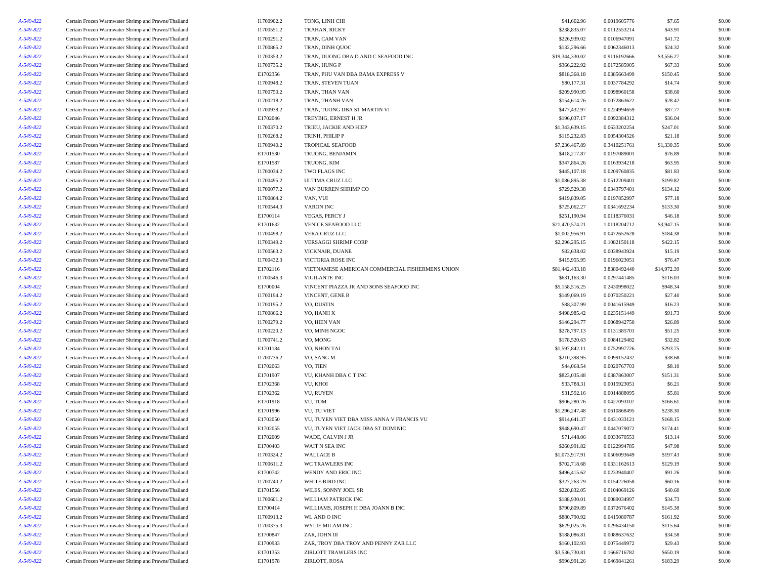| A-549-822              | Certain Frozen Warmwater Shrimp and Prawns/Thailand                                                        | I1700902.2               | TONG, LINH CHI                                                          | \$41,602.96                     | 0.0019605776                 | \$7.65      | \$0.00 |
|------------------------|------------------------------------------------------------------------------------------------------------|--------------------------|-------------------------------------------------------------------------|---------------------------------|------------------------------|-------------|--------|
| A-549-822              | Certain Frozen Warmwater Shrimp and Prawns/Thailand                                                        | I1700551.2               | <b>TRAHAN, RICKY</b>                                                    | \$238,835.07                    | 0.0112553214                 | \$43.91     | \$0.00 |
| A-549-822              | Certain Frozen Warmwater Shrimp and Prawns/Thailand                                                        | I1700291.2               | TRAN, CAM VAN                                                           | \$226,939.02                    | 0.0106947091                 | \$41.72     | \$0.00 |
| A-549-822              | Certain Frozen Warmwater Shrimp and Prawns/Thailand                                                        | I1700865.2               | TRAN, DINH QUOC                                                         | \$132,296.66                    | 0.0062346013                 | \$24.32     | \$0.00 |
| A-549-822              | Certain Frozen Warmwater Shrimp and Prawns/Thailand                                                        | I1700353.2               | TRAN, DUONG DBA D AND C SEAFOOD INC                                     | \$19,344,330.02                 | 0.9116192666                 | \$3,556.27  | \$0.00 |
| A-549-822              | Certain Frozen Warmwater Shrimp and Prawns/Thailand                                                        | I1700735.2               | TRAN, HUNG P                                                            | \$366,222.92                    | 0.0172585905                 | \$67.33     | \$0.00 |
| A-549-822              | Certain Frozen Warmwater Shrimp and Prawns/Thailand                                                        | E1702356                 | TRAN, PHU VAN DBA BAMA EXPRESS V                                        | \$818,368.18                    | 0.0385663499                 | \$150.45    | \$0.00 |
| A-549-822              | Certain Frozen Warmwater Shrimp and Prawns/Thailand                                                        | I1700948.2               | TRAN, STEVEN TUAN                                                       | \$80,177.31                     | 0.0037784292                 | \$14.74     | \$0.00 |
| A-549-822              | Certain Frozen Warmwater Shrimp and Prawns/Thailand                                                        | I1700750.2               | TRAN, THAN VAN                                                          | \$209,990.95                    | 0.0098960158                 | \$38.60     | \$0.00 |
| A-549-822              | Certain Frozen Warmwater Shrimp and Prawns/Thailand                                                        | I1700218.2               | TRAN, THANH VAN                                                         | \$154,614.76                    | 0.0072863622                 | \$28.42     | \$0.00 |
| A-549-822              | Certain Frozen Warmwater Shrimp and Prawns/Thailand                                                        | I1700938.2               | TRAN, TUONG DBA ST MARTIN VI                                            | \$477,432.97                    | 0.0224994659                 | \$87.77     | \$0.00 |
| A-549-822              | Certain Frozen Warmwater Shrimp and Prawns/Thailand                                                        | E1702046                 | TREYBIG, ERNEST H JR                                                    | \$196,037.17                    | 0.0092384312                 | \$36.04     | \$0.00 |
| A-549-822              | Certain Frozen Warmwater Shrimp and Prawns/Thailand                                                        | I1700370.2               | TRIEU, JACKIE AND HIEP                                                  | \$1,343,639.15                  | 0.0633202254                 | \$247.01    | \$0.00 |
| A-549-822              | Certain Frozen Warmwater Shrimp and Prawns/Thailand                                                        | I1700268.2               | TRINH, PHILIP P                                                         | \$115,232.83                    | 0.0054304526                 | \$21.18     | \$0.00 |
| A-549-822              | Certain Frozen Warmwater Shrimp and Prawns/Thailand                                                        | I1700940.2               | TROPICAL SEAFOOD                                                        | \$7,236,467.89                  | 0.3410251761                 | \$1,330.35  | \$0.00 |
| A-549-822              | Certain Frozen Warmwater Shrimp and Prawns/Thailand                                                        | E1701530                 | TRUONG, BENJAMIN                                                        | \$418,217.87                    | 0.0197089001                 | \$76.89     | \$0.00 |
| A-549-822              | Certain Frozen Warmwater Shrimp and Prawns/Thailand                                                        | E1701587                 | TRUONG, KIM                                                             | \$347,864.26                    | 0.0163934218                 | \$63.95     | \$0.00 |
| A-549-822              | Certain Frozen Warmwater Shrimp and Prawns/Thailand                                                        | I1700034.2               | <b>TWO FLAGS INC</b>                                                    | \$445,107.18                    | 0.0209760835                 | \$81.83     | \$0.00 |
| A-549-822              | Certain Frozen Warmwater Shrimp and Prawns/Thailand                                                        | I1700495.2               | ULTIMA CRUZ LLC                                                         | \$1,086,895.38                  | 0.0512209401                 | \$199.82    | \$0.00 |
| A-549-822              | Certain Frozen Warmwater Shrimp and Prawns/Thailand                                                        | I1700077.2               | VAN BURREN SHRIMP CO                                                    | \$729,529.38                    | 0.0343797401                 | \$134.12    | \$0.00 |
| A-549-822              | Certain Frozen Warmwater Shrimp and Prawns/Thailand                                                        | I1700864.2               | VAN, VUI                                                                | \$419,839.05                    | 0.0197852997                 | \$77.18     | \$0.00 |
| A-549-822              | Certain Frozen Warmwater Shrimp and Prawns/Thailand                                                        | I1700544.3               | <b>VARON INC</b>                                                        | \$725,062.27                    | 0.0341692234                 | \$133.30    | \$0.00 |
| A-549-822              | Certain Frozen Warmwater Shrimp and Prawns/Thailand                                                        | E1700114                 | VEGAS, PERCY J                                                          | \$251,190.94                    | 0.0118376031                 | \$46.18     | \$0.00 |
| A-549-822              | Certain Frozen Warmwater Shrimp and Prawns/Thailand                                                        | E1701632                 | VENICE SEAFOOD LLC                                                      | \$21,470,574.21                 | 1.0118204712                 | \$3,947.15  | \$0.00 |
| A-549-822              | Certain Frozen Warmwater Shrimp and Prawns/Thailand                                                        | I1700498.2               | <b>VERA CRUZ LLC</b>                                                    | \$1,002,956.91                  | 0.0472652628                 | \$184.38    | \$0.00 |
|                        |                                                                                                            |                          | <b>VERSAGGI SHRIMP CORP</b>                                             | \$2,296,295.15                  | 0.1082150118                 | \$422.15    | \$0.00 |
| A-549-822<br>A-549-822 | Certain Frozen Warmwater Shrimp and Prawns/Thailand                                                        | I1700349.2<br>I1700563.2 | VICKNAIR, DUANE                                                         | \$82,638.02                     | 0.0038943924                 | \$15.19     | \$0.00 |
|                        | Certain Frozen Warmwater Shrimp and Prawns/Thailand<br>Certain Frozen Warmwater Shrimp and Prawns/Thailand | I1700432.3               |                                                                         | \$415,955.95                    |                              | \$76.47     | \$0.00 |
| A-549-822              |                                                                                                            |                          | VICTORIA ROSE INC                                                       |                                 | 0.0196023051                 |             |        |
| A-549-822              | Certain Frozen Warmwater Shrimp and Prawns/Thailand                                                        | E1702116                 | VIETNAMESE AMERICAN COMMERCIAL FISHERMENS UNION<br><b>VIGILANTE INC</b> | \$81,442,433.18<br>\$631,163.30 | 3.8380492440<br>0.0297441485 | \$14,972.39 | \$0.00 |
| A-549-822              | Certain Frozen Warmwater Shrimp and Prawns/Thailand                                                        | I1700546.3               |                                                                         |                                 | 0.2430998022                 | \$116.03    | \$0.00 |
| A-549-822              | Certain Frozen Warmwater Shrimp and Prawns/Thailand                                                        | E1700004                 | VINCENT PIAZZA JR AND SONS SEAFOOD INC                                  | \$5,158,516.25                  |                              | \$948.34    | \$0.00 |
| A-549-822              | Certain Frozen Warmwater Shrimp and Prawns/Thailand                                                        | I1700194.2               | VINCENT, GENE B                                                         | \$149,069.19                    | 0.0070250221                 | \$27.40     | \$0.00 |
| A-549-822              | Certain Frozen Warmwater Shrimp and Prawns/Thailand                                                        | I1700195.2               | VO, DUSTIN                                                              | \$88,307.99                     | 0.0041615949                 | \$16.23     | \$0.00 |
| A-549-822              | Certain Frozen Warmwater Shrimp and Prawns/Thailand                                                        | I1700866.2               | VO, HANH X                                                              | \$498,985.42                    | 0.0235151449                 | \$91.73     | \$0.00 |
| A-549-822              | Certain Frozen Warmwater Shrimp and Prawns/Thailand                                                        | I1700279.2               | VO, HIEN VAN                                                            | \$146,294.77                    | 0.0068942750                 | \$26.89     | \$0.00 |
| A-549-822              | Certain Frozen Warmwater Shrimp and Prawns/Thailand                                                        | I1700220.2               | VO, MINH NGOC                                                           | \$278,797.13                    | 0.0131385701                 | \$51.25     | \$0.00 |
| A-549-822              | Certain Frozen Warmwater Shrimp and Prawns/Thailand                                                        | I1700741.2               | VO, MONG                                                                | \$178,520.63                    | 0.0084129482                 | \$32.82     | \$0.00 |
| A-549-822              | Certain Frozen Warmwater Shrimp and Prawns/Thailand                                                        | E1701184                 | VO, NHON TAI                                                            | \$1,597,842.11                  | 0.0752997726                 | \$293.75    | \$0.00 |
| A-549-822              | Certain Frozen Warmwater Shrimp and Prawns/Thailand                                                        | I1700736.2               | VO, SANG M                                                              | \$210,398.95                    | 0.0099152432                 | \$38.68     | \$0.00 |
| A-549-822              | Certain Frozen Warmwater Shrimp and Prawns/Thailand                                                        | E1702063                 | VO, TIEN                                                                | \$44,068.54                     | 0.0020767703                 | \$8.10      | \$0.00 |
| A-549-822              | Certain Frozen Warmwater Shrimp and Prawns/Thailand                                                        | E1701907                 | VU, KHANH DBA C T INC                                                   | \$823,035.48                    | 0.0387863007                 | \$151.31    | \$0.00 |
| A-549-822              | Certain Frozen Warmwater Shrimp and Prawns/Thailand                                                        | E1702368                 | VU, KHOI                                                                | \$33,788.31                     | 0.0015923051                 | \$6.21      | \$0.00 |
| A-549-822              | Certain Frozen Warmwater Shrimp and Prawns/Thailand                                                        | E1702362                 | VU, RUYEN                                                               | \$31,592.16                     | 0.0014888095                 | \$5.81      | \$0.00 |
| A-549-822              | Certain Frozen Warmwater Shrimp and Prawns/Thailand                                                        | E1701918                 | VU, TOM                                                                 | \$906,280.76                    | 0.0427093107                 | \$166.61    | \$0.00 |
| A-549-822              | Certain Frozen Warmwater Shrimp and Prawns/Thailand                                                        | E1701996                 | VU, TU VIET                                                             | \$1,296,247.48                  | 0.0610868495                 | \$238.30    | \$0.00 |
| A-549-822              | Certain Frozen Warmwater Shrimp and Prawns/Thailand                                                        | E1702050                 | VU, TUYEN VIET DBA MISS ANNA V FRANCIS VU                               | \$914,641.37                    | 0.0431033121                 | \$168.15    | \$0.00 |
| A-549-822              | Certain Frozen Warmwater Shrimp and Prawns/Thailand                                                        | E1702055                 | VU, TUYEN VIET JACK DBA ST DOMINIC                                      | \$948,690.47                    | 0.0447079072                 | \$174.41    | \$0.00 |
| A-549-822              | Certain Frozen Warmwater Shrimp and Prawns/Thailand                                                        | E1702009                 | WADE, CALVIN J JR                                                       | \$71,448.06                     | 0.0033670553                 | \$13.14     | \$0.00 |
| A-549-822              | Certain Frozen Warmwater Shrimp and Prawns/Thailand                                                        | E1700403                 | WAIT N SEA INC                                                          | \$260,991.82                    | 0.0122994785                 | \$47.98     | \$0.00 |
| A-549-822              | Certain Frozen Warmwater Shrimp and Prawns/Thailand                                                        | I1700324.2               | <b>WALLACE B</b>                                                        | \$1,073,917.91                  | 0.0506093649                 | \$197.43    | \$0.00 |
| A-549-822              | Certain Frozen Warmwater Shrimp and Prawns/Thailand                                                        | I1700611.2               | WC TRAWLERS INC                                                         | \$702,718.68                    | 0.0331162613                 | \$129.19    | \$0.00 |
| A-549-822              | Certain Frozen Warmwater Shrimp and Prawns/Thailand                                                        | E1700742                 | WENDY AND ERIC INC                                                      | \$496,415.62                    | 0.0233940407                 | \$91.26     | \$0.00 |
| A-549-822              | Certain Frozen Warmwater Shrimp and Prawns/Thailand                                                        | I1700740.2               | WHITE BIRD INC                                                          | \$327,263.79                    | 0.0154226058                 | \$60.16     | \$0.00 |
| A-549-822              | Certain Frozen Warmwater Shrimp and Prawns/Thailand                                                        | E1701556                 | WILES, SONNY JOEL SR                                                    | \$220,832.05                    | 0.0104069126                 | \$40.60     | \$0.00 |
| A-549-822              | Certain Frozen Warmwater Shrimp and Prawns/Thailand                                                        | I1700601.2               | WILLIAM PATRICK INC                                                     | \$188,930.01                    | 0.0089034997                 | \$34.73     | \$0.00 |
| A-549-822              | Certain Frozen Warmwater Shrimp and Prawns/Thailand                                                        | E1700414                 | WILLIAMS. JOSEPH H DBA JOANN B INC                                      | \$790,809.89                    | 0.0372676402                 | \$145.38    | \$0.00 |
| A-549-822              | Certain Frozen Warmwater Shrimp and Prawns/Thailand                                                        | I1700913.2               | WL AND O INC                                                            | \$880,790.92                    | 0.0415080787                 | \$161.92    | \$0.00 |
| A-549-822              | Certain Frozen Warmwater Shrimp and Prawns/Thailand                                                        | I1700375.3               | WYLIE MILAM INC                                                         | \$629,025.76                    | 0.0296434150                 | \$115.64    | \$0.00 |
| A-549-822              | Certain Frozen Warmwater Shrimp and Prawns/Thailand                                                        | E1700847                 | ZAR, JOHN III                                                           | \$188,086.81                    | 0.0088637632                 | \$34.58     | \$0.00 |
| A-549-822              | Certain Frozen Warmwater Shrimp and Prawns/Thailand                                                        | E1700933                 | ZAR, TROY DBA TROY AND PENNY ZAR LLC                                    | \$160,102.93                    | 0.0075449972                 | \$29.43     | \$0.00 |
| A-549-822              | Certain Frozen Warmwater Shrimp and Prawns/Thailand                                                        | E1701353                 | ZIRLOTT TRAWLERS INC                                                    | \$3,536,730.81                  | 0.1666716782                 | \$650.19    | \$0.00 |
| A-549-822              | Certain Frozen Warmwater Shrimp and Prawns/Thailand                                                        | E1701978                 | ZIRLOTT, ROSA                                                           | \$996,991.26                    | 0.0469841261                 | \$183.29    | \$0.00 |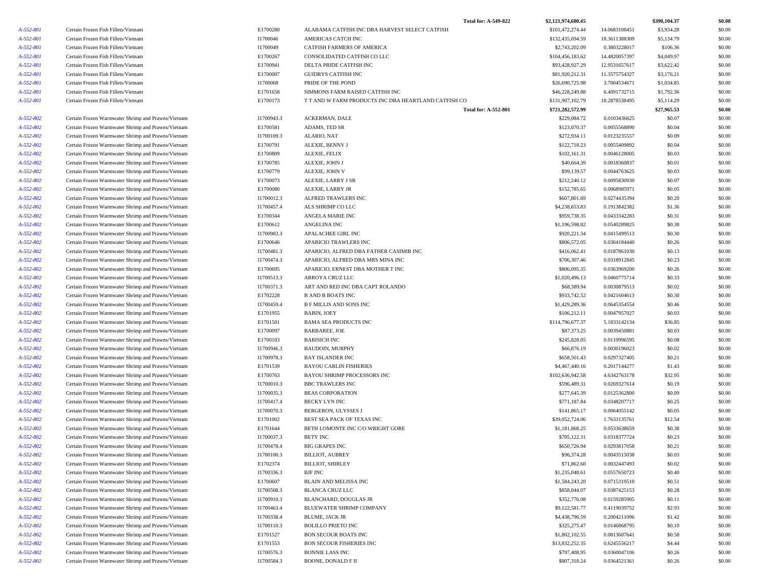|                        |                                                                                                          |                        | <b>Total for: A-549-822</b>                          | \$2,121,974,680.45             |                              | \$390,104.37     | \$0.00           |
|------------------------|----------------------------------------------------------------------------------------------------------|------------------------|------------------------------------------------------|--------------------------------|------------------------------|------------------|------------------|
| A-552-801              | Certain Frozen Fish Fillets/Vietnam                                                                      | E1700280               | ALABAMA CATFISH INC DBA HARVEST SELECT CATFISH       | \$101,472,274.44               | 14.0683108451                | \$3,934.28       | \$0.00           |
| A-552-801              | Certain Frozen Fish Fillets/Vietnam                                                                      | I1700046               | AMERICAS CATCH INC                                   | \$132,435,694.59               | 18.3611388309                | \$5,134.79       | \$0.00           |
| A-552-801              | Certain Frozen Fish Fillets/Vietnam                                                                      | I1700049               | CATFISH FARMERS OF AMERICA                           | \$2,743,202.09                 | 0.3803228017                 | \$106.36         | \$0.00           |
| A-552-801              | Certain Frozen Fish Fillets/Vietnam                                                                      | E1700267               | CONSOLIDATED CATFISH CO LLC                          | \$104,456,183.62               | 14.4820057397                | \$4,049.97       | \$0.00           |
| A-552-801              | Certain Frozen Fish Fillets/Vietnam                                                                      | E1700941               | DELTA PRIDE CATFISH INC                              | \$93,428,927.29                | 12.9531657617                | \$3,622.42       | \$0.00           |
| A-552-801              | Certain Frozen Fish Fillets/Vietnam                                                                      | E1700007               | <b>GUIDRYS CATFISH INC</b>                           | \$81,920,212.31                | 11.3575754327                | \$3,176.21       | \$0.00           |
| A-552-801              | Certain Frozen Fish Fillets/Vietnam                                                                      | I1700068               | PRIDE OF THE POND                                    | \$26,690,725.98                | 3.7004534671                 | \$1,034.85       | \$0.00           |
| A-552-801              | Certain Frozen Fish Fillets/Vietnam                                                                      | E1701658               | SIMMONS FARM RAISED CATFISH INC                      | \$46,228,249.88                | 6.4091732715                 | \$1,792.36       | \$0.00           |
| A-552-801              | Certain Frozen Fish Fillets/Vietnam                                                                      | E1700173               | T T AND W FARM PRODUCTS INC DBA HEARTLAND CATFISH CO | \$131,907,102.79               | 18.2878538495                | \$5,114.29       | \$0.00           |
|                        |                                                                                                          |                        | <b>Total for: A-552-801</b>                          | \$721,282,572.99               |                              | \$27,965.53      | \$0.00           |
| A-552-802              | Certain Frozen Warmwater Shrimp and Prawns/Vietnam                                                       | I1700943.3             | ACKERMAN, DALE                                       | \$229,084.72                   | 0.0103436625                 | \$0.07           | \$0.00           |
| A-552-802              | Certain Frozen Warmwater Shrimp and Prawns/Vietnam                                                       | E1700581               | ADAMS, TED SR                                        | \$123,070.37                   | 0.0055568890                 | \$0.04           | \$0.00           |
| A-552-802              | Certain Frozen Warmwater Shrimp and Prawns/Vietnam                                                       | I1700109.3             | ALARIO, NAT                                          | \$272,934.11                   | 0.0123235557                 | \$0.09           | \$0.00           |
| A-552-802              | Certain Frozen Warmwater Shrimp and Prawns/Vietnam                                                       | E1700791               | <b>ALEXIE, BENNY J</b>                               | \$122,718.23                   | 0.0055409892                 | \$0.04           | \$0.00           |
| A-552-802              | Certain Frozen Warmwater Shrimp and Prawns/Vietnam                                                       | E1700809               | ALEXIE, FELIX                                        | \$102,161.31                   | 0.0046128005                 | \$0.03           | \$0.00           |
| A-552-802              | Certain Frozen Warmwater Shrimp and Prawns/Vietnam                                                       | E1700785               | ALEXIE, JOHN J                                       | \$40,664.39                    | 0.0018360837                 | \$0.01           | \$0.00           |
| A-552-802              | Certain Frozen Warmwater Shrimp and Prawns/Vietnam                                                       | E1700779               | ALEXIE, JOHN V                                       | \$99,139.57                    | 0.0044763625                 | \$0.03           | \$0.00           |
| A-552-802              | Certain Frozen Warmwater Shrimp and Prawns/Vietnam                                                       | E1700073               | ALEXIE, LARRY J SR                                   | \$212,240.12                   | 0.0095830930                 | \$0.07           | \$0.00           |
| A-552-802              | Certain Frozen Warmwater Shrimp and Prawns/Vietnam                                                       | E1700080               | ALEXIE, LARRY JR                                     | \$152,785.65                   | 0.0068985971                 | \$0.05           | \$0.00           |
| A-552-802              | Certain Frozen Warmwater Shrimp and Prawns/Vietnam                                                       | I1700012.3             | ALFRED TRAWLERS INC                                  | \$607,801.69                   | 0.0274435394                 | \$0.20           | \$0.00           |
| A-552-802              | Certain Frozen Warmwater Shrimp and Prawns/Vietnam                                                       | I1700457.4             | ALS SHRIMP CO LLC                                    | \$4,238,653.83                 | 0.1913842382                 | \$1.36           | \$0.00           |
| A-552-802              | Certain Frozen Warmwater Shrimp and Prawns/Vietnam                                                       | E1700344               | ANGELA MARIE INC                                     | \$959,738.35                   | 0.0433342283                 | \$0.31           | \$0.00           |
| A-552-802              | Certain Frozen Warmwater Shrimp and Prawns/Vietnam                                                       | E1700612               | ANGELINA INC                                         | \$1,196,598.82                 | 0.0540289825                 | \$0.38           | \$0.00           |
| A-552-802              | Certain Frozen Warmwater Shrimp and Prawns/Vietnam                                                       | I1700983.3             | APALACHEE GIRL INC                                   | \$920,221.34                   | 0.0415499513                 | \$0.30           | \$0.00           |
| A-552-802              | Certain Frozen Warmwater Shrimp and Prawns/Vietnam                                                       | E1700646               | <b>APARICIO TRAWLERS INC</b>                         | \$806,572.05                   | 0.0364184440                 | \$0.26           | \$0.00           |
| A-552-802              | Certain Frozen Warmwater Shrimp and Prawns/Vietnam                                                       | I1700481.3             | APARICIO, ALFRED DBA FATHER CASIMIR INC              | \$416,062.41                   | 0.0187861030                 | \$0.13           | \$0.00           |
| A-552-802              | Certain Frozen Warmwater Shrimp and Prawns/Vietnam                                                       | I1700474.3             | APARICIO, ALFRED DBA MRS MINA INC                    | \$706,307.46                   | 0.0318912845                 | \$0.23           | \$0.00           |
| A-552-802<br>A-552-802 | Certain Frozen Warmwater Shrimp and Prawns/Vietnam                                                       | E1700695<br>I1700513.3 | APARICIO, ERNEST DBA MOTHER T INC<br>ARROYA CRUZ LLC | \$806,095.35<br>\$1,020,496.13 | 0.0363969200<br>0.0460775714 | \$0.26<br>\$0.33 | \$0.00<br>\$0.00 |
| A-552-802              | Certain Frozen Warmwater Shrimp and Prawns/Vietnam<br>Certain Frozen Warmwater Shrimp and Prawns/Vietnam | I1700371.3             | ART AND RED INC DBA CAPT ROLANDO                     | \$68,389.94                    | 0.0030879513                 | \$0.02           | \$0.00           |
| A-552-802              | Certain Frozen Warmwater Shrimp and Prawns/Vietnam                                                       | E1702228               | <b>B AND B BOATS INC</b>                             | \$933,742.52                   | 0.0421604613                 | \$0.30           | \$0.00           |
| A-552-802              | Certain Frozen Warmwater Shrimp and Prawns/Vietnam                                                       | I1700459.4             | <b>B F MILLIS AND SONS INC</b>                       | \$1,429,289.36                 | 0.0645354554                 | \$0.46           | \$0.00           |
| A-552-802              | Certain Frozen Warmwater Shrimp and Prawns/Vietnam                                                       | E1701955               | <b>BABIN, JOEY</b>                                   | \$106,212.11                   | 0.0047957027                 | \$0.03           | \$0.00           |
| A-552-802              | Certain Frozen Warmwater Shrimp and Prawns/Vietnam                                                       | E1701501               | <b>BAMA SEA PRODUCTS INC</b>                         | \$114,796,677.37               | 5.1833142134                 | \$36.85          | \$0.00           |
| A-552-802              | Certain Frozen Warmwater Shrimp and Prawns/Vietnam                                                       | E1700097               | <b>BARBAREE, JOE</b>                                 | \$87,373.25                    | 0.0039450881                 | \$0.03           | \$0.00           |
| A-552-802              | Certain Frozen Warmwater Shrimp and Prawns/Vietnam                                                       | E1700103               | <b>BARISICH INC</b>                                  | \$245,828.05                   | 0.0110996595                 | \$0.08           | \$0.00           |
| A-552-802              | Certain Frozen Warmwater Shrimp and Prawns/Vietnam                                                       | I1700946.3             | <b>BAUDOIN, MURPHY</b>                               | \$66,876.19                    | 0.0030196023                 | \$0.02           | \$0.00           |
| A-552-802              | Certain Frozen Warmwater Shrimp and Prawns/Vietnam                                                       | I1700978.3             | <b>BAY ISLANDER INC</b>                              | \$658,501.43                   | 0.0297327405                 | \$0.21           | \$0.00           |
| A-552-802              | Certain Frozen Warmwater Shrimp and Prawns/Vietnam                                                       | E1701539               | <b>BAYOU CARLIN FISHERIES</b>                        | \$4,467,440.16                 | 0.2017144277                 | \$1.43           | \$0.00           |
| A-552-802              | Certain Frozen Warmwater Shrimp and Prawns/Vietnam                                                       | E1700763               | BAYOU SHRIMP PROCESSORS INC                          | \$102,636,942.58               | 4.6342763178                 | \$32.95          | \$0.00           |
| A-552-802              | Certain Frozen Warmwater Shrimp and Prawns/Vietnam                                                       | I1700010.3             | <b>BBC TRAWLERS INC</b>                              | \$596,489.31                   | 0.0269327614                 | \$0.19           | \$0.00           |
| A-552-802              | Certain Frozen Warmwater Shrimp and Prawns/Vietnam                                                       | I1700035.3             | <b>BEAS CORPORATION</b>                              | \$277,645.39                   | 0.0125362800                 | \$0.09           | \$0.00           |
| A-552-802              | Certain Frozen Warmwater Shrimp and Prawns/Vietnam                                                       | I1700417.4             | BECKY LYN INC                                        | \$771,187.84                   | 0.0348207717                 | \$0.25           | \$0.00           |
| A-552-802              | Certain Frozen Warmwater Shrimp and Prawns/Vietnam                                                       | I1700070.3             | BERGERON, ULYSSES J                                  | \$141,865.17                   | 0.0064055142                 | \$0.05           | \$0.00           |
| A-552-802              | Certain Frozen Warmwater Shrimp and Prawns/Vietnam                                                       | E1701002               | BEST SEA PACK OF TEXAS INC                           | \$39,052,724.06                | 1.7633135761                 | \$12.54          | \$0.00           |
| A-552-802              | Certain Frozen Warmwater Shrimp and Prawns/Vietnam                                                       | E1701644               | BETH LOMONTE INC C/O WRIGHT GORE                     | \$1,181,868.25                 | 0.0533638659                 | \$0.38           | \$0.00           |
| A-552-802              | Certain Frozen Warmwater Shrimp and Prawns/Vietnam                                                       | I1700037.3             | BETY INC                                             | \$705,122.31                   | 0.0318377724                 | \$0.23           | \$0.00           |
| A-552-802              | Certain Frozen Warmwater Shrimp and Prawns/Vietnam                                                       | I1700478.4             | BIG GRAPES INC                                       | \$650,726.94                   | 0.0293817058                 | \$0.21           | \$0.00           |
| A-552-802              | Certain Frozen Warmwater Shrimp and Prawns/Vietnam                                                       | I1700100.3             | BILLIOT, AUBREY                                      | \$96,374.28                    | 0.0043515038                 | \$0.03           | \$0.00           |
| A-552-802              | Certain Frozen Warmwater Shrimp and Prawns/Vietnam                                                       | E1702374               | <b>BILLIOT, SHIRLEY</b>                              | \$71,862.60                    | 0.0032447493                 | \$0.02           | \$0.00           |
| A-552-802              | Certain Frozen Warmwater Shrimp and Prawns/Vietnam                                                       | I1700336.3             | BJF INC                                              | \$1,235,048.61                 | 0.0557650723                 | \$0.40           | \$0.00           |
| A-552-802              | Certain Frozen Warmwater Shrimp and Prawns/Vietnam                                                       | E1700607               | BLAIN AND MELISSA INC                                | \$1,584,243.20                 | 0.0715319510                 | \$0.51           | \$0.00           |
| A-552-802              | Certain Frozen Warmwater Shrimp and Prawns/Vietnam                                                       | I1700508.3             | <b>BLANCA CRUZ LLC</b>                               | \$858,044.07                   | 0.0387425153                 | \$0.28           | \$0.00           |
| A-552-802              | Certain Frozen Warmwater Shrimp and Prawns/Vietnam                                                       | I1700910.3             | <b>BLANCHARD, DOUGLAS JR</b>                         | \$352,776.08                   | 0.0159285905                 | \$0.11           | \$0.00           |
| A-552-802              | Certain Frozen Warmwater Shrimp and Prawns/Vietnam                                                       | I1700463.4             | BLUEWATER SHRIMP COMPANY                             | \$9,122,581.77                 | 0.4119039752                 | \$2.93           | \$0.00           |
| A-552-802              | Certain Frozen Warmwater Shrimp and Prawns/Vietnam                                                       | I1700338.4             | BLUME, JACK JR                                       | \$4,438,796.59                 | 0.2004211096                 | \$1.42           | \$0.00           |
| A-552-802              | Certain Frozen Warmwater Shrimp and Prawns/Vietnam                                                       | I1700110.3             | <b>BOLILLO PRIETO INC</b>                            | \$325,275.47                   | 0.0146868795                 | \$0.10           | \$0.00           |
| A-552-802              | Certain Frozen Warmwater Shrimp and Prawns/Vietnam                                                       | E1701527               | <b>BON SECOUR BOATS INC</b>                          | \$1,802,102.55                 | 0.0813687641                 | \$0.58           | \$0.00           |
| A-552-802              | Certain Frozen Warmwater Shrimp and Prawns/Vietnam                                                       | E1701553               | BON SECOUR FISHERIES INC                             | \$13,832,252.35                | 0.6245556217                 | \$4.44           | \$0.00           |
| A-552-802              | Certain Frozen Warmwater Shrimp and Prawns/Vietnam                                                       | I1700576.3             | <b>BONNIE LASS INC</b>                               | \$797,408.95                   | 0.0360047106                 | \$0.26           | \$0.00           |
| A-552-802              | Certain Frozen Warmwater Shrimp and Prawns/Vietnam                                                       | I1700584.3             | <b>BOONE, DONALD F II</b>                            | \$807,318.24                   | 0.0364521361                 | \$0.26           | \$0.00           |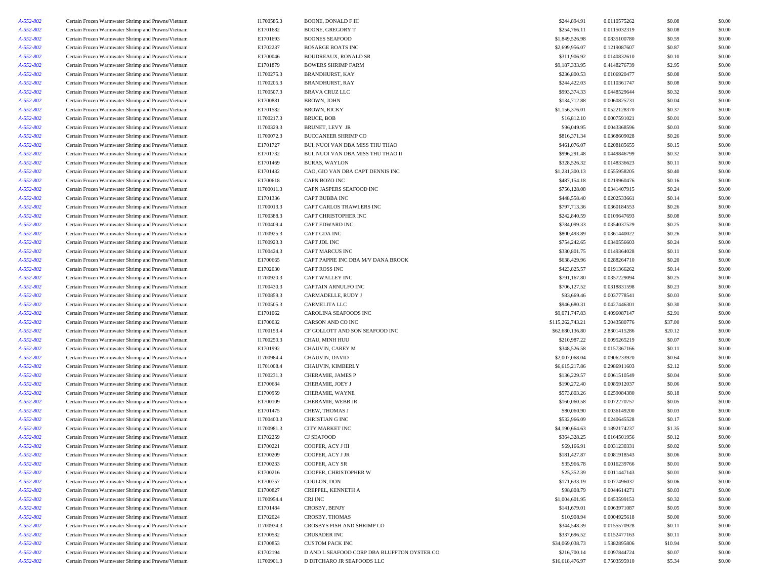| A-552-802 | Certain Frozen Warmwater Shrimp and Prawns/Vietnam                                                       | 11700585.3 | BOONE, DONALD F III                         | \$244,894.91     | 0.0110575262                 | \$0.08  | \$0.00 |
|-----------|----------------------------------------------------------------------------------------------------------|------------|---------------------------------------------|------------------|------------------------------|---------|--------|
| A-552-802 | Certain Frozen Warmwater Shrimp and Prawns/Vietnam                                                       | E1701682   | <b>BOONE, GREGORY T</b>                     | \$254,766.11     | 0.0115032319                 | \$0.08  | \$0.00 |
| A-552-802 | Certain Frozen Warmwater Shrimp and Prawns/Vietnam                                                       | E1701693   | <b>BOONES SEAFOOD</b>                       | \$1,849,526.98   | 0.0835100780                 | \$0.59  | \$0.00 |
| A-552-802 | Certain Frozen Warmwater Shrimp and Prawns/Vietnam                                                       | E1702237   | <b>BOSARGE BOATS INC</b>                    | \$2,699,956.07   | 0.1219087607                 | \$0.87  | \$0.00 |
| A-552-802 | Certain Frozen Warmwater Shrimp and Prawns/Vietnam                                                       | E1700046   | BOUDREAUX, RONALD SR                        | \$311,906.92     | 0.0140832610                 | \$0.10  | \$0.00 |
| A-552-802 | Certain Frozen Warmwater Shrimp and Prawns/Vietnam                                                       | E1701879   | <b>BOWERS SHRIMP FARM</b>                   | \$9,187,333.95   | 0.4148276739                 | \$2.95  | \$0.00 |
| A-552-802 | Certain Frozen Warmwater Shrimp and Prawns/Vietnam                                                       | I1700275.3 | <b>BRANDHURST, KAY</b>                      | \$236,800.53     | 0.0106920477                 | \$0.08  | \$0.00 |
| A-552-802 | Certain Frozen Warmwater Shrimp and Prawns/Vietnam                                                       | I1700205.3 | BRANDHURST, RAY                             | \$244,422.03     | 0.0110361747                 | \$0.08  | \$0.00 |
| A-552-802 | Certain Frozen Warmwater Shrimp and Prawns/Vietnam                                                       | I1700507.3 | <b>BRAVA CRUZ LLC</b>                       | \$993,374.33     | 0.0448529644                 | \$0.32  | \$0.00 |
| A-552-802 | Certain Frozen Warmwater Shrimp and Prawns/Vietnam                                                       | E1700881   | <b>BROWN, JOHN</b>                          | \$134,712.88     | 0.0060825731                 | \$0.04  | \$0.00 |
| A-552-802 | Certain Frozen Warmwater Shrimp and Prawns/Vietnam                                                       | E1701582   | <b>BROWN, RICKY</b>                         | \$1,156,376.01   | 0.0522128370                 | \$0.37  | \$0.00 |
| A-552-802 | Certain Frozen Warmwater Shrimp and Prawns/Vietnam                                                       | I1700217.3 | <b>BRUCE, BOB</b>                           | \$16,812.10      | 0.0007591021                 | \$0.01  | \$0.00 |
| A-552-802 | Certain Frozen Warmwater Shrimp and Prawns/Vietnam                                                       | I1700329.3 | BRUNET, LEVY JR                             | \$96,049.95      | 0.0043368596                 | \$0.03  | \$0.00 |
| A-552-802 | Certain Frozen Warmwater Shrimp and Prawns/Vietnam                                                       | I1700072.3 | <b>BUCCANEER SHRIMP CO</b>                  | \$816,371.34     | 0.0368609028                 | \$0.26  | \$0.00 |
| A-552-802 | Certain Frozen Warmwater Shrimp and Prawns/Vietnam                                                       | E1701727   | BUI, NUOI VAN DBA MISS THU THAO             | \$461,076.07     | 0.0208185655                 | \$0.15  | \$0.00 |
| A-552-802 | Certain Frozen Warmwater Shrimp and Prawns/Vietnam                                                       | E1701732   | BUI, NUOI VAN DBA MISS THU THAO II          | \$996,291.48     | 0.0449846799                 | \$0.32  | \$0.00 |
| A-552-802 | Certain Frozen Warmwater Shrimp and Prawns/Vietnam                                                       | E1701469   | <b>BURAS, WAYLON</b>                        | \$328,526.32     | 0.0148336623                 | \$0.11  | \$0.00 |
|           |                                                                                                          |            |                                             |                  |                              |         |        |
| A-552-802 | Certain Frozen Warmwater Shrimp and Prawns/Vietnam<br>Certain Frozen Warmwater Shrimp and Prawns/Vietnam | E1701432   | CAO, GIO VAN DBA CAPT DENNIS INC            | \$1,231,300.13   | 0.0555958205<br>0.0219960476 | \$0.40  | \$0.00 |
| A-552-802 |                                                                                                          | E1700618   | CAPN BOZO INC                               | \$487,154.18     |                              | \$0.16  | \$0.00 |
| A-552-802 | Certain Frozen Warmwater Shrimp and Prawns/Vietnam                                                       | I1700011.3 | CAPN JASPERS SEAFOOD INC                    | \$756,128.08     | 0.0341407915                 | \$0.24  | \$0.00 |
| A-552-802 | Certain Frozen Warmwater Shrimp and Prawns/Vietnam                                                       | E1701336   | CAPT BUBBA INC                              | \$448,558.40     | 0.0202533661                 | \$0.14  | \$0.00 |
| A-552-802 | Certain Frozen Warmwater Shrimp and Prawns/Vietnam                                                       | I1700013.3 | CAPT CARLOS TRAWLERS INC                    | \$797,713.36     | 0.0360184553                 | \$0.26  | \$0.00 |
| A-552-802 | Certain Frozen Warmwater Shrimp and Prawns/Vietnam                                                       | I1700388.3 | <b>CAPT CHRISTOPHER INC</b>                 | \$242,840.59     | 0.0109647693                 | \$0.08  | \$0.00 |
| A-552-802 | Certain Frozen Warmwater Shrimp and Prawns/Vietnam                                                       | I1700409.4 | CAPT EDWARD INC                             | \$784,099.33     | 0.0354037529                 | \$0.25  | \$0.00 |
| A-552-802 | Certain Frozen Warmwater Shrimp and Prawns/Vietnam                                                       | I1700925.3 | CAPT GDA INC                                | \$800,493.89     | 0.0361440022                 | \$0.26  | \$0.00 |
| A-552-802 | Certain Frozen Warmwater Shrimp and Prawns/Vietnam                                                       | I1700923.3 | CAPT JDL INC                                | \$754,242.65     | 0.0340556603                 | \$0.24  | \$0.00 |
| A-552-802 | Certain Frozen Warmwater Shrimp and Prawns/Vietnam                                                       | I1700424.3 | CAPT MARCUS INC                             | \$330,801.75     | 0.0149364028                 | \$0.11  | \$0.00 |
| A-552-802 | Certain Frozen Warmwater Shrimp and Prawns/Vietnam                                                       | E1700665   | CAPT PAPPIE INC DBA M/V DANA BROOK          | \$638,429.96     | 0.0288264710                 | \$0.20  | \$0.00 |
| A-552-802 | Certain Frozen Warmwater Shrimp and Prawns/Vietnam                                                       | E1702030   | <b>CAPT ROSS INC</b>                        | \$423,825.57     | 0.0191366262                 | \$0.14  | \$0.00 |
| A-552-802 | Certain Frozen Warmwater Shrimp and Prawns/Vietnam                                                       | I1700920.3 | CAPT WALLEY INC                             | \$791,167.80     | 0.0357229094                 | \$0.25  | \$0.00 |
| A-552-802 | Certain Frozen Warmwater Shrimp and Prawns/Vietnam                                                       | I1700430.3 | CAPTAIN ARNULFO INC                         | \$706,127.52     | 0.0318831598                 | \$0.23  | \$0.00 |
| A-552-802 | Certain Frozen Warmwater Shrimp and Prawns/Vietnam                                                       | I1700859.3 | CARMADELLE, RUDY J                          | \$83,669.46      | 0.0037778541                 | \$0.03  | \$0.00 |
| A-552-802 | Certain Frozen Warmwater Shrimp and Prawns/Vietnam                                                       | I1700505.3 | CARMELITA LLC                               | \$946,680.31     | 0.0427446301                 | \$0.30  | \$0.00 |
| A-552-802 | Certain Frozen Warmwater Shrimp and Prawns/Vietnam                                                       | E1701062   | CAROLINA SEAFOODS INC                       | \$9,071,747.83   | 0.4096087147                 | \$2.91  | \$0.00 |
| A-552-802 | Certain Frozen Warmwater Shrimp and Prawns/Vietnam                                                       | E1700032   | CARSON AND CO INC                           | \$115,262,743.21 | 5.2043580776                 | \$37.00 | \$0.00 |
| A-552-802 | Certain Frozen Warmwater Shrimp and Prawns/Vietnam                                                       | I1700153.4 | CF GOLLOTT AND SON SEAFOOD INC              | \$62,680,136.80  | 2.8301415286                 | \$20.12 | \$0.00 |
| A-552-802 | Certain Frozen Warmwater Shrimp and Prawns/Vietnam                                                       | I1700250.3 | CHAU, MINH HUU                              | \$210,987.22     | 0.0095265219                 | \$0.07  | \$0.00 |
| A-552-802 | Certain Frozen Warmwater Shrimp and Prawns/Vietnam                                                       | E1701992   | CHAUVIN, CAREY M                            | \$348,526.58     | 0.0157367166                 | \$0.11  | \$0.00 |
| A-552-802 | Certain Frozen Warmwater Shrimp and Prawns/Vietnam                                                       | I1700984.4 | CHAUVIN, DAVID                              | \$2,007,068.04   | 0.0906233920                 | \$0.64  | \$0.00 |
| A-552-802 | Certain Frozen Warmwater Shrimp and Prawns/Vietnam                                                       | I1701008.4 | CHAUVIN, KIMBERLY                           | \$6,615,217.86   | 0.2986911603                 | \$2.12  | \$0.00 |
| A-552-802 | Certain Frozen Warmwater Shrimp and Prawns/Vietnam                                                       | I1700231.3 | CHERAMIE, JAMES P                           | \$136,229.57     | 0.0061510549                 | \$0.04  | \$0.00 |
| A-552-802 | Certain Frozen Warmwater Shrimp and Prawns/Vietnam                                                       | E1700684   | CHERAMIE, JOEY J                            | \$190,272.40     | 0.0085912037                 | \$0.06  | \$0.00 |
| A-552-802 | Certain Frozen Warmwater Shrimp and Prawns/Vietnam                                                       | E1700959   | CHERAMIE, WAYNE                             | \$573,803.26     | 0.0259084380                 | \$0.18  | \$0.00 |
| A-552-802 | Certain Frozen Warmwater Shrimp and Prawns/Vietnam                                                       | E1700109   | CHERAMIE, WEBB JR                           | \$160,060.58     | 0.0072270757                 | \$0.05  | \$0.00 |
| A-552-802 | Certain Frozen Warmwater Shrimp and Prawns/Vietnam                                                       | E1701475   | CHEW, THOMAS J                              | \$80,060.90      | 0.0036149200                 | \$0.03  | \$0.00 |
| A-552-802 | Certain Frozen Warmwater Shrimp and Prawns/Vietnam                                                       | I1700400.3 | <b>CHRISTIAN G INC</b>                      | \$532,966.09     | 0.0240645528                 | \$0.17  | \$0.00 |
| A-552-802 | Certain Frozen Warmwater Shrimp and Prawns/Vietnam                                                       | I1700981.3 | CITY MARKET INC                             | \$4,190,664.63   | 0.1892174237                 | \$1.35  | \$0.00 |
| A-552-802 | Certain Frozen Warmwater Shrimp and Prawns/Vietnam                                                       | E1702259   | <b>CJ SEAFOOD</b>                           | \$364,328.25     | 0.0164501956                 | \$0.12  | \$0.00 |
| A-552-802 | Certain Frozen Warmwater Shrimp and Prawns/Vietnam                                                       | E1700221   | COOPER, ACY J III                           | \$69,166.91      | 0.0031230331                 | \$0.02  | \$0.00 |
| A-552-802 | Certain Frozen Warmwater Shrimp and Prawns/Vietnam                                                       | E1700209   | COOPER, ACY J JR                            | \$181,427.87     | 0.0081918543                 | \$0.06  | \$0.00 |
| A-552-802 | Certain Frozen Warmwater Shrimp and Prawns/Vietnam                                                       | E1700233   | COOPER, ACY SR                              | \$35,966.78      | 0.0016239766                 | \$0.01  | \$0.00 |
| A-552-802 | Certain Frozen Warmwater Shrimp and Prawns/Vietnam                                                       | E1700216   | COOPER, CHRISTOPHER W                       | \$25,352.39      | 0.0011447143                 | \$0.01  | \$0.00 |
| A-552-802 | Certain Frozen Warmwater Shrimp and Prawns/Vietnam                                                       | E1700757   | COULON, DON                                 | \$171,633.19     | 0.0077496037                 | \$0.06  | \$0.00 |
| A-552-802 | Certain Frozen Warmwater Shrimp and Prawns/Vietnam                                                       | E1700827   | CREPPEL, KENNETH A                          | \$98,808.79      | 0.0044614271                 | \$0.03  | \$0.00 |
| A-552-802 | Certain Frozen Warmwater Shrimp and Prawns/Vietnam                                                       | I1700954.4 | CRJ INC                                     | \$1,004,601.95   | 0.0453599153                 | \$0.32  | \$0.00 |
| A-552-802 | Certain Frozen Warmwater Shrimp and Prawns/Vietnam                                                       | E1701484   | CROSBY, BENJY                               | \$141,679.01     | 0.0063971087                 | \$0.05  | \$0.00 |
| A-552-802 |                                                                                                          |            |                                             |                  |                              |         |        |
| A-552-802 | Certain Frozen Warmwater Shrimp and Prawns/Vietnam<br>Certain Frozen Warmwater Shrimp and Prawns/Vietnam | E1702024   | CROSBY, THOMAS                              | \$10,908.94      | 0.0004925618                 | \$0.00  | \$0.00 |
|           |                                                                                                          | I1700934.3 | CROSBYS FISH AND SHRIMP CO                  | \$344,548.39     | 0.0155570928                 | \$0.11  | \$0.00 |
| A-552-802 | Certain Frozen Warmwater Shrimp and Prawns/Vietnam                                                       | E1700532   | <b>CRUSADER INC</b>                         | \$337,696.52     | 0.0152477163                 | \$0.11  | \$0.00 |
| A-552-802 | Certain Frozen Warmwater Shrimp and Prawns/Vietnam                                                       | E1700853   | <b>CUSTOM PACK INC</b>                      | \$34,069,038.73  | 1.5382895806                 | \$10.94 | \$0.00 |
| A-552-802 | Certain Frozen Warmwater Shrimp and Prawns/Vietnam                                                       | E1702194   | D AND L SEAFOOD CORP DBA BLUFFTON OYSTER CO | \$216,700.14     | 0.0097844724                 | \$0.07  | \$0.00 |
| A-552-802 | Certain Frozen Warmwater Shrimp and Prawns/Vietnam                                                       | I1700901.3 | D DITCHARO JR SEAFOODS LLC                  | \$16,618,476.97  | 0.7503595910                 | \$5.34  | \$0.00 |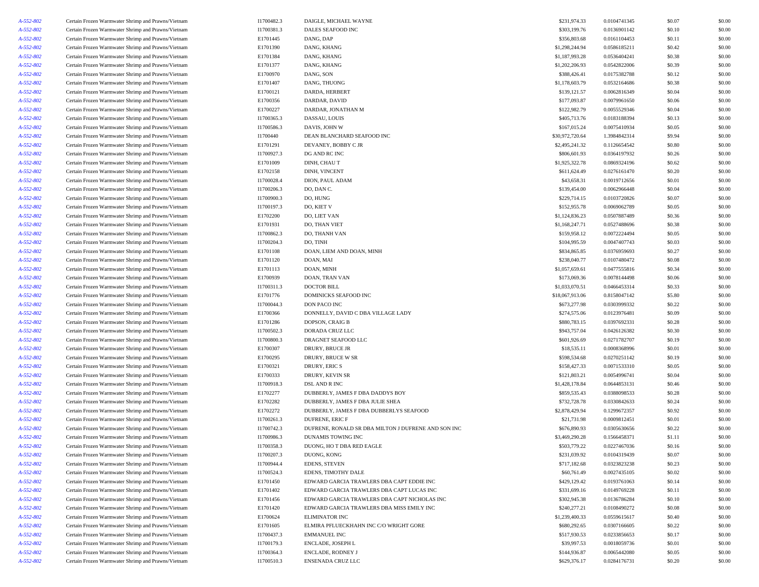| A-552-802 | Certain Frozen Warmwater Shrimp and Prawns/Vietnam                                                       | I1700482.3 | DAIGLE, MICHAEL WAYNE                               | \$231,974.33    | 0.0104741345 | \$0.07 | \$0.00 |
|-----------|----------------------------------------------------------------------------------------------------------|------------|-----------------------------------------------------|-----------------|--------------|--------|--------|
| A-552-802 | Certain Frozen Warmwater Shrimp and Prawns/Vietnam                                                       | I1700381.3 | DALES SEAFOOD INC                                   | \$303,199.76    | 0.0136901142 | \$0.10 | \$0.00 |
| A-552-802 | Certain Frozen Warmwater Shrimp and Prawns/Vietnam                                                       | E1701445   | DANG, DAP                                           | \$356,803.68    | 0.0161104453 | \$0.11 | \$0.00 |
| A-552-802 | Certain Frozen Warmwater Shrimp and Prawns/Vietnam                                                       | E1701390   | DANG, KHANG                                         | \$1,298,244.94  | 0.0586185211 | \$0.42 | \$0.00 |
| A-552-802 | Certain Frozen Warmwater Shrimp and Prawns/Vietnam                                                       | E1701384   | DANG, KHANG                                         | \$1,187,993.28  | 0.0536404241 | \$0.38 | \$0.00 |
| A-552-802 | Certain Frozen Warmwater Shrimp and Prawns/Vietnam                                                       | E1701377   | DANG, KHANG                                         | \$1,202,206.93  | 0.0542822006 | \$0.39 | \$0.00 |
| A-552-802 | Certain Frozen Warmwater Shrimp and Prawns/Vietnam                                                       | E1700970   | DANG, SON                                           | \$388,426.41    | 0.0175382788 | \$0.12 | \$0.00 |
| A-552-802 | Certain Frozen Warmwater Shrimp and Prawns/Vietnam                                                       | E1701407   | DANG, THUONG                                        | \$1,178,603.79  | 0.0532164686 | \$0.38 | \$0.00 |
|           |                                                                                                          |            |                                                     |                 |              |        |        |
| A-552-802 | Certain Frozen Warmwater Shrimp and Prawns/Vietnam                                                       | E1700121   | DARDA, HERBERT                                      | \$139,121.57    | 0.0062816349 | \$0.04 | \$0.00 |
| A-552-802 | Certain Frozen Warmwater Shrimp and Prawns/Vietnam                                                       | E1700356   | DARDAR, DAVID                                       | \$177,093.87    | 0.0079961650 | \$0.06 | \$0.00 |
| A-552-802 | Certain Frozen Warmwater Shrimp and Prawns/Vietnam                                                       | E1700227   | DARDAR, JONATHAN M                                  | \$122,982.79    | 0.0055529346 | \$0.04 | \$0.00 |
| A-552-802 | Certain Frozen Warmwater Shrimp and Prawns/Vietnam                                                       | I1700365.3 | DASSAU, LOUIS                                       | \$405,713.76    | 0.0183188394 | \$0.13 | \$0.00 |
| A-552-802 | Certain Frozen Warmwater Shrimp and Prawns/Vietnam                                                       | I1700586.3 | DAVIS, JOHN W                                       | \$167,015.24    | 0.0075410934 | \$0.05 | \$0.00 |
| A-552-802 | Certain Frozen Warmwater Shrimp and Prawns/Vietnam                                                       | I1700440   | DEAN BLANCHARD SEAFOOD INC                          | \$30,972,720.64 | 1.3984842314 | \$9.94 | \$0.00 |
| A-552-802 | Certain Frozen Warmwater Shrimp and Prawns/Vietnam                                                       | E1701291   | DEVANEY, BOBBY CJR                                  | \$2,495,241.32  | 0.1126654542 | \$0.80 | \$0.00 |
| A-552-802 | Certain Frozen Warmwater Shrimp and Prawns/Vietnam                                                       | I1700927.3 | DG AND RC INC                                       | \$806,601.93    | 0.0364197932 | \$0.26 | \$0.00 |
| A-552-802 | Certain Frozen Warmwater Shrimp and Prawns/Vietnam                                                       | E1701009   | DINH, CHAU T                                        | \$1,925,322.78  | 0.0869324196 | \$0.62 | \$0.00 |
| A-552-802 | Certain Frozen Warmwater Shrimp and Prawns/Vietnam                                                       | E1702158   | DINH, VINCENT                                       | \$611,624.49    | 0.0276161470 | \$0.20 | \$0.00 |
| A-552-802 | Certain Frozen Warmwater Shrimp and Prawns/Vietnam                                                       | I1700028.4 | DION, PAUL ADAM                                     | \$43,658.31     | 0.0019712656 | \$0.01 | \$0.00 |
| A-552-802 | Certain Frozen Warmwater Shrimp and Prawns/Vietnam                                                       | I1700206.3 | DO, DAN C.                                          | \$139,454.00    | 0.0062966448 | \$0.04 | \$0.00 |
| A-552-802 | Certain Frozen Warmwater Shrimp and Prawns/Vietnam                                                       | I1700900.3 | DO, HUNG                                            | \$229,714.15    | 0.0103720826 | \$0.07 | \$0.00 |
| A-552-802 | Certain Frozen Warmwater Shrimp and Prawns/Vietnam                                                       | I1700197.3 | DO, KIET V                                          | \$152,955.78    | 0.0069062789 | \$0.05 | \$0.00 |
| A-552-802 | Certain Frozen Warmwater Shrimp and Prawns/Vietnam                                                       | E1702200   | DO, LIET VAN                                        | \$1,124,836.23  | 0.0507887489 | \$0.36 | \$0.00 |
| A-552-802 |                                                                                                          | E1701931   | DO, THAN VIET                                       | \$1,168,247.71  | 0.0527488696 | \$0.38 | \$0.00 |
|           | Certain Frozen Warmwater Shrimp and Prawns/Vietnam                                                       |            |                                                     |                 |              |        |        |
| A-552-802 | Certain Frozen Warmwater Shrimp and Prawns/Vietnam                                                       | I1700862.3 | DO, THANH VAN                                       | \$159,958.12    | 0.0072224494 | \$0.05 | \$0.00 |
| A-552-802 | Certain Frozen Warmwater Shrimp and Prawns/Vietnam                                                       | I1700204.3 | DO, TINH                                            | \$104,995.59    | 0.0047407743 | \$0.03 | \$0.00 |
| A-552-802 | Certain Frozen Warmwater Shrimp and Prawns/Vietnam                                                       | E1701108   | DOAN, LIEM AND DOAN, MINH                           | \$834,865.85    | 0.0376959693 | \$0.27 | \$0.00 |
| A-552-802 | Certain Frozen Warmwater Shrimp and Prawns/Vietnam                                                       | E1701120   | DOAN, MAI                                           | \$238,040.77    | 0.0107480472 | \$0.08 | \$0.00 |
| A-552-802 | Certain Frozen Warmwater Shrimp and Prawns/Vietnam                                                       | E1701113   | DOAN, MINH                                          | \$1,057,659.61  | 0.0477555816 | \$0.34 | \$0.00 |
| A-552-802 | Certain Frozen Warmwater Shrimp and Prawns/Vietnam                                                       | E1700939   | DOAN, TRAN VAN                                      | \$173,069.36    | 0.0078144498 | \$0.06 | \$0.00 |
| A-552-802 | Certain Frozen Warmwater Shrimp and Prawns/Vietnam                                                       | I1700311.3 | <b>DOCTOR BILL</b>                                  | \$1,033,070.51  | 0.0466453314 | \$0.33 | \$0.00 |
| A-552-802 | Certain Frozen Warmwater Shrimp and Prawns/Vietnam                                                       | E1701776   | DOMINICKS SEAFOOD INC                               | \$18,067,913.06 | 0.8158047142 | \$5.80 | \$0.00 |
| A-552-802 | Certain Frozen Warmwater Shrimp and Prawns/Vietnam                                                       | I1700044.3 | DON PACO INC                                        | \$673,277.98    | 0.0303999332 | \$0.22 | \$0.00 |
| A-552-802 | Certain Frozen Warmwater Shrimp and Prawns/Vietnam                                                       | E1700366   | DONNELLY, DAVID C DBA VILLAGE LADY                  | \$274,575.06    | 0.0123976481 | \$0.09 | \$0.00 |
| A-552-802 | Certain Frozen Warmwater Shrimp and Prawns/Vietnam                                                       | E1701286   | DOPSON, CRAIG B                                     | \$880,783.15    | 0.0397692331 | \$0.28 | \$0.00 |
| A-552-802 | Certain Frozen Warmwater Shrimp and Prawns/Vietnam                                                       | I1700502.3 | DORADA CRUZ LLC                                     | \$943,757.04    | 0.0426126382 | \$0.30 | \$0.00 |
| A-552-802 | Certain Frozen Warmwater Shrimp and Prawns/Vietnam                                                       | I1700800.3 | DRAGNET SEAFOOD LLC                                 | \$601,926.69    | 0.0271782707 | \$0.19 | \$0.00 |
| A-552-802 | Certain Frozen Warmwater Shrimp and Prawns/Vietnam                                                       | E1700307   | DRURY, BRUCE JR                                     | \$18,535.11     | 0.0008368996 | \$0.01 | \$0.00 |
| A-552-802 | Certain Frozen Warmwater Shrimp and Prawns/Vietnam                                                       | E1700295   | DRURY, BRUCE W SR                                   | \$598,534.68    | 0.0270251142 | \$0.19 | \$0.00 |
| A-552-802 | Certain Frozen Warmwater Shrimp and Prawns/Vietnam                                                       | E1700321   | DRURY, ERIC S                                       | \$158,427.33    | 0.0071533310 | \$0.05 | \$0.00 |
| A-552-802 | Certain Frozen Warmwater Shrimp and Prawns/Vietnam                                                       | E1700333   | DRURY, KEVIN SR                                     | \$121,803.21    | 0.0054996741 | \$0.04 | \$0.00 |
| A-552-802 | Certain Frozen Warmwater Shrimp and Prawns/Vietnam                                                       | I1700918.3 | DSL AND R INC                                       | \$1,428,178.84  | 0.0644853131 | \$0.46 | \$0.00 |
|           |                                                                                                          |            |                                                     |                 |              |        |        |
| A-552-802 | Certain Frozen Warmwater Shrimp and Prawns/Vietnam                                                       | E1702277   | DUBBERLY, JAMES F DBA DADDYS BOY                    | \$859,535.43    | 0.0388098533 | \$0.28 | \$0.00 |
| A-552-802 | Certain Frozen Warmwater Shrimp and Prawns/Vietnam                                                       | E1702282   | DUBBERLY, JAMES F DBA JULIE SHEA                    | \$732,728.78    | 0.0330842633 | \$0.24 | \$0.00 |
| A-552-802 | Certain Frozen Warmwater Shrimp and Prawns/Vietnam                                                       | E1702272   | DUBBERLY, JAMES F DBA DUBBERLYS SEAFOOD             | \$2,878,429.94  | 0.1299672357 | \$0.92 | \$0.00 |
| A-552-802 | Certain Frozen Warmwater Shrimp and Prawns/Vietnam                                                       | I1700261.3 | DUFRENE, ERIC F                                     | \$21,731.98     | 0.0009812451 | \$0.01 | \$0.00 |
| A-552-802 | Certain Frozen Warmwater Shrimp and Prawns/Vietnam                                                       | I1700742.3 | DUFRENE, RONALD SR DBA MILTON J DUFRENE AND SON INC | \$676,890.93    | 0.0305630656 | \$0.22 | \$0.00 |
| A-552-802 | Certain Frozen Warmwater Shrimp and Prawns/Vietnam                                                       | I1700986.3 | <b>DUNAMIS TOWING INC</b>                           | \$3,469,290.28  | 0.1566458371 | \$1.11 | \$0.00 |
| A-552-802 | Certain Frozen Warmwater Shrimp and Prawns/Vietnam                                                       | I1700358.3 | DUONG. HO T DBA RED EAGLE                           | \$503,779.22    | 0.0227467036 | \$0.16 | \$0.00 |
| A-552-802 | Certain Frozen Warmwater Shrimp and Prawns/Vietnam                                                       | I1700207.3 | DUONG, KONG                                         | \$231,039.92    | 0.0104319439 | \$0.07 | \$0.00 |
| A-552-802 | Certain Frozen Warmwater Shrimp and Prawns/Vietnam                                                       | I1700944.4 | <b>EDENS, STEVEN</b>                                | \$717,182.68    | 0.0323823238 | \$0.23 | \$0.00 |
| A-552-802 | Certain Frozen Warmwater Shrimp and Prawns/Vietnam                                                       | I1700524.3 | EDENS, TIMOTHY DALE                                 | \$60,761.49     | 0.0027435105 | \$0.02 | \$0.00 |
| A-552-802 | Certain Frozen Warmwater Shrimp and Prawns/Vietnam                                                       | E1701450   | EDWARD GARCIA TRAWLERS DBA CAPT EDDIE INC           | \$429,129.42    | 0.0193761063 | \$0.14 | \$0.00 |
| A-552-802 | Certain Frozen Warmwater Shrimp and Prawns/Vietnam                                                       | E1701402   | EDWARD GARCIA TRAWLERS DBA CAPT LUCAS INC           | \$331,699.16    | 0.0149769228 | \$0.11 | \$0.00 |
| A-552-802 | Certain Frozen Warmwater Shrimp and Prawns/Vietnam                                                       | E1701456   | EDWARD GARCIA TRAWLERS DBA CAPT NICHOLAS INC        | \$302,945.38    | 0.0136786284 | \$0.10 | \$0.00 |
| A-552-802 | Certain Frozen Warmwater Shrimp and Prawns/Vietnam                                                       | E1701420   | EDWARD GARCIA TRAWLERS DBA MISS EMILY INC           | \$240,277.21    | 0.0108490272 | \$0.08 | \$0.00 |
| A-552-802 | Certain Frozen Warmwater Shrimp and Prawns/Vietnam                                                       | E1700624   | <b>ELIMINATOR INC</b>                               | \$1,239,400.33  | 0.0559615617 | \$0.40 | \$0.00 |
| A-552-802 | Certain Frozen Warmwater Shrimp and Prawns/Vietnam                                                       | E1701605   | ELMIRA PFLUECKHAHN INC C/O WRIGHT GORE              | \$680,292.65    | 0.0307166605 | \$0.22 | \$0.00 |
|           |                                                                                                          |            | <b>EMMANUEL INC</b>                                 |                 | 0.0233856653 |        |        |
| A-552-802 | Certain Frozen Warmwater Shrimp and Prawns/Vietnam<br>Certain Frozen Warmwater Shrimp and Prawns/Vietnam | I1700437.3 |                                                     | \$517,930.53    |              | \$0.17 | \$0.00 |
| A-552-802 |                                                                                                          | I1700179.3 | ENCLADE, JOSEPH L                                   | \$39,997.53     | 0.0018059736 | \$0.01 | \$0.00 |
| A-552-802 | Certain Frozen Warmwater Shrimp and Prawns/Vietnam                                                       | I1700364.3 | ENCLADE, RODNEY J                                   | \$144,936.87    | 0.0065442080 | \$0.05 | \$0.00 |
| A-552-802 | Certain Frozen Warmwater Shrimp and Prawns/Vietnam                                                       | I1700510.3 | <b>ENSENADA CRUZ LLC</b>                            | \$629,376.17    | 0.0284176731 | \$0.20 | \$0.00 |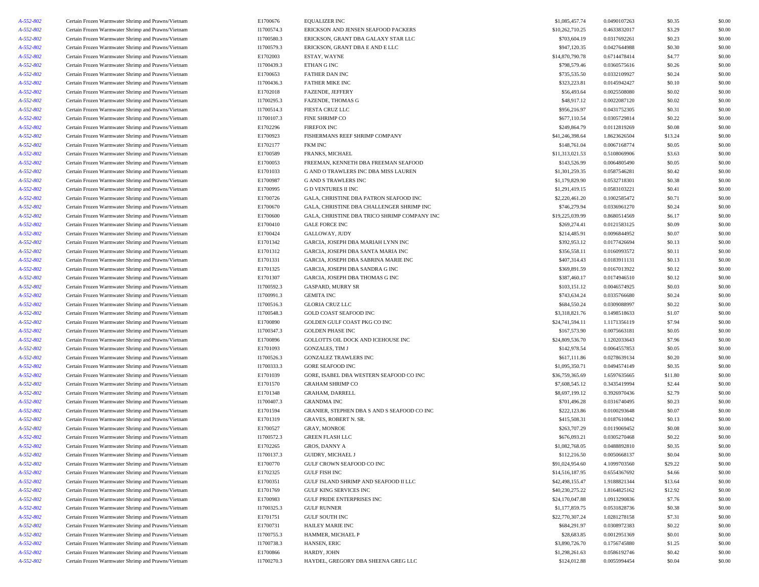| A-552-802              | Certain Frozen Warmwater Shrimp and Prawns/Vietnam | E1700676   | <b>EQUALIZER INC</b>                         | \$1,085,457.74                    | 0.0490107263 | \$0.35  | \$0.00           |
|------------------------|----------------------------------------------------|------------|----------------------------------------------|-----------------------------------|--------------|---------|------------------|
| A-552-802              | Certain Frozen Warmwater Shrimp and Prawns/Vietnam | I1700574.3 | ERICKSON AND JENSEN SEAFOOD PACKERS          | \$10,262,710.25                   | 0.4633832017 | \$3.29  | \$0.00           |
| A-552-802              | Certain Frozen Warmwater Shrimp and Prawns/Vietnam | I1700580.3 | ERICKSON, GRANT DBA GALAXY STAR LLC          | \$703,604.19                      | 0.0317692261 | \$0.23  | \$0.00           |
| A-552-802              | Certain Frozen Warmwater Shrimp and Prawns/Vietnam | I1700579.3 | ERICKSON, GRANT DBA E AND E LLC              | \$947,120.35                      | 0.0427644988 | \$0.30  | \$0.00           |
| A-552-802              | Certain Frozen Warmwater Shrimp and Prawns/Vietnam | E1702003   | ESTAY, WAYNE                                 | \$14,870,790.78                   | 0.6714478414 | \$4.77  | \$0.00           |
| A-552-802              | Certain Frozen Warmwater Shrimp and Prawns/Vietnam | I1700439.3 | ETHAN G INC                                  | \$798,579.46                      | 0.0360575616 | \$0.26  | \$0.00           |
| A-552-802              | Certain Frozen Warmwater Shrimp and Prawns/Vietnam | E1700653   | <b>FATHER DAN INC</b>                        | \$735,535.50                      | 0.0332109927 | \$0.24  | \$0.00           |
| A-552-802              | Certain Frozen Warmwater Shrimp and Prawns/Vietnam | I1700436.3 | <b>FATHER MIKE INC</b>                       | \$323,223.81                      | 0.0145942427 | \$0.10  | \$0.00           |
| A-552-802              | Certain Frozen Warmwater Shrimp and Prawns/Vietnam | E1702018   | FAZENDE, JEFFERY                             | \$56,493.64                       | 0.0025508080 | \$0.02  | \$0.00           |
| A-552-802              | Certain Frozen Warmwater Shrimp and Prawns/Vietnam | I1700295.3 | FAZENDE, THOMAS G                            | \$48,917.12                       | 0.0022087120 | \$0.02  | \$0.00           |
| A-552-802              | Certain Frozen Warmwater Shrimp and Prawns/Vietnam | I1700514.3 | <b>FIESTA CRUZ LLC</b>                       | \$956,216.97                      | 0.0431752305 | \$0.31  | \$0.00           |
| A-552-802              | Certain Frozen Warmwater Shrimp and Prawns/Vietnam | I1700107.3 | <b>FINE SHRIMP CO</b>                        | \$677,110.54                      | 0.0305729814 | \$0.22  | \$0.00           |
| A-552-802              | Certain Frozen Warmwater Shrimp and Prawns/Vietnam | E1702296   | <b>FIREFOX INC</b>                           | \$249,864.79                      | 0.0112819269 | \$0.08  | \$0.00           |
| A-552-802              | Certain Frozen Warmwater Shrimp and Prawns/Vietnam | E1700923   | FISHERMANS REEF SHRIMP COMPANY               | \$41,246,398.64                   | 1.8623626504 | \$13.24 | \$0.00           |
| A-552-802              | Certain Frozen Warmwater Shrimp and Prawns/Vietnam | E1702177   | <b>FKM INC</b>                               | \$148,761.04                      | 0.0067168774 | \$0.05  | \$0.00           |
| A-552-802              | Certain Frozen Warmwater Shrimp and Prawns/Vietnam | E1700589   | FRANKS, MICHAEL                              | \$11,313,021.53                   | 0.5108069906 | \$3.63  | \$0.00           |
| A-552-802              | Certain Frozen Warmwater Shrimp and Prawns/Vietnam | E1700053   | FREEMAN, KENNETH DBA FREEMAN SEAFOOD         | \$143,526.99                      | 0.0064805490 | \$0.05  | \$0.00           |
| A-552-802              | Certain Frozen Warmwater Shrimp and Prawns/Vietnam | E1701033   | G AND O TRAWLERS INC DBA MISS LAUREN         | \$1,301,259.35                    | 0.0587546281 | \$0.42  | \$0.00           |
| A-552-802              | Certain Frozen Warmwater Shrimp and Prawns/Vietnam | E1700987   | <b>G AND S TRAWLERS INC</b>                  | \$1,179,829.90                    | 0.0532718301 | \$0.38  | \$0.00           |
| A-552-802              | Certain Frozen Warmwater Shrimp and Prawns/Vietnam | E1700995   | <b>GD VENTURES II INC</b>                    | \$1,291,419.15                    | 0.0583103221 | \$0.41  | \$0.00           |
| A-552-802              | Certain Frozen Warmwater Shrimp and Prawns/Vietnam | E1700726   | GALA, CHRISTINE DBA PATRON SEAFOOD INC       | \$2,220,461.20                    | 0.1002585472 | \$0.71  | \$0.00           |
| A-552-802              | Certain Frozen Warmwater Shrimp and Prawns/Vietnam | E1700670   | GALA, CHRISTINE DBA CHALLENGER SHRIMP INC    | \$746,279.94                      | 0.0336961270 | \$0.24  | \$0.00           |
| A-552-802              | Certain Frozen Warmwater Shrimp and Prawns/Vietnam | E1700600   | GALA, CHRISTINE DBA TRICO SHRIMP COMPANY INC | \$19,225,039.99                   | 0.8680514569 | \$6.17  | \$0.00           |
| A-552-802              | Certain Frozen Warmwater Shrimp and Prawns/Vietnam | E1700410   | <b>GALE FORCE INC</b>                        | \$269,274.41                      | 0.0121583125 | \$0.09  | \$0.00           |
| A-552-802              | Certain Frozen Warmwater Shrimp and Prawns/Vietnam | E1700424   | GALLOWAY, JUDY                               | \$214,485.91                      | 0.0096844952 | \$0.07  | \$0.00           |
| A-552-802              | Certain Frozen Warmwater Shrimp and Prawns/Vietnam | E1701342   | GARCIA, JOSEPH DBA MARIAH LYNN INC           | \$392,953.12                      | 0.0177426694 | \$0.13  | \$0.00           |
| A-552-802              | Certain Frozen Warmwater Shrimp and Prawns/Vietnam | E1701312   | GARCIA, JOSEPH DBA SANTA MARIA INC           | \$356,558.11                      | 0.0160993572 | \$0.11  | \$0.00           |
| A-552-802              | Certain Frozen Warmwater Shrimp and Prawns/Vietnam | E1701331   | GARCIA, JOSEPH DBA SABRINA MARIE INC         | \$407,314.43                      | 0.0183911131 | \$0.13  | \$0.00           |
| A-552-802              | Certain Frozen Warmwater Shrimp and Prawns/Vietnam | E1701325   | GARCIA, JOSEPH DBA SANDRA G INC              | \$369,891.59                      | 0.0167013922 | \$0.12  | \$0.00           |
| A-552-802              | Certain Frozen Warmwater Shrimp and Prawns/Vietnam | E1701307   | GARCIA, JOSEPH DBA THOMAS G INC              | \$387,460.17                      | 0.0174946510 | \$0.12  | \$0.00           |
| A-552-802              | Certain Frozen Warmwater Shrimp and Prawns/Vietnam | I1700592.3 | <b>GASPARD, MURRY SR</b>                     | \$103,151.12                      | 0.0046574925 | \$0.03  | \$0.00           |
| A-552-802              | Certain Frozen Warmwater Shrimp and Prawns/Vietnam | I1700991.3 | <b>GEMITA INC</b>                            | \$743,634.24                      | 0.0335766680 | \$0.24  | \$0.00           |
| A-552-802              | Certain Frozen Warmwater Shrimp and Prawns/Vietnam | I1700516.3 | <b>GLORIA CRUZ LLC</b>                       | \$684,550.24                      | 0.0309088997 | \$0.22  | \$0.00           |
| A-552-802              | Certain Frozen Warmwater Shrimp and Prawns/Vietnam | I1700548.3 | GOLD COAST SEAFOOD INC                       | \$3,318,821.76                    | 0.1498518633 | \$1.07  | \$0.00           |
| A-552-802              | Certain Frozen Warmwater Shrimp and Prawns/Vietnam | E1700890   | GOLDEN GULF COAST PKG CO INC                 | \$24,741,594.11                   | 1.1171356119 | \$7.94  | \$0.00           |
| A-552-802              | Certain Frozen Warmwater Shrimp and Prawns/Vietnam | I1700347.3 | <b>GOLDEN PHASE INC</b>                      | \$167,573.90                      | 0.0075663181 | \$0.05  | \$0.00           |
|                        | Certain Frozen Warmwater Shrimp and Prawns/Vietnam | E1700896   | GOLLOTTS OIL DOCK AND ICEHOUSE INC           | \$24,809,536.70                   | 1.1202033643 | \$7.96  | \$0.00           |
| A-552-802<br>A-552-802 | Certain Frozen Warmwater Shrimp and Prawns/Vietnam | E1701093   | <b>GONZALES, TIM J</b>                       | \$142,978.54                      | 0.0064557853 | \$0.05  | \$0.00           |
|                        |                                                    |            |                                              |                                   |              |         |                  |
| A-552-802              | Certain Frozen Warmwater Shrimp and Prawns/Vietnam | I1700526.3 | <b>GONZALEZ TRAWLERS INC</b>                 | \$617,111.86                      | 0.0278639134 | \$0.20  | \$0.00           |
| A-552-802<br>A-552-802 | Certain Frozen Warmwater Shrimp and Prawns/Vietnam | I1700333.3 | <b>GORE SEAFOOD INC</b>                      | \$1,095,350.71<br>\$36,759,365.69 | 0.0494574149 | \$0.35  | \$0.00<br>\$0.00 |
|                        | Certain Frozen Warmwater Shrimp and Prawns/Vietnam | E1701039   | GORE, ISABEL DBA WESTERN SEAFOOD CO INC      |                                   | 1.6597635665 | \$11.80 |                  |
| A-552-802              | Certain Frozen Warmwater Shrimp and Prawns/Vietnam | E1701570   | <b>GRAHAM SHRIMP CO</b>                      | \$7,608,545.12                    | 0.3435419994 | \$2.44  | \$0.00           |
| A-552-802              | Certain Frozen Warmwater Shrimp and Prawns/Vietnam | E1701348   | GRAHAM, DARRELL                              | \$8,697,199.12                    | 0.3926970436 | \$2.79  | \$0.00           |
| A-552-802              | Certain Frozen Warmwater Shrimp and Prawns/Vietnam | I1700407.3 | <b>GRANDMA INC</b>                           | \$701,496.28                      | 0.0316740495 | \$0.23  | \$0.00           |
| A-552-802              | Certain Frozen Warmwater Shrimp and Prawns/Vietnam | E1701594   | GRANIER, STEPHEN DBA S AND S SEAFOOD CO INC  | \$222,123.86                      | 0.0100293648 | \$0.07  | \$0.00           |
| A-552-802              | Certain Frozen Warmwater Shrimp and Prawns/Vietnam | E1701319   | GRAVES, ROBERT N. SR.                        | \$415,508.31                      | 0.0187610842 | \$0.13  | \$0.00           |
| A-552-802              | Certain Frozen Warmwater Shrimp and Prawns/Vietnam | E1700527   | <b>GRAY, MONROE</b>                          | \$263,707.29                      | 0.0119069452 | \$0.08  | \$0.00           |
| A-552-802              | Certain Frozen Warmwater Shrimp and Prawns/Vietnam | I1700572.3 | <b>GREEN FLASH LLC</b>                       | \$676,093.21                      | 0.0305270468 | \$0.22  | \$0.00           |
| A-552-802              | Certain Frozen Warmwater Shrimp and Prawns/Vietnam | E1702265   | <b>GROS, DANNY A</b>                         | \$1.082.768.05                    | 0.0488892810 | \$0.35  | \$0.00           |
| A-552-802              | Certain Frozen Warmwater Shrimp and Prawns/Vietnam | I1700137.3 | GUIDRY, MICHAEL J                            | \$112,216.50                      | 0.0050668137 | \$0.04  | \$0.00           |
| A-552-802              | Certain Frozen Warmwater Shrimp and Prawns/Vietnam | E1700770   | GULF CROWN SEAFOOD CO INC                    | \$91,024,954.60                   | 4.1099703560 | \$29.22 | \$0.00           |
| A-552-802              | Certain Frozen Warmwater Shrimp and Prawns/Vietnam | E1702325   | <b>GULF FISH INC</b>                         | \$14,516,187.95                   | 0.6554367692 | \$4.66  | \$0.00           |
| A-552-802              | Certain Frozen Warmwater Shrimp and Prawns/Vietnam | E1700351   | GULF ISLAND SHRIMP AND SEAFOOD II LLC        | \$42,498,155.47                   | 1.9188821344 | \$13.64 | \$0.00           |
| A-552-802              | Certain Frozen Warmwater Shrimp and Prawns/Vietnam | E1701769   | GULF KING SERVICES INC                       | \$40,230,275.22                   | 1.8164825162 | \$12.92 | \$0.00           |
| A-552-802              | Certain Frozen Warmwater Shrimp and Prawns/Vietnam | E1700983   | GULF PRIDE ENTERPRISES INC                   | \$24,170,047.88                   | 1.0913290836 | \$7.76  | \$0.00           |
| A-552-802              | Certain Frozen Warmwater Shrimp and Prawns/Vietnam | I1700325.3 | <b>GULF RUNNER</b>                           | \$1,177,859.75                    | 0.0531828736 | \$0.38  | \$0.00           |
| A-552-802              | Certain Frozen Warmwater Shrimp and Prawns/Vietnam | E1701751   | GULF SOUTH INC                               | \$22,770,307.24                   | 1.0281278158 | \$7.31  | \$0.00           |
| A-552-802              | Certain Frozen Warmwater Shrimp and Prawns/Vietnam | E1700731   | <b>HAILEY MARIE INC</b>                      | \$684,291.97                      | 0.0308972383 | \$0.22  | \$0.00           |
| A-552-802              | Certain Frozen Warmwater Shrimp and Prawns/Vietnam | I1700755.3 | HAMMER, MICHAEL P                            | \$28,683.85                       | 0.0012951369 | \$0.01  | \$0.00           |
| A-552-802              | Certain Frozen Warmwater Shrimp and Prawns/Vietnam | I1700738.3 | HANSEN, ERIC                                 | \$3,890,726.70                    | 0.1756745880 | \$1.25  | \$0.00           |
| A-552-802              | Certain Frozen Warmwater Shrimp and Prawns/Vietnam | E1700866   | HARDY, JOHN                                  | \$1,298,261.63                    | 0.0586192746 | \$0.42  | \$0.00           |
| A-552-802              | Certain Frozen Warmwater Shrimp and Prawns/Vietnam | I1700270.3 | HAYDEL, GREGORY DBA SHEENA GREG LLC          | \$124,012.88                      | 0.0055994454 | \$0.04  | \$0.00           |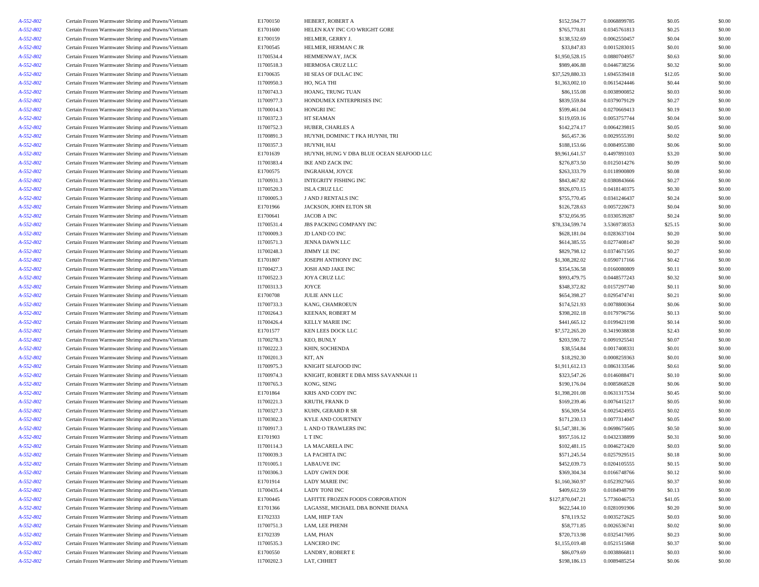| Certain Frozen Warmwater Shrimp and Prawns/Vietnam                                                       | E1700150                                                                                                                                                                                                                                                                                                                                                                                                                                                                                                                                                                                                                                                                                                                                                                                                                                                                                                                                                                                                                                                                                                                                                                                                                                                                                                                                                                                                                                                                                                                                                                                                                                                                                                                                                                                                                                           | HEBERT, ROBERT A                                                                                                                                                                                                                                                                                                                                                                                                                                                       | \$152,594.77                                                                                                                                                                                                                                                                                                                                                                                                                                                                                                                                                                                                                                                      | 0.0068899785                                                                                                                                                                                                                                                                                                                                                                                                                                                                                                                                                          | \$0.05                                                                                                                                                                                                                                                                                                                                                                                                                                                                                                                       | \$0.00                                                                                                                                                                                                                                                                                                                         |
|----------------------------------------------------------------------------------------------------------|----------------------------------------------------------------------------------------------------------------------------------------------------------------------------------------------------------------------------------------------------------------------------------------------------------------------------------------------------------------------------------------------------------------------------------------------------------------------------------------------------------------------------------------------------------------------------------------------------------------------------------------------------------------------------------------------------------------------------------------------------------------------------------------------------------------------------------------------------------------------------------------------------------------------------------------------------------------------------------------------------------------------------------------------------------------------------------------------------------------------------------------------------------------------------------------------------------------------------------------------------------------------------------------------------------------------------------------------------------------------------------------------------------------------------------------------------------------------------------------------------------------------------------------------------------------------------------------------------------------------------------------------------------------------------------------------------------------------------------------------------------------------------------------------------------------------------------------------------|------------------------------------------------------------------------------------------------------------------------------------------------------------------------------------------------------------------------------------------------------------------------------------------------------------------------------------------------------------------------------------------------------------------------------------------------------------------------|-------------------------------------------------------------------------------------------------------------------------------------------------------------------------------------------------------------------------------------------------------------------------------------------------------------------------------------------------------------------------------------------------------------------------------------------------------------------------------------------------------------------------------------------------------------------------------------------------------------------------------------------------------------------|-----------------------------------------------------------------------------------------------------------------------------------------------------------------------------------------------------------------------------------------------------------------------------------------------------------------------------------------------------------------------------------------------------------------------------------------------------------------------------------------------------------------------------------------------------------------------|------------------------------------------------------------------------------------------------------------------------------------------------------------------------------------------------------------------------------------------------------------------------------------------------------------------------------------------------------------------------------------------------------------------------------------------------------------------------------------------------------------------------------|--------------------------------------------------------------------------------------------------------------------------------------------------------------------------------------------------------------------------------------------------------------------------------------------------------------------------------|
| Certain Frozen Warmwater Shrimp and Prawns/Vietnam                                                       | E1701600                                                                                                                                                                                                                                                                                                                                                                                                                                                                                                                                                                                                                                                                                                                                                                                                                                                                                                                                                                                                                                                                                                                                                                                                                                                                                                                                                                                                                                                                                                                                                                                                                                                                                                                                                                                                                                           | HELEN KAY INC C/O WRIGHT GORE                                                                                                                                                                                                                                                                                                                                                                                                                                          | \$765,770.81                                                                                                                                                                                                                                                                                                                                                                                                                                                                                                                                                                                                                                                      | 0.0345761813                                                                                                                                                                                                                                                                                                                                                                                                                                                                                                                                                          | \$0.25                                                                                                                                                                                                                                                                                                                                                                                                                                                                                                                       | \$0.00                                                                                                                                                                                                                                                                                                                         |
|                                                                                                          | E1700159                                                                                                                                                                                                                                                                                                                                                                                                                                                                                                                                                                                                                                                                                                                                                                                                                                                                                                                                                                                                                                                                                                                                                                                                                                                                                                                                                                                                                                                                                                                                                                                                                                                                                                                                                                                                                                           | HELMER, GERRY J.                                                                                                                                                                                                                                                                                                                                                                                                                                                       | \$138,532.69                                                                                                                                                                                                                                                                                                                                                                                                                                                                                                                                                                                                                                                      | 0.0062550457                                                                                                                                                                                                                                                                                                                                                                                                                                                                                                                                                          | \$0.04                                                                                                                                                                                                                                                                                                                                                                                                                                                                                                                       | \$0.00                                                                                                                                                                                                                                                                                                                         |
|                                                                                                          |                                                                                                                                                                                                                                                                                                                                                                                                                                                                                                                                                                                                                                                                                                                                                                                                                                                                                                                                                                                                                                                                                                                                                                                                                                                                                                                                                                                                                                                                                                                                                                                                                                                                                                                                                                                                                                                    |                                                                                                                                                                                                                                                                                                                                                                                                                                                                        |                                                                                                                                                                                                                                                                                                                                                                                                                                                                                                                                                                                                                                                                   |                                                                                                                                                                                                                                                                                                                                                                                                                                                                                                                                                                       |                                                                                                                                                                                                                                                                                                                                                                                                                                                                                                                              | \$0.00                                                                                                                                                                                                                                                                                                                         |
|                                                                                                          |                                                                                                                                                                                                                                                                                                                                                                                                                                                                                                                                                                                                                                                                                                                                                                                                                                                                                                                                                                                                                                                                                                                                                                                                                                                                                                                                                                                                                                                                                                                                                                                                                                                                                                                                                                                                                                                    |                                                                                                                                                                                                                                                                                                                                                                                                                                                                        |                                                                                                                                                                                                                                                                                                                                                                                                                                                                                                                                                                                                                                                                   |                                                                                                                                                                                                                                                                                                                                                                                                                                                                                                                                                                       |                                                                                                                                                                                                                                                                                                                                                                                                                                                                                                                              | \$0.00                                                                                                                                                                                                                                                                                                                         |
|                                                                                                          |                                                                                                                                                                                                                                                                                                                                                                                                                                                                                                                                                                                                                                                                                                                                                                                                                                                                                                                                                                                                                                                                                                                                                                                                                                                                                                                                                                                                                                                                                                                                                                                                                                                                                                                                                                                                                                                    |                                                                                                                                                                                                                                                                                                                                                                                                                                                                        |                                                                                                                                                                                                                                                                                                                                                                                                                                                                                                                                                                                                                                                                   |                                                                                                                                                                                                                                                                                                                                                                                                                                                                                                                                                                       |                                                                                                                                                                                                                                                                                                                                                                                                                                                                                                                              | \$0.00                                                                                                                                                                                                                                                                                                                         |
|                                                                                                          |                                                                                                                                                                                                                                                                                                                                                                                                                                                                                                                                                                                                                                                                                                                                                                                                                                                                                                                                                                                                                                                                                                                                                                                                                                                                                                                                                                                                                                                                                                                                                                                                                                                                                                                                                                                                                                                    |                                                                                                                                                                                                                                                                                                                                                                                                                                                                        |                                                                                                                                                                                                                                                                                                                                                                                                                                                                                                                                                                                                                                                                   |                                                                                                                                                                                                                                                                                                                                                                                                                                                                                                                                                                       |                                                                                                                                                                                                                                                                                                                                                                                                                                                                                                                              | \$0.00                                                                                                                                                                                                                                                                                                                         |
|                                                                                                          |                                                                                                                                                                                                                                                                                                                                                                                                                                                                                                                                                                                                                                                                                                                                                                                                                                                                                                                                                                                                                                                                                                                                                                                                                                                                                                                                                                                                                                                                                                                                                                                                                                                                                                                                                                                                                                                    |                                                                                                                                                                                                                                                                                                                                                                                                                                                                        |                                                                                                                                                                                                                                                                                                                                                                                                                                                                                                                                                                                                                                                                   |                                                                                                                                                                                                                                                                                                                                                                                                                                                                                                                                                                       | \$0.44                                                                                                                                                                                                                                                                                                                                                                                                                                                                                                                       | \$0.00                                                                                                                                                                                                                                                                                                                         |
|                                                                                                          |                                                                                                                                                                                                                                                                                                                                                                                                                                                                                                                                                                                                                                                                                                                                                                                                                                                                                                                                                                                                                                                                                                                                                                                                                                                                                                                                                                                                                                                                                                                                                                                                                                                                                                                                                                                                                                                    |                                                                                                                                                                                                                                                                                                                                                                                                                                                                        |                                                                                                                                                                                                                                                                                                                                                                                                                                                                                                                                                                                                                                                                   |                                                                                                                                                                                                                                                                                                                                                                                                                                                                                                                                                                       |                                                                                                                                                                                                                                                                                                                                                                                                                                                                                                                              | \$0.00                                                                                                                                                                                                                                                                                                                         |
|                                                                                                          |                                                                                                                                                                                                                                                                                                                                                                                                                                                                                                                                                                                                                                                                                                                                                                                                                                                                                                                                                                                                                                                                                                                                                                                                                                                                                                                                                                                                                                                                                                                                                                                                                                                                                                                                                                                                                                                    |                                                                                                                                                                                                                                                                                                                                                                                                                                                                        |                                                                                                                                                                                                                                                                                                                                                                                                                                                                                                                                                                                                                                                                   |                                                                                                                                                                                                                                                                                                                                                                                                                                                                                                                                                                       |                                                                                                                                                                                                                                                                                                                                                                                                                                                                                                                              | \$0.00                                                                                                                                                                                                                                                                                                                         |
|                                                                                                          |                                                                                                                                                                                                                                                                                                                                                                                                                                                                                                                                                                                                                                                                                                                                                                                                                                                                                                                                                                                                                                                                                                                                                                                                                                                                                                                                                                                                                                                                                                                                                                                                                                                                                                                                                                                                                                                    |                                                                                                                                                                                                                                                                                                                                                                                                                                                                        |                                                                                                                                                                                                                                                                                                                                                                                                                                                                                                                                                                                                                                                                   |                                                                                                                                                                                                                                                                                                                                                                                                                                                                                                                                                                       |                                                                                                                                                                                                                                                                                                                                                                                                                                                                                                                              | \$0.00                                                                                                                                                                                                                                                                                                                         |
|                                                                                                          |                                                                                                                                                                                                                                                                                                                                                                                                                                                                                                                                                                                                                                                                                                                                                                                                                                                                                                                                                                                                                                                                                                                                                                                                                                                                                                                                                                                                                                                                                                                                                                                                                                                                                                                                                                                                                                                    |                                                                                                                                                                                                                                                                                                                                                                                                                                                                        |                                                                                                                                                                                                                                                                                                                                                                                                                                                                                                                                                                                                                                                                   |                                                                                                                                                                                                                                                                                                                                                                                                                                                                                                                                                                       |                                                                                                                                                                                                                                                                                                                                                                                                                                                                                                                              | \$0.00                                                                                                                                                                                                                                                                                                                         |
|                                                                                                          |                                                                                                                                                                                                                                                                                                                                                                                                                                                                                                                                                                                                                                                                                                                                                                                                                                                                                                                                                                                                                                                                                                                                                                                                                                                                                                                                                                                                                                                                                                                                                                                                                                                                                                                                                                                                                                                    |                                                                                                                                                                                                                                                                                                                                                                                                                                                                        |                                                                                                                                                                                                                                                                                                                                                                                                                                                                                                                                                                                                                                                                   |                                                                                                                                                                                                                                                                                                                                                                                                                                                                                                                                                                       |                                                                                                                                                                                                                                                                                                                                                                                                                                                                                                                              | \$0.00                                                                                                                                                                                                                                                                                                                         |
|                                                                                                          |                                                                                                                                                                                                                                                                                                                                                                                                                                                                                                                                                                                                                                                                                                                                                                                                                                                                                                                                                                                                                                                                                                                                                                                                                                                                                                                                                                                                                                                                                                                                                                                                                                                                                                                                                                                                                                                    |                                                                                                                                                                                                                                                                                                                                                                                                                                                                        |                                                                                                                                                                                                                                                                                                                                                                                                                                                                                                                                                                                                                                                                   |                                                                                                                                                                                                                                                                                                                                                                                                                                                                                                                                                                       |                                                                                                                                                                                                                                                                                                                                                                                                                                                                                                                              | \$0.00                                                                                                                                                                                                                                                                                                                         |
|                                                                                                          |                                                                                                                                                                                                                                                                                                                                                                                                                                                                                                                                                                                                                                                                                                                                                                                                                                                                                                                                                                                                                                                                                                                                                                                                                                                                                                                                                                                                                                                                                                                                                                                                                                                                                                                                                                                                                                                    |                                                                                                                                                                                                                                                                                                                                                                                                                                                                        |                                                                                                                                                                                                                                                                                                                                                                                                                                                                                                                                                                                                                                                                   |                                                                                                                                                                                                                                                                                                                                                                                                                                                                                                                                                                       |                                                                                                                                                                                                                                                                                                                                                                                                                                                                                                                              | \$0.00                                                                                                                                                                                                                                                                                                                         |
|                                                                                                          |                                                                                                                                                                                                                                                                                                                                                                                                                                                                                                                                                                                                                                                                                                                                                                                                                                                                                                                                                                                                                                                                                                                                                                                                                                                                                                                                                                                                                                                                                                                                                                                                                                                                                                                                                                                                                                                    |                                                                                                                                                                                                                                                                                                                                                                                                                                                                        |                                                                                                                                                                                                                                                                                                                                                                                                                                                                                                                                                                                                                                                                   |                                                                                                                                                                                                                                                                                                                                                                                                                                                                                                                                                                       |                                                                                                                                                                                                                                                                                                                                                                                                                                                                                                                              | \$0.00                                                                                                                                                                                                                                                                                                                         |
|                                                                                                          |                                                                                                                                                                                                                                                                                                                                                                                                                                                                                                                                                                                                                                                                                                                                                                                                                                                                                                                                                                                                                                                                                                                                                                                                                                                                                                                                                                                                                                                                                                                                                                                                                                                                                                                                                                                                                                                    |                                                                                                                                                                                                                                                                                                                                                                                                                                                                        |                                                                                                                                                                                                                                                                                                                                                                                                                                                                                                                                                                                                                                                                   |                                                                                                                                                                                                                                                                                                                                                                                                                                                                                                                                                                       |                                                                                                                                                                                                                                                                                                                                                                                                                                                                                                                              | \$0.00                                                                                                                                                                                                                                                                                                                         |
|                                                                                                          |                                                                                                                                                                                                                                                                                                                                                                                                                                                                                                                                                                                                                                                                                                                                                                                                                                                                                                                                                                                                                                                                                                                                                                                                                                                                                                                                                                                                                                                                                                                                                                                                                                                                                                                                                                                                                                                    |                                                                                                                                                                                                                                                                                                                                                                                                                                                                        |                                                                                                                                                                                                                                                                                                                                                                                                                                                                                                                                                                                                                                                                   |                                                                                                                                                                                                                                                                                                                                                                                                                                                                                                                                                                       |                                                                                                                                                                                                                                                                                                                                                                                                                                                                                                                              | \$0.00                                                                                                                                                                                                                                                                                                                         |
|                                                                                                          |                                                                                                                                                                                                                                                                                                                                                                                                                                                                                                                                                                                                                                                                                                                                                                                                                                                                                                                                                                                                                                                                                                                                                                                                                                                                                                                                                                                                                                                                                                                                                                                                                                                                                                                                                                                                                                                    |                                                                                                                                                                                                                                                                                                                                                                                                                                                                        |                                                                                                                                                                                                                                                                                                                                                                                                                                                                                                                                                                                                                                                                   |                                                                                                                                                                                                                                                                                                                                                                                                                                                                                                                                                                       |                                                                                                                                                                                                                                                                                                                                                                                                                                                                                                                              | \$0.00                                                                                                                                                                                                                                                                                                                         |
|                                                                                                          |                                                                                                                                                                                                                                                                                                                                                                                                                                                                                                                                                                                                                                                                                                                                                                                                                                                                                                                                                                                                                                                                                                                                                                                                                                                                                                                                                                                                                                                                                                                                                                                                                                                                                                                                                                                                                                                    |                                                                                                                                                                                                                                                                                                                                                                                                                                                                        |                                                                                                                                                                                                                                                                                                                                                                                                                                                                                                                                                                                                                                                                   |                                                                                                                                                                                                                                                                                                                                                                                                                                                                                                                                                                       |                                                                                                                                                                                                                                                                                                                                                                                                                                                                                                                              | \$0.00                                                                                                                                                                                                                                                                                                                         |
|                                                                                                          |                                                                                                                                                                                                                                                                                                                                                                                                                                                                                                                                                                                                                                                                                                                                                                                                                                                                                                                                                                                                                                                                                                                                                                                                                                                                                                                                                                                                                                                                                                                                                                                                                                                                                                                                                                                                                                                    |                                                                                                                                                                                                                                                                                                                                                                                                                                                                        |                                                                                                                                                                                                                                                                                                                                                                                                                                                                                                                                                                                                                                                                   |                                                                                                                                                                                                                                                                                                                                                                                                                                                                                                                                                                       |                                                                                                                                                                                                                                                                                                                                                                                                                                                                                                                              | \$0.00                                                                                                                                                                                                                                                                                                                         |
|                                                                                                          |                                                                                                                                                                                                                                                                                                                                                                                                                                                                                                                                                                                                                                                                                                                                                                                                                                                                                                                                                                                                                                                                                                                                                                                                                                                                                                                                                                                                                                                                                                                                                                                                                                                                                                                                                                                                                                                    |                                                                                                                                                                                                                                                                                                                                                                                                                                                                        |                                                                                                                                                                                                                                                                                                                                                                                                                                                                                                                                                                                                                                                                   |                                                                                                                                                                                                                                                                                                                                                                                                                                                                                                                                                                       |                                                                                                                                                                                                                                                                                                                                                                                                                                                                                                                              |                                                                                                                                                                                                                                                                                                                                |
|                                                                                                          |                                                                                                                                                                                                                                                                                                                                                                                                                                                                                                                                                                                                                                                                                                                                                                                                                                                                                                                                                                                                                                                                                                                                                                                                                                                                                                                                                                                                                                                                                                                                                                                                                                                                                                                                                                                                                                                    |                                                                                                                                                                                                                                                                                                                                                                                                                                                                        |                                                                                                                                                                                                                                                                                                                                                                                                                                                                                                                                                                                                                                                                   |                                                                                                                                                                                                                                                                                                                                                                                                                                                                                                                                                                       |                                                                                                                                                                                                                                                                                                                                                                                                                                                                                                                              | \$0.00                                                                                                                                                                                                                                                                                                                         |
|                                                                                                          |                                                                                                                                                                                                                                                                                                                                                                                                                                                                                                                                                                                                                                                                                                                                                                                                                                                                                                                                                                                                                                                                                                                                                                                                                                                                                                                                                                                                                                                                                                                                                                                                                                                                                                                                                                                                                                                    |                                                                                                                                                                                                                                                                                                                                                                                                                                                                        |                                                                                                                                                                                                                                                                                                                                                                                                                                                                                                                                                                                                                                                                   |                                                                                                                                                                                                                                                                                                                                                                                                                                                                                                                                                                       |                                                                                                                                                                                                                                                                                                                                                                                                                                                                                                                              | \$0.00                                                                                                                                                                                                                                                                                                                         |
|                                                                                                          |                                                                                                                                                                                                                                                                                                                                                                                                                                                                                                                                                                                                                                                                                                                                                                                                                                                                                                                                                                                                                                                                                                                                                                                                                                                                                                                                                                                                                                                                                                                                                                                                                                                                                                                                                                                                                                                    |                                                                                                                                                                                                                                                                                                                                                                                                                                                                        |                                                                                                                                                                                                                                                                                                                                                                                                                                                                                                                                                                                                                                                                   |                                                                                                                                                                                                                                                                                                                                                                                                                                                                                                                                                                       |                                                                                                                                                                                                                                                                                                                                                                                                                                                                                                                              | \$0.00                                                                                                                                                                                                                                                                                                                         |
|                                                                                                          |                                                                                                                                                                                                                                                                                                                                                                                                                                                                                                                                                                                                                                                                                                                                                                                                                                                                                                                                                                                                                                                                                                                                                                                                                                                                                                                                                                                                                                                                                                                                                                                                                                                                                                                                                                                                                                                    |                                                                                                                                                                                                                                                                                                                                                                                                                                                                        |                                                                                                                                                                                                                                                                                                                                                                                                                                                                                                                                                                                                                                                                   |                                                                                                                                                                                                                                                                                                                                                                                                                                                                                                                                                                       |                                                                                                                                                                                                                                                                                                                                                                                                                                                                                                                              | \$0.00                                                                                                                                                                                                                                                                                                                         |
|                                                                                                          |                                                                                                                                                                                                                                                                                                                                                                                                                                                                                                                                                                                                                                                                                                                                                                                                                                                                                                                                                                                                                                                                                                                                                                                                                                                                                                                                                                                                                                                                                                                                                                                                                                                                                                                                                                                                                                                    |                                                                                                                                                                                                                                                                                                                                                                                                                                                                        |                                                                                                                                                                                                                                                                                                                                                                                                                                                                                                                                                                                                                                                                   |                                                                                                                                                                                                                                                                                                                                                                                                                                                                                                                                                                       |                                                                                                                                                                                                                                                                                                                                                                                                                                                                                                                              | \$0.00                                                                                                                                                                                                                                                                                                                         |
|                                                                                                          |                                                                                                                                                                                                                                                                                                                                                                                                                                                                                                                                                                                                                                                                                                                                                                                                                                                                                                                                                                                                                                                                                                                                                                                                                                                                                                                                                                                                                                                                                                                                                                                                                                                                                                                                                                                                                                                    |                                                                                                                                                                                                                                                                                                                                                                                                                                                                        |                                                                                                                                                                                                                                                                                                                                                                                                                                                                                                                                                                                                                                                                   |                                                                                                                                                                                                                                                                                                                                                                                                                                                                                                                                                                       |                                                                                                                                                                                                                                                                                                                                                                                                                                                                                                                              | \$0.00                                                                                                                                                                                                                                                                                                                         |
|                                                                                                          |                                                                                                                                                                                                                                                                                                                                                                                                                                                                                                                                                                                                                                                                                                                                                                                                                                                                                                                                                                                                                                                                                                                                                                                                                                                                                                                                                                                                                                                                                                                                                                                                                                                                                                                                                                                                                                                    |                                                                                                                                                                                                                                                                                                                                                                                                                                                                        |                                                                                                                                                                                                                                                                                                                                                                                                                                                                                                                                                                                                                                                                   |                                                                                                                                                                                                                                                                                                                                                                                                                                                                                                                                                                       |                                                                                                                                                                                                                                                                                                                                                                                                                                                                                                                              | \$0.00                                                                                                                                                                                                                                                                                                                         |
|                                                                                                          |                                                                                                                                                                                                                                                                                                                                                                                                                                                                                                                                                                                                                                                                                                                                                                                                                                                                                                                                                                                                                                                                                                                                                                                                                                                                                                                                                                                                                                                                                                                                                                                                                                                                                                                                                                                                                                                    |                                                                                                                                                                                                                                                                                                                                                                                                                                                                        |                                                                                                                                                                                                                                                                                                                                                                                                                                                                                                                                                                                                                                                                   |                                                                                                                                                                                                                                                                                                                                                                                                                                                                                                                                                                       |                                                                                                                                                                                                                                                                                                                                                                                                                                                                                                                              | \$0.00                                                                                                                                                                                                                                                                                                                         |
|                                                                                                          |                                                                                                                                                                                                                                                                                                                                                                                                                                                                                                                                                                                                                                                                                                                                                                                                                                                                                                                                                                                                                                                                                                                                                                                                                                                                                                                                                                                                                                                                                                                                                                                                                                                                                                                                                                                                                                                    |                                                                                                                                                                                                                                                                                                                                                                                                                                                                        |                                                                                                                                                                                                                                                                                                                                                                                                                                                                                                                                                                                                                                                                   |                                                                                                                                                                                                                                                                                                                                                                                                                                                                                                                                                                       |                                                                                                                                                                                                                                                                                                                                                                                                                                                                                                                              | \$0.00                                                                                                                                                                                                                                                                                                                         |
|                                                                                                          |                                                                                                                                                                                                                                                                                                                                                                                                                                                                                                                                                                                                                                                                                                                                                                                                                                                                                                                                                                                                                                                                                                                                                                                                                                                                                                                                                                                                                                                                                                                                                                                                                                                                                                                                                                                                                                                    |                                                                                                                                                                                                                                                                                                                                                                                                                                                                        |                                                                                                                                                                                                                                                                                                                                                                                                                                                                                                                                                                                                                                                                   |                                                                                                                                                                                                                                                                                                                                                                                                                                                                                                                                                                       |                                                                                                                                                                                                                                                                                                                                                                                                                                                                                                                              | \$0.00                                                                                                                                                                                                                                                                                                                         |
|                                                                                                          |                                                                                                                                                                                                                                                                                                                                                                                                                                                                                                                                                                                                                                                                                                                                                                                                                                                                                                                                                                                                                                                                                                                                                                                                                                                                                                                                                                                                                                                                                                                                                                                                                                                                                                                                                                                                                                                    |                                                                                                                                                                                                                                                                                                                                                                                                                                                                        |                                                                                                                                                                                                                                                                                                                                                                                                                                                                                                                                                                                                                                                                   |                                                                                                                                                                                                                                                                                                                                                                                                                                                                                                                                                                       |                                                                                                                                                                                                                                                                                                                                                                                                                                                                                                                              | \$0.00                                                                                                                                                                                                                                                                                                                         |
|                                                                                                          |                                                                                                                                                                                                                                                                                                                                                                                                                                                                                                                                                                                                                                                                                                                                                                                                                                                                                                                                                                                                                                                                                                                                                                                                                                                                                                                                                                                                                                                                                                                                                                                                                                                                                                                                                                                                                                                    |                                                                                                                                                                                                                                                                                                                                                                                                                                                                        |                                                                                                                                                                                                                                                                                                                                                                                                                                                                                                                                                                                                                                                                   |                                                                                                                                                                                                                                                                                                                                                                                                                                                                                                                                                                       |                                                                                                                                                                                                                                                                                                                                                                                                                                                                                                                              | \$0.00                                                                                                                                                                                                                                                                                                                         |
| Certain Frozen Warmwater Shrimp and Prawns/Vietnam                                                       |                                                                                                                                                                                                                                                                                                                                                                                                                                                                                                                                                                                                                                                                                                                                                                                                                                                                                                                                                                                                                                                                                                                                                                                                                                                                                                                                                                                                                                                                                                                                                                                                                                                                                                                                                                                                                                                    | KEENAN, ROBERT M                                                                                                                                                                                                                                                                                                                                                                                                                                                       |                                                                                                                                                                                                                                                                                                                                                                                                                                                                                                                                                                                                                                                                   | 0.0179796756                                                                                                                                                                                                                                                                                                                                                                                                                                                                                                                                                          |                                                                                                                                                                                                                                                                                                                                                                                                                                                                                                                              | \$0.00                                                                                                                                                                                                                                                                                                                         |
|                                                                                                          |                                                                                                                                                                                                                                                                                                                                                                                                                                                                                                                                                                                                                                                                                                                                                                                                                                                                                                                                                                                                                                                                                                                                                                                                                                                                                                                                                                                                                                                                                                                                                                                                                                                                                                                                                                                                                                                    |                                                                                                                                                                                                                                                                                                                                                                                                                                                                        |                                                                                                                                                                                                                                                                                                                                                                                                                                                                                                                                                                                                                                                                   |                                                                                                                                                                                                                                                                                                                                                                                                                                                                                                                                                                       |                                                                                                                                                                                                                                                                                                                                                                                                                                                                                                                              | \$0.00                                                                                                                                                                                                                                                                                                                         |
| Certain Frozen Warmwater Shrimp and Prawns/Vietnam                                                       | E1701577                                                                                                                                                                                                                                                                                                                                                                                                                                                                                                                                                                                                                                                                                                                                                                                                                                                                                                                                                                                                                                                                                                                                                                                                                                                                                                                                                                                                                                                                                                                                                                                                                                                                                                                                                                                                                                           | KEN LEES DOCK LLC                                                                                                                                                                                                                                                                                                                                                                                                                                                      | \$7,572,265.20                                                                                                                                                                                                                                                                                                                                                                                                                                                                                                                                                                                                                                                    | 0.3419038838                                                                                                                                                                                                                                                                                                                                                                                                                                                                                                                                                          | \$2.43                                                                                                                                                                                                                                                                                                                                                                                                                                                                                                                       | \$0.00                                                                                                                                                                                                                                                                                                                         |
| Certain Frozen Warmwater Shrimp and Prawns/Vietnam                                                       | I1700278.3                                                                                                                                                                                                                                                                                                                                                                                                                                                                                                                                                                                                                                                                                                                                                                                                                                                                                                                                                                                                                                                                                                                                                                                                                                                                                                                                                                                                                                                                                                                                                                                                                                                                                                                                                                                                                                         | KEO, BUNLY                                                                                                                                                                                                                                                                                                                                                                                                                                                             | \$203,590.72                                                                                                                                                                                                                                                                                                                                                                                                                                                                                                                                                                                                                                                      | 0.0091925541                                                                                                                                                                                                                                                                                                                                                                                                                                                                                                                                                          | \$0.07                                                                                                                                                                                                                                                                                                                                                                                                                                                                                                                       | \$0.00                                                                                                                                                                                                                                                                                                                         |
| Certain Frozen Warmwater Shrimp and Prawns/Vietnam                                                       |                                                                                                                                                                                                                                                                                                                                                                                                                                                                                                                                                                                                                                                                                                                                                                                                                                                                                                                                                                                                                                                                                                                                                                                                                                                                                                                                                                                                                                                                                                                                                                                                                                                                                                                                                                                                                                                    | KHIN, SOCHENDA                                                                                                                                                                                                                                                                                                                                                                                                                                                         |                                                                                                                                                                                                                                                                                                                                                                                                                                                                                                                                                                                                                                                                   | 0.0017408331                                                                                                                                                                                                                                                                                                                                                                                                                                                                                                                                                          | \$0.01                                                                                                                                                                                                                                                                                                                                                                                                                                                                                                                       | \$0.00                                                                                                                                                                                                                                                                                                                         |
| Certain Frozen Warmwater Shrimp and Prawns/Vietnam                                                       | I1700201.3                                                                                                                                                                                                                                                                                                                                                                                                                                                                                                                                                                                                                                                                                                                                                                                                                                                                                                                                                                                                                                                                                                                                                                                                                                                                                                                                                                                                                                                                                                                                                                                                                                                                                                                                                                                                                                         | KIT, AN                                                                                                                                                                                                                                                                                                                                                                                                                                                                | \$18,292.30                                                                                                                                                                                                                                                                                                                                                                                                                                                                                                                                                                                                                                                       | 0.0008259363                                                                                                                                                                                                                                                                                                                                                                                                                                                                                                                                                          | \$0.01                                                                                                                                                                                                                                                                                                                                                                                                                                                                                                                       | \$0.00                                                                                                                                                                                                                                                                                                                         |
| Certain Frozen Warmwater Shrimp and Prawns/Vietnam                                                       | I1700975.3                                                                                                                                                                                                                                                                                                                                                                                                                                                                                                                                                                                                                                                                                                                                                                                                                                                                                                                                                                                                                                                                                                                                                                                                                                                                                                                                                                                                                                                                                                                                                                                                                                                                                                                                                                                                                                         | KNIGHT SEAFOOD INC                                                                                                                                                                                                                                                                                                                                                                                                                                                     | \$1,911,612.13                                                                                                                                                                                                                                                                                                                                                                                                                                                                                                                                                                                                                                                    | 0.0863133546                                                                                                                                                                                                                                                                                                                                                                                                                                                                                                                                                          | \$0.61                                                                                                                                                                                                                                                                                                                                                                                                                                                                                                                       | \$0.00                                                                                                                                                                                                                                                                                                                         |
| Certain Frozen Warmwater Shrimp and Prawns/Vietnam                                                       | I1700974.3                                                                                                                                                                                                                                                                                                                                                                                                                                                                                                                                                                                                                                                                                                                                                                                                                                                                                                                                                                                                                                                                                                                                                                                                                                                                                                                                                                                                                                                                                                                                                                                                                                                                                                                                                                                                                                         | KNIGHT, ROBERT E DBA MISS SAVANNAH 11                                                                                                                                                                                                                                                                                                                                                                                                                                  | \$323,547.26                                                                                                                                                                                                                                                                                                                                                                                                                                                                                                                                                                                                                                                      | 0.0146088471                                                                                                                                                                                                                                                                                                                                                                                                                                                                                                                                                          | \$0.10                                                                                                                                                                                                                                                                                                                                                                                                                                                                                                                       | \$0.00                                                                                                                                                                                                                                                                                                                         |
| Certain Frozen Warmwater Shrimp and Prawns/Vietnam                                                       | I1700765.3                                                                                                                                                                                                                                                                                                                                                                                                                                                                                                                                                                                                                                                                                                                                                                                                                                                                                                                                                                                                                                                                                                                                                                                                                                                                                                                                                                                                                                                                                                                                                                                                                                                                                                                                                                                                                                         | KONG, SENG                                                                                                                                                                                                                                                                                                                                                                                                                                                             | \$190,176.04                                                                                                                                                                                                                                                                                                                                                                                                                                                                                                                                                                                                                                                      | 0.0085868528                                                                                                                                                                                                                                                                                                                                                                                                                                                                                                                                                          | \$0.06                                                                                                                                                                                                                                                                                                                                                                                                                                                                                                                       | \$0.00                                                                                                                                                                                                                                                                                                                         |
| Certain Frozen Warmwater Shrimp and Prawns/Vietnam                                                       | E1701864                                                                                                                                                                                                                                                                                                                                                                                                                                                                                                                                                                                                                                                                                                                                                                                                                                                                                                                                                                                                                                                                                                                                                                                                                                                                                                                                                                                                                                                                                                                                                                                                                                                                                                                                                                                                                                           | KRIS AND CODY INC                                                                                                                                                                                                                                                                                                                                                                                                                                                      | \$1,398,201.08                                                                                                                                                                                                                                                                                                                                                                                                                                                                                                                                                                                                                                                    | 0.0631317534                                                                                                                                                                                                                                                                                                                                                                                                                                                                                                                                                          | \$0.45                                                                                                                                                                                                                                                                                                                                                                                                                                                                                                                       | \$0.00                                                                                                                                                                                                                                                                                                                         |
| Certain Frozen Warmwater Shrimp and Prawns/Vietnam                                                       | I1700221.3                                                                                                                                                                                                                                                                                                                                                                                                                                                                                                                                                                                                                                                                                                                                                                                                                                                                                                                                                                                                                                                                                                                                                                                                                                                                                                                                                                                                                                                                                                                                                                                                                                                                                                                                                                                                                                         | KRUTH, FRANK D                                                                                                                                                                                                                                                                                                                                                                                                                                                         | \$169,239.46                                                                                                                                                                                                                                                                                                                                                                                                                                                                                                                                                                                                                                                      | 0.0076415217                                                                                                                                                                                                                                                                                                                                                                                                                                                                                                                                                          | \$0.05                                                                                                                                                                                                                                                                                                                                                                                                                                                                                                                       | \$0.00                                                                                                                                                                                                                                                                                                                         |
| Certain Frozen Warmwater Shrimp and Prawns/Vietnam                                                       | I1700327.3                                                                                                                                                                                                                                                                                                                                                                                                                                                                                                                                                                                                                                                                                                                                                                                                                                                                                                                                                                                                                                                                                                                                                                                                                                                                                                                                                                                                                                                                                                                                                                                                                                                                                                                                                                                                                                         | KUHN, GERARD R SR                                                                                                                                                                                                                                                                                                                                                                                                                                                      | \$56,309.54                                                                                                                                                                                                                                                                                                                                                                                                                                                                                                                                                                                                                                                       | 0.0025424955                                                                                                                                                                                                                                                                                                                                                                                                                                                                                                                                                          | \$0.02                                                                                                                                                                                                                                                                                                                                                                                                                                                                                                                       | \$0.00                                                                                                                                                                                                                                                                                                                         |
| Certain Frozen Warmwater Shrimp and Prawns/Vietnam                                                       | I1700302.3                                                                                                                                                                                                                                                                                                                                                                                                                                                                                                                                                                                                                                                                                                                                                                                                                                                                                                                                                                                                                                                                                                                                                                                                                                                                                                                                                                                                                                                                                                                                                                                                                                                                                                                                                                                                                                         | KYLE AND COURTNEY                                                                                                                                                                                                                                                                                                                                                                                                                                                      | \$171,230.13                                                                                                                                                                                                                                                                                                                                                                                                                                                                                                                                                                                                                                                      | 0.0077314047                                                                                                                                                                                                                                                                                                                                                                                                                                                                                                                                                          | \$0.05                                                                                                                                                                                                                                                                                                                                                                                                                                                                                                                       | \$0.00                                                                                                                                                                                                                                                                                                                         |
| Certain Frozen Warmwater Shrimp and Prawns/Vietnam                                                       | I1700917.3                                                                                                                                                                                                                                                                                                                                                                                                                                                                                                                                                                                                                                                                                                                                                                                                                                                                                                                                                                                                                                                                                                                                                                                                                                                                                                                                                                                                                                                                                                                                                                                                                                                                                                                                                                                                                                         | L AND O TRAWLERS INC                                                                                                                                                                                                                                                                                                                                                                                                                                                   | \$1,547,381.36                                                                                                                                                                                                                                                                                                                                                                                                                                                                                                                                                                                                                                                    | 0.0698675605                                                                                                                                                                                                                                                                                                                                                                                                                                                                                                                                                          | \$0.50                                                                                                                                                                                                                                                                                                                                                                                                                                                                                                                       | \$0.00                                                                                                                                                                                                                                                                                                                         |
| Certain Frozen Warmwater Shrimp and Prawns/Vietnam                                                       | E1701903                                                                                                                                                                                                                                                                                                                                                                                                                                                                                                                                                                                                                                                                                                                                                                                                                                                                                                                                                                                                                                                                                                                                                                                                                                                                                                                                                                                                                                                                                                                                                                                                                                                                                                                                                                                                                                           | L T INC                                                                                                                                                                                                                                                                                                                                                                                                                                                                | \$957,516.12                                                                                                                                                                                                                                                                                                                                                                                                                                                                                                                                                                                                                                                      | 0.0432338899                                                                                                                                                                                                                                                                                                                                                                                                                                                                                                                                                          | \$0.31                                                                                                                                                                                                                                                                                                                                                                                                                                                                                                                       | \$0.00                                                                                                                                                                                                                                                                                                                         |
| Certain Frozen Warmwater Shrimp and Prawns/Vietnam                                                       | I1700114.3                                                                                                                                                                                                                                                                                                                                                                                                                                                                                                                                                                                                                                                                                                                                                                                                                                                                                                                                                                                                                                                                                                                                                                                                                                                                                                                                                                                                                                                                                                                                                                                                                                                                                                                                                                                                                                         | LA MACARELA INC                                                                                                                                                                                                                                                                                                                                                                                                                                                        | \$102,481.15                                                                                                                                                                                                                                                                                                                                                                                                                                                                                                                                                                                                                                                      | 0.0046272420                                                                                                                                                                                                                                                                                                                                                                                                                                                                                                                                                          | \$0.03                                                                                                                                                                                                                                                                                                                                                                                                                                                                                                                       | \$0.00                                                                                                                                                                                                                                                                                                                         |
| Certain Frozen Warmwater Shrimp and Prawns/Vietnam                                                       | I1700039.3                                                                                                                                                                                                                                                                                                                                                                                                                                                                                                                                                                                                                                                                                                                                                                                                                                                                                                                                                                                                                                                                                                                                                                                                                                                                                                                                                                                                                                                                                                                                                                                                                                                                                                                                                                                                                                         | LA PACHITA INC                                                                                                                                                                                                                                                                                                                                                                                                                                                         | \$571,245.54                                                                                                                                                                                                                                                                                                                                                                                                                                                                                                                                                                                                                                                      | 0.0257929515                                                                                                                                                                                                                                                                                                                                                                                                                                                                                                                                                          | \$0.18                                                                                                                                                                                                                                                                                                                                                                                                                                                                                                                       | \$0.00                                                                                                                                                                                                                                                                                                                         |
| Certain Frozen Warmwater Shrimp and Prawns/Vietnam                                                       | I1701005.1                                                                                                                                                                                                                                                                                                                                                                                                                                                                                                                                                                                                                                                                                                                                                                                                                                                                                                                                                                                                                                                                                                                                                                                                                                                                                                                                                                                                                                                                                                                                                                                                                                                                                                                                                                                                                                         | LABAUVE INC                                                                                                                                                                                                                                                                                                                                                                                                                                                            | \$452,039.73                                                                                                                                                                                                                                                                                                                                                                                                                                                                                                                                                                                                                                                      | 0.0204105555                                                                                                                                                                                                                                                                                                                                                                                                                                                                                                                                                          | \$0.15                                                                                                                                                                                                                                                                                                                                                                                                                                                                                                                       | \$0.00                                                                                                                                                                                                                                                                                                                         |
| Certain Frozen Warmwater Shrimp and Prawns/Vietnam                                                       | I1700306.3                                                                                                                                                                                                                                                                                                                                                                                                                                                                                                                                                                                                                                                                                                                                                                                                                                                                                                                                                                                                                                                                                                                                                                                                                                                                                                                                                                                                                                                                                                                                                                                                                                                                                                                                                                                                                                         | <b>LADY GWEN DOE</b>                                                                                                                                                                                                                                                                                                                                                                                                                                                   | \$369,304.34                                                                                                                                                                                                                                                                                                                                                                                                                                                                                                                                                                                                                                                      | 0.0166748766                                                                                                                                                                                                                                                                                                                                                                                                                                                                                                                                                          | \$0.12                                                                                                                                                                                                                                                                                                                                                                                                                                                                                                                       | \$0.00                                                                                                                                                                                                                                                                                                                         |
| Certain Frozen Warmwater Shrimp and Prawns/Vietnam                                                       | E1701914                                                                                                                                                                                                                                                                                                                                                                                                                                                                                                                                                                                                                                                                                                                                                                                                                                                                                                                                                                                                                                                                                                                                                                                                                                                                                                                                                                                                                                                                                                                                                                                                                                                                                                                                                                                                                                           | <b>LADY MARIE INC</b>                                                                                                                                                                                                                                                                                                                                                                                                                                                  | \$1,160,360.97                                                                                                                                                                                                                                                                                                                                                                                                                                                                                                                                                                                                                                                    | 0.0523927665                                                                                                                                                                                                                                                                                                                                                                                                                                                                                                                                                          | \$0.37                                                                                                                                                                                                                                                                                                                                                                                                                                                                                                                       | \$0.00                                                                                                                                                                                                                                                                                                                         |
| Certain Frozen Warmwater Shrimp and Prawns/Vietnam                                                       | I1700435.4                                                                                                                                                                                                                                                                                                                                                                                                                                                                                                                                                                                                                                                                                                                                                                                                                                                                                                                                                                                                                                                                                                                                                                                                                                                                                                                                                                                                                                                                                                                                                                                                                                                                                                                                                                                                                                         | <b>LADY TONI INC</b>                                                                                                                                                                                                                                                                                                                                                                                                                                                   | \$409,612.59                                                                                                                                                                                                                                                                                                                                                                                                                                                                                                                                                                                                                                                      | 0.0184948799                                                                                                                                                                                                                                                                                                                                                                                                                                                                                                                                                          | \$0.13                                                                                                                                                                                                                                                                                                                                                                                                                                                                                                                       | \$0.00                                                                                                                                                                                                                                                                                                                         |
| Certain Frozen Warmwater Shrimp and Prawns/Vietnam                                                       | E1700445                                                                                                                                                                                                                                                                                                                                                                                                                                                                                                                                                                                                                                                                                                                                                                                                                                                                                                                                                                                                                                                                                                                                                                                                                                                                                                                                                                                                                                                                                                                                                                                                                                                                                                                                                                                                                                           | LAFITTE FROZEN FOODS CORPORATION                                                                                                                                                                                                                                                                                                                                                                                                                                       | \$127,870,047.21                                                                                                                                                                                                                                                                                                                                                                                                                                                                                                                                                                                                                                                  | 5.7736046753                                                                                                                                                                                                                                                                                                                                                                                                                                                                                                                                                          | \$41.05                                                                                                                                                                                                                                                                                                                                                                                                                                                                                                                      | \$0.00                                                                                                                                                                                                                                                                                                                         |
| Certain Frozen Warmwater Shrimp and Prawns/Vietnam                                                       | E1701366                                                                                                                                                                                                                                                                                                                                                                                                                                                                                                                                                                                                                                                                                                                                                                                                                                                                                                                                                                                                                                                                                                                                                                                                                                                                                                                                                                                                                                                                                                                                                                                                                                                                                                                                                                                                                                           | LAGASSE, MICHAEL DBA BONNIE DIANA                                                                                                                                                                                                                                                                                                                                                                                                                                      | \$622,544.10                                                                                                                                                                                                                                                                                                                                                                                                                                                                                                                                                                                                                                                      | 0.0281091906                                                                                                                                                                                                                                                                                                                                                                                                                                                                                                                                                          | \$0.20                                                                                                                                                                                                                                                                                                                                                                                                                                                                                                                       | \$0.00                                                                                                                                                                                                                                                                                                                         |
|                                                                                                          |                                                                                                                                                                                                                                                                                                                                                                                                                                                                                                                                                                                                                                                                                                                                                                                                                                                                                                                                                                                                                                                                                                                                                                                                                                                                                                                                                                                                                                                                                                                                                                                                                                                                                                                                                                                                                                                    | LAM, HIEP TAN                                                                                                                                                                                                                                                                                                                                                                                                                                                          |                                                                                                                                                                                                                                                                                                                                                                                                                                                                                                                                                                                                                                                                   |                                                                                                                                                                                                                                                                                                                                                                                                                                                                                                                                                                       |                                                                                                                                                                                                                                                                                                                                                                                                                                                                                                                              | \$0.00                                                                                                                                                                                                                                                                                                                         |
|                                                                                                          |                                                                                                                                                                                                                                                                                                                                                                                                                                                                                                                                                                                                                                                                                                                                                                                                                                                                                                                                                                                                                                                                                                                                                                                                                                                                                                                                                                                                                                                                                                                                                                                                                                                                                                                                                                                                                                                    | LAM, LEE PHENH                                                                                                                                                                                                                                                                                                                                                                                                                                                         | \$58,771.85                                                                                                                                                                                                                                                                                                                                                                                                                                                                                                                                                                                                                                                       | 0.0026536741                                                                                                                                                                                                                                                                                                                                                                                                                                                                                                                                                          | \$0.02                                                                                                                                                                                                                                                                                                                                                                                                                                                                                                                       | \$0.00                                                                                                                                                                                                                                                                                                                         |
|                                                                                                          | I1700751.3                                                                                                                                                                                                                                                                                                                                                                                                                                                                                                                                                                                                                                                                                                                                                                                                                                                                                                                                                                                                                                                                                                                                                                                                                                                                                                                                                                                                                                                                                                                                                                                                                                                                                                                                                                                                                                         |                                                                                                                                                                                                                                                                                                                                                                                                                                                                        |                                                                                                                                                                                                                                                                                                                                                                                                                                                                                                                                                                                                                                                                   |                                                                                                                                                                                                                                                                                                                                                                                                                                                                                                                                                                       |                                                                                                                                                                                                                                                                                                                                                                                                                                                                                                                              |                                                                                                                                                                                                                                                                                                                                |
| Certain Frozen Warmwater Shrimp and Prawns/Vietnam                                                       |                                                                                                                                                                                                                                                                                                                                                                                                                                                                                                                                                                                                                                                                                                                                                                                                                                                                                                                                                                                                                                                                                                                                                                                                                                                                                                                                                                                                                                                                                                                                                                                                                                                                                                                                                                                                                                                    |                                                                                                                                                                                                                                                                                                                                                                                                                                                                        |                                                                                                                                                                                                                                                                                                                                                                                                                                                                                                                                                                                                                                                                   |                                                                                                                                                                                                                                                                                                                                                                                                                                                                                                                                                                       |                                                                                                                                                                                                                                                                                                                                                                                                                                                                                                                              |                                                                                                                                                                                                                                                                                                                                |
| Certain Frozen Warmwater Shrimp and Prawns/Vietnam                                                       | E1702339                                                                                                                                                                                                                                                                                                                                                                                                                                                                                                                                                                                                                                                                                                                                                                                                                                                                                                                                                                                                                                                                                                                                                                                                                                                                                                                                                                                                                                                                                                                                                                                                                                                                                                                                                                                                                                           | LAM, PHAN<br><b>LANCERO INC</b>                                                                                                                                                                                                                                                                                                                                                                                                                                        | \$720,713.98                                                                                                                                                                                                                                                                                                                                                                                                                                                                                                                                                                                                                                                      | 0.0325417695<br>0.0521515868                                                                                                                                                                                                                                                                                                                                                                                                                                                                                                                                          | \$0.23<br>\$0.37                                                                                                                                                                                                                                                                                                                                                                                                                                                                                                             | \$0.00<br>\$0.00                                                                                                                                                                                                                                                                                                               |
| Certain Frozen Warmwater Shrimp and Prawns/Vietnam<br>Certain Frozen Warmwater Shrimp and Prawns/Vietnam | I1700535.3<br>E1700550                                                                                                                                                                                                                                                                                                                                                                                                                                                                                                                                                                                                                                                                                                                                                                                                                                                                                                                                                                                                                                                                                                                                                                                                                                                                                                                                                                                                                                                                                                                                                                                                                                                                                                                                                                                                                             | LANDRY, ROBERT E                                                                                                                                                                                                                                                                                                                                                                                                                                                       | \$1,155,019.48<br>\$86,079.69                                                                                                                                                                                                                                                                                                                                                                                                                                                                                                                                                                                                                                     | 0.0038866811                                                                                                                                                                                                                                                                                                                                                                                                                                                                                                                                                          | \$0.03                                                                                                                                                                                                                                                                                                                                                                                                                                                                                                                       | \$0.00                                                                                                                                                                                                                                                                                                                         |
|                                                                                                          | Certain Frozen Warmwater Shrimp and Prawns/Vietnam<br>Certain Frozen Warmwater Shrimp and Prawns/Vietnam<br>Certain Frozen Warmwater Shrimp and Prawns/Vietnam<br>Certain Frozen Warmwater Shrimp and Prawns/Vietnam<br>Certain Frozen Warmwater Shrimp and Prawns/Vietnam<br>Certain Frozen Warmwater Shrimp and Prawns/Vietnam<br>Certain Frozen Warmwater Shrimp and Prawns/Vietnam<br>Certain Frozen Warmwater Shrimp and Prawns/Vietnam<br>Certain Frozen Warmwater Shrimp and Prawns/Vietnam<br>Certain Frozen Warmwater Shrimp and Prawns/Vietnam<br>Certain Frozen Warmwater Shrimp and Prawns/Vietnam<br>Certain Frozen Warmwater Shrimp and Prawns/Vietnam<br>Certain Frozen Warmwater Shrimp and Prawns/Vietnam<br>Certain Frozen Warmwater Shrimp and Prawns/Vietnam<br>Certain Frozen Warmwater Shrimp and Prawns/Vietnam<br>Certain Frozen Warmwater Shrimp and Prawns/Vietnam<br>Certain Frozen Warmwater Shrimp and Prawns/Vietnam<br>Certain Frozen Warmwater Shrimp and Prawns/Vietnam<br>Certain Frozen Warmwater Shrimp and Prawns/Vietnam<br>Certain Frozen Warmwater Shrimp and Prawns/Vietnam<br>Certain Frozen Warmwater Shrimp and Prawns/Vietnam<br>Certain Frozen Warmwater Shrimp and Prawns/Vietnam<br>Certain Frozen Warmwater Shrimp and Prawns/Vietnam<br>Certain Frozen Warmwater Shrimp and Prawns/Vietnam<br>Certain Frozen Warmwater Shrimp and Prawns/Vietnam<br>Certain Frozen Warmwater Shrimp and Prawns/Vietnam<br>Certain Frozen Warmwater Shrimp and Prawns/Vietnam<br>Certain Frozen Warmwater Shrimp and Prawns/Vietnam<br>Certain Frozen Warmwater Shrimp and Prawns/Vietnam<br>Certain Frozen Warmwater Shrimp and Prawns/Vietnam<br>Certain Frozen Warmwater Shrimp and Prawns/Vietnam<br>Certain Frozen Warmwater Shrimp and Prawns/Vietnam<br>Certain Frozen Warmwater Shrimp and Prawns/Vietnam | E1700545<br>I1700534.4<br>I1700518.3<br>E1700635<br>I1700950.3<br>I1700743.3<br>I1700977.3<br>I1700014.3<br>I1700372.3<br>I1700752.3<br>I1700891.3<br>I1700357.3<br>E1701639<br>I1700383.4<br>E1700575<br>I1700931.3<br>I1700520.3<br>I1700005.3<br>E1701966<br>E1700641<br>I1700531.4<br>I1700009.3<br>I1700571.3<br>I1700248.3<br>E1701807<br>I1700427.3<br>I1700522.3<br>I1700313.3<br>E1700708<br>I1700733.3<br>I1700264.3<br>I1700426.4<br>I1700222.3<br>E1702333 | HELMER, HERMAN C JR<br>HEMMENWAY, JACK<br>HERMOSA CRUZ LLC<br>HI SEAS OF DULAC INC<br>HO, NGA THI<br>HOANG, TRUNG TUAN<br>HONDUMEX ENTERPRISES INC<br>HONGRI INC<br>HT SEAMAN<br>HUBER, CHARLES A<br>HUYNH, DOMINIC T FKA HUYNH, TRI<br>HUYNH, HAI<br>HUYNH, HUNG V DBA BLUE OCEAN SEAFOOD LLC<br>IKE AND ZACK INC<br>INGRAHAM, JOYCE<br>INTEGRITY FISHING INC<br><b>ISLA CRUZ LLC</b><br>J AND J RENTALS INC<br>JACKSON, JOHN ELTON SR<br>JACOB A INC<br>JBS PACKING COMPANY INC<br>JD LAND CO INC<br>JENNA DAWN LLC<br>JIMMY LE INC<br>JOSEPH ANTHONY INC<br>JOSH AND JAKE INC<br>JOYA CRUZ LLC<br>JOYCE<br>JULIE ANN LLC<br>KANG, CHAMROEUN<br>KELLY MARIE INC | \$33,847.83<br>\$1,950,528.15<br>\$989,406.88<br>\$37,529,880.33<br>\$1,363,002.10<br>\$86,155.08<br>\$839,559.84<br>\$599,461.04<br>\$119,059.16<br>\$142,274.17<br>\$65,457.36<br>\$188,153.66<br>\$9,961,641.57<br>\$276,873.50<br>\$263,333.79<br>\$843,467.82<br>\$926,070.15<br>\$755,770.45<br>\$126,728.63<br>\$732,056.95<br>\$78,334,599.74<br>\$628,181.04<br>\$614,385.55<br>\$829,798.12<br>\$1,308,282.02<br>\$354,536.58<br>\$993,479.75<br>\$348,372.82<br>\$654,398.27<br>\$174,521.93<br>\$398,202.18<br>\$441,665.12<br>\$38,554.84<br>\$78,119.52 | 0.0015283015<br>0.0880704957<br>0.0446738256<br>1.6945539418<br>0.0615424446<br>0.0038900852<br>0.0379079129<br>0.0270669413<br>0.0053757744<br>0.0064239815<br>0.0029555391<br>0.0084955380<br>0.4497893103<br>0.0125014276<br>0.0118900809<br>0.0380843666<br>0.0418140375<br>0.0341246437<br>0.0057220673<br>0.0330539287<br>3.5369738353<br>0.0283637104<br>0.0277408147<br>0.0374671505<br>0.0590717166<br>0.0160080809<br>0.0448577243<br>0.0157297740<br>0.0295474741<br>0.0078800364<br>0.0199421198<br>0.0035272625 | \$0.01<br>\$0.63<br>\$0.32<br>\$12.05<br>\$0.03<br>\$0.27<br>\$0.19<br>\$0.04<br>\$0.05<br>\$0.02<br>\$0.06<br>\$3.20<br>\$0.09<br>\$0.08<br>\$0.27<br>\$0.30<br>\$0.24<br>\$0.04<br>\$0.24<br>\$25.15<br>\$0.20<br>\$0.20<br>\$0.27<br>\$0.42<br>\$0.11<br>\$0.32<br>\$0.11<br>\$0.21<br>\$0.06<br>\$0.13<br>\$0.14<br>\$0.03 |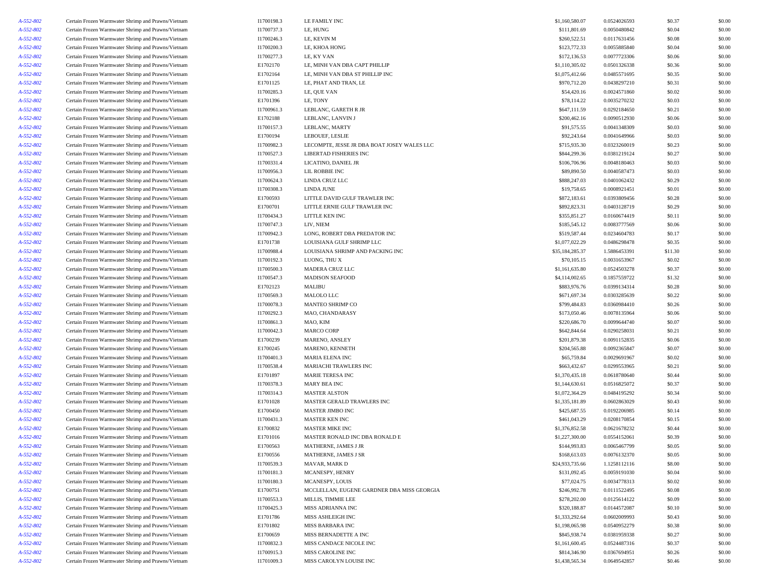| A-552-802              | Certain Frozen Warmwater Shrimp and Prawns/Vietnam                                                       | I1700198.3             | LE FAMILY INC                                    | \$1,160,580.07                   | 0.0524026593                 | \$0.37           | \$0.00           |
|------------------------|----------------------------------------------------------------------------------------------------------|------------------------|--------------------------------------------------|----------------------------------|------------------------------|------------------|------------------|
| A-552-802              | Certain Frozen Warmwater Shrimp and Prawns/Vietnam                                                       | I1700737.3             | LE, HUNG                                         | \$111,801.69                     | 0.0050480842                 | \$0.04           | \$0.00           |
| A-552-802              | Certain Frozen Warmwater Shrimp and Prawns/Vietnam                                                       | I1700246.3             | LE, KEVIN M                                      | \$260,522.51                     | 0.0117631456                 | \$0.08           | \$0.00           |
| A-552-802              | Certain Frozen Warmwater Shrimp and Prawns/Vietnam                                                       | I1700200.3             | LE, KHOA HONG                                    | \$123,772.33                     | 0.0055885840                 | \$0.04           | \$0.00           |
| A-552-802              | Certain Frozen Warmwater Shrimp and Prawns/Vietnam                                                       | I1700277.3             | LE, KY VAN                                       | \$172,136.53                     | 0.0077723306                 | \$0.06           | \$0.00           |
| A-552-802              | Certain Frozen Warmwater Shrimp and Prawns/Vietnam                                                       | E1702170               | LE, MINH VAN DBA CAPT PHILLIP                    | \$1,110,305.02                   | 0.0501326338                 | \$0.36           | \$0.00           |
| A-552-802              | Certain Frozen Warmwater Shrimp and Prawns/Vietnam                                                       | E1702164               | LE, MINH VAN DBA ST PHILLIP INC                  | \$1,075,412.66                   | 0.0485571695                 | \$0.35           | \$0.00           |
| A-552-802              | Certain Frozen Warmwater Shrimp and Prawns/Vietnam                                                       | E1701125               | LE, PHAT AND TRAN, LE                            | \$970,712.20                     | 0.0438297210                 | \$0.31           | \$0.00           |
| A-552-802              | Certain Frozen Warmwater Shrimp and Prawns/Vietnam                                                       | I1700285.3             | LE, QUE VAN                                      | \$54,420.16                      | 0.0024571860                 | \$0.02           | \$0.00           |
| A-552-802              | Certain Frozen Warmwater Shrimp and Prawns/Vietnam                                                       | E1701396               | LE, TONY                                         | \$78,114.22                      | 0.0035270232                 | \$0.03           | \$0.00           |
| A-552-802              | Certain Frozen Warmwater Shrimp and Prawns/Vietnam                                                       | I1700961.3             | LEBLANC, GARETH R JR                             | \$647,111.59                     | 0.0292184650                 | \$0.21           | \$0.00           |
| A-552-802              | Certain Frozen Warmwater Shrimp and Prawns/Vietnam                                                       | E1702188               | LEBLANC, LANVIN J                                | \$200,462.16                     | 0.0090512930                 | \$0.06           | \$0.00           |
| A-552-802              | Certain Frozen Warmwater Shrimp and Prawns/Vietnam                                                       | I1700157.3             | LEBLANC, MARTY                                   | \$91,575.55                      | 0.0041348309                 | \$0.03           | \$0.00           |
| A-552-802              | Certain Frozen Warmwater Shrimp and Prawns/Vietnam                                                       | E1700194               | LEBOUEF, LESLIE                                  | \$92,243.64                      | 0.0041649966                 | \$0.03           | \$0.00           |
| A-552-802              | Certain Frozen Warmwater Shrimp and Prawns/Vietnam                                                       | I1700982.3             | LECOMPTE, JESSE JR DBA BOAT JOSEY WALES LLC      | \$715,935.30                     | 0.0323260019                 | \$0.23           | \$0.00           |
| A-552-802              | Certain Frozen Warmwater Shrimp and Prawns/Vietnam                                                       | I1700527.3             | LIBERTAD FISHERIES INC                           | \$844,299.36                     | 0.0381219124                 | \$0.27           | \$0.00           |
| A-552-802              | Certain Frozen Warmwater Shrimp and Prawns/Vietnam                                                       | I1700331.4             | LICATINO, DANIEL JR                              | \$106,706.96                     | 0.0048180463                 | \$0.03           | \$0.00           |
| A-552-802              | Certain Frozen Warmwater Shrimp and Prawns/Vietnam                                                       | I1700956.3             | LIL ROBBIE INC                                   | \$89,890.50                      | 0.0040587473                 | \$0.03           | \$0.00           |
| A-552-802              | Certain Frozen Warmwater Shrimp and Prawns/Vietnam                                                       | I1700624.3             | LINDA CRUZ LLC                                   | \$888,247.03                     | 0.0401062432                 | \$0.29           | \$0.00           |
| A-552-802              | Certain Frozen Warmwater Shrimp and Prawns/Vietnam                                                       | I1700308.3             | LINDA JUNE                                       | \$19,758.65                      | 0.0008921451                 | \$0.01           | \$0.00           |
| A-552-802              | Certain Frozen Warmwater Shrimp and Prawns/Vietnam                                                       | E1700593               | LITTLE DAVID GULF TRAWLER INC                    | \$872,183.61                     | 0.0393809456                 | \$0.28           | \$0.00           |
| A-552-802              | Certain Frozen Warmwater Shrimp and Prawns/Vietnam                                                       | E1700701               | LITTLE ERNIE GULF TRAWLER INC                    | \$892,823.31                     | 0.0403128719                 | \$0.29           | \$0.00           |
| A-552-802              | Certain Frozen Warmwater Shrimp and Prawns/Vietnam                                                       | I1700434.3             | LITTLE KEN INC                                   | \$355,851.27                     | 0.0160674419                 | \$0.11           | \$0.00           |
| A-552-802              | Certain Frozen Warmwater Shrimp and Prawns/Vietnam                                                       | I1700747.3             | LIV, NIEM                                        | \$185,545.12                     | 0.0083777569                 | \$0.06           | \$0.00           |
| A-552-802              | Certain Frozen Warmwater Shrimp and Prawns/Vietnam                                                       | I1700942.3             | LONG, ROBERT DBA PREDATOR INC                    | \$519,587.44                     | 0.0234604783                 | \$0.17           | \$0.00           |
| A-552-802              | Certain Frozen Warmwater Shrimp and Prawns/Vietnam                                                       | E1701738               | LOUISIANA GULF SHRIMP LLC                        | \$1,077,022.29                   | 0.0486298478                 | \$0.35           | \$0.00           |
| A-552-802              | Certain Frozen Warmwater Shrimp and Prawns/Vietnam                                                       | I1700988.4             | LOUISIANA SHRIMP AND PACKING INC                 | \$35,184,285.37                  | 1.5886453391                 | \$11.30          | \$0.00           |
| A-552-802              | Certain Frozen Warmwater Shrimp and Prawns/Vietnam                                                       | I1700192.3             | LUONG, THU X                                     | \$70,105.15                      | 0.0031653967                 | \$0.02           | \$0.00           |
| A-552-802              | Certain Frozen Warmwater Shrimp and Prawns/Vietnam                                                       | I1700500.3             | MADERA CRUZ LLC                                  | \$1,161,635.80                   | 0.0524503278                 | \$0.37           | \$0.00           |
| A-552-802              | Certain Frozen Warmwater Shrimp and Prawns/Vietnam                                                       | I1700547.3             | <b>MADISON SEAFOOD</b>                           | \$4,114,002.65                   | 0.1857559722                 | \$1.32           | \$0.00           |
| A-552-802              | Certain Frozen Warmwater Shrimp and Prawns/Vietnam                                                       | E1702123               | MALIBU                                           | \$883,976.76                     | 0.0399134314                 | \$0.28           | \$0.00           |
| A-552-802              | Certain Frozen Warmwater Shrimp and Prawns/Vietnam                                                       | I1700569.3             | MALOLO LLC                                       | \$671,697.34                     | 0.0303285639                 | \$0.22           | \$0.00           |
| A-552-802              | Certain Frozen Warmwater Shrimp and Prawns/Vietnam                                                       | I1700078.3             | MANTEO SHRIMP CO                                 | \$799,484.83                     | 0.0360984410                 | \$0.26           | \$0.00           |
| A-552-802              | Certain Frozen Warmwater Shrimp and Prawns/Vietnam                                                       | I1700292.3             | MAO, CHANDARASY                                  | \$173,050.46                     | 0.0078135964                 | \$0.06           | \$0.00           |
| A-552-802              | Certain Frozen Warmwater Shrimp and Prawns/Vietnam                                                       | I1700861.3             | MAO, KIM                                         | \$220,686.70                     | 0.0099644740                 | \$0.07           | \$0.00           |
| A-552-802              | Certain Frozen Warmwater Shrimp and Prawns/Vietnam                                                       | I1700042.3             | <b>MARCO CORP</b>                                | \$642,844.64                     | 0.0290258031                 | \$0.21           | \$0.00           |
| A-552-802              | Certain Frozen Warmwater Shrimp and Prawns/Vietnam                                                       | E1700239               | MARENO, ANSLEY                                   | \$201,879.38                     | 0.0091152835                 | \$0.06           | \$0.00           |
| A-552-802              | Certain Frozen Warmwater Shrimp and Prawns/Vietnam                                                       | E1700245               | MARENO, KENNETH                                  | \$204,565.88                     | 0.0092365847                 | \$0.07           | \$0.00           |
| A-552-802              | Certain Frozen Warmwater Shrimp and Prawns/Vietnam                                                       | I1700401.3             | <b>MARIA ELENA INC</b>                           | \$65,759.84                      | 0.0029691967                 | \$0.02           | \$0.00           |
| A-552-802              | Certain Frozen Warmwater Shrimp and Prawns/Vietnam                                                       | I1700538.4             | MARIACHI TRAWLERS INC                            | \$663,432.67                     | 0.0299553965                 | \$0.21           | \$0.00           |
| A-552-802              | Certain Frozen Warmwater Shrimp and Prawns/Vietnam                                                       | E1701897               | MARIE TERESA INC                                 | \$1,370,435.18                   | 0.0618780640                 | \$0.44           | \$0.00           |
| A-552-802              | Certain Frozen Warmwater Shrimp and Prawns/Vietnam                                                       | I1700378.3             | MARY BEA INC                                     | \$1,144,630.61                   | 0.0516825072                 | \$0.37           | \$0.00           |
| A-552-802              | Certain Frozen Warmwater Shrimp and Prawns/Vietnam                                                       | I1700314.3             | <b>MASTER ALSTON</b>                             | \$1,072,364.29                   | 0.0484195292                 | \$0.34           | \$0.00           |
| A-552-802              | Certain Frozen Warmwater Shrimp and Prawns/Vietnam                                                       | E1701028               | MASTER GERALD TRAWLERS INC                       | \$1,335,181.89                   | 0.0602863029                 | \$0.43           | \$0.00           |
| A-552-802              | Certain Frozen Warmwater Shrimp and Prawns/Vietnam                                                       | E1700450               | <b>MASTER JIMBO INC</b>                          | \$425,687.55                     | 0.0192206985                 | \$0.14           | \$0.00           |
| A-552-802              | Certain Frozen Warmwater Shrimp and Prawns/Vietnam                                                       | I1700431.3             | MASTER KEN INC                                   | \$461,043.29                     | 0.0208170854                 | \$0.15           | \$0.00           |
| A-552-802              | Certain Frozen Warmwater Shrimp and Prawns/Vietnam                                                       | E1700832               | <b>MASTER MIKE INC</b>                           | \$1,376,852.58                   | 0.0621678232                 | \$0.44           | \$0.00           |
| A-552-802              | Certain Frozen Warmwater Shrimp and Prawns/Vietnam                                                       | E1701016               | MASTER RONALD INC DBA RONALD E                   | \$1,227,300.00                   | 0.0554152061                 | \$0.39           | \$0.00           |
| A-552-802              | Certain Frozen Warmwater Shrimp and Prawns/Vietnam                                                       | E1700563               | MATHERNE, JAMES J JR                             | \$144,993.83                     | 0.0065467799                 | \$0.05           | \$0.00           |
| A-552-802              | Certain Frozen Warmwater Shrimp and Prawns/Vietnam                                                       | E1700556               | MATHERNE, JAMES J SR                             | \$168,613.03                     | 0.0076132370                 | \$0.05           | \$0.00           |
| A-552-802              | Certain Frozen Warmwater Shrimp and Prawns/Vietnam                                                       | I1700539.3             | MAVAR, MARK D                                    | \$24,933,735.66                  | 1.1258112116                 | \$8.00           | \$0.00           |
| A-552-802              | Certain Frozen Warmwater Shrimp and Prawns/Vietnam                                                       | I1700181.3             | MCANESPY, HENRY                                  | \$131,092.45                     | 0.0059191030                 | \$0.04           | \$0.00           |
| A-552-802              | Certain Frozen Warmwater Shrimp and Prawns/Vietnam                                                       | I1700180.3             | MCANESPY, LOUIS                                  | \$77,024.75                      | 0.0034778313                 | \$0.02           | \$0.00           |
| A-552-802              | Certain Frozen Warmwater Shrimp and Prawns/Vietnam                                                       | E1700751               | MCCLELLAN, EUGENE GARDNER DBA MISS GEORGIA       | \$246,992.78                     | 0.0111522495                 | \$0.08           | \$0.00           |
| A-552-802              | Certain Frozen Warmwater Shrimp and Prawns/Vietnam                                                       | I1700553.3             | MILLIS, TIMMIE LEE                               | \$278,202.00                     | 0.0125614122                 | \$0.09           | \$0.00           |
|                        |                                                                                                          | I1700425.3             | MISS ADRIANNA INC                                | \$320,188.87                     | 0.0144572087                 | \$0.10           | \$0.00           |
| A-552-802              | Certain Frozen Warmwater Shrimp and Prawns/Vietnam                                                       |                        |                                                  |                                  |                              |                  |                  |
| A-552-802<br>A-552-802 | Certain Frozen Warmwater Shrimp and Prawns/Vietnam                                                       | E1701786<br>E1701802   | MISS ASHLEIGH INC<br>MISS BARBARA INC            | \$1,333,292.64<br>\$1,198,065.98 | 0.0602009993<br>0.0540952279 | \$0.43<br>\$0.38 | \$0.00<br>\$0.00 |
|                        | Certain Frozen Warmwater Shrimp and Prawns/Vietnam                                                       |                        |                                                  |                                  |                              |                  |                  |
| A-552-802<br>A-552-802 | Certain Frozen Warmwater Shrimp and Prawns/Vietnam<br>Certain Frozen Warmwater Shrimp and Prawns/Vietnam | E1700659<br>I1700832.3 | MISS BERNADETTE A INC<br>MISS CANDACE NICOLE INC | \$845,938.74<br>\$1,161,600.45   | 0.0381959338<br>0.0524487316 | \$0.27<br>\$0.37 | \$0.00<br>\$0.00 |
|                        | Certain Frozen Warmwater Shrimp and Prawns/Vietnam                                                       | I1700915.3             | MISS CAROLINE INC                                | \$814,346.90                     | 0.0367694951                 | \$0.26           | \$0.00           |
| A-552-802              | Certain Frozen Warmwater Shrimp and Prawns/Vietnam                                                       | I1701009.3             |                                                  | \$1,438,565.34                   | 0.0649542857                 | \$0.46           |                  |
| A-552-802              |                                                                                                          |                        | MISS CAROLYN LOUISE INC                          |                                  |                              |                  | \$0.00           |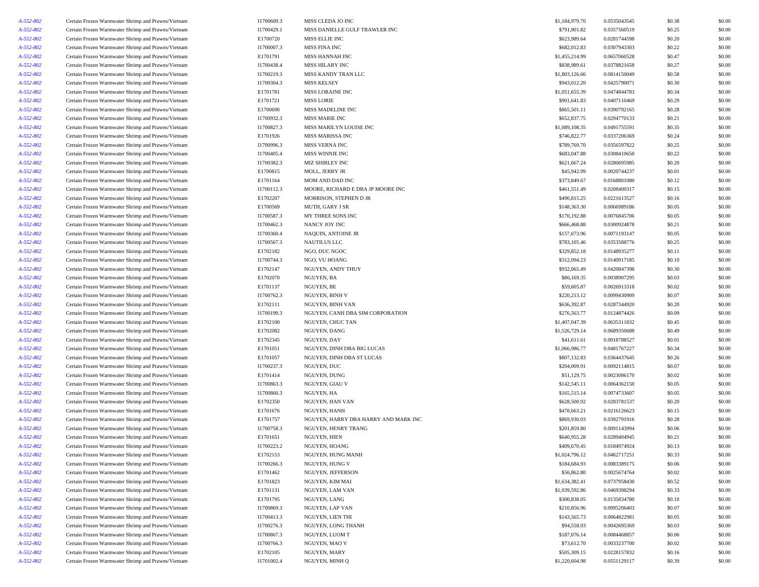| A-552-802 | Certain Frozen Warmwater Shrimp and Prawns/Vietnam | I1700609.3 | MISS CLEDA JO INC                    | \$1,184,979.70 | 0.0535043545 | \$0.38 | \$0.00 |
|-----------|----------------------------------------------------|------------|--------------------------------------|----------------|--------------|--------|--------|
| A-552-802 | Certain Frozen Warmwater Shrimp and Prawns/Vietnam | I1700429.1 | MISS DANIELLE GULF TRAWLER INC       | \$791,901.82   | 0.0357560519 | \$0.25 | \$0.00 |
| A-552-802 | Certain Frozen Warmwater Shrimp and Prawns/Vietnam | E1700720   | MISS ELLIE INC                       | \$623,989.64   | 0.0281744598 | \$0.20 | \$0.00 |
| A-552-802 | Certain Frozen Warmwater Shrimp and Prawns/Vietnam | I1700007.3 | MISS FINA INC                        | \$682,012.83   | 0.0307943303 | \$0.22 | \$0.00 |
| A-552-802 | Certain Frozen Warmwater Shrimp and Prawns/Vietnam | E1701791   | MISS HANNAH INC                      | \$1,455,214.99 | 0.0657060528 | \$0.47 | \$0.00 |
| A-552-802 | Certain Frozen Warmwater Shrimp and Prawns/Vietnam | I1700438.4 | MISS HILARY INC                      | \$838,989.61   | 0.0378821658 | \$0.27 | \$0.00 |
| A-552-802 | Certain Frozen Warmwater Shrimp and Prawns/Vietnam | I1700219.3 | MISS KANDY TRAN LLC                  | \$1,803,126.66 | 0.0814150049 | \$0.58 | \$0.00 |
| A-552-802 | Certain Frozen Warmwater Shrimp and Prawns/Vietnam | I1700304.3 | <b>MISS KELSEY</b>                   | \$943,012.20   | 0.0425790071 | \$0.30 | \$0.00 |
| A-552-802 | Certain Frozen Warmwater Shrimp and Prawns/Vietnam | E1701781   | MISS LORAINE INC                     | \$1,051,655.39 | 0.0474844783 | \$0.34 | \$0.00 |
| A-552-802 | Certain Frozen Warmwater Shrimp and Prawns/Vietnam | E1701721   | <b>MISS LORIE</b>                    | \$901,641.83   | 0.0407110469 | \$0.29 | \$0.00 |
| A-552-802 | Certain Frozen Warmwater Shrimp and Prawns/Vietnam | E1700690   | MISS MADELINE INC                    | \$865,501.11   | 0.0390792165 | \$0.28 | \$0.00 |
| A-552-802 | Certain Frozen Warmwater Shrimp and Prawns/Vietnam | I1700932.3 | <b>MISS MARIE INC</b>                | \$652,837.75   | 0.0294770133 | \$0.21 | \$0.00 |
| A-552-802 | Certain Frozen Warmwater Shrimp and Prawns/Vietnam | I1700827.3 | MISS MARILYN LOUISE INC              | \$1,089,108.35 | 0.0491755591 | \$0.35 | \$0.00 |
| A-552-802 | Certain Frozen Warmwater Shrimp and Prawns/Vietnam | E1701926   | MISS MARISSA INC                     | \$746,822.77   | 0.0337206369 | \$0.24 | \$0.00 |
| A-552-802 | Certain Frozen Warmwater Shrimp and Prawns/Vietnam | I1700996.3 | MISS VERNA INC                       | \$789,769.70   | 0.0356597822 | \$0.25 | \$0.00 |
| A-552-802 | Certain Frozen Warmwater Shrimp and Prawns/Vietnam | I1700405.4 | MISS WINNIE INC                      | \$683,047.88   | 0.0308410650 | \$0.22 | \$0.00 |
|           |                                                    |            |                                      |                |              |        | \$0.00 |
| A-552-802 | Certain Frozen Warmwater Shrimp and Prawns/Vietnam | I1700382.3 | MIZ SHIRLEY INC                      | \$621,667.24   | 0.0280695985 | \$0.20 |        |
| A-552-802 | Certain Frozen Warmwater Shrimp and Prawns/Vietnam | E1700815   | MOLL, JERRY JR                       | \$45,942.99    | 0.0020744237 | \$0.01 | \$0.00 |
| A-552-802 | Certain Frozen Warmwater Shrimp and Prawns/Vietnam | E1701164   | MOM AND DAD INC                      | \$373,849.67   | 0.0168801080 | \$0.12 | \$0.00 |
| A-552-802 | Certain Frozen Warmwater Shrimp and Prawns/Vietnam | I1700112.3 | MOORE, RICHARD E DBA JP MOORE INC    | \$461,551.49   | 0.0208400317 | \$0.15 | \$0.00 |
| A-552-802 | Certain Frozen Warmwater Shrimp and Prawns/Vietnam | E1702207   | MORRISON, STEPHEN D JR               | \$490,815.25   | 0.0221613527 | \$0.16 | \$0.00 |
| A-552-802 | Certain Frozen Warmwater Shrimp and Prawns/Vietnam | E1700569   | MUTH, GARY J SR                      | \$148,363.30   | 0.0066989186 | \$0.05 | \$0.00 |
| A-552-802 | Certain Frozen Warmwater Shrimp and Prawns/Vietnam | I1700587.3 | MY THREE SONS INC                    | \$170,192.88   | 0.0076845706 | \$0.05 | \$0.00 |
| A-552-802 | Certain Frozen Warmwater Shrimp and Prawns/Vietnam | I1700462.3 | NANCY JOY INC                        | \$666,468.88   | 0.0300924878 | \$0.21 | \$0.00 |
| A-552-802 | Certain Frozen Warmwater Shrimp and Prawns/Vietnam | I1700360.4 | NAQUIN, ANTOINE JR                   | \$157,673.96   | 0.0071193147 | \$0.05 | \$0.00 |
| A-552-802 | Certain Frozen Warmwater Shrimp and Prawns/Vietnam | I1700567.3 | <b>NAUTILUS LLC</b>                  | \$783,105.46   | 0.0353588776 | \$0.25 | \$0.00 |
| A-552-802 | Certain Frozen Warmwater Shrimp and Prawns/Vietnam | E1702182   | NGO, DUC NGOC                        | \$329,852.18   | 0.0148935277 | \$0.11 | \$0.00 |
| A-552-802 | Certain Frozen Warmwater Shrimp and Prawns/Vietnam | I1700744.3 | NGO, VU HOANG                        | \$312,094.23   | 0.0140917185 | \$0.10 | \$0.00 |
| A-552-802 | Certain Frozen Warmwater Shrimp and Prawns/Vietnam | E1702147   | NGUYEN, ANDY THUY                    | \$932,065.49   | 0.0420847398 | \$0.30 | \$0.00 |
| A-552-802 | Certain Frozen Warmwater Shrimp and Prawns/Vietnam | E1702070   | NGUYEN, BA                           | \$86,169.35    | 0.0038907295 | \$0.03 | \$0.00 |
| A-552-802 | Certain Frozen Warmwater Shrimp and Prawns/Vietnam | E1701137   | NGUYEN, BE                           | \$59,605.87    | 0.0026913318 | \$0.02 | \$0.00 |
| A-552-802 | Certain Frozen Warmwater Shrimp and Prawns/Vietnam | I1700762.3 | NGUYEN, BINH V                       | \$220,213.12   | 0.0099430909 | \$0.07 | \$0.00 |
| A-552-802 | Certain Frozen Warmwater Shrimp and Prawns/Vietnam | E1702111   | NGUYEN, BINH VAN                     | \$636,392.87   | 0.0287344920 | \$0.20 | \$0.00 |
| A-552-802 | Certain Frozen Warmwater Shrimp and Prawns/Vietnam | I1700199.3 | NGUYEN, CANH DBA SIM CORPORATION     | \$276,563.77   | 0.0124874426 | \$0.09 | \$0.00 |
| A-552-802 | Certain Frozen Warmwater Shrimp and Prawns/Vietnam | E1702100   | NGUYEN, CHUC TAN                     | \$1,407,047.39 | 0.0635311832 | \$0.45 | \$0.00 |
| A-552-802 | Certain Frozen Warmwater Shrimp and Prawns/Vietnam | E1702082   | NGUYEN, DANG                         | \$1,526,729.14 | 0.0689350688 | \$0.49 | \$0.00 |
| A-552-802 | Certain Frozen Warmwater Shrimp and Prawns/Vietnam | E1702345   | NGUYEN, DAY                          | \$41,611.61    | 0.0018788527 | \$0.01 | \$0.00 |
| A-552-802 | Certain Frozen Warmwater Shrimp and Prawns/Vietnam | E1701051   | NGUYEN, DINH DBA BIG LUCAS           | \$1,066,986.77 | 0.0481767227 | \$0.34 | \$0.00 |
| A-552-802 | Certain Frozen Warmwater Shrimp and Prawns/Vietnam | E1701057   | NGUYEN, DINH DBA ST LUCAS            | \$807,132.83   | 0.0364437645 | \$0.26 | \$0.00 |
| A-552-802 | Certain Frozen Warmwater Shrimp and Prawns/Vietnam | I1700237.3 | NGUYEN, DUC                          | \$204,009.91   | 0.0092114815 | \$0.07 | \$0.00 |
| A-552-802 | Certain Frozen Warmwater Shrimp and Prawns/Vietnam | E1701414   | NGUYEN, DUNG                         | \$51,129.75    | 0.0023086170 | \$0.02 | \$0.00 |
| A-552-802 | Certain Frozen Warmwater Shrimp and Prawns/Vietnam | I1700863.3 | NGUYEN, GIAU V                       | \$142,545.11   | 0.0064362150 | \$0.05 | \$0.00 |
| A-552-802 | Certain Frozen Warmwater Shrimp and Prawns/Vietnam | I1700860.3 | NGUYEN, HA                           | \$165,515.14   | 0.0074733607 | \$0.05 | \$0.00 |
| A-552-802 | Certain Frozen Warmwater Shrimp and Prawns/Vietnam | E1702350   | <b>NGUYEN, HAN VAN</b>               | \$628,500.92   | 0.0283781537 | \$0.20 | \$0.00 |
| A-552-802 | Certain Frozen Warmwater Shrimp and Prawns/Vietnam | E1701676   | NGUYEN, HANH                         | \$478,663.21   | 0.0216126623 | \$0.15 | \$0.00 |
| A-552-802 | Certain Frozen Warmwater Shrimp and Prawns/Vietnam | E1701757   | NGUYEN, HARRY DBA HARRY AND MARK INC | \$869,930.03   | 0.0392791916 | \$0.28 | \$0.00 |
| A-552-802 | Certain Frozen Warmwater Shrimp and Prawns/Vietnam | I1700758.3 | NGUYEN, HENRY TRANG                  | \$201,859.80   | 0.0091143994 | \$0.06 | \$0.00 |
| A-552-802 | Certain Frozen Warmwater Shrimp and Prawns/Vietnam | E1701651   | NGUYEN, HIEN                         | \$640,955.28   | 0.0289404945 | \$0.21 | \$0.00 |
| A-552-802 | Certain Frozen Warmwater Shrimp and Prawns/Vietnam | I1700223.2 | NGUYEN, HOANG                        | \$409,670.45   | 0.0184974924 | \$0.13 | \$0.00 |
| A-552-802 | Certain Frozen Warmwater Shrimp and Prawns/Vietnam | E1702153   | NGUYEN, HUNG MANH                    | \$1,024,796.12 | 0.0462717251 | \$0.33 | \$0.00 |
| A-552-802 | Certain Frozen Warmwater Shrimp and Prawns/Vietnam | I1700266.3 | NGUYEN, HUNG V                       | \$184,684.93   | 0.0083389175 | \$0.06 | \$0.00 |
| A-552-802 | Certain Frozen Warmwater Shrimp and Prawns/Vietnam | E1701462   | NGUYEN, JEFFERSON                    | \$56,862.80    | 0.0025674764 | \$0.02 | \$0.00 |
| A-552-802 | Certain Frozen Warmwater Shrimp and Prawns/Vietnam | E1701823   | NGUYEN, KIM MAI                      | \$1,634,382.41 | 0.0737958430 | \$0.52 | \$0.00 |
| A-552-802 | Certain Frozen Warmwater Shrimp and Prawns/Vietnam | E1701131   | NGUYEN, LAM VAN                      | \$1,039,592.86 | 0.0469398294 | \$0.33 | \$0.00 |
| A-552-802 | Certain Frozen Warmwater Shrimp and Prawns/Vietnam | E1701795   | NGUYEN, LANG                         | \$300,838.05   | 0.0135834780 | \$0.10 | \$0.00 |
| A-552-802 | Certain Frozen Warmwater Shrimp and Prawns/Vietnam | I1700869.3 | NGUYEN, LAP VAN                      | \$210,856.96   | 0.0095206403 | \$0.07 | \$0.00 |
|           | Certain Frozen Warmwater Shrimp and Prawns/Vietnam | I1700413.3 | NGUYEN, LIEN THI                     | \$143,565.73   | 0.0064822981 | \$0.05 | \$0.00 |
| A-552-802 | Certain Frozen Warmwater Shrimp and Prawns/Vietnam | I1700276.3 | NGUYEN, LONG THANH                   | \$94,558.93    | 0.0042695369 | \$0.03 | \$0.00 |
| A-552-802 |                                                    |            |                                      |                | 0.0084468857 |        |        |
| A-552-802 | Certain Frozen Warmwater Shrimp and Prawns/Vietnam | I1700867.3 | NGUYEN, LUOM T<br>NGUYEN, MAO V      | \$187,076.14   |              | \$0.06 | \$0.00 |
| A-552-802 | Certain Frozen Warmwater Shrimp and Prawns/Vietnam | I1700766.3 |                                      | \$73,612.70    | 0.0033237700 | \$0.02 | \$0.00 |
| A-552-802 | Certain Frozen Warmwater Shrimp and Prawns/Vietnam | E1702105   | NGUYEN, MARY<br>NGUYEN, MINH Q       | \$505,309.15   | 0.0228157832 | \$0.16 | \$0.00 |
| A-552-802 | Certain Frozen Warmwater Shrimp and Prawns/Vietnam | I1701002.4 |                                      | \$1,220,604.98 | 0.0551129117 | \$0.39 | \$0.00 |
|           |                                                    |            |                                      |                |              |        |        |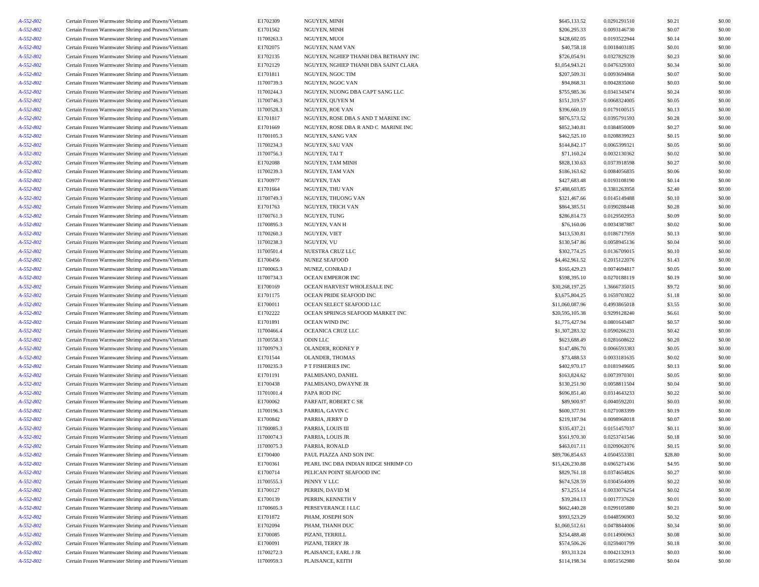| A-552-802 | Certain Frozen Warmwater Shrimp and Prawns/Vietnam | E1702309   | NGUYEN, MINH                         | \$645,133.52    | 0.0291291510 | \$0.21  | \$0.00 |
|-----------|----------------------------------------------------|------------|--------------------------------------|-----------------|--------------|---------|--------|
| A-552-802 | Certain Frozen Warmwater Shrimp and Prawns/Vietnam | E1701562   | NGUYEN, MINH                         | \$206,295.33    | 0.0093146730 | \$0.07  | \$0.00 |
| A-552-802 | Certain Frozen Warmwater Shrimp and Prawns/Vietnam | I1700263.3 | NGUYEN, MUOI                         | \$428,602.05    | 0.0193522944 | \$0.14  | \$0.00 |
| A-552-802 | Certain Frozen Warmwater Shrimp and Prawns/Vietnam | E1702075   | NGUYEN, NAM VAN                      | \$40,758.18     | 0.0018403185 | \$0.01  | \$0.00 |
| A-552-802 | Certain Frozen Warmwater Shrimp and Prawns/Vietnam | E1702135   | NGUYEN, NGHIEP THANH DBA BETHANY INC | \$726,054.91    | 0.0327829239 | \$0.23  | \$0.00 |
| A-552-802 | Certain Frozen Warmwater Shrimp and Prawns/Vietnam | E1702129   | NGUYEN, NGHIEP THANH DBA SAINT CLARA | \$1,054,943.21  | 0.0476329303 | \$0.34  | \$0.00 |
| A-552-802 | Certain Frozen Warmwater Shrimp and Prawns/Vietnam | E1701811   | NGUYEN, NGOC TIM                     | \$207,509.31    | 0.0093694868 | \$0.07  | \$0.00 |
| A-552-802 | Certain Frozen Warmwater Shrimp and Prawns/Vietnam | I1700739.3 | NGUYEN, NGOC VAN                     | \$94,868.31     | 0.0042835060 | \$0.03  | \$0.00 |
| A-552-802 | Certain Frozen Warmwater Shrimp and Prawns/Vietnam | I1700244.3 | NGUYEN, NUONG DBA CAPT SANG LLC      | \$755,985.36    | 0.0341343474 | \$0.24  | \$0.00 |
| A-552-802 | Certain Frozen Warmwater Shrimp and Prawns/Vietnam | I1700746.3 | NGUYEN, QUYEN M                      | \$151,319.57    | 0.0068324005 | \$0.05  | \$0.00 |
|           |                                                    |            | NGUYEN, ROE VAN                      |                 | 0.0179100515 | \$0.13  | \$0.00 |
| A-552-802 | Certain Frozen Warmwater Shrimp and Prawns/Vietnam | I1700528.3 |                                      | \$396,660.19    |              |         |        |
| A-552-802 | Certain Frozen Warmwater Shrimp and Prawns/Vietnam | E1701817   | NGUYEN, ROSE DBA S AND T MARINE INC  | \$876,573.52    | 0.0395791593 | \$0.28  | \$0.00 |
| A-552-802 | Certain Frozen Warmwater Shrimp and Prawns/Vietnam | E1701669   | NGUYEN, ROSE DBA R AND C MARINE INC  | \$852,340.81    | 0.0384850009 | \$0.27  | \$0.00 |
| A-552-802 | Certain Frozen Warmwater Shrimp and Prawns/Vietnam | I1700105.3 | NGUYEN, SANG VAN                     | \$462,525.10    | 0.0208839923 | \$0.15  | \$0.00 |
| A-552-802 | Certain Frozen Warmwater Shrimp and Prawns/Vietnam | I1700234.3 | NGUYEN, SAU VAN                      | \$144,842.17    | 0.0065399321 | \$0.05  | \$0.00 |
| A-552-802 | Certain Frozen Warmwater Shrimp and Prawns/Vietnam | I1700756.3 | NGUYEN, TAI T                        | \$71,160.24     | 0.0032130362 | \$0.02  | \$0.00 |
| A-552-802 | Certain Frozen Warmwater Shrimp and Prawns/Vietnam | E1702088   | NGUYEN, TAM MINH                     | \$828,130.63    | 0.0373918598 | \$0.27  | \$0.00 |
| A-552-802 | Certain Frozen Warmwater Shrimp and Prawns/Vietnam | I1700239.3 | NGUYEN, TAM VAN                      | \$186,163.62    | 0.0084056835 | \$0.06  | \$0.00 |
| A-552-802 | Certain Frozen Warmwater Shrimp and Prawns/Vietnam | E1700977   | NGUYEN, TAN                          | \$427,683.48    | 0.0193108190 | \$0.14  | \$0.00 |
| A-552-802 | Certain Frozen Warmwater Shrimp and Prawns/Vietnam | E1701664   | NGUYEN, THU VAN                      | \$7,488,603.85  | 0.3381263958 | \$2.40  | \$0.00 |
| A-552-802 | Certain Frozen Warmwater Shrimp and Prawns/Vietnam | I1700749.3 | NGUYEN, THUONG VAN                   | \$321,467.66    | 0.0145149488 | \$0.10  | \$0.00 |
| A-552-802 | Certain Frozen Warmwater Shrimp and Prawns/Vietnam | E1701763   | NGUYEN, TRICH VAN                    | \$864,385.51    | 0.0390288448 | \$0.28  | \$0.00 |
| A-552-802 | Certain Frozen Warmwater Shrimp and Prawns/Vietnam | I1700761.3 | NGUYEN, TUNG                         | \$286,814.73    | 0.0129502953 | \$0.09  | \$0.00 |
| A-552-802 | Certain Frozen Warmwater Shrimp and Prawns/Vietnam | I1700895.3 | NGUYEN, VAN H                        | \$76,160.06     | 0.0034387887 | \$0.02  | \$0.00 |
| A-552-802 | Certain Frozen Warmwater Shrimp and Prawns/Vietnam | I1700260.3 | NGUYEN, VIET                         | \$413,530.81    | 0.0186717959 | \$0.13  | \$0.00 |
| A-552-802 | Certain Frozen Warmwater Shrimp and Prawns/Vietnam | I1700238.3 | NGUYEN, VU                           | \$130,547.86    | 0.0058945136 | \$0.04  | \$0.00 |
| A-552-802 | Certain Frozen Warmwater Shrimp and Prawns/Vietnam | I1700501.4 | NUESTRA CRUZ LLC                     | \$302,774.25    | 0.0136709015 | \$0.10  | \$0.00 |
| A-552-802 | Certain Frozen Warmwater Shrimp and Prawns/Vietnam | E1700456   | <b>NUNEZ SEAFOOD</b>                 | \$4,462,961.52  | 0.2015122076 | \$1.43  | \$0.00 |
| A-552-802 | Certain Frozen Warmwater Shrimp and Prawns/Vietnam | I1700065.3 | NUNEZ, CONRAD J                      | \$165,429.23    | 0.0074694817 | \$0.05  | \$0.00 |
| A-552-802 | Certain Frozen Warmwater Shrimp and Prawns/Vietnam | I1700734.3 | OCEAN EMPEROR INC                    | \$598,395.10    | 0.0270188119 | \$0.19  | \$0.00 |
| A-552-802 | Certain Frozen Warmwater Shrimp and Prawns/Vietnam | E1700169   | OCEAN HARVEST WHOLESALE INC          | \$30,268,197.25 | 1.3666735015 | \$9.72  | \$0.00 |
| A-552-802 | Certain Frozen Warmwater Shrimp and Prawns/Vietnam | E1701175   | OCEAN PRIDE SEAFOOD INC              | \$3,675,804.25  | 0.1659703822 | \$1.18  | \$0.00 |
| A-552-802 | Certain Frozen Warmwater Shrimp and Prawns/Vietnam | E1700011   | OCEAN SELECT SEAFOOD LLC             | \$11,060,087.96 | 0.4993865018 | \$3.55  | \$0.00 |
| A-552-802 | Certain Frozen Warmwater Shrimp and Prawns/Vietnam | E1702222   | OCEAN SPRINGS SEAFOOD MARKET INC     | \$20,595,105.38 | 0.9299128240 | \$6.61  | \$0.00 |
| A-552-802 | Certain Frozen Warmwater Shrimp and Prawns/Vietnam | E1701891   | OCEAN WIND INC                       | \$1,775,427.94  | 0.0801643487 |         |        |
|           |                                                    |            |                                      |                 |              | \$0.57  | \$0.00 |
| A-552-802 | Certain Frozen Warmwater Shrimp and Prawns/Vietnam | I1700466.4 | OCEANICA CRUZ LLC                    | \$1,307,283.32  | 0.0590266231 | \$0.42  | \$0.00 |
| A-552-802 | Certain Frozen Warmwater Shrimp and Prawns/Vietnam | I1700558.3 | ODIN LLC                             | \$623,688.49    | 0.0281608622 | \$0.20  | \$0.00 |
| A-552-802 | Certain Frozen Warmwater Shrimp and Prawns/Vietnam | I1700979.3 | OLANDER, RODNEY P                    | \$147,486.70    | 0.0066593383 | \$0.05  | \$0.00 |
| A-552-802 | Certain Frozen Warmwater Shrimp and Prawns/Vietnam | E1701544   | OLANDER, THOMAS                      | \$73,488.53     | 0.0033181635 | \$0.02  | \$0.00 |
| A-552-802 | Certain Frozen Warmwater Shrimp and Prawns/Vietnam | I1700235.3 | P T FISHERIES INC                    | \$402,970.17    | 0.0181949605 | \$0.13  | \$0.00 |
| A-552-802 | Certain Frozen Warmwater Shrimp and Prawns/Vietnam | E1701191   | PALMISANO, DANIEL                    | \$163,824.62    | 0.0073970301 | \$0.05  | \$0.00 |
| A-552-802 | Certain Frozen Warmwater Shrimp and Prawns/Vietnam | E1700438   | PALMISANO, DWAYNE JR                 | \$130,251.90    | 0.0058811504 | \$0.04  | \$0.00 |
| A-552-802 | Certain Frozen Warmwater Shrimp and Prawns/Vietnam | I1701001.4 | PAPA ROD INC                         | \$696,851.40    | 0.0314643233 | \$0.22  | \$0.00 |
| A-552-802 | Certain Frozen Warmwater Shrimp and Prawns/Vietnam | E1700062   | PARFAIT, ROBERT C SR                 | \$89,900.97     | 0.0040592201 | \$0.03  | \$0.00 |
| A-552-802 | Certain Frozen Warmwater Shrimp and Prawns/Vietnam | I1700196.3 | PARRIA, GAVINC                       | \$600,377.91    | 0.0271083399 | \$0.19  | \$0.00 |
| A-552-802 | Certain Frozen Warmwater Shrimp and Prawns/Vietnam | E1700842   | PARRIA, JERRY D                      | \$219,187.94    | 0.0098968018 | \$0.07  | \$0.00 |
| A-552-802 | Certain Frozen Warmwater Shrimp and Prawns/Vietnam | I1700085.3 | PARRIA, LOUIS III                    | \$335,437.21    | 0.0151457037 | \$0.11  | \$0.00 |
| A-552-802 | Certain Frozen Warmwater Shrimp and Prawns/Vietnam | I1700074.3 | PARRIA, LOUIS JR                     | \$561,970.30    | 0.0253741546 | \$0.18  | \$0.00 |
| A-552-802 | Certain Frozen Warmwater Shrimp and Prawns/Vietnam | I1700075.3 | PARRIA, RONALD                       | \$463,017.11    | 0.0209062076 | \$0.15  | \$0.00 |
| A-552-802 | Certain Frozen Warmwater Shrimp and Prawns/Vietnam | E1700400   | PAUL PIAZZA AND SON INC              | \$89,706,854.63 | 4.0504553381 | \$28.80 | \$0.00 |
| A-552-802 | Certain Frozen Warmwater Shrimp and Prawns/Vietnam | E1700361   | PEARL INC DBA INDIAN RIDGE SHRIMP CO | \$15,426,230.88 | 0.6965271436 | \$4.95  | \$0.00 |
| A-552-802 | Certain Frozen Warmwater Shrimp and Prawns/Vietnam | E1700714   | PELICAN POINT SEAFOOD INC            | \$829,761.18    | 0.0374654826 | \$0.27  | \$0.00 |
| A-552-802 | Certain Frozen Warmwater Shrimp and Prawns/Vietnam | I1700555.3 | PENNY V LLC                          | \$674,528.59    | 0.0304564009 | \$0.22  | \$0.00 |
| A-552-802 | Certain Frozen Warmwater Shrimp and Prawns/Vietnam | E1700127   | PERRIN, DAVID M                      | \$73,255.14     | 0.0033076254 | \$0.02  | \$0.00 |
| A-552-802 | Certain Frozen Warmwater Shrimp and Prawns/Vietnam | E1700139   | PERRIN, KENNETH V                    | \$39,284.13     | 0.0017737620 | \$0.01  | \$0.00 |
| A-552-802 | Certain Frozen Warmwater Shrimp and Prawns/Vietnam | I1700605.3 | PERSEVERANCE I LLC                   | \$662,440.28    | 0.0299105880 | \$0.21  | \$0.00 |
| A-552-802 | Certain Frozen Warmwater Shrimp and Prawns/Vietnam | E1701872   | PHAM, JOSEPH SON                     | \$993,523.29    | 0.0448596903 | \$0.32  | \$0.00 |
| A-552-802 | Certain Frozen Warmwater Shrimp and Prawns/Vietnam | E1702094   | PHAM, THANH DUC                      | \$1,060,512.61  | 0.0478844006 | \$0.34  | \$0.00 |
| A-552-802 | Certain Frozen Warmwater Shrimp and Prawns/Vietnam | E1700085   | PIZANI, TERRILL                      | \$254,488.48    | 0.0114906963 | \$0.08  | \$0.00 |
| A-552-802 | Certain Frozen Warmwater Shrimp and Prawns/Vietnam | E1700091   | PIZANI, TERRY JR                     | \$574,506.26    | 0.0259401799 | \$0.18  | \$0.00 |
|           |                                                    |            |                                      | \$93,313.24     |              |         | \$0.00 |
| A-552-802 | Certain Frozen Warmwater Shrimp and Prawns/Vietnam | I1700272.3 | PLAISANCE, EARL J JR                 |                 | 0.0042132913 | \$0.03  |        |
| A-552-802 | Certain Frozen Warmwater Shrimp and Prawns/Vietnam | I1700959.3 | PLAISANCE, KEITH                     | \$114,198.34    | 0.0051562980 | \$0.04  | \$0.00 |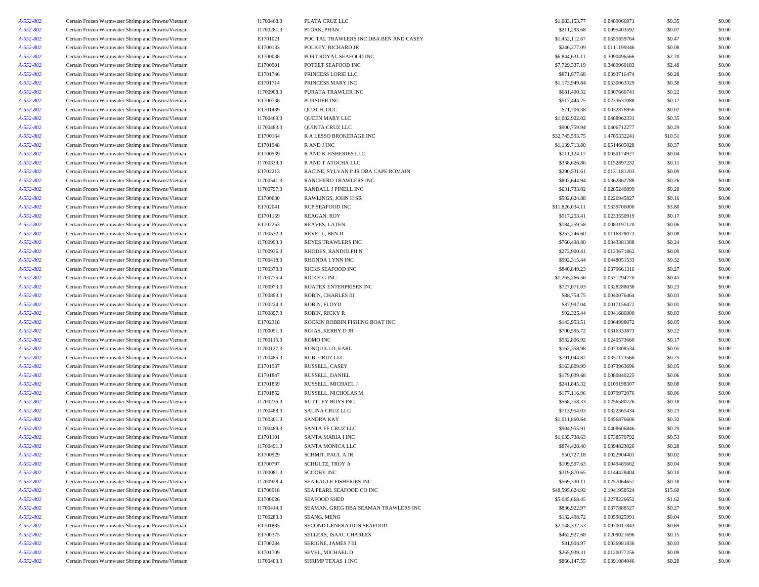| A-552-802       | Certain Frozen Warmwater Shrimp and Prawns/Vietnam | I1700468.3             | PLATA CRUZ LLC                                  | \$1,083,153.77                    | 0.0489066971                 | \$0.35            | \$0.00           |
|-----------------|----------------------------------------------------|------------------------|-------------------------------------------------|-----------------------------------|------------------------------|-------------------|------------------|
| A-552-802       | Certain Frozen Warmwater Shrimp and Prawns/Vietnam | I1700281.3             | PLORK, PHAN                                     | \$211,293.68                      | 0.0095403592                 | \$0.07            | \$0.00           |
| A-552-802       | Certain Frozen Warmwater Shrimp and Prawns/Vietnam | E1701021               | POC TAL TRAWLERS INC DBA BEN AND CASEY          | \$1,452,112.67                    | 0.0655659764                 | \$0.47            | \$0.00           |
| A-552-802       | Certain Frozen Warmwater Shrimp and Prawns/Vietnam | E1700133               | POLKEY, RICHARD JR                              | \$246,277.09                      | 0.0111199346                 | \$0.08            | \$0.00           |
| A-552-802       | Certain Frozen Warmwater Shrimp and Prawns/Vietnam | E1700038               | PORT ROYAL SEAFOOD INC                          | \$6,844,631.11                    | 0.3090496566                 | \$2.20            | \$0.00           |
| A-552-802       | Certain Frozen Warmwater Shrimp and Prawns/Vietnam | E1700901               | POTEET SEAFOOD INC                              | \$7,729,337.19                    | 0.3489960183                 | \$2.48            | \$0.00           |
| A-552-802       | Certain Frozen Warmwater Shrimp and Prawns/Vietnam | E1701746               | PRINCESS LORIE LLC                              | \$871,977.68                      | 0.0393716474                 | \$0.28            | \$0.00           |
| A-552-802       | Certain Frozen Warmwater Shrimp and Prawns/Vietnam | E1701714               | PRINCESS MARY INC                               | \$1,173,949.84                    | 0.0530063329                 | \$0.38            | \$0.00           |
| A-552-802       | Certain Frozen Warmwater Shrimp and Prawns/Vietnam | I1700908.3             | PURATA TRAWLER INC                              | \$681,400.32                      | 0.0307666741                 | \$0.22            | \$0.00           |
| A-552-802       | Certain Frozen Warmwater Shrimp and Prawns/Vietnam | E1700738               | PURSUER INC                                     | \$517,444.25                      | 0.0233637088                 | \$0.17            | \$0.00           |
| A-552-802       | Certain Frozen Warmwater Shrimp and Prawns/Vietnam | E1701439               | QUACH, DUC                                      | \$71,706.38                       | 0.0032376956                 | \$0.02            | \$0.00           |
| A-552-802       | Certain Frozen Warmwater Shrimp and Prawns/Vietnam | I1700469.3             | QUEEN MARY LLC                                  | \$1,082,922.02                    | 0.0488962331                 | \$0.35            | \$0.00           |
| A-552-802       | Certain Frozen Warmwater Shrimp and Prawns/Vietnam | I1700483.3             | QUINTA CRUZ LLC                                 | \$900,759.94                      | 0.0406712277                 | \$0.29            | \$0.00           |
| A-552-802       | Certain Frozen Warmwater Shrimp and Prawns/Vietnam | E1700164               | R A LESSO BROKERAGE INC                         | \$32,745,593.75                   | 1.4785332241                 | \$10.51           | \$0.00           |
| A-552-802       | Certain Frozen Warmwater Shrimp and Prawns/Vietnam | E1701948               | R AND J INC                                     | \$1,139,713.80                    | 0.0514605028                 | \$0.37            | \$0.00           |
| A-552-802       | Certain Frozen Warmwater Shrimp and Prawns/Vietnam | E1700539               | R AND K FISHERIES LLC                           | \$111,124.17                      | 0.0050174927                 | \$0.04            | \$0.00           |
| A-552-802       | Certain Frozen Warmwater Shrimp and Prawns/Vietnam | I1700339.3             | R AND T ATOCHA LLC                              | \$338,626.86                      | 0.0152897232                 | \$0.11            | \$0.00           |
| A-552-802       | Certain Frozen Warmwater Shrimp and Prawns/Vietnam | E1702213               | RACINE, SYLVAN P JR DBA CAPE ROMAIN             | \$290,531.61                      | 0.0131181203                 | \$0.09            | \$0.00           |
| A-552-802       | Certain Frozen Warmwater Shrimp and Prawns/Vietnam | I1700541.3             | RANCHERO TRAWLERS INC                           | \$803,644.94                      | 0.0362862788                 | \$0.26            | \$0.00           |
|                 |                                                    |                        |                                                 | \$631,733.02                      | 0.0285240899                 | \$0.20            | \$0.00           |
| A-552-802       | Certain Frozen Warmwater Shrimp and Prawns/Vietnam | I1700797.3<br>E1700630 | RANDALL J PINELL INC                            | \$502,624.88                      | 0.0226945827                 |                   |                  |
| A-552-802       | Certain Frozen Warmwater Shrimp and Prawns/Vietnam |                        | RAWLINGS, JOHN H SR                             |                                   |                              | \$0.16            | \$0.00           |
| A-552-802       | Certain Frozen Warmwater Shrimp and Prawns/Vietnam | E1702041               | RCP SEAFOOD INC                                 | \$11,826,034.11                   | 0.5339706000                 | \$3.80            | \$0.00           |
| A-552-802       | Certain Frozen Warmwater Shrimp and Prawns/Vietnam | E1701159               | REAGAN, ROY                                     | \$517,253.41                      | 0.0233550919                 | \$0.17            | \$0.00           |
| A-552-802       | Certain Frozen Warmwater Shrimp and Prawns/Vietnam | E1702253               | REAVES, LATEN                                   | \$184,259.58                      | 0.0083197120                 | \$0.06            | \$0.00           |
| $A - 552 - 802$ | Certain Frozen Warmwater Shrimp and Prawns/Vietnam | I1700532.3             | REVELL, BEN D                                   | \$257,746.60                      | 0.0116378073                 | \$0.08            | \$0.00           |
| A-552-802       | Certain Frozen Warmwater Shrimp and Prawns/Vietnam | I1700993.3             | REYES TRAWLERS INC                              | \$760,498.80                      | 0.0343381388                 | \$0.24            | \$0.00           |
| A-552-802       | Certain Frozen Warmwater Shrimp and Prawns/Vietnam | I1700936.3             | RHODES, RANDOLPH N                              | \$273,900.41                      | 0.0123671862                 | \$0.09            | \$0.00           |
| A-552-802       | Certain Frozen Warmwater Shrimp and Prawns/Vietnam | I1700418.3             | RHONDA LYNN INC                                 | \$992,315.44                      | 0.0448051533                 | \$0.32            | \$0.00           |
| A-552-802       | Certain Frozen Warmwater Shrimp and Prawns/Vietnam | I1700379.3             | RICKS SEAFOOD INC                               | \$840,849.23                      | 0.0379661316                 | \$0.27            | \$0.00           |
| A-552-802       | Certain Frozen Warmwater Shrimp and Prawns/Vietnam | I1700775.4             | RICKY G INC                                     | \$1,265,266.56                    | 0.0571294770                 | \$0.41            | \$0.00           |
| A-552-802       | Certain Frozen Warmwater Shrimp and Prawns/Vietnam | I1700973.3             | ROATEX ENTERPRISES INC                          | \$727,071.03                      | 0.0328288038                 | \$0.23            | \$0.00           |
| A-552-802       | Certain Frozen Warmwater Shrimp and Prawns/Vietnam | I1700893.3             | ROBIN, CHARLES III                              | \$88,758.75                       | 0.0040076464                 | \$0.03            | \$0.00           |
| A-552-802       | Certain Frozen Warmwater Shrimp and Prawns/Vietnam | I1700224.3             | ROBIN, FLOYD                                    | \$37,997.04                       | 0.0017156472                 | \$0.01            | \$0.00           |
| A-552-802       | Certain Frozen Warmwater Shrimp and Prawns/Vietnam | I1700897.3             | ROBIN, RICKY R                                  | \$92,325.44                       | 0.0041686900                 | \$0.03            | \$0.00           |
| A-552-802       | Certain Frozen Warmwater Shrimp and Prawns/Vietnam | E1702318               | ROCKIN ROBBIN FISHING BOAT INC                  | \$143,953.51                      | 0.0064998072                 | \$0.05            | \$0.00           |
| A-552-802       | Certain Frozen Warmwater Shrimp and Prawns/Vietnam | I1700051.3             | ROJAS, KERRY D JR                               | \$700,595.72                      | 0.0316333873                 | \$0.22            | \$0.00           |
| A-552-802       | Certain Frozen Warmwater Shrimp and Prawns/Vietnam | I1700115.3             | ROMO INC                                        | \$532,806.92                      | 0.0240573660                 | \$0.17            | \$0.00           |
| A-552-802       | Certain Frozen Warmwater Shrimp and Prawns/Vietnam | I1700127.3             | RONQUILLO, EARL                                 | \$162,358.98                      | 0.0073308534                 | \$0.05            | \$0.00           |
| A-552-802       | Certain Frozen Warmwater Shrimp and Prawns/Vietnam | I1700485.3             | RUBI CRUZ LLC                                   | \$791,044.82                      | 0.0357173566                 | \$0.25            | \$0.00           |
| A-552-802       | Certain Frozen Warmwater Shrimp and Prawns/Vietnam | E1701937               | RUSSELL, CASEY                                  | \$163,809.99                      | 0.0073963696                 | \$0.05            | \$0.00           |
| A-552-802       | Certain Frozen Warmwater Shrimp and Prawns/Vietnam | E1701847               | RUSSELL, DANIEL                                 | \$179,039.68                      | 0.0080840225                 | \$0.06            | \$0.00           |
| A-552-802       | Certain Frozen Warmwater Shrimp and Prawns/Vietnam | E1701859               | RUSSELL, MICHAEL J                              | \$241,845.32                      | 0.0109198307                 | \$0.08            | \$0.00           |
| A-552-802       | Certain Frozen Warmwater Shrimp and Prawns/Vietnam | E1701852               | RUSSELL, NICHOLAS M                             | \$177,116.96                      | 0.0079972076                 | \$0.06            | \$0.00           |
| A-552-802       | Certain Frozen Warmwater Shrimp and Prawns/Vietnam | I1700236.3             | RUTTLEY BOYS INC                                | \$568,258.33                      | 0.0256580726                 | \$0.18            | \$0.00           |
| A-552-802       | Certain Frozen Warmwater Shrimp and Prawns/Vietnam | I1700488.3             | SALINA CRUZ LLC                                 | \$713,954.03                      | 0.0322365434                 | \$0.23            | \$0.00           |
| A-552-802       | Certain Frozen Warmwater Shrimp and Prawns/Vietnam | I1700301.3             | <b>SANDRA KAY</b>                               | \$1,011,860.64                    | 0.0456876606                 | \$0.32            | \$0.00           |
| A-552-802       | Certain Frozen Warmwater Shrimp and Prawns/Vietnam | I1700489.3             | SANTA FE CRUZ LLC                               | \$904,955.91                      | 0.0408606846                 | \$0.29            | \$0.00           |
| A-552-802       | Certain Frozen Warmwater Shrimp and Prawns/Vietnam | E1701101               | <b>SANTA MARIA I INC</b>                        | \$1,635,738.63                    | 0.0738570792                 | \$0.53            | \$0.00           |
| $A - 552 - 802$ | Certain Frozen Warmwater Shrimp and Prawns/Vietnam | I1700491.3             | SANTA MONICA LLC                                | \$874.428.40                      | 0.0394823026                 | \$0.28            | \$0.00           |
| A-552-802       | Certain Frozen Warmwater Shrimp and Prawns/Vietnam | E1700929               | SCHMIT, PAUL A JR                               | \$50,727.18                       | 0.0022904401                 | \$0.02            | \$0.00           |
| A-552-802       | Certain Frozen Warmwater Shrimp and Prawns/Vietnam | E1700797               | SCHULTZ, TROY A                                 | \$109,597.63                      | 0.0049485662                 | \$0.04            | \$0.00           |
| A-552-802       | Certain Frozen Warmwater Shrimp and Prawns/Vietnam | I1700081.3             | <b>SCOOBY INC</b>                               | \$319,870.65                      | 0.0144428404                 | \$0.10            | \$0.00           |
| A-552-802       | Certain Frozen Warmwater Shrimp and Prawns/Vietnam | I1700928.4             | SEA EAGLE FISHERIES INC                         | \$569,330.11                      | 0.0257064657                 | \$0.18            | \$0.00           |
|                 |                                                    |                        |                                                 |                                   |                              |                   |                  |
| A-552-802       | Certain Frozen Warmwater Shrimp and Prawns/Vietnam | E1700918<br>E1700026   | SEA PEARL SEAFOOD CO INC<br><b>SEAFOOD SHED</b> | \$48,595,624.92<br>\$5,045,668.45 | 2.1941958524<br>0.2278226652 | \$15.60<br>\$1.62 | \$0.00<br>\$0.00 |
| A-552-802       | Certain Frozen Warmwater Shrimp and Prawns/Vietnam |                        |                                                 |                                   |                              |                   |                  |
| A-552-802       | Certain Frozen Warmwater Shrimp and Prawns/Vietnam | I1700414.3             | SEAMAN, GREG DBA SEAMAN TRAWLERS INC            | \$836,922.97                      | 0.0377888527                 | \$0.27            | \$0.00           |
| A-552-802       | Certain Frozen Warmwater Shrimp and Prawns/Vietnam | I1700283.3             | SEANG, MENG                                     | \$132,498.72                      | 0.0059825991                 | \$0.04            | \$0.00           |
| A-552-802       | Certain Frozen Warmwater Shrimp and Prawns/Vietnam | E1701885               | SECOND GENERATION SEAFOOD                       | \$2,148,332.53                    | 0.0970017843                 | \$0.69            | \$0.00           |
| A-552-802       | Certain Frozen Warmwater Shrimp and Prawns/Vietnam | E1700375               | SELLERS, ISAAC CHARLES                          | \$462,927.68                      | 0.0209021696                 | \$0.15            | \$0.00           |
| A-552-802       | Certain Frozen Warmwater Shrimp and Prawns/Vietnam | E1700284               | SERIGNE, JAMES J III                            | \$81,904.97                       | 0.0036981836                 | \$0.03            | \$0.00           |
| A-552-802       | Certain Frozen Warmwater Shrimp and Prawns/Vietnam | E1701709               | SEVEL, MICHAEL D                                | \$265,939.31                      | 0.0120077256                 | \$0.09            | \$0.00           |
| A-552-802       | Certain Frozen Warmwater Shrimp and Prawns/Vietnam | I1700403.3             | SHRIMP TEXAS 1 INC                              | \$866,147.55                      | 0.0391084046                 | \$0.28            | \$0.00           |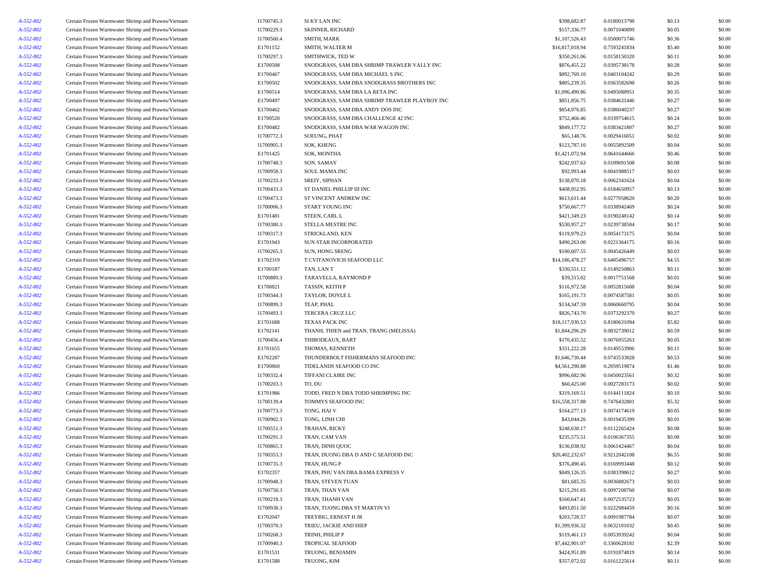| A-552-802 | Certain Frozen Warmwater Shrimp and Prawns/Vietnam | I1700745.3 | SI KY LAN INC                                 | \$398,682.87    | 0.0180013798 | \$0.13           | \$0.00 |
|-----------|----------------------------------------------------|------------|-----------------------------------------------|-----------------|--------------|------------------|--------|
| A-552-802 | Certain Frozen Warmwater Shrimp and Prawns/Vietnam | I1700229.3 | SKINNER, RICHARD                              | \$157,336.77    | 0.0071040899 | \$0.05           | \$0.00 |
| A-552-802 | Certain Frozen Warmwater Shrimp and Prawns/Vietnam | I1700560.4 | SMITH, MARK                                   | \$1,107,526.43  | 0.0500071746 | \$0.36           | \$0.00 |
| A-552-802 | Certain Frozen Warmwater Shrimp and Prawns/Vietnam | E1701152   | SMITH, WALTER M                               | \$16,817,018.94 | 0.7593241834 | \$5.40           | \$0.00 |
| A-552-802 | Certain Frozen Warmwater Shrimp and Prawns/Vietnam | I1700297.3 | SMITHWICK, TED W                              | \$350,261.06    | 0.0158150320 | \$0.11           | \$0.00 |
| A-552-802 | Certain Frozen Warmwater Shrimp and Prawns/Vietnam | E1700508   | SNODGRASS, SAM DBA SHRIMP TRAWLER VALLY INC   | \$876,455.22    | 0.0395738178 | \$0.28           | \$0.00 |
| A-552-802 | Certain Frozen Warmwater Shrimp and Prawns/Vietnam | E1700467   | SNODGRASS, SAM DBA MICHAEL S INC              | \$892,769.10    | 0.0403104242 | \$0.29           | \$0.00 |
| A-552-802 | Certain Frozen Warmwater Shrimp and Prawns/Vietnam | E1700502   | SNODGRASS, SAM DBA SNODGRASS BROTHERS INC     | \$805,239.35    | 0.0363582698 | \$0.26           | \$0.00 |
| A-552-802 | Certain Frozen Warmwater Shrimp and Prawns/Vietnam | E1700514   | SNODGRASS, SAM DBA LA RETA INC                | \$1,096,490.86  | 0.0495088951 | \$0.35           | \$0.00 |
| A-552-802 | Certain Frozen Warmwater Shrimp and Prawns/Vietnam | E1700497   | SNODGRASS, SAM DBA SHRIMP TRAWLER PLAYBOY INC | \$851,856.75    | 0.0384631446 | \$0.27           | \$0.00 |
| A-552-802 | Certain Frozen Warmwater Shrimp and Prawns/Vietnam | E1700462   | SNODGRASS, SAM DBA ANDY DOS INC               | \$854,976.85    | 0.0386040237 | \$0.27           | \$0.00 |
| A-552-802 | Certain Frozen Warmwater Shrimp and Prawns/Vietnam | E1700520   |                                               | \$752,466.46    | 0.0339754615 | \$0.24           | \$0.00 |
|           |                                                    |            | SNODGRASS, SAM DBA CHALLENGE 42 INC           |                 | 0.0383421807 |                  | \$0.00 |
| A-552-802 | Certain Frozen Warmwater Shrimp and Prawns/Vietnam | E1700482   | SNODGRASS, SAM DBA WAR WAGON INC              | \$849,177.72    |              | \$0.27           |        |
| A-552-802 | Certain Frozen Warmwater Shrimp and Prawns/Vietnam | I1700772.3 | SOEUNG, PHAT                                  | \$65,148.76     | 0.0029416051 | \$0.02           | \$0.00 |
| A-552-802 | Certain Frozen Warmwater Shrimp and Prawns/Vietnam | I1700905.3 | SOK, KHENG                                    | \$123,787.10    | 0.0055892509 | \$0.04           | \$0.00 |
| A-552-802 | Certain Frozen Warmwater Shrimp and Prawns/Vietnam | E1701425   | SOK, MONTHA                                   | \$1,421,072.94  | 0.0641644666 | \$0.46           | \$0.00 |
| A-552-802 | Certain Frozen Warmwater Shrimp and Prawns/Vietnam | I1700748.3 | SON, SAMAY                                    | \$242,937.63    | 0.0109691508 | \$0.08           | \$0.00 |
| A-552-802 | Certain Frozen Warmwater Shrimp and Prawns/Vietnam | I1700958.3 | SOUL MAMA INC                                 | \$92,993.44     | 0.0041988517 | \$0.03           | \$0.00 |
| A-552-802 | Certain Frozen Warmwater Shrimp and Prawns/Vietnam | I1700233.3 | SREIY, SIPHAN                                 | \$138,070.18    | 0.0062341624 | \$0.04           | \$0.00 |
| A-552-802 | Certain Frozen Warmwater Shrimp and Prawns/Vietnam | I1700433.3 | ST DANIEL PHILLIP III INC                     | \$408,952.95    | 0.0184650957 | \$0.13           | \$0.00 |
| A-552-802 | Certain Frozen Warmwater Shrimp and Prawns/Vietnam | I1700473.3 | ST VINCENT ANDREW INC                         | \$613,611.44    | 0.0277058620 | \$0.20           | \$0.00 |
| A-552-802 | Certain Frozen Warmwater Shrimp and Prawns/Vietnam | I1700006.3 | START YOUNG INC                               | \$750,667.77    | 0.0338942469 | \$0.24           | \$0.00 |
| A-552-802 | Certain Frozen Warmwater Shrimp and Prawns/Vietnam | E1701481   | STEEN, CARL L                                 | \$421,349.23    | 0.0190248142 | \$0.14           | \$0.00 |
| A-552-802 | Certain Frozen Warmwater Shrimp and Prawns/Vietnam | I1700380.3 | STELLA MESTRE INC                             | \$530,957.27    | 0.0239738504 | \$0.17           | \$0.00 |
| A-552-802 | Certain Frozen Warmwater Shrimp and Prawns/Vietnam | I1700317.3 | STRICKLAND, KEN                               | \$119,979.23    | 0.0054173175 | \$0.04           | \$0.00 |
| A-552-802 | Certain Frozen Warmwater Shrimp and Prawns/Vietnam | E1701943   | SUN STAR INCORPORATED                         | \$490,263.00    | 0.0221364175 | \$0.16           | \$0.00 |
| A-552-802 | Certain Frozen Warmwater Shrimp and Prawns/Vietnam | I1700265.3 | SUN, HONG SRENG                               | \$100,607.55    | 0.0045426449 | \$0.03           | \$0.00 |
| A-552-802 | Certain Frozen Warmwater Shrimp and Prawns/Vietnam | E1702319   | T CVITANOVICH SEAFOOD LLC                     | \$14,186,478.27 | 0.6405496757 | \$4.55           | \$0.00 |
| A-552-802 | Certain Frozen Warmwater Shrimp and Prawns/Vietnam | E1700187   | TAN, LAN T                                    | \$330,551.12    | 0.0149250863 | \$0.11           | \$0.00 |
| A-552-802 | Certain Frozen Warmwater Shrimp and Prawns/Vietnam | I1700889.3 | TARAVELLA, RAYMOND P                          | \$39,315.02     | 0.0017751568 | \$0.01           | \$0.00 |
| A-552-802 | Certain Frozen Warmwater Shrimp and Prawns/Vietnam | E1700821   | TASSIN, KEITH P                               | \$116,972.58    | 0.0052815608 | \$0.04           | \$0.00 |
| A-552-802 | Certain Frozen Warmwater Shrimp and Prawns/Vietnam | I1700344.3 | TAYLOR, DOYLE L                               | \$165,191.73    | 0.0074587581 | \$0.05           | \$0.00 |
| A-552-802 | Certain Frozen Warmwater Shrimp and Prawns/Vietnam | I1700899.3 | TEAP, PHAL                                    | \$134,347.59    | 0.0060660795 | \$0.04           | \$0.00 |
|           |                                                    |            |                                               |                 |              |                  | \$0.00 |
| A-552-802 | Certain Frozen Warmwater Shrimp and Prawns/Vietnam | I1700493.3 | TERCERA CRUZ LLC                              | \$826,743.70    | 0.0373292370 | \$0.27<br>\$5.82 | \$0.00 |
| A-552-802 | Certain Frozen Warmwater Shrimp and Prawns/Vietnam | E1701688   | TEXAS PACK INC                                | \$18,117,930.53 | 0.8180631094 |                  |        |
| A-552-802 | Certain Frozen Warmwater Shrimp and Prawns/Vietnam | E1702141   | THANH, THIEN and TRAN, TRANG (MELISSA)        | \$1,844,296.29  | 0.0832739012 | \$0.59           | \$0.00 |
| A-552-802 | Certain Frozen Warmwater Shrimp and Prawns/Vietnam | I1700456.4 | THIBODEAUX, BART                              | \$170,435.52    | 0.0076955263 | \$0.05           | \$0.00 |
| A-552-802 | Certain Frozen Warmwater Shrimp and Prawns/Vietnam | E1701655   | THOMAS, KENNETH                               | \$331,222.28    | 0.0149553906 | \$0.11           | \$0.00 |
| A-552-802 | Certain Frozen Warmwater Shrimp and Prawns/Vietnam | E1702287   | THUNDERBOLT FISHERMANS SEAFOOD INC            | \$1,646,730.44  | 0.0743533828 | \$0.53           | \$0.00 |
| A-552-802 | Certain Frozen Warmwater Shrimp and Prawns/Vietnam | E1700860   | TIDELANDS SEAFOOD CO INC                      | \$4,561,290.88  | 0.2059519874 | \$1.46           | \$0.00 |
| A-552-802 | Certain Frozen Warmwater Shrimp and Prawns/Vietnam | I1700332.4 | TIFFANI CLAIRE INC                            | \$996,682.96    | 0.0450023561 | \$0.32           | \$0.00 |
| A-552-802 | Certain Frozen Warmwater Shrimp and Prawns/Vietnam | I1700203.3 | TO, DU                                        | \$60,425.00     | 0.0027283173 | \$0.02           | \$0.00 |
| A-552-802 | Certain Frozen Warmwater Shrimp and Prawns/Vietnam | E1701986   | TODD, FRED N DBA TODD SHRIMPING INC           | \$319,169.51    | 0.0144111824 | \$0.10           | \$0.00 |
| A-552-802 | Certain Frozen Warmwater Shrimp and Prawns/Vietnam | I1700139.4 | TOMMYS SEAFOOD INC                            | \$16,558,317.88 | 0.7476432801 | \$5.32           | \$0.00 |
| A-552-802 | Certain Frozen Warmwater Shrimp and Prawns/Vietnam | I1700773.3 | TONG, HAI V                                   | \$164,277.13    | 0.0074174619 | \$0.05           | \$0.00 |
| A-552-802 | Certain Frozen Warmwater Shrimp and Prawns/Vietnam | I1700902.3 | TONG, LINH CHI                                | \$43,044.26     | 0.0019435399 | \$0.01           | \$0.00 |
| A-552-802 | Certain Frozen Warmwater Shrimp and Prawns/Vietnam | I1700551.3 | TRAHAN, RICKY                                 | \$248,638.17    | 0.0112265424 | \$0.08           | \$0.00 |
| A-552-802 | Certain Frozen Warmwater Shrimp and Prawns/Vietnam | I1700291.3 | TRAN, CAM VAN                                 | \$235,575.51    | 0.0106367355 | \$0.08           | \$0.00 |
| A-552-802 | Certain Frozen Warmwater Shrimp and Prawns/Vietnam | I1700865.3 | TRAN, DINH QUOC                               | \$136,038.92    | 0.0061424467 | \$0.04           | \$0.00 |
| A-552-802 | Certain Frozen Warmwater Shrimp and Prawns/Vietnam | I1700353.3 | TRAN, DUONG DBA D AND C SEAFOOD INC           | \$20,402,232.67 | 0.9212042108 | \$6.55           | \$0.00 |
| A-552-802 | Certain Frozen Warmwater Shrimp and Prawns/Vietnam | I1700735.3 | TRAN, HUNG P                                  | \$376,490.45    | 0.0169993448 | \$0.12           | \$0.00 |
| A-552-802 | Certain Frozen Warmwater Shrimp and Prawns/Vietnam | E1702357   | TRAN, PHU VAN DBA BAMA EXPRESS V              | \$849,126.35    | 0.0383398612 | \$0.27           | \$0.00 |
| A-552-802 | Certain Frozen Warmwater Shrimp and Prawns/Vietnam | I1700948.3 | TRAN, STEVEN TUAN                             | \$81,685.35     | 0.0036882673 | \$0.03           | \$0.00 |
| A-552-802 | Certain Frozen Warmwater Shrimp and Prawns/Vietnam | I1700750.3 | TRAN, THAN VAN                                | \$215,291.65    | 0.0097208760 | \$0.07           | \$0.00 |
| A-552-802 | Certain Frozen Warmwater Shrimp and Prawns/Vietnam | I1700218.3 | TRAN, THANH VAN                               | \$160,647.41    | 0.0072535723 | \$0.05           | \$0.00 |
| A-552-802 | Certain Frozen Warmwater Shrimp and Prawns/Vietnam | I1700938.3 | TRAN, TUONG DBA ST MARTIN VI                  | \$493,851.50    | 0.0222984459 | \$0.16           | \$0.00 |
|           |                                                    |            |                                               |                 |              |                  |        |
| A-552-802 | Certain Frozen Warmwater Shrimp and Prawns/Vietnam | E1702047   | TREYBIG, ERNEST H JR                          | \$203,728.57    | 0.0091987784 | \$0.07           | \$0.00 |
| A-552-802 | Certain Frozen Warmwater Shrimp and Prawns/Vietnam | I1700370.3 | TRIEU, JACKIE AND HIEP                        | \$1,399,936.32  | 0.0632101032 | \$0.45           | \$0.00 |
| A-552-802 | Certain Frozen Warmwater Shrimp and Prawns/Vietnam | I1700268.3 | TRINH, PHILIP P                               | \$119,461.13    | 0.0053939242 | \$0.04           | \$0.00 |
| A-552-802 | Certain Frozen Warmwater Shrimp and Prawns/Vietnam | I1700940.3 | <b>TROPICAL SEAFOOD</b>                       | \$7,442,901.07  | 0.3360628181 | \$2.39           | \$0.00 |
| A-552-802 | Certain Frozen Warmwater Shrimp and Prawns/Vietnam | E1701531   | TRUONG, BENJAMIN                              | \$424,951.89    | 0.0191874819 | \$0.14           | \$0.00 |
| A-552-802 | Certain Frozen Warmwater Shrimp and Prawns/Vietnam | E1701588   | TRUONG, KIM                                   | \$357,072.02    | 0.0161225614 | \$0.11           | \$0.00 |
|           |                                                    |            |                                               |                 |              |                  |        |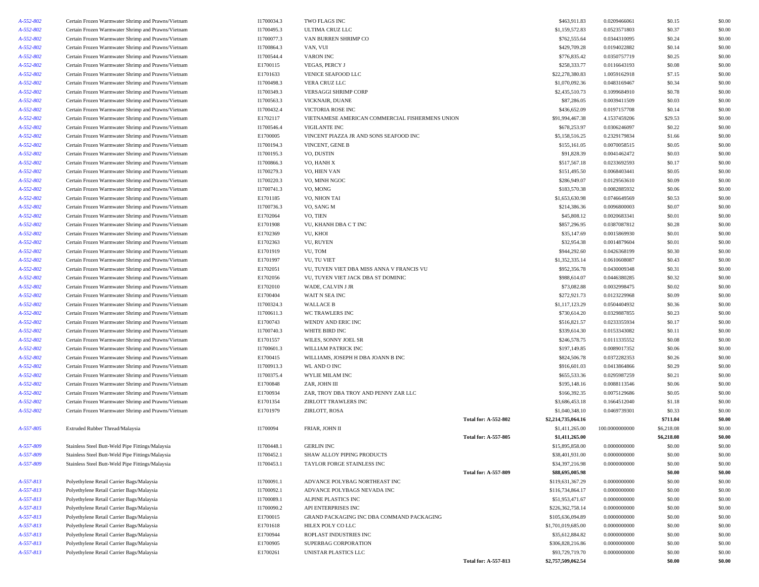| A-552-802 | Certain Frozen Warmwater Shrimp and Prawns/Vietnam | I1700034.3 | TWO FLAGS INC                                   |                             | \$463,911.83       | 0.0209466061   | \$0.15     | \$0.00           |
|-----------|----------------------------------------------------|------------|-------------------------------------------------|-----------------------------|--------------------|----------------|------------|------------------|
| A-552-802 | Certain Frozen Warmwater Shrimp and Prawns/Vietnam | I1700495.3 | <b>ULTIMA CRUZ LLC</b>                          |                             | \$1,159,572.83     | 0.0523571803   | \$0.37     | \$0.00           |
| A-552-802 | Certain Frozen Warmwater Shrimp and Prawns/Vietnam | I1700077.3 | VAN BURREN SHRIMP CO                            |                             | \$762,555.64       | 0.0344310095   | \$0.24     | \$0.00           |
| A-552-802 | Certain Frozen Warmwater Shrimp and Prawns/Vietnam | I1700864.3 | VAN, VUI                                        |                             | \$429,709.28       | 0.0194022882   | \$0.14     | \$0.00           |
| A-552-802 | Certain Frozen Warmwater Shrimp and Prawns/Vietnam | I1700544.4 | <b>VARON INC</b>                                |                             | \$776,835.42       | 0.0350757719   | \$0.25     | \$0.00           |
| A-552-802 | Certain Frozen Warmwater Shrimp and Prawns/Vietnam | E1700115   | <b>VEGAS, PERCY J</b>                           |                             | \$258,333.77       | 0.0116643193   | \$0.08     | \$0.00           |
| A-552-802 | Certain Frozen Warmwater Shrimp and Prawns/Vietnam | E1701633   | VENICE SEAFOOD LLC                              |                             | \$22,278,380.83    | 1.0059162918   | \$7.15     | \$0.00           |
| A-552-802 | Certain Frozen Warmwater Shrimp and Prawns/Vietnam | I1700498.3 | VERA CRUZ LLC                                   |                             | \$1,070,092.36     | 0.0483169467   | \$0.34     | \$0.00           |
| A-552-802 | Certain Frozen Warmwater Shrimp and Prawns/Vietnam | I1700349.3 | VERSAGGI SHRIMP CORP                            |                             | \$2,435,510.73     | 0.1099684910   | \$0.78     | \$0.00           |
| A-552-802 | Certain Frozen Warmwater Shrimp and Prawns/Vietnam | I1700563.3 | VICKNAIR, DUANE                                 |                             | \$87,286.05        | 0.0039411509   | \$0.03     | \$0.00           |
| A-552-802 | Certain Frozen Warmwater Shrimp and Prawns/Vietnam | I1700432.4 | VICTORIA ROSE INC                               |                             | \$436,652.09       | 0.0197157708   | \$0.14     | \$0.00           |
| A-552-802 | Certain Frozen Warmwater Shrimp and Prawns/Vietnam | E1702117   | VIETNAMESE AMERICAN COMMERCIAL FISHERMENS UNION |                             | \$91,994,467.38    | 4.1537459206   | \$29.53    | \$0.00           |
| A-552-802 | Certain Frozen Warmwater Shrimp and Prawns/Vietnam | I1700546.4 | VIGILANTE INC                                   |                             | \$678,253.97       | 0.0306246097   | \$0.22     | \$0.00           |
| A-552-802 | Certain Frozen Warmwater Shrimp and Prawns/Vietnam | E1700005   | VINCENT PIAZZA JR AND SONS SEAFOOD INC          |                             | \$5,158,516.25     | 0.2329179834   | \$1.66     | \$0.00           |
| A-552-802 | Certain Frozen Warmwater Shrimp and Prawns/Vietnam | I1700194.3 | VINCENT, GENE B                                 |                             | \$155,161.05       | 0.0070058515   | \$0.05     |                  |
| A-552-802 | Certain Frozen Warmwater Shrimp and Prawns/Vietnam | I1700195.3 | VO, DUSTIN                                      |                             | \$91,828.39        | 0.0041462472   | \$0.03     | \$0.00<br>\$0.00 |
|           |                                                    |            |                                                 |                             |                    |                |            |                  |
| A-552-802 | Certain Frozen Warmwater Shrimp and Prawns/Vietnam | I1700866.3 | VO, HANH X                                      |                             | \$517,567.18       | 0.0233692593   | \$0.17     | \$0.00           |
| A-552-802 | Certain Frozen Warmwater Shrimp and Prawns/Vietnam | I1700279.3 | VO, HIEN VAN                                    |                             | \$151,495.50       | 0.0068403441   | \$0.05     | \$0.00           |
| A-552-802 | Certain Frozen Warmwater Shrimp and Prawns/Vietnam | I1700220.3 | VO, MINH NGOC                                   |                             | \$286,949.07       | 0.0129563610   | \$0.09     | \$0.00           |
| A-552-802 | Certain Frozen Warmwater Shrimp and Prawns/Vietnam | I1700741.3 | VO, MONG                                        |                             | \$183,570.38       | 0.0082885932   | \$0.06     | \$0.00           |
| A-552-802 | Certain Frozen Warmwater Shrimp and Prawns/Vietnam | E1701185   | VO, NHON TAI                                    |                             | \$1,653,630.98     | 0.0746649569   | \$0.53     | \$0.00           |
| A-552-802 | Certain Frozen Warmwater Shrimp and Prawns/Vietnam | I1700736.3 | VO, SANG M                                      |                             | \$214,386.36       | 0.0096800003   | \$0.07     | \$0.00           |
| A-552-802 | Certain Frozen Warmwater Shrimp and Prawns/Vietnam | E1702064   | VO, TIEN                                        |                             | \$45,808.12        | 0.0020683341   | \$0.01     | \$0.00           |
| A-552-802 | Certain Frozen Warmwater Shrimp and Prawns/Vietnam | E1701908   | VU, KHANH DBA C T INC                           |                             | \$857,296.95       | 0.0387087812   | \$0.28     | \$0.00           |
| A-552-802 | Certain Frozen Warmwater Shrimp and Prawns/Vietnam | E1702369   | VU, KHOI                                        |                             | \$35,147.69        | 0.0015869930   | \$0.01     | \$0.00           |
| A-552-802 | Certain Frozen Warmwater Shrimp and Prawns/Vietnam | E1702363   | VU, RUYEN                                       |                             | \$32,954.38        | 0.0014879604   | \$0.01     | \$0.00           |
| A-552-802 | Certain Frozen Warmwater Shrimp and Prawns/Vietnam | E1701919   | VU, TOM                                         |                             | \$944,292.60       | 0.0426368199   | \$0.30     | \$0.00           |
| A-552-802 | Certain Frozen Warmwater Shrimp and Prawns/Vietnam | E1701997   | VU, TU VIET                                     |                             | \$1,352,335.14     | 0.0610608087   | \$0.43     | \$0.00           |
| A-552-802 | Certain Frozen Warmwater Shrimp and Prawns/Vietnam | E1702051   | VU, TUYEN VIET DBA MISS ANNA V FRANCIS VU       |                             | \$952,356.78       | 0.0430009348   | \$0.31     | \$0.00           |
| A-552-802 | Certain Frozen Warmwater Shrimp and Prawns/Vietnam | E1702056   | VU, TUYEN VIET JACK DBA ST DOMINIC              |                             | \$988,614.07       | 0.0446380285   | \$0.32     | \$0.00           |
| A-552-802 | Certain Frozen Warmwater Shrimp and Prawns/Vietnam | E1702010   | WADE, CALVIN J JR                               |                             | \$73,082.88        | 0.0032998475   | \$0.02     | \$0.00           |
| A-552-802 | Certain Frozen Warmwater Shrimp and Prawns/Vietnam | E1700404   | WAIT N SEA INC                                  |                             | \$272,921.73       | 0.0123229968   | \$0.09     | \$0.00           |
| A-552-802 | Certain Frozen Warmwater Shrimp and Prawns/Vietnam | I1700324.3 | <b>WALLACE B</b>                                |                             | \$1,117,123.29     | 0.0504404932   | \$0.36     | \$0.00           |
| A-552-802 | Certain Frozen Warmwater Shrimp and Prawns/Vietnam | I1700611.3 | WC TRAWLERS INC                                 |                             | \$730,614.20       | 0.0329887855   | \$0.23     | \$0.00           |
| A-552-802 | Certain Frozen Warmwater Shrimp and Prawns/Vietnam | E1700743   | WENDY AND ERIC INC                              |                             | \$516,821.57       | 0.0233355934   | \$0.17     | \$0.00           |
| A-552-802 | Certain Frozen Warmwater Shrimp and Prawns/Vietnam | I1700740.3 | WHITE BIRD INC                                  |                             | \$339,614.30       | 0.0153343082   | \$0.11     | \$0.00           |
| A-552-802 | Certain Frozen Warmwater Shrimp and Prawns/Vietnam | E1701557   | WILES, SONNY JOEL SR                            |                             | \$246,578.75       | 0.0111335552   | \$0.08     | \$0.00           |
| A-552-802 | Certain Frozen Warmwater Shrimp and Prawns/Vietnam | I1700601.3 | WILLIAM PATRICK INC                             |                             | \$197,149.85       | 0.0089017352   | \$0.06     | \$0.00           |
| A-552-802 | Certain Frozen Warmwater Shrimp and Prawns/Vietnam | E1700415   | WILLIAMS, JOSEPH H DBA JOANN B INC              |                             | \$824,506.78       | 0.0372282353   | \$0.26     | \$0.00           |
| A-552-802 | Certain Frozen Warmwater Shrimp and Prawns/Vietnam | I1700913.3 | WL AND O INC                                    |                             | \$916,601.03       | 0.0413864866   | \$0.29     | \$0.00           |
| A-552-802 | Certain Frozen Warmwater Shrimp and Prawns/Vietnam | I1700375.4 | WYLIE MILAM INC                                 |                             | \$655,533.36       | 0.0295987259   | \$0.21     | \$0.00           |
| A-552-802 | Certain Frozen Warmwater Shrimp and Prawns/Vietnam | E1700848   | ZAR, JOHN III                                   |                             | \$195,148.16       | 0.0088113546   | \$0.06     | \$0.00           |
| A-552-802 | Certain Frozen Warmwater Shrimp and Prawns/Vietnam | E1700934   | ZAR, TROY DBA TROY AND PENNY ZAR LLC            |                             | \$166,392.35       | 0.0075129686   | \$0.05     | \$0.00           |
| A-552-802 | Certain Frozen Warmwater Shrimp and Prawns/Vietnam | E1701354   | <b>ZIRLOTT TRAWLERS INC</b>                     |                             | \$3,686,453.18     | 0.1664512040   | \$1.18     | \$0.00           |
| A-552-802 | Certain Frozen Warmwater Shrimp and Prawns/Vietnam | E1701979   | ZIRLOTT, ROSA                                   |                             | \$1,040,348.10     | 0.0469739301   | \$0.33     | \$0.00           |
|           |                                                    |            |                                                 | <b>Total for: A-552-802</b> | \$2,214,735,064.16 |                | \$711.04   | \$0.00           |
| A-557-805 | Extruded Rubber Thread/Malaysia                    | I1700094   | FRIAR, JOHN II                                  |                             | \$1,411,265.00     | 100.0000000000 | \$6,218.08 | \$0.00           |
|           |                                                    |            |                                                 | Total for: A-557-805        | \$1,411,265.00     |                | \$6,218.08 | \$0.00           |
| A-557-809 | Stainless Steel Butt-Weld Pipe Fittings/Malaysia   | I1700448.1 | <b>GERLIN INC</b>                               |                             | \$15,895,858.00    | 0.0000000000   | \$0.00     | \$0.00           |
| A-557-809 | Stainless Steel Butt-Weld Pipe Fittings/Malaysia   | I1700452.1 | SHAW ALLOY PIPING PRODUCTS                      |                             | \$38,401,931.00    | 0.0000000000   | \$0.00     | \$0.00           |
| A-557-809 | Stainless Steel Butt-Weld Pipe Fittings/Malaysia   | I1700453.1 | TAYLOR FORGE STAINLESS INC                      |                             | \$34,397,216.98    | 0.0000000000   | \$0.00     | \$0.00           |
|           |                                                    |            |                                                 | Total for: A-557-809        | \$88,695,005.98    |                | \$0.00     | \$0.00           |
| A-557-813 | Polyethylene Retail Carrier Bags/Malaysia          | I1700091.1 | ADVANCE POLYBAG NORTHEAST INC                   |                             | \$119,631,367.29   | 0.0000000000   | \$0.00     | \$0.00           |
| A-557-813 | Polyethylene Retail Carrier Bags/Malaysia          | I1700092.1 | ADVANCE POLYBAGS NEVADA INC                     |                             | \$116,734,864.17   | 0.0000000000   | \$0.00     | \$0.00           |
| A-557-813 | Polyethylene Retail Carrier Bags/Malaysia          | I1700089.1 | ALPINE PLASTICS INC                             |                             | \$51,953,471.67    | 0.0000000000   | \$0.00     | \$0.00           |
| A-557-813 | Polyethylene Retail Carrier Bags/Malaysia          | I1700090.2 | API ENTERPRISES INC                             |                             | \$226,362,758.14   | 0.0000000000   | \$0.00     | \$0.00           |
| A-557-813 | Polyethylene Retail Carrier Bags/Malaysia          | E1700015   | GRAND PACKAGING INC DBA COMMAND PACKAGING       |                             | \$105,636,094.89   | 0.0000000000   | \$0.00     | \$0.00           |
| A-557-813 | Polyethylene Retail Carrier Bags/Malaysia          | E1701618   | HILEX POLY CO LLC                               |                             | \$1,701,019,685.00 | 0.0000000000   | \$0.00     | \$0.00           |
| A-557-813 | Polyethylene Retail Carrier Bags/Malaysia          | E1700944   | ROPLAST INDUSTRIES INC                          |                             | \$35,612,884.82    | 0.0000000000   | \$0.00     | \$0.00           |
| A-557-813 | Polyethylene Retail Carrier Bags/Malaysia          | E1700905   | SUPERBAG CORPORATION                            |                             | \$306,828,216.86   | 0.0000000000   | \$0.00     | \$0.00           |
| A-557-813 | Polyethylene Retail Carrier Bags/Malaysia          | E1700261   | UNISTAR PLASTICS LLC                            |                             | \$93,729,719.70    | 0.0000000000   | \$0.00     | \$0.00           |
|           |                                                    |            |                                                 | Total for: A-557-813        | \$2,757,509,062.54 |                | \$0.00     | \$0.00           |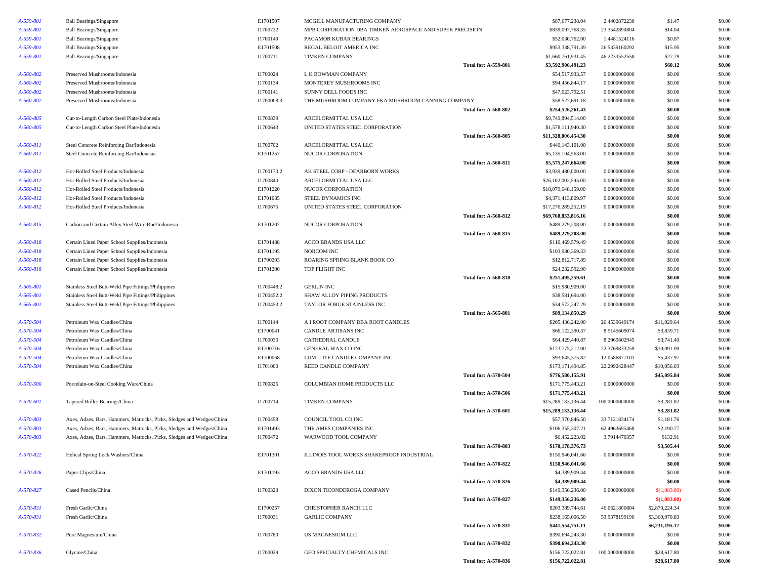| <b>Ball Bearings/Singapore</b>                                        | E1701507   | MCGILL MANUFACTURING COMPANY              |                             | \$87,677,238.04                                                                                               | 2.4402872230   | \$1.47                     | \$0.00           |
|-----------------------------------------------------------------------|------------|-------------------------------------------|-----------------------------|---------------------------------------------------------------------------------------------------------------|----------------|----------------------------|------------------|
| <b>Ball Bearings/Singapore</b>                                        | I1700722   |                                           |                             | \$839,097,768.35                                                                                              | 23.3542890804  | \$14.04                    | \$0.00           |
| <b>Ball Bearings/Singapore</b>                                        | I1700149   | PACAMOR KUBAR BEARINGS                    |                             | \$52,030,762.00                                                                                               | 1.4481524116   | \$0.87                     | \$0.00           |
| <b>Ball Bearings/Singapore</b>                                        | E1701508   | REGAL BELOIT AMERICA INC                  |                             | \$953,338,791.39                                                                                              | 26.5339160292  | \$15.95                    | \$0.00           |
| <b>Ball Bearings/Singapore</b>                                        | I1700711   | <b>TIMKEN COMPANY</b>                     |                             | \$1,660,761,931.45                                                                                            | 46.2233552558  | \$27.79                    | \$0.00           |
|                                                                       |            |                                           | <b>Total for: A-559-801</b> | \$3,592,906,491.23                                                                                            |                | \$60.12                    | \$0.00           |
| Preserved Mushrooms/Indonesia                                         | I1700024   | L K BOWMAN COMPANY                        |                             | \$54,517,933.57                                                                                               | 0.0000000000   | \$0.00                     | \$0.00           |
| Preserved Mushrooms/Indonesia                                         | I1700134   | MONTEREY MUSHROOMS INC                    |                             | \$94,456,844.17                                                                                               | 0.0000000000   | \$0.00                     | \$0.00           |
| Preserved Mushrooms/Indonesia                                         | I1700141   | SUNNY DELL FOODS INC                      |                             | \$47,023,792.51                                                                                               | 0.0000000000   | \$0.00                     | \$0.00           |
| Preserved Mushrooms/Indonesia                                         | I1700008.3 |                                           |                             | \$58,527,691.18                                                                                               | 0.0000000000   | \$0.00                     | \$0.00           |
|                                                                       |            |                                           | <b>Total for: A-560-802</b> | \$254,526,261.43                                                                                              |                | \$0.00                     | \$0.00           |
| Cut-to-Length Carbon Steel Plate/Indonesia                            | I1700839   | ARCELORMITTAL USA LLC                     |                             | \$9,749,894,514.00                                                                                            | 0.0000000000   | \$0.00                     | \$0.00           |
| Cut-to-Length Carbon Steel Plate/Indonesia                            | I1700643   | UNITED STATES STEEL CORPORATION           |                             | \$1,578,111,940.30                                                                                            | 0.0000000000   | \$0.00                     | \$0.00           |
|                                                                       |            |                                           | <b>Total for: A-560-805</b> | \$11,328,006,454.30                                                                                           |                | \$0.00                     | \$0.00           |
| Steel Concrete Reinforcing Bar/Indonesia                              | I1700702   | ARCELORMITTAL USA LLC                     |                             | \$440,143,101.00                                                                                              | 0.0000000000   | \$0.00                     | \$0.00           |
| Steel Concrete Reinforcing Bar/Indonesia                              | E1701257   | <b>NUCOR CORPORATION</b>                  |                             | \$5,135,104,563.00                                                                                            | 0.0000000000   | \$0.00                     | \$0.00           |
|                                                                       |            |                                           | <b>Total for: A-560-811</b> | \$5,575,247,664.00                                                                                            |                | \$0.00                     | \$0.00           |
| Hot-Rolled Steel Products/Indonesia                                   | I1700170.2 | AK STEEL CORP - DEARBORN WORKS            |                             | \$3,939,480,000.00                                                                                            | 0.0000000000   | \$0.00                     | \$0.00           |
| Hot-Rolled Steel Products/Indonesia                                   | I1700840   | ARCELORMITTAL USA LLC                     |                             | \$26,102,002,595.00                                                                                           | 0.0000000000   | \$0.00                     | \$0.00           |
| Hot-Rolled Steel Products/Indonesia                                   | E1701220   | NUCOR CORPORATION                         |                             | \$18,079,648,159.00                                                                                           | 0.0000000000   | \$0.00                     | \$0.00           |
| Hot-Rolled Steel Products/Indonesia                                   | E1701085   | STEEL DYNAMICS INC                        |                             | \$4,371,413,809.97                                                                                            | 0.0000000000   | \$0.00                     | \$0.00           |
| Hot-Rolled Steel Products/Indonesia                                   | I1700675   | UNITED STATES STEEL CORPORATION           |                             | \$17,276,289,252.19                                                                                           | 0.0000000000   | \$0.00                     | \$0.00           |
|                                                                       |            |                                           | <b>Total for: A-560-812</b> | \$69,768,833,816.16                                                                                           |                | \$0.00                     | \$0.00           |
| Carbon and Certain Alloy Steel Wire Rod/Indonesia                     | E1701207   | NUCOR CORPORATION                         |                             | \$489,279,208.00                                                                                              | 0.0000000000   | \$0.00                     | \$0.00           |
|                                                                       |            |                                           | <b>Total for: A-560-815</b> | \$489,279,208.00                                                                                              |                | \$0.00                     | \$0.00           |
| Certain Lined Paper School Supplies/Indonesia                         | E1701488   | ACCO BRANDS USA LLC                       |                             | \$110,469,579.49                                                                                              | 0.0000000000   | \$0.00                     | \$0.00           |
| Certain Lined Paper School Supplies/Indonesia                         | E1701195   | NORCOM INC                                |                             | \$103,980,369.33                                                                                              | 0.0000000000   | \$0.00                     | \$0.00           |
| Certain Lined Paper School Supplies/Indonesia                         | E1700203   | ROARING SPRING BLANK BOOK CO              |                             | \$12,812,717.89                                                                                               | 0.0000000000   | \$0.00                     | \$0.00           |
| Certain Lined Paper School Supplies/Indonesia                         | E1701200   | TOP FLIGHT INC                            |                             | \$24,232,592.90                                                                                               | 0.0000000000   | \$0.00                     | \$0.00           |
|                                                                       |            |                                           | <b>Total for: A-560-818</b> | \$251,495,259.61                                                                                              |                | \$0.00                     | \$0.00           |
| Stainless Steel Butt-Weld Pipe Fittings/Philippines                   | I1700448.2 | <b>GERLIN INC</b>                         |                             | \$15,980,909.00                                                                                               | 0.0000000000   | \$0.00                     | \$0.00           |
| Stainless Steel Butt-Weld Pipe Fittings/Philippines                   | I1700452.2 | SHAW ALLOY PIPING PRODUCTS                |                             | \$38,581,694.00                                                                                               | 0.0000000000   | \$0.00                     | \$0.00           |
| Stainless Steel Butt-Weld Pipe Fittings/Philippines                   | I1700453.2 | TAYLOR FORGE STAINLESS INC                |                             | \$34,572,247.29                                                                                               | 0.0000000000   | \$0.00                     | \$0.00           |
|                                                                       |            |                                           | <b>Total for: A-565-801</b> | \$89,134,850.29                                                                                               |                | \$0.00                     | \$0.00           |
| Petroleum Wax Candles/China                                           | I1700144   | A I ROOT COMPANY DBA ROOT CANDLES         |                             | \$205,436,242.00                                                                                              | 26.4539649174  | \$11,929.64                | \$0.00           |
| Petroleum Wax Candles/China                                           | E1700041   | CANDLE ARTISANS INC                       |                             | \$66,122,390.37                                                                                               | 8.5145609074   | \$3,839.71                 | \$0.00           |
| Petroleum Wax Candles/China                                           | I1700030   | CATHEDRAL CANDLE                          |                             | \$64,429,440.87                                                                                               | 8.2965602945   | \$3,741.40                 | \$0.00           |
| Petroleum Wax Candles/China                                           | E1700716   | GENERAL WAX CO INC                        |                             | \$173,775,212.00                                                                                              | 22.3769833259  | \$10,091.09                | \$0.00           |
| Petroleum Wax Candles/China                                           | E1700068   | LUMI LITE CANDLE COMPANY INC              |                             | \$93,645,375.82                                                                                               | 12.0586877101  | \$5,437.97                 | \$0.00           |
| Petroleum Wax Candles/China                                           | I1701000   | REED CANDLE COMPANY                       |                             | \$173,171,494.85                                                                                              | 22.2992428447  | \$10,056.03                | \$0.00           |
|                                                                       |            |                                           | <b>Total for: A-570-504</b> | \$776,580,155.91                                                                                              |                | \$45,095.84                | \$0.00           |
| Porcelain-on-Steel Cooking Ware/China                                 | I1700825   | COLUMBIAN HOME PRODUCTS LLC               |                             | \$171,775,443.21                                                                                              | 0.0000000000   | \$0.00                     | \$0.00           |
|                                                                       |            |                                           | <b>Total for: A-570-506</b> | \$171,775,443.21                                                                                              |                | \$0.00                     | \$0.00           |
| Tapered Roller Bearings/China                                         | I1700714   | TIMKEN COMPANY                            |                             | \$15,289,133,136.44                                                                                           | 100.0000000000 | \$3,281.82                 | \$0.00           |
|                                                                       |            |                                           | <b>Total for: A-570-601</b> | \$15,289,133,136.44                                                                                           |                | \$3,281.82                 | \$0.00           |
| Axes, Adzes, Bars, Hammers, Mattocks, Picks, Sledges and Wedges/China | I1700458   | COUNCIL TOOL CO INC                       |                             | \$57,370,846.50                                                                                               | 33.7121834174  | \$1,181.76                 | \$0.00           |
| Axes, Adzes, Bars, Hammers, Mattocks, Picks, Sledges and Wedges/China | E1701493   | THE AMES COMPANIES INC                    |                             | \$106,355,307.21                                                                                              | 62.4963695468  | \$2,190.77                 | \$0.00           |
| Axes, Adzes, Bars, Hammers, Mattocks, Picks, Sledges and Wedges/China | I1700472   | WARWOOD TOOL COMPANY                      |                             | \$6,452,223.02                                                                                                | 3.7914470357   | \$132.91                   | \$0.00           |
|                                                                       |            |                                           | Total for: A-570-803        | \$170,178,376.73                                                                                              |                | \$3,505.44                 | \$0.00           |
| Helical Spring Lock Washers/China                                     | E1701301   | ILLINOIS TOOL WORKS SHAKEPROOF INDUSTRIAL |                             | \$150,946,041.66                                                                                              | 0.0000000000   | \$0.00                     | \$0.00           |
|                                                                       |            |                                           | <b>Total for: A-570-822</b> | \$150,946,041.66                                                                                              |                | \$0.00                     | \$0.00           |
| Paper Clips/China                                                     | E1701193   | ACCO BRANDS USA LLC                       |                             | \$4,389,909.44                                                                                                | 0.0000000000   | \$0.00                     | \$0.00           |
|                                                                       |            |                                           | <b>Total for: A-570-826</b> | \$4,389,909.44                                                                                                |                | \$0.00                     | \$0.00           |
| Cased Pencils/China                                                   | I1700323   | DIXON TICONDEROGA COMPANY                 |                             | \$149,356,236.00                                                                                              | 0.0000000000   | \$(1,083.80)               | \$0.00           |
|                                                                       |            |                                           | <b>Total for: A-570-827</b> | \$149,356,236.00                                                                                              |                | \$(1,083.80)               | \$0.00           |
| Fresh Garlic/China                                                    | E1700257   | CHRISTOPHER RANCH LLC                     |                             | \$203,389,744.61                                                                                              | 46.0621800804  | \$2,870,224.34             | \$0.00           |
| Fresh Garlic/China                                                    | I1700031   | <b>GARLIC COMPANY</b>                     |                             | \$238,165,006.50                                                                                              | 53.9378199196  | \$3,360,970.83             | \$0.00           |
|                                                                       |            |                                           | <b>Total for: A-570-831</b> | \$441,554,751.11                                                                                              |                | \$6,231,195.17             | \$0.00           |
| Pure Magnesium/China                                                  | I1700780   | US MAGNESIUM LLC                          |                             | \$390,694,243.30                                                                                              | 0.0000000000   | \$0.00                     | \$0.00           |
|                                                                       |            |                                           | <b>Total for: A-570-832</b> | \$390,694,243.30                                                                                              |                | \$0.00                     | \$0.00           |
|                                                                       |            |                                           |                             |                                                                                                               |                |                            |                  |
| Glycine/China                                                         | I1700029   | GEO SPECIALTY CHEMICALS INC               | <b>Total for: A-570-836</b> | \$156,722,022.81<br>\$156,722,022.81                                                                          | 100.0000000000 | \$28,617.80<br>\$28,617.80 | \$0.00<br>\$0.00 |
|                                                                       |            |                                           |                             | MPB CORPORATION DBA TIMKEN AEROSPACE AND SUPER PRECISION<br>THE MUSHROOM COMPANY FKA MUSHROOM CANNING COMPANY |                |                            |                  |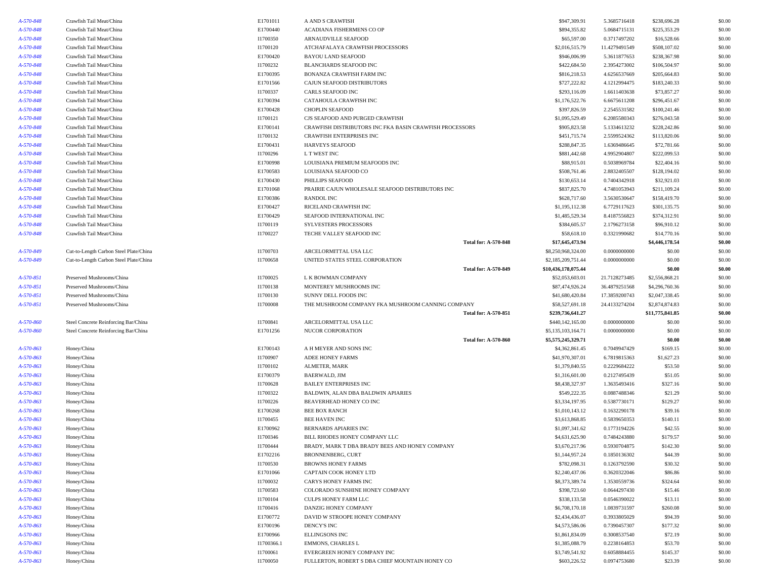| A-570-848 | Crawfish Tail Meat/China               | E1701011   | A AND S CRAWFISH                                        | \$947,309.91        | 5.3685716418  | \$238,696.28    | \$0.00 |
|-----------|----------------------------------------|------------|---------------------------------------------------------|---------------------|---------------|-----------------|--------|
| A-570-848 | Crawfish Tail Meat/China               | E1700440   | ACADIANA FISHERMENS CO OP                               | \$894,355.82        | 5.0684715131  | \$225,353.29    | \$0.00 |
| A-570-848 | Crawfish Tail Meat/China               | I1700350   | ARNAUDVILLE SEAFOOD                                     | \$65,597.00         | 0.3717497202  | \$16,528.66     | \$0.00 |
| A-570-848 | Crawfish Tail Meat/China               | I1700120   | ATCHAFALAYA CRAWFISH PROCESSORS                         | \$2,016,515.79      | 11.4279491549 | \$508,107.02    | \$0.00 |
| A-570-848 | Crawfish Tail Meat/China               | E1700420   | <b>BAYOU LAND SEAFOOD</b>                               | \$946,006.99        | 5.3611877653  | \$238,367.98    | \$0.00 |
| A-570-848 | Crawfish Tail Meat/China               | I1700232   | BLANCHARDS SEAFOOD INC                                  | \$422,684.50        | 2.3954273002  | \$106,504.97    | \$0.00 |
| A-570-848 | Crawfish Tail Meat/China               | E1700395   | BONANZA CRAWFISH FARM INC                               | \$816,218.53        | 4.6256537669  | \$205,664.83    | \$0.00 |
| A-570-848 | Crawfish Tail Meat/China               | E1701566   | CAJUN SEAFOOD DISTRIBUTORS                              | \$727,222.82        | 4.1212994475  | \$183,240.33    | \$0.00 |
| A-570-848 | Crawfish Tail Meat/China               | I1700337   | CARLS SEAFOOD INC                                       | \$293,116.09        | 1.6611403638  | \$73,857.27     | \$0.00 |
| A-570-848 | Crawfish Tail Meat/China               | E1700394   | CATAHOULA CRAWFISH INC                                  | \$1,176,522.76      | 6.6675611208  | \$296,451.67    | \$0.00 |
| A-570-848 | Crawfish Tail Meat/China               | E1700428   | <b>CHOPLIN SEAFOOD</b>                                  | \$397,826.59        | 2.2545531582  | \$100,241.46    | \$0.00 |
| A-570-848 | Crawfish Tail Meat/China               | I1700121   | CJS SEAFOOD AND PURGED CRAWFISH                         | \$1,095,529.49      | 6.2085580343  | \$276,043.58    | \$0.00 |
| A-570-848 | Crawfish Tail Meat/China               | E1700141   | CRAWFISH DISTRIBUTORS INC FKA BASIN CRAWFISH PROCESSORS | \$905,823.58        | 5.1334613232  | \$228,242.86    | \$0.00 |
| A-570-848 | Crawfish Tail Meat/China               | I1700132   | <b>CRAWFISH ENTERPRISES INC</b>                         | \$451,715.74        | 2.5599524362  | \$113,820.06    | \$0.00 |
| A-570-848 | Crawfish Tail Meat/China               | E1700431   | <b>HARVEYS SEAFOOD</b>                                  | \$288,847.35        | 1.6369486645  | \$72,781.66     | \$0.00 |
| A-570-848 | Crawfish Tail Meat/China               | I1700296   | L T WEST INC                                            | \$881,442.68        | 4.9952904807  | \$222,099.53    | \$0.00 |
| A-570-848 | Crawfish Tail Meat/China               | E1700998   | LOUISIANA PREMIUM SEAFOODS INC                          | \$88,915.01         | 0.5038969784  | \$22,404.16     | \$0.00 |
| A-570-848 | Crawfish Tail Meat/China               | E1700583   | LOUISIANA SEAFOOD CO                                    | \$508,761.46        | 2.8832405507  | \$128,194.02    | \$0.00 |
| A-570-848 | Crawfish Tail Meat/China               | E1700430   | PHILLIPS SEAFOOD                                        | \$130,653.14        | 0.7404342918  | \$32,921.03     | \$0.00 |
| A-570-848 | Crawfish Tail Meat/China               | E1701068   | PRAIRIE CAJUN WHOLESALE SEAFOOD DISTRIBUTORS INC        | \$837,825.70        | 4.7481053943  | \$211,109.24    | \$0.00 |
| A-570-848 | Crawfish Tail Meat/China               | E1700386   | <b>RANDOL INC</b>                                       | \$628,717.60        | 3.5630530647  | \$158,419.70    | \$0.00 |
| A-570-848 | Crawfish Tail Meat/China               | E1700427   | RICELAND CRAWFISH INC                                   | \$1,195,112.38      | 6.7729117623  | \$301,135.75    | \$0.00 |
| A-570-848 | Crawfish Tail Meat/China               | E1700429   | SEAFOOD INTERNATIONAL INC                               | \$1,485,529.34      | 8.4187556823  | \$374,312.91    | \$0.00 |
| A-570-848 | Crawfish Tail Meat/China               | I1700119   | <b>SYLVESTERS PROCESSORS</b>                            | \$384,605.57        | 2.1796273158  | \$96,910.12     | \$0.00 |
| A-570-848 | Crawfish Tail Meat/China               | I1700227   | TECHE VALLEY SEAFOOD INC                                | \$58,618.10         | 0.3321990682  | \$14,770.16     | \$0.00 |
|           |                                        |            | <b>Total for: A-570-848</b>                             | \$17,645,473.94     |               | \$4,446,178.54  | \$0.00 |
| A-570-849 | Cut-to-Length Carbon Steel Plate/China | I1700703   | ARCELORMITTAL USA LLC                                   | \$8,250,968,324.00  | 0.0000000000  | \$0.00          | \$0.00 |
| A-570-849 | Cut-to-Length Carbon Steel Plate/China | I1700658   | UNITED STATES STEEL CORPORATION                         | \$2,185,209,751.44  | 0.0000000000  | \$0.00          | \$0.00 |
|           |                                        |            | <b>Total for: A-570-849</b>                             | \$10,436,178,075.44 |               | \$0.00          | \$0.00 |
| A-570-851 | Preserved Mushrooms/China              | I1700025   | L K BOWMAN COMPANY                                      | \$52,053,603.01     | 21.7128273485 | \$2,556,868.21  | \$0.00 |
| A-570-851 | Preserved Mushrooms/China              | I1700138   | MONTEREY MUSHROOMS INC                                  | \$87,474,926.24     | 36.4879251568 | \$4,296,760.36  | \$0.00 |
| A-570-851 | Preserved Mushrooms/China              | I1700130   | SUNNY DELL FOODS INC                                    | \$41,680,420.84     | 17.3859200743 | \$2,047,338.45  | \$0.00 |
| A-570-851 | Preserved Mushrooms/China              | I1700008   | THE MUSHROOM COMPANY FKA MUSHROOM CANNING COMPANY       | \$58,527,691.18     | 24.4133274204 | \$2,874,874.83  | \$0.00 |
|           |                                        |            | <b>Total for: A-570-851</b>                             | \$239,736,641.27    |               | \$11,775,841.85 | \$0.00 |
| A-570-860 | Steel Concrete Reinforcing Bar/China   | I1700841   | ARCELORMITTAL USA LLC                                   | \$440,142,165.00    | 0.0000000000  | \$0.00          | \$0.00 |
| A-570-860 | Steel Concrete Reinforcing Bar/China   | E1701256   | NUCOR CORPORATION                                       | \$5,135,103,164.71  | 0.0000000000  | \$0.00          | \$0.00 |
|           |                                        |            | <b>Total for: A-570-860</b>                             | \$5,575,245,329.71  |               | \$0.00          | \$0.00 |
| A-570-863 | Honey/China                            | E1700143   | A H MEYER AND SONS INC                                  | \$4,362,861.45      | 0.7049947429  | \$169.15        | \$0.00 |
| A-570-863 | Honey/China                            | I1700907   | ADEE HONEY FARMS                                        | \$41,970,307.01     | 6.7819815363  | \$1,627.23      | \$0.00 |
| A-570-863 | Honey/China                            | I1700102   | ALMETER, MARK                                           | \$1,379,840.55      | 0.2229684222  | \$53.50         | \$0.00 |
| A-570-863 | Honey/China                            | E1700379   | BAERWALD, JIM                                           | \$1,316,601.00      | 0.2127495439  | \$51.05         | \$0.00 |
| A-570-863 | Honey/China                            | I1700628   | <b>BAILEY ENTERPRISES INC</b>                           | \$8,438,327.97      | 1.3635493416  | \$327.16        | \$0.00 |
| A-570-863 | Honey/China                            | I1700322   | BALDWIN, ALAN DBA BALDWIN APIARIES                      | \$549,222.35        | 0.0887488346  | \$21.29         | \$0.00 |
| A-570-863 | Honey/China                            | I1700226   | BEAVERHEAD HONEY CO INC                                 | \$3,334,197.95      | 0.5387730171  | \$129.27        | \$0.00 |
| A-570-863 | Honey/China                            | E1700268   | <b>BEE BOX RANCH</b>                                    | \$1,010,143.12      | 0.1632290178  | \$39.16         | \$0.00 |
| A-570-863 | Honey/China                            | I1700455   | BEE HAVEN INC                                           | \$3,613,868.85      | 0.5839650353  | \$140.11        | \$0.00 |
| A-570-863 | Honey/China                            | E1700962   | BERNARDS APIARIES INC                                   | \$1,097,341.62      | 0.1773194226  | \$42.55         | \$0.00 |
| A-570-863 | Honey/China                            | I1700346   | BILL RHODES HONEY COMPANY LLC                           | \$4,631,625.90      | 0.7484243880  | \$179.57        | \$0.00 |
| A-570-863 | Honey/China                            | I1700444   | BRADY, MARK T DBA BRADY BEES AND HONEY COMPANY          | \$3,670,217.96      | 0.5930704875  | \$142.30        | \$0.00 |
| A-570-863 | Honey/China                            | E1702216   | BRONNENBERG, CURT                                       | \$1,144,957.24      | 0.1850136302  | \$44.39         | \$0.00 |
| A-570-863 | Honey/China                            | I1700530   | <b>BROWNS HONEY FARMS</b>                               | \$782,098.31        | 0.1263792590  | \$30.32         | \$0.00 |
| A-570-863 | Honey/China                            | E1701066   | CAPTAIN COOK HONEY LTD                                  | \$2,240,437.06      | 0.3620322046  | \$86.86         | \$0.00 |
| A-570-863 | Honey/China                            | I1700032   | CARYS HONEY FARMS INC                                   | \$8,373,389.74      | 1.3530559736  | \$324.64        | \$0.00 |
| A-570-863 | Honey/China                            | I1700583   | COLORADO SUNSHINE HONEY COMPANY                         | \$398,723.60        | 0.0644297430  | \$15.46         | \$0.00 |
| A-570-863 | Honey/China                            | I1700104   | CULPS HONEY FARM LLC                                    | \$338,133.58        | 0.0546390022  | \$13.11         | \$0.00 |
| A-570-863 | Honey/China                            | I1700416   | DANZIG HONEY COMPANY                                    | \$6,708,170.18      | 1.0839731597  | \$260.08        | \$0.00 |
| A-570-863 | Honey/China                            | E1700772   | DAVID W STROOPE HONEY COMPANY                           | \$2,434,436.07      | 0.3933805029  | \$94.39         | \$0.00 |
| A-570-863 | Honey/China                            | E1700196   | DENCY'S INC                                             | \$4,573,586.06      | 0.7390457307  | \$177.32        | \$0.00 |
| A-570-863 | Honey/China                            | E1700966   | ELLINGSONS INC                                          | \$1,861,834.09      | 0.3008537540  | \$72.19         | \$0.00 |
| A-570-863 | Honey/China                            | I1700366.1 | EMMONS, CHARLES L                                       | \$1,385,088.79      | 0.2238164853  | \$53.70         | \$0.00 |
| A-570-863 | Honey/China                            | I1700061   | EVERGREEN HONEY COMPANY INC                             | \$3,749,541.92      | 0.6058884455  | \$145.37        | \$0.00 |
| A-570-863 | Honey/China                            | I1700050   | FULLERTON, ROBERT S DBA CHIEF MOUNTAIN HONEY CO         | \$603,226.52        | 0.0974753680  | \$23.39         | \$0.00 |
|           |                                        |            |                                                         |                     |               |                 |        |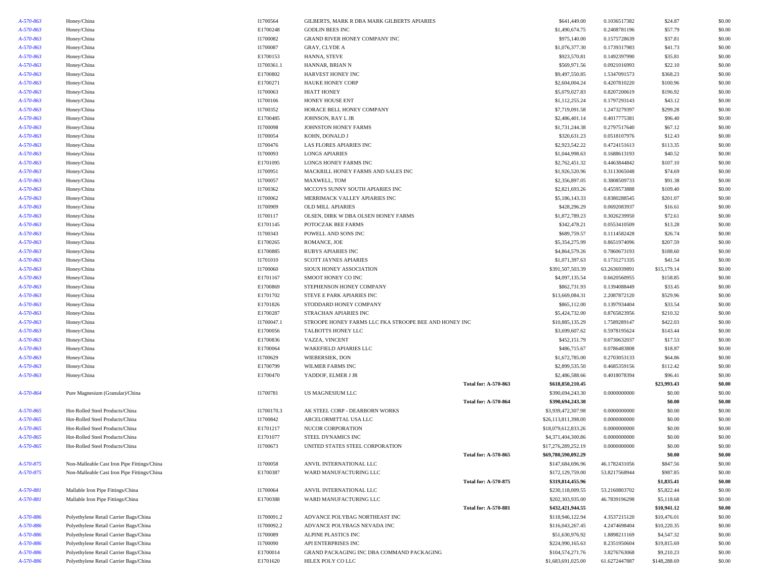| A-570-863 | Honey/China                                 | I1700564   | GILBERTS, MARK R DBA MARK GILBERTS APIARIES           |                             | \$641,449.00        | 0.1036517382  | \$24.87      | \$0.00 |
|-----------|---------------------------------------------|------------|-------------------------------------------------------|-----------------------------|---------------------|---------------|--------------|--------|
| A-570-863 | Honey/China                                 | E1700248   | <b>GODLIN BEES INC</b>                                |                             | \$1,490,674.75      | 0.2408781196  | \$57.79      | \$0.00 |
| A-570-863 | Honey/China                                 | I1700082   | GRAND RIVER HONEY COMPANY INC                         |                             | \$975,140.00        | 0.1575728639  | \$37.81      | \$0.00 |
| A-570-863 | Honey/China                                 | I1700087   | <b>GRAY, CLYDE A</b>                                  |                             | \$1,076,377.30      | 0.1739317983  | \$41.73      | \$0.00 |
| A-570-863 | Honey/China                                 | E1700153   | HANNA, STEVE                                          |                             | \$923,570.81        | 0.1492397990  | \$35.81      | \$0.00 |
| A-570-863 | Honey/China                                 | I1700361.1 | HANNAR, BRIAN N                                       |                             | \$569,971.56        | 0.0921016993  | \$22.10      | \$0.00 |
| A-570-863 | Honey/China                                 | E1700802   | HARVEST HONEY INC                                     |                             | \$9,497,550.85      | 1.5347091573  | \$368.23     | \$0.00 |
| A-570-863 | Honey/China                                 | E1700271   | <b>HAUKE HONEY CORP</b>                               |                             | \$2,604,004.24      | 0.4207810220  | \$100.96     | \$0.00 |
| A-570-863 | Honey/China                                 | I1700063   | <b>HIATT HONEY</b>                                    |                             | \$5,079,027.83      | 0.8207200619  | \$196.92     | \$0.00 |
| A-570-863 | Honey/China                                 | I1700106   | HONEY HOUSE ENT                                       |                             | \$1,112,255.24      | 0.1797293143  | \$43.12      | \$0.00 |
| A-570-863 | Honey/China                                 | I1700352   | HORACE BELL HONEY COMPANY                             |                             | \$7,719,091.58      | 1.2473279397  | \$299.28     | \$0.00 |
| A-570-863 | Honey/China                                 | E1700485   | JOHNSON, RAY L JR                                     |                             | \$2,486,401.14      | 0.4017775381  | \$96.40      | \$0.00 |
| A-570-863 | Honey/China                                 | I1700098   | JOHNSTON HONEY FARMS                                  |                             | \$1,731,244.38      | 0.2797517640  | \$67.12      | \$0.00 |
| A-570-863 | Honey/China                                 | I1700054   | KOHN, DONALD J                                        |                             | \$320,631.23        | 0.0518107976  | \$12.43      | \$0.00 |
| A-570-863 | Honey/China                                 | I1700476   | LAS FLORES APIARIES INC                               |                             | \$2,923,542.22      | 0.4724151613  | \$113.35     | \$0.00 |
| A-570-863 | Honey/China                                 | I1700093   | <b>LONGS APIARIES</b>                                 |                             | \$1,044,998.63      | 0.1688613193  | \$40.52      | \$0.00 |
| A-570-863 | Honey/China                                 | E1701095   | LONGS HONEY FARMS INC                                 |                             | \$2,762,451.32      | 0.4463844842  | \$107.10     | \$0.00 |
| A-570-863 | Honey/China                                 | I1700951   | MACKRILL HONEY FARMS AND SALES INC                    |                             | \$1,926,520.96      | 0.3113065048  | \$74.69      | \$0.00 |
| A-570-863 | Honey/China                                 | I1700057   | MAXWELL, TOM                                          |                             | \$2,356,897.05      | 0.3808509733  | \$91.38      | \$0.00 |
| A-570-863 | Honey/China                                 | I1700362   | MCCOYS SUNNY SOUTH APIARIES INC                       |                             | \$2,821,693.26      | 0.4559573888  | \$109.40     | \$0.00 |
| A-570-863 | Honey/China                                 | I1700062   | MERRIMACK VALLEY APIARIES INC                         |                             | \$5,186,143.33      | 0.8380288545  | \$201.07     | \$0.00 |
| A-570-863 | Honey/China                                 | I1700909   | <b>OLD MILL APIARIES</b>                              |                             | \$428,296.29        | 0.0692083937  | \$16.61      | \$0.00 |
| A-570-863 | Honey/China                                 | I1700117   | OLSEN, DIRK W DBA OLSEN HONEY FARMS                   |                             | \$1,872,789.23      | 0.3026239950  | \$72.61      | \$0.00 |
| A-570-863 | Honey/China                                 | E1701145   | POTOCZAK BEE FARMS                                    |                             | \$342,478.21        | 0.0553410509  | \$13.28      | \$0.00 |
| A-570-863 | Honey/China                                 | I1700343   | POWELL AND SONS INC                                   |                             | \$689,759.57        | 0.1114582428  | \$26.74      | \$0.00 |
| A-570-863 | Honey/China                                 | E1700265   | ROMANCE, JOE                                          |                             | \$5,354,275.99      | 0.8651974096  | \$207.59     | \$0.00 |
| A-570-863 | Honey/China                                 | E1700885   | RUBYS APIARIES INC                                    |                             | \$4,864,579.26      | 0.7860673193  | \$188.60     | \$0.00 |
| A-570-863 | Honey/China                                 | I1701010   | SCOTT JAYNES APIARIES                                 |                             | \$1,071,397.63      | 0.1731271335  | \$41.54      | \$0.00 |
| A-570-863 | Honey/China                                 | I1700060   | SIOUX HONEY ASSOCIATION                               |                             | \$391,507,503.39    | 63.2636939891 | \$15,179.14  | \$0.00 |
| A-570-863 | Honey/China                                 | E1701167   | SMOOT HONEY CO INC                                    |                             | \$4,097,135.54      | 0.6620560955  | \$158.85     | \$0.00 |
| A-570-863 | Honey/China                                 | E1700869   | STEPHENSON HONEY COMPANY                              |                             | \$862,731.93        | 0.1394088449  | \$33.45      | \$0.00 |
| A-570-863 | Honey/China                                 | E1701702   | STEVE E PARK APIARIES INC                             |                             | \$13,669,084.31     | 2.2087872120  | \$529.96     | \$0.00 |
| A-570-863 | Honey/China                                 | E1701826   | STODDARD HONEY COMPANY                                |                             | \$865,112.00        | 0.1397934404  | \$33.54      | \$0.00 |
| A-570-863 | Honey/China                                 | E1700287   | STRACHAN APIARIES INC                                 |                             | \$5,424,732.00      | 0.8765823956  | \$210.32     | \$0.00 |
| A-570-863 | Honey/China                                 | I1700047.1 | STROOPE HONEY FARMS LLC FKA STROOPE BEE AND HONEY INC |                             | \$10,885,135.29     | 1.7589289147  | \$422.03     | \$0.00 |
| A-570-863 | Honey/China                                 | E1700056   | TALBOTTS HONEY LLC                                    |                             | \$3,699,607.62      | 0.5978195624  | \$143.44     | \$0.00 |
| A-570-863 | Honey/China                                 | E1700836   | VAZZA, VINCENT                                        |                             | \$452,151.79        | 0.0730632037  | \$17.53      | \$0.00 |
| A-570-863 | Honey/China                                 | E1700064   | WAKEFIELD APIARIES LLC                                |                             | \$486,715.67        | 0.0786483808  | \$18.87      | \$0.00 |
| A-570-863 | Honey/China                                 | I1700629   | WIEBERSIEK, DON                                       |                             | \$1,672,785.00      | 0.2703053133  | \$64.86      | \$0.00 |
| A-570-863 | Honey/China                                 | E1700799   | WILMER FARMS INC                                      |                             | \$2,899,535.50      | 0.4685359156  | \$112.42     | \$0.00 |
| A-570-863 | Honey/China                                 | E1700470   | YADDOF, ELMER J JR                                    |                             | \$2,486,588.66      | 0.4018078394  | \$96.41      | \$0.00 |
|           |                                             |            |                                                       | Total for: A-570-863        | \$618,850,210.45    |               | \$23,993.43  | \$0.00 |
| A-570-864 | Pure Magnesium (Granular)/China             | I1700781   | US MAGNESIUM LLC                                      |                             | \$390,694,243.30    | 0.0000000000  | \$0.00       | \$0.00 |
|           |                                             |            |                                                       | <b>Total for: A-570-864</b> | \$390,694,243.30    |               | \$0.00       | \$0.00 |
| A-570-865 | Hot-Rolled Steel Products/China             | I1700170.3 | AK STEEL CORP - DEARBORN WORKS                        |                             | \$3,939,472,307.98  | 0.0000000000  | \$0.00       | \$0.00 |
| A-570-865 | Hot-Rolled Steel Products/China             | I1700842   | ARCELORMITTAL USA LLC                                 |                             | \$26,113,811,398.00 | 0.0000000000  | \$0.00       | \$0.00 |
| A-570-865 | Hot-Rolled Steel Products/China             | E1701217   | NUCOR CORPORATION                                     |                             | \$18,079,612,833.26 | 0.0000000000  | \$0.00       | \$0.00 |
| A-570-865 | Hot-Rolled Steel Products/China             | E1701077   | STEEL DYNAMICS INC                                    |                             | \$4,371,404,300.86  | 0.0000000000  | \$0.00       | \$0.00 |
| A-570-865 | Hot-Rolled Steel Products/China             | I1700673   | UNITED STATES STEEL CORPORATION                       |                             | \$17,276,289,252.19 | 0.0000000000  | \$0.00       | \$0.00 |
|           |                                             |            |                                                       | Total for: A-570-865        | \$69,780,590,092.29 |               | \$0.00       | \$0.00 |
| A-570-875 | Non-Malleable Cast Iron Pipe Fittings/China | I1700058   | ANVIL INTERNATIONAL LLC                               |                             | \$147,684,696.96    | 46.1782431056 | \$847.56     | \$0.00 |
| A-570-875 | Non-Malleable Cast Iron Pipe Fittings/China | E1700387   | WARD MANUFACTURING LLC                                |                             | \$172,129,759.00    | 53.8217568944 | \$987.85     | \$0.00 |
|           |                                             |            |                                                       | Total for: A-570-875        | \$319,814,455.96    |               | \$1,835.41   | \$0.00 |
| A-570-881 | Mallable Iron Pipe Fittings/China           | I1700064   | ANVIL INTERNATIONAL LLC                               |                             | \$230,118,009.55    | 53.2160803702 | \$5,822.44   | \$0.00 |
| A-570-881 | Mallable Iron Pipe Fittings/China           | E1700388   | WARD MANUFACTURING LLC                                |                             | \$202,303,935.00    | 46.7839196298 | \$5,118.68   | \$0.00 |
|           |                                             |            |                                                       | <b>Total for: A-570-881</b> | \$432,421,944.55    |               | \$10,941.12  | \$0.00 |
| A-570-886 | Polyethylene Retail Carrier Bags/China      | I1700091.2 | ADVANCE POLYBAG NORTHEAST INC                         |                             | \$118,946,122.94    | 4.3537215120  | \$10,476.01  | \$0.00 |
| A-570-886 | Polyethylene Retail Carrier Bags/China      | I1700092.2 | ADVANCE POLYBAGS NEVADA INC                           |                             | \$116,043,267.45    | 4.2474698404  | \$10,220.35  | \$0.00 |
| A-570-886 | Polyethylene Retail Carrier Bags/China      | I1700089   | ALPINE PLASTICS INC                                   |                             | \$51,630,976.92     | 1.8898211169  | \$4,547.32   | \$0.00 |
| A-570-886 | Polyethylene Retail Carrier Bags/China      | I1700090   | API ENTERPRISES INC                                   |                             | \$224,990,165.63    | 8.2351950604  | \$19,815.69  | \$0.00 |
| A-570-886 | Polyethylene Retail Carrier Bags/China      | E1700014   | GRAND PACKAGING INC DBA COMMAND PACKAGING             |                             | \$104,574,271.76    | 3.8276763068  | \$9,210.23   | \$0.00 |
| A-570-886 | Polyethylene Retail Carrier Bags/China      | E1701620   | HILEX POLY CO LLC                                     |                             | \$1,683,691,025.00  | 61.6272447887 | \$148,288.69 | \$0.00 |
|           |                                             |            |                                                       |                             |                     |               |              |        |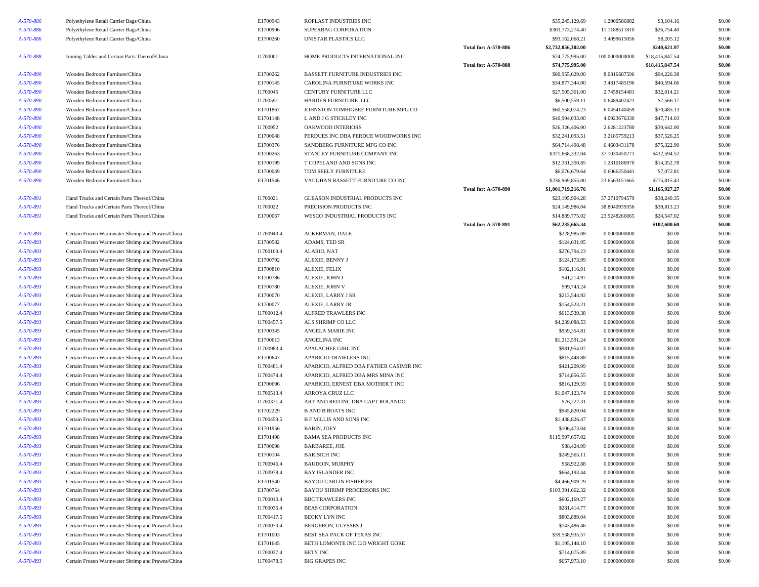| A-570-886 | Polyethylene Retail Carrier Bags/China           | E1700943   | ROPLAST INDUSTRIES INC                  |                             | \$35,245,129.69    | 1.2900586882   | \$3,104.16      | \$0.00 |
|-----------|--------------------------------------------------|------------|-----------------------------------------|-----------------------------|--------------------|----------------|-----------------|--------|
| A-570-886 | Polyethylene Retail Carrier Bags/China           | E1700906   | SUPERBAG CORPORATION                    |                             | \$303,773,274.40   | 11.1188511810  | \$26,754.40     | \$0.00 |
| A-570-886 | Polyethylene Retail Carrier Bags/China           | E1700260   | UNISTAR PLASTICS LLC                    |                             | \$93,162,068.21    | 3.4099615056   | \$8,205.12      | \$0.00 |
|           |                                                  |            |                                         | <b>Total for: A-570-886</b> | \$2,732,056,302.00 |                | \$240,621.97    | \$0.00 |
| A-570-888 | Ironing Tables and Certain Parts Thereof/China   | I1700001   | HOME PRODUCTS INTERNATIONAL INC         |                             | \$74,775,995.00    | 100.0000000000 | \$18,415,847.54 | \$0.00 |
|           |                                                  |            |                                         | Total for: A-570-888        | \$74,775,995.00    |                | \$18,415,847.54 | \$0.00 |
| A-570-890 | Wooden Bedroom Furniture/China                   | E1700262   | BASSETT FURNITURE INDUSTRIES INC        |                             | \$80,955,629.00    | 8.0816687596   | \$94,226.38     | \$0.00 |
| A-570-890 | Wooden Bedroom Furniture/China                   | E1700145   | CAROLINA FURNITURE WORKS INC            |                             | \$34,877,344.00    | 3.4817485196   | \$40,594.66     | \$0.00 |
| A-570-890 | Wooden Bedroom Furniture/China                   | I1700045   | CENTURY FURNITURE LLC                   |                             | \$27,505,361.00    | 2.7458154481   | \$32,014.21     | \$0.00 |
| A-570-890 | Wooden Bedroom Furniture/China                   | I1700591   | HARDEN FURNITURE LLC                    |                             | \$6,500,559.11     | 0.6489402421   | \$7,566.17      | \$0.00 |
| A-570-890 | Wooden Bedroom Furniture/China                   | E1701867   | JOHNSTON TOMBIGBEE FURNITURE MFG CO     |                             | \$60,558,074.23    | 6.0454140459   | \$70,485.13     | \$0.00 |
| A-570-890 | Wooden Bedroom Furniture/China                   | E1701148   | L AND J G STICKLEY INC                  |                             | \$40,994,033.00    | 4.0923676330   | \$47,714.03     | \$0.00 |
| A-570-890 | Wooden Bedroom Furniture/China                   | I1700952   | <b>OAKWOOD INTERIORS</b>                |                             | \$26,326,406.90    | 2.6281223780   | \$30,642.00     | \$0.00 |
| A-570-890 | Wooden Bedroom Furniture/China                   | E1700048   | PERDUES INC DBA PERDUE WOODWORKS INC    |                             | \$32,241,093.51    | 3.2185759213   | \$37,526.25     | \$0.00 |
| A-570-890 | Wooden Bedroom Furniture/China                   | E1700376   | SANDBERG FURNITURE MFG CO INC           |                             | \$64,714,498.48    | 6.4603431178   | \$75,322.90     | \$0.00 |
| A-570-890 | Wooden Bedroom Furniture/China                   | E1700263   | STANLEY FURNITURE COMPANY INC           |                             | \$371,668,332.04   | 37.1030450271  | \$432,594.52    | \$0.00 |
| A-570-890 | Wooden Bedroom Furniture/China                   | E1700199   | T COPELAND AND SONS INC                 |                             | \$12,331,350.85    | 1.2310186970   | \$14,352.78     | \$0.00 |
| A-570-890 | Wooden Bedroom Furniture/China                   | E1700049   | TOM SEELY FURNITURE                     |                             | \$6,076,679.64     | 0.6066250441   | \$7,072.81      | \$0.00 |
| A-570-890 | Wooden Bedroom Furniture/China                   | E1701546   | VAUGHAN BASSETT FURNITURE CO INC        |                             | \$236,969,855.00   | 23.6563151665  | \$275,815.43    | \$0.00 |
|           |                                                  |            |                                         | Total for: A-570-890        | \$1,001,719,216.76 |                | \$1,165,927.27  | \$0.00 |
| A-570-891 | Hand Trucks and Certain Parts Thereof/China      | I1700021   | GLEASON INDUSTRIAL PRODUCTS INC         |                             | \$23,195,904.28    | 37.2710794579  | \$38,240.35     | \$0.00 |
| A-570-891 | Hand Trucks and Certain Parts Thereof/China      | I1700022   | PRECISION PRODUCTS INC                  |                             | \$24,149,986.04    | 38.8040939356  | \$39,813.23     | \$0.00 |
| A-570-891 | Hand Trucks and Certain Parts Thereof/China      | E1700067   | WESCO INDUSTRIAL PRODUCTS INC           |                             | \$14,889,775.02    | 23.9248266065  | \$24,547.02     | \$0.00 |
|           |                                                  |            |                                         | Total for: A-570-891        | \$62,235,665.34    |                | \$102,600.60    | \$0.00 |
| A-570-893 | Certain Frozen Warmwater Shrimp and Prawns/China | I1700943.4 | ACKERMAN, DALE                          |                             | \$228,985.08       | 0.0000000000   | \$0.00          | \$0.00 |
| A-570-893 | Certain Frozen Warmwater Shrimp and Prawns/China | E1700582   | ADAMS, TED SR                           |                             | \$124,631.95       | 0.0000000000   | \$0.00          | \$0.00 |
| A-570-893 | Certain Frozen Warmwater Shrimp and Prawns/China | I1700109.4 | ALARIO, NAT                             |                             | \$276,794.23       | 0.0000000000   | \$0.00          | \$0.00 |
| A-570-893 | Certain Frozen Warmwater Shrimp and Prawns/China | E1700792   | ALEXIE, BENNY J                         |                             | \$124,173.99       | 0.0000000000   | \$0.00          | \$0.00 |
| A-570-893 | Certain Frozen Warmwater Shrimp and Prawns/China | E1700810   | ALEXIE, FELIX                           |                             | \$102,116.91       | 0.0000000000   | \$0.00          | \$0.00 |
| A-570-893 | Certain Frozen Warmwater Shrimp and Prawns/China | E1700786   | ALEXIE, JOHN J                          |                             | \$41,214.97        | 0.0000000000   | \$0.00          | \$0.00 |
| A-570-893 | Certain Frozen Warmwater Shrimp and Prawns/China | E1700780   | ALEXIE, JOHN V                          |                             | \$99,743.24        | 0.0000000000   | \$0.00          | \$0.00 |
| A-570-893 | Certain Frozen Warmwater Shrimp and Prawns/China | E1700070   | ALEXIE, LARRY J SR                      |                             | \$213,544.92       | 0.0000000000   | \$0.00          | \$0.00 |
| A-570-893 | Certain Frozen Warmwater Shrimp and Prawns/China | E1700077   | ALEXIE, LARRY JR                        |                             | \$154,523.21       | 0.0000000000   | \$0.00          | \$0.00 |
| A-570-893 | Certain Frozen Warmwater Shrimp and Prawns/China | I1700012.4 | ALFRED TRAWLERS INC                     |                             | \$613,539.38       | 0.0000000000   | \$0.00          | \$0.00 |
| A-570-893 | Certain Frozen Warmwater Shrimp and Prawns/China | I1700457.5 | ALS SHRIMP CO LLC                       |                             | \$4,239,088.53     | 0.0000000000   | \$0.00          | \$0.00 |
| A-570-893 | Certain Frozen Warmwater Shrimp and Prawns/China | E1700345   | ANGELA MARIE INC                        |                             | \$959,354.81       | 0.0000000000   | \$0.00          | \$0.00 |
| A-570-893 | Certain Frozen Warmwater Shrimp and Prawns/China | E1700613   | ANGELINA INC                            |                             | \$1,213,591.24     | 0.0000000000   | \$0.00          | \$0.00 |
| A-570-893 | Certain Frozen Warmwater Shrimp and Prawns/China | I1700983.4 | APALACHEE GIRL INC                      |                             | \$981,954.07       | 0.0000000000   | \$0.00          | \$0.00 |
| A-570-893 | Certain Frozen Warmwater Shrimp and Prawns/China | E1700647   | APARICIO TRAWLERS INC                   |                             | \$815,448.88       | 0.0000000000   | \$0.00          | \$0.00 |
| A-570-893 | Certain Frozen Warmwater Shrimp and Prawns/China | I1700481.4 | APARICIO, ALFRED DBA FATHER CASIMIR INC |                             | \$421,209.99       | 0.0000000000   | \$0.00          | \$0.00 |
| A-570-893 | Certain Frozen Warmwater Shrimp and Prawns/China | I1700474.4 | APARICIO, ALFRED DBA MRS MINA INC       |                             | \$714,856.55       | 0.0000000000   | \$0.00          | \$0.00 |
| A-570-893 | Certain Frozen Warmwater Shrimp and Prawns/China | E1700696   | APARICIO, ERNEST DBA MOTHER T INC       |                             | \$816,129.59       | 0.0000000000   | \$0.00          | \$0.00 |
| A-570-893 | Certain Frozen Warmwater Shrimp and Prawns/China | I1700513.4 | ARROYA CRUZ LLC                         |                             | \$1,047,123.74     | 0.0000000000   | \$0.00          | \$0.00 |
| A-570-893 | Certain Frozen Warmwater Shrimp and Prawns/China | I1700371.4 | ART AND RED INC DBA CAPT ROLANDO        |                             | \$76,227.31        | 0.0000000000   | \$0.00          | \$0.00 |
| A-570-893 | Certain Frozen Warmwater Shrimp and Prawns/China | E1702229   | <b>B AND B BOATS INC</b>                |                             | \$945,820.04       | 0.0000000000   | \$0.00          | \$0.00 |
| A-570-893 | Certain Frozen Warmwater Shrimp and Prawns/China | I1700459.5 | <b>B F MILLIS AND SONS INC</b>          |                             | \$1,438,826.47     | 0.0000000000   | \$0.00          | \$0.00 |
| A-570-893 | Certain Frozen Warmwater Shrimp and Prawns/China | E1701956   | <b>BABIN, JOEY</b>                      |                             | \$106,473.04       | 0.0000000000   | \$0.00          | \$0.00 |
| A-570-893 | Certain Frozen Warmwater Shrimp and Prawns/China | E1701498   | <b>BAMA SEA PRODUCTS INC</b>            |                             | \$115,997,657.02   | 0.0000000000   | \$0.00          | \$0.00 |
| A-570-893 | Certain Frozen Warmwater Shrimp and Prawns/China | E1700098   | BARBAREE, JOE                           |                             | \$88,424.99        | 0.0000000000   | \$0.00          | \$0.00 |
| A-570-893 | Certain Frozen Warmwater Shrimp and Prawns/China | E1700104   | <b>BARISICH INC</b>                     |                             | \$249,565.11       | 0.0000000000   | \$0.00          | \$0.00 |
| A-570-893 | Certain Frozen Warmwater Shrimp and Prawns/China | I1700946.4 | <b>BAUDOIN, MURPHY</b>                  |                             | \$68,922.88        | 0.0000000000   | \$0.00          | \$0.00 |
| A-570-893 | Certain Frozen Warmwater Shrimp and Prawns/China | I1700978.4 | <b>BAY ISLANDER INC</b>                 |                             | \$664,193.44       | 0.0000000000   | \$0.00          | \$0.00 |
| A-570-893 | Certain Frozen Warmwater Shrimp and Prawns/China | E1701540   | <b>BAYOU CARLIN FISHERIES</b>           |                             | \$4,466,909.29     | 0.0000000000   | \$0.00          | \$0.00 |
| A-570-893 | Certain Frozen Warmwater Shrimp and Prawns/China | E1700764   | BAYOU SHRIMP PROCESSORS INC             |                             | \$103,391,662.32   | 0.0000000000   | \$0.00          | \$0.00 |
| A-570-893 | Certain Frozen Warmwater Shrimp and Prawns/China | I1700010.4 | <b>BBC TRAWLERS INC</b>                 |                             | \$602,169.27       | 0.0000000000   | \$0.00          | \$0.00 |
| A-570-893 | Certain Frozen Warmwater Shrimp and Prawns/China | I1700035.4 | <b>BEAS CORPORATION</b>                 |                             | \$281,414.77       | 0.0000000000   | \$0.00          | \$0.00 |
| A-570-893 | Certain Frozen Warmwater Shrimp and Prawns/China | I1700417.5 | BECKY LYN INC                           |                             | \$803,889.04       | 0.0000000000   | \$0.00          | \$0.00 |
| A-570-893 | Certain Frozen Warmwater Shrimp and Prawns/China | I1700070.4 | <b>BERGERON, ULYSSES J</b>              |                             | \$143,486.46       | 0.0000000000   | \$0.00          | \$0.00 |
| A-570-893 | Certain Frozen Warmwater Shrimp and Prawns/China | E1701003   | BEST SEA PACK OF TEXAS INC              |                             | \$39,538,935.57    | 0.0000000000   | \$0.00          | \$0.00 |
| A-570-893 | Certain Frozen Warmwater Shrimp and Prawns/China | E1701645   | BETH LOMONTE INC C/O WRIGHT GORE        |                             | \$1,195,148.10     | 0.0000000000   | \$0.00          | \$0.00 |
| A-570-893 | Certain Frozen Warmwater Shrimp and Prawns/China | I1700037.4 | BETY INC                                |                             | \$714,075.89       | 0.0000000000   | \$0.00          | \$0.00 |
| A-570-893 | Certain Frozen Warmwater Shrimp and Prawns/China | I1700478.5 | <b>BIG GRAPES INC</b>                   |                             | \$657,973.10       | 0.0000000000   | \$0.00          | \$0.00 |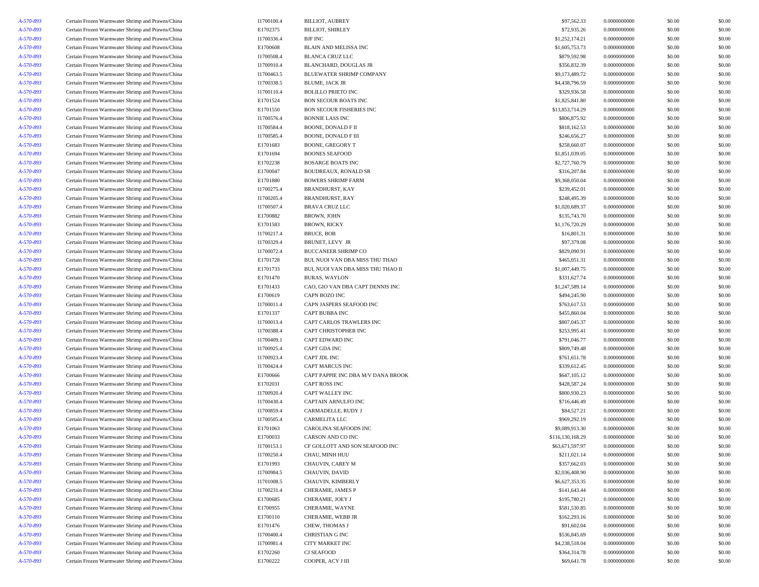| A-570-893 | Certain Frozen Warmwater Shrimp and Prawns/China | I1700100.4 | <b>BILLIOT, AUBREY</b>             | \$97,562.33      | 0.0000000000 | \$0.00 | \$0.00 |
|-----------|--------------------------------------------------|------------|------------------------------------|------------------|--------------|--------|--------|
| A-570-893 | Certain Frozen Warmwater Shrimp and Prawns/China | E1702375   | <b>BILLIOT, SHIRLEY</b>            | \$72,935.26      | 0.0000000000 | \$0.00 | \$0.00 |
| A-570-893 | Certain Frozen Warmwater Shrimp and Prawns/China | I1700336.4 | BJF INC                            | \$1,252,174.21   | 0.0000000000 | \$0.00 | \$0.00 |
| A-570-893 | Certain Frozen Warmwater Shrimp and Prawns/China | E1700608   | BLAIN AND MELISSA INC              | \$1,605,753.73   | 0.0000000000 | \$0.00 | \$0.00 |
| A-570-893 | Certain Frozen Warmwater Shrimp and Prawns/China | I1700508.4 | <b>BLANCA CRUZ LLC</b>             | \$879,592.98     | 0.0000000000 | \$0.00 | \$0.00 |
| A-570-893 | Certain Frozen Warmwater Shrimp and Prawns/China | I1700910.4 | BLANCHARD, DOUGLAS JR              | \$356,832.39     | 0.0000000000 | \$0.00 | \$0.00 |
| A-570-893 | Certain Frozen Warmwater Shrimp and Prawns/China | I1700463.5 | BLUEWATER SHRIMP COMPANY           | \$9,173,489.72   | 0.0000000000 | \$0.00 | \$0.00 |
| A-570-893 | Certain Frozen Warmwater Shrimp and Prawns/China | I1700338.5 | BLUME, JACK JR                     | \$4,438,796.59   | 0.0000000000 | \$0.00 | \$0.00 |
| A-570-893 | Certain Frozen Warmwater Shrimp and Prawns/China | I1700110.4 | <b>BOLILLO PRIETO INC</b>          | \$329,936.58     | 0.0000000000 | \$0.00 | \$0.00 |
| A-570-893 | Certain Frozen Warmwater Shrimp and Prawns/China | E1701524   | <b>BON SECOUR BOATS INC</b>        | \$1,825,841.80   | 0.0000000000 | \$0.00 | \$0.00 |
| A-570-893 | Certain Frozen Warmwater Shrimp and Prawns/China | E1701550   | <b>BON SECOUR FISHERIES INC</b>    | \$13,853,714.29  | 0.0000000000 | \$0.00 | \$0.00 |
| A-570-893 | Certain Frozen Warmwater Shrimp and Prawns/China | I1700576.4 | <b>BONNIE LASS INC</b>             | \$806,875.92     | 0.0000000000 | \$0.00 | \$0.00 |
| A-570-893 | Certain Frozen Warmwater Shrimp and Prawns/China | I1700584.4 | BOONE, DONALD F II                 | \$818,162.53     | 0.0000000000 | \$0.00 | \$0.00 |
| A-570-893 | Certain Frozen Warmwater Shrimp and Prawns/China | I1700585.4 | <b>BOONE, DONALD F III</b>         | \$246,656.27     | 0.0000000000 | \$0.00 | \$0.00 |
| A-570-893 | Certain Frozen Warmwater Shrimp and Prawns/China | E1701683   | <b>BOONE, GREGORY T</b>            | \$258,660.07     | 0.0000000000 | \$0.00 | \$0.00 |
| A-570-893 | Certain Frozen Warmwater Shrimp and Prawns/China | E1701694   | <b>BOONES SEAFOOD</b>              | \$1,851,039.05   | 0.0000000000 | \$0.00 | \$0.00 |
| A-570-893 | Certain Frozen Warmwater Shrimp and Prawns/China | E1702238   | <b>BOSARGE BOATS INC</b>           | \$2,727,760.79   | 0.0000000000 | \$0.00 | \$0.00 |
| A-570-893 | Certain Frozen Warmwater Shrimp and Prawns/China | E1700047   | BOUDREAUX, RONALD SR               | \$316,207.84     | 0.0000000000 | \$0.00 | \$0.00 |
| A-570-893 | Certain Frozen Warmwater Shrimp and Prawns/China | E1701880   | <b>BOWERS SHRIMP FARM</b>          | \$9,368,050.04   | 0.0000000000 | \$0.00 | \$0.00 |
| A-570-893 | Certain Frozen Warmwater Shrimp and Prawns/China | I1700275.4 | <b>BRANDHURST, KAY</b>             | \$239,452.01     | 0.0000000000 | \$0.00 | \$0.00 |
| A-570-893 | Certain Frozen Warmwater Shrimp and Prawns/China | I1700205.4 | <b>BRANDHURST, RAY</b>             | \$248,495.39     | 0.0000000000 | \$0.00 | \$0.00 |
| A-570-893 | Certain Frozen Warmwater Shrimp and Prawns/China | I1700507.4 | <b>BRAVA CRUZ LLC</b>              | \$1,020,689.37   | 0.0000000000 | \$0.00 | \$0.00 |
| A-570-893 | Certain Frozen Warmwater Shrimp and Prawns/China | E1700882   | BROWN, JOHN                        | \$135,743.70     | 0.0000000000 | \$0.00 | \$0.00 |
| A-570-893 | Certain Frozen Warmwater Shrimp and Prawns/China | E1701583   | <b>BROWN, RICKY</b>                | \$1,176,720.29   | 0.0000000000 | \$0.00 | \$0.00 |
| A-570-893 | Certain Frozen Warmwater Shrimp and Prawns/China | I1700217.4 | BRUCE, BOB                         | \$16,801.31      | 0.0000000000 | \$0.00 | \$0.00 |
| A-570-893 | Certain Frozen Warmwater Shrimp and Prawns/China | I1700329.4 | <b>BRUNET, LEVY JR</b>             | \$97,379.08      | 0.0000000000 | \$0.00 | \$0.00 |
| A-570-893 | Certain Frozen Warmwater Shrimp and Prawns/China | I1700072.4 | <b>BUCCANEER SHRIMP CO</b>         | \$829,090.91     | 0.0000000000 | \$0.00 | \$0.00 |
| A-570-893 | Certain Frozen Warmwater Shrimp and Prawns/China | E1701728   | BUI, NUOI VAN DBA MISS THU THAO    | \$465,051.31     | 0.0000000000 | \$0.00 | \$0.00 |
| A-570-893 | Certain Frozen Warmwater Shrimp and Prawns/China | E1701733   | BUI, NUOI VAN DBA MISS THU THAO II | \$1,007,449.75   | 0.0000000000 | \$0.00 | \$0.00 |
| A-570-893 | Certain Frozen Warmwater Shrimp and Prawns/China | E1701470   | <b>BURAS, WAYLON</b>               | \$331,627.74     | 0.0000000000 | \$0.00 | \$0.00 |
| A-570-893 | Certain Frozen Warmwater Shrimp and Prawns/China | E1701433   | CAO, GIO VAN DBA CAPT DENNIS INC   | \$1,247,589.14   | 0.0000000000 | \$0.00 | \$0.00 |
| A-570-893 | Certain Frozen Warmwater Shrimp and Prawns/China | E1700619   | CAPN BOZO INC                      | \$494,245.90     | 0.0000000000 | \$0.00 | \$0.00 |
| A-570-893 | Certain Frozen Warmwater Shrimp and Prawns/China | I1700011.4 | CAPN JASPERS SEAFOOD INC           | \$763,617.53     | 0.0000000000 | \$0.00 | \$0.00 |
| A-570-893 | Certain Frozen Warmwater Shrimp and Prawns/China | E1701337   | CAPT BUBBA INC                     | \$455,860.04     | 0.0000000000 | \$0.00 | \$0.00 |
| A-570-893 | Certain Frozen Warmwater Shrimp and Prawns/China | I1700013.4 | CAPT CARLOS TRAWLERS INC           | \$807,045.37     | 0.0000000000 | \$0.00 | \$0.00 |
| A-570-893 | Certain Frozen Warmwater Shrimp and Prawns/China | I1700388.4 | CAPT CHRISTOPHER INC               | \$253,995.41     | 0.0000000000 | \$0.00 | \$0.00 |
| A-570-893 | Certain Frozen Warmwater Shrimp and Prawns/China | I1700409.1 | CAPT EDWARD INC                    | \$791,046.77     | 0.0000000000 | \$0.00 | \$0.00 |
| A-570-893 | Certain Frozen Warmwater Shrimp and Prawns/China | I1700925.4 | CAPT GDA INC                       | \$809,749.48     | 0.0000000000 | \$0.00 | \$0.00 |
| A-570-893 | Certain Frozen Warmwater Shrimp and Prawns/China | I1700923.4 | CAPT JDL INC                       | \$761,651.78     | 0.0000000000 | \$0.00 | \$0.00 |
| A-570-893 | Certain Frozen Warmwater Shrimp and Prawns/China | I1700424.4 | CAPT MARCUS INC                    | \$339,612.45     | 0.0000000000 | \$0.00 | \$0.00 |
| A-570-893 | Certain Frozen Warmwater Shrimp and Prawns/China | E1700666   | CAPT PAPPIE INC DBA M/V DANA BROOK | \$647,105.12     | 0.0000000000 | \$0.00 | \$0.00 |
| A-570-893 | Certain Frozen Warmwater Shrimp and Prawns/China | E1702031   | CAPT ROSS INC                      | \$428,587.24     | 0.0000000000 | \$0.00 | \$0.00 |
| A-570-893 | Certain Frozen Warmwater Shrimp and Prawns/China | I1700920.4 | CAPT WALLEY INC                    | \$800,930.23     | 0.0000000000 | \$0.00 | \$0.00 |
| A-570-893 | Certain Frozen Warmwater Shrimp and Prawns/China | I1700430.4 | CAPTAIN ARNULFO INC                | \$716,446.49     | 0.0000000000 | \$0.00 | \$0.00 |
| A-570-893 | Certain Frozen Warmwater Shrimp and Prawns/China | I1700859.4 | CARMADELLE, RUDY J                 | \$84,527.21      | 0.0000000000 | \$0.00 | \$0.00 |
| A-570-893 | Certain Frozen Warmwater Shrimp and Prawns/China | I1700505.4 | CARMELITA LLC                      | \$969,292.19     | 0.0000000000 | \$0.00 | \$0.00 |
| A-570-893 | Certain Frozen Warmwater Shrimp and Prawns/China | E1701063   | CAROLINA SEAFOODS INC              | \$9,089,913.30   | 0.0000000000 | \$0.00 | \$0.00 |
| A-570-893 | Certain Frozen Warmwater Shrimp and Prawns/China | E1700033   | CARSON AND CO INC                  | \$116,130,168.29 | 0.0000000000 | \$0.00 | \$0.00 |
| A-570-893 | Certain Frozen Warmwater Shrimp and Prawns/China | I1700153.1 | CF GOLLOTT AND SON SEAFOOD INC     | \$63,671,597.97  | 0.0000000000 | \$0.00 | \$0.00 |
| A-570-893 | Certain Frozen Warmwater Shrimp and Prawns/China | I1700250.4 | CHAU, MINH HUU                     | \$211,021.14     | 0.0000000000 | \$0.00 | \$0.00 |
| A-570-893 | Certain Frozen Warmwater Shrimp and Prawns/China | E1701993   | CHAUVIN, CAREY M                   | \$357,662.03     | 0.0000000000 | \$0.00 | \$0.00 |
| A-570-893 | Certain Frozen Warmwater Shrimp and Prawns/China | I1700984.5 | CHAUVIN, DAVID                     | \$2,036,408.90   | 0.0000000000 | \$0.00 | \$0.00 |
| A-570-893 | Certain Frozen Warmwater Shrimp and Prawns/China | I1701008.5 | CHAUVIN, KIMBERLY                  | \$6,627,353.35   | 0.0000000000 | \$0.00 | \$0.00 |
| A-570-893 | Certain Frozen Warmwater Shrimp and Prawns/China | I1700231.4 | CHERAMIE, JAMES P                  | \$141,643.44     | 0.0000000000 | \$0.00 | \$0.00 |
| A-570-893 | Certain Frozen Warmwater Shrimp and Prawns/China | E1700685   | CHERAMIE, JOEY J                   | \$195,780.21     | 0.0000000000 | \$0.00 | \$0.00 |
| A-570-893 | Certain Frozen Warmwater Shrimp and Prawns/China | E1700955   | CHERAMIE, WAYNE                    | \$581,530.85     | 0.0000000000 | \$0.00 | \$0.00 |
| A-570-893 | Certain Frozen Warmwater Shrimp and Prawns/China | E1700110   | CHERAMIE, WEBB JR                  | \$162,293.16     | 0.0000000000 | \$0.00 | \$0.00 |
| A-570-893 | Certain Frozen Warmwater Shrimp and Prawns/China | E1701476   | CHEW, THOMAS J                     | \$91,602.04      | 0.0000000000 | \$0.00 | \$0.00 |
| A-570-893 | Certain Frozen Warmwater Shrimp and Prawns/China | I1700400.4 | CHRISTIAN G INC                    | \$536,845.69     | 0.0000000000 | \$0.00 | \$0.00 |
| A-570-893 | Certain Frozen Warmwater Shrimp and Prawns/China | I1700981.4 | CITY MARKET INC                    | \$4,238,518.04   | 0.0000000000 | \$0.00 | \$0.00 |
| A-570-893 | Certain Frozen Warmwater Shrimp and Prawns/China | E1702260   | CJ SEAFOOD                         | \$364,314.78     | 0.0000000000 | \$0.00 | \$0.00 |
| A-570-893 | Certain Frozen Warmwater Shrimp and Prawns/China | E1700222   | COOPER, ACY J III                  | \$69,641.78      | 0.0000000000 | \$0.00 | \$0.00 |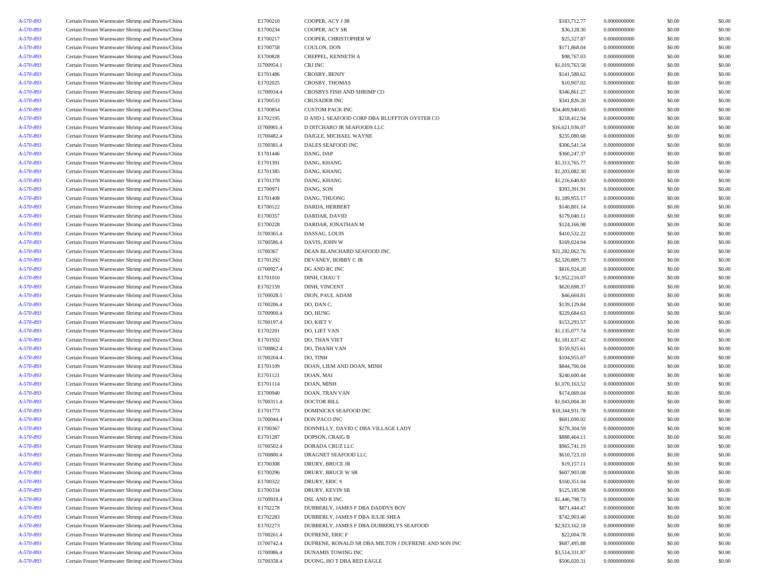| A-570-893 | Certain Frozen Warmwater Shrimp and Prawns/China | E1700210   | COOPER, ACY J JR                                    | \$183,712.77    | 0.0000000000 | \$0.00           | \$0.00           |
|-----------|--------------------------------------------------|------------|-----------------------------------------------------|-----------------|--------------|------------------|------------------|
| A-570-893 | Certain Frozen Warmwater Shrimp and Prawns/China | E1700234   | COOPER, ACY SR                                      | \$36,128.30     | 0.0000000000 | \$0.00           | \$0.00           |
| A-570-893 | Certain Frozen Warmwater Shrimp and Prawns/China | E1700217   | COOPER, CHRISTOPHER W                               | \$25,327.87     | 0.0000000000 | \$0.00           | \$0.00           |
| A-570-893 | Certain Frozen Warmwater Shrimp and Prawns/China | E1700758   | COULON, DON                                         | \$171,868.04    | 0.0000000000 | \$0.00           | \$0.00           |
| A-570-893 | Certain Frozen Warmwater Shrimp and Prawns/China | E1700828   | CREPPEL, KENNETH A                                  | \$98,767.03     | 0.0000000000 | \$0.00           | \$0.00           |
| A-570-893 | Certain Frozen Warmwater Shrimp and Prawns/China | I1700954.1 | CRJ INC                                             | \$1,019,763.58  | 0.0000000000 | \$0.00           | \$0.00           |
| A-570-893 | Certain Frozen Warmwater Shrimp and Prawns/China | E1701486   | CROSBY, BENJY                                       | \$141,588.62    | 0.0000000000 | \$0.00           | \$0.00           |
| A-570-893 | Certain Frozen Warmwater Shrimp and Prawns/China | E1702025   | CROSBY, THOMAS                                      | \$10,907.02     | 0.0000000000 | \$0.00           | \$0.00           |
| A-570-893 | Certain Frozen Warmwater Shrimp and Prawns/China | I1700934.4 | CROSBYS FISH AND SHRIMP CO                          | \$346,861.27    | 0.0000000000 | \$0.00           | \$0.00           |
| A-570-893 | Certain Frozen Warmwater Shrimp and Prawns/China | E1700533   | CRUSADER INC                                        | \$341,826.20    | 0.0000000000 | \$0.00           | \$0.00           |
| A-570-893 | Certain Frozen Warmwater Shrimp and Prawns/China | E1700854   | <b>CUSTOM PACK INC</b>                              | \$34,469,940.65 | 0.0000000000 | \$0.00           | \$0.00           |
| A-570-893 | Certain Frozen Warmwater Shrimp and Prawns/China | E1702195   | D AND L SEAFOOD CORP DBA BLUFFTON OYSTER CO         | \$218,412.94    | 0.0000000000 | \$0.00           | \$0.00           |
| A-570-893 | Certain Frozen Warmwater Shrimp and Prawns/China | I1700901.4 | D DITCHARO JR SEAFOODS LLC                          | \$16,621,936.07 | 0.0000000000 | \$0.00           | \$0.00           |
| A-570-893 | Certain Frozen Warmwater Shrimp and Prawns/China | I1700482.4 | DAIGLE, MICHAEL WAYNE                               | \$235,080.68    | 0.0000000000 | \$0.00           | \$0.00           |
| A-570-893 | Certain Frozen Warmwater Shrimp and Prawns/China | I1700381.4 | <b>DALES SEAFOOD INC</b>                            | \$306,541.54    | 0.0000000000 | \$0.00           | \$0.00           |
| A-570-893 | Certain Frozen Warmwater Shrimp and Prawns/China | E1701446   | DANG, DAP                                           | \$360,247.37    | 0.0000000000 | \$0.00           | \$0.00           |
| A-570-893 | Certain Frozen Warmwater Shrimp and Prawns/China | E1701391   | DANG, KHANG                                         | \$1,313,765.77  | 0.0000000000 | \$0.00           | \$0.00           |
| A-570-893 | Certain Frozen Warmwater Shrimp and Prawns/China | E1701385   | DANG, KHANG                                         | \$1,203,082.30  | 0.0000000000 | \$0.00           | \$0.00           |
| A-570-893 | Certain Frozen Warmwater Shrimp and Prawns/China | E1701378   | DANG, KHANG                                         | \$1,216,640.83  | 0.0000000000 | \$0.00           | \$0.00           |
| A-570-893 | Certain Frozen Warmwater Shrimp and Prawns/China | E1700971   | DANG, SON                                           | \$393,391.91    | 0.0000000000 | \$0.00           | \$0.00           |
| A-570-893 | Certain Frozen Warmwater Shrimp and Prawns/China | E1701408   | DANG, THUONG                                        | \$1,189,955.17  | 0.0000000000 | \$0.00           | \$0.00           |
| A-570-893 | Certain Frozen Warmwater Shrimp and Prawns/China | E1700122   | DARDA, HERBERT                                      | \$140,801.14    | 0.0000000000 | \$0.00           | \$0.00           |
| A-570-893 | Certain Frozen Warmwater Shrimp and Prawns/China | E1700357   | DARDAR, DAVID                                       | \$179,040.11    | 0.0000000000 | \$0.00           | \$0.00           |
| A-570-893 | Certain Frozen Warmwater Shrimp and Prawns/China | E1700228   | DARDAR, JONATHAN M                                  | \$124,166.98    | 0.0000000000 | \$0.00           | \$0.00           |
| A-570-893 | Certain Frozen Warmwater Shrimp and Prawns/China | I1700365.4 | DASSAU, LOUIS                                       | \$410,532.22    | 0.0000000000 | \$0.00           | \$0.00           |
| A-570-893 | Certain Frozen Warmwater Shrimp and Prawns/China | I1700586.4 | DAVIS, JOHN W                                       | \$169,024.94    | 0.0000000000 | \$0.00           | \$0.00           |
| A-570-893 | Certain Frozen Warmwater Shrimp and Prawns/China | I1700367   | DEAN BLANCHARD SEAFOOD INC                          | \$31,282,062.76 | 0.0000000000 | \$0.00           | \$0.00           |
| A-570-893 | Certain Frozen Warmwater Shrimp and Prawns/China | E1701292   | DEVANEY, BOBBY C JR                                 | \$2,520,809.73  | 0.0000000000 | \$0.00           | \$0.00           |
|           | Certain Frozen Warmwater Shrimp and Prawns/China | I1700927.4 |                                                     | \$816,924.20    | 0.0000000000 |                  |                  |
| A-570-893 |                                                  | E1701010   | DG AND RC INC<br>DINH, CHAU T                       | \$1,952,216.07  | 0.0000000000 | \$0.00<br>\$0.00 | \$0.00<br>\$0.00 |
| A-570-893 | Certain Frozen Warmwater Shrimp and Prawns/China |            |                                                     |                 |              |                  |                  |
| A-570-893 | Certain Frozen Warmwater Shrimp and Prawns/China | E1702159   | DINH, VINCENT                                       | \$620,698.37    | 0.0000000000 | \$0.00           | \$0.00           |
| A-570-893 | Certain Frozen Warmwater Shrimp and Prawns/China | I1700028.5 | DION, PAUL ADAM                                     | \$46,660.81     | 0.0000000000 | \$0.00           | \$0.00           |
| A-570-893 | Certain Frozen Warmwater Shrimp and Prawns/China | I1700206.4 | DO, DAN C.                                          | \$139,129.84    | 0.0000000000 | \$0.00           | \$0.00           |
| A-570-893 | Certain Frozen Warmwater Shrimp and Prawns/China | I1700900.4 | DO, HUNG                                            | \$229,684.63    | 0.0000000000 | \$0.00           | \$0.00           |
| A-570-893 | Certain Frozen Warmwater Shrimp and Prawns/China | I1700197.4 | DO, KIET V                                          | \$153,293.57    | 0.0000000000 | \$0.00           | \$0.00           |
| A-570-893 | Certain Frozen Warmwater Shrimp and Prawns/China | E1702201   | DO, LIET VAN                                        | \$1,135,077.74  | 0.0000000000 | \$0.00           | \$0.00           |
| A-570-893 | Certain Frozen Warmwater Shrimp and Prawns/China | E1701932   | DO, THAN VIET                                       | \$1,181,637.42  | 0.0000000000 | \$0.00           | \$0.00           |
| A-570-893 | Certain Frozen Warmwater Shrimp and Prawns/China | I1700862.4 | DO, THANH VAN                                       | \$159,925.61    | 0.0000000000 | \$0.00           | \$0.00           |
| A-570-893 | Certain Frozen Warmwater Shrimp and Prawns/China | I1700204.4 | DO, TINH                                            | \$104,955.07    | 0.0000000000 | \$0.00           | \$0.00           |
| A-570-893 | Certain Frozen Warmwater Shrimp and Prawns/China | E1701109   | DOAN, LIEM AND DOAN, MINH                           | \$844,706.04    | 0.0000000000 | \$0.00           | \$0.00           |
| A-570-893 | Certain Frozen Warmwater Shrimp and Prawns/China | E1701121   | DOAN, MAI                                           | \$240,600.44    | 0.0000000000 | \$0.00           | \$0.00           |
| A-570-893 | Certain Frozen Warmwater Shrimp and Prawns/China | E1701114   | DOAN, MINH                                          | \$1,070,163.52  | 0.0000000000 | \$0.00           | \$0.00           |
| A-570-893 | Certain Frozen Warmwater Shrimp and Prawns/China | E1700940   | DOAN, TRAN VAN                                      | \$174,069.04    | 0.0000000000 | \$0.00           | \$0.00           |
| A-570-893 | Certain Frozen Warmwater Shrimp and Prawns/China | I1700311.4 | <b>DOCTOR BILL</b>                                  | \$1,043,004.30  | 0.0000000000 | \$0.00           | \$0.00           |
| A-570-893 | Certain Frozen Warmwater Shrimp and Prawns/China | E1701773   | DOMINICKS SEAFOOD INC                               | \$18,344,931.78 | 0.0000000000 | \$0.00           | \$0.00           |
| A-570-893 | Certain Frozen Warmwater Shrimp and Prawns/China | I1700044.4 | DON PACO INC                                        | \$681,690.02    | 0.0000000000 | \$0.00           | \$0.00           |
| A-570-893 | Certain Frozen Warmwater Shrimp and Prawns/China | E1700367   | DONNELLY, DAVID C DBA VILLAGE LADY                  | \$278,304.59    | 0.0000000000 | \$0.00           | \$0.00           |
| A-570-893 | Certain Frozen Warmwater Shrimp and Prawns/China | E1701287   | <b>DOPSON, CRAIG B</b>                              | \$888,464.11    | 0.0000000000 | \$0.00           | \$0.00           |
| A-570-893 | Certain Frozen Warmwater Shrimp and Prawns/China | I1700502.4 | DORADA CRUZ LLC                                     | \$965,741.19    | 0.0000000000 | \$0.00           | \$0.00           |
| A-570-893 | Certain Frozen Warmwater Shrimp and Prawns/China | I1700800.4 | DRAGNET SEAFOOD LLC                                 | \$610,723.10    | 0.0000000000 | \$0.00           | \$0.00           |
| A-570-893 | Certain Frozen Warmwater Shrimp and Prawns/China | E1700308   | DRURY, BRUCE JR                                     | \$19,157.11     | 0.0000000000 | \$0.00           | \$0.00           |
| A-570-893 | Certain Frozen Warmwater Shrimp and Prawns/China | E1700296   | DRURY, BRUCE W SR                                   | \$607,903.08    | 0.0000000000 | \$0.00           | \$0.00           |
| A-570-893 | Certain Frozen Warmwater Shrimp and Prawns/China | E1700322   | DRURY, ERIC S                                       | \$160,351.04    | 0.0000000000 | \$0.00           | \$0.00           |
| A-570-893 | Certain Frozen Warmwater Shrimp and Prawns/China | E1700334   | DRURY, KEVIN SR                                     | \$125,185.98    | 0.0000000000 | \$0.00           | \$0.00           |
| A-570-893 | Certain Frozen Warmwater Shrimp and Prawns/China | I1700918.4 | DSL AND R INC                                       | \$1,446,798.73  | 0.0000000000 | \$0.00           | \$0.00           |
| A-570-893 | Certain Frozen Warmwater Shrimp and Prawns/China | E1702278   | DUBBERLY, JAMES F DBA DADDYS BOY                    | \$871,444.47    | 0.0000000000 | \$0.00           | \$0.00           |
| A-570-893 | Certain Frozen Warmwater Shrimp and Prawns/China | E1702283   | DUBBERLY, JAMES F DBA JULIE SHEA                    | \$742,903.40    | 0.0000000000 | \$0.00           | \$0.00           |
| A-570-893 | Certain Frozen Warmwater Shrimp and Prawns/China | E1702273   | DUBBERLY, JAMES F DBA DUBBERLYS SEAFOOD             | \$2,923,162.18  | 0.0000000000 | \$0.00           | \$0.00           |
| A-570-893 | Certain Frozen Warmwater Shrimp and Prawns/China | I1700261.4 | <b>DUFRENE, ERIC F</b>                              | \$22,004.78     | 0.0000000000 | \$0.00           | \$0.00           |
| A-570-893 | Certain Frozen Warmwater Shrimp and Prawns/China | I1700742.4 | DUFRENE, RONALD SR DBA MILTON J DUFRENE AND SON INC | \$687,495.88    | 0.0000000000 | \$0.00           | \$0.00           |
| A-570-893 | Certain Frozen Warmwater Shrimp and Prawns/China | I1700986.4 | DUNAMIS TOWING INC                                  | \$3,514,331.87  | 0.0000000000 | \$0.00           | \$0.00           |
| A-570-893 | Certain Frozen Warmwater Shrimp and Prawns/China | I1700358.4 | DUONG, HO T DBA RED EAGLE                           | \$506,020.31    | 0.0000000000 | \$0.00           | \$0.00           |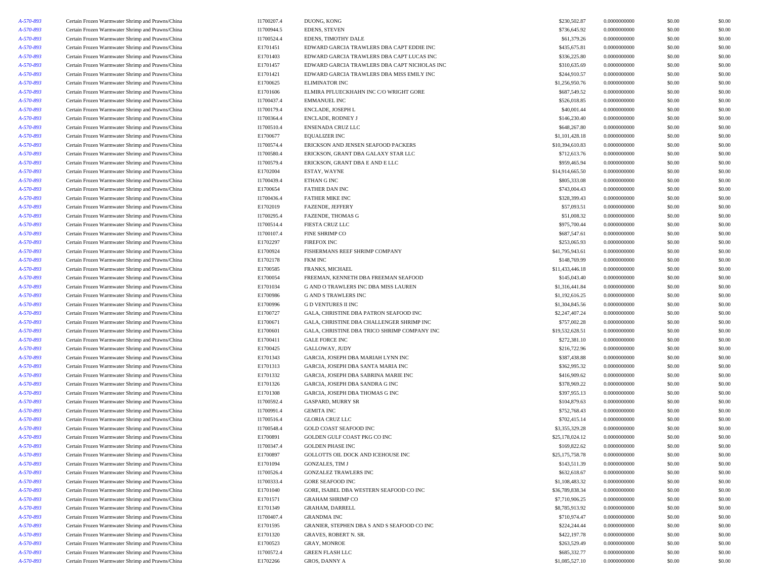| A-570-893 | Certain Frozen Warmwater Shrimp and Prawns/China | I1700207.4 | DUONG, KONG                                  | \$230,502.87    | 0.0000000000 | \$0.00 | \$0.00 |
|-----------|--------------------------------------------------|------------|----------------------------------------------|-----------------|--------------|--------|--------|
| A-570-893 | Certain Frozen Warmwater Shrimp and Prawns/China | I1700944.5 | EDENS, STEVEN                                | \$736,645.92    | 0.0000000000 | \$0.00 | \$0.00 |
| A-570-893 | Certain Frozen Warmwater Shrimp and Prawns/China | I1700524.4 | EDENS, TIMOTHY DALE                          | \$61,379.26     | 0.0000000000 | \$0.00 | \$0.00 |
| A-570-893 | Certain Frozen Warmwater Shrimp and Prawns/China | E1701451   | EDWARD GARCIA TRAWLERS DBA CAPT EDDIE INC    | \$435,675.81    | 0.0000000000 | \$0.00 | \$0.00 |
| A-570-893 | Certain Frozen Warmwater Shrimp and Prawns/China | E1701403   | EDWARD GARCIA TRAWLERS DBA CAPT LUCAS INC    | \$336,225.80    | 0.0000000000 | \$0.00 | \$0.00 |
| A-570-893 | Certain Frozen Warmwater Shrimp and Prawns/China | E1701457   | EDWARD GARCIA TRAWLERS DBA CAPT NICHOLAS INC | \$310,635.69    | 0.0000000000 | \$0.00 | \$0.00 |
| A-570-893 | Certain Frozen Warmwater Shrimp and Prawns/China | E1701421   | EDWARD GARCIA TRAWLERS DBA MISS EMILY INC    | \$244,910.57    | 0.0000000000 | \$0.00 | \$0.00 |
| A-570-893 | Certain Frozen Warmwater Shrimp and Prawns/China | E1700625   | <b>ELIMINATOR INC</b>                        | \$1,256,950.76  | 0.0000000000 | \$0.00 | \$0.00 |
| A-570-893 | Certain Frozen Warmwater Shrimp and Prawns/China | E1701606   | ELMIRA PFLUECKHAHN INC C/O WRIGHT GORE       | \$687,549.52    | 0.0000000000 | \$0.00 | \$0.00 |
| A-570-893 | Certain Frozen Warmwater Shrimp and Prawns/China | I1700437.4 | <b>EMMANUEL INC</b>                          | \$526,018.85    | 0.0000000000 | \$0.00 | \$0.00 |
| A-570-893 | Certain Frozen Warmwater Shrimp and Prawns/China | I1700179.4 | ENCLADE, JOSEPH L                            | \$40,001.44     | 0.0000000000 | \$0.00 | \$0.00 |
| A-570-893 | Certain Frozen Warmwater Shrimp and Prawns/China | I1700364.4 | ENCLADE, RODNEY J                            | \$146,230.40    | 0.0000000000 | \$0.00 | \$0.00 |
| A-570-893 | Certain Frozen Warmwater Shrimp and Prawns/China | I1700510.4 | ENSENADA CRUZ LLC                            | \$648,267.80    | 0.0000000000 | \$0.00 | \$0.00 |
| A-570-893 | Certain Frozen Warmwater Shrimp and Prawns/China | E1700677   | <b>EQUALIZER INC</b>                         | \$1,101,428.18  | 0.0000000000 | \$0.00 | \$0.00 |
| A-570-893 | Certain Frozen Warmwater Shrimp and Prawns/China | I1700574.4 | ERICKSON AND JENSEN SEAFOOD PACKERS          | \$10,394,610.83 | 0.0000000000 | \$0.00 | \$0.00 |
| A-570-893 | Certain Frozen Warmwater Shrimp and Prawns/China | I1700580.4 | ERICKSON, GRANT DBA GALAXY STAR LLC          | \$712,613.76    | 0.0000000000 | \$0.00 | \$0.00 |
| A-570-893 | Certain Frozen Warmwater Shrimp and Prawns/China | I1700579.4 | ERICKSON, GRANT DBA E AND E LLC              | \$959,465.94    | 0.0000000000 | \$0.00 | \$0.00 |
| A-570-893 | Certain Frozen Warmwater Shrimp and Prawns/China | E1702004   | ESTAY, WAYNE                                 | \$14,914,665.50 | 0.0000000000 | \$0.00 | \$0.00 |
| A-570-893 | Certain Frozen Warmwater Shrimp and Prawns/China | I1700439.4 | ETHAN G INC                                  | \$805,333.08    | 0.0000000000 | \$0.00 | \$0.00 |
| A-570-893 | Certain Frozen Warmwater Shrimp and Prawns/China | E1700654   | FATHER DAN INC                               | \$743,004.43    | 0.0000000000 | \$0.00 | \$0.00 |
| A-570-893 | Certain Frozen Warmwater Shrimp and Prawns/China | I1700436.4 | <b>FATHER MIKE INC</b>                       | \$328,399.43    | 0.0000000000 | \$0.00 | \$0.00 |
| A-570-893 | Certain Frozen Warmwater Shrimp and Prawns/China | E1702019   | FAZENDE, JEFFERY                             | \$57,093.51     | 0.0000000000 | \$0.00 | \$0.00 |
| A-570-893 | Certain Frozen Warmwater Shrimp and Prawns/China | I1700295.4 | <b>FAZENDE, THOMAS G</b>                     | \$51,008.32     | 0.0000000000 | \$0.00 | \$0.00 |
| A-570-893 | Certain Frozen Warmwater Shrimp and Prawns/China | I1700514.4 | <b>FIESTA CRUZ LLC</b>                       | \$975,700.44    | 0.0000000000 | \$0.00 | \$0.00 |
| A-570-893 | Certain Frozen Warmwater Shrimp and Prawns/China | I1700107.4 | FINE SHRIMP CO                               | \$687,547.61    | 0.0000000000 | \$0.00 | \$0.00 |
| A-570-893 | Certain Frozen Warmwater Shrimp and Prawns/China | E1702297   | <b>FIREFOX INC</b>                           | \$253,065.93    | 0.0000000000 | \$0.00 | \$0.00 |
| A-570-893 | Certain Frozen Warmwater Shrimp and Prawns/China | E1700924   | FISHERMANS REEF SHRIMP COMPANY               | \$41,795,943.61 | 0.0000000000 | \$0.00 | \$0.00 |
| A-570-893 | Certain Frozen Warmwater Shrimp and Prawns/China | E1702178   | <b>FKM INC</b>                               | \$148,769.99    | 0.0000000000 | \$0.00 | \$0.00 |
| A-570-893 | Certain Frozen Warmwater Shrimp and Prawns/China | E1700585   | FRANKS, MICHAEL                              | \$11,433,446.18 | 0.0000000000 | \$0.00 | \$0.00 |
| A-570-893 | Certain Frozen Warmwater Shrimp and Prawns/China | E1700054   | FREEMAN, KENNETH DBA FREEMAN SEAFOOD         | \$145,043.40    | 0.0000000000 | \$0.00 | \$0.00 |
| A-570-893 | Certain Frozen Warmwater Shrimp and Prawns/China | E1701034   | G AND O TRAWLERS INC DBA MISS LAUREN         | \$1,316,441.84  | 0.0000000000 | \$0.00 | \$0.00 |
| A-570-893 | Certain Frozen Warmwater Shrimp and Prawns/China | E1700986   | <b>G AND S TRAWLERS INC</b>                  | \$1,192,616.25  | 0.0000000000 | \$0.00 | \$0.00 |
| A-570-893 | Certain Frozen Warmwater Shrimp and Prawns/China | E1700996   | <b>GD VENTURES II INC</b>                    | \$1,304,845.56  | 0.0000000000 | \$0.00 | \$0.00 |
| A-570-893 | Certain Frozen Warmwater Shrimp and Prawns/China | E1700727   | GALA, CHRISTINE DBA PATRON SEAFOOD INC       | \$2,247,407.24  | 0.0000000000 | \$0.00 | \$0.00 |
| A-570-893 | Certain Frozen Warmwater Shrimp and Prawns/China | E1700671   | GALA, CHRISTINE DBA CHALLENGER SHRIMP INC    | \$757,002.28    | 0.0000000000 | \$0.00 | \$0.00 |
| A-570-893 | Certain Frozen Warmwater Shrimp and Prawns/China | E1700601   | GALA, CHRISTINE DBA TRICO SHRIMP COMPANY INC | \$19,532,628.51 | 0.0000000000 | \$0.00 | \$0.00 |
| A-570-893 | Certain Frozen Warmwater Shrimp and Prawns/China | E1700411   | <b>GALE FORCE INC</b>                        | \$272,381.10    | 0.0000000000 | \$0.00 | \$0.00 |
| A-570-893 | Certain Frozen Warmwater Shrimp and Prawns/China | E1700425   | GALLOWAY, JUDY                               | \$216,722.96    | 0.0000000000 | \$0.00 | \$0.00 |
| A-570-893 | Certain Frozen Warmwater Shrimp and Prawns/China | E1701343   | GARCIA, JOSEPH DBA MARIAH LYNN INC           | \$387,438.88    | 0.0000000000 | \$0.00 | \$0.00 |
| A-570-893 | Certain Frozen Warmwater Shrimp and Prawns/China | E1701313   | GARCIA, JOSEPH DBA SANTA MARIA INC           | \$362,995.32    | 0.0000000000 | \$0.00 | \$0.00 |
| A-570-893 | Certain Frozen Warmwater Shrimp and Prawns/China | E1701332   | GARCIA, JOSEPH DBA SABRINA MARIE INC         | \$416,909.62    | 0.0000000000 | \$0.00 | \$0.00 |
| A-570-893 | Certain Frozen Warmwater Shrimp and Prawns/China | E1701326   | GARCIA, JOSEPH DBA SANDRA G INC              | \$378,969.22    | 0.0000000000 | \$0.00 | \$0.00 |
| A-570-893 | Certain Frozen Warmwater Shrimp and Prawns/China | E1701308   | GARCIA, JOSEPH DBA THOMAS G INC              | \$397,955.13    | 0.0000000000 | \$0.00 | \$0.00 |
| A-570-893 | Certain Frozen Warmwater Shrimp and Prawns/China | I1700592.4 | <b>GASPARD, MURRY SR</b>                     | \$104,879.63    | 0.0000000000 | \$0.00 | \$0.00 |
| A-570-893 | Certain Frozen Warmwater Shrimp and Prawns/China | I1700991.4 | <b>GEMITA INC</b>                            | \$752,768.43    | 0.0000000000 | \$0.00 | \$0.00 |
| A-570-893 | Certain Frozen Warmwater Shrimp and Prawns/China | I1700516.4 | <b>GLORIA CRUZ LLC</b>                       | \$702,415.14    | 0.0000000000 | \$0.00 | \$0.00 |
| A-570-893 | Certain Frozen Warmwater Shrimp and Prawns/China | I1700548.4 | <b>GOLD COAST SEAFOOD INC</b>                | \$3,355,329.28  | 0.0000000000 | \$0.00 | \$0.00 |
| A-570-893 | Certain Frozen Warmwater Shrimp and Prawns/China | E1700891   | GOLDEN GULF COAST PKG CO INC                 | \$25,178,024.12 | 0.0000000000 | \$0.00 | \$0.00 |
| A-570-893 | Certain Frozen Warmwater Shrimp and Prawns/China | I1700347.4 | <b>GOLDEN PHASE INC</b>                      | \$169,822.62    | 0.0000000000 | \$0.00 | \$0.00 |
| A-570-893 | Certain Frozen Warmwater Shrimp and Prawns/China | E1700897   | GOLLOTTS OIL DOCK AND ICEHOUSE INC           | \$25,175,758.78 | 0.0000000000 | \$0.00 | \$0.00 |
| A-570-893 | Certain Frozen Warmwater Shrimp and Prawns/China | E1701094   | <b>GONZALES, TIM J</b>                       | \$143,511.39    | 0.0000000000 | \$0.00 | \$0.00 |
| A-570-893 | Certain Frozen Warmwater Shrimp and Prawns/China | I1700526.4 | <b>GONZALEZ TRAWLERS INC</b>                 | \$632,618.67    | 0.0000000000 | \$0.00 | \$0.00 |
| A-570-893 | Certain Frozen Warmwater Shrimp and Prawns/China | I1700333.4 | <b>GORE SEAFOOD INC</b>                      | \$1,108,483.32  | 0.0000000000 | \$0.00 | \$0.00 |
| A-570-893 | Certain Frozen Warmwater Shrimp and Prawns/China | E1701040   | GORE, ISABEL DBA WESTERN SEAFOOD CO INC      | \$36,789,838.34 | 0.0000000000 | \$0.00 | \$0.00 |
| A-570-893 | Certain Frozen Warmwater Shrimp and Prawns/China | E1701571   | <b>GRAHAM SHRIMP CO</b>                      | \$7,710,906.25  | 0.0000000000 | \$0.00 | \$0.00 |
| A-570-893 | Certain Frozen Warmwater Shrimp and Prawns/China | E1701349   | GRAHAM, DARRELL                              | \$8,785,913.92  | 0.0000000000 | \$0.00 | \$0.00 |
| A-570-893 | Certain Frozen Warmwater Shrimp and Prawns/China | I1700407.4 | <b>GRANDMA INC</b>                           | \$710,974.47    | 0.0000000000 | \$0.00 | \$0.00 |
| A-570-893 | Certain Frozen Warmwater Shrimp and Prawns/China | E1701595   | GRANIER, STEPHEN DBA S AND S SEAFOOD CO INC  | \$224,244.44    | 0.0000000000 | \$0.00 | \$0.00 |
| A-570-893 | Certain Frozen Warmwater Shrimp and Prawns/China | E1701320   | <b>GRAVES, ROBERT N. SR.</b>                 | \$422,197.78    | 0.0000000000 | \$0.00 | \$0.00 |
| A-570-893 | Certain Frozen Warmwater Shrimp and Prawns/China | E1700523   | <b>GRAY, MONROE</b>                          | \$263,529.49    | 0.0000000000 | \$0.00 | \$0.00 |
| A-570-893 | Certain Frozen Warmwater Shrimp and Prawns/China | I1700572.4 | <b>GREEN FLASH LLC</b>                       | \$685,332.77    | 0.0000000000 | \$0.00 | \$0.00 |
| A-570-893 | Certain Frozen Warmwater Shrimp and Prawns/China | E1702266   | GROS, DANNY A                                | \$1,085,527.10  | 0.0000000000 | \$0.00 | \$0.00 |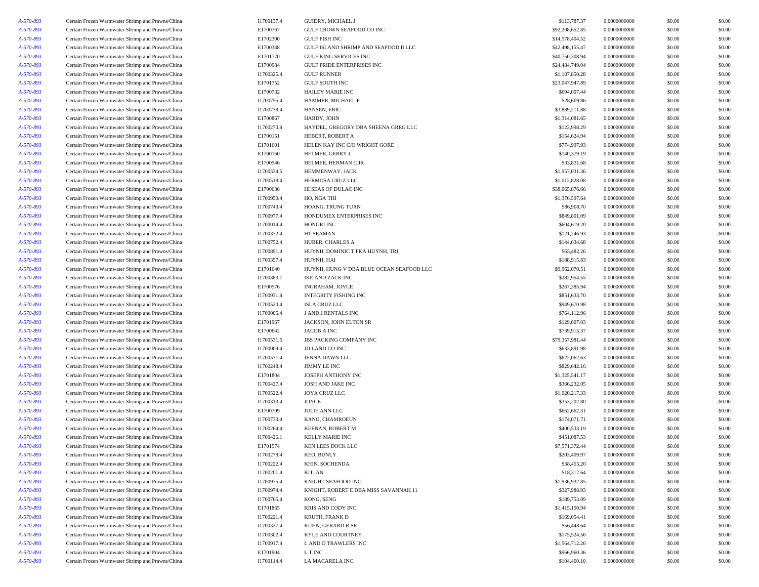| A-570-893 | Certain Frozen Warmwater Shrimp and Prawns/China | I1700137.4 | GUIDRY, MICHAEL J                        | \$113,787.37    | 0.0000000000 | \$0.00 | \$0.00 |
|-----------|--------------------------------------------------|------------|------------------------------------------|-----------------|--------------|--------|--------|
| A-570-893 | Certain Frozen Warmwater Shrimp and Prawns/China | E1700767   | GULF CROWN SEAFOOD CO INC                | \$92,208,652.85 | 0.0000000000 | \$0.00 | \$0.00 |
| A-570-893 | Certain Frozen Warmwater Shrimp and Prawns/China | E1702300   | <b>GULF FISH INC</b>                     | \$14,578,404.52 | 0.0000000000 | \$0.00 | \$0.00 |
| A-570-893 | Certain Frozen Warmwater Shrimp and Prawns/China | E1700348   | GULF ISLAND SHRIMP AND SEAFOOD II LLC    | \$42,498,155.47 | 0.0000000000 | \$0.00 | \$0.00 |
| A-570-893 | Certain Frozen Warmwater Shrimp and Prawns/China | E1701770   | <b>GULF KING SERVICES INC</b>            | \$40,750,308.94 | 0.0000000000 | \$0.00 | \$0.00 |
| A-570-893 | Certain Frozen Warmwater Shrimp and Prawns/China | E1700984   | <b>GULF PRIDE ENTERPRISES INC</b>        | \$24,484,749.04 | 0.0000000000 | \$0.00 | \$0.00 |
| A-570-893 | Certain Frozen Warmwater Shrimp and Prawns/China | I1700325.4 | <b>GULF RUNNER</b>                       | \$1,187,850.28  | 0.0000000000 | \$0.00 | \$0.00 |
| A-570-893 | Certain Frozen Warmwater Shrimp and Prawns/China | E1701752   | <b>GULF SOUTH INC</b>                    | \$23,047,947.89 | 0.0000000000 | \$0.00 | \$0.00 |
| A-570-893 | Certain Frozen Warmwater Shrimp and Prawns/China | E1700732   | <b>HAILEY MARIE INC</b>                  | \$694,007.44    | 0.0000000000 | \$0.00 | \$0.00 |
| A-570-893 | Certain Frozen Warmwater Shrimp and Prawns/China | I1700755.4 | HAMMER, MICHAEL P                        | \$28,609.86     | 0.0000000000 | \$0.00 | \$0.00 |
|           |                                                  |            |                                          |                 |              |        |        |
| A-570-893 | Certain Frozen Warmwater Shrimp and Prawns/China | I1700738.4 | HANSEN, ERIC                             | \$3,889,211.88  | 0.0000000000 | \$0.00 | \$0.00 |
| A-570-893 | Certain Frozen Warmwater Shrimp and Prawns/China | E1700867   | HARDY, JOHN                              | \$1,314,081.65  | 0.0000000000 | \$0.00 | \$0.00 |
| A-570-893 | Certain Frozen Warmwater Shrimp and Prawns/China | I1700270.4 | HAYDEL, GREGORY DBA SHEENA GREG LLC      | \$123,998.29    | 0.0000000000 | \$0.00 | \$0.00 |
| A-570-893 | Certain Frozen Warmwater Shrimp and Prawns/China | E1700151   | HEBERT, ROBERT A                         | \$154,624.94    | 0.0000000000 | \$0.00 | \$0.00 |
| A-570-893 | Certain Frozen Warmwater Shrimp and Prawns/China | E1701601   | HELEN KAY INC C/O WRIGHT GORE            | \$774,997.93    | 0.0000000000 | \$0.00 | \$0.00 |
| A-570-893 | Certain Frozen Warmwater Shrimp and Prawns/China | E1700160   | HELMER, GERRY J                          | \$140,379.19    | 0.0000000000 | \$0.00 | \$0.00 |
| A-570-893 | Certain Frozen Warmwater Shrimp and Prawns/China | E1700546   | HELMER, HERMAN C JR                      | \$33,831.68     | 0.0000000000 | \$0.00 | \$0.00 |
| A-570-893 | Certain Frozen Warmwater Shrimp and Prawns/China | I1700534.5 | HEMMENWAY, JACK                          | \$1,957,031.36  | 0.0000000000 | \$0.00 | \$0.00 |
| A-570-893 | Certain Frozen Warmwater Shrimp and Prawns/China | I1700518.4 | HERMOSA CRUZ LLC                         | \$1,012,828.08  | 0.0000000000 | \$0.00 | \$0.00 |
| A-570-893 | Certain Frozen Warmwater Shrimp and Prawns/China | E1700636   | HI SEAS OF DULAC INC                     | \$38,065,876.66 | 0.0000000000 | \$0.00 | \$0.00 |
| A-570-893 | Certain Frozen Warmwater Shrimp and Prawns/China | I1700950.4 | HO, NGA THI                              | \$1,376,597.64  | 0.0000000000 | \$0.00 | \$0.00 |
| A-570-893 | Certain Frozen Warmwater Shrimp and Prawns/China | I1700743.4 | HOANG, TRUNG TUAN                        | \$86,908.70     | 0.0000000000 | \$0.00 | \$0.00 |
| A-570-893 | Certain Frozen Warmwater Shrimp and Prawns/China | I1700977.4 | HONDUMEX ENTERPRISES INC                 | \$849,801.09    | 0.0000000000 | \$0.00 | \$0.00 |
| A-570-893 | Certain Frozen Warmwater Shrimp and Prawns/China | I1700014.4 | HONGRI INC                               | \$604,619.20    | 0.0000000000 | \$0.00 | \$0.00 |
| A-570-893 | Certain Frozen Warmwater Shrimp and Prawns/China | I1700372.4 | HT SEAMAN                                | \$121,246.93    | 0.0000000000 | \$0.00 | \$0.00 |
| A-570-893 | Certain Frozen Warmwater Shrimp and Prawns/China | I1700752.4 | HUBER, CHARLES A                         | \$144,634.68    | 0.0000000000 | \$0.00 | \$0.00 |
| A-570-893 | Certain Frozen Warmwater Shrimp and Prawns/China | I1700891.4 | HUYNH, DOMINIC T FKA HUYNH, TRI          | \$65,482.26     | 0.0000000000 | \$0.00 | \$0.00 |
| A-570-893 | Certain Frozen Warmwater Shrimp and Prawns/China | I1700357.4 | HUYNH, HAI                               | \$188,915.83    | 0.0000000000 | \$0.00 | \$0.00 |
| A-570-893 | Certain Frozen Warmwater Shrimp and Prawns/China | E1701640   | HUYNH, HUNG V DBA BLUE OCEAN SEAFOOD LLC | \$9,962,070.51  | 0.0000000000 | \$0.00 | \$0.00 |
| A-570-893 | Certain Frozen Warmwater Shrimp and Prawns/China | I1700383.1 | <b>IKE AND ZACK INC</b>                  | \$282,954.55    | 0.0000000000 | \$0.00 | \$0.00 |
| A-570-893 | Certain Frozen Warmwater Shrimp and Prawns/China | E1700576   | INGRAHAM, JOYCE                          | \$267,385.94    | 0.0000000000 | \$0.00 | \$0.00 |
|           |                                                  |            |                                          |                 | 0.0000000000 |        |        |
| A-570-893 | Certain Frozen Warmwater Shrimp and Prawns/China | I1700931.4 | INTEGRITY FISHING INC                    | \$851,633.70    | 0.0000000000 | \$0.00 | \$0.00 |
| A-570-893 | Certain Frozen Warmwater Shrimp and Prawns/China | I1700520.4 | <b>ISLA CRUZ LLC</b>                     | \$949,670.98    |              | \$0.00 | \$0.00 |
| A-570-893 | Certain Frozen Warmwater Shrimp and Prawns/China | I1700005.4 | J AND J RENTALS INC                      | \$764,112.96    | 0.0000000000 | \$0.00 | \$0.00 |
| A-570-893 | Certain Frozen Warmwater Shrimp and Prawns/China | E1701967   | JACKSON, JOHN ELTON SR                   | \$129,007.03    | 0.0000000000 | \$0.00 | \$0.00 |
| A-570-893 | Certain Frozen Warmwater Shrimp and Prawns/China | E1700642   | JACOB A INC                              | \$739,915.37    | 0.0000000000 | \$0.00 | \$0.00 |
| A-570-893 | Certain Frozen Warmwater Shrimp and Prawns/China | I1700531.5 | JBS PACKING COMPANY INC                  | \$79,357,981.44 | 0.0000000000 | \$0.00 | \$0.00 |
| A-570-893 | Certain Frozen Warmwater Shrimp and Prawns/China | I1700009.4 | <b>JD LAND CO INC</b>                    | \$633,891.98    | 0.0000000000 | \$0.00 | \$0.00 |
| A-570-893 | Certain Frozen Warmwater Shrimp and Prawns/China | I1700571.4 | JENNA DAWN LLC                           | \$622,062.63    | 0.0000000000 | \$0.00 | \$0.00 |
| A-570-893 | Certain Frozen Warmwater Shrimp and Prawns/China | I1700248.4 | JIMMY LE INC                             | \$829,642.16    | 0.0000000000 | \$0.00 | \$0.00 |
| A-570-893 | Certain Frozen Warmwater Shrimp and Prawns/China | E1701804   | JOSEPH ANTHONY INC                       | \$1,325,541.17  | 0.0000000000 | \$0.00 | \$0.00 |
| A-570-893 | Certain Frozen Warmwater Shrimp and Prawns/China | I1700427.4 | <b>JOSH AND JAKE INC</b>                 | \$366,232.05    | 0.0000000000 | \$0.00 | \$0.00 |
| A-570-893 | Certain Frozen Warmwater Shrimp and Prawns/China | I1700522.4 | JOYA CRUZ LLC                            | \$1,020,217.33  | 0.0000000000 | \$0.00 | \$0.00 |
| A-570-893 | Certain Frozen Warmwater Shrimp and Prawns/China | I1700313.4 | JOYCE                                    | \$353,202.80    | 0.0000000000 | \$0.00 | \$0.00 |
| A-570-893 | Certain Frozen Warmwater Shrimp and Prawns/China | E1700709   | JULIE ANN LLC                            | \$662,662.31    | 0.0000000000 | \$0.00 | \$0.00 |
| A-570-893 | Certain Frozen Warmwater Shrimp and Prawns/China | I1700733.4 | KANG, CHAMROEUN                          | \$174,071.71    | 0.0000000000 | \$0.00 | \$0.00 |
| A-570-893 | Certain Frozen Warmwater Shrimp and Prawns/China | I1700264.4 | KEENAN, ROBERT M                         | \$400,533.19    | 0.0000000000 | \$0.00 | \$0.00 |
| A-570-893 | Certain Frozen Warmwater Shrimp and Prawns/China | I1700426.1 | <b>KELLY MARIE INC</b>                   | \$451,087.53    | 0.0000000000 | \$0.00 | \$0.00 |
| A-570-893 | Certain Frozen Warmwater Shrimp and Prawns/China | E1701574   | KEN LEES DOCK LLC                        | \$7,571,372.44  | 0.0000000000 | \$0.00 | \$0.00 |
| A-570-893 | Certain Frozen Warmwater Shrimp and Prawns/China | I1700278.4 | KEO, BUNLY                               | \$203,409.97    | 0.0000000000 | \$0.00 | \$0.00 |
| A-570-893 | Certain Frozen Warmwater Shrimp and Prawns/China | I1700222.4 | KHIN, SOCHENDA                           | \$38,455.20     | 0.0000000000 | \$0.00 | \$0.00 |
| A-570-893 | Certain Frozen Warmwater Shrimp and Prawns/China | I1700201.4 | KIT, AN                                  | \$18,317.64     | 0.0000000000 | \$0.00 | \$0.00 |
| A-570-893 | Certain Frozen Warmwater Shrimp and Prawns/China | I1700975.4 | KNIGHT SEAFOOD INC                       | \$1,936,932.85  | 0.0000000000 | \$0.00 | \$0.00 |
| A-570-893 | Certain Frozen Warmwater Shrimp and Prawns/China | I1700974.4 | KNIGHT, ROBERT E DBA MISS SAVANNAH 11    | \$327,988.93    | 0.0000000000 | \$0.00 | \$0.00 |
|           | Certain Frozen Warmwater Shrimp and Prawns/China | I1700765.4 | KONG, SENG                               | \$189,753.09    | 0.0000000000 | \$0.00 | \$0.00 |
| A-570-893 |                                                  |            |                                          |                 |              |        |        |
| A-570-893 | Certain Frozen Warmwater Shrimp and Prawns/China | E1701865   | KRIS AND CODY INC                        | \$1,415,150.94  | 0.0000000000 | \$0.00 | \$0.00 |
| A-570-893 | Certain Frozen Warmwater Shrimp and Prawns/China | I1700221.4 | KRUTH, FRANK D                           | \$169,054.41    | 0.0000000000 | \$0.00 | \$0.00 |
| A-570-893 | Certain Frozen Warmwater Shrimp and Prawns/China | I1700327.4 | KUHN, GERARD R SR                        | \$56,448.64     | 0.0000000000 | \$0.00 | \$0.00 |
| A-570-893 | Certain Frozen Warmwater Shrimp and Prawns/China | I1700302.4 | <b>KYLE AND COURTNEY</b>                 | \$175,524.56    | 0.0000000000 | \$0.00 | \$0.00 |
| A-570-893 | Certain Frozen Warmwater Shrimp and Prawns/China | I1700917.4 | L AND O TRAWLERS INC                     | \$1,564,712.26  | 0.0000000000 | \$0.00 | \$0.00 |
| A-570-893 | Certain Frozen Warmwater Shrimp and Prawns/China | E1701904   | L T INC                                  | \$966,960.36    | 0.0000000000 | \$0.00 | \$0.00 |
| A-570-893 | Certain Frozen Warmwater Shrimp and Prawns/China | I1700114.4 | LA MACARELA INC                          | \$104,460.10    | 0.0000000000 | \$0.00 | \$0.00 |
|           |                                                  |            |                                          |                 |              |        |        |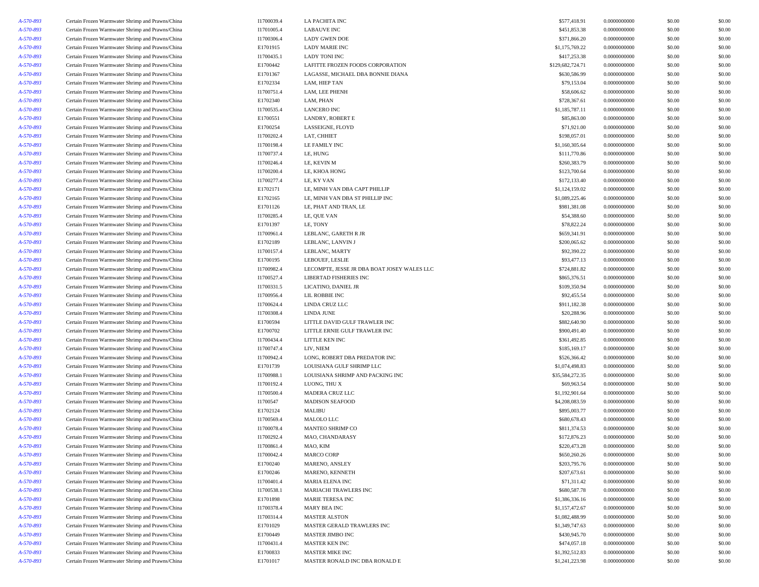| A-570-893              | Certain Frozen Warmwater Shrimp and Prawns/China | I1700039.4 | <b>LA PACHITA INC</b>                       | \$577,418.91     | 0.0000000000                 | \$0.00           | \$0.00           |
|------------------------|--------------------------------------------------|------------|---------------------------------------------|------------------|------------------------------|------------------|------------------|
| A-570-893              | Certain Frozen Warmwater Shrimp and Prawns/China | I1701005.4 | <b>LABAUVE INC</b>                          | \$451,853.38     | 0.0000000000                 | \$0.00           | \$0.00           |
| A-570-893              | Certain Frozen Warmwater Shrimp and Prawns/China | 11700306.4 | <b>LADY GWEN DOE</b>                        | \$371,866.20     | 0.0000000000                 | \$0.00           | \$0.00           |
| A-570-893              | Certain Frozen Warmwater Shrimp and Prawns/China | E1701915   | <b>LADY MARIE INC</b>                       | \$1,175,769.22   | 0.0000000000                 | \$0.00           | \$0.00           |
| A-570-893              | Certain Frozen Warmwater Shrimp and Prawns/China | I1700435.1 | <b>LADY TONI INC</b>                        | \$417,253.38     | 0.0000000000                 | \$0.00           | \$0.00           |
| A-570-893              | Certain Frozen Warmwater Shrimp and Prawns/China | E1700442   | LAFITTE FROZEN FOODS CORPORATION            | \$129,682,724.71 | 0.0000000000                 | \$0.00           | \$0.00           |
| A-570-893              | Certain Frozen Warmwater Shrimp and Prawns/China | E1701367   | LAGASSE, MICHAEL DBA BONNIE DIANA           | \$630,586.99     | 0.0000000000                 | \$0.00           | \$0.00           |
| A-570-893              | Certain Frozen Warmwater Shrimp and Prawns/China | E1702334   | LAM, HIEP TAN                               | \$79,153.04      | 0.0000000000                 | \$0.00           | \$0.00           |
| A-570-893              | Certain Frozen Warmwater Shrimp and Prawns/China | I1700751.4 | LAM, LEE PHENH                              | \$58,606.62      | 0.0000000000                 | \$0.00           | \$0.00           |
| A-570-893              | Certain Frozen Warmwater Shrimp and Prawns/China | E1702340   | LAM, PHAN                                   | \$728,367.61     | 0.0000000000                 | \$0.00           | \$0.00           |
| A-570-893              | Certain Frozen Warmwater Shrimp and Prawns/China | I1700535.4 | <b>LANCERO INC</b>                          | \$1,185,787.11   | 0.0000000000                 | \$0.00           | \$0.00           |
| A-570-893              | Certain Frozen Warmwater Shrimp and Prawns/China | E1700551   | LANDRY, ROBERT E                            | \$85,863.00      | 0.0000000000                 | \$0.00           | \$0.00           |
| A-570-893              | Certain Frozen Warmwater Shrimp and Prawns/China | E1700254   | LASSEIGNE, FLOYD                            | \$71,921.00      | 0.0000000000                 | \$0.00           | \$0.00           |
| A-570-893              | Certain Frozen Warmwater Shrimp and Prawns/China | I1700202.4 | LAT, CHHIET                                 | \$198,057.01     | 0.0000000000                 | \$0.00           | \$0.00           |
| A-570-893              | Certain Frozen Warmwater Shrimp and Prawns/China | I1700198.4 | LE FAMILY INC                               | \$1,160,305.64   | 0.0000000000                 | \$0.00           | \$0.00           |
| A-570-893              | Certain Frozen Warmwater Shrimp and Prawns/China | I1700737.4 | LE, HUNG                                    | \$111,770.86     | 0.0000000000                 | \$0.00           | \$0.00           |
| A-570-893              | Certain Frozen Warmwater Shrimp and Prawns/China | I1700246.4 | LE, KEVIN M                                 | \$260,383.79     | 0.0000000000                 | \$0.00           | \$0.00           |
| A-570-893              | Certain Frozen Warmwater Shrimp and Prawns/China | I1700200.4 | LE, KHOA HONG                               | \$123,700.64     | 0.0000000000                 | \$0.00           | \$0.00           |
| A-570-893              | Certain Frozen Warmwater Shrimp and Prawns/China | I1700277.4 | LE, KY VAN                                  | \$172,133.40     | 0.0000000000                 | \$0.00           | \$0.00           |
| A-570-893              | Certain Frozen Warmwater Shrimp and Prawns/China | E1702171   | LE, MINH VAN DBA CAPT PHILLIP               | \$1,124,159.02   | 0.0000000000                 | \$0.00           | \$0.00           |
| A-570-893              | Certain Frozen Warmwater Shrimp and Prawns/China | E1702165   | LE, MINH VAN DBA ST PHILLIP INC             | \$1,089,225.46   | 0.0000000000                 | \$0.00           | \$0.00           |
| A-570-893              | Certain Frozen Warmwater Shrimp and Prawns/China | E1701126   | LE, PHAT AND TRAN, LE                       | \$981,381.08     | 0.0000000000                 | \$0.00           | \$0.00           |
| A-570-893              | Certain Frozen Warmwater Shrimp and Prawns/China | I1700285.4 | LE, QUE VAN                                 | \$54,388.60      | 0.0000000000                 | \$0.00           | \$0.00           |
| A-570-893              | Certain Frozen Warmwater Shrimp and Prawns/China | E1701397   | LE, TONY                                    | \$78,822.24      | 0.0000000000                 | \$0.00           | \$0.00           |
| A-570-893              | Certain Frozen Warmwater Shrimp and Prawns/China | I1700961.4 | LEBLANC, GARETH R JR                        | \$659,341.91     | 0.0000000000                 | \$0.00           | \$0.00           |
| A-570-893              | Certain Frozen Warmwater Shrimp and Prawns/China | E1702189   | LEBLANC, LANVIN J                           | \$200,065.62     | 0.0000000000                 | \$0.00           | \$0.00           |
| A-570-893              | Certain Frozen Warmwater Shrimp and Prawns/China | I1700157.4 | LEBLANC, MARTY                              | \$92,390.22      | 0.0000000000                 | \$0.00           | \$0.00           |
| A-570-893              | Certain Frozen Warmwater Shrimp and Prawns/China | E1700195   | LEBOUEF, LESLIE                             | \$93,477.13      | 0.0000000000                 | \$0.00           | \$0.00           |
|                        | Certain Frozen Warmwater Shrimp and Prawns/China | I1700982.4 | LECOMPTE, JESSE JR DBA BOAT JOSEY WALES LLC | \$724,881.82     | 0.0000000000                 | \$0.00           | \$0.00           |
| A-570-893<br>A-570-893 | Certain Frozen Warmwater Shrimp and Prawns/China | I1700527.4 | <b>LIBERTAD FISHERIES INC</b>               | \$865,376.51     | 0.0000000000                 | \$0.00           | \$0.00           |
|                        |                                                  | I1700331.5 | LICATINO, DANIEL JR                         | \$109,350.94     | 0.0000000000                 | \$0.00           | \$0.00           |
| A-570-893              | Certain Frozen Warmwater Shrimp and Prawns/China |            |                                             |                  |                              |                  |                  |
| A-570-893<br>A-570-893 | Certain Frozen Warmwater Shrimp and Prawns/China | I1700956.4 | LIL ROBBIE INC                              | \$92,455.54      | 0.0000000000                 | \$0.00           | \$0.00           |
|                        | Certain Frozen Warmwater Shrimp and Prawns/China | I1700624.4 | LINDA CRUZ LLC                              | \$911,182.38     | 0.0000000000                 | \$0.00           | \$0.00           |
| A-570-893              | Certain Frozen Warmwater Shrimp and Prawns/China | I1700308.4 | LINDA JUNE<br>LITTLE DAVID GULF TRAWLER INC | \$20,288.96      | 0.0000000000<br>0.0000000000 | \$0.00<br>\$0.00 | \$0.00<br>\$0.00 |
| A-570-893              | Certain Frozen Warmwater Shrimp and Prawns/China | E1700594   |                                             | \$882,640.90     |                              |                  |                  |
| A-570-893              | Certain Frozen Warmwater Shrimp and Prawns/China | E1700702   | LITTLE ERNIE GULF TRAWLER INC               | \$900,491.40     | 0.0000000000                 | \$0.00           | \$0.00           |
| A-570-893              | Certain Frozen Warmwater Shrimp and Prawns/China | I1700434.4 | LITTLE KEN INC                              | \$361,492.85     | 0.0000000000                 | \$0.00           | \$0.00           |
| A-570-893              | Certain Frozen Warmwater Shrimp and Prawns/China | I1700747.4 | LIV, NIEM                                   | \$185,169.17     | 0.0000000000                 | \$0.00           | \$0.00           |
| A-570-893              | Certain Frozen Warmwater Shrimp and Prawns/China | I1700942.4 | LONG, ROBERT DBA PREDATOR INC               | \$526,366.42     | 0.0000000000                 | \$0.00           | \$0.00           |
| A-570-893              | Certain Frozen Warmwater Shrimp and Prawns/China | E1701739   | LOUISIANA GULF SHRIMP LLC                   | \$1,074,498.83   | 0.0000000000                 | \$0.00           | \$0.00           |
| A-570-893              | Certain Frozen Warmwater Shrimp and Prawns/China | I1700988.1 | LOUISIANA SHRIMP AND PACKING INC            | \$35,584,272.35  | 0.0000000000                 | \$0.00           | \$0.00           |
| A-570-893              | Certain Frozen Warmwater Shrimp and Prawns/China | I1700192.4 | LUONG, THU X                                | \$69,963.54      | 0.0000000000                 | \$0.00           | \$0.00           |
| A-570-893              | Certain Frozen Warmwater Shrimp and Prawns/China | I1700500.4 | MADERA CRUZ LLC                             | \$1,192,901.64   | 0.0000000000                 | \$0.00           | \$0.00           |
| A-570-893              | Certain Frozen Warmwater Shrimp and Prawns/China | I1700547   | <b>MADISON SEAFOOD</b>                      | \$4,208,083.59   | 0.0000000000                 | \$0.00           | \$0.00           |
| A-570-893              | Certain Frozen Warmwater Shrimp and Prawns/China | E1702124   | MALIBU                                      | \$895,003.77     | 0.0000000000                 | \$0.00           | \$0.00           |
| A-570-893              | Certain Frozen Warmwater Shrimp and Prawns/China | I1700569.4 | MALOLO LLC                                  | \$680,678.43     | 0.0000000000                 | \$0.00           | \$0.00           |
| A-570-893              | Certain Frozen Warmwater Shrimp and Prawns/China | I1700078.4 | <b>MANTEO SHRIMP CO</b>                     | \$811,374.53     | 0.0000000000                 | \$0.00           | \$0.00           |
| A-570-893              | Certain Frozen Warmwater Shrimp and Prawns/China | I1700292.4 | MAO, CHANDARASY                             | \$172,876.23     | 0.0000000000                 | \$0.00           | \$0.00           |
| A-570-893              | Certain Frozen Warmwater Shrimp and Prawns/China | 11700861.4 | MAO, KIM                                    | \$220,473.28     | 0.0000000000                 | \$0.00           | \$0.00           |
| A-570-893              | Certain Frozen Warmwater Shrimp and Prawns/China | I1700042.4 | <b>MARCO CORP</b>                           | \$650,260.26     | 0.0000000000                 | \$0.00           | \$0.00           |
| A-570-893              | Certain Frozen Warmwater Shrimp and Prawns/China | E1700240   | MARENO, ANSLEY                              | \$203,795.76     | 0.0000000000                 | \$0.00           | \$0.00           |
| A-570-893              | Certain Frozen Warmwater Shrimp and Prawns/China | E1700246   | MARENO, KENNETH                             | \$207,673.61     | 0.0000000000                 | \$0.00           | \$0.00           |
| A-570-893              | Certain Frozen Warmwater Shrimp and Prawns/China | I1700401.4 | <b>MARIA ELENA INC</b>                      | \$71,311.42      | 0.0000000000                 | \$0.00           | \$0.00           |
| A-570-893              | Certain Frozen Warmwater Shrimp and Prawns/China | I1700538.1 | MARIACHI TRAWLERS INC                       | \$680,587.78     | 0.0000000000                 | \$0.00           | \$0.00           |
| A-570-893              | Certain Frozen Warmwater Shrimp and Prawns/China | E1701898   | <b>MARIE TERESA INC</b>                     | \$1,386,336.16   | 0.0000000000                 | \$0.00           | \$0.00           |
| A-570-893              | Certain Frozen Warmwater Shrimp and Prawns/China | I1700378.4 | MARY BEA INC                                | \$1,157,472.67   | 0.0000000000                 | \$0.00           | \$0.00           |
| A-570-893              | Certain Frozen Warmwater Shrimp and Prawns/China | I1700314.4 | <b>MASTER ALSTON</b>                        | \$1,082,488.99   | 0.0000000000                 | \$0.00           | \$0.00           |
| A-570-893              | Certain Frozen Warmwater Shrimp and Prawns/China | E1701029   | MASTER GERALD TRAWLERS INC                  | \$1,349,747.63   | 0.0000000000                 | \$0.00           | \$0.00           |
| A-570-893              | Certain Frozen Warmwater Shrimp and Prawns/China | E1700449   | MASTER JIMBO INC                            | \$430,945.70     | 0.0000000000                 | \$0.00           | \$0.00           |
| A-570-893              | Certain Frozen Warmwater Shrimp and Prawns/China | I1700431.4 | MASTER KEN INC                              | \$474,057.18     | 0.0000000000                 | \$0.00           | \$0.00           |
| A-570-893              | Certain Frozen Warmwater Shrimp and Prawns/China | E1700833   | <b>MASTER MIKE INC</b>                      | \$1,392,512.83   | 0.0000000000                 | \$0.00           | \$0.00           |
| A-570-893              | Certain Frozen Warmwater Shrimp and Prawns/China | E1701017   | MASTER RONALD INC DBA RONALD E              | \$1,241,223.98   | 0.0000000000                 | \$0.00           | \$0.00           |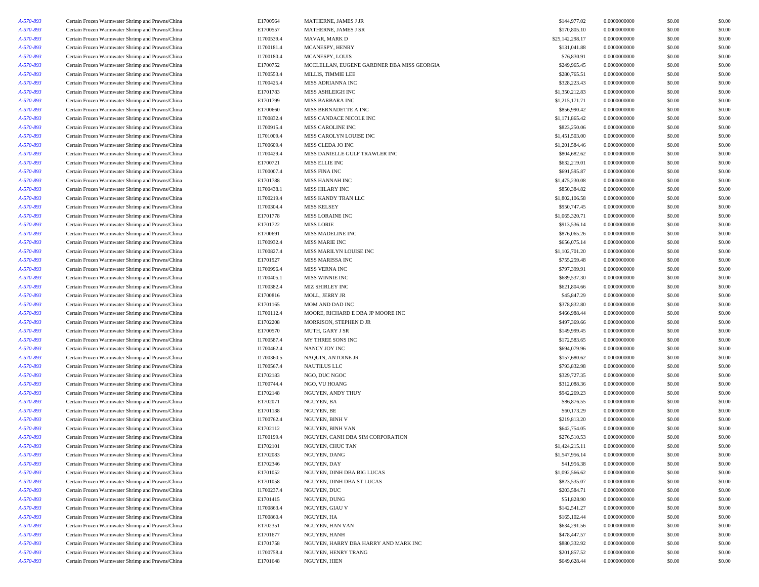| A-570-893 | Certain Frozen Warmwater Shrimp and Prawns/China | E1700564   | MATHERNE, JAMES J JR                       | \$144,977.02    | 0.0000000000 | \$0.00 | \$0.00 |
|-----------|--------------------------------------------------|------------|--------------------------------------------|-----------------|--------------|--------|--------|
| A-570-893 | Certain Frozen Warmwater Shrimp and Prawns/China | E1700557   | MATHERNE, JAMES J SR                       | \$170,805.10    | 0.0000000000 | \$0.00 | \$0.00 |
| A-570-893 | Certain Frozen Warmwater Shrimp and Prawns/China | I1700539.4 | MAVAR, MARK D                              | \$25,142,298.17 | 0.0000000000 | \$0.00 | \$0.00 |
| A-570-893 | Certain Frozen Warmwater Shrimp and Prawns/China | I1700181.4 | MCANESPY, HENRY                            | \$131,041.88    | 0.0000000000 | \$0.00 | \$0.00 |
| A-570-893 | Certain Frozen Warmwater Shrimp and Prawns/China | I1700180.4 | MCANESPY, LOUIS                            | \$76,830.91     | 0.0000000000 | \$0.00 | \$0.00 |
| A-570-893 | Certain Frozen Warmwater Shrimp and Prawns/China | E1700752   | MCCLELLAN, EUGENE GARDNER DBA MISS GEORGIA | \$249,965.45    | 0.0000000000 | \$0.00 | \$0.00 |
| A-570-893 | Certain Frozen Warmwater Shrimp and Prawns/China | I1700553.4 | MILLIS, TIMMIE LEE                         | \$280,765.51    | 0.0000000000 | \$0.00 | \$0.00 |
| A-570-893 | Certain Frozen Warmwater Shrimp and Prawns/China | I1700425.4 | MISS ADRIANNA INC                          | \$328,223.43    | 0.0000000000 | \$0.00 | \$0.00 |
| A-570-893 | Certain Frozen Warmwater Shrimp and Prawns/China | E1701783   | MISS ASHLEIGH INC                          | \$1,350,212.83  | 0.0000000000 | \$0.00 | \$0.00 |
| A-570-893 | Certain Frozen Warmwater Shrimp and Prawns/China | E1701799   | MISS BARBARA INC                           | \$1,215,171.71  | 0.0000000000 | \$0.00 | \$0.00 |
| A-570-893 | Certain Frozen Warmwater Shrimp and Prawns/China | E1700660   | MISS BERNADETTE A INC                      | \$856,990.42    | 0.0000000000 | \$0.00 | \$0.00 |
| A-570-893 | Certain Frozen Warmwater Shrimp and Prawns/China | I1700832.4 | MISS CANDACE NICOLE INC                    | \$1,171,865.42  | 0.0000000000 | \$0.00 | \$0.00 |
| A-570-893 | Certain Frozen Warmwater Shrimp and Prawns/China | I1700915.4 | MISS CAROLINE INC                          | \$823,250.06    | 0.0000000000 | \$0.00 | \$0.00 |
| A-570-893 | Certain Frozen Warmwater Shrimp and Prawns/China | I1701009.4 | MISS CAROLYN LOUISE INC                    | \$1,451,503.00  | 0.0000000000 | \$0.00 | \$0.00 |
| A-570-893 | Certain Frozen Warmwater Shrimp and Prawns/China | I1700609.4 | MISS CLEDA JO INC                          | \$1,201,584.46  | 0.0000000000 | \$0.00 | \$0.00 |
| A-570-893 | Certain Frozen Warmwater Shrimp and Prawns/China | I1700429.4 | MISS DANIELLE GULF TRAWLER INC             | \$804,682.62    | 0.0000000000 | \$0.00 | \$0.00 |
| A-570-893 | Certain Frozen Warmwater Shrimp and Prawns/China | E1700721   | MISS ELLIE INC                             | \$632,219.01    | 0.0000000000 | \$0.00 | \$0.00 |
| A-570-893 | Certain Frozen Warmwater Shrimp and Prawns/China | I1700007.4 | <b>MISS FINA INC</b>                       | \$691,595.87    | 0.0000000000 | \$0.00 | \$0.00 |
| A-570-893 | Certain Frozen Warmwater Shrimp and Prawns/China | E1701788   | MISS HANNAH INC                            | \$1,475,230.08  | 0.0000000000 | \$0.00 | \$0.00 |
| A-570-893 | Certain Frozen Warmwater Shrimp and Prawns/China | I1700438.1 | MISS HILARY INC                            | \$850,384.82    | 0.0000000000 | \$0.00 | \$0.00 |
| A-570-893 | Certain Frozen Warmwater Shrimp and Prawns/China | I1700219.4 | MISS KANDY TRAN LLC                        | \$1,802,106.58  | 0.0000000000 | \$0.00 | \$0.00 |
| A-570-893 | Certain Frozen Warmwater Shrimp and Prawns/China | I1700304.4 | <b>MISS KELSEY</b>                         | \$950,747.45    | 0.0000000000 | \$0.00 | \$0.00 |
| A-570-893 | Certain Frozen Warmwater Shrimp and Prawns/China | E1701778   | MISS LORAINE INC                           | \$1,065,320.71  | 0.0000000000 | \$0.00 | \$0.00 |
| A-570-893 | Certain Frozen Warmwater Shrimp and Prawns/China | E1701722   | <b>MISS LORIE</b>                          | \$913,536.14    | 0.0000000000 | \$0.00 | \$0.00 |
| A-570-893 | Certain Frozen Warmwater Shrimp and Prawns/China | E1700691   | MISS MADELINE INC                          | \$876,065.26    | 0.0000000000 | \$0.00 | \$0.00 |
| A-570-893 | Certain Frozen Warmwater Shrimp and Prawns/China | I1700932.4 | <b>MISS MARIE INC</b>                      | \$656,075.14    | 0.0000000000 | \$0.00 | \$0.00 |
| A-570-893 | Certain Frozen Warmwater Shrimp and Prawns/China | I1700827.4 | MISS MARILYN LOUISE INC                    | \$1,102,701.20  | 0.0000000000 | \$0.00 | \$0.00 |
| A-570-893 | Certain Frozen Warmwater Shrimp and Prawns/China | E1701927   | MISS MARISSA INC                           | \$755,259.48    | 0.0000000000 | \$0.00 | \$0.00 |
| A-570-893 | Certain Frozen Warmwater Shrimp and Prawns/China | I1700996.4 | MISS VERNA INC                             | \$797,399.91    | 0.0000000000 | \$0.00 | \$0.00 |
| A-570-893 | Certain Frozen Warmwater Shrimp and Prawns/China | I1700405.1 | MISS WINNIE INC                            | \$689,537.30    | 0.0000000000 | \$0.00 | \$0.00 |
| A-570-893 | Certain Frozen Warmwater Shrimp and Prawns/China | I1700382.4 | <b>MIZ SHIRLEY INC</b>                     | \$621,804.66    | 0.0000000000 | \$0.00 | \$0.00 |
| A-570-893 | Certain Frozen Warmwater Shrimp and Prawns/China | E1700816   | MOLL, JERRY JR                             | \$45,847.29     | 0.0000000000 | \$0.00 | \$0.00 |
| A-570-893 | Certain Frozen Warmwater Shrimp and Prawns/China | E1701165   | MOM AND DAD INC                            | \$378,832.80    | 0.0000000000 | \$0.00 | \$0.00 |
| A-570-893 | Certain Frozen Warmwater Shrimp and Prawns/China | I1700112.4 | MOORE, RICHARD E DBA JP MOORE INC          | \$466,988.44    | 0.0000000000 | \$0.00 | \$0.00 |
| A-570-893 | Certain Frozen Warmwater Shrimp and Prawns/China | E1702208   | MORRISON, STEPHEN D JR                     | \$497,369.66    | 0.0000000000 | \$0.00 | \$0.00 |
| A-570-893 | Certain Frozen Warmwater Shrimp and Prawns/China | E1700570   | MUTH, GARY J SR                            | \$149,999.45    | 0.0000000000 | \$0.00 | \$0.00 |
| A-570-893 | Certain Frozen Warmwater Shrimp and Prawns/China | I1700587.4 | MY THREE SONS INC                          | \$172,583.65    | 0.0000000000 | \$0.00 | \$0.00 |
| A-570-893 | Certain Frozen Warmwater Shrimp and Prawns/China | I1700462.4 | NANCY JOY INC                              | \$694,079.96    | 0.0000000000 | \$0.00 | \$0.00 |
| A-570-893 | Certain Frozen Warmwater Shrimp and Prawns/China | I1700360.5 | NAQUIN, ANTOINE JR                         | \$157,680.62    | 0.0000000000 | \$0.00 | \$0.00 |
| A-570-893 | Certain Frozen Warmwater Shrimp and Prawns/China | I1700567.4 | <b>NAUTILUS LLC</b>                        | \$793,832.98    | 0.0000000000 | \$0.00 | \$0.00 |
| A-570-893 | Certain Frozen Warmwater Shrimp and Prawns/China | E1702183   | NGO, DUC NGOC                              | \$329,727.35    | 0.0000000000 | \$0.00 | \$0.00 |
| A-570-893 | Certain Frozen Warmwater Shrimp and Prawns/China | I1700744.4 | NGO, VU HOANG                              | \$312,088.36    | 0.0000000000 | \$0.00 | \$0.00 |
| A-570-893 | Certain Frozen Warmwater Shrimp and Prawns/China | E1702148   | NGUYEN, ANDY THUY                          | \$942,269.23    | 0.0000000000 | \$0.00 | \$0.00 |
| A-570-893 | Certain Frozen Warmwater Shrimp and Prawns/China | E1702071   | NGUYEN, BA                                 | \$86,876.55     | 0.0000000000 | \$0.00 | \$0.00 |
| A-570-893 | Certain Frozen Warmwater Shrimp and Prawns/China | E1701138   | NGUYEN, BE                                 | \$60,173.29     | 0.0000000000 | \$0.00 | \$0.00 |
| A-570-893 | Certain Frozen Warmwater Shrimp and Prawns/China | I1700762.4 | <b>NGUYEN, BINH V</b>                      | \$219,813.20    | 0.0000000000 | \$0.00 | \$0.00 |
| A-570-893 | Certain Frozen Warmwater Shrimp and Prawns/China | E1702112   | NGUYEN, BINH VAN                           | \$642,754.05    | 0.0000000000 | \$0.00 | \$0.00 |
| A-570-893 | Certain Frozen Warmwater Shrimp and Prawns/China | I1700199.4 | NGUYEN, CANH DBA SIM CORPORATION           | \$276,510.53    | 0.0000000000 | \$0.00 | \$0.00 |
| A-570-893 | Certain Frozen Warmwater Shrimp and Prawns/China | E1702101   | NGUYEN, CHUC TAN                           | \$1,424,215.11  | 0.0000000000 | \$0.00 | \$0.00 |
| A-570-893 | Certain Frozen Warmwater Shrimp and Prawns/China | E1702083   | NGUYEN, DANG                               | \$1,547,956.14  | 0.0000000000 | \$0.00 | \$0.00 |
| A-570-893 | Certain Frozen Warmwater Shrimp and Prawns/China | E1702346   | NGUYEN, DAY                                | \$41,956.38     | 0.0000000000 | \$0.00 | \$0.00 |
| A-570-893 | Certain Frozen Warmwater Shrimp and Prawns/China | E1701052   | NGUYEN, DINH DBA BIG LUCAS                 | \$1,092,566.62  | 0.0000000000 | \$0.00 | \$0.00 |
| A-570-893 | Certain Frozen Warmwater Shrimp and Prawns/China | E1701058   | NGUYEN, DINH DBA ST LUCAS                  | \$823,535.07    | 0.0000000000 | \$0.00 | \$0.00 |
| A-570-893 | Certain Frozen Warmwater Shrimp and Prawns/China | I1700237.4 | NGUYEN, DUC                                | \$203,584.71    | 0.0000000000 | \$0.00 | \$0.00 |
| A-570-893 | Certain Frozen Warmwater Shrimp and Prawns/China | E1701415   | NGUYEN, DUNG                               | \$51,828.90     | 0.0000000000 | \$0.00 | \$0.00 |
| A-570-893 | Certain Frozen Warmwater Shrimp and Prawns/China | I1700863.4 | NGUYEN, GIAU V                             | \$142,541.27    | 0.0000000000 | \$0.00 | \$0.00 |
| A-570-893 | Certain Frozen Warmwater Shrimp and Prawns/China | I1700860.4 | NGUYEN, HA                                 | \$165,102.44    | 0.0000000000 | \$0.00 | \$0.00 |
| A-570-893 | Certain Frozen Warmwater Shrimp and Prawns/China | E1702351   | NGUYEN, HAN VAN                            | \$634,291.56    | 0.0000000000 | \$0.00 | \$0.00 |
| A-570-893 | Certain Frozen Warmwater Shrimp and Prawns/China | E1701677   | NGUYEN, HANH                               | \$478,447.57    | 0.0000000000 | \$0.00 | \$0.00 |
| A-570-893 | Certain Frozen Warmwater Shrimp and Prawns/China | E1701758   | NGUYEN, HARRY DBA HARRY AND MARK INC       | \$880,332.92    | 0.0000000000 | \$0.00 | \$0.00 |
| A-570-893 | Certain Frozen Warmwater Shrimp and Prawns/China | I1700758.4 | NGUYEN, HENRY TRANG                        | \$201,857.52    | 0.0000000000 | \$0.00 | \$0.00 |
| A-570-893 | Certain Frozen Warmwater Shrimp and Prawns/China | E1701648   | NGUYEN, HIEN                               | \$649,628.44    | 0.0000000000 | \$0.00 | \$0.00 |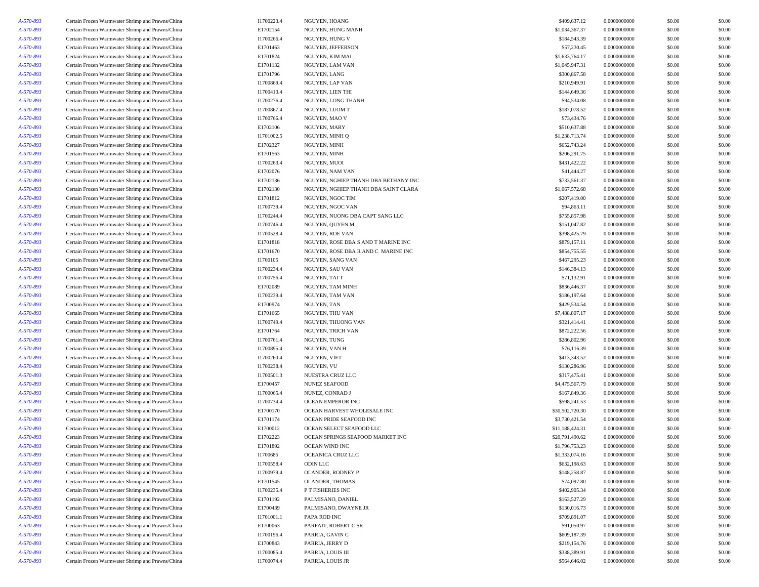| A-570-893 | Certain Frozen Warmwater Shrimp and Prawns/China | I1700223.4 | NGUYEN, HOANG                        | \$409,637.12    | 0.0000000000 | \$0.00 | \$0.00 |
|-----------|--------------------------------------------------|------------|--------------------------------------|-----------------|--------------|--------|--------|
| A-570-893 | Certain Frozen Warmwater Shrimp and Prawns/China | E1702154   | NGUYEN, HUNG MANH                    | \$1,034,367.37  | 0.0000000000 | \$0.00 | \$0.00 |
| A-570-893 | Certain Frozen Warmwater Shrimp and Prawns/China | I1700266.4 | NGUYEN, HUNG V                       | \$184,543.39    | 0.0000000000 | \$0.00 | \$0.00 |
| A-570-893 | Certain Frozen Warmwater Shrimp and Prawns/China | E1701463   | NGUYEN, JEFFERSON                    | \$57,230.45     | 0.0000000000 | \$0.00 | \$0.00 |
| A-570-893 | Certain Frozen Warmwater Shrimp and Prawns/China | E1701824   | NGUYEN, KIM MAI                      | \$1,633,764.17  | 0.0000000000 | \$0.00 | \$0.00 |
| A-570-893 | Certain Frozen Warmwater Shrimp and Prawns/China | E1701132   | NGUYEN, LAM VAN                      | \$1,045,947.31  | 0.0000000000 | \$0.00 | \$0.00 |
| A-570-893 | Certain Frozen Warmwater Shrimp and Prawns/China | E1701796   | NGUYEN, LANG                         | \$300,867.58    | 0.0000000000 | \$0.00 | \$0.00 |
| A-570-893 | Certain Frozen Warmwater Shrimp and Prawns/China | I1700869.4 | NGUYEN, LAP VAN                      | \$210,949.91    | 0.0000000000 | \$0.00 | \$0.00 |
| A-570-893 | Certain Frozen Warmwater Shrimp and Prawns/China | I1700413.4 | NGUYEN, LIEN THI                     | \$144,649.36    | 0.0000000000 | \$0.00 | \$0.00 |
| A-570-893 | Certain Frozen Warmwater Shrimp and Prawns/China | I1700276.4 | NGUYEN, LONG THANH                   | \$94,534.08     | 0.0000000000 | \$0.00 | \$0.00 |
| A-570-893 | Certain Frozen Warmwater Shrimp and Prawns/China | I1700867.4 | NGUYEN, LUOM T                       | \$187,078.52    | 0.0000000000 | \$0.00 | \$0.00 |
| A-570-893 | Certain Frozen Warmwater Shrimp and Prawns/China | I1700766.4 | NGUYEN, MAO V                        | \$73,434.76     | 0.0000000000 | \$0.00 | \$0.00 |
| A-570-893 | Certain Frozen Warmwater Shrimp and Prawns/China | E1702106   | NGUYEN, MARY                         | \$510,637.88    | 0.0000000000 | \$0.00 | \$0.00 |
| A-570-893 | Certain Frozen Warmwater Shrimp and Prawns/China | I1701002.5 | NGUYEN, MINH Q                       | \$1,238,713.74  | 0.0000000000 | \$0.00 | \$0.00 |
|           |                                                  | E1702327   | NGUYEN, MINH                         |                 |              |        |        |
| A-570-893 | Certain Frozen Warmwater Shrimp and Prawns/China |            |                                      | \$652,743.24    | 0.0000000000 | \$0.00 | \$0.00 |
| A-570-893 | Certain Frozen Warmwater Shrimp and Prawns/China | E1701563   | NGUYEN, MINH                         | \$206,291.75    | 0.0000000000 | \$0.00 | \$0.00 |
| A-570-893 | Certain Frozen Warmwater Shrimp and Prawns/China | I1700263.4 | NGUYEN, MUOI                         | \$431,422.22    | 0.0000000000 | \$0.00 | \$0.00 |
| A-570-893 | Certain Frozen Warmwater Shrimp and Prawns/China | E1702076   | NGUYEN, NAM VAN                      | \$41,444.27     | 0.0000000000 | \$0.00 | \$0.00 |
| A-570-893 | Certain Frozen Warmwater Shrimp and Prawns/China | E1702136   | NGUYEN, NGHIEP THANH DBA BETHANY INC | \$733,561.37    | 0.0000000000 | \$0.00 | \$0.00 |
| A-570-893 | Certain Frozen Warmwater Shrimp and Prawns/China | E1702130   | NGUYEN, NGHIEP THANH DBA SAINT CLARA | \$1,067,572.68  | 0.0000000000 | \$0.00 | \$0.00 |
| A-570-893 | Certain Frozen Warmwater Shrimp and Prawns/China | E1701812   | NGUYEN, NGOC TIM                     | \$207,419.00    | 0.0000000000 | \$0.00 | \$0.00 |
| A-570-893 | Certain Frozen Warmwater Shrimp and Prawns/China | I1700739.4 | NGUYEN, NGOC VAN                     | \$94,863.11     | 0.0000000000 | \$0.00 | \$0.00 |
| A-570-893 | Certain Frozen Warmwater Shrimp and Prawns/China | I1700244.4 | NGUYEN, NUONG DBA CAPT SANG LLC      | \$755,857.98    | 0.0000000000 | \$0.00 | \$0.00 |
| A-570-893 | Certain Frozen Warmwater Shrimp and Prawns/China | I1700746.4 | NGUYEN, QUYEN M                      | \$151,047.82    | 0.0000000000 | \$0.00 | \$0.00 |
| A-570-893 | Certain Frozen Warmwater Shrimp and Prawns/China | I1700528.4 | NGUYEN, ROE VAN                      | \$398,425.79    | 0.0000000000 | \$0.00 | \$0.00 |
| A-570-893 | Certain Frozen Warmwater Shrimp and Prawns/China | E1701818   | NGUYEN, ROSE DBA S AND T MARINE INC  | \$879,157.11    | 0.0000000000 | \$0.00 | \$0.00 |
| A-570-893 | Certain Frozen Warmwater Shrimp and Prawns/China | E1701670   | NGUYEN, ROSE DBA R AND C MARINE INC  | \$854,755.55    | 0.0000000000 | \$0.00 | \$0.00 |
| A-570-893 | Certain Frozen Warmwater Shrimp and Prawns/China | I1700105   | NGUYEN, SANG VAN                     | \$467,295.23    | 0.0000000000 | \$0.00 | \$0.00 |
| A-570-893 | Certain Frozen Warmwater Shrimp and Prawns/China | I1700234.4 | NGUYEN, SAU VAN                      | \$146,384.13    | 0.0000000000 | \$0.00 | \$0.00 |
| A-570-893 | Certain Frozen Warmwater Shrimp and Prawns/China | I1700756.4 | NGUYEN, TAI T                        | \$71,132.91     | 0.0000000000 | \$0.00 | \$0.00 |
| A-570-893 | Certain Frozen Warmwater Shrimp and Prawns/China | E1702089   | NGUYEN, TAM MINH                     | \$836,446.37    | 0.0000000000 | \$0.00 | \$0.00 |
| A-570-893 | Certain Frozen Warmwater Shrimp and Prawns/China | I1700239.4 | NGUYEN, TAM VAN                      | \$186,197.64    | 0.0000000000 | \$0.00 | \$0.00 |
| A-570-893 | Certain Frozen Warmwater Shrimp and Prawns/China | E1700974   | NGUYEN, TAN                          | \$429,534.54    | 0.0000000000 | \$0.00 | \$0.00 |
| A-570-893 | Certain Frozen Warmwater Shrimp and Prawns/China | E1701665   | NGUYEN, THU VAN                      | \$7,488,807.17  | 0.0000000000 | \$0.00 | \$0.00 |
| A-570-893 | Certain Frozen Warmwater Shrimp and Prawns/China | I1700749.4 | NGUYEN, THUONG VAN                   | \$321,414.41    | 0.0000000000 | \$0.00 | \$0.00 |
| A-570-893 | Certain Frozen Warmwater Shrimp and Prawns/China | E1701764   | NGUYEN, TRICH VAN                    | \$872,222.56    | 0.0000000000 | \$0.00 | \$0.00 |
| A-570-893 | Certain Frozen Warmwater Shrimp and Prawns/China | I1700761.4 | NGUYEN, TUNG                         | \$286,802.96    | 0.0000000000 | \$0.00 | \$0.00 |
| A-570-893 | Certain Frozen Warmwater Shrimp and Prawns/China | I1700895.4 | NGUYEN, VAN H                        | \$76,116.39     | 0.0000000000 | \$0.00 | \$0.00 |
| A-570-893 | Certain Frozen Warmwater Shrimp and Prawns/China | I1700260.4 | NGUYEN, VIET                         | \$413,343.52    | 0.0000000000 | \$0.00 | \$0.00 |
| A-570-893 | Certain Frozen Warmwater Shrimp and Prawns/China | I1700238.4 | NGUYEN, VU                           | \$130,286.96    | 0.0000000000 | \$0.00 | \$0.00 |
| A-570-893 | Certain Frozen Warmwater Shrimp and Prawns/China | I1700501.3 | NUESTRA CRUZ LLC                     | \$317,475.41    | 0.0000000000 | \$0.00 | \$0.00 |
| A-570-893 | Certain Frozen Warmwater Shrimp and Prawns/China | E1700457   | <b>NUNEZ SEAFOOD</b>                 | \$4,475,567.79  | 0.0000000000 | \$0.00 | \$0.00 |
| A-570-893 | Certain Frozen Warmwater Shrimp and Prawns/China | I1700065.4 | NUNEZ, CONRAD J                      | \$167,849.36    | 0.0000000000 | \$0.00 | \$0.00 |
| A-570-893 | Certain Frozen Warmwater Shrimp and Prawns/China | I1700734.4 | OCEAN EMPEROR INC                    | \$598,241.53    | 0.0000000000 | \$0.00 | \$0.00 |
| A-570-893 |                                                  | E1700170   | OCEAN HARVEST WHOLESALE INC          | \$30,502,720.30 | 0.0000000000 | \$0.00 | \$0.00 |
| A-570-893 | Certain Frozen Warmwater Shrimp and Prawns/China | E1701174   | OCEAN PRIDE SEAFOOD INC              | \$3,730,421.54  | 0.0000000000 | \$0.00 | \$0.00 |
|           | Certain Frozen Warmwater Shrimp and Prawns/China |            |                                      |                 | 0.0000000000 |        |        |
| A-570-893 | Certain Frozen Warmwater Shrimp and Prawns/China | E1700012   | OCEAN SELECT SEAFOOD LLC             | \$11,188,424.31 |              | \$0.00 | \$0.00 |
| A-570-893 | Certain Frozen Warmwater Shrimp and Prawns/China | E1702223   | OCEAN SPRINGS SEAFOOD MARKET INC     | \$20,791,490.62 | 0.0000000000 | \$0.00 | \$0.00 |
| A-570-893 | Certain Frozen Warmwater Shrimp and Prawns/China | E1701892   | OCEAN WIND INC                       | \$1,796,753.23  | 0.0000000000 | \$0.00 | \$0.00 |
| A-570-893 | Certain Frozen Warmwater Shrimp and Prawns/China | I1700685   | OCEANICA CRUZ LLC                    | \$1,333,074.16  | 0.0000000000 | \$0.00 | \$0.00 |
| A-570-893 | Certain Frozen Warmwater Shrimp and Prawns/China | I1700558.4 | ODIN LLC                             | \$632,198.63    | 0.0000000000 | \$0.00 | \$0.00 |
| A-570-893 | Certain Frozen Warmwater Shrimp and Prawns/China | I1700979.4 | OLANDER, RODNEY P                    | \$148,258.87    | 0.0000000000 | \$0.00 | \$0.00 |
| A-570-893 | Certain Frozen Warmwater Shrimp and Prawns/China | E1701545   | OLANDER, THOMAS                      | \$74,097.80     | 0.0000000000 | \$0.00 | \$0.00 |
| A-570-893 | Certain Frozen Warmwater Shrimp and Prawns/China | I1700235.4 | P T FISHERIES INC                    | \$402,905.34    | 0.0000000000 | \$0.00 | \$0.00 |
| A-570-893 | Certain Frozen Warmwater Shrimp and Prawns/China | E1701192   | PALMISANO, DANIEL                    | \$163,527.29    | 0.0000000000 | \$0.00 | \$0.00 |
| A-570-893 | Certain Frozen Warmwater Shrimp and Prawns/China | E1700439   | PALMISANO, DWAYNE JR                 | \$130,016.73    | 0.0000000000 | \$0.00 | \$0.00 |
| A-570-893 | Certain Frozen Warmwater Shrimp and Prawns/China | I1701001.1 | PAPA ROD INC                         | \$709,891.07    | 0.0000000000 | \$0.00 | \$0.00 |
| A-570-893 | Certain Frozen Warmwater Shrimp and Prawns/China | E1700063   | PARFAIT, ROBERT C SR                 | \$91,050.97     | 0.0000000000 | \$0.00 | \$0.00 |
| A-570-893 | Certain Frozen Warmwater Shrimp and Prawns/China | I1700196.4 | PARRIA, GAVINC                       | \$609,187.39    | 0.0000000000 | \$0.00 | \$0.00 |
| A-570-893 | Certain Frozen Warmwater Shrimp and Prawns/China | E1700843   | PARRIA, JERRY D                      | \$219,154.76    | 0.0000000000 | \$0.00 | \$0.00 |
| A-570-893 | Certain Frozen Warmwater Shrimp and Prawns/China | I1700085.4 | PARRIA, LOUIS III                    | \$338,389.91    | 0.0000000000 | \$0.00 | \$0.00 |
| A-570-893 | Certain Frozen Warmwater Shrimp and Prawns/China | I1700074.4 | PARRIA, LOUIS JR                     | \$564,646.02    | 0.0000000000 | \$0.00 | \$0.00 |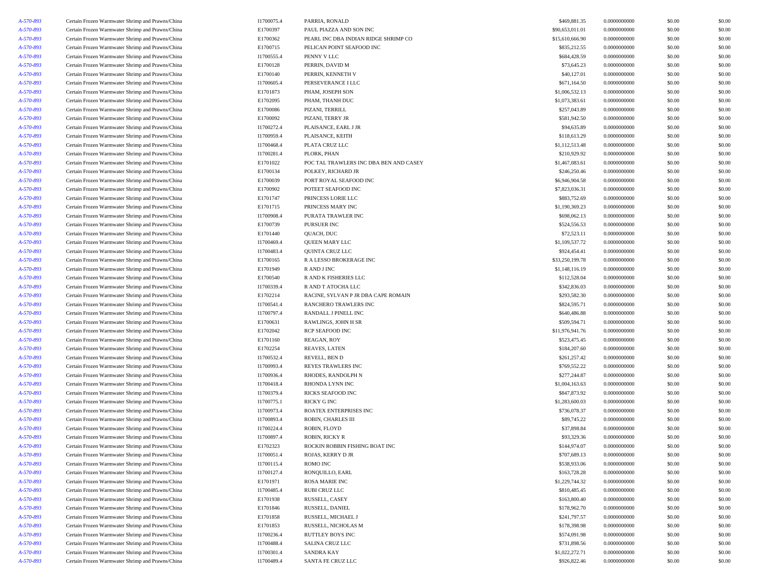| A-570-893 |                                                  | I1700075.4 |                                        | \$469,881.35    | 0.0000000000 | \$0.00 | \$0.00 |
|-----------|--------------------------------------------------|------------|----------------------------------------|-----------------|--------------|--------|--------|
|           | Certain Frozen Warmwater Shrimp and Prawns/China |            | PARRIA, RONALD                         |                 |              |        |        |
| A-570-893 | Certain Frozen Warmwater Shrimp and Prawns/China | E1700397   | PAUL PIAZZA AND SON INC                | \$90,653,011.01 | 0.0000000000 | \$0.00 | \$0.00 |
| A-570-893 | Certain Frozen Warmwater Shrimp and Prawns/China | E1700362   | PEARL INC DBA INDIAN RIDGE SHRIMP CO   | \$15,610,666.90 | 0.0000000000 | \$0.00 | \$0.00 |
| A-570-893 | Certain Frozen Warmwater Shrimp and Prawns/China | E1700715   | PELICAN POINT SEAFOOD INC              | \$835,212.55    | 0.0000000000 | \$0.00 | \$0.00 |
| A-570-893 | Certain Frozen Warmwater Shrimp and Prawns/China | I1700555.4 | PENNY V LLC                            | \$684,428.59    | 0.0000000000 | \$0.00 | \$0.00 |
| A-570-893 | Certain Frozen Warmwater Shrimp and Prawns/China | E1700128   | PERRIN, DAVID M                        | \$73,645.23     | 0.0000000000 | \$0.00 | \$0.00 |
| A-570-893 | Certain Frozen Warmwater Shrimp and Prawns/China | E1700140   | PERRIN, KENNETH V                      | \$40,127.01     | 0.0000000000 | \$0.00 | \$0.00 |
| A-570-893 | Certain Frozen Warmwater Shrimp and Prawns/China | I1700605.4 | PERSEVERANCE I LLC                     | \$671,164.50    | 0.0000000000 | \$0.00 | \$0.00 |
| A-570-893 | Certain Frozen Warmwater Shrimp and Prawns/China | E1701873   | PHAM, JOSEPH SON                       | \$1,006,532.13  | 0.0000000000 | \$0.00 | \$0.00 |
| A-570-893 | Certain Frozen Warmwater Shrimp and Prawns/China | E1702095   | PHAM, THANH DUC                        | \$1,073,383.61  | 0.0000000000 | \$0.00 | \$0.00 |
| A-570-893 | Certain Frozen Warmwater Shrimp and Prawns/China | E1700086   | PIZANI, TERRILL                        | \$257,043.89    | 0.0000000000 | \$0.00 | \$0.00 |
| A-570-893 | Certain Frozen Warmwater Shrimp and Prawns/China | E1700092   | PIZANI, TERRY JR                       | \$581,942.50    | 0.0000000000 | \$0.00 | \$0.00 |
| A-570-893 | Certain Frozen Warmwater Shrimp and Prawns/China | I1700272.4 | PLAISANCE, EARL J JR                   | \$94,635.89     | 0.0000000000 | \$0.00 | \$0.00 |
| A-570-893 | Certain Frozen Warmwater Shrimp and Prawns/China | I1700959.4 | PLAISANCE, KEITH                       | \$118,613.29    | 0.0000000000 | \$0.00 | \$0.00 |
| A-570-893 | Certain Frozen Warmwater Shrimp and Prawns/China | I1700468.4 | PLATA CRUZ LLC                         | \$1,112,513.48  | 0.0000000000 | \$0.00 | \$0.00 |
| A-570-893 | Certain Frozen Warmwater Shrimp and Prawns/China | I1700281.4 | PLORK, PHAN                            | \$210,929.92    | 0.0000000000 | \$0.00 | \$0.00 |
| A-570-893 | Certain Frozen Warmwater Shrimp and Prawns/China | E1701022   | POC TAL TRAWLERS INC DBA BEN AND CASEY | \$1,467,083.61  | 0.0000000000 | \$0.00 | \$0.00 |
| A-570-893 | Certain Frozen Warmwater Shrimp and Prawns/China | E1700134   | POLKEY, RICHARD JR                     | \$246,250.46    | 0.0000000000 | \$0.00 | \$0.00 |
| A-570-893 | Certain Frozen Warmwater Shrimp and Prawns/China | E1700039   | PORT ROYAL SEAFOOD INC                 | \$6,946,904.58  | 0.0000000000 | \$0.00 | \$0.00 |
| A-570-893 | Certain Frozen Warmwater Shrimp and Prawns/China | E1700902   | POTEET SEAFOOD INC                     | \$7,823,036.31  | 0.0000000000 | \$0.00 | \$0.00 |
| A-570-893 | Certain Frozen Warmwater Shrimp and Prawns/China | E1701747   | PRINCESS LORIE LLC                     | \$883,752.69    | 0.0000000000 | \$0.00 | \$0.00 |
| A-570-893 | Certain Frozen Warmwater Shrimp and Prawns/China | E1701715   | PRINCESS MARY INC                      | \$1,190,369.23  | 0.0000000000 | \$0.00 | \$0.00 |
| A-570-893 | Certain Frozen Warmwater Shrimp and Prawns/China | I1700908.4 | PURATA TRAWLER INC                     | \$698,062.13    | 0.0000000000 | \$0.00 | \$0.00 |
| A-570-893 | Certain Frozen Warmwater Shrimp and Prawns/China | E1700739   | PURSUER INC                            | \$524,556.53    | 0.0000000000 | \$0.00 | \$0.00 |
| A-570-893 | Certain Frozen Warmwater Shrimp and Prawns/China | E1701440   | QUACH, DUC                             | \$72,523.11     | 0.0000000000 | \$0.00 | \$0.00 |
| A-570-893 | Certain Frozen Warmwater Shrimp and Prawns/China | I1700469.4 | QUEEN MARY LLC                         | \$1,109,537.72  | 0.0000000000 | \$0.00 | \$0.00 |
| A-570-893 | Certain Frozen Warmwater Shrimp and Prawns/China | I1700483.4 | QUINTA CRUZ LLC                        | \$924,454.41    | 0.0000000000 | \$0.00 | \$0.00 |
| A-570-893 | Certain Frozen Warmwater Shrimp and Prawns/China | E1700165   | R A LESSO BROKERAGE INC                | \$33,250,199.78 | 0.0000000000 | \$0.00 | \$0.00 |
| A-570-893 | Certain Frozen Warmwater Shrimp and Prawns/China | E1701949   | R AND J INC                            | \$1,148,116.19  | 0.0000000000 | \$0.00 | \$0.00 |
| A-570-893 | Certain Frozen Warmwater Shrimp and Prawns/China | E1700540   | R AND K FISHERIES LLC                  | \$112,528.04    | 0.0000000000 | \$0.00 | \$0.00 |
| A-570-893 | Certain Frozen Warmwater Shrimp and Prawns/China | I1700339.4 | R AND T ATOCHA LLC                     | \$342,836.03    | 0.0000000000 | \$0.00 | \$0.00 |
| A-570-893 |                                                  | E1702214   |                                        | \$293,582.30    |              |        |        |
|           | Certain Frozen Warmwater Shrimp and Prawns/China |            | RACINE, SYLVAN P JR DBA CAPE ROMAIN    | \$824,595.71    | 0.0000000000 | \$0.00 | \$0.00 |
| A-570-893 | Certain Frozen Warmwater Shrimp and Prawns/China | I1700541.4 | RANCHERO TRAWLERS INC                  |                 | 0.0000000000 | \$0.00 | \$0.00 |
| A-570-893 | Certain Frozen Warmwater Shrimp and Prawns/China | I1700797.4 | RANDALL J PINELL INC                   | \$640,486.88    | 0.0000000000 | \$0.00 | \$0.00 |
| A-570-893 | Certain Frozen Warmwater Shrimp and Prawns/China | E1700631   | RAWLINGS, JOHN H SR                    | \$509,594.71    | 0.0000000000 | \$0.00 | \$0.00 |
| A-570-893 | Certain Frozen Warmwater Shrimp and Prawns/China | E1702042   | RCP SEAFOOD INC                        | \$11,976,941.76 | 0.0000000000 | \$0.00 | \$0.00 |
| A-570-893 | Certain Frozen Warmwater Shrimp and Prawns/China | E1701160   | REAGAN, ROY                            | \$523,475.45    | 0.0000000000 | \$0.00 | \$0.00 |
| A-570-893 | Certain Frozen Warmwater Shrimp and Prawns/China | E1702254   | REAVES, LATEN                          | \$184,207.60    | 0.0000000000 | \$0.00 | \$0.00 |
| A-570-893 | Certain Frozen Warmwater Shrimp and Prawns/China | I1700532.4 | REVELL, BEN D                          | \$261,257.42    | 0.0000000000 | \$0.00 | \$0.00 |
| A-570-893 | Certain Frozen Warmwater Shrimp and Prawns/China | I1700993.4 | REYES TRAWLERS INC                     | \$769,552.22    | 0.0000000000 | \$0.00 | \$0.00 |
| A-570-893 | Certain Frozen Warmwater Shrimp and Prawns/China | I1700936.4 | RHODES, RANDOLPH N                     | \$277,244.87    | 0.0000000000 | \$0.00 | \$0.00 |
| A-570-893 | Certain Frozen Warmwater Shrimp and Prawns/China | I1700418.4 | RHONDA LYNN INC                        | \$1,004,163.63  | 0.0000000000 | \$0.00 | \$0.00 |
| A-570-893 | Certain Frozen Warmwater Shrimp and Prawns/China | I1700379.4 | RICKS SEAFOOD INC                      | \$847,873.92    | 0.0000000000 | \$0.00 | \$0.00 |
| A-570-893 | Certain Frozen Warmwater Shrimp and Prawns/China | I1700775.1 | <b>RICKY G INC</b>                     | \$1,283,600.03  | 0.0000000000 | \$0.00 | \$0.00 |
| A-570-893 | Certain Frozen Warmwater Shrimp and Prawns/China | I1700973.4 | ROATEX ENTERPRISES INC                 | \$736,078.37    | 0.0000000000 | \$0.00 | \$0.00 |
| A-570-893 | Certain Frozen Warmwater Shrimp and Prawns/China | I1700893.4 | ROBIN, CHARLES III                     | \$89,745.22     | 0.0000000000 | \$0.00 | \$0.00 |
| A-570-893 | Certain Frozen Warmwater Shrimp and Prawns/China | I1700224.4 | ROBIN, FLOYD                           | \$37,898.84     | 0.0000000000 | \$0.00 | \$0.00 |
| A-570-893 | Certain Frozen Warmwater Shrimp and Prawns/China | I1700897.4 | <b>ROBIN, RICKY R</b>                  | \$93,329.36     | 0.0000000000 | \$0.00 | \$0.00 |
| A-570-893 | Certain Frozen Warmwater Shrimp and Prawns/China | E1702323   | ROCKIN ROBBIN FISHING BOAT INC         | \$144,974.07    | 0.0000000000 | \$0.00 | \$0.00 |
| A-570-893 | Certain Frozen Warmwater Shrimp and Prawns/China | I1700051.4 | ROJAS, KERRY D JR                      | \$707,689.13    | 0.0000000000 | \$0.00 | \$0.00 |
| A-570-893 | Certain Frozen Warmwater Shrimp and Prawns/China | I1700115.4 | ROMO INC                               | \$538,933.06    | 0.0000000000 | \$0.00 | \$0.00 |
| A-570-893 | Certain Frozen Warmwater Shrimp and Prawns/China | I1700127.4 | RONQUILLO, EARL                        | \$163,728.28    | 0.0000000000 | \$0.00 | \$0.00 |
| A-570-893 | Certain Frozen Warmwater Shrimp and Prawns/China | E1701971   | <b>ROSA MARIE INC</b>                  | \$1,229,744.32  | 0.0000000000 | \$0.00 | \$0.00 |
| A-570-893 | Certain Frozen Warmwater Shrimp and Prawns/China | I1700485.4 | RUBI CRUZ LLC                          | \$810,485.45    | 0.0000000000 | \$0.00 | \$0.00 |
| A-570-893 | Certain Frozen Warmwater Shrimp and Prawns/China | E1701938   | RUSSELL, CASEY                         | \$163,800.40    | 0.0000000000 | \$0.00 | \$0.00 |
| A-570-893 | Certain Frozen Warmwater Shrimp and Prawns/China | E1701846   | RUSSELL, DANIEL                        | \$178,962.70    | 0.0000000000 | \$0.00 | \$0.00 |
| A-570-893 | Certain Frozen Warmwater Shrimp and Prawns/China | E1701858   | RUSSELL, MICHAEL J                     | \$241,797.57    | 0.0000000000 | \$0.00 | \$0.00 |
| A-570-893 | Certain Frozen Warmwater Shrimp and Prawns/China | E1701853   | RUSSELL, NICHOLAS M                    | \$178,398.98    | 0.0000000000 | \$0.00 | \$0.00 |
| A-570-893 | Certain Frozen Warmwater Shrimp and Prawns/China | I1700236.4 | RUTTLEY BOYS INC                       | \$574,091.98    | 0.0000000000 | \$0.00 | \$0.00 |
| A-570-893 | Certain Frozen Warmwater Shrimp and Prawns/China | I1700488.4 | SALINA CRUZ LLC                        | \$731,898.56    | 0.0000000000 | \$0.00 | \$0.00 |
| A-570-893 | Certain Frozen Warmwater Shrimp and Prawns/China | I1700301.4 | <b>SANDRA KAY</b>                      | \$1,022,272.71  | 0.0000000000 | \$0.00 | \$0.00 |
| A-570-893 | Certain Frozen Warmwater Shrimp and Prawns/China | I1700489.4 | SANTA FE CRUZ LLC                      | \$926,822.46    | 0.0000000000 | \$0.00 | \$0.00 |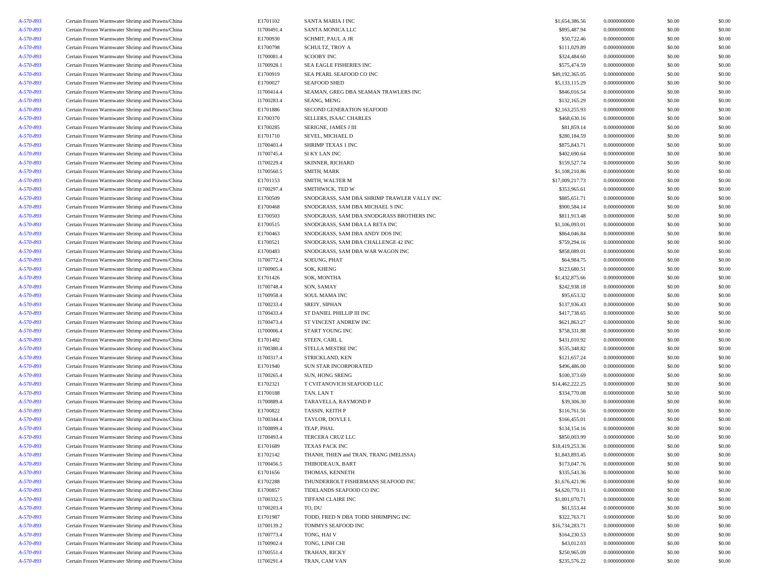| A-570-893              | Certain Frozen Warmwater Shrimp and Prawns/China                                                     | E1701102               | SANTA MARIA I INC                           | \$1,654,386.56              | 0.0000000000 | \$0.00 | \$0.00 |
|------------------------|------------------------------------------------------------------------------------------------------|------------------------|---------------------------------------------|-----------------------------|--------------|--------|--------|
| A-570-893              | Certain Frozen Warmwater Shrimp and Prawns/China                                                     | I1700491.4             | SANTA MONICA LLC                            | \$895,487.94                | 0.0000000000 | \$0.00 | \$0.00 |
| A-570-893              | Certain Frozen Warmwater Shrimp and Prawns/China                                                     | E1700930               | SCHMIT, PAUL A JR                           | \$50,722.46                 | 0.0000000000 | \$0.00 | \$0.00 |
| A-570-893              | Certain Frozen Warmwater Shrimp and Prawns/China                                                     | E1700798               | <b>SCHULTZ, TROY A</b>                      | \$111,029.89                | 0.0000000000 | \$0.00 | \$0.00 |
| A-570-893              | Certain Frozen Warmwater Shrimp and Prawns/China                                                     | I1700081.4             | <b>SCOOBY INC</b>                           | \$324,484.60                | 0.0000000000 | \$0.00 | \$0.00 |
| A-570-893              | Certain Frozen Warmwater Shrimp and Prawns/China                                                     | I1700928.1             | SEA EAGLE FISHERIES INC                     | \$575,474.59                | 0.0000000000 | \$0.00 | \$0.00 |
| A-570-893              | Certain Frozen Warmwater Shrimp and Prawns/China                                                     | E1700919               | SEA PEARL SEAFOOD CO INC                    | \$49,192,365.05             | 0.0000000000 | \$0.00 | \$0.00 |
| A-570-893              | Certain Frozen Warmwater Shrimp and Prawns/China                                                     | E1700027               | <b>SEAFOOD SHED</b>                         | \$5,133,115.29              | 0.0000000000 | \$0.00 | \$0.00 |
| A-570-893              | Certain Frozen Warmwater Shrimp and Prawns/China                                                     | I1700414.4             | SEAMAN, GREG DBA SEAMAN TRAWLERS INC        | \$846,016.54                | 0.0000000000 | \$0.00 | \$0.00 |
| A-570-893              | Certain Frozen Warmwater Shrimp and Prawns/China                                                     | I1700283.4             | SEANG, MENG                                 | \$132,165.29                | 0.0000000000 | \$0.00 | \$0.00 |
| A-570-893              | Certain Frozen Warmwater Shrimp and Prawns/China                                                     | E1701886               | SECOND GENERATION SEAFOOD                   | \$2,163,255.93              | 0.0000000000 | \$0.00 | \$0.00 |
| A-570-893              | Certain Frozen Warmwater Shrimp and Prawns/China                                                     | E1700370               | SELLERS, ISAAC CHARLES                      | \$468,630.16                | 0.0000000000 | \$0.00 | \$0.00 |
| A-570-893              | Certain Frozen Warmwater Shrimp and Prawns/China                                                     | E1700285               | SERIGNE, JAMES J III                        | \$81,859.14                 | 0.0000000000 | \$0.00 | \$0.00 |
| A-570-893              | Certain Frozen Warmwater Shrimp and Prawns/China                                                     | E1701710               | SEVEL, MICHAEL D                            | \$280,184.59                | 0.0000000000 | \$0.00 | \$0.00 |
| A-570-893              | Certain Frozen Warmwater Shrimp and Prawns/China                                                     | I1700403.4             | SHRIMP TEXAS 1 INC                          | \$875,843.71                | 0.0000000000 | \$0.00 | \$0.00 |
| A-570-893              | Certain Frozen Warmwater Shrimp and Prawns/China                                                     | I1700745.4             | SI KY LAN INC                               | \$402,690.64                | 0.0000000000 | \$0.00 | \$0.00 |
| A-570-893              | Certain Frozen Warmwater Shrimp and Prawns/China                                                     | I1700229.4             | <b>SKINNER, RICHARD</b>                     | \$159,527.74                | 0.0000000000 | \$0.00 | \$0.00 |
| A-570-893              | Certain Frozen Warmwater Shrimp and Prawns/China                                                     | I1700560.5             | SMITH, MARK                                 | \$1,108,210.86              | 0.0000000000 | \$0.00 | \$0.00 |
| A-570-893              | Certain Frozen Warmwater Shrimp and Prawns/China                                                     | E1701153               | SMITH, WALTER M                             | \$17,009,217.73             | 0.0000000000 | \$0.00 | \$0.00 |
| A-570-893              | Certain Frozen Warmwater Shrimp and Prawns/China                                                     | I1700297.4             | SMITHWICK, TED W                            | \$353,965.61                | 0.0000000000 | \$0.00 | \$0.00 |
| A-570-893              | Certain Frozen Warmwater Shrimp and Prawns/China                                                     | E1700509               | SNODGRASS, SAM DBA SHRIMP TRAWLER VALLY INC | \$885,651.71                | 0.0000000000 | \$0.00 | \$0.00 |
| A-570-893              | Certain Frozen Warmwater Shrimp and Prawns/China                                                     | E1700468               | SNODGRASS, SAM DBA MICHAEL S INC            | \$900,584.14                | 0.0000000000 | \$0.00 | \$0.00 |
| A-570-893              | Certain Frozen Warmwater Shrimp and Prawns/China                                                     | E1700503               | SNODGRASS, SAM DBA SNODGRASS BROTHERS INC   | \$811,913.48                | 0.0000000000 | \$0.00 | \$0.00 |
| A-570-893              | Certain Frozen Warmwater Shrimp and Prawns/China                                                     | E1700515               | SNODGRASS, SAM DBA LA RETA INC              | \$1,106,093.01              | 0.0000000000 | \$0.00 | \$0.00 |
| A-570-893              | Certain Frozen Warmwater Shrimp and Prawns/China                                                     | E1700463               | SNODGRASS, SAM DBA ANDY DOS INC             | \$864,046.84                | 0.0000000000 | \$0.00 | \$0.00 |
| A-570-893              | Certain Frozen Warmwater Shrimp and Prawns/China                                                     | E1700521               | SNODGRASS, SAM DBA CHALLENGE 42 INC         | \$759,294.16                | 0.0000000000 | \$0.00 | \$0.00 |
| A-570-893              | Certain Frozen Warmwater Shrimp and Prawns/China                                                     | E1700483               | SNODGRASS, SAM DBA WAR WAGON INC            | \$858,089.01                | 0.0000000000 | \$0.00 | \$0.00 |
| A-570-893              | Certain Frozen Warmwater Shrimp and Prawns/China                                                     | I1700772.4             | SOEUNG, PHAT                                | \$64,984.75                 | 0.0000000000 | \$0.00 | \$0.00 |
| A-570-893              | Certain Frozen Warmwater Shrimp and Prawns/China                                                     | I1700905.4             | <b>SOK. KHENG</b>                           | \$123,680.51                | 0.0000000000 | \$0.00 | \$0.00 |
| A-570-893              | Certain Frozen Warmwater Shrimp and Prawns/China                                                     | E1701426               | SOK, MONTHA                                 | \$1,432,875.66              | 0.0000000000 | \$0.00 | \$0.00 |
| A-570-893              | Certain Frozen Warmwater Shrimp and Prawns/China                                                     | I1700748.4             | SON, SAMAY                                  | \$242,938.18                | 0.0000000000 | \$0.00 | \$0.00 |
| A-570-893              | Certain Frozen Warmwater Shrimp and Prawns/China                                                     | I1700958.4             | SOUL MAMA INC                               | \$95,653.32                 | 0.0000000000 | \$0.00 | \$0.00 |
| A-570-893              | Certain Frozen Warmwater Shrimp and Prawns/China                                                     | I1700233.4             | SREIY, SIPHAN                               | \$137,936.43                | 0.0000000000 | \$0.00 | \$0.00 |
| A-570-893              | Certain Frozen Warmwater Shrimp and Prawns/China                                                     | I1700433.4             | ST DANIEL PHILLIP III INC                   | \$417,738.65                | 0.0000000000 | \$0.00 | \$0.00 |
| A-570-893              | Certain Frozen Warmwater Shrimp and Prawns/China                                                     | I1700473.4             | ST VINCENT ANDREW INC                       | \$621,863.27                | 0.0000000000 | \$0.00 | \$0.00 |
| A-570-893              | Certain Frozen Warmwater Shrimp and Prawns/China                                                     | I1700006.4             | START YOUNG INC                             | \$758,331.88                | 0.0000000000 | \$0.00 | \$0.00 |
| A-570-893              | Certain Frozen Warmwater Shrimp and Prawns/China                                                     | E1701482               | STEEN, CARL L                               | \$431,010.92                | 0.0000000000 | \$0.00 | \$0.00 |
| A-570-893              | Certain Frozen Warmwater Shrimp and Prawns/China                                                     | I1700380.4             | STELLA MESTRE INC                           | \$535,348.82                | 0.0000000000 | \$0.00 | \$0.00 |
| A-570-893              | Certain Frozen Warmwater Shrimp and Prawns/China                                                     | I1700317.4             | STRICKLAND, KEN                             | \$121,657.24                | 0.0000000000 | \$0.00 | \$0.00 |
|                        | Certain Frozen Warmwater Shrimp and Prawns/China                                                     | E1701940               | SUN STAR INCORPORATED                       | \$496,486.00                | 0.0000000000 | \$0.00 | \$0.00 |
| A-570-893<br>A-570-893 | Certain Frozen Warmwater Shrimp and Prawns/China                                                     | I1700265.4             | SUN, HONG SRENG                             | \$100,373.69                | 0.0000000000 | \$0.00 | \$0.00 |
| A-570-893              | Certain Frozen Warmwater Shrimp and Prawns/China                                                     | E1702321               | T CVITANOVICH SEAFOOD LLC                   | \$14,462,222.25             | 0.0000000000 | \$0.00 | \$0.00 |
|                        |                                                                                                      |                        |                                             |                             | 0.0000000000 | \$0.00 | \$0.00 |
| A-570-893<br>A-570-893 | Certain Frozen Warmwater Shrimp and Prawns/China<br>Certain Frozen Warmwater Shrimp and Prawns/China | E1700188<br>I1700889.4 | TAN, LAN T<br>TARAVELLA, RAYMOND P          | \$334,770.08<br>\$39,306.30 | 0.0000000000 | \$0.00 | \$0.00 |
| A-570-893              | Certain Frozen Warmwater Shrimp and Prawns/China                                                     | E1700822               | TASSIN, KEITH P                             | \$116,761.56                | 0.0000000000 | \$0.00 | \$0.00 |
| A-570-893              | Certain Frozen Warmwater Shrimp and Prawns/China                                                     | I1700344.4             | TAYLOR, DOYLE L                             | \$166,455.01                | 0.0000000000 | \$0.00 | \$0.00 |
|                        | Certain Frozen Warmwater Shrimp and Prawns/China                                                     | I1700899.4             | TEAP, PHAL                                  | \$134,154.16                | 0.0000000000 | \$0.00 | \$0.00 |
| A-570-893              | Certain Frozen Warmwater Shrimp and Prawns/China                                                     | I1700493.4             | TERCERA CRUZ LLC                            | \$850,003.99                | 0.0000000000 | \$0.00 | \$0.00 |
| A-570-893<br>A-570-893 | Certain Frozen Warmwater Shrimp and Prawns/China                                                     | E1701689               | <b>TEXAS PACK INC</b>                       | \$18,419,253.36             | 0.0000000000 | \$0.00 | \$0.00 |
|                        | Certain Frozen Warmwater Shrimp and Prawns/China                                                     |                        |                                             |                             |              |        |        |
| A-570-893              |                                                                                                      | E1702142               | THANH, THIEN and TRAN, TRANG (MELISSA)      | \$1,843,893.45              | 0.0000000000 | \$0.00 | \$0.00 |
| A-570-893              | Certain Frozen Warmwater Shrimp and Prawns/China                                                     | I1700456.5             | THIBODEAUX, BART<br>THOMAS, KENNETH         | \$173,047.76                | 0.0000000000 | \$0.00 | \$0.00 |
| A-570-893              | Certain Frozen Warmwater Shrimp and Prawns/China                                                     | E1701656               |                                             | \$335,543.36                | 0.0000000000 | \$0.00 | \$0.00 |
| A-570-893              | Certain Frozen Warmwater Shrimp and Prawns/China                                                     | E1702288               | THUNDERBOLT FISHERMANS SEAFOOD INC          | \$1,676,421.96              | 0.0000000000 | \$0.00 | \$0.00 |
| A-570-893              | Certain Frozen Warmwater Shrimp and Prawns/China                                                     | E1700857               | TIDELANDS SEAFOOD CO INC                    | \$4,620,770.11              | 0.0000000000 | \$0.00 | \$0.00 |
| A-570-893              | Certain Frozen Warmwater Shrimp and Prawns/China                                                     | I1700332.5             | TIFFANI CLAIRE INC                          | \$1,001,070.71              | 0.0000000000 | \$0.00 | \$0.00 |
| A-570-893              | Certain Frozen Warmwater Shrimp and Prawns/China                                                     | I1700203.4             | TO, DU                                      | \$61,553.44                 | 0.0000000000 | \$0.00 | \$0.00 |
| A-570-893              | Certain Frozen Warmwater Shrimp and Prawns/China                                                     | E1701987               | TODD, FRED N DBA TODD SHRIMPING INC         | \$322,763.71                | 0.0000000000 | \$0.00 | \$0.00 |
| A-570-893              | Certain Frozen Warmwater Shrimp and Prawns/China                                                     | I1700139.2             | TOMMYS SEAFOOD INC                          | \$16,734,283.71             | 0.0000000000 | \$0.00 | \$0.00 |
| A-570-893              | Certain Frozen Warmwater Shrimp and Prawns/China                                                     | I1700773.4             | TONG, HAI V                                 | \$164,230.53                | 0.0000000000 | \$0.00 | \$0.00 |
| A-570-893              | Certain Frozen Warmwater Shrimp and Prawns/China                                                     | I1700902.4             | TONG, LINH CHI                              | \$43,012.03                 | 0.0000000000 | \$0.00 | \$0.00 |
| A-570-893              | Certain Frozen Warmwater Shrimp and Prawns/China                                                     | I1700551.4             | TRAHAN, RICKY                               | \$250,965.09                | 0.0000000000 | \$0.00 | \$0.00 |
| A-570-893              | Certain Frozen Warmwater Shrimp and Prawns/China                                                     | I1700291.4             | TRAN, CAM VAN                               | \$235,576.22                | 0.0000000000 | \$0.00 | \$0.00 |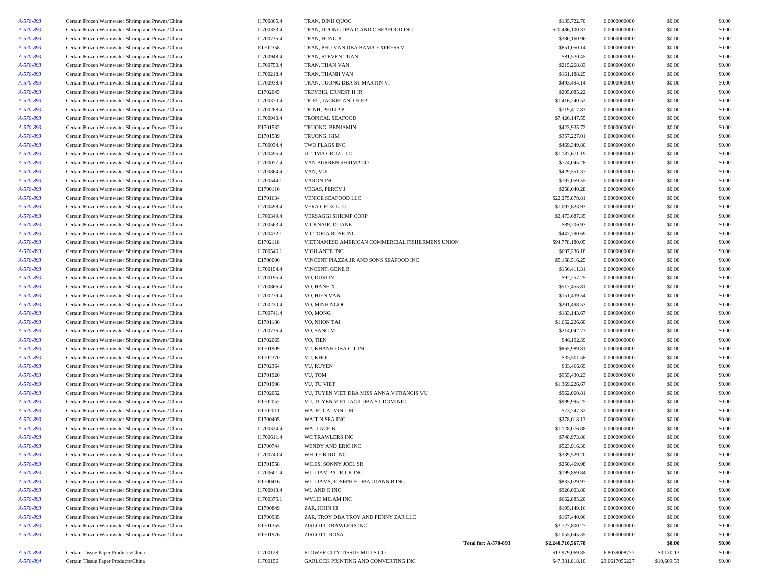| 4- <i>570-893</i> | Certain Frozen Warmwater Shrimp and Prawns/China                                                     | I1700865.4 | TRAN, DINH QUOC                                 | \$135,722.70                                      | 0.0000000000  | \$0.00      | \$0.00 |
|-------------------|------------------------------------------------------------------------------------------------------|------------|-------------------------------------------------|---------------------------------------------------|---------------|-------------|--------|
| A-570-893         | Certain Frozen Warmwater Shrimp and Prawns/China                                                     | I1700353.4 | TRAN, DUONG DBA D AND C SEAFOOD INC             | \$20,486,100.33                                   | 0.0000000000  | \$0.00      | \$0.00 |
| A-570-893         | Certain Frozen Warmwater Shrimp and Prawns/China                                                     | I1700735.4 | TRAN, HUNG P                                    | \$380,160.96                                      | 0.0000000000  | \$0.00      | \$0.00 |
| A-570-893         | Certain Frozen Warmwater Shrimp and Prawns/China                                                     | E1702358   | TRAN, PHU VAN DBA BAMA EXPRESS V                | \$851,050.14                                      | 0.0000000000  | \$0.00      | \$0.00 |
| A-570-893         | Certain Frozen Warmwater Shrimp and Prawns/China                                                     | I1700948.4 | TRAN, STEVEN TUAN                               | \$81,530.45                                       | 0.0000000000  | \$0.00      | \$0.00 |
| A-570-893         | Certain Frozen Warmwater Shrimp and Prawns/China                                                     | I1700750.4 | TRAN, THAN VAN                                  | \$215,268.83                                      | 0.0000000000  | \$0.00      | \$0.00 |
| A-570-893         | Certain Frozen Warmwater Shrimp and Prawns/China                                                     | I1700218.4 | TRAN, THANH VAN                                 | \$161,188.25                                      | 0.0000000000  | \$0.00      | \$0.00 |
| A-570-893         | Certain Frozen Warmwater Shrimp and Prawns/China                                                     | I1700938.4 | TRAN, TUONG DBA ST MARTIN VI                    | \$493,494.14                                      | 0.0000000000  | \$0.00      | \$0.00 |
| A-570-893         | Certain Frozen Warmwater Shrimp and Prawns/China                                                     | E1702045   | TREYBIG, ERNEST H JR                            | \$205,085.22                                      | 0.0000000000  | \$0.00      | \$0.00 |
| A-570-893         | Certain Frozen Warmwater Shrimp and Prawns/China                                                     | I1700370.4 | TRIEU, JACKIE AND HIEP                          | \$1,416,240.52                                    | 0.0000000000  | \$0.00      | \$0.00 |
| A-570-893         | Certain Frozen Warmwater Shrimp and Prawns/China                                                     | I1700268.4 | TRINH, PHILIP P                                 | \$119,417.83                                      | 0.0000000000  | \$0.00      | \$0.00 |
| A-570-893         | Certain Frozen Warmwater Shrimp and Prawns/China                                                     | I1700940.4 | <b>TROPICAL SEAFOOD</b>                         | \$7,426,147.55                                    | 0.0000000000  | \$0.00      | \$0.00 |
| A-570-893         | Certain Frozen Warmwater Shrimp and Prawns/China                                                     | E1701532   | TRUONG, BENJAMIN                                | \$423,935.72                                      | 0.0000000000  | \$0.00      | \$0.00 |
|                   |                                                                                                      |            |                                                 | \$357,227.01                                      |               |             |        |
| A-570-893         | Certain Frozen Warmwater Shrimp and Prawns/China                                                     | E1701589   | TRUONG, KIM                                     |                                                   | 0.0000000000  | \$0.00      | \$0.00 |
| A-570-893         | Certain Frozen Warmwater Shrimp and Prawns/China                                                     | I1700034.4 | TWO FLAGS INC                                   | \$469,349.80                                      | 0.0000000000  | \$0.00      | \$0.00 |
| A-570-893         | Certain Frozen Warmwater Shrimp and Prawns/China                                                     | I1700495.4 | ULTIMA CRUZ LLC                                 | \$1,187,671.19                                    | 0.0000000000  | \$0.00      | \$0.00 |
| A-570-893         | Certain Frozen Warmwater Shrimp and Prawns/China                                                     | I1700077.4 | VAN BURREN SHRIMP CO                            | \$774,045.28                                      | 0.0000000000  | \$0.00      | \$0.00 |
| A-570-893         | Certain Frozen Warmwater Shrimp and Prawns/China                                                     | I1700864.4 | VAN, VUI                                        | \$429,551.37                                      | 0.0000000000  | \$0.00      | \$0.00 |
| A-570-893         | Certain Frozen Warmwater Shrimp and Prawns/China                                                     | I1700544.1 | <b>VARON INC</b>                                | \$797,059.55                                      | 0.0000000000  | \$0.00      | \$0.00 |
| A-570-893         | Certain Frozen Warmwater Shrimp and Prawns/China                                                     | E1700116   | VEGAS, PERCY J                                  | \$258,640.28                                      | 0.0000000000  | \$0.00      | \$0.00 |
| A-570-893         | Certain Frozen Warmwater Shrimp and Prawns/China                                                     | E1701634   | VENICE SEAFOOD LLC                              | \$22,275,879.81                                   | 0.0000000000  | \$0.00      | \$0.00 |
| A-570-893         | Certain Frozen Warmwater Shrimp and Prawns/China                                                     | I1700498.4 | VERA CRUZ LLC                                   | \$1,097,823.93                                    | 0.0000000000  | \$0.00      | \$0.00 |
| A-570-893         | Certain Frozen Warmwater Shrimp and Prawns/China                                                     | I1700349.4 | VERSAGGI SHRIMP CORP                            | \$2,473,687.35                                    | 0.0000000000  | \$0.00      | \$0.00 |
| A-570-893         | Certain Frozen Warmwater Shrimp and Prawns/China                                                     | I1700563.4 | VICKNAIR, DUANE                                 | \$89,206.93                                       | 0.0000000000  | \$0.00      | \$0.00 |
| A-570-893         | Certain Frozen Warmwater Shrimp and Prawns/China                                                     | I1700432.1 | VICTORIA ROSE INC                               | \$447,790.69                                      | 0.0000000000  | \$0.00      | \$0.00 |
| A-570-893         | Certain Frozen Warmwater Shrimp and Prawns/China                                                     | E1702118   | VIETNAMESE AMERICAN COMMERCIAL FISHERMENS UNION | \$94,778,180.05                                   | 0.0000000000  | \$0.00      | \$0.00 |
| A-570-893         | Certain Frozen Warmwater Shrimp and Prawns/China                                                     | I1700546.1 | VIGILANTE INC                                   | \$697,236.18                                      | 0.0000000000  | \$0.00      | \$0.00 |
| A-570-893         | Certain Frozen Warmwater Shrimp and Prawns/China                                                     | E1700006   | VINCENT PIAZZA JR AND SONS SEAFOOD INC          | \$5,158,516.25                                    | 0.0000000000  | \$0.00      | \$0.00 |
| A-570-893         | Certain Frozen Warmwater Shrimp and Prawns/China                                                     | I1700194.4 | VINCENT, GENE B                                 | \$156,411.31                                      | 0.0000000000  | \$0.00      | \$0.00 |
| A-570-893         | Certain Frozen Warmwater Shrimp and Prawns/China                                                     | I1700195.4 | VO. DUSTIN                                      | \$92,257.25                                       | 0.0000000000  | \$0.00      | \$0.00 |
| A-570-893         | Certain Frozen Warmwater Shrimp and Prawns/China                                                     | I1700866.4 | VO, HANH X                                      | \$517,455.81                                      | 0.0000000000  | \$0.00      | \$0.00 |
| A-570-893         | Certain Frozen Warmwater Shrimp and Prawns/China                                                     | I1700279.4 | VO. HIEN VAN                                    | \$151,439.54                                      | 0.0000000000  | \$0.00      | \$0.00 |
| A-570-893         | Certain Frozen Warmwater Shrimp and Prawns/China                                                     | I1700220.4 | VO, MINH NGOC                                   | \$291,498.53                                      | 0.0000000000  | \$0.00      | \$0.00 |
| A-570-893         | Certain Frozen Warmwater Shrimp and Prawns/China                                                     | I1700741.4 | VO, MONG                                        | \$183,143.67                                      | 0.0000000000  | \$0.00      | \$0.00 |
| A-570-893         | Certain Frozen Warmwater Shrimp and Prawns/China                                                     | E1701186   | VO, NHON TAI                                    | \$1,652,226.60                                    | 0.0000000000  | \$0.00      | \$0.00 |
| A-570-893         | Certain Frozen Warmwater Shrimp and Prawns/China                                                     | I1700736.4 | VO, SANG M                                      | \$214,042.73                                      | 0.0000000000  | \$0.00      | \$0.00 |
| A-570-893         | Certain Frozen Warmwater Shrimp and Prawns/China                                                     | E1702065   | VO, TIEN                                        | \$46,192.39                                       | 0.0000000000  | \$0.00      | \$0.00 |
| A-570-893         | Certain Frozen Warmwater Shrimp and Prawns/China                                                     | E1701909   | VU, KHANH DBA C T INC                           | \$865,989.81                                      | 0.0000000000  | \$0.00      | \$0.00 |
| A-570-893         | Certain Frozen Warmwater Shrimp and Prawns/China                                                     | E1702370   | VU, KHOI                                        | \$35,501.58                                       | 0.0000000000  | \$0.00      | \$0.00 |
| A-570-893         | Certain Frozen Warmwater Shrimp and Prawns/China                                                     | E1702364   | VU, RUYEN                                       | \$33,466.69                                       | 0.0000000000  | \$0.00      | \$0.00 |
| A-570-893         | Certain Frozen Warmwater Shrimp and Prawns/China                                                     | E1701920   | VU, TOM                                         | \$955,430.23                                      | 0.0000000000  | \$0.00      | \$0.00 |
| A-570-893         | Certain Frozen Warmwater Shrimp and Prawns/China                                                     | E1701998   | <b>VU, TU VIET</b>                              | \$1,369,226.67                                    | 0.0000000000  | \$0.00      | \$0.00 |
| A-570-893         | Certain Frozen Warmwater Shrimp and Prawns/China                                                     | E1702052   | VU, TUYEN VIET DBA MISS ANNA V FRANCIS VU       | \$962,060.81                                      | 0.0000000000  | \$0.00      | \$0.00 |
| A-570-893         | Certain Frozen Warmwater Shrimp and Prawns/China                                                     | E1702057   | VU. TUYEN VIET JACK DBA ST DOMINIC              | \$999,995.25                                      | 0.0000000000  | \$0.00      | \$0.00 |
| A-570-893         | Certain Frozen Warmwater Shrimp and Prawns/China                                                     | E1702011   | WADE, CALVIN J JR                               | \$73,747.32                                       | 0.0000000000  | \$0.00      | \$0.00 |
| A-570-893         | Certain Frozen Warmwater Shrimp and Prawns/China                                                     | E1700405   | WAIT N SEA INC                                  | \$278,018.13                                      | 0.0000000000  | \$0.00      | \$0.00 |
| A-570-893         | Certain Frozen Warmwater Shrimp and Prawns/China                                                     | I1700324.4 | <b>WALLACE B</b>                                | \$1,128,076.88                                    | 0.0000000000  | \$0.00      | \$0.00 |
| A-570-893         | Certain Frozen Warmwater Shrimp and Prawns/China                                                     | I1700611.4 | WC TRAWLERS INC                                 | \$748,973.86                                      | 0.0000000000  | \$0.00      | \$0.00 |
| A-570-893         | Certain Frozen Warmwater Shrimp and Prawns/China                                                     | E1700744   | WENDY AND ERIC INC                              | \$523,916.30                                      | 0.0000000000  | \$0.00      | \$0.00 |
| A-570-893         | Certain Frozen Warmwater Shrimp and Prawns/China                                                     | I1700740.4 | WHITE BIRD INC                                  | \$339,529.20                                      | 0.0000000000  | \$0.00      | \$0.00 |
| A-570-893         | Certain Frozen Warmwater Shrimp and Prawns/China                                                     | E1701558   | WILES, SONNY JOEL SR                            | \$250,469.98                                      | 0.0000000000  | \$0.00      | \$0.00 |
| A-570-893         | Certain Frozen Warmwater Shrimp and Prawns/China                                                     | I1700601.4 | WILLIAM PATRICK INC                             | \$199,869.84                                      | 0.0000000000  | \$0.00      | \$0.00 |
|                   |                                                                                                      |            |                                                 |                                                   |               |             |        |
| A-570-893         | Certain Frozen Warmwater Shrimp and Prawns/China<br>Certain Frozen Warmwater Shrimp and Prawns/China | E1700416   | WILLIAMS, JOSEPH H DBA JOANN B INC              | \$833,029.97                                      | 0.0000000000  | \$0.00      | \$0.00 |
| A-570-893         |                                                                                                      | I1700913.4 | WL AND O INC                                    | \$926,003.80                                      | 0.0000000000  | \$0.00      | \$0.00 |
| A-570-893         | Certain Frozen Warmwater Shrimp and Prawns/China                                                     | I1700375.1 | WYLIE MILAM INC                                 | \$662,885.20                                      | 0.0000000000  | \$0.00      | \$0.00 |
| A-570-893         | Certain Frozen Warmwater Shrimp and Prawns/China                                                     | E1700849   | ZAR, JOHN III                                   | \$195,149.16                                      | 0.0000000000  | \$0.00      | \$0.00 |
| A-570-893         | Certain Frozen Warmwater Shrimp and Prawns/China                                                     | E1700935   | ZAR, TROY DBA TROY AND PENNY ZAR LLC            | \$167,440.96                                      | 0.0000000000  | \$0.00      | \$0.00 |
| A-570-893         | Certain Frozen Warmwater Shrimp and Prawns/China                                                     | E1701355   | ZIRLOTT TRAWLERS INC                            | \$3,727,800.27                                    | 0.0000000000  | \$0.00      | \$0.00 |
| A-570-893         | Certain Frozen Warmwater Shrimp and Prawns/China                                                     | E1701976   | ZIRLOTT, ROSA                                   | \$1,055,045.35                                    | 0.0000000000  | \$0.00      | \$0.00 |
|                   |                                                                                                      |            |                                                 | <b>Total for: A-570-893</b><br>\$2,240,710,567.78 |               | \$0.00      | \$0.00 |
| A-570-894         | Certain Tissue Paper Products/China                                                                  | I1700128   | FLOWER CITY TISSUE MILLS CO                     | \$13,979,069.85                                   | 6.8039008777  | \$3,130.13  | \$0.00 |
| A-570-894         | Certain Tissue Paper Products/China                                                                  | I1700156   | GARLOCK PRINTING AND CONVERTING INC             | \$47,381,818.10                                   | 23.0617056227 | \$10,609.53 | \$0.00 |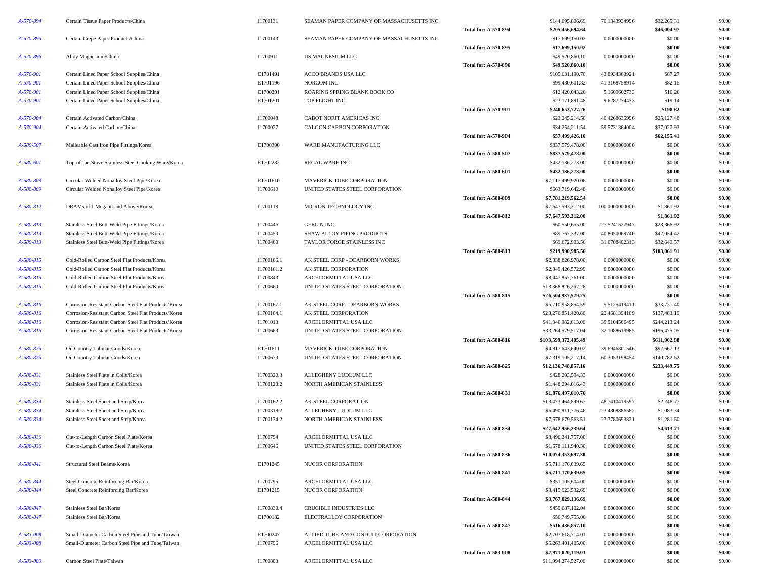| A-570-894 | Certain Tissue Paper Products/China                  | I1700131   | SEAMAN PAPER COMPANY OF MASSACHUSETTS INC |                             | \$144,095,806.69     | 70.1343934996  | \$32,265.31  | \$0.00 |
|-----------|------------------------------------------------------|------------|-------------------------------------------|-----------------------------|----------------------|----------------|--------------|--------|
|           |                                                      |            |                                           | <b>Total for: A-570-894</b> | \$205,456,694.64     |                | \$46,004.97  | \$0.00 |
| A-570-895 | Certain Crepe Paper Products/China                   | I1700143   | SEAMAN PAPER COMPANY OF MASSACHUSETTS INC |                             | \$17,699,150.02      | 0.0000000000   | \$0.00       | \$0.00 |
|           |                                                      |            |                                           | Total for: A-570-895        | \$17,699,150.02      |                | \$0.00       | \$0.00 |
| A-570-896 | Alloy Magnesium/China                                | I1700911   | US MAGNESIUM LLC                          |                             | \$49,520,860.10      | 0.0000000000   | \$0.00       | \$0.00 |
|           |                                                      |            |                                           | <b>Total for: A-570-896</b> | \$49,520,860.10      |                | \$0.00       | \$0.00 |
| A-570-901 | Certain Lined Paper School Supplies/China            | E1701491   | ACCO BRANDS USA LLC                       |                             | \$105,631,190.70     | 43.8934363921  | \$87.27      | \$0.00 |
| A-570-901 | Certain Lined Paper School Supplies/China            | E1701196   | NORCOM INC                                |                             | \$99,430,601.82      | 41.3168758914  | \$82.15      | \$0.00 |
| A-570-901 | Certain Lined Paper School Supplies/China            | E1700201   | ROARING SPRING BLANK BOOK CO              |                             | \$12,420,043.26      | 5.1609602733   | \$10.26      | \$0.00 |
| A-570-901 | Certain Lined Paper School Supplies/China            | E1701201   | TOP FLIGHT INC                            |                             | \$23,171,891.48      | 9.6287274433   | \$19.14      | \$0.00 |
|           |                                                      |            |                                           | Total for: A-570-901        | \$240,653,727.26     |                | \$198.82     | \$0.00 |
| A-570-904 | Certain Activated Carbon/China                       | I1700048   | CABOT NORIT AMERICAS INC                  |                             | \$23,245,214.56      | 40.4268635996  | \$25,127.48  | \$0.00 |
| A-570-904 | Certain Activated Carbon/China                       | I1700027   | CALGON CARBON CORPORATION                 |                             | \$34,254,211.54      | 59.5731364004  | \$37,027.93  | \$0.00 |
|           |                                                      |            |                                           | <b>Total for: A-570-904</b> | \$57,499,426.10      |                | \$62,155.41  | \$0.00 |
| A-580-507 | Malleable Cast Iron Pipe Fittings/Korea              | E1700390   | WARD MANUFACTURING LLC                    |                             | \$837,579,478.00     | 0.0000000000   | \$0.00       | \$0.00 |
|           |                                                      |            |                                           | <b>Total for: A-580-507</b> | \$837,579,478.00     |                | \$0.00       | \$0.00 |
| A-580-601 | Top-of-the-Stove Stainless Steel Cooking Ware/Korea  | E1702232   | <b>REGAL WARE INC</b>                     |                             | \$432,136,273.00     | 0.0000000000   | \$0.00       | \$0.00 |
|           |                                                      |            |                                           | <b>Total for: A-580-601</b> | \$432,136,273.00     |                | \$0.00       | \$0.00 |
| A-580-809 | Circular Welded Nonalloy Steel Pipe/Korea            | E1701610   | MAVERICK TUBE CORPORATION                 |                             | \$7,117,499,920.06   | 0.0000000000   | \$0.00       | \$0.00 |
| A-580-809 | Circular Welded Nonalloy Steel Pipe/Korea            | I1700610   | UNITED STATES STEEL CORPORATION           |                             | \$663,719,642.48     | 0.0000000000   | \$0.00       | \$0.00 |
|           |                                                      |            |                                           | <b>Total for: A-580-809</b> | \$7,781,219,562.54   |                | \$0.00       | \$0.00 |
|           |                                                      | I1700118   |                                           |                             | \$7,647,593,312.00   | 100.0000000000 | \$1,861.92   | \$0.00 |
| A-580-812 | DRAMs of 1 Megabit and Above/Korea                   |            | MICRON TECHNOLOGY INC                     |                             |                      |                |              |        |
|           |                                                      |            |                                           | <b>Total for: A-580-812</b> | \$7,647,593,312.00   |                | \$1,861.92   | \$0.00 |
| A-580-813 | Stainless Steel Butt-Weld Pipe Fittings/Korea        | I1700446   | <b>GERLIN INC</b>                         |                             | \$60,550,655.00      | 27.5241527947  | \$28,366.92  | \$0.00 |
| A-580-813 | Stainless Steel Butt-Weld Pipe Fittings/Korea        | I1700450   | SHAW ALLOY PIPING PRODUCTS                |                             | \$89,767,337.00      | 40.8050069740  | \$42,054.42  | \$0.00 |
| A-580-813 | Stainless Steel Butt-Weld Pipe Fittings/Korea        | I1700460   | TAYLOR FORGE STAINLESS INC                |                             | \$69,672,993.56      | 31.6708402313  | \$32,640.57  | \$0.00 |
|           |                                                      |            |                                           | <b>Total for: A-580-813</b> | \$219,990,985.56     |                | \$103,061.91 | \$0.00 |
| A-580-815 | Cold-Rolled Carbon Steel Flat Products/Korea         | I1700166.1 | AK STEEL CORP - DEARBORN WORKS            |                             | \$2,338,826,978.00   | 0.0000000000   | \$0.00       | \$0.00 |
| A-580-815 | Cold-Rolled Carbon Steel Flat Products/Korea         | I1700161.2 | AK STEEL CORPORATION                      |                             | \$2,349,426,572.99   | 0.0000000000   | \$0.00       | \$0.00 |
| A-580-815 | Cold-Rolled Carbon Steel Flat Products/Korea         | I1700843   | ARCELORMITTAL USA LLC                     |                             | \$8,447,857,761.00   | 0.0000000000   | \$0.00       | \$0.00 |
| A-580-815 | Cold-Rolled Carbon Steel Flat Products/Korea         | I1700660   | UNITED STATES STEEL CORPORATION           |                             | \$13,368,826,267.26  | 0.0000000000   | \$0.00       | \$0.00 |
|           |                                                      |            |                                           | <b>Total for: A-580-815</b> | \$26,504,937,579.25  |                | \$0.00       | \$0.00 |
| A-580-816 | Corrosion-Resistant Carbon Steel Flat Products/Korea | I1700167.1 | AK STEEL CORP - DEARBORN WORKS            |                             | \$5,710,958,854.59   | 5.5125419411   | \$33,731.40  | \$0.00 |
| A-580-816 | Corrosion-Resistant Carbon Steel Flat Products/Korea | I1700164.1 | AK STEEL CORPORATION                      |                             | \$23,276,851,420.86  | 22.4681394109  | \$137,483.19 | \$0.00 |
| A-580-816 | Corrosion-Resistant Carbon Steel Flat Products/Korea | I1701013   | ARCELORMITTAL USA LLC                     |                             | \$41,346,982,613.00  | 39.9104566495  | \$244,213.24 | \$0.00 |
| A-580-816 | Corrosion-Resistant Carbon Steel Flat Products/Korea | I1700663   | UNITED STATES STEEL CORPORATION           |                             | \$33,264,579,517.04  | 32.1088619985  | \$196,475.05 | \$0.00 |
|           |                                                      |            |                                           | <b>Total for: A-580-816</b> | \$103,599,372,405.49 |                | \$611,902.88 | \$0.00 |
| A-580-825 | Oil Country Tubular Goods/Korea                      | E1701611   | MAVERICK TUBE CORPORATION                 |                             | \$4,817,643,640.02   | 39.6946801546  | \$92,667.13  | \$0.00 |
| A-580-825 | Oil Country Tubular Goods/Korea                      | I1700670   | UNITED STATES STEEL CORPORATION           |                             | \$7,319,105,217.14   | 60.3053198454  | \$140,782.62 | \$0.00 |
|           |                                                      |            |                                           | <b>Total for: A-580-825</b> | \$12,136,748,857.16  |                | \$233,449.75 | \$0.00 |
| A-580-831 | Stainless Steel Plate in Coils/Korea                 | I1700320.3 | ALLEGHENY LUDLUM LLC                      |                             | \$428,203,594.33     | 0.0000000000   | \$0.00       | \$0.00 |
| A-580-831 | Stainless Steel Plate in Coils/Korea                 | I1700123.2 | NORTH AMERICAN STAINLESS                  |                             | \$1,448,294,016.43   | 0.0000000000   | \$0.00       | \$0.00 |
|           |                                                      |            |                                           | <b>Total for: A-580-831</b> | \$1,876,497,610.76   |                | \$0.00       | \$0.00 |
| A-580-834 | Stainless Steel Sheet and Strip/Korea                | I1700162.2 | AK STEEL CORPORATION                      |                             | \$13,473,464,899.67  | 48.7410419597  | \$2,248.77   | \$0.00 |
| A-580-834 | Stainless Steel Sheet and Strip/Korea                | I1700318.2 | ALLEGHENY LUDLUM LLC                      |                             | \$6,490,811,776.46   | 23.4808886582  | \$1,083.34   | \$0.00 |
| A-580-834 | Stainless Steel Sheet and Strip/Korea                | I1700124.2 | NORTH AMERICAN STAINLESS                  |                             | \$7,678,679,563.51   | 27.7780693821  | \$1,281.60   | \$0.00 |
|           |                                                      |            |                                           | <b>Total for: A-580-834</b> | \$27,642,956,239.64  |                | \$4,613.71   | \$0.00 |
| A-580-836 | Cut-to-Length Carbon Steel Plate/Korea               | I1700794   | ARCELORMITTAL USA LLC                     |                             | \$8,496,241,757.00   | 0.0000000000   | \$0.00       | \$0.00 |
| A-580-836 | Cut-to-Length Carbon Steel Plate/Korea               | I1700646   | UNITED STATES STEEL CORPORATION           |                             | \$1,578,111,940.30   | 0.0000000000   | \$0.00       | \$0.00 |
|           |                                                      |            |                                           | <b>Total for: A-580-836</b> | \$10,074,353,697.30  |                | \$0.00       | \$0.00 |
| A-580-841 | Structural Steel Beams/Korea                         | E1701245   | NUCOR CORPORATION                         |                             | \$5,711,170,639.65   | 0.0000000000   | \$0.00       | \$0.00 |
|           |                                                      |            |                                           | <b>Total for: A-580-841</b> | \$5,711,170,639.65   |                | \$0.00       | \$0.00 |
| A-580-844 | Steel Concrete Reinforcing Bar/Korea                 | I1700795   | ARCELORMITTAL USA LLC                     |                             | \$351,105,604.00     | 0.0000000000   | \$0.00       | \$0.00 |
|           | Steel Concrete Reinforcing Bar/Korea                 |            | NUCOR CORPORATION                         |                             |                      | 0.0000000000   |              | \$0.00 |
| A-580-844 |                                                      | E1701215   |                                           |                             | \$3,415,923,532.69   |                | \$0.00       |        |
|           |                                                      |            |                                           | <b>Total for: A-580-844</b> | \$3,767,029,136.69   |                | \$0.00       | \$0.00 |
| A-580-847 | Stainless Steel Bar/Korea                            | I1700830.4 | CRUCIBLE INDUSTRIES LLC                   |                             | \$459,687,102.04     | 0.0000000000   | \$0.00       | \$0.00 |
| A-580-847 | Stainless Steel Bar/Korea                            | E1700182   | ELECTRALLOY CORPORATION                   |                             | \$56,749,755.06      | 0.0000000000   | \$0.00       | \$0.00 |
|           |                                                      |            |                                           | <b>Total for: A-580-847</b> | \$516,436,857.10     |                | \$0.00       | \$0.00 |
| A-583-008 | Small-Diameter Carbon Steel Pipe and Tube/Taiwan     | E1700247   | ALLIED TUBE AND CONDUIT CORPORATION       |                             | \$2,707,618,714.01   | 0.0000000000   | \$0.00       | \$0.00 |
| A-583-008 | Small-Diameter Carbon Steel Pipe and Tube/Taiwan     | I1700796   | ARCELORMITTAL USA LLC                     |                             | \$5,263,401,405.00   | 0.0000000000   | \$0.00       | \$0.00 |
|           |                                                      |            |                                           | <b>Total for: A-583-008</b> | \$7,971,020,119.01   |                | \$0.00       | \$0.00 |
| A-583-080 | Carbon Steel Plate/Taiwan                            | I1700803   | ARCELORMITTAL USA LLC                     |                             | \$11,994,274,527.00  | 0.0000000000   | \$0.00       | \$0.00 |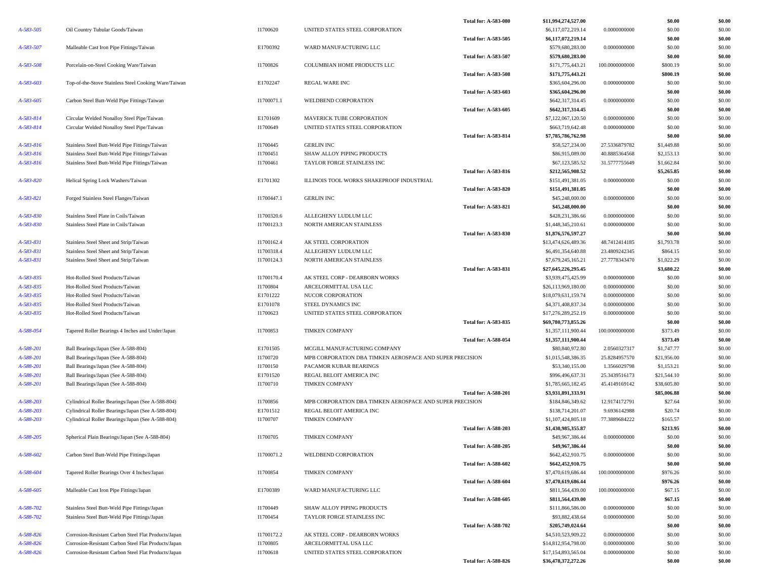|           |                                                                                          | I1700620   |                                                              | <b>Total for: A-583-080</b> | \$11,994,274,527.00                  |                | \$0.00             | \$0.00           |
|-----------|------------------------------------------------------------------------------------------|------------|--------------------------------------------------------------|-----------------------------|--------------------------------------|----------------|--------------------|------------------|
| A-583-505 | Oil Country Tubular Goods/Taiwan                                                         |            | UNITED STATES STEEL CORPORATION                              |                             | \$6,117,072,219.14                   | 0.0000000000   | \$0.00             | \$0.00           |
|           |                                                                                          |            | WARD MANUFACTURING LLC                                       | <b>Total for: A-583-505</b> | \$6,117,072,219.14                   |                | \$0.00             | \$0.00           |
| A-583-507 | Malleable Cast Iron Pipe Fittings/Taiwan                                                 | E1700392   |                                                              |                             | \$579,680,283.00                     | 0.0000000000   | \$0.00             | \$0.00           |
|           |                                                                                          |            |                                                              | <b>Total for: A-583-507</b> | \$579,680,283.00                     | 100.0000000000 | \$0.00<br>\$800.19 | \$0.00           |
| A-583-508 | Porcelain-on-Steel Cooking Ware/Taiwan                                                   | I1700826   | COLUMBIAN HOME PRODUCTS LLC                                  |                             | \$171,775,443.21                     |                |                    | \$0.00           |
|           |                                                                                          | E1702247   |                                                              | <b>Total for: A-583-508</b> | \$171,775,443.21                     | 0.0000000000   | \$800.19<br>\$0.00 | \$0.00           |
| A-583-603 | Top-of-the-Stove Stainless Steel Cooking Ware/Taiwan                                     |            | REGAL WARE INC                                               |                             | \$365,604,296.00                     |                |                    | \$0.00           |
| A-583-605 | Carbon Steel Butt-Weld Pipe Fittings/Taiwan                                              | I1700071.1 | WELDBEND CORPORATION                                         | <b>Total for: A-583-603</b> | \$365,604,296.00<br>\$642,317,314.45 | 0.0000000000   | \$0.00<br>\$0.00   | \$0.00<br>\$0.00 |
|           |                                                                                          |            |                                                              | <b>Total for: A-583-605</b> | \$642,317,314.45                     |                | \$0.00             | \$0.00           |
| A-583-814 |                                                                                          | E1701609   |                                                              |                             | \$7,122,067,120.50                   | 0.0000000000   | \$0.00             | \$0.00           |
| A-583-814 | Circular Welded Nonalloy Steel Pipe/Taiwan<br>Circular Welded Nonalloy Steel Pipe/Taiwan | I1700649   | MAVERICK TUBE CORPORATION<br>UNITED STATES STEEL CORPORATION |                             | \$663,719,642.48                     | 0.0000000000   | \$0.00             | \$0.00           |
|           |                                                                                          |            |                                                              | <b>Total for: A-583-814</b> | \$7,785,786,762.98                   |                | \$0.00             | \$0.00           |
| A-583-816 | Stainless Steel Butt-Weld Pipe Fittings/Taiwan                                           | I1700445   | <b>GERLIN INC</b>                                            |                             | \$58,527,234.00                      | 27.5336879782  | \$1,449.88         | \$0.00           |
| A-583-816 | Stainless Steel Butt-Weld Pipe Fittings/Taiwan                                           | I1700451   | SHAW ALLOY PIPING PRODUCTS                                   |                             | \$86,915,089.00                      | 40.8885364568  | \$2,153.13         | \$0.00           |
| A-583-816 | Stainless Steel Butt-Weld Pipe Fittings/Taiwan                                           | I1700461   | TAYLOR FORGE STAINLESS INC                                   |                             | \$67,123,585.52                      | 31.5777755649  | \$1,662.84         | \$0.00           |
|           |                                                                                          |            |                                                              | <b>Total for: A-583-816</b> | \$212,565,908.52                     |                | \$5,265.85         | \$0.00           |
| A-583-820 | Helical Spring Lock Washers/Taiwan                                                       | E1701302   | ILLINOIS TOOL WORKS SHAKEPROOF INDUSTRIAL                    |                             | \$151,491,381.05                     | 0.0000000000   | \$0.00             | \$0.00           |
|           |                                                                                          |            |                                                              | <b>Total for: A-583-820</b> | \$151,491,381.05                     |                | \$0.00             | \$0.00           |
| A-583-821 | Forged Stainless Steel Flanges/Taiwan                                                    | I1700447.1 | <b>GERLIN INC</b>                                            |                             | \$45,248,000.00                      | 0.0000000000   | \$0.00             | \$0.00           |
|           |                                                                                          |            |                                                              | <b>Total for: A-583-821</b> | \$45,248,000.00                      |                | \$0.00             | \$0.00           |
| A-583-830 | Stainless Steel Plate in Coils/Taiwan                                                    | I1700320.6 | ALLEGHENY LUDLUM LLC                                         |                             | \$428,231,386.66                     | 0.0000000000   | \$0.00             | \$0.00           |
| A-583-830 | Stainless Steel Plate in Coils/Taiwan                                                    | I1700123.3 | NORTH AMERICAN STAINLESS                                     |                             | \$1,448,345,210.61                   | 0.0000000000   | \$0.00             | \$0.00           |
|           |                                                                                          |            |                                                              | <b>Total for: A-583-830</b> | \$1,876,576,597.27                   |                | \$0.00             | \$0.00           |
| A-583-831 | Stainless Steel Sheet and Strip/Taiwan                                                   | I1700162.4 | AK STEEL CORPORATION                                         |                             | \$13,474,626,489.36                  | 48.7412414185  | \$1,793.78         | \$0.00           |
| A-583-831 | Stainless Steel Sheet and Strip/Taiwan                                                   | I1700318.4 | ALLEGHENY LUDLUM LLC                                         |                             | \$6,491,354,640.88                   | 23.4809242345  | \$864.15           | \$0.00           |
| A-583-831 | Stainless Steel Sheet and Strip/Taiwan                                                   | I1700124.3 | NORTH AMERICAN STAINLESS                                     |                             | \$7,679,245,165.21                   | 27.7778343470  | \$1,022.29         | \$0.00           |
|           |                                                                                          |            |                                                              | <b>Total for: A-583-831</b> | \$27,645,226,295.45                  |                | \$3,680.22         | \$0.00           |
| A-583-835 | Hot-Rolled Steel Products/Taiwan                                                         | I1700170.4 | AK STEEL CORP - DEARBORN WORKS                               |                             | \$3,939,475,425.99                   | 0.0000000000   | \$0.00             | \$0.00           |
| A-583-835 | Hot-Rolled Steel Products/Taiwan                                                         | I1700804   | ARCELORMITTAL USA LLC                                        |                             | \$26,113,969,180.00                  | 0.0000000000   | \$0.00             | \$0.00           |
| A-583-835 | Hot-Rolled Steel Products/Taiwan                                                         | E1701222   | NUCOR CORPORATION                                            |                             | \$18,079,631,159.74                  | 0.0000000000   | \$0.00             | \$0.00           |
| A-583-835 | Hot-Rolled Steel Products/Taiwan                                                         | E1701078   | STEEL DYNAMICS INC                                           |                             | \$4,371,408,837.34                   | 0.0000000000   | \$0.00             | \$0.00           |
| A-583-835 | Hot-Rolled Steel Products/Taiwan                                                         | I1700623   | UNITED STATES STEEL CORPORATION                              |                             | \$17,276,289,252.19                  | 0.0000000000   | \$0.00             | \$0.00           |
|           |                                                                                          |            |                                                              | <b>Total for: A-583-835</b> | \$69,780,773,855.26                  |                | \$0.00             | \$0.00           |
| A-588-054 | Tapered Roller Bearings 4 Inches and Under/Japan                                         | I1700853   | <b>TIMKEN COMPANY</b>                                        |                             | \$1,357,111,900.44                   | 100.0000000000 | \$373.49           | \$0.00           |
|           |                                                                                          |            |                                                              | <b>Total for: A-588-054</b> | \$1,357,111,900.44                   |                | \$373.49           | \$0.00           |
| A-588-201 | Ball Bearings/Japan (See A-588-804)                                                      | E1701505   | MCGILL MANUFACTURING COMPANY                                 |                             | \$80,840,972.80                      | 2.0560327317   | \$1,747.77         | \$0.00           |
| A-588-201 | Ball Bearings/Japan (See A-588-804)                                                      | I1700720   | MPB CORPORATION DBA TIMKEN AEROSPACE AND SUPER PRECISION     |                             | \$1,015,548,386.35                   | 25.8284957570  | \$21,956.00        | \$0.00           |
| A-588-201 | Ball Bearings/Japan (See A-588-804)                                                      | I1700150   | PACAMOR KUBAR BEARINGS                                       |                             | \$53,340,155.00                      | 1.3566029798   | \$1,153.21         | \$0.00           |
| A-588-201 | Ball Bearings/Japan (See A-588-804)                                                      | E1701520   | REGAL BELOIT AMERICA INC                                     |                             | \$996,496,637.31                     | 25.3439516173  | \$21,544.10        | \$0.00           |
| A-588-201 | Ball Bearings/Japan (See A-588-804)                                                      | I1700710   | <b>TIMKEN COMPANY</b>                                        |                             | \$1,785,665,182.45                   | 45.4149169142  | \$38,605.80        | \$0.00           |
|           |                                                                                          |            |                                                              | <b>Total for: A-588-201</b> | \$3,931,891,333.91                   |                | \$85,006.88        | \$0.00           |
| A-588-203 | Cylindrical Roller Bearings/Japan (See A-588-804)                                        | I1700856   | MPB CORPORATION DBA TIMKEN AEROSPACE AND SUPER PRECISION     |                             | \$184,846,349.62                     | 12.9174172791  | \$27.64            | \$0.00           |
| A-588-203 | Cylindrical Roller Bearings/Japan (See A-588-804)                                        | E1701512   | REGAL BELOIT AMERICA INC                                     |                             | \$138,714,201.07                     | 9.6936142988   | \$20.74            | \$0.00           |
| A-588-203 | Cylindrical Roller Bearings/Japan (See A-588-804)                                        | I1700707   | <b>TIMKEN COMPANY</b>                                        |                             | \$1,107,424,805.18                   | 77.3889684222  | \$165.57           | \$0.00           |
|           |                                                                                          |            |                                                              | <b>Total for: A-588-203</b> | \$1,430,985,355.87                   |                | \$213.95           | \$0.00           |
| A-588-205 | Spherical Plain Bearings/Japan (See A-588-804)                                           | I1700705   | <b>TIMKEN COMPANY</b>                                        |                             | \$49,967,386.44                      | 0.0000000000   | \$0.00             | \$0.00           |
|           |                                                                                          |            |                                                              | <b>Total for: A-588-205</b> | \$49,967,386.44                      |                | \$0.00             | \$0.00           |
| A-588-602 | Carbon Steel Butt-Weld Pipe Fittings/Japan                                               | I1700071.2 | WELDBEND CORPORATION                                         |                             | \$642,452,910.75                     | 0.0000000000   | \$0.00             | \$0.00           |
|           |                                                                                          |            |                                                              | <b>Total for: A-588-602</b> | \$642,452,910.75                     |                | \$0.00             | \$0.00           |
| A-588-604 | Tapered Roller Bearings Over 4 Inches/Japan                                              | I1700854   | <b>TIMKEN COMPANY</b>                                        |                             | \$7,470,619,686.44                   | 100.0000000000 | \$976.26           | \$0.00           |
|           |                                                                                          |            |                                                              | <b>Total for: A-588-604</b> | \$7,470,619,686.44                   |                | \$976.26           | \$0.00           |
| A-588-605 | Malleable Cast Iron Pipe Fittings/Japan                                                  | E1700389   | WARD MANUFACTURING LLC                                       |                             | \$811,564,439.00                     | 100.0000000000 | \$67.15            | \$0.00           |
|           |                                                                                          |            |                                                              | Total for: A-588-605        | \$811,564,439.00                     |                | \$67.15            | \$0.00           |
| A-588-702 | Stainless Steel Butt-Weld Pipe Fittings/Japan                                            | I1700449   | SHAW ALLOY PIPING PRODUCTS                                   |                             | \$111,866,586.00                     | 0.0000000000   | \$0.00             | \$0.00           |
| A-588-702 | Stainless Steel Butt-Weld Pipe Fittings/Japan                                            | I1700454   | TAYLOR FORGE STAINLESS INC                                   |                             | \$93,882,438.64                      | 0.0000000000   | \$0.00             | \$0.00           |
|           |                                                                                          |            |                                                              | <b>Total for: A-588-702</b> | \$205,749,024.64                     |                | \$0.00             | \$0.00           |
| A-588-826 | Corrosion-Resistant Carbon Steel Flat Products/Japan                                     | I1700172.2 | AK STEEL CORP - DEARBORN WORKS                               |                             | \$4,510,523,909.22                   | 0.0000000000   | \$0.00             | \$0.00           |
| A-588-826 | Corrosion-Resistant Carbon Steel Flat Products/Japan                                     | I1700805   | ARCELORMITTAL USA LLC                                        |                             | \$14,812,954,798.00                  | 0.0000000000   | \$0.00             | \$0.00           |
| A-588-826 | Corrosion-Resistant Carbon Steel Flat Products/Japan                                     | I1700618   | UNITED STATES STEEL CORPORATION                              |                             | \$17,154,893,565.04                  | 0.0000000000   | \$0.00             | \$0.00           |
|           |                                                                                          |            |                                                              | <b>Total for: A-588-826</b> | \$36,478,372,272.26                  |                | \$0.00             | \$0.00           |
|           |                                                                                          |            |                                                              |                             |                                      |                |                    |                  |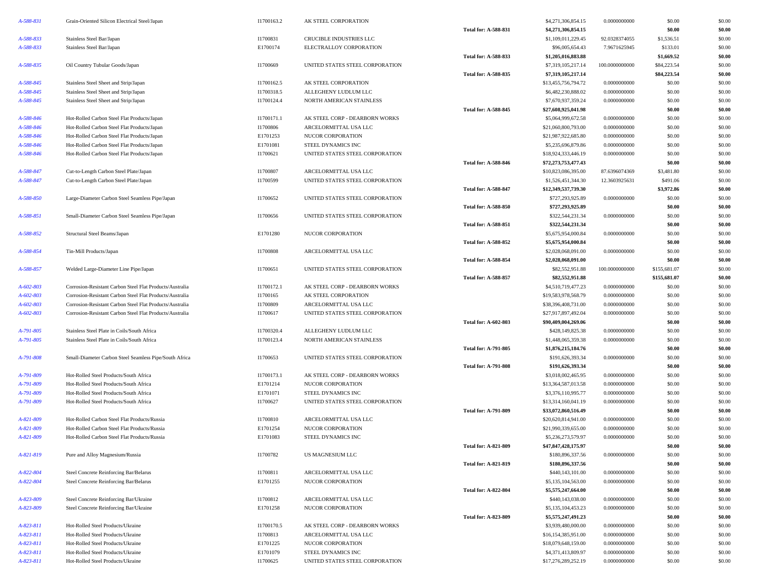| A-588-831       | Grain-Oriented Silicon Electrical Steel/Japan            | I1700163.2 | AK STEEL CORPORATION            |                             | \$4,271,306,854.15  | 0.0000000000   | \$0.00       | \$0.00 |
|-----------------|----------------------------------------------------------|------------|---------------------------------|-----------------------------|---------------------|----------------|--------------|--------|
|                 |                                                          |            |                                 | <b>Total for: A-588-831</b> | \$4,271,306,854.15  |                | \$0.00       | \$0.00 |
| A-588-833       | Stainless Steel Bar/Japan                                | I1700831   | CRUCIBLE INDUSTRIES LLC         |                             | \$1,109,011,229.45  | 92.0328374055  | \$1,536.51   | \$0.00 |
| A-588-833       | Stainless Steel Bar/Japan                                | E1700174   | ELECTRALLOY CORPORATION         |                             | \$96,005,654.43     | 7.9671625945   | \$133.01     | \$0.00 |
|                 |                                                          |            |                                 | <b>Total for: A-588-833</b> | \$1,205,016,883.88  |                | \$1,669.52   | \$0.00 |
| A-588-835       | Oil Country Tubular Goods/Japan                          | I1700669   | UNITED STATES STEEL CORPORATION |                             | \$7,319,105,217.14  | 100.0000000000 | \$84,223.54  | \$0.00 |
|                 |                                                          |            |                                 | <b>Total for: A-588-835</b> | \$7,319,105,217.14  |                | \$84,223.54  | \$0.00 |
| A-588-845       |                                                          | I1700162.5 | AK STEEL CORPORATION            |                             | \$13,455,756,794.72 | 0.0000000000   | \$0.00       | \$0.00 |
|                 | Stainless Steel Sheet and Strip/Japan                    |            |                                 |                             |                     |                |              |        |
| A-588-845       | Stainless Steel Sheet and Strip/Japan                    | I1700318.5 | ALLEGHENY LUDLUM LLC            |                             | \$6,482,230,888.02  | 0.0000000000   | \$0.00       | \$0.00 |
| A-588-845       | Stainless Steel Sheet and Strip/Japan                    | I1700124.4 | NORTH AMERICAN STAINLESS        |                             | \$7,670,937,359.24  | 0.0000000000   | \$0.00       | \$0.00 |
|                 |                                                          |            |                                 | <b>Total for: A-588-845</b> | \$27,608,925,041.98 |                | \$0.00       | \$0.00 |
| A-588-846       | Hot-Rolled Carbon Steel Flat Products/Japan              | I1700171.1 | AK STEEL CORP - DEARBORN WORKS  |                             | \$5,064,999,672.58  | 0.0000000000   | \$0.00       | \$0.00 |
| A-588-846       | Hot-Rolled Carbon Steel Flat Products/Japan              | I1700806   | ARCELORMITTAL USA LLC           |                             | \$21,060,800,793.00 | 0.0000000000   | \$0.00       | \$0.00 |
| A-588-846       | Hot-Rolled Carbon Steel Flat Products/Japan              | E1701253   | NUCOR CORPORATION               |                             | \$21,987,922,685.80 | 0.0000000000   | \$0.00       | \$0.00 |
| A-588-846       | Hot-Rolled Carbon Steel Flat Products/Japan              | E1701081   | STEEL DYNAMICS INC              |                             | \$5,235,696,879.86  | 0.0000000000   | \$0.00       | \$0.00 |
| A-588-846       | Hot-Rolled Carbon Steel Flat Products/Japan              | I1700621   | UNITED STATES STEEL CORPORATION |                             | \$18,924,333,446.19 | 0.0000000000   | \$0.00       | \$0.00 |
|                 |                                                          |            |                                 | <b>Total for: A-588-846</b> | \$72,273,753,477.43 |                | \$0.00       | \$0.00 |
| A-588-847       | Cut-to-Length Carbon Steel Plate/Japan                   | I1700807   | ARCELORMITTAL USA LLC           |                             | \$10,823,086,395.00 | 87.6396074369  | \$3,481.80   | \$0.00 |
| A-588-847       | Cut-to-Length Carbon Steel Plate/Japan                   | I1700599   | UNITED STATES STEEL CORPORATION |                             | \$1,526,451,344.30  | 12.3603925631  | \$491.06     | \$0.00 |
|                 |                                                          |            |                                 | <b>Total for: A-588-847</b> | \$12,349,537,739.30 |                | \$3,972.86   | \$0.00 |
| A-588-850       | Large-Diameter Carbon Steel Seamless Pipe/Japan          | I1700652   | UNITED STATES STEEL CORPORATION |                             | \$727,293,925.89    | 0.0000000000   | \$0.00       | \$0.00 |
|                 |                                                          |            |                                 |                             |                     |                | \$0.00       | \$0.00 |
|                 |                                                          |            |                                 | <b>Total for: A-588-850</b> | \$727,293,925.89    |                |              |        |
| A-588-851       | Small-Diameter Carbon Steel Seamless Pipe/Japan          | I1700656   | UNITED STATES STEEL CORPORATION |                             | \$322,544,231.34    | 0.0000000000   | \$0.00       | \$0.00 |
|                 |                                                          |            |                                 | <b>Total for: A-588-851</b> | \$322,544,231.34    |                | \$0.00       | \$0.00 |
| A-588-852       | Structural Steel Beams/Japan                             | E1701280   | NUCOR CORPORATION               |                             | \$5,675,954,000.84  | 0.0000000000   | \$0.00       | \$0.00 |
|                 |                                                          |            |                                 | <b>Total for: A-588-852</b> | \$5,675,954,000.84  |                | \$0.00       | \$0.00 |
| A-588-854       | Tin-Mill Products/Japan                                  | I1700808   | ARCELORMITTAL USA LLC           |                             | \$2,028,068,091.00  | 0.0000000000   | \$0.00       | \$0.00 |
|                 |                                                          |            |                                 | <b>Total for: A-588-854</b> | \$2,028,068,091.00  |                | \$0.00       | \$0.00 |
| A-588-857       | Welded Large-Diameter Line Pipe/Japan                    | I1700651   | UNITED STATES STEEL CORPORATION |                             | \$82,552,951.88     | 100.0000000000 | \$155,681.07 | \$0.00 |
|                 |                                                          |            |                                 | <b>Total for: A-588-857</b> | \$82,552,951.88     |                | \$155,681.07 | \$0.00 |
| A-602-803       | Corrosion-Resistant Carbon Steel Flat Products/Australia | I1700172.1 | AK STEEL CORP - DEARBORN WORKS  |                             | \$4,510,719,477.23  | 0.0000000000   | \$0.00       | \$0.00 |
| A-602-803       | Corrosion-Resistant Carbon Steel Flat Products/Australia | I1700165   | AK STEEL CORPORATION            |                             | \$19,583,978,568.79 | 0.0000000000   | \$0.00       | \$0.00 |
| A-602-803       | Corrosion-Resistant Carbon Steel Flat Products/Australia | I1700809   | ARCELORMITTAL USA LLC           |                             | \$38,396,408,731.00 | 0.0000000000   | \$0.00       | \$0.00 |
| A-602-803       | Corrosion-Resistant Carbon Steel Flat Products/Australia | I1700617   | UNITED STATES STEEL CORPORATION |                             | \$27,917,897,492.04 | 0.0000000000   | \$0.00       | \$0.00 |
|                 |                                                          |            |                                 | <b>Total for: A-602-803</b> | \$90,409,004,269.06 |                | \$0.00       | \$0.00 |
| A-791-805       | Stainless Steel Plate in Coils/South Africa              | I1700320.4 | ALLEGHENY LUDLUM LLC            |                             | \$428,149,825.38    | 0.0000000000   | \$0.00       | \$0.00 |
|                 |                                                          |            |                                 |                             |                     |                |              |        |
| A-791-805       | Stainless Steel Plate in Coils/South Africa              | I1700123.4 | NORTH AMERICAN STAINLESS        |                             | \$1,448,065,359.38  | 0.0000000000   | \$0.00       | \$0.00 |
|                 |                                                          |            |                                 | <b>Total for: A-791-805</b> | \$1,876,215,184.76  |                | \$0.00       | \$0.00 |
| A-791-808       | Small-Diameter Carbon Steel Seamless Pipe/South Africa   | I1700653   | UNITED STATES STEEL CORPORATION |                             | \$191,626,393.34    | 0.0000000000   | \$0.00       | \$0.00 |
|                 |                                                          |            |                                 | <b>Total for: A-791-808</b> | \$191,626,393.34    |                | \$0.00       | \$0.00 |
| A-791-809       | Hot-Rolled Steel Products/South Africa                   | I1700173.1 | AK STEEL CORP - DEARBORN WORKS  |                             | \$3,018,002,465.95  | 0.0000000000   | \$0.00       | \$0.00 |
| A-791-809       | Hot-Rolled Steel Products/South Africa                   | E1701214   | NUCOR CORPORATION               |                             | \$13,364,587,013.58 | 0.0000000000   | \$0.00       | \$0.00 |
| A-791-809       | Hot-Rolled Steel Products/South Africa                   | E1701071   | STEEL DYNAMICS INC              |                             | \$3,376,110,995.77  | 0.0000000000   | \$0.00       | \$0.00 |
| A-791-809       | Hot-Rolled Steel Products/South Africa                   | I1700627   | UNITED STATES STEEL CORPORATION |                             | \$13,314,160,041.19 | 0.0000000000   | \$0.00       | \$0.00 |
|                 |                                                          |            |                                 | <b>Total for: A-791-809</b> | \$33,072,860,516.49 |                | \$0.00       | \$0.00 |
| A-821-809       | Hot-Rolled Carbon Steel Flat Products/Russia             | I1700810   | ARCELORMITTAL USA LLC           |                             | \$20,620,814,941.00 | 0.0000000000   | \$0.00       | \$0.00 |
| A-821-809       | Hot-Rolled Carbon Steel Flat Products/Russia             | E1701254   | NUCOR CORPORATION               |                             | \$21,990,339,655.00 | 0.0000000000   | \$0.00       | \$0.00 |
| A-821-809       | Hot-Rolled Carbon Steel Flat Products/Russia             | E1701083   | STEEL DYNAMICS INC              |                             | \$5,236,273,579.97  | 0.0000000000   | \$0.00       | \$0.00 |
|                 |                                                          |            |                                 | Total for: A-821-809        | \$47,847,428,175.97 |                | \$0.00       | \$0.00 |
| A-821-819       | Pure and Alloy Magnesium/Russia                          | I1700782   | US MAGNESIUM LLC                |                             | \$180,896,337.56    | 0.0000000000   | \$0.00       | \$0.00 |
|                 |                                                          |            |                                 |                             | \$180,896,337.56    |                |              |        |
|                 |                                                          |            |                                 | <b>Total for: A-821-819</b> |                     |                | \$0.00       | \$0.00 |
| A-822-804       | Steel Concrete Reinforcing Bar/Belarus                   | I1700811   | ARCELORMITTAL USA LLC           |                             | \$440,143,101.00    | 0.0000000000   | \$0.00       | \$0.00 |
| A-822-804       | Steel Concrete Reinforcing Bar/Belarus                   | E1701255   | NUCOR CORPORATION               |                             | \$5,135,104,563.00  | 0.0000000000   | \$0.00       | \$0.00 |
|                 |                                                          |            |                                 | <b>Total for: A-822-804</b> | \$5,575,247,664.00  |                | \$0.00       | \$0.00 |
| A-823-809       | Steel Concrete Reinforcing Bar/Ukraine                   | I1700812   | ARCELORMITTAL USA LLC           |                             | \$440,143,038.00    | 0.0000000000   | \$0.00       | \$0.00 |
| A-823-809       | Steel Concrete Reinforcing Bar/Ukraine                   | E1701258   | NUCOR CORPORATION               |                             | \$5,135,104,453.23  | 0.0000000000   | \$0.00       | \$0.00 |
|                 |                                                          |            |                                 | <b>Total for: A-823-809</b> | \$5,575,247,491.23  |                | \$0.00       | \$0.00 |
| $A - 823 - 811$ | Hot-Rolled Steel Products/Ukraine                        | I1700170.5 | AK STEEL CORP - DEARBORN WORKS  |                             | \$3,939,480,000.00  | 0.0000000000   | \$0.00       | \$0.00 |
| $A - 823 - 811$ | Hot-Rolled Steel Products/Ukraine                        | I1700813   | ARCELORMITTAL USA LLC           |                             | \$16,154,385,951.00 | 0.0000000000   | \$0.00       | \$0.00 |
| $A - 823 - 811$ | Hot-Rolled Steel Products/Ukraine                        | E1701225   | NUCOR CORPORATION               |                             | \$18,079,648,159.00 | 0.0000000000   | \$0.00       | \$0.00 |
| $A - 823 - 811$ | Hot-Rolled Steel Products/Ukraine                        | E1701079   | STEEL DYNAMICS INC              |                             | \$4,371,413,809.97  | 0.0000000000   | \$0.00       | \$0.00 |
| $A - 823 - 811$ | Hot-Rolled Steel Products/Ukraine                        | I1700625   | UNITED STATES STEEL CORPORATION |                             | \$17,276,289,252.19 | 0.0000000000   | \$0.00       | \$0.00 |
|                 |                                                          |            |                                 |                             |                     |                |              |        |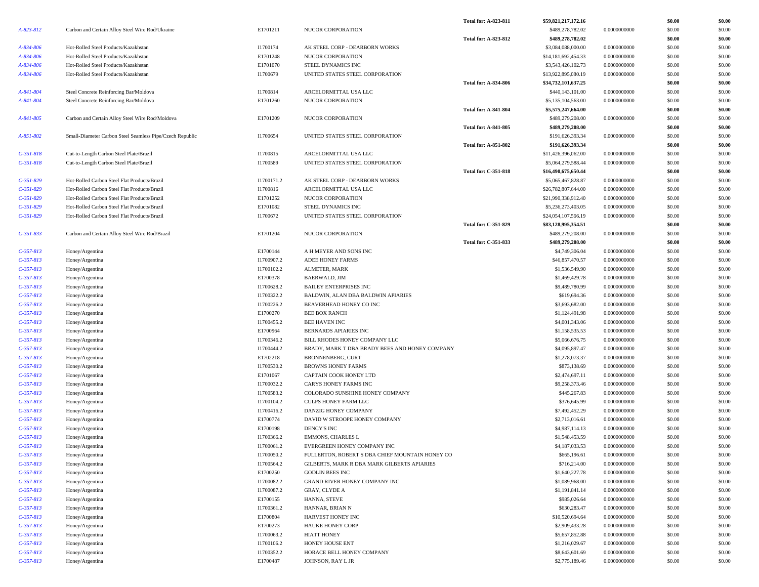|             |                                                                                              |            |                                                 | <b>Total for: A-823-811</b> | \$59,821,217,172.16 |              | \$0.00 | \$0.00 |
|-------------|----------------------------------------------------------------------------------------------|------------|-------------------------------------------------|-----------------------------|---------------------|--------------|--------|--------|
| A-823-812   | Carbon and Certain Alloy Steel Wire Rod/Ukraine                                              | E1701211   | NUCOR CORPORATION                               |                             | \$489,278,782.02    | 0.0000000000 | \$0.00 | \$0.00 |
|             |                                                                                              |            |                                                 | Total for: A-823-812        | \$489,278,782.02    |              | \$0.00 | \$0.00 |
| A-834-806   | Hot-Rolled Steel Products/Kazakhstan                                                         | I1700174   | AK STEEL CORP - DEARBORN WORKS                  |                             | \$3,084,088,000.00  | 0.0000000000 | \$0.00 | \$0.00 |
| A-834-806   | Hot-Rolled Steel Products/Kazakhstan                                                         | E1701248   | NUCOR CORPORATION                               |                             | \$14,181,692,454.33 | 0.0000000000 | \$0.00 | \$0.00 |
| A-834-806   | Hot-Rolled Steel Products/Kazakhstan                                                         | E1701070   | STEEL DYNAMICS INC                              |                             | \$3,543,426,102.73  | 0.0000000000 | \$0.00 | \$0.00 |
| A-834-806   | Hot-Rolled Steel Products/Kazakhstan                                                         | I1700679   | UNITED STATES STEEL CORPORATION                 |                             | \$13,922,895,080.19 | 0.0000000000 | \$0.00 | \$0.00 |
|             |                                                                                              |            |                                                 | <b>Total for: A-834-806</b> | \$34,732,101,637.25 |              | \$0.00 | \$0.00 |
| A-841-804   | Steel Concrete Reinforcing Bar/Moldova                                                       | I1700814   | ARCELORMITTAL USA LLC                           |                             | \$440,143,101.00    | 0.0000000000 | \$0.00 | \$0.00 |
| A-841-804   | Steel Concrete Reinforcing Bar/Moldova                                                       | E1701260   | NUCOR CORPORATION                               |                             | \$5,135,104,563.00  | 0.0000000000 | \$0.00 | \$0.00 |
|             |                                                                                              |            |                                                 | <b>Total for: A-841-804</b> | \$5,575,247,664.00  |              | \$0.00 | \$0.00 |
| A-841-805   | Carbon and Certain Alloy Steel Wire Rod/Moldova                                              | E1701209   | <b>NUCOR CORPORATION</b>                        |                             | \$489,279,208.00    | 0.0000000000 | \$0.00 | \$0.00 |
|             |                                                                                              |            |                                                 | <b>Total for: A-841-805</b> | \$489,279,208.00    |              | \$0.00 | \$0.00 |
| A-851-802   | Small-Diameter Carbon Steel Seamless Pipe/Czech Republic                                     | I1700654   | UNITED STATES STEEL CORPORATION                 |                             | \$191,626,393.34    | 0.0000000000 | \$0.00 | \$0.00 |
|             |                                                                                              |            |                                                 | <b>Total for: A-851-802</b> | \$191,626,393.34    |              | \$0.00 | \$0.00 |
| $C-351-818$ | Cut-to-Length Carbon Steel Plate/Brazil                                                      | I1700815   | ARCELORMITTAL USA LLC                           |                             | \$11,426,396,062.00 | 0.0000000000 | \$0.00 | \$0.00 |
| $C-351-818$ | Cut-to-Length Carbon Steel Plate/Brazil                                                      | I1700589   | UNITED STATES STEEL CORPORATION                 |                             | \$5,064,279,588.44  | 0.0000000000 | \$0.00 | \$0.00 |
|             |                                                                                              |            |                                                 | <b>Total for: C-351-818</b> | \$16,490,675,650.44 |              | \$0.00 | \$0.00 |
| $C-351-829$ | Hot-Rolled Carbon Steel Flat Products/Brazil                                                 | I1700171.2 | AK STEEL CORP - DEARBORN WORKS                  |                             | \$5,065,467,828.87  | 0.0000000000 | \$0.00 | \$0.00 |
| $C-351-829$ | Hot-Rolled Carbon Steel Flat Products/Brazil                                                 | I1700816   | ARCELORMITTAL USA LLC                           |                             | \$26,782,807,644.00 | 0.0000000000 | \$0.00 | \$0.00 |
| $C-351-829$ | Hot-Rolled Carbon Steel Flat Products/Brazil                                                 | E1701252   | NUCOR CORPORATION                               |                             | \$21,990,338,912.40 | 0.0000000000 | \$0.00 | \$0.00 |
| $C-351-829$ |                                                                                              |            |                                                 |                             | \$5,236,273,403.05  |              |        |        |
|             | Hot-Rolled Carbon Steel Flat Products/Brazil<br>Hot-Rolled Carbon Steel Flat Products/Brazil | E1701082   | STEEL DYNAMICS INC                              |                             |                     | 0.0000000000 | \$0.00 | \$0.00 |
| $C-351-829$ |                                                                                              | I1700672   | UNITED STATES STEEL CORPORATION                 |                             | \$24,054,107,566.19 | 0.0000000000 | \$0.00 | \$0.00 |
|             |                                                                                              |            |                                                 | <b>Total for: C-351-829</b> | \$83,128,995,354.51 |              | \$0.00 | \$0.00 |
| $C-351-833$ | Carbon and Certain Alloy Steel Wire Rod/Brazil                                               | E1701204   | <b>NUCOR CORPORATION</b>                        |                             | \$489,279,208.00    | 0.0000000000 | \$0.00 | \$0.00 |
|             |                                                                                              |            |                                                 | Total for: C-351-833        | \$489,279,208.00    |              | \$0.00 | \$0.00 |
| $C-357-813$ | Honey/Argentina                                                                              | E1700144   | A H MEYER AND SONS INC                          |                             | \$4,749,306.04      | 0.0000000000 | \$0.00 | \$0.00 |
| $C-357-813$ | Honey/Argentina                                                                              | I1700907.2 | ADEE HONEY FARMS                                |                             | \$46,857,470.57     | 0.0000000000 | \$0.00 | \$0.00 |
| $C-357-813$ | Honey/Argentina                                                                              | I1700102.2 | ALMETER, MARK                                   |                             | \$1,536,549.90      | 0.0000000000 | \$0.00 | \$0.00 |
| $C-357-813$ | Honey/Argentina                                                                              | E1700378   | <b>BAERWALD, JIM</b>                            |                             | \$1,469,429.78      | 0.0000000000 | \$0.00 | \$0.00 |
| $C-357-813$ | Honey/Argentina                                                                              | I1700628.2 | <b>BAILEY ENTERPRISES INC</b>                   |                             | \$9,489,780.99      | 0.0000000000 | \$0.00 | \$0.00 |
| $C-357-813$ | Honey/Argentina                                                                              | I1700322.2 | BALDWIN, ALAN DBA BALDWIN APIARIES              |                             | \$619,694.36        | 0.0000000000 | \$0.00 | \$0.00 |
| $C-357-813$ | Honey/Argentina                                                                              | I1700226.2 | BEAVERHEAD HONEY CO INC                         |                             | \$3,693,682.00      | 0.0000000000 | \$0.00 | \$0.00 |
| $C-357-813$ | Honey/Argentina                                                                              | E1700270   | <b>BEE BOX RANCH</b>                            |                             | \$1,124,491.98      | 0.0000000000 | \$0.00 | \$0.00 |
| $C-357-813$ | Honey/Argentina                                                                              | I1700455.2 | BEE HAVEN INC                                   |                             | \$4,001,343.06      | 0.0000000000 | \$0.00 | \$0.00 |
| $C-357-813$ | Honey/Argentina                                                                              | E1700964   | BERNARDS APIARIES INC                           |                             | \$1,158,535.53      | 0.0000000000 | \$0.00 | \$0.00 |
| $C-357-813$ | Honey/Argentina                                                                              | I1700346.2 | BILL RHODES HONEY COMPANY LLC                   |                             | \$5,066,676.75      | 0.0000000000 | \$0.00 | \$0.00 |
| $C-357-813$ | Honey/Argentina                                                                              | I1700444.2 | BRADY, MARK T DBA BRADY BEES AND HONEY COMPANY  |                             | \$4,095,897.47      | 0.0000000000 | \$0.00 | \$0.00 |
| $C-357-813$ | Honey/Argentina                                                                              | E1702218   | BRONNENBERG, CURT                               |                             | \$1,278,073.37      | 0.0000000000 | \$0.00 | \$0.00 |
| $C-357-813$ | Honey/Argentina                                                                              | I1700530.2 | <b>BROWNS HONEY FARMS</b>                       |                             | \$873,138.69        | 0.0000000000 | \$0.00 | \$0.00 |
| $C-357-813$ | Honey/Argentina                                                                              | E1701067   | CAPTAIN COOK HONEY LTD                          |                             | \$2,474,697.11      | 0.0000000000 | \$0.00 | \$0.00 |
| $C-357-813$ | Honey/Argentina                                                                              | I1700032.2 | CARYS HONEY FARMS INC                           |                             | \$9,258,373.46      | 0.0000000000 | \$0.00 | \$0.00 |
| $C-357-813$ | Honey/Argentina                                                                              | I1700583.2 | COLORADO SUNSHINE HONEY COMPANY                 |                             | \$445,267.83        | 0.0000000000 | \$0.00 | \$0.00 |
| $C-357-813$ | Honey/Argentina                                                                              | I1700104.2 | <b>CULPS HONEY FARM LLC</b>                     |                             | \$376,645.99        | 0.0000000000 | \$0.00 | \$0.00 |
| $C-357-813$ | Honey/Argentina                                                                              | I1700416.2 | DANZIG HONEY COMPANY                            |                             | \$7,492,452.29      | 0.0000000000 | \$0.00 | \$0.00 |
| $C-357-813$ | Honey/Argentina                                                                              | E1700774   | DAVID W STROOPE HONEY COMPANY                   |                             | \$2,713,016.61      | 0.0000000000 | \$0.00 | \$0.00 |
| $C-357-813$ | Honey/Argentina                                                                              | E1700198   | DENCY'S INC                                     |                             | \$4,987,114.13      | 0.0000000000 | \$0.00 | \$0.00 |
| $C-357-813$ | Honey/Argentina                                                                              | I1700366.2 | <b>EMMONS, CHARLES L</b>                        |                             | \$1,548,453.59      | 0.0000000000 | \$0.00 | \$0.00 |
| $C-357-813$ | Honey/Argentina                                                                              | I1700061.2 | EVERGREEN HONEY COMPANY INC                     |                             | \$4,187,033.53      | 0.0000000000 | \$0.00 | \$0.00 |
| $C-357-813$ | Honey/Argentina                                                                              | 11700050.2 | FULLERTON, ROBERT S DBA CHIEF MOUNTAIN HONEY CO |                             | \$665,196.61        | 0.0000000000 | \$0.00 | \$0.00 |
| $C-357-813$ | Honey/Argentina                                                                              | I1700564.2 | GILBERTS, MARK R DBA MARK GILBERTS APIARIES     |                             | \$716,214.00        | 0.0000000000 | \$0.00 | \$0.00 |
| $C-357-813$ | Honey/Argentina                                                                              | E1700250   | <b>GODLIN BEES INC</b>                          |                             | \$1,640,227.78      | 0.0000000000 | \$0.00 | \$0.00 |
| $C-357-813$ | Honey/Argentina                                                                              | I1700082.2 | GRAND RIVER HONEY COMPANY INC                   |                             | \$1,089,968.00      | 0.0000000000 | \$0.00 | \$0.00 |
| $C-357-813$ | Honey/Argentina                                                                              | I1700087.2 | <b>GRAY, CLYDE A</b>                            |                             | \$1,191,841.14      | 0.0000000000 | \$0.00 | \$0.00 |
| $C-357-813$ | Honey/Argentina                                                                              | E1700155   | HANNA, STEVE                                    |                             | \$985,026.64        | 0.0000000000 | \$0.00 | \$0.00 |
| $C-357-813$ | Honey/Argentina                                                                              | I1700361.2 | HANNAR, BRIAN N                                 |                             | \$630,283.47        | 0.0000000000 | \$0.00 | \$0.00 |
| $C-357-813$ | Honey/Argentina                                                                              | E1700804   | HARVEST HONEY INC                               |                             | \$10,520,694.64     | 0.0000000000 | \$0.00 | \$0.00 |
| $C-357-813$ | Honey/Argentina                                                                              | E1700273   | <b>HAUKE HONEY CORP</b>                         |                             | \$2,909,433.28      | 0.0000000000 | \$0.00 | \$0.00 |
| $C-357-813$ | Honey/Argentina                                                                              | I1700063.2 | <b>HIATT HONEY</b>                              |                             | \$5,657,852.88      | 0.0000000000 | \$0.00 | \$0.00 |
| $C-357-813$ | Honey/Argentina                                                                              | I1700106.2 | HONEY HOUSE ENT                                 |                             | \$1,216,029.67      | 0.0000000000 | \$0.00 | \$0.00 |
| $C-357-813$ | Honey/Argentina                                                                              | I1700352.2 | HORACE BELL HONEY COMPANY                       |                             | \$8,643,601.69      | 0.0000000000 | \$0.00 | \$0.00 |
| $C-357-813$ | Honey/Argentina                                                                              | E1700487   | JOHNSON, RAY L JR                               |                             | \$2,775,189.46      | 0.0000000000 | \$0.00 | \$0.00 |
|             |                                                                                              |            |                                                 |                             |                     |              |        |        |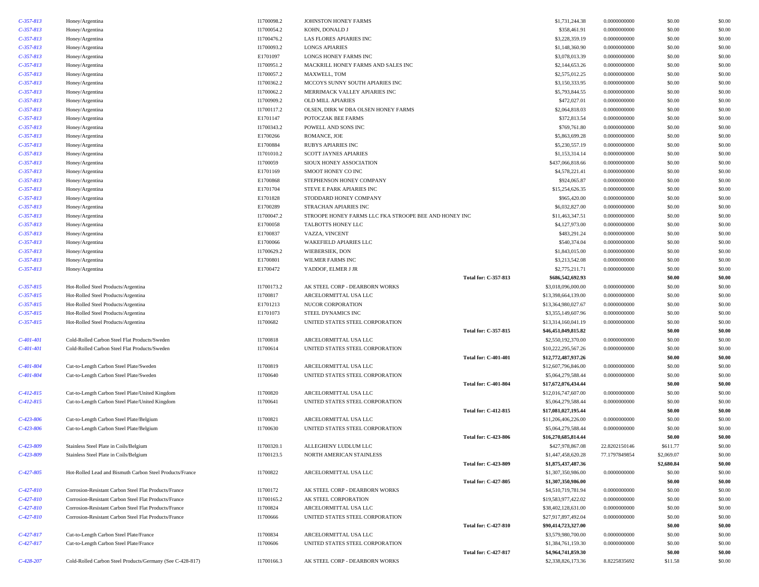| $C-357-813$ | Honey/Argentina                                           | I1700098.2 | JOHNSTON HONEY FARMS                                  |                             | \$1,731,244.38      | 0.0000000000  | \$0.00     | \$0.00 |
|-------------|-----------------------------------------------------------|------------|-------------------------------------------------------|-----------------------------|---------------------|---------------|------------|--------|
| $C-357-813$ | Honey/Argentina                                           | I1700054.2 | KOHN, DONALD J                                        |                             | \$358,461.91        | 0.0000000000  | \$0.00     | \$0.00 |
| $C-357-813$ |                                                           | I1700476.2 | LAS FLORES APIARIES INC                               |                             | \$3,228,359.19      | 0.0000000000  | \$0.00     | \$0.00 |
|             | Honey/Argentina                                           |            |                                                       |                             |                     |               |            |        |
| $C-357-813$ | Honey/Argentina                                           | I1700093.2 | <b>LONGS APIARIES</b>                                 |                             | \$1,148,360.90      | 0.0000000000  | \$0.00     | \$0.00 |
| $C-357-813$ | Honey/Argentina                                           | E1701097   | LONGS HONEY FARMS INC                                 |                             | \$3,078,013.39      | 0.0000000000  | \$0.00     | \$0.00 |
| $C-357-813$ | Honey/Argentina                                           | I1700951.2 | MACKRILL HONEY FARMS AND SALES INC                    |                             | \$2,144,653.26      | 0.0000000000  | \$0.00     | \$0.00 |
| $C-357-813$ | Honey/Argentina                                           | I1700057.2 | MAXWELL, TOM                                          |                             | \$2,575,012.25      | 0.0000000000  | \$0.00     | \$0.00 |
| $C-357-813$ | Honey/Argentina                                           | I1700362.2 | MCCOYS SUNNY SOUTH APIARIES INC                       |                             | \$3,150,333.95      | 0.0000000000  | \$0.00     | \$0.00 |
| $C-357-813$ | Honey/Argentina                                           | I1700062.2 | MERRIMACK VALLEY APIARIES INC                         |                             | \$5,793,844.55      | 0.0000000000  | \$0.00     | \$0.00 |
| $C-357-813$ | Honey/Argentina                                           | I1700909.2 | <b>OLD MILL APIARIES</b>                              |                             | \$472,027.01        | 0.0000000000  | \$0.00     | \$0.00 |
| $C-357-813$ | Honey/Argentina                                           | I1700117.2 | OLSEN, DIRK W DBA OLSEN HONEY FARMS                   |                             | \$2,064,818.03      | 0.0000000000  | \$0.00     | \$0.00 |
| $C-357-813$ | Honey/Argentina                                           | E1701147   | POTOCZAK BEE FARMS                                    |                             | \$372,813.54        | 0.0000000000  | \$0.00     | \$0.00 |
| $C-357-813$ | Honey/Argentina                                           | I1700343.2 | POWELL AND SONS INC                                   |                             | \$769,761.80        | 0.0000000000  | \$0.00     | \$0.00 |
| $C-357-813$ | Honey/Argentina                                           | E1700266   | ROMANCE, JOE                                          |                             | \$5,863,699.28      | 0.0000000000  | \$0.00     | \$0.00 |
| $C-357-813$ | Honey/Argentina                                           | E1700884   | RUBYS APIARIES INC                                    |                             | \$5,230,557.19      | 0.0000000000  | \$0.00     | \$0.00 |
| $C-357-813$ | Honey/Argentina                                           | I1701010.2 | <b>SCOTT JAYNES APIARIES</b>                          |                             | \$1,153,314.14      | 0.0000000000  | \$0.00     | \$0.00 |
| $C-357-813$ | Honey/Argentina                                           | I1700059   | SIOUX HONEY ASSOCIATION                               |                             | \$437,066,818.66    | 0.0000000000  | \$0.00     | \$0.00 |
| $C-357-813$ | Honey/Argentina                                           | E1701169   | SMOOT HONEY CO INC                                    |                             | \$4,578,221.41      | 0.0000000000  | \$0.00     | \$0.00 |
| $C-357-813$ | Honey/Argentina                                           | E1700868   | STEPHENSON HONEY COMPANY                              |                             | \$924,065.87        | 0.0000000000  | \$0.00     | \$0.00 |
| $C-357-813$ |                                                           | E1701704   |                                                       |                             | \$15,254,626.35     | 0.0000000000  | \$0.00     | \$0.00 |
|             | Honey/Argentina                                           |            | STEVE E PARK APIARIES INC                             |                             |                     |               |            | \$0.00 |
| $C-357-813$ | Honey/Argentina                                           | E1701828   | STODDARD HONEY COMPANY                                |                             | \$965,420.00        | 0.0000000000  | \$0.00     |        |
| $C-357-813$ | Honey/Argentina                                           | E1700289   | STRACHAN APIARIES INC                                 |                             | \$6,032,827.00      | 0.0000000000  | \$0.00     | \$0.00 |
| $C-357-813$ | Honey/Argentina                                           | I1700047.2 | STROOPE HONEY FARMS LLC FKA STROOPE BEE AND HONEY INC |                             | \$11,463,347.51     | 0.0000000000  | \$0.00     | \$0.00 |
| $C-357-813$ | Honey/Argentina                                           | E1700058   | TALBOTTS HONEY LLC                                    |                             | \$4,127,973.00      | 0.0000000000  | \$0.00     | \$0.00 |
| $C-357-813$ | Honey/Argentina                                           | E1700837   | VAZZA, VINCENT                                        |                             | \$483,291.24        | 0.0000000000  | \$0.00     | \$0.00 |
| $C-357-813$ | Honey/Argentina                                           | E1700066   | WAKEFIELD APIARIES LLC                                |                             | \$540,374.04        | 0.0000000000  | \$0.00     | \$0.00 |
| $C-357-813$ | Honey/Argentina                                           | I1700629.2 | WIEBERSIEK, DON                                       |                             | \$1,843,015.00      | 0.0000000000  | \$0.00     | \$0.00 |
| $C-357-813$ | Honey/Argentina                                           | E1700801   | WILMER FARMS INC                                      |                             | \$3,213,542.08      | 0.0000000000  | \$0.00     | \$0.00 |
| $C-357-813$ | Honey/Argentina                                           | E1700472   | YADDOF, ELMER J JR                                    |                             | \$2,775,211.71      | 0.0000000000  | \$0.00     | \$0.00 |
|             |                                                           |            |                                                       | Total for: C-357-813        | \$686,542,692.93    |               | \$0.00     | \$0.00 |
| $C-357-815$ | Hot-Rolled Steel Products/Argentina                       | I1700173.2 | AK STEEL CORP - DEARBORN WORKS                        |                             | \$3,018,096,000.00  | 0.0000000000  | \$0.00     | \$0.00 |
| $C-357-815$ | Hot-Rolled Steel Products/Argentina                       | I1700817   | ARCELORMITTAL USA LLC                                 |                             | \$13,398,664,139.00 | 0.0000000000  | \$0.00     | \$0.00 |
| $C-357-815$ | Hot-Rolled Steel Products/Argentina                       | E1701213   | NUCOR CORPORATION                                     |                             | \$13,364,980,027.67 | 0.0000000000  | \$0.00     | \$0.00 |
| $C-357-815$ | Hot-Rolled Steel Products/Argentina                       | E1701073   | STEEL DYNAMICS INC                                    |                             | \$3,355,149,607.96  | 0.0000000000  | \$0.00     | \$0.00 |
| $C-357-815$ | Hot-Rolled Steel Products/Argentina                       | I1700682   | UNITED STATES STEEL CORPORATION                       |                             | \$13,314,160,041.19 | 0.0000000000  | \$0.00     | \$0.00 |
|             |                                                           |            |                                                       | Total for: C-357-815        | \$46,451,049,815.82 |               | \$0.00     | \$0.00 |
|             |                                                           |            |                                                       |                             |                     |               |            |        |
| $C-401-401$ | Cold-Rolled Carbon Steel Flat Products/Sweden             | I1700818   | ARCELORMITTAL USA LLC                                 |                             | \$2,550,192,370.00  | 0.0000000000  | \$0.00     | \$0.00 |
| $C-401-401$ | Cold-Rolled Carbon Steel Flat Products/Sweden             | I1700614   | UNITED STATES STEEL CORPORATION                       |                             | \$10,222,295,567.26 | 0.0000000000  | \$0.00     | \$0.00 |
|             |                                                           |            |                                                       | <b>Total for: C-401-401</b> | \$12,772,487,937.26 |               | \$0.00     | \$0.00 |
| $C-401-804$ | Cut-to-Length Carbon Steel Plate/Sweden                   | I1700819   | ARCELORMITTAL USA LLC                                 |                             | \$12,607,796,846.00 | 0.0000000000  | \$0.00     | \$0.00 |
| $C-401-804$ | Cut-to-Length Carbon Steel Plate/Sweden                   | I1700640   | UNITED STATES STEEL CORPORATION                       |                             | \$5,064,279,588.44  | 0.0000000000  | \$0.00     | \$0.00 |
|             |                                                           |            |                                                       | <b>Total for: C-401-804</b> | \$17,672,076,434.44 |               | \$0.00     | \$0.00 |
| $C-412-815$ | Cut-to-Length Carbon Steel Plate/United Kingdom           | I1700820   | ARCELORMITTAL USA LLC                                 |                             | \$12,016,747,607.00 | 0.0000000000  | \$0.00     | \$0.00 |
| $C-412-815$ | Cut-to-Length Carbon Steel Plate/United Kingdom           | I1700641   | UNITED STATES STEEL CORPORATION                       |                             | \$5,064,279,588.44  | 0.0000000000  | \$0.00     | \$0.00 |
|             |                                                           |            |                                                       | <b>Total for: C-412-815</b> | \$17,081,027,195.44 |               | \$0.00     | \$0.00 |
| $C-423-806$ | Cut-to-Length Carbon Steel Plate/Belgium                  | I1700821   | ARCELORMITTAL USA LLC                                 |                             | \$11,206,406,226.00 | 0.0000000000  | \$0.00     | \$0.00 |
| $C-423-806$ | Cut-to-Length Carbon Steel Plate/Belgium                  | I1700630   | UNITED STATES STEEL CORPORATION                       |                             | \$5,064,279,588.44  | 0.0000000000  | \$0.00     | \$0.00 |
|             |                                                           |            |                                                       | <b>Total for: C-423-806</b> | \$16,270,685,814.44 |               | \$0.00     | \$0.00 |
| $C-423-809$ | Stainless Steel Plate in Coils/Belgium                    | I1700320.1 | ALLEGHENY LUDLUM LLC                                  |                             | \$427,978,867.08    | 22.8202150146 | \$611.77   | \$0.00 |
| $C-423-809$ | Stainless Steel Plate in Coils/Belgium                    | I1700123.5 | NORTH AMERICAN STAINLESS                              |                             | \$1,447,458,620.28  | 77.1797849854 | \$2,069.07 | \$0.00 |
|             |                                                           |            |                                                       | <b>Total for: C-423-809</b> | \$1,875,437,487.36  |               | \$2,680.84 | \$0.00 |
| $C-427-805$ | Hot-Rolled Lead and Bismuth Carbon Steel Products/France  | I1700822   | ARCELORMITTAL USA LLC                                 |                             | \$1,307,350,986.00  | 0.0000000000  | \$0.00     | \$0.00 |
|             |                                                           |            |                                                       | Total for: C-427-805        | \$1,307,350,986.00  |               | \$0.00     | \$0.00 |
| $C-427-810$ | Corrosion-Resistant Carbon Steel Flat Products/France     | I1700172   | AK STEEL CORP - DEARBORN WORKS                        |                             | \$4,510,719,781.94  | 0.0000000000  | \$0.00     | \$0.00 |
| $C-427-810$ | Corrosion-Resistant Carbon Steel Flat Products/France     | I1700165.2 | AK STEEL CORPORATION                                  |                             | \$19,583,977,422.02 | 0.0000000000  | \$0.00     | \$0.00 |
|             |                                                           |            |                                                       |                             | \$38,402,128,631.00 |               |            |        |
| $C-427-810$ | Corrosion-Resistant Carbon Steel Flat Products/France     | I1700824   | ARCELORMITTAL USA LLC                                 |                             |                     | 0.0000000000  | \$0.00     | \$0.00 |
| $C-427-810$ | Corrosion-Resistant Carbon Steel Flat Products/France     | I1700666   | UNITED STATES STEEL CORPORATION                       |                             | \$27,917,897,492.04 | 0.0000000000  | \$0.00     | \$0.00 |
|             |                                                           |            |                                                       | <b>Total for: C-427-810</b> | \$90,414,723,327.00 |               | \$0.00     | \$0.00 |
| $C-427-817$ | Cut-to-Length Carbon Steel Plate/France                   | I1700834   | ARCELORMITTAL USA LLC                                 |                             | \$3,579,980,700.00  | 0.0000000000  | \$0.00     | \$0.00 |
| $C-427-817$ | Cut-to-Length Carbon Steel Plate/France                   | I1700606   | UNITED STATES STEEL CORPORATION                       |                             | \$1,384,761,159.30  | 0.0000000000  | \$0.00     | \$0.00 |
|             |                                                           |            |                                                       | Total for: C-427-817        | \$4,964,741,859.30  |               | \$0.00     | \$0.00 |
| $C-428-207$ | Cold-Rolled Carbon Steel Products/Germany (See C-428-817) | I1700166.3 | AK STEEL CORP - DEARBORN WORKS                        |                             | \$2,338,826,173.36  | 8.8225835692  | \$11.58    | \$0.00 |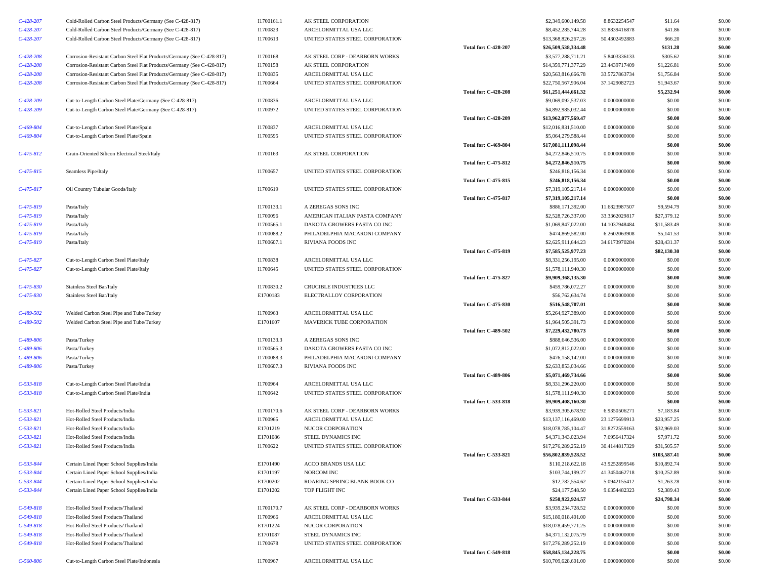| $C-428-207$                | Cold-Rolled Carbon Steel Products/Germany (See C-428-817)              | I1700161.1             | AK STEEL CORPORATION                                  |                             | \$2,349,600,149.58                         | 8.8632254547                   | \$11.64                   | \$0.00           |
|----------------------------|------------------------------------------------------------------------|------------------------|-------------------------------------------------------|-----------------------------|--------------------------------------------|--------------------------------|---------------------------|------------------|
| $C-428-207$                | Cold-Rolled Carbon Steel Products/Germany (See C-428-817)              | I1700823               | ARCELORMITTAL USA LLC                                 |                             | \$8,452,285,744.28                         | 31.8839416878                  | \$41.86                   | \$0.00           |
| $C-428-207$                | Cold-Rolled Carbon Steel Products/Germany (See C-428-817)              | I1700613               | UNITED STATES STEEL CORPORATION                       |                             | \$13,368,826,267.26                        | 50.4302492883                  | \$66.20                   | \$0.00           |
|                            |                                                                        |                        |                                                       | <b>Total for: C-428-207</b> | \$26,509,538,334.48                        |                                | \$131.28                  | \$0.00           |
| $C-428-208$                | Corrosion-Resistant Carbon Steel Flat Products/Germany (See C-428-817) | I1700168               | AK STEEL CORP - DEARBORN WORKS                        |                             | \$3,577,288,711.21                         | 5.8403336133                   | \$305.62                  | \$0.00           |
| $C - 428 - 208$            | Corrosion-Resistant Carbon Steel Flat Products/Germany (See C-428-817) | I1700158               | AK STEEL CORPORATION                                  |                             | \$14,359,771,377.29                        | 23.4439717409                  | \$1,226.81                | \$0.00           |
| $C-428-208$                | Corrosion-Resistant Carbon Steel Flat Products/Germany (See C-428-817) | I1700835               | ARCELORMITTAL USA LLC                                 |                             | \$20,563,816,666.78                        | 33.5727863734                  | \$1,756.84                | \$0.00           |
| $C-428-208$                | Corrosion-Resistant Carbon Steel Flat Products/Germany (See C-428-817) | I1700664               | UNITED STATES STEEL CORPORATION                       |                             | \$22,750,567,906.04                        | 37.1429082723                  | \$1,943.67                | \$0.00           |
|                            |                                                                        |                        |                                                       | <b>Total for: C-428-208</b> | \$61,251,444,661.32                        |                                | \$5,232.94                | \$0.00           |
| $C-428-209$                | Cut-to-Length Carbon Steel Plate/Germany (See C-428-817)               | I1700836               | ARCELORMITTAL USA LLC                                 |                             | \$9,069,092,537.03                         | 0.0000000000                   | \$0.00                    | \$0.00           |
| $C-428-209$                | Cut-to-Length Carbon Steel Plate/Germany (See C-428-817)               | I1700972               | UNITED STATES STEEL CORPORATION                       |                             | \$4,892,985,032.44                         | 0.0000000000                   | \$0.00                    | \$0.00           |
|                            |                                                                        |                        |                                                       | <b>Total for: C-428-209</b> | \$13,962,077,569.47                        |                                | \$0.00                    | \$0.00           |
| $C-469-804$                | Cut-to-Length Carbon Steel Plate/Spain                                 | I1700837               | ARCELORMITTAL USA LLC                                 |                             | \$12,016,831,510.00                        | 0.0000000000                   | \$0.00                    | \$0.00           |
| $C-469-804$                | Cut-to-Length Carbon Steel Plate/Spain                                 | I1700595               | UNITED STATES STEEL CORPORATION                       |                             | \$5,064,279,588.44                         | 0.0000000000                   | \$0.00                    | \$0.00           |
|                            |                                                                        |                        |                                                       | <b>Total for: C-469-804</b> | \$17,081,111,098.44                        |                                | \$0.00                    | \$0.00           |
| $C-475-812$                | Grain-Oriented Silicon Electrical Steel/Italy                          | I1700163               | AK STEEL CORPORATION                                  |                             | \$4,272,846,510.75                         | 0.0000000000                   | \$0.00                    | \$0.00           |
|                            |                                                                        |                        |                                                       | Total for: C-475-812        | \$4,272,846,510.75                         |                                | \$0.00                    | \$0.00           |
| $C-475-815$                | Seamless Pipe/Italy                                                    | I1700657               | UNITED STATES STEEL CORPORATION                       |                             | \$246,818,156.34                           | 0.0000000000                   | \$0.00                    | \$0.00           |
|                            |                                                                        |                        |                                                       | <b>Total for: C-475-815</b> | \$246,818,156.34                           |                                | \$0.00                    | \$0.00           |
| $C-475-817$                | Oil Country Tubular Goods/Italy                                        | I1700619               | UNITED STATES STEEL CORPORATION                       |                             | \$7,319,105,217.14                         | 0.0000000000                   | \$0.00                    | \$0.00           |
|                            |                                                                        |                        |                                                       | <b>Total for: C-475-817</b> | \$7,319,105,217.14                         |                                | \$0.00                    | \$0.00           |
| $C-475-819$                | Pasta/Italy                                                            | I1700133.1             | A ZEREGAS SONS INC                                    |                             | \$886,171,392.00                           | 11.6823987507                  | \$9,594.79                | \$0.00           |
| $C-475-819$                | Pasta/Italy                                                            | I1700096               | AMERICAN ITALIAN PASTA COMPANY                        |                             | \$2,528,726,337.00                         | 33.3362029817                  | \$27,379.12               | \$0.00           |
| $C-475-819$                | Pasta/Italy                                                            | I1700565.1             | DAKOTA GROWERS PASTA CO INC                           |                             | \$1,069,847,022.00                         | 14.1037948484                  | \$11,583.49               | \$0.00           |
| $C-475-819$                | Pasta/Italy                                                            | I1700088.2             | PHILADELPHIA MACARONI COMPANY                         |                             | \$474,869,582.00                           | 6.2602063908                   | \$5,141.53                | \$0.00           |
| $C-475-819$                | Pasta/Italy                                                            | I1700607.1             | RIVIANA FOODS INC                                     |                             | \$2,625,911,644.23                         | 34.6173970284                  | \$28,431.37               | \$0.00           |
|                            |                                                                        |                        |                                                       | <b>Total for: C-475-819</b> | \$7,585,525,977.23                         |                                | \$82,130.30               | \$0.00           |
| $C-475-827$                | Cut-to-Length Carbon Steel Plate/Italy                                 | I1700838               | ARCELORMITTAL USA LLC                                 |                             | \$8,331,256,195.00                         | 0.0000000000                   | \$0.00                    | \$0.00           |
| $C-475-827$                | Cut-to-Length Carbon Steel Plate/Italy                                 | I1700645               | UNITED STATES STEEL CORPORATION                       |                             | \$1,578,111,940.30                         | 0.0000000000                   | \$0.00                    | \$0.00           |
|                            |                                                                        |                        |                                                       | <b>Total for: C-475-827</b> | \$9,909,368,135.30                         |                                | \$0.00                    | \$0.00           |
| $C-475-830$                | Stainless Steel Bar/Italy                                              | I1700830.2             | CRUCIBLE INDUSTRIES LLC                               |                             | \$459,786,072.27                           | 0.0000000000                   | \$0.00                    | \$0.00           |
| $C-475-830$                | Stainless Steel Bar/Italy                                              | E1700183               | ELECTRALLOY CORPORATION                               |                             | \$56,762,634.74                            | 0.0000000000                   | \$0.00                    | \$0.00           |
|                            |                                                                        |                        |                                                       | <b>Total for: C-475-830</b> | \$516,548,707.01                           |                                | \$0.00                    | \$0.00           |
| $C-489-502$                | Welded Carbon Steel Pipe and Tube/Turkey                               | I1700963               | ARCELORMITTAL USA LLC                                 |                             | \$5,264,927,389.00                         | 0.0000000000                   | \$0.00                    | \$0.00           |
| $C-489-502$                | Welded Carbon Steel Pipe and Tube/Turkey                               | E1701607               | MAVERICK TUBE CORPORATION                             |                             | \$1,964,505,391.73                         | 0.0000000000                   | \$0.00                    | \$0.00           |
|                            |                                                                        |                        |                                                       | <b>Total for: C-489-502</b> | \$7,229,432,780.73                         |                                | \$0.00                    | \$0.00           |
| $C-489-806$                | Pasta/Turkey                                                           | I1700133.3             | A ZEREGAS SONS INC                                    |                             | \$888,646,536.00                           | 0.0000000000                   | \$0.00                    | \$0.00           |
| $C-489-806$                | Pasta/Turkey                                                           | I1700565.3             | DAKOTA GROWERS PASTA CO INC                           |                             | \$1,072,812,022.00                         | 0.0000000000                   | \$0.00                    | \$0.00           |
| $C-489-806$                | Pasta/Turkey                                                           | I1700088.3             | PHILADELPHIA MACARONI COMPANY                         |                             | \$476,158,142.00                           | 0.0000000000                   | \$0.00                    | \$0.00           |
| $C-489-806$                | Pasta/Turkey                                                           | I1700607.3             | RIVIANA FOODS INC                                     |                             | \$2,633,853,034.66                         | 0.0000000000                   | \$0.00                    | \$0.00           |
|                            |                                                                        |                        |                                                       | <b>Total for: C-489-806</b> | \$5,071,469,734.66                         |                                | \$0.00                    | \$0.00           |
| $C-533-818$                | Cut-to-Length Carbon Steel Plate/India                                 | I1700964               | ARCELORMITTAL USA LLC                                 |                             | \$8,331,296,220.00                         | 0.0000000000                   | \$0.00                    | \$0.00           |
| $C-533-818$                | Cut-to-Length Carbon Steel Plate/India                                 | I1700642               | UNITED STATES STEEL CORPORATION                       |                             | \$1,578,111,940.30                         | 0.0000000000                   | \$0.00                    | \$0.00           |
|                            |                                                                        |                        |                                                       | <b>Total for: C-533-818</b> | \$9,909,408,160.30                         |                                | \$0.00                    | \$0.00           |
| $C-533-821$<br>$C-533-821$ | Hot-Rolled Steel Products/India                                        | I1700170.6<br>I1700965 | AK STEEL CORP - DEARBORN WORKS                        |                             | \$3,939,305,678.92                         | 6.9350506271                   | \$7,183.84<br>\$23,957.25 | \$0.00<br>\$0.00 |
| $C-533-821$                | Hot-Rolled Steel Products/India<br>Hot-Rolled Steel Products/India     | E1701219               | ARCELORMITTAL USA LLC<br>NUCOR CORPORATION            |                             | \$13,137,116,469.00<br>\$18,078,785,104.47 | 23.1275699913<br>31.8272559163 | \$32,969.03               | \$0.00           |
|                            |                                                                        |                        |                                                       |                             | \$4,371,343,023.94                         |                                |                           |                  |
| $C-533-821$<br>$C-533-821$ | Hot-Rolled Steel Products/India<br>Hot-Rolled Steel Products/India     | E1701086<br>I1700622   | STEEL DYNAMICS INC<br>UNITED STATES STEEL CORPORATION |                             | \$17,276,289,252.19                        | 7.6956417324<br>30.4144817329  | \$7,971.72<br>\$31,505.57 | \$0.00<br>\$0.00 |
|                            |                                                                        |                        |                                                       | Total for: C-533-821        | \$56,802,839,528.52                        |                                | \$103,587.41              | \$0.00           |
| $C-533-844$                | Certain Lined Paper School Supplies/India                              | E1701490               | ACCO BRANDS USA LLC                                   |                             | \$110,218,622.18                           | 43.9252899546                  | \$10,892.74               | \$0.00           |
| $C-533-844$                | Certain Lined Paper School Supplies/India                              | E1701197               | NORCOM INC                                            |                             | \$103,744,199.27                           | 41.3450462718                  | \$10,252.89               | \$0.00           |
| $C-533-844$                | Certain Lined Paper School Supplies/India                              | E1700202               | ROARING SPRING BLANK BOOK CO                          |                             | \$12,782,554.62                            | 5.0942155412                   | \$1,263.28                | \$0.00           |
| $C-533-844$                | Certain Lined Paper School Supplies/India                              | E1701202               | TOP FLIGHT INC                                        |                             | \$24,177,548.50                            | 9.6354482323                   | \$2,389.43                | \$0.00           |
|                            |                                                                        |                        |                                                       | Total for: C-533-844        |                                            |                                |                           |                  |
| $C-549-818$                | Hot-Rolled Steel Products/Thailand                                     | I1700170.7             | AK STEEL CORP - DEARBORN WORKS                        |                             | \$250,922,924.57<br>\$3,939,234,728.52     | 0.0000000000                   | \$24,798.34<br>\$0.00     | \$0.00<br>\$0.00 |
| $C-549-818$                | Hot-Rolled Steel Products/Thailand                                     | I1700966               | ARCELORMITTAL USA LLC                                 |                             | \$15,180,018,401.00                        | 0.0000000000                   | \$0.00                    | \$0.00           |
| $C-549-818$                | Hot-Rolled Steel Products/Thailand                                     | E1701224               | NUCOR CORPORATION                                     |                             | \$18,078,459,771.25                        | 0.0000000000                   | \$0.00                    | \$0.00           |
| $C-549-818$                | Hot-Rolled Steel Products/Thailand                                     | E1701087               | STEEL DYNAMICS INC                                    |                             | \$4,371,132,075.79                         | 0.0000000000                   | \$0.00                    | \$0.00           |
| $C-549-818$                | Hot-Rolled Steel Products/Thailand                                     | I1700678               | UNITED STATES STEEL CORPORATION                       |                             | \$17,276,289,252.19                        | 0.0000000000                   | \$0.00                    | \$0.00           |
|                            |                                                                        |                        |                                                       | <b>Total for: C-549-818</b> | \$58,845,134,228.75                        |                                | \$0.00                    | \$0.00           |
| $C - 560 - 806$            | Cut-to-Length Carbon Steel Plate/Indonesia                             | I1700967               | ARCELORMITTAL USA LLC                                 |                             | \$10,709,628,601.00                        | 0.0000000000                   | \$0.00                    | \$0.00           |
|                            |                                                                        |                        |                                                       |                             |                                            |                                |                           |                  |